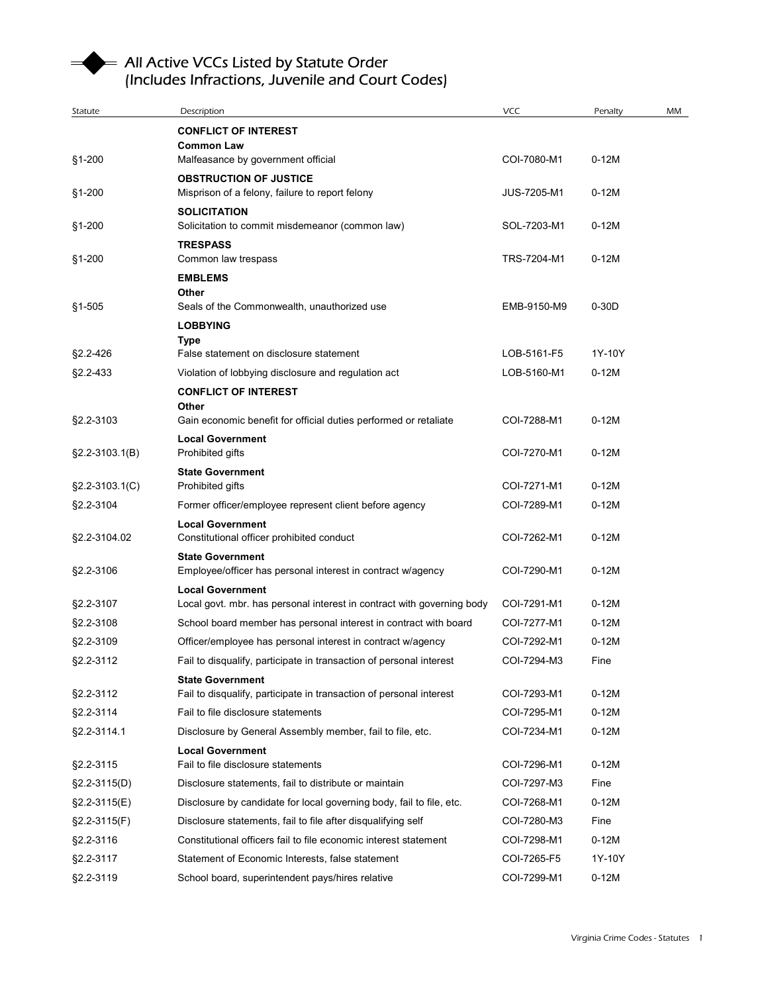## All Active VCCs Listed by Statute Order<br>(Includes Infractions, Juvenile and Court Codes)

|                     | All Active VCCs Listed by Statute Order                                                        |             |         |    |
|---------------------|------------------------------------------------------------------------------------------------|-------------|---------|----|
|                     | (Includes Infractions, Juvenile and Court Codes)                                               |             |         |    |
|                     |                                                                                                |             |         |    |
| Statute             | Description                                                                                    | <b>VCC</b>  | Penalty | MM |
|                     | <b>CONFLICT OF INTEREST</b>                                                                    |             |         |    |
| §1-200              | <b>Common Law</b><br>Malfeasance by government official                                        | COI-7080-M1 | $0-12M$ |    |
|                     | <b>OBSTRUCTION OF JUSTICE</b>                                                                  |             |         |    |
| §1-200              | Misprison of a felony, failure to report felony                                                | JUS-7205-M1 | $0-12M$ |    |
|                     | <b>SOLICITATION</b>                                                                            |             |         |    |
| §1-200              | Solicitation to commit misdemeanor (common law)                                                | SOL-7203-M1 | $0-12M$ |    |
| §1-200              | <b>TRESPASS</b><br>Common law trespass                                                         | TRS-7204-M1 | $0-12M$ |    |
|                     | <b>EMBLEMS</b>                                                                                 |             |         |    |
|                     | Other                                                                                          |             |         |    |
| $§1 - 505$          | Seals of the Commonwealth, unauthorized use                                                    | EMB-9150-M9 | $0-30D$ |    |
|                     | <b>LOBBYING</b>                                                                                |             |         |    |
| §2.2-426            | Type<br>False statement on disclosure statement                                                | LOB-5161-F5 | 1Y-10Y  |    |
| §2.2-433            | Violation of lobbying disclosure and regulation act                                            | LOB-5160-M1 | $0-12M$ |    |
|                     | <b>CONFLICT OF INTEREST</b>                                                                    |             |         |    |
|                     | Other                                                                                          |             |         |    |
| §2.2-3103           | Gain economic benefit for official duties performed or retaliate                               | COI-7288-M1 | $0-12M$ |    |
|                     | <b>Local Government</b>                                                                        |             |         |    |
| $\S2.2 - 3103.1(B)$ | Prohibited gifts                                                                               | COI-7270-M1 | $0-12M$ |    |
| §2.2-3103.1(C)      | <b>State Government</b><br>Prohibited gifts                                                    | COI-7271-M1 | $0-12M$ |    |
| §2.2-3104           | Former officer/employee represent client before agency                                         | COI-7289-M1 | $0-12M$ |    |
|                     | <b>Local Government</b>                                                                        |             |         |    |
| §2.2-3104.02        | Constitutional officer prohibited conduct                                                      | COI-7262-M1 | $0-12M$ |    |
|                     | <b>State Government</b>                                                                        |             |         |    |
| §2.2-3106           | Employee/officer has personal interest in contract w/agency                                    | COI-7290-M1 | $0-12M$ |    |
|                     | <b>Local Government</b>                                                                        |             |         |    |
| §2.2-3107           | Local govt. mbr. has personal interest in contract with governing body                         | COI-7291-M1 | $0-12M$ |    |
| §2.2-3108           | School board member has personal interest in contract with board                               | COI-7277-M1 | $0-12M$ |    |
| §2.2-3109           | Officer/employee has personal interest in contract w/agency                                    | COI-7292-M1 | $0-12M$ |    |
| §2.2-3112           | Fail to disqualify, participate in transaction of personal interest                            | COI-7294-M3 | Fine    |    |
| §2.2-3112           | <b>State Government</b><br>Fail to disqualify, participate in transaction of personal interest | COI-7293-M1 | $0-12M$ |    |
| §2.2-3114           | Fail to file disclosure statements                                                             | COI-7295-M1 | $0-12M$ |    |
| §2.2-3114.1         | Disclosure by General Assembly member, fail to file, etc.                                      | COI-7234-M1 | $0-12M$ |    |
|                     | <b>Local Government</b>                                                                        |             |         |    |
| §2.2-3115           | Fail to file disclosure statements                                                             | COI-7296-M1 | $0-12M$ |    |
| $$2.2-3115(D)$      | Disclosure statements, fail to distribute or maintain                                          | COI-7297-M3 | Fine    |    |
| §2.2-3115(E)        | Disclosure by candidate for local governing body, fail to file, etc.                           | COI-7268-M1 | $0-12M$ |    |
| $$2.2-3115(F)$      | Disclosure statements, fail to file after disqualifying self                                   | COI-7280-M3 | Fine    |    |
| §2.2-3116           | Constitutional officers fail to file economic interest statement                               | COI-7298-M1 | $0-12M$ |    |
| §2.2-3117           | Statement of Economic Interests, false statement                                               | COI-7265-F5 | 1Y-10Y  |    |
|                     | School board, superintendent pays/hires relative                                               | COI-7299-M1 | $0-12M$ |    |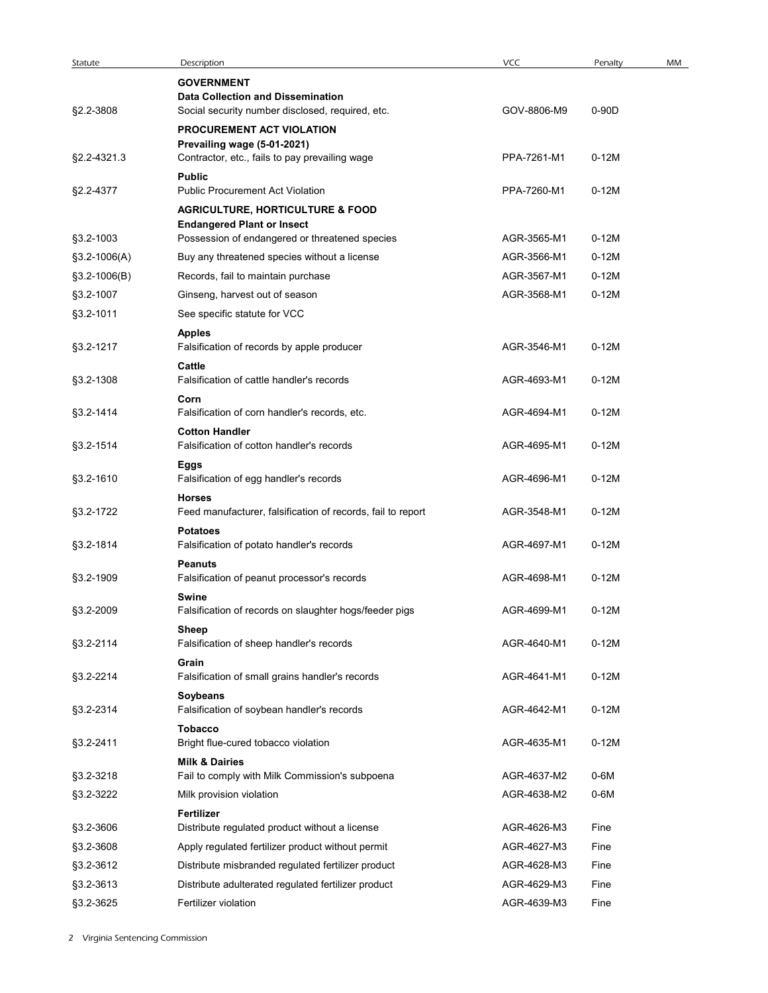| Statute        | Description                                                                      | VCC         | Penalty | MM |  |
|----------------|----------------------------------------------------------------------------------|-------------|---------|----|--|
|                | <b>GOVERNMENT</b>                                                                |             |         |    |  |
|                | <b>Data Collection and Dissemination</b>                                         |             |         |    |  |
| §2.2-3808      | Social security number disclosed, required, etc.                                 | GOV-8806-M9 | 0-90D   |    |  |
|                | PROCUREMENT ACT VIOLATION<br>Prevailing wage (5-01-2021)                         |             |         |    |  |
| §2.2-4321.3    | Contractor, etc., fails to pay prevailing wage                                   | PPA-7261-M1 | $0-12M$ |    |  |
|                | <b>Public</b>                                                                    |             |         |    |  |
| §2.2-4377      | <b>Public Procurement Act Violation</b>                                          | PPA-7260-M1 | $0-12M$ |    |  |
|                | <b>AGRICULTURE, HORTICULTURE &amp; FOOD</b><br><b>Endangered Plant or Insect</b> |             |         |    |  |
| §3.2-1003      | Possession of endangered or threatened species                                   | AGR-3565-M1 | $0-12M$ |    |  |
| $$3.2-1006(A)$ | Buy any threatened species without a license                                     | AGR-3566-M1 | $0-12M$ |    |  |
| $$3.2-1006(B)$ | Records, fail to maintain purchase                                               | AGR-3567-M1 | $0-12M$ |    |  |
| §3.2-1007      | Ginseng, harvest out of season                                                   | AGR-3568-M1 | $0-12M$ |    |  |
| §3.2-1011      | See specific statute for VCC                                                     |             |         |    |  |
| §3.2-1217      | <b>Apples</b><br>Falsification of records by apple producer                      | AGR-3546-M1 | $0-12M$ |    |  |
|                | Cattle                                                                           |             |         |    |  |
| §3.2-1308      | Falsification of cattle handler's records                                        | AGR-4693-M1 | $0-12M$ |    |  |
|                | Corn                                                                             |             |         |    |  |
| §3.2-1414      | Falsification of corn handler's records, etc.                                    | AGR-4694-M1 | $0-12M$ |    |  |
| §3.2-1514      | <b>Cotton Handler</b><br>Falsification of cotton handler's records               | AGR-4695-M1 | $0-12M$ |    |  |
|                | Eggs                                                                             |             |         |    |  |
| §3.2-1610      | Falsification of egg handler's records                                           | AGR-4696-M1 | $0-12M$ |    |  |
| §3.2-1722      | <b>Horses</b><br>Feed manufacturer, falsification of records, fail to report     | AGR-3548-M1 | $0-12M$ |    |  |
|                | <b>Potatoes</b>                                                                  |             |         |    |  |
| §3.2-1814      | Falsification of potato handler's records                                        | AGR-4697-M1 | $0-12M$ |    |  |
|                | <b>Peanuts</b>                                                                   |             |         |    |  |
| §3.2-1909      | Falsification of peanut processor's records                                      | AGR-4698-M1 | $0-12M$ |    |  |
| §3.2-2009      | Swine<br>Falsification of records on slaughter hogs/feeder pigs                  | AGR-4699-M1 | $0-12M$ |    |  |
|                | Sheep                                                                            |             |         |    |  |
| §3.2-2114      | Falsification of sheep handler's records                                         | AGR-4640-M1 | $0-12M$ |    |  |
|                | Grain                                                                            |             |         |    |  |
| §3.2-2214      | Falsification of small grains handler's records                                  | AGR-4641-M1 | $0-12M$ |    |  |
| §3.2-2314      | Soybeans<br>Falsification of soybean handler's records                           | AGR-4642-M1 | $0-12M$ |    |  |
|                | <b>Tobacco</b>                                                                   |             |         |    |  |
| §3.2-2411      | Bright flue-cured tobacco violation                                              | AGR-4635-M1 | $0-12M$ |    |  |
|                | <b>Milk &amp; Dairies</b>                                                        |             |         |    |  |
| §3.2-3218      | Fail to comply with Milk Commission's subpoena                                   | AGR-4637-M2 | 0-6M    |    |  |
| §3.2-3222      | Milk provision violation                                                         | AGR-4638-M2 | $0-6M$  |    |  |
| §3.2-3606      | Fertilizer<br>Distribute regulated product without a license                     | AGR-4626-M3 | Fine    |    |  |
| §3.2-3608      | Apply regulated fertilizer product without permit                                | AGR-4627-M3 | Fine    |    |  |
| §3.2-3612      | Distribute misbranded regulated fertilizer product                               | AGR-4628-M3 | Fine    |    |  |
| §3.2-3613      | Distribute adulterated regulated fertilizer product                              | AGR-4629-M3 | Fine    |    |  |
| §3.2-3625      | Fertilizer violation                                                             | AGR-4639-M3 | Fine    |    |  |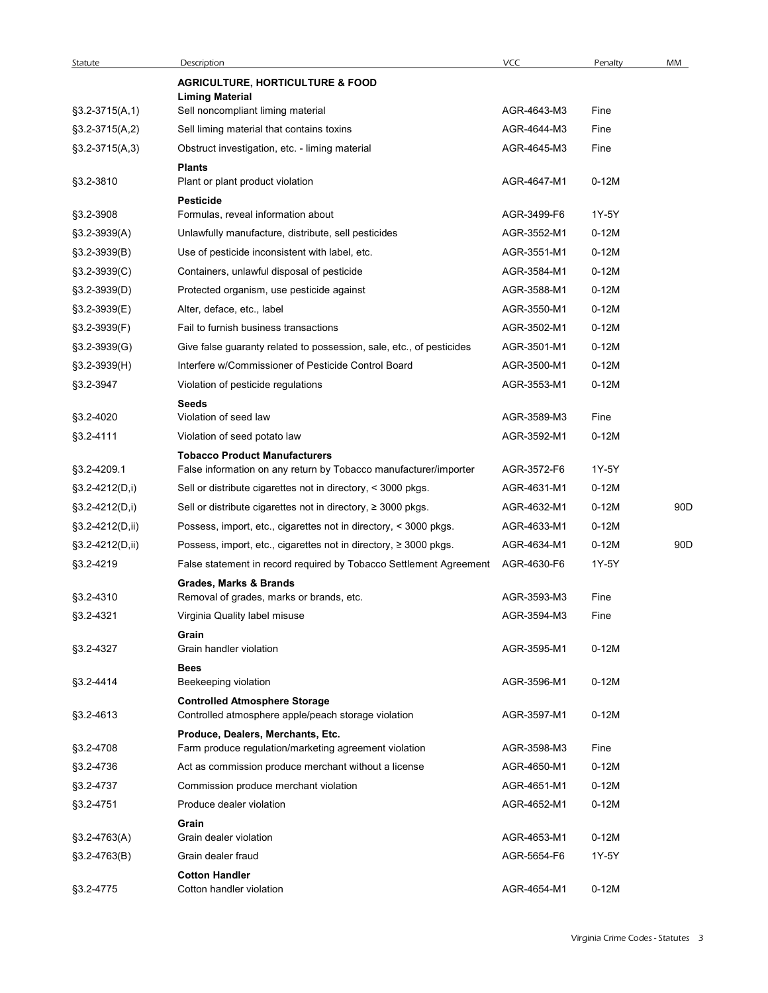| Statute          | Description<br><b>AGRICULTURE, HORTICULTURE &amp; FOOD</b>                                              | <b>VCC</b>  | Penalty | MM  |
|------------------|---------------------------------------------------------------------------------------------------------|-------------|---------|-----|
| $§3.2-3715(A,1)$ | <b>Liming Material</b><br>Sell noncompliant liming material                                             | AGR-4643-M3 | Fine    |     |
| $$3.2-3715(A,2)$ | Sell liming material that contains toxins                                                               | AGR-4644-M3 | Fine    |     |
| $§3.2-3715(A,3)$ | Obstruct investigation, etc. - liming material                                                          | AGR-4645-M3 | Fine    |     |
| §3.2-3810        | <b>Plants</b><br>Plant or plant product violation                                                       | AGR-4647-M1 | $0-12M$ |     |
|                  | <b>Pesticide</b><br>Formulas, reveal information about                                                  | AGR-3499-F6 | 1Y-5Y   |     |
| §3.2-3908        |                                                                                                         |             |         |     |
| $$3.2-3939(A)$   | Unlawfully manufacture, distribute, sell pesticides                                                     | AGR-3552-M1 | $0-12M$ |     |
| $$3.2-3939(B)$   | Use of pesticide inconsistent with label, etc.                                                          | AGR-3551-M1 | $0-12M$ |     |
| $$3.2-3939(C)$   | Containers, unlawful disposal of pesticide                                                              | AGR-3584-M1 | $0-12M$ |     |
| $$3.2-3939(D)$   | Protected organism, use pesticide against                                                               | AGR-3588-M1 | $0-12M$ |     |
| §3.2-3939(E)     | Alter, deface, etc., label                                                                              | AGR-3550-M1 | $0-12M$ |     |
| §3.2-3939(F)     | Fail to furnish business transactions                                                                   | AGR-3502-M1 | $0-12M$ |     |
| §3.2-3939(G)     | Give false guaranty related to possession, sale, etc., of pesticides                                    | AGR-3501-M1 | $0-12M$ |     |
| §3.2-3939(H)     | Interfere w/Commissioner of Pesticide Control Board                                                     | AGR-3500-M1 | $0-12M$ |     |
| §3.2-3947        | Violation of pesticide regulations                                                                      | AGR-3553-M1 | $0-12M$ |     |
| §3.2-4020        | Seeds<br>Violation of seed law                                                                          | AGR-3589-M3 | Fine    |     |
| §3.2-4111        | Violation of seed potato law                                                                            | AGR-3592-M1 | $0-12M$ |     |
|                  | <b>Tobacco Product Manufacturers</b>                                                                    |             |         |     |
| §3.2-4209.1      | False information on any return by Tobacco manufacturer/importer                                        | AGR-3572-F6 | 1Y-5Y   |     |
| §3.2-4212(D,i)   | Sell or distribute cigarettes not in directory, < 3000 pkgs.                                            | AGR-4631-M1 | $0-12M$ |     |
| $$3.2-4212(D,i)$ | Sell or distribute cigarettes not in directory, $\geq$ 3000 pkgs.                                       | AGR-4632-M1 | $0-12M$ | 90D |
| §3.2-4212(D,ii)  | Possess, import, etc., cigarettes not in directory, < 3000 pkgs.                                        | AGR-4633-M1 | $0-12M$ |     |
| §3.2-4212(D,ii)  | Possess, import, etc., cigarettes not in directory, ≥ 3000 pkgs.                                        | AGR-4634-M1 | $0-12M$ | 90D |
| §3.2-4219        | False statement in record required by Tobacco Settlement Agreement<br><b>Grades, Marks &amp; Brands</b> | AGR-4630-F6 | 1Y-5Y   |     |
| §3.2-4310        | Removal of grades, marks or brands, etc.                                                                | AGR-3593-M3 | Fine    |     |
| §3.2-4321        | Virginia Quality label misuse                                                                           | AGR-3594-M3 | Fine    |     |
| §3.2-4327        | Grain<br>Grain handler violation                                                                        | AGR-3595-M1 | $0-12M$ |     |
|                  | <b>Bees</b>                                                                                             |             |         |     |
| §3.2-4414        | Beekeeping violation<br><b>Controlled Atmosphere Storage</b>                                            | AGR-3596-M1 | $0-12M$ |     |
| §3.2-4613        | Controlled atmosphere apple/peach storage violation                                                     | AGR-3597-M1 | $0-12M$ |     |
| §3.2-4708        | Produce, Dealers, Merchants, Etc.<br>Farm produce regulation/marketing agreement violation              | AGR-3598-M3 | Fine    |     |
| §3.2-4736        | Act as commission produce merchant without a license                                                    | AGR-4650-M1 | $0-12M$ |     |
| §3.2-4737        | Commission produce merchant violation                                                                   | AGR-4651-M1 | $0-12M$ |     |
| §3.2-4751        | Produce dealer violation                                                                                | AGR-4652-M1 | $0-12M$ |     |
|                  | Grain                                                                                                   |             |         |     |
| $$3.2-4763(A)$   | Grain dealer violation                                                                                  | AGR-4653-M1 | $0-12M$ |     |
| §3.2-4763(B)     | Grain dealer fraud                                                                                      | AGR-5654-F6 | 1Y-5Y   |     |
| §3.2-4775        | <b>Cotton Handler</b><br>Cotton handler violation                                                       | AGR-4654-M1 | $0-12M$ |     |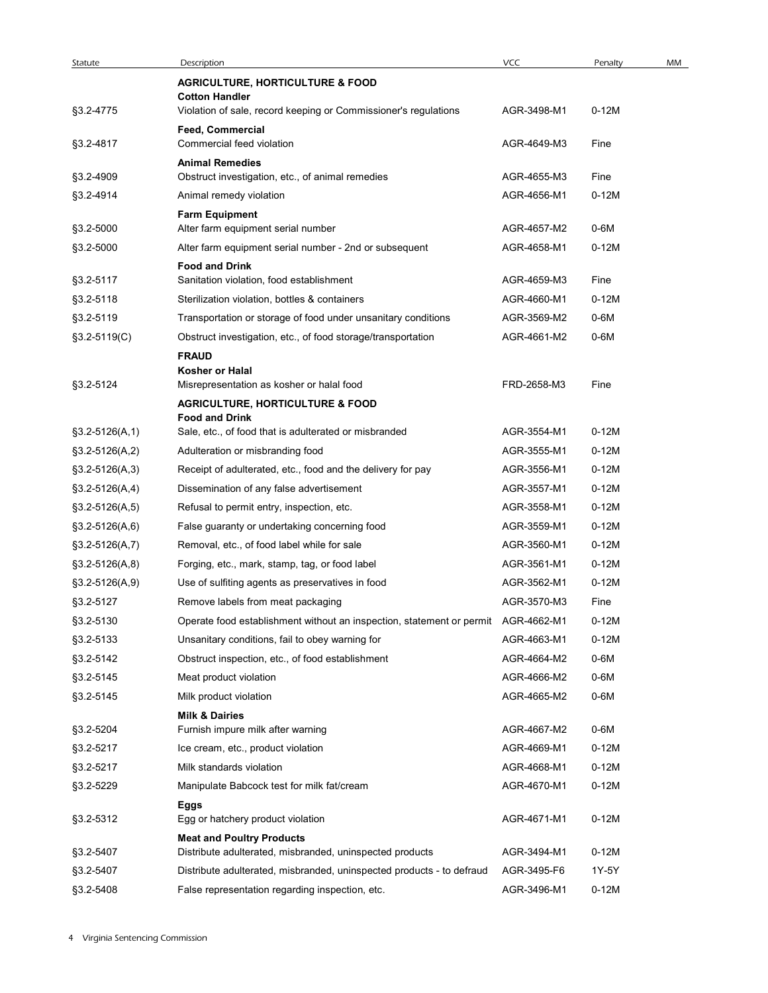| Statute          | Description                                                                                  | <b>VCC</b>  | Penalty | MM |
|------------------|----------------------------------------------------------------------------------------------|-------------|---------|----|
|                  | <b>AGRICULTURE, HORTICULTURE &amp; FOOD</b>                                                  |             |         |    |
| §3.2-4775        | <b>Cotton Handler</b><br>Violation of sale, record keeping or Commissioner's regulations     | AGR-3498-M1 | $0-12M$ |    |
|                  | Feed, Commercial                                                                             |             |         |    |
| §3.2-4817        | Commercial feed violation                                                                    | AGR-4649-M3 | Fine    |    |
|                  | <b>Animal Remedies</b>                                                                       |             |         |    |
| §3.2-4909        | Obstruct investigation, etc., of animal remedies                                             | AGR-4655-M3 | Fine    |    |
| §3.2-4914        | Animal remedy violation                                                                      | AGR-4656-M1 | $0-12M$ |    |
| §3.2-5000        | <b>Farm Equipment</b><br>Alter farm equipment serial number                                  | AGR-4657-M2 | 0-6M    |    |
| §3.2-5000        | Alter farm equipment serial number - 2nd or subsequent                                       | AGR-4658-M1 | $0-12M$ |    |
|                  | <b>Food and Drink</b>                                                                        |             |         |    |
| §3.2-5117        | Sanitation violation, food establishment                                                     | AGR-4659-M3 | Fine    |    |
| §3.2-5118        | Sterilization violation, bottles & containers                                                | AGR-4660-M1 | $0-12M$ |    |
| §3.2-5119        | Transportation or storage of food under unsanitary conditions                                | AGR-3569-M2 | $0-6M$  |    |
| $$3.2-5119(C)$   | Obstruct investigation, etc., of food storage/transportation                                 | AGR-4661-M2 | 0-6M    |    |
|                  | <b>FRAUD</b><br>Kosher or Halal                                                              |             |         |    |
| §3.2-5124        | Misrepresentation as kosher or halal food                                                    | FRD-2658-M3 | Fine    |    |
|                  | <b>AGRICULTURE, HORTICULTURE &amp; FOOD</b>                                                  |             |         |    |
|                  | <b>Food and Drink</b>                                                                        |             |         |    |
| $$3.2-5126(A,1)$ | Sale, etc., of food that is adulterated or misbranded                                        | AGR-3554-M1 | $0-12M$ |    |
| $$3.2-5126(A,2)$ | Adulteration or misbranding food                                                             | AGR-3555-M1 | $0-12M$ |    |
| $$3.2-5126(A,3)$ | Receipt of adulterated, etc., food and the delivery for pay                                  | AGR-3556-M1 | $0-12M$ |    |
| $$3.2-5126(A,4)$ | Dissemination of any false advertisement                                                     | AGR-3557-M1 | $0-12M$ |    |
| $$3.2-5126(A,5)$ | Refusal to permit entry, inspection, etc.                                                    | AGR-3558-M1 | $0-12M$ |    |
| $$3.2-5126(A,6)$ | False guaranty or undertaking concerning food                                                | AGR-3559-M1 | $0-12M$ |    |
| $$3.2-5126(A,7)$ | Removal, etc., of food label while for sale                                                  | AGR-3560-M1 | $0-12M$ |    |
| $$3.2-5126(A,8)$ | Forging, etc., mark, stamp, tag, or food label                                               | AGR-3561-M1 | $0-12M$ |    |
| $$3.2-5126(A,9)$ | Use of sulfiting agents as preservatives in food                                             | AGR-3562-M1 | $0-12M$ |    |
| §3.2-5127        | Remove labels from meat packaging                                                            | AGR-3570-M3 | Fine    |    |
| §3.2-5130        | Operate food establishment without an inspection, statement or permit                        | AGR-4662-M1 | $0-12M$ |    |
| §3.2-5133        | Unsanitary conditions, fail to obey warning for                                              | AGR-4663-M1 | $0-12M$ |    |
| §3.2-5142        | Obstruct inspection, etc., of food establishment                                             | AGR-4664-M2 | 0-6M    |    |
| §3.2-5145        | Meat product violation                                                                       | AGR-4666-M2 | 0-6M    |    |
| §3.2-5145        | Milk product violation                                                                       | AGR-4665-M2 | 0-6M    |    |
|                  | <b>Milk &amp; Dairies</b>                                                                    |             |         |    |
| §3.2-5204        | Furnish impure milk after warning                                                            | AGR-4667-M2 | 0-6M    |    |
| §3.2-5217        | Ice cream, etc., product violation                                                           | AGR-4669-M1 | $0-12M$ |    |
| §3.2-5217        | Milk standards violation                                                                     | AGR-4668-M1 | $0-12M$ |    |
| §3.2-5229        | Manipulate Babcock test for milk fat/cream                                                   | AGR-4670-M1 | $0-12M$ |    |
| §3.2-5312        | Eggs<br>Egg or hatchery product violation                                                    | AGR-4671-M1 | $0-12M$ |    |
| §3.2-5407        | <b>Meat and Poultry Products</b><br>Distribute adulterated, misbranded, uninspected products | AGR-3494-M1 | $0-12M$ |    |
| §3.2-5407        | Distribute adulterated, misbranded, uninspected products - to defraud                        | AGR-3495-F6 | 1Y-5Y   |    |
| §3.2-5408        | False representation regarding inspection, etc.                                              | AGR-3496-M1 | $0-12M$ |    |
|                  |                                                                                              |             |         |    |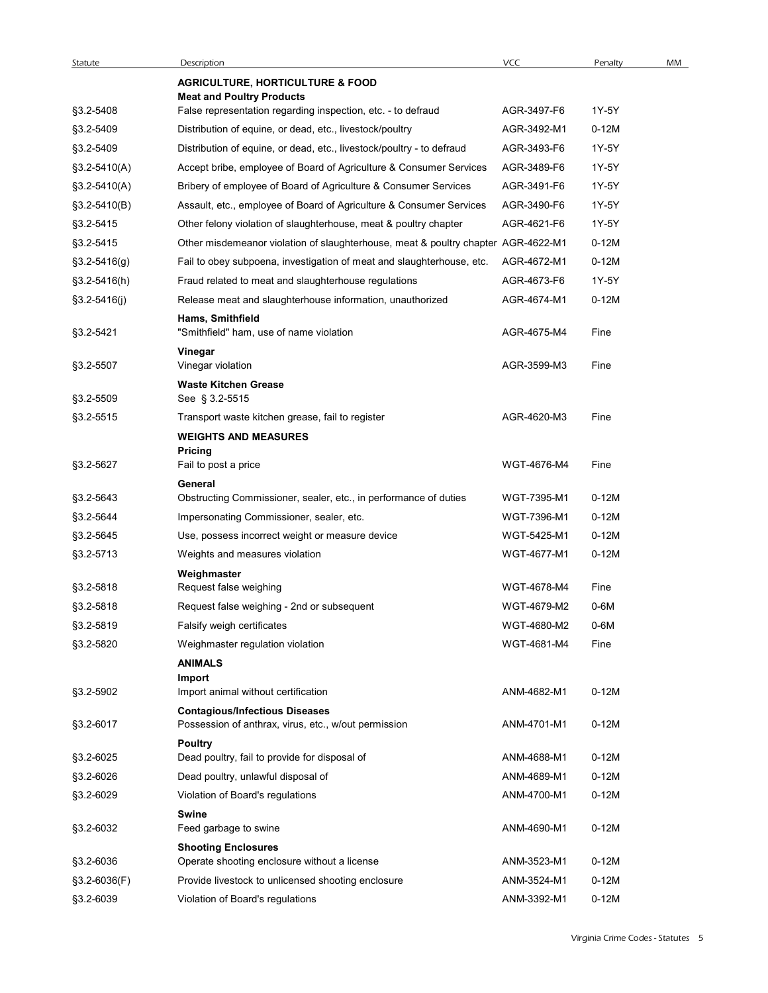| Statute          | Description<br><b>AGRICULTURE, HORTICULTURE &amp; FOOD</b>                                    | <b>VCC</b>                 | Penalty | MM |
|------------------|-----------------------------------------------------------------------------------------------|----------------------------|---------|----|
|                  | <b>Meat and Poultry Products</b>                                                              |                            |         |    |
| §3.2-5408        | False representation regarding inspection, etc. - to defraud                                  | AGR-3497-F6                | 1Y-5Y   |    |
| §3.2-5409        | Distribution of equine, or dead, etc., livestock/poultry                                      | AGR-3492-M1                | $0-12M$ |    |
| §3.2-5409        | Distribution of equine, or dead, etc., livestock/poultry - to defraud                         | AGR-3493-F6                | 1Y-5Y   |    |
| $$3.2 - 5410(A)$ | Accept bribe, employee of Board of Agriculture & Consumer Services                            | AGR-3489-F6                | 1Y-5Y   |    |
| §3.2-5410(A)     | Bribery of employee of Board of Agriculture & Consumer Services                               | AGR-3491-F6                | 1Y-5Y   |    |
| §3.2-5410(B)     | Assault, etc., employee of Board of Agriculture & Consumer Services                           | AGR-3490-F6                | 1Y-5Y   |    |
| §3.2-5415        | Other felony violation of slaughterhouse, meat & poultry chapter                              | AGR-4621-F6                | 1Y-5Y   |    |
| §3.2-5415        | Other misdemeanor violation of slaughterhouse, meat & poultry chapter AGR-4622-M1             |                            | $0-12M$ |    |
| $§3.2 - 5416(g)$ | Fail to obey subpoena, investigation of meat and slaughterhouse, etc.                         | AGR-4672-M1                | $0-12M$ |    |
| $$3.2 - 5416(h)$ | Fraud related to meat and slaughterhouse regulations                                          | AGR-4673-F6                | 1Y-5Y   |    |
| $$3.2 - 5416(j)$ | Release meat and slaughterhouse information, unauthorized                                     | AGR-4674-M1                | $0-12M$ |    |
| §3.2-5421        | Hams, Smithfield<br>"Smithfield" ham, use of name violation                                   | AGR-4675-M4                | Fine    |    |
|                  | Vinegar                                                                                       |                            |         |    |
| §3.2-5507        | Vinegar violation<br><b>Waste Kitchen Grease</b>                                              | AGR-3599-M3                | Fine    |    |
| §3.2-5509        | See § 3.2-5515                                                                                |                            |         |    |
| §3.2-5515        | Transport waste kitchen grease, fail to register                                              | AGR-4620-M3                | Fine    |    |
|                  | <b>WEIGHTS AND MEASURES</b><br><b>Pricing</b>                                                 |                            |         |    |
| §3.2-5627        | Fail to post a price                                                                          | WGT-4676-M4                | Fine    |    |
|                  | General                                                                                       |                            |         |    |
| §3.2-5643        | Obstructing Commissioner, sealer, etc., in performance of duties                              | WGT-7395-M1                | $0-12M$ |    |
| §3.2-5644        | Impersonating Commissioner, sealer, etc.                                                      | WGT-7396-M1                | $0-12M$ |    |
| §3.2-5645        | Use, possess incorrect weight or measure device                                               | WGT-5425-M1                | $0-12M$ |    |
| §3.2-5713        | Weights and measures violation                                                                | WGT-4677-M1                | $0-12M$ |    |
|                  | Weighmaster                                                                                   | WGT-4678-M4                |         |    |
| §3.2-5818        | Request false weighing                                                                        |                            | Fine    |    |
| §3.2-5818        | Request false weighing - 2nd or subsequent                                                    | WGT-4679-M2                | $0-6M$  |    |
| §3.2-5819        | Falsify weigh certificates                                                                    | WGT-4680-M2<br>WGT-4681-M4 | $0-6M$  |    |
| §3.2-5820        | Weighmaster regulation violation                                                              |                            | Fine    |    |
|                  | <b>ANIMALS</b><br>Import                                                                      |                            |         |    |
| §3.2-5902        | Import animal without certification                                                           | ANM-4682-M1                | $0-12M$ |    |
| §3.2-6017        | <b>Contagious/Infectious Diseases</b><br>Possession of anthrax, virus, etc., w/out permission | ANM-4701-M1                | $0-12M$ |    |
|                  | <b>Poultry</b>                                                                                |                            |         |    |
| §3.2-6025        | Dead poultry, fail to provide for disposal of                                                 | ANM-4688-M1                | $0-12M$ |    |
| §3.2-6026        | Dead poultry, unlawful disposal of                                                            | ANM-4689-M1                | $0-12M$ |    |
| §3.2-6029        | Violation of Board's regulations                                                              | ANM-4700-M1                | $0-12M$ |    |
| §3.2-6032        | <b>Swine</b><br>Feed garbage to swine                                                         | ANM-4690-M1                | $0-12M$ |    |
|                  | <b>Shooting Enclosures</b>                                                                    |                            |         |    |
| §3.2-6036        | Operate shooting enclosure without a license                                                  | ANM-3523-M1                | $0-12M$ |    |
| $$3.2-6036(F)$   | Provide livestock to unlicensed shooting enclosure                                            | ANM-3524-M1                | $0-12M$ |    |
|                  | Violation of Board's regulations                                                              | ANM-3392-M1                | $0-12M$ |    |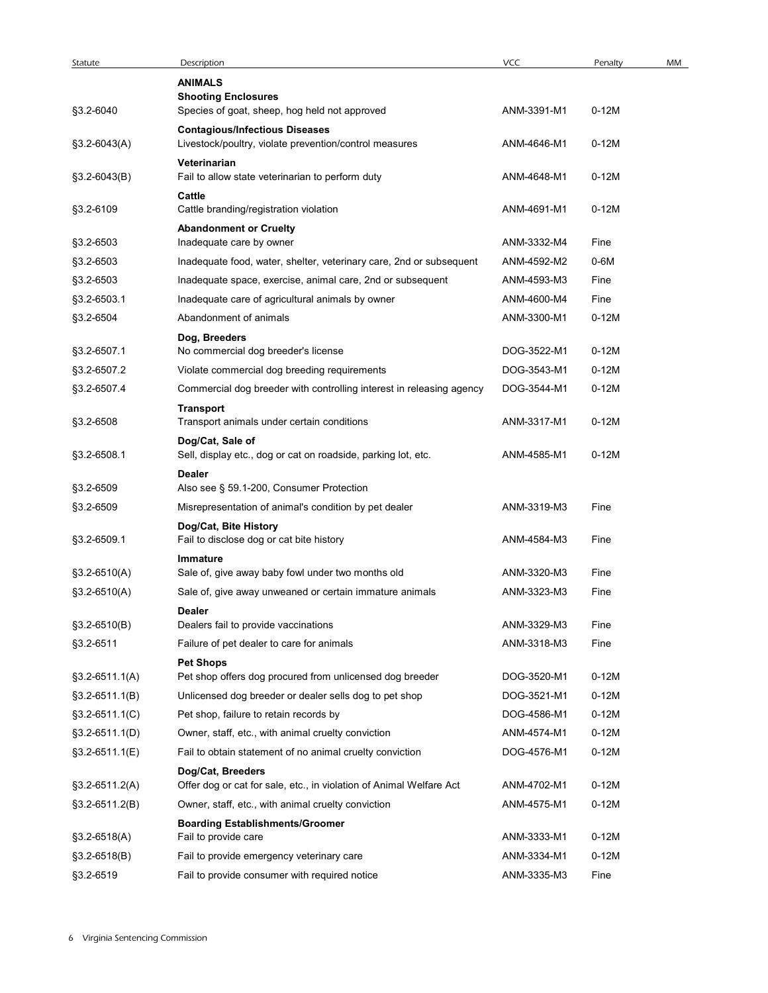| Statute<br>§3.2-6040<br>§3.2-6043(A)<br>§3.2-6043(B) | Description<br><b>ANIMALS</b><br><b>Shooting Enclosures</b><br>Species of goat, sheep, hog held not approved | <b>VCC</b>  |         |    |
|------------------------------------------------------|--------------------------------------------------------------------------------------------------------------|-------------|---------|----|
|                                                      |                                                                                                              |             | Penalty | MM |
|                                                      |                                                                                                              |             |         |    |
|                                                      |                                                                                                              |             |         |    |
|                                                      |                                                                                                              | ANM-3391-M1 | $0-12M$ |    |
|                                                      | <b>Contagious/Infectious Diseases</b><br>Livestock/poultry, violate prevention/control measures              | ANM-4646-M1 | $0-12M$ |    |
|                                                      | Veterinarian                                                                                                 |             |         |    |
|                                                      | Fail to allow state veterinarian to perform duty                                                             | ANM-4648-M1 | $0-12M$ |    |
|                                                      | Cattle                                                                                                       |             |         |    |
| §3.2-6109                                            | Cattle branding/registration violation                                                                       | ANM-4691-M1 | $0-12M$ |    |
|                                                      | <b>Abandonment or Cruelty</b>                                                                                |             |         |    |
| §3.2-6503                                            | Inadequate care by owner                                                                                     | ANM-3332-M4 | Fine    |    |
| §3.2-6503                                            | Inadequate food, water, shelter, veterinary care, 2nd or subsequent                                          | ANM-4592-M2 | 0-6M    |    |
| §3.2-6503                                            | Inadequate space, exercise, animal care, 2nd or subsequent                                                   | ANM-4593-M3 | Fine    |    |
| §3.2-6503.1                                          | Inadequate care of agricultural animals by owner                                                             | ANM-4600-M4 | Fine    |    |
| §3.2-6504                                            | Abandonment of animals                                                                                       | ANM-3300-M1 | $0-12M$ |    |
|                                                      | Dog, Breeders                                                                                                |             |         |    |
| §3.2-6507.1                                          | No commercial dog breeder's license                                                                          | DOG-3522-M1 | $0-12M$ |    |
| §3.2-6507.2                                          | Violate commercial dog breeding requirements                                                                 | DOG-3543-M1 | $0-12M$ |    |
| §3.2-6507.4                                          | Commercial dog breeder with controlling interest in releasing agency                                         | DOG-3544-M1 | $0-12M$ |    |
| §3.2-6508                                            | <b>Transport</b><br>Transport animals under certain conditions                                               | ANM-3317-M1 | $0-12M$ |    |
| §3.2-6508.1                                          | Dog/Cat, Sale of<br>Sell, display etc., dog or cat on roadside, parking lot, etc.                            | ANM-4585-M1 | $0-12M$ |    |
| §3.2-6509                                            | <b>Dealer</b><br>Also see § 59.1-200, Consumer Protection                                                    |             |         |    |
| §3.2-6509                                            | Misrepresentation of animal's condition by pet dealer                                                        | ANM-3319-M3 | Fine    |    |
| §3.2-6509.1                                          | Dog/Cat, Bite History<br>Fail to disclose dog or cat bite history                                            | ANM-4584-M3 | Fine    |    |
|                                                      | Immature                                                                                                     |             |         |    |
| §3.2-6510(A)                                         | Sale of, give away baby fowl under two months old                                                            | ANM-3320-M3 | Fine    |    |
| $§3.2-6510(A)$                                       | Sale of, give away unweaned or certain immature animals                                                      | ANM-3323-M3 | Fine    |    |
|                                                      | <b>Dealer</b>                                                                                                |             |         |    |
| $$3.2-6510(B)$                                       | Dealers fail to provide vaccinations                                                                         | ANM-3329-M3 | Fine    |    |
| §3.2-6511                                            | Failure of pet dealer to care for animals                                                                    | ANM-3318-M3 | Fine    |    |
|                                                      | <b>Pet Shops</b>                                                                                             |             |         |    |
| $$3.2-6511.1(A)$                                     | Pet shop offers dog procured from unlicensed dog breeder                                                     | DOG-3520-M1 | $0-12M$ |    |
| $$3.2-6511.1(B)$                                     | Unlicensed dog breeder or dealer sells dog to pet shop                                                       | DOG-3521-M1 | $0-12M$ |    |
| $$3.2-6511.1(C)$                                     | Pet shop, failure to retain records by                                                                       | DOG-4586-M1 | 0-12M   |    |
| $$3.2-6511.1(D)$                                     | Owner, staff, etc., with animal cruelty conviction                                                           | ANM-4574-M1 | $0-12M$ |    |
| $$3.2-6511.1(E)$                                     | Fail to obtain statement of no animal cruelty conviction                                                     | DOG-4576-M1 | $0-12M$ |    |
|                                                      | Dog/Cat, Breeders                                                                                            |             |         |    |
| $$3.2-6511.2(A)$                                     | Offer dog or cat for sale, etc., in violation of Animal Welfare Act                                          | ANM-4702-M1 | $0-12M$ |    |
| $$3.2-6511.2(B)$                                     | Owner, staff, etc., with animal cruelty conviction                                                           | ANM-4575-M1 | $0-12M$ |    |
|                                                      | <b>Boarding Establishments/Groomer</b>                                                                       |             |         |    |
| $§3.2-6518(A)$                                       | Fail to provide care                                                                                         | ANM-3333-M1 | $0-12M$ |    |
| $$3.2-6518(B)$                                       | Fail to provide emergency veterinary care                                                                    | ANM-3334-M1 | $0-12M$ |    |
| §3.2-6519                                            | Fail to provide consumer with required notice                                                                | ANM-3335-M3 | Fine    |    |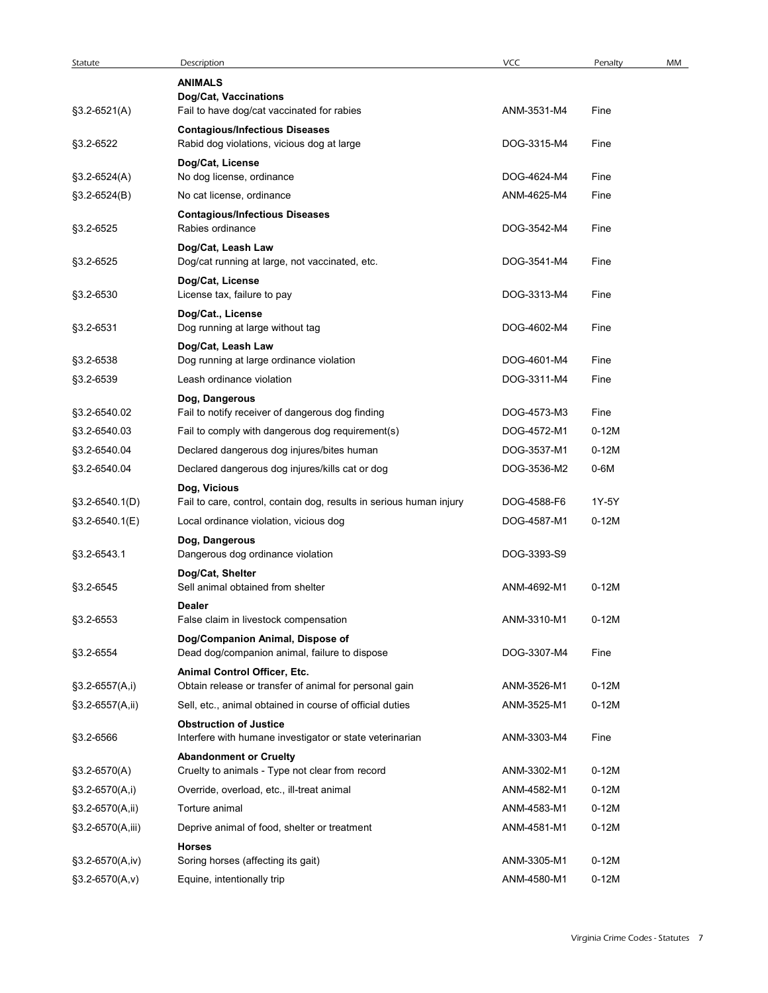| Statute            | Description                                                                               | <b>VCC</b>                 | Penalty            | MM |
|--------------------|-------------------------------------------------------------------------------------------|----------------------------|--------------------|----|
|                    | <b>ANIMALS</b><br>Dog/Cat, Vaccinations                                                   |                            |                    |    |
| $$3.2-6521(A)$     | Fail to have dog/cat vaccinated for rabies                                                | ANM-3531-M4                | Fine               |    |
|                    | <b>Contagious/Infectious Diseases</b>                                                     |                            |                    |    |
| §3.2-6522          | Rabid dog violations, vicious dog at large                                                | DOG-3315-M4                | Fine               |    |
| $$3.2-6524(A)$     | Dog/Cat, License<br>No dog license, ordinance                                             | DOG-4624-M4                | Fine               |    |
| $$3.2-6524(B)$     | No cat license, ordinance                                                                 | ANM-4625-M4                | Fine               |    |
|                    | <b>Contagious/Infectious Diseases</b>                                                     |                            |                    |    |
| §3.2-6525          | Rabies ordinance                                                                          | DOG-3542-M4                | Fine               |    |
| §3.2-6525          | Dog/Cat, Leash Law<br>Dog/cat running at large, not vaccinated, etc.                      | DOG-3541-M4                | Fine               |    |
|                    | Dog/Cat, License                                                                          |                            |                    |    |
| §3.2-6530          | License tax, failure to pay                                                               | DOG-3313-M4                | Fine               |    |
| §3.2-6531          | Dog/Cat., License<br>Dog running at large without tag                                     | DOG-4602-M4                | Fine               |    |
|                    | Dog/Cat, Leash Law                                                                        |                            |                    |    |
| §3.2-6538          | Dog running at large ordinance violation                                                  | DOG-4601-M4                | Fine               |    |
| §3.2-6539          | Leash ordinance violation                                                                 | DOG-3311-M4                | Fine               |    |
| §3.2-6540.02       | Dog, Dangerous<br>Fail to notify receiver of dangerous dog finding                        | DOG-4573-M3                | Fine               |    |
| §3.2-6540.03       | Fail to comply with dangerous dog requirement(s)                                          | DOG-4572-M1                | $0-12M$            |    |
| §3.2-6540.04       | Declared dangerous dog injures/bites human                                                | DOG-3537-M1                | $0-12M$            |    |
| §3.2-6540.04       | Declared dangerous dog injures/kills cat or dog                                           | DOG-3536-M2                | $0-6M$             |    |
|                    | Dog, Vicious                                                                              |                            |                    |    |
| §3.2-6540.1(D)     | Fail to care, control, contain dog, results in serious human injury                       | DOG-4588-F6                | 1Y-5Y              |    |
| §3.2-6540.1(E)     | Local ordinance violation, vicious dog                                                    | DOG-4587-M1                | $0-12M$            |    |
| §3.2-6543.1        | Dog, Dangerous<br>Dangerous dog ordinance violation                                       | DOG-3393-S9                |                    |    |
|                    | Dog/Cat, Shelter                                                                          |                            |                    |    |
| §3.2-6545          | Sell animal obtained from shelter                                                         | ANM-4692-M1                | $0-12M$            |    |
| §3.2-6553          | <b>Dealer</b><br>False claim in livestock compensation                                    | ANM-3310-M1                | $0-12M$            |    |
|                    | Dog/Companion Animal, Dispose of                                                          |                            |                    |    |
| §3.2-6554          | Dead dog/companion animal, failure to dispose                                             | DOG-3307-M4                | Fine               |    |
|                    | Animal Control Officer, Etc.                                                              |                            |                    |    |
| $$3.2-6557(A,i)$   | Obtain release or transfer of animal for personal gain                                    | ANM-3526-M1                | $0-12M$            |    |
| $$3.2-6557(A,ii)$  | Sell, etc., animal obtained in course of official duties<br><b>Obstruction of Justice</b> | ANM-3525-M1                | $0-12M$            |    |
| §3.2-6566          | Interfere with humane investigator or state veterinarian                                  | ANM-3303-M4                | Fine               |    |
|                    | <b>Abandonment or Cruelty</b>                                                             |                            |                    |    |
| $$3.2-6570(A)$     | Cruelty to animals - Type not clear from record                                           | ANM-3302-M1                | $0-12M$            |    |
| $$3.2-6570(A,i)$   | Override, overload, etc., ill-treat animal                                                | ANM-4582-M1                | $0-12M$            |    |
| §3.2-6570(A,ii)    | Torture animal<br>Deprive animal of food, shelter or treatment                            | ANM-4583-M1<br>ANM-4581-M1 | $0-12M$<br>$0-12M$ |    |
| $$3.2-6570(A,iii)$ | <b>Horses</b>                                                                             |                            |                    |    |
| $$3.2-6570(A,iv)$  | Soring horses (affecting its gait)                                                        | ANM-3305-M1                | $0-12M$            |    |
| $§3.2-6570(A,v)$   | Equine, intentionally trip                                                                | ANM-4580-M1                | $0-12M$            |    |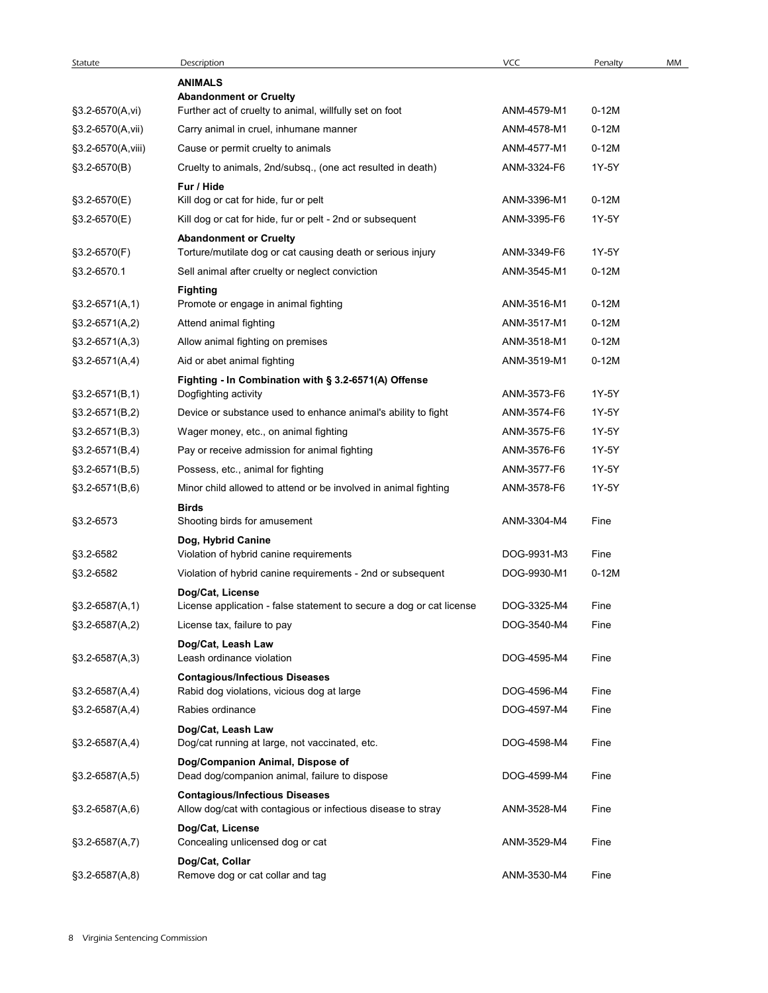| Statute           | Description                                                                                           | VCC         | Penalty | MM |
|-------------------|-------------------------------------------------------------------------------------------------------|-------------|---------|----|
|                   | <b>ANIMALS</b>                                                                                        |             |         |    |
|                   | <b>Abandonment or Cruelty</b>                                                                         |             |         |    |
| $§3.2-6570(A,vi)$ | Further act of cruelty to animal, willfully set on foot                                               | ANM-4579-M1 | $0-12M$ |    |
| §3.2-6570(A,vii)  | Carry animal in cruel, inhumane manner                                                                | ANM-4578-M1 | $0-12M$ |    |
| §3.2-6570(A,viii) | Cause or permit cruelty to animals                                                                    | ANM-4577-M1 | $0-12M$ |    |
| §3.2-6570(B)      | Cruelty to animals, 2nd/subsq., (one act resulted in death)                                           | ANM-3324-F6 | 1Y-5Y   |    |
| $$3.2-6570(E)$    | Fur / Hide<br>Kill dog or cat for hide, fur or pelt                                                   | ANM-3396-M1 | $0-12M$ |    |
| §3.2-6570(E)      | Kill dog or cat for hide, fur or pelt - 2nd or subsequent                                             | ANM-3395-F6 | 1Y-5Y   |    |
|                   | <b>Abandonment or Cruelty</b>                                                                         |             |         |    |
| $$3.2-6570(F)$    | Torture/mutilate dog or cat causing death or serious injury                                           | ANM-3349-F6 | 1Y-5Y   |    |
| §3.2-6570.1       | Sell animal after cruelty or neglect conviction                                                       | ANM-3545-M1 | $0-12M$ |    |
|                   | <b>Fighting</b>                                                                                       |             |         |    |
| $$3.2-6571(A,1)$  | Promote or engage in animal fighting                                                                  | ANM-3516-M1 | $0-12M$ |    |
| $$3.2-6571(A,2)$  | Attend animal fighting                                                                                | ANM-3517-M1 | $0-12M$ |    |
| $§3.2-6571(A,3)$  | Allow animal fighting on premises                                                                     | ANM-3518-M1 | $0-12M$ |    |
| $§3.2-6571(A,4)$  | Aid or abet animal fighting                                                                           | ANM-3519-M1 | $0-12M$ |    |
|                   | Fighting - In Combination with § 3.2-6571(A) Offense                                                  |             |         |    |
| $§3.2-6571(B,1)$  | Dogfighting activity                                                                                  | ANM-3573-F6 | 1Y-5Y   |    |
| $§3.2-6571(B,2)$  | Device or substance used to enhance animal's ability to fight                                         | ANM-3574-F6 | 1Y-5Y   |    |
| $§3.2-6571(B,3)$  | Wager money, etc., on animal fighting                                                                 | ANM-3575-F6 | 1Y-5Y   |    |
| $§3.2-6571(B,4)$  | Pay or receive admission for animal fighting                                                          | ANM-3576-F6 | 1Y-5Y   |    |
| $§3.2-6571(B,5)$  | Possess, etc., animal for fighting                                                                    | ANM-3577-F6 | 1Y-5Y   |    |
| $§3.2-6571(B,6)$  | Minor child allowed to attend or be involved in animal fighting                                       | ANM-3578-F6 | 1Y-5Y   |    |
|                   | <b>Birds</b>                                                                                          |             |         |    |
| §3.2-6573         | Shooting birds for amusement                                                                          | ANM-3304-M4 | Fine    |    |
|                   | Dog, Hybrid Canine                                                                                    |             |         |    |
| §3.2-6582         | Violation of hybrid canine requirements                                                               | DOG-9931-M3 | Fine    |    |
| §3.2-6582         | Violation of hybrid canine requirements - 2nd or subsequent                                           | DOG-9930-M1 | $0-12M$ |    |
|                   | Dog/Cat, License                                                                                      | DOG-3325-M4 |         |    |
| $§3.2-6587(A,1)$  | License application - false statement to secure a dog or cat license                                  |             | Fine    |    |
| $$3.2-6587(A,2)$  | License tax, failure to pay                                                                           | DOG-3540-M4 | Fine    |    |
| $$3.2-6587(A,3)$  | Dog/Cat, Leash Law<br>Leash ordinance violation                                                       | DOG-4595-M4 | Fine    |    |
|                   | <b>Contagious/Infectious Diseases</b>                                                                 |             |         |    |
| $§3.2-6587(A,4)$  | Rabid dog violations, vicious dog at large                                                            | DOG-4596-M4 | Fine    |    |
| $$3.2-6587(A,4)$  | Rabies ordinance                                                                                      | DOG-4597-M4 | Fine    |    |
|                   | Dog/Cat, Leash Law                                                                                    |             |         |    |
| $§3.2-6587(A,4)$  | Dog/cat running at large, not vaccinated, etc.                                                        | DOG-4598-M4 | Fine    |    |
|                   | Dog/Companion Animal, Dispose of                                                                      |             |         |    |
| $§3.2-6587(A,5)$  | Dead dog/companion animal, failure to dispose                                                         | DOG-4599-M4 | Fine    |    |
| §3.2-6587(A,6)    | <b>Contagious/Infectious Diseases</b><br>Allow dog/cat with contagious or infectious disease to stray | ANM-3528-M4 | Fine    |    |
|                   | Dog/Cat, License                                                                                      |             |         |    |
| $§3.2-6587(A,7)$  | Concealing unlicensed dog or cat                                                                      | ANM-3529-M4 | Fine    |    |
|                   | Dog/Cat, Collar                                                                                       |             |         |    |
| $§3.2-6587(A,8)$  | Remove dog or cat collar and tag                                                                      | ANM-3530-M4 | Fine    |    |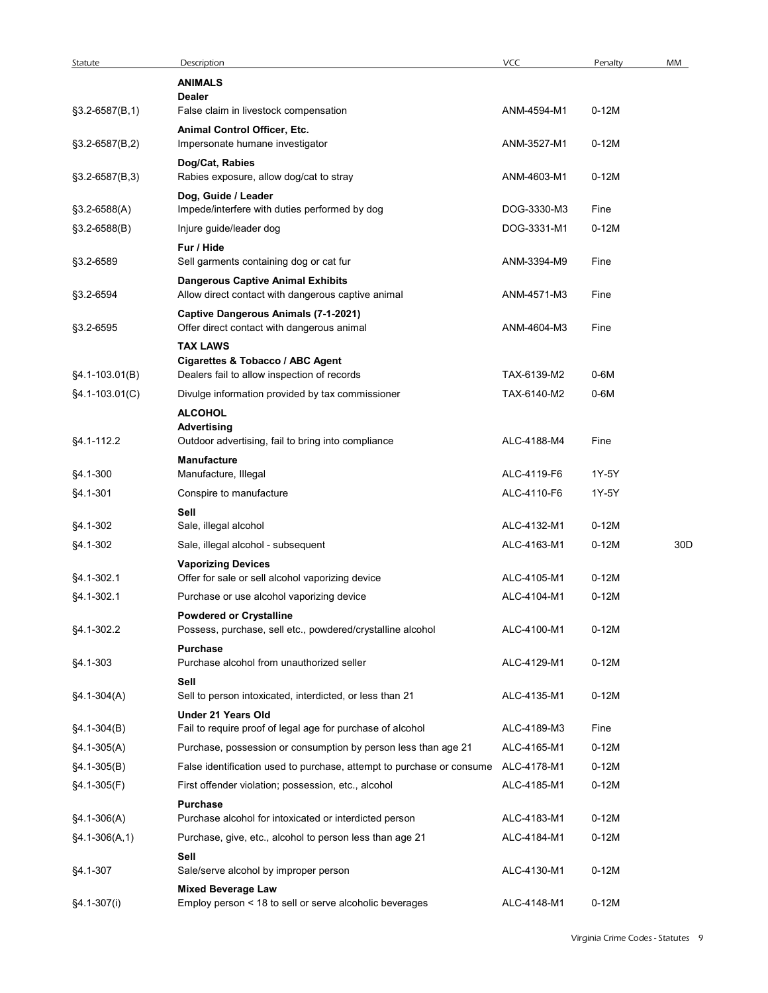| Description                                                | VCC                                                                                                                                                                                                                                                                                                                                                                                                                                                                                                                                                                                                                                                                                                                                                                                                    | Penalty                                                                                                                                                                                         | MM                                                                                                          |
|------------------------------------------------------------|--------------------------------------------------------------------------------------------------------------------------------------------------------------------------------------------------------------------------------------------------------------------------------------------------------------------------------------------------------------------------------------------------------------------------------------------------------------------------------------------------------------------------------------------------------------------------------------------------------------------------------------------------------------------------------------------------------------------------------------------------------------------------------------------------------|-------------------------------------------------------------------------------------------------------------------------------------------------------------------------------------------------|-------------------------------------------------------------------------------------------------------------|
| <b>ANIMALS</b>                                             |                                                                                                                                                                                                                                                                                                                                                                                                                                                                                                                                                                                                                                                                                                                                                                                                        |                                                                                                                                                                                                 |                                                                                                             |
| <b>Dealer</b>                                              |                                                                                                                                                                                                                                                                                                                                                                                                                                                                                                                                                                                                                                                                                                                                                                                                        |                                                                                                                                                                                                 |                                                                                                             |
|                                                            |                                                                                                                                                                                                                                                                                                                                                                                                                                                                                                                                                                                                                                                                                                                                                                                                        |                                                                                                                                                                                                 |                                                                                                             |
| Impersonate humane investigator                            | ANM-3527-M1                                                                                                                                                                                                                                                                                                                                                                                                                                                                                                                                                                                                                                                                                                                                                                                            | $0-12M$                                                                                                                                                                                         |                                                                                                             |
| Dog/Cat, Rabies                                            |                                                                                                                                                                                                                                                                                                                                                                                                                                                                                                                                                                                                                                                                                                                                                                                                        |                                                                                                                                                                                                 |                                                                                                             |
|                                                            |                                                                                                                                                                                                                                                                                                                                                                                                                                                                                                                                                                                                                                                                                                                                                                                                        |                                                                                                                                                                                                 |                                                                                                             |
| Impede/interfere with duties performed by dog              | DOG-3330-M3                                                                                                                                                                                                                                                                                                                                                                                                                                                                                                                                                                                                                                                                                                                                                                                            | Fine                                                                                                                                                                                            |                                                                                                             |
| Injure guide/leader dog                                    | DOG-3331-M1                                                                                                                                                                                                                                                                                                                                                                                                                                                                                                                                                                                                                                                                                                                                                                                            | $0-12M$                                                                                                                                                                                         |                                                                                                             |
| Fur / Hide                                                 |                                                                                                                                                                                                                                                                                                                                                                                                                                                                                                                                                                                                                                                                                                                                                                                                        |                                                                                                                                                                                                 |                                                                                                             |
|                                                            |                                                                                                                                                                                                                                                                                                                                                                                                                                                                                                                                                                                                                                                                                                                                                                                                        |                                                                                                                                                                                                 |                                                                                                             |
| Allow direct contact with dangerous captive animal         | ANM-4571-M3                                                                                                                                                                                                                                                                                                                                                                                                                                                                                                                                                                                                                                                                                                                                                                                            | Fine                                                                                                                                                                                            |                                                                                                             |
| Captive Dangerous Animals (7-1-2021)                       |                                                                                                                                                                                                                                                                                                                                                                                                                                                                                                                                                                                                                                                                                                                                                                                                        |                                                                                                                                                                                                 |                                                                                                             |
|                                                            |                                                                                                                                                                                                                                                                                                                                                                                                                                                                                                                                                                                                                                                                                                                                                                                                        | Fine                                                                                                                                                                                            |                                                                                                             |
| Cigarettes & Tobacco / ABC Agent                           |                                                                                                                                                                                                                                                                                                                                                                                                                                                                                                                                                                                                                                                                                                                                                                                                        |                                                                                                                                                                                                 |                                                                                                             |
| Dealers fail to allow inspection of records                | TAX-6139-M2                                                                                                                                                                                                                                                                                                                                                                                                                                                                                                                                                                                                                                                                                                                                                                                            | $0-6M$                                                                                                                                                                                          |                                                                                                             |
| Divulge information provided by tax commissioner           | TAX-6140-M2                                                                                                                                                                                                                                                                                                                                                                                                                                                                                                                                                                                                                                                                                                                                                                                            | $0-6M$                                                                                                                                                                                          |                                                                                                             |
| <b>ALCOHOL</b>                                             |                                                                                                                                                                                                                                                                                                                                                                                                                                                                                                                                                                                                                                                                                                                                                                                                        |                                                                                                                                                                                                 |                                                                                                             |
| Outdoor advertising, fail to bring into compliance         | ALC-4188-M4                                                                                                                                                                                                                                                                                                                                                                                                                                                                                                                                                                                                                                                                                                                                                                                            | Fine                                                                                                                                                                                            |                                                                                                             |
| Manufacture                                                |                                                                                                                                                                                                                                                                                                                                                                                                                                                                                                                                                                                                                                                                                                                                                                                                        |                                                                                                                                                                                                 |                                                                                                             |
|                                                            |                                                                                                                                                                                                                                                                                                                                                                                                                                                                                                                                                                                                                                                                                                                                                                                                        |                                                                                                                                                                                                 |                                                                                                             |
|                                                            |                                                                                                                                                                                                                                                                                                                                                                                                                                                                                                                                                                                                                                                                                                                                                                                                        |                                                                                                                                                                                                 |                                                                                                             |
| Sale, illegal alcohol                                      | ALC-4132-M1                                                                                                                                                                                                                                                                                                                                                                                                                                                                                                                                                                                                                                                                                                                                                                                            | $0-12M$                                                                                                                                                                                         |                                                                                                             |
| Sale, illegal alcohol - subsequent                         | ALC-4163-M1                                                                                                                                                                                                                                                                                                                                                                                                                                                                                                                                                                                                                                                                                                                                                                                            | $0-12M$                                                                                                                                                                                         | 30D                                                                                                         |
| <b>Vaporizing Devices</b>                                  |                                                                                                                                                                                                                                                                                                                                                                                                                                                                                                                                                                                                                                                                                                                                                                                                        |                                                                                                                                                                                                 |                                                                                                             |
|                                                            |                                                                                                                                                                                                                                                                                                                                                                                                                                                                                                                                                                                                                                                                                                                                                                                                        |                                                                                                                                                                                                 |                                                                                                             |
| <b>Powdered or Crystalline</b>                             |                                                                                                                                                                                                                                                                                                                                                                                                                                                                                                                                                                                                                                                                                                                                                                                                        |                                                                                                                                                                                                 |                                                                                                             |
| Possess, purchase, sell etc., powdered/crystalline alcohol | ALC-4100-M1                                                                                                                                                                                                                                                                                                                                                                                                                                                                                                                                                                                                                                                                                                                                                                                            | $0-12M$                                                                                                                                                                                         |                                                                                                             |
| <b>Purchase</b>                                            |                                                                                                                                                                                                                                                                                                                                                                                                                                                                                                                                                                                                                                                                                                                                                                                                        |                                                                                                                                                                                                 |                                                                                                             |
|                                                            |                                                                                                                                                                                                                                                                                                                                                                                                                                                                                                                                                                                                                                                                                                                                                                                                        |                                                                                                                                                                                                 |                                                                                                             |
| Sell to person intoxicated, interdicted, or less than 21   | ALC-4135-M1                                                                                                                                                                                                                                                                                                                                                                                                                                                                                                                                                                                                                                                                                                                                                                                            | $0-12M$                                                                                                                                                                                         |                                                                                                             |
| <b>Under 21 Years Old</b>                                  |                                                                                                                                                                                                                                                                                                                                                                                                                                                                                                                                                                                                                                                                                                                                                                                                        |                                                                                                                                                                                                 |                                                                                                             |
|                                                            |                                                                                                                                                                                                                                                                                                                                                                                                                                                                                                                                                                                                                                                                                                                                                                                                        |                                                                                                                                                                                                 |                                                                                                             |
|                                                            |                                                                                                                                                                                                                                                                                                                                                                                                                                                                                                                                                                                                                                                                                                                                                                                                        |                                                                                                                                                                                                 |                                                                                                             |
|                                                            |                                                                                                                                                                                                                                                                                                                                                                                                                                                                                                                                                                                                                                                                                                                                                                                                        | $0-12M$                                                                                                                                                                                         |                                                                                                             |
| <b>Purchase</b>                                            |                                                                                                                                                                                                                                                                                                                                                                                                                                                                                                                                                                                                                                                                                                                                                                                                        |                                                                                                                                                                                                 |                                                                                                             |
| Purchase alcohol for intoxicated or interdicted person     | ALC-4183-M1                                                                                                                                                                                                                                                                                                                                                                                                                                                                                                                                                                                                                                                                                                                                                                                            | $0-12M$                                                                                                                                                                                         |                                                                                                             |
| Purchase, give, etc., alcohol to person less than age 21   | ALC-4184-M1                                                                                                                                                                                                                                                                                                                                                                                                                                                                                                                                                                                                                                                                                                                                                                                            | $0-12M$                                                                                                                                                                                         |                                                                                                             |
| Sell<br>Sale/serve alcohol by improper person              | ALC-4130-M1                                                                                                                                                                                                                                                                                                                                                                                                                                                                                                                                                                                                                                                                                                                                                                                            | $0-12M$                                                                                                                                                                                         |                                                                                                             |
|                                                            |                                                                                                                                                                                                                                                                                                                                                                                                                                                                                                                                                                                                                                                                                                                                                                                                        |                                                                                                                                                                                                 |                                                                                                             |
| <b>Mixed Beverage Law</b>                                  |                                                                                                                                                                                                                                                                                                                                                                                                                                                                                                                                                                                                                                                                                                                                                                                                        |                                                                                                                                                                                                 |                                                                                                             |
|                                                            | False claim in livestock compensation<br>Animal Control Officer, Etc.<br>Rabies exposure, allow dog/cat to stray<br>Dog, Guide / Leader<br>Sell garments containing dog or cat fur<br><b>Dangerous Captive Animal Exhibits</b><br>Offer direct contact with dangerous animal<br><b>TAX LAWS</b><br><b>Advertising</b><br>Manufacture, Illegal<br>Conspire to manufacture<br>Sell<br>Offer for sale or sell alcohol vaporizing device<br>Purchase or use alcohol vaporizing device<br>Purchase alcohol from unauthorized seller<br>Sell<br>Fail to require proof of legal age for purchase of alcohol<br>Purchase, possession or consumption by person less than age 21<br>False identification used to purchase, attempt to purchase or consume<br>First offender violation; possession, etc., alcohol | ANM-4594-M1<br>ANM-4603-M1<br>ANM-3394-M9<br>ANM-4604-M3<br>ALC-4119-F6<br>ALC-4110-F6<br>ALC-4105-M1<br>ALC-4104-M1<br>ALC-4129-M1<br>ALC-4189-M3<br>ALC-4165-M1<br>ALC-4178-M1<br>ALC-4185-M1 | $0-12M$<br>$0-12M$<br>Fine<br>1Y-5Y<br>1Y-5Y<br>$0-12M$<br>$0-12M$<br>$0-12M$<br>Fine<br>$0-12M$<br>$0-12M$ |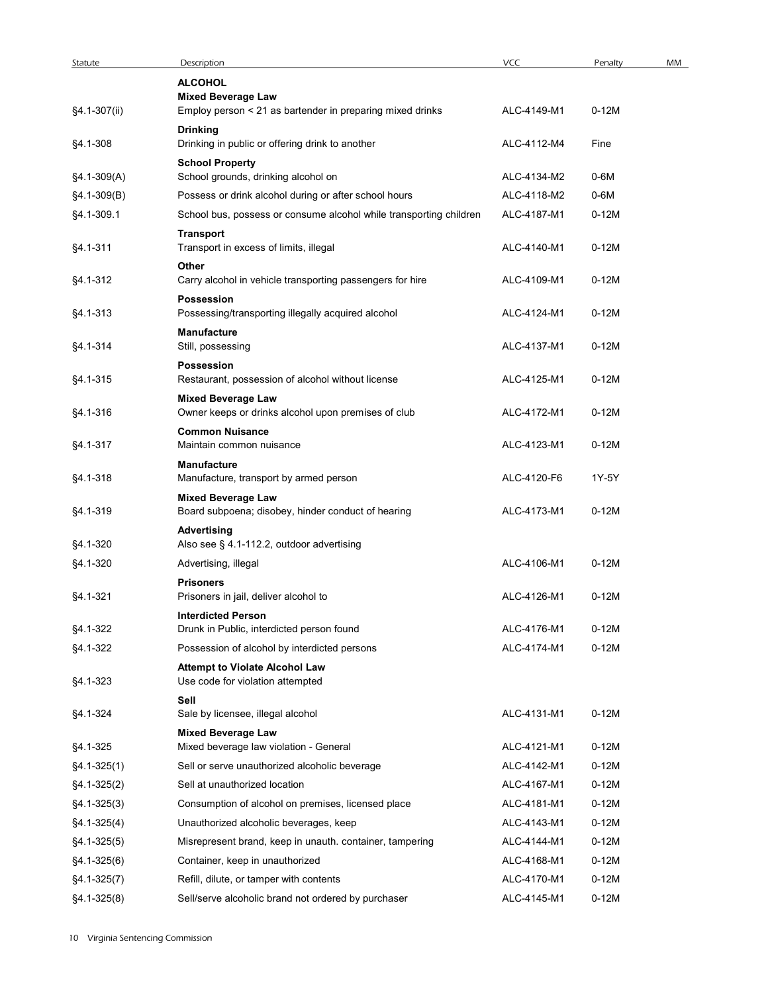|                 |                                                                           | <b>VCC</b>  |         |    |
|-----------------|---------------------------------------------------------------------------|-------------|---------|----|
| Statute         | Description<br><b>ALCOHOL</b>                                             |             | Penalty | MM |
|                 | <b>Mixed Beverage Law</b>                                                 |             |         |    |
| §4.1-307(ii)    | Employ person < 21 as bartender in preparing mixed drinks                 | ALC-4149-M1 | $0-12M$ |    |
| §4.1-308        | <b>Drinking</b><br>Drinking in public or offering drink to another        | ALC-4112-M4 | Fine    |    |
|                 | <b>School Property</b>                                                    |             |         |    |
| $§4.1-309(A)$   | School grounds, drinking alcohol on                                       | ALC-4134-M2 | 0-6M    |    |
| $§4.1-309(B)$   | Possess or drink alcohol during or after school hours                     | ALC-4118-M2 | 0-6M    |    |
| §4.1-309.1      | School bus, possess or consume alcohol while transporting children        | ALC-4187-M1 | $0-12M$ |    |
| §4.1-311        | <b>Transport</b><br>Transport in excess of limits, illegal                | ALC-4140-M1 | $0-12M$ |    |
| §4.1-312        | Other<br>Carry alcohol in vehicle transporting passengers for hire        | ALC-4109-M1 | $0-12M$ |    |
|                 | Possession                                                                |             |         |    |
| §4.1-313        | Possessing/transporting illegally acquired alcohol                        | ALC-4124-M1 | $0-12M$ |    |
| §4.1-314        | Manufacture<br>Still, possessing                                          | ALC-4137-M1 | $0-12M$ |    |
| §4.1-315        | Possession<br>Restaurant, possession of alcohol without license           | ALC-4125-M1 | $0-12M$ |    |
|                 | <b>Mixed Beverage Law</b>                                                 |             |         |    |
| §4.1-316        | Owner keeps or drinks alcohol upon premises of club                       | ALC-4172-M1 | $0-12M$ |    |
|                 | <b>Common Nuisance</b>                                                    |             |         |    |
| §4.1-317        | Maintain common nuisance                                                  | ALC-4123-M1 | $0-12M$ |    |
| §4.1-318        | Manufacture<br>Manufacture, transport by armed person                     | ALC-4120-F6 | 1Y-5Y   |    |
|                 | <b>Mixed Beverage Law</b>                                                 |             |         |    |
| §4.1-319        | Board subpoena; disobey, hinder conduct of hearing                        | ALC-4173-M1 | $0-12M$ |    |
|                 | Advertising                                                               |             |         |    |
| §4.1-320        | Also see § 4.1-112.2, outdoor advertising                                 |             |         |    |
| §4.1-320        | Advertising, illegal                                                      | ALC-4106-M1 | $0-12M$ |    |
| §4.1-321        | <b>Prisoners</b><br>Prisoners in jail, deliver alcohol to                 | ALC-4126-M1 | $0-12M$ |    |
|                 | <b>Interdicted Person</b>                                                 |             |         |    |
| §4.1-322        | Drunk in Public, interdicted person found                                 | ALC-4176-M1 | $0-12M$ |    |
| §4.1-322        | Possession of alcohol by interdicted persons                              | ALC-4174-M1 | $0-12M$ |    |
| §4.1-323        | <b>Attempt to Violate Alcohol Law</b><br>Use code for violation attempted |             |         |    |
| §4.1-324        | Sell<br>Sale by licensee, illegal alcohol                                 | ALC-4131-M1 | $0-12M$ |    |
|                 | <b>Mixed Beverage Law</b>                                                 |             |         |    |
| §4.1-325        | Mixed beverage law violation - General                                    | ALC-4121-M1 | $0-12M$ |    |
| $§4.1 - 325(1)$ | Sell or serve unauthorized alcoholic beverage                             | ALC-4142-M1 | $0-12M$ |    |
| $§4.1-325(2)$   | Sell at unauthorized location                                             | ALC-4167-M1 | $0-12M$ |    |
| $§4.1 - 325(3)$ | Consumption of alcohol on premises, licensed place                        | ALC-4181-M1 | $0-12M$ |    |
| $§4.1 - 325(4)$ | Unauthorized alcoholic beverages, keep                                    | ALC-4143-M1 | $0-12M$ |    |
| $§4.1 - 325(5)$ | Misrepresent brand, keep in unauth. container, tampering                  | ALC-4144-M1 | $0-12M$ |    |
| $§4.1 - 325(6)$ | Container, keep in unauthorized                                           | ALC-4168-M1 | $0-12M$ |    |
| $§4.1 - 325(7)$ | Refill, dilute, or tamper with contents                                   | ALC-4170-M1 | $0-12M$ |    |
| $§4.1 - 325(8)$ | Sell/serve alcoholic brand not ordered by purchaser                       | ALC-4145-M1 | $0-12M$ |    |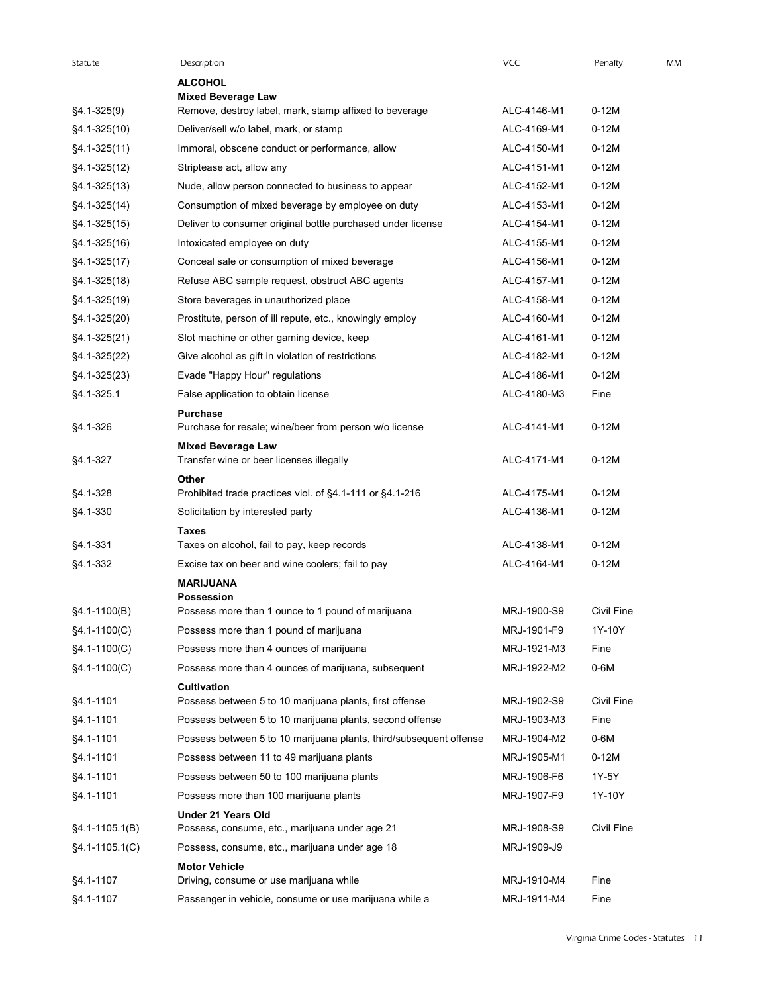| Statute            | Description<br><b>ALCOHOL</b>                                             | VCC         | Penalty<br>MM     |
|--------------------|---------------------------------------------------------------------------|-------------|-------------------|
|                    | <b>Mixed Beverage Law</b>                                                 |             |                   |
| $§4.1 - 325(9)$    | Remove, destroy label, mark, stamp affixed to beverage                    | ALC-4146-M1 | $0-12M$           |
| §4.1-325(10)       | Deliver/sell w/o label, mark, or stamp                                    | ALC-4169-M1 | $0-12M$           |
| $§4.1 - 325(11)$   | Immoral, obscene conduct or performance, allow                            | ALC-4150-M1 | $0-12M$           |
| $§4.1 - 325(12)$   | Striptease act, allow any                                                 | ALC-4151-M1 | $0-12M$           |
| $§4.1 - 325(13)$   | Nude, allow person connected to business to appear                        | ALC-4152-M1 | $0-12M$           |
| $§4.1 - 325(14)$   | Consumption of mixed beverage by employee on duty                         | ALC-4153-M1 | $0-12M$           |
| $§4.1 - 325(15)$   | Deliver to consumer original bottle purchased under license               | ALC-4154-M1 | $0-12M$           |
| $§4.1 - 325(16)$   | Intoxicated employee on duty                                              | ALC-4155-M1 | $0-12M$           |
| $§4.1 - 325(17)$   | Conceal sale or consumption of mixed beverage                             | ALC-4156-M1 | $0-12M$           |
| $§4.1 - 325(18)$   | Refuse ABC sample request, obstruct ABC agents                            | ALC-4157-M1 | $0-12M$           |
| §4.1-325(19)       | Store beverages in unauthorized place                                     | ALC-4158-M1 | $0-12M$           |
| §4.1-325(20)       | Prostitute, person of ill repute, etc., knowingly employ                  | ALC-4160-M1 | $0-12M$           |
| §4.1-325(21)       | Slot machine or other gaming device, keep                                 | ALC-4161-M1 | $0-12M$           |
| $§4.1-325(22)$     | Give alcohol as gift in violation of restrictions                         | ALC-4182-M1 | $0-12M$           |
| $§4.1 - 325(23)$   | Evade "Happy Hour" regulations                                            | ALC-4186-M1 | $0-12M$           |
| §4.1-325.1         | False application to obtain license                                       | ALC-4180-M3 | Fine              |
| §4.1-326           | <b>Purchase</b><br>Purchase for resale; wine/beer from person w/o license | ALC-4141-M1 | $0-12M$           |
| §4.1-327           | <b>Mixed Beverage Law</b><br>Transfer wine or beer licenses illegally     | ALC-4171-M1 | $0-12M$           |
|                    | Other                                                                     |             |                   |
| §4.1-328           | Prohibited trade practices viol. of §4.1-111 or §4.1-216                  | ALC-4175-M1 | $0-12M$           |
| §4.1-330           | Solicitation by interested party                                          | ALC-4136-M1 | $0-12M$           |
| §4.1-331           | <b>Taxes</b><br>Taxes on alcohol, fail to pay, keep records               | ALC-4138-M1 | $0-12M$           |
| §4.1-332           | Excise tax on beer and wine coolers; fail to pay                          | ALC-4164-M1 | $0-12M$           |
|                    | <b>MARIJUANA</b><br><b>Possession</b>                                     |             |                   |
| $§4.1 - 1100(B)$   | Possess more than 1 ounce to 1 pound of marijuana                         | MRJ-1900-S9 | <b>Civil Fine</b> |
| §4.1-1100(C)       | Possess more than 1 pound of marijuana                                    | MRJ-1901-F9 | 1Y-10Y            |
| §4.1-1100(C)       | Possess more than 4 ounces of marijuana                                   | MRJ-1921-M3 | Fine              |
| $§4.1 - 1100(C)$   | Possess more than 4 ounces of marijuana, subsequent                       | MRJ-1922-M2 | 0-6M              |
| §4.1-1101          | Cultivation<br>Possess between 5 to 10 marijuana plants, first offense    | MRJ-1902-S9 | Civil Fine        |
|                    |                                                                           |             |                   |
| §4.1-1101          | Possess between 5 to 10 marijuana plants, second offense                  | MRJ-1903-M3 | Fine              |
| §4.1-1101          | Possess between 5 to 10 marijuana plants, third/subsequent offense        | MRJ-1904-M2 | 0-6M              |
| §4.1-1101          | Possess between 11 to 49 marijuana plants                                 | MRJ-1905-M1 | $0-12M$           |
| §4.1-1101          | Possess between 50 to 100 marijuana plants                                | MRJ-1906-F6 | 1Y-5Y             |
| §4.1-1101          | Possess more than 100 marijuana plants<br>Under 21 Years Old              | MRJ-1907-F9 | 1Y-10Y            |
| $§4.1 - 1105.1(B)$ | Possess, consume, etc., marijuana under age 21                            | MRJ-1908-S9 | Civil Fine        |
| $§4.1 - 1105.1(C)$ | Possess, consume, etc., marijuana under age 18                            | MRJ-1909-J9 |                   |
|                    | <b>Motor Vehicle</b>                                                      |             |                   |
| §4.1-1107          | Driving, consume or use marijuana while                                   | MRJ-1910-M4 | Fine              |
| §4.1-1107          | Passenger in vehicle, consume or use marijuana while a                    | MRJ-1911-M4 | Fine              |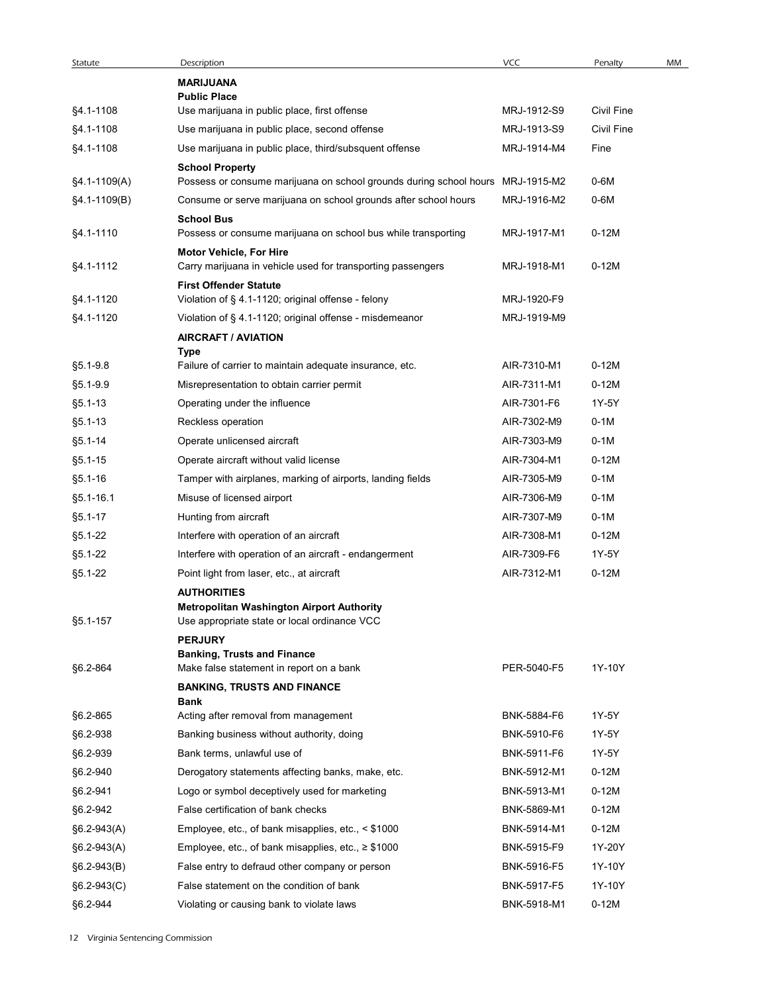| Statute          | Description                                                                                                            | VCC         | Penalty           | MM |
|------------------|------------------------------------------------------------------------------------------------------------------------|-------------|-------------------|----|
|                  | <b>MARIJUANA</b>                                                                                                       |             |                   |    |
| §4.1-1108        | <b>Public Place</b><br>Use marijuana in public place, first offense                                                    | MRJ-1912-S9 | <b>Civil Fine</b> |    |
| §4.1-1108        | Use marijuana in public place, second offense                                                                          | MRJ-1913-S9 | <b>Civil Fine</b> |    |
| §4.1-1108        | Use marijuana in public place, third/subsquent offense                                                                 | MRJ-1914-M4 | Fine              |    |
|                  | <b>School Property</b>                                                                                                 |             |                   |    |
| §4.1-1109(A)     | Possess or consume marijuana on school grounds during school hours MRJ-1915-M2                                         |             | 0-6M              |    |
| $§4.1 - 1109(B)$ | Consume or serve marijuana on school grounds after school hours                                                        | MRJ-1916-M2 | 0-6M              |    |
| §4.1-1110        | <b>School Bus</b><br>Possess or consume marijuana on school bus while transporting                                     | MRJ-1917-M1 | $0-12M$           |    |
| §4.1-1112        | Motor Vehicle, For Hire                                                                                                | MRJ-1918-M1 | $0-12M$           |    |
|                  | Carry marijuana in vehicle used for transporting passengers<br><b>First Offender Statute</b>                           |             |                   |    |
| §4.1-1120        | Violation of § 4.1-1120; original offense - felony                                                                     | MRJ-1920-F9 |                   |    |
| §4.1-1120        | Violation of § 4.1-1120; original offense - misdemeanor                                                                | MRJ-1919-M9 |                   |    |
|                  | <b>AIRCRAFT / AVIATION</b>                                                                                             |             |                   |    |
|                  | <b>Type</b>                                                                                                            |             |                   |    |
| $§5.1 - 9.8$     | Failure of carrier to maintain adequate insurance, etc.                                                                | AIR-7310-M1 | $0-12M$           |    |
| §5.1-9.9         | Misrepresentation to obtain carrier permit                                                                             | AIR-7311-M1 | $0-12M$           |    |
| $§5.1 - 13$      | Operating under the influence                                                                                          | AIR-7301-F6 | 1Y-5Y             |    |
| $§5.1 - 13$      | Reckless operation                                                                                                     | AIR-7302-M9 | $0-1M$            |    |
| $§5.1 - 14$      | Operate unlicensed aircraft                                                                                            | AIR-7303-M9 | $0-1M$            |    |
| $§5.1 - 15$      | Operate aircraft without valid license                                                                                 | AIR-7304-M1 | $0-12M$           |    |
| $§5.1 - 16$      | Tamper with airplanes, marking of airports, landing fields                                                             | AIR-7305-M9 | $0-1M$            |    |
| $§5.1 - 16.1$    | Misuse of licensed airport                                                                                             | AIR-7306-M9 | $0-1M$            |    |
| $§5.1 - 17$      | Hunting from aircraft                                                                                                  | AIR-7307-M9 | $0-1M$            |    |
| $§5.1 - 22$      | Interfere with operation of an aircraft                                                                                | AIR-7308-M1 | $0-12M$           |    |
| $§5.1 - 22$      | Interfere with operation of an aircraft - endangerment                                                                 | AIR-7309-F6 | 1Y-5Y             |    |
| $§5.1 - 22$      | Point light from laser, etc., at aircraft                                                                              | AIR-7312-M1 | $0-12M$           |    |
| §5.1-157         | <b>AUTHORITIES</b><br><b>Metropolitan Washington Airport Authority</b><br>Use appropriate state or local ordinance VCC |             |                   |    |
|                  | <b>PERJURY</b>                                                                                                         |             |                   |    |
|                  | <b>Banking, Trusts and Finance</b>                                                                                     |             |                   |    |
| §6.2-864         | Make false statement in report on a bank                                                                               | PER-5040-F5 | 1Y-10Y            |    |
|                  | <b>BANKING, TRUSTS AND FINANCE</b><br><b>Bank</b>                                                                      |             |                   |    |
| §6.2-865         | Acting after removal from management                                                                                   | BNK-5884-F6 | 1Y-5Y             |    |
| §6.2-938         | Banking business without authority, doing                                                                              | BNK-5910-F6 | 1Y-5Y             |    |
| §6.2-939         | Bank terms, unlawful use of                                                                                            | BNK-5911-F6 | 1Y-5Y             |    |
| §6.2-940         | Derogatory statements affecting banks, make, etc.                                                                      | BNK-5912-M1 | $0-12M$           |    |
| §6.2-941         | Logo or symbol deceptively used for marketing                                                                          | BNK-5913-M1 | $0-12M$           |    |
| §6.2-942         | False certification of bank checks                                                                                     | BNK-5869-M1 | $0-12M$           |    |
| $$6.2-943(A)$    | Employee, etc., of bank misapplies, etc., < \$1000                                                                     | BNK-5914-M1 | $0-12M$           |    |
| $§6.2-943(A)$    | Employee, etc., of bank misapplies, etc., $\geq$ \$1000                                                                | BNK-5915-F9 | 1Y-20Y            |    |
| $§6.2-943(B)$    | False entry to defraud other company or person                                                                         | BNK-5916-F5 | 1Y-10Y            |    |
| §6.2-943(C)      | False statement on the condition of bank                                                                               | BNK-5917-F5 | 1Y-10Y            |    |
|                  | Violating or causing bank to violate laws                                                                              | BNK-5918-M1 | $0-12M$           |    |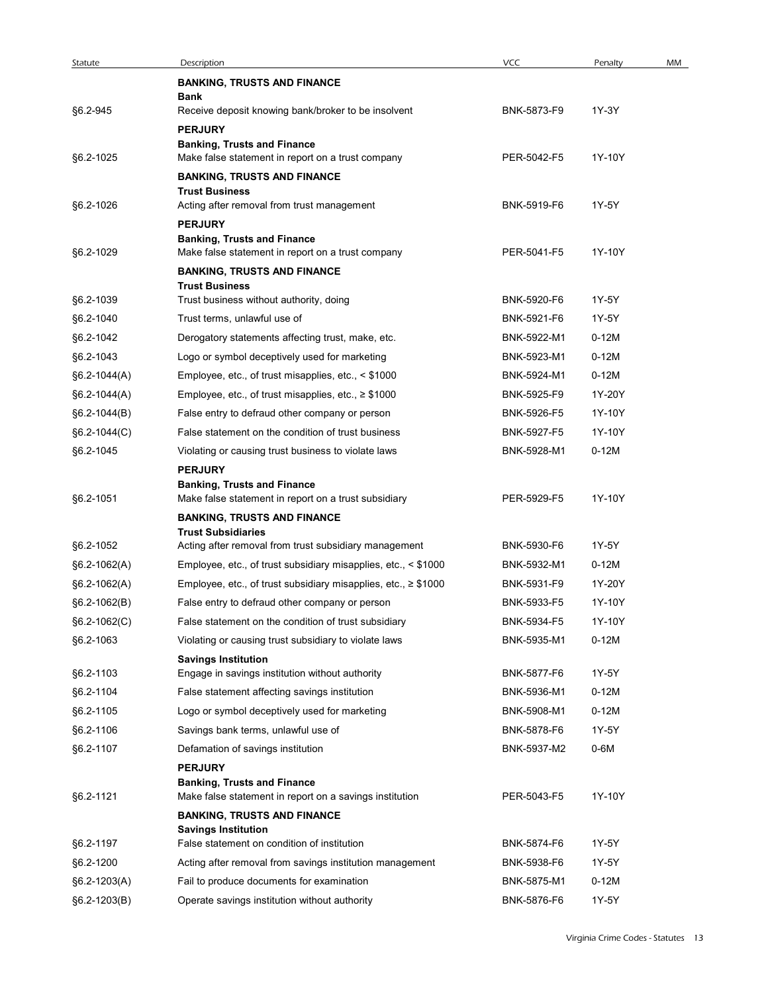| Statute        |                                                                                               |             |         |    |
|----------------|-----------------------------------------------------------------------------------------------|-------------|---------|----|
|                | Description                                                                                   | <b>VCC</b>  | Penalty | MM |
|                | <b>BANKING, TRUSTS AND FINANCE</b>                                                            |             |         |    |
| §6.2-945       | Bank<br>Receive deposit knowing bank/broker to be insolvent                                   | BNK-5873-F9 | 1Y-3Y   |    |
|                | <b>PERJURY</b>                                                                                |             |         |    |
|                | <b>Banking, Trusts and Finance</b>                                                            |             |         |    |
| §6.2-1025      | Make false statement in report on a trust company                                             | PER-5042-F5 | 1Y-10Y  |    |
|                | <b>BANKING, TRUSTS AND FINANCE</b>                                                            |             |         |    |
| §6.2-1026      | <b>Trust Business</b>                                                                         | BNK-5919-F6 | 1Y-5Y   |    |
|                | Acting after removal from trust management<br><b>PERJURY</b>                                  |             |         |    |
|                | <b>Banking, Trusts and Finance</b>                                                            |             |         |    |
| §6.2-1029      | Make false statement in report on a trust company                                             | PER-5041-F5 | 1Y-10Y  |    |
|                | <b>BANKING, TRUSTS AND FINANCE</b>                                                            |             |         |    |
|                | <b>Trust Business</b>                                                                         |             | 1Y-5Y   |    |
| §6.2-1039      | Trust business without authority, doing                                                       | BNK-5920-F6 | 1Y-5Y   |    |
| §6.2-1040      | Trust terms, unlawful use of                                                                  | BNK-5921-F6 |         |    |
| \$6.2-1042     | Derogatory statements affecting trust, make, etc.                                             | BNK-5922-M1 | $0-12M$ |    |
| §6.2-1043      | Logo or symbol deceptively used for marketing                                                 | BNK-5923-M1 | $0-12M$ |    |
| $§6.2-1044(A)$ | Employee, etc., of trust misapplies, etc., < \$1000                                           | BNK-5924-M1 | $0-12M$ |    |
| $$6.2-1044(A)$ | Employee, etc., of trust misapplies, etc., $\geq$ \$1000                                      | BNK-5925-F9 | 1Y-20Y  |    |
| $$6.2-1044(B)$ | False entry to defraud other company or person                                                | BNK-5926-F5 | 1Y-10Y  |    |
| $§6.2-1044(C)$ | False statement on the condition of trust business                                            | BNK-5927-F5 | 1Y-10Y  |    |
| §6.2-1045      | Violating or causing trust business to violate laws                                           | BNK-5928-M1 | $0-12M$ |    |
|                | <b>PERJURY</b>                                                                                |             |         |    |
| §6.2-1051      | <b>Banking, Trusts and Finance</b><br>Make false statement in report on a trust subsidiary    | PER-5929-F5 | 1Y-10Y  |    |
|                | <b>BANKING, TRUSTS AND FINANCE</b>                                                            |             |         |    |
|                | <b>Trust Subsidiaries</b>                                                                     |             |         |    |
| §6.2-1052      | Acting after removal from trust subsidiary management                                         | BNK-5930-F6 | 1Y-5Y   |    |
| §6.2-1062(A)   | Employee, etc., of trust subsidiary misapplies, etc., < \$1000                                | BNK-5932-M1 | $0-12M$ |    |
| $$6.2-1062(A)$ | Employee, etc., of trust subsidiary misapplies, etc., ≥ \$1000                                | BNK-5931-F9 | 1Y-20Y  |    |
| $§6.2-1062(B)$ | False entry to defraud other company or person                                                | BNK-5933-F5 | 1Y-10Y  |    |
| $§6.2-1062(C)$ | False statement on the condition of trust subsidiary                                          | BNK-5934-F5 | 1Y-10Y  |    |
| §6.2-1063      | Violating or causing trust subsidiary to violate laws                                         | BNK-5935-M1 | $0-12M$ |    |
|                | <b>Savings Institution</b>                                                                    |             |         |    |
| §6.2-1103      | Engage in savings institution without authority                                               | BNK-5877-F6 | 1Y-5Y   |    |
| §6.2-1104      | False statement affecting savings institution                                                 | BNK-5936-M1 | $0-12M$ |    |
| §6.2-1105      | Logo or symbol deceptively used for marketing                                                 | BNK-5908-M1 | $0-12M$ |    |
| §6.2-1106      | Savings bank terms, unlawful use of                                                           | BNK-5878-F6 | 1Y-5Y   |    |
| §6.2-1107      | Defamation of savings institution                                                             | BNK-5937-M2 | 0-6M    |    |
|                | <b>PERJURY</b>                                                                                |             |         |    |
| §6.2-1121      | <b>Banking, Trusts and Finance</b><br>Make false statement in report on a savings institution | PER-5043-F5 | 1Y-10Y  |    |
|                |                                                                                               |             |         |    |
|                | <b>BANKING, TRUSTS AND FINANCE</b><br><b>Savings Institution</b>                              |             |         |    |
| §6.2-1197      | False statement on condition of institution                                                   | BNK-5874-F6 | 1Y-5Y   |    |
| §6.2-1200      | Acting after removal from savings institution management                                      | BNK-5938-F6 | 1Y-5Y   |    |
|                | Fail to produce documents for examination                                                     | BNK-5875-M1 | $0-12M$ |    |
| §6.2-1203(A)   |                                                                                               |             |         |    |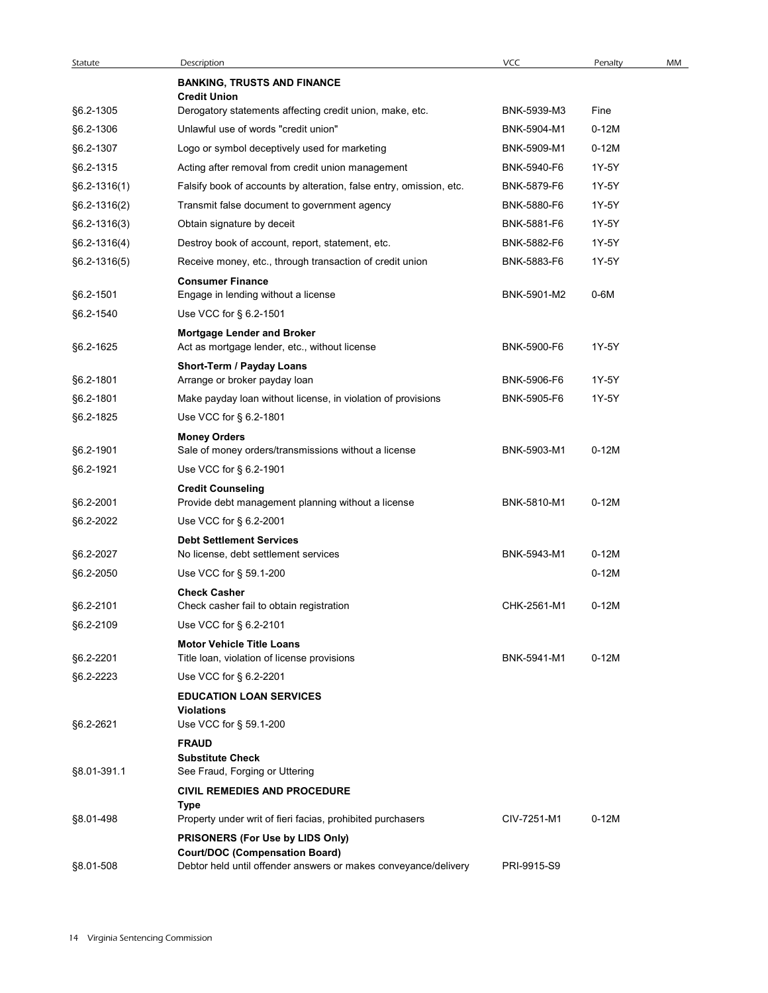| Statute        | Description                                                                        | VCC         | Penalty | MM |
|----------------|------------------------------------------------------------------------------------|-------------|---------|----|
|                | <b>BANKING, TRUSTS AND FINANCE</b><br><b>Credit Union</b>                          |             |         |    |
| §6.2-1305      | Derogatory statements affecting credit union, make, etc.                           | BNK-5939-M3 | Fine    |    |
| §6.2-1306      | Unlawful use of words "credit union"                                               | BNK-5904-M1 | $0-12M$ |    |
| §6.2-1307      | Logo or symbol deceptively used for marketing                                      | BNK-5909-M1 | $0-12M$ |    |
| §6.2-1315      | Acting after removal from credit union management                                  | BNK-5940-F6 | 1Y-5Y   |    |
| $§6.2-1316(1)$ | Falsify book of accounts by alteration, false entry, omission, etc.                | BNK-5879-F6 | 1Y-5Y   |    |
| $§6.2-1316(2)$ | Transmit false document to government agency                                       | BNK-5880-F6 | 1Y-5Y   |    |
| §6.2-1316(3)   | Obtain signature by deceit                                                         | BNK-5881-F6 | 1Y-5Y   |    |
| $§6.2-1316(4)$ | Destroy book of account, report, statement, etc.                                   | BNK-5882-F6 | 1Y-5Y   |    |
| $§6.2-1316(5)$ | Receive money, etc., through transaction of credit union                           | BNK-5883-F6 | 1Y-5Y   |    |
|                | <b>Consumer Finance</b>                                                            |             |         |    |
| §6.2-1501      | Engage in lending without a license                                                | BNK-5901-M2 | 0-6M    |    |
| §6.2-1540      | Use VCC for § 6.2-1501                                                             |             |         |    |
| §6.2-1625      | <b>Mortgage Lender and Broker</b><br>Act as mortgage lender, etc., without license | BNK-5900-F6 | 1Y-5Y   |    |
|                | Short-Term / Payday Loans                                                          |             |         |    |
| §6.2-1801      | Arrange or broker payday loan                                                      | BNK-5906-F6 | 1Y-5Y   |    |
| §6.2-1801      | Make payday loan without license, in violation of provisions                       | BNK-5905-F6 | 1Y-5Y   |    |
| §6.2-1825      | Use VCC for § 6.2-1801                                                             |             |         |    |
|                | <b>Money Orders</b>                                                                |             |         |    |
| §6.2-1901      | Sale of money orders/transmissions without a license                               | BNK-5903-M1 | $0-12M$ |    |
| §6.2-1921      | Use VCC for § 6.2-1901                                                             |             |         |    |
| §6.2-2001      | <b>Credit Counseling</b><br>Provide debt management planning without a license     | BNK-5810-M1 | $0-12M$ |    |
| §6.2-2022      | Use VCC for § 6.2-2001                                                             |             |         |    |
|                | <b>Debt Settlement Services</b>                                                    |             |         |    |
| §6.2-2027      | No license, debt settlement services                                               | BNK-5943-M1 | $0-12M$ |    |
| §6.2-2050      | Use VCC for § 59.1-200                                                             |             | $0-12M$ |    |
|                | <b>Check Casher</b>                                                                |             |         |    |
| §6.2-2101      | Check casher fail to obtain registration                                           | CHK-2561-M1 | $0-12M$ |    |
| §6.2-2109      | Use VCC for § 6.2-2101                                                             |             |         |    |
| §6.2-2201      | <b>Motor Vehicle Title Loans</b><br>Title loan, violation of license provisions    | BNK-5941-M1 | $0-12M$ |    |
| §6.2-2223      | Use VCC for § 6.2-2201                                                             |             |         |    |
|                | <b>EDUCATION LOAN SERVICES</b>                                                     |             |         |    |
|                | <b>Violations</b>                                                                  |             |         |    |
| §6.2-2621      | Use VCC for § 59.1-200                                                             |             |         |    |
|                | <b>FRAUD</b>                                                                       |             |         |    |
| §8.01-391.1    | <b>Substitute Check</b><br>See Fraud, Forging or Uttering                          |             |         |    |
|                | <b>CIVIL REMEDIES AND PROCEDURE</b>                                                |             |         |    |
|                | Type                                                                               |             |         |    |
| §8.01-498      | Property under writ of fieri facias, prohibited purchasers                         | CIV-7251-M1 | $0-12M$ |    |
|                | PRISONERS (For Use by LIDS Only)                                                   |             |         |    |
|                | <b>Court/DOC (Compensation Board)</b>                                              |             |         |    |
| §8.01-508      | Debtor held until offender answers or makes conveyance/delivery                    | PRI-9915-S9 |         |    |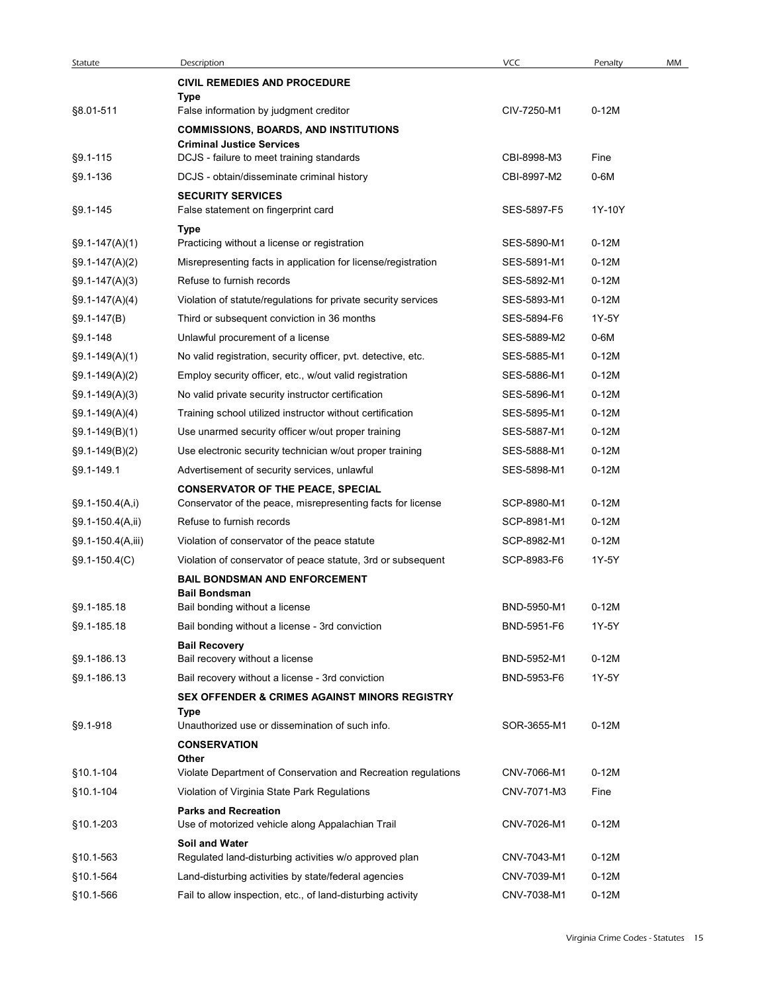| Statute                | Description                                                                                                    | <b>VCC</b>                 | Penalty            | MM |
|------------------------|----------------------------------------------------------------------------------------------------------------|----------------------------|--------------------|----|
|                        | <b>CIVIL REMEDIES AND PROCEDURE</b>                                                                            |                            |                    |    |
| §8.01-511              | Type<br>False information by judgment creditor                                                                 | CIV-7250-M1                | $0-12M$            |    |
|                        | <b>COMMISSIONS, BOARDS, AND INSTITUTIONS</b>                                                                   |                            |                    |    |
|                        | <b>Criminal Justice Services</b>                                                                               |                            |                    |    |
| §9.1-115               | DCJS - failure to meet training standards                                                                      | CBI-8998-M3                | Fine               |    |
| $§9.1 - 136$           | DCJS - obtain/disseminate criminal history                                                                     | CBI-8997-M2                | $0-6M$             |    |
| §9.1-145               | <b>SECURITY SERVICES</b><br>False statement on fingerprint card                                                | SES-5897-F5                | 1Y-10Y             |    |
|                        | Type                                                                                                           |                            |                    |    |
| $\S9.1 - 147(A)(1)$    | Practicing without a license or registration                                                                   | SES-5890-M1                | $0-12M$            |    |
| $\S9.1 - 147(A)(2)$    | Misrepresenting facts in application for license/registration                                                  | SES-5891-M1                | $0-12M$            |    |
| $\S9.1 - 147(A)(3)$    | Refuse to furnish records                                                                                      | SES-5892-M1                | $0-12M$            |    |
| $\S9.1 - 147(A)(4)$    | Violation of statute/regulations for private security services                                                 | SES-5893-M1                | $0-12M$            |    |
| $\S9.1 - 147(B)$       | Third or subsequent conviction in 36 months                                                                    | SES-5894-F6                | 1Y-5Y              |    |
| §9.1-148               | Unlawful procurement of a license                                                                              | SES-5889-M2                | $0-6M$             |    |
| $§9.1-149(A)(1)$       | No valid registration, security officer, pvt. detective, etc.                                                  | SES-5885-M1                | $0-12M$            |    |
| $\S9.1 - 149(A)(2)$    | Employ security officer, etc., w/out valid registration                                                        | SES-5886-M1                | $0-12M$            |    |
| $\S9.1 - 149(A)(3)$    | No valid private security instructor certification                                                             | SES-5896-M1                | $0-12M$            |    |
| $\S9.1 - 149(A)(4)$    | Training school utilized instructor without certification                                                      | SES-5895-M1                | $0-12M$            |    |
| $§9.1-149(B)(1)$       | Use unarmed security officer w/out proper training                                                             | SES-5887-M1                | $0-12M$            |    |
| $\S9.1 - 149(B)(2)$    | Use electronic security technician w/out proper training                                                       | SES-5888-M1                | $0-12M$            |    |
| §9.1-149.1             | Advertisement of security services, unlawful                                                                   | SES-5898-M1                | $0-12M$            |    |
| §9.1-150.4(A,i)        | <b>CONSERVATOR OF THE PEACE, SPECIAL</b><br>Conservator of the peace, misrepresenting facts for license        | SCP-8980-M1                | $0-12M$            |    |
| §9.1-150.4(A,ii)       | Refuse to furnish records                                                                                      | SCP-8981-M1                | $0-12M$            |    |
| §9.1-150.4(A,iii)      | Violation of conservator of the peace statute                                                                  | SCP-8982-M1                | $0-12M$            |    |
| $\S9.1 - 150.4(C)$     | Violation of conservator of peace statute, 3rd or subsequent                                                   | SCP-8983-F6                | 1Y-5Y              |    |
|                        | <b>BAIL BONDSMAN AND ENFORCEMENT</b>                                                                           |                            |                    |    |
|                        | <b>Bail Bondsman</b>                                                                                           |                            |                    |    |
| §9.1-185.18            | Bail bonding without a license                                                                                 | BND-5950-M1                | $0-12M$            |    |
| §9.1-185.18            | Bail bonding without a license - 3rd conviction                                                                | BND-5951-F6                | 1Y-5Y              |    |
| §9.1-186.13            | <b>Bail Recovery</b><br>Bail recovery without a license                                                        | BND-5952-M1                | $0-12M$            |    |
| §9.1-186.13            | Bail recovery without a license - 3rd conviction                                                               | BND-5953-F6                | 1Y-5Y              |    |
|                        | SEX OFFENDER & CRIMES AGAINST MINORS REGISTRY                                                                  |                            |                    |    |
|                        | <b>Type</b>                                                                                                    |                            |                    |    |
| §9.1-918               | Unauthorized use or dissemination of such info.<br><b>CONSERVATION</b>                                         | SOR-3655-M1                | $0-12M$            |    |
|                        | Other                                                                                                          |                            |                    |    |
| §10.1-104              | Violate Department of Conservation and Recreation regulations                                                  | CNV-7066-M1                | $0-12M$            |    |
| §10.1-104              | Violation of Virginia State Park Regulations                                                                   | CNV-7071-M3                | Fine               |    |
| §10.1-203              | <b>Parks and Recreation</b><br>Use of motorized vehicle along Appalachian Trail                                | CNV-7026-M1                | $0-12M$            |    |
|                        | Soil and Water                                                                                                 |                            |                    |    |
| §10.1-563<br>§10.1-564 | Regulated land-disturbing activities w/o approved plan<br>Land-disturbing activities by state/federal agencies | CNV-7043-M1<br>CNV-7039-M1 | $0-12M$<br>$0-12M$ |    |
| §10.1-566              |                                                                                                                | CNV-7038-M1                | $0-12M$            |    |
|                        | Fail to allow inspection, etc., of land-disturbing activity                                                    |                            |                    |    |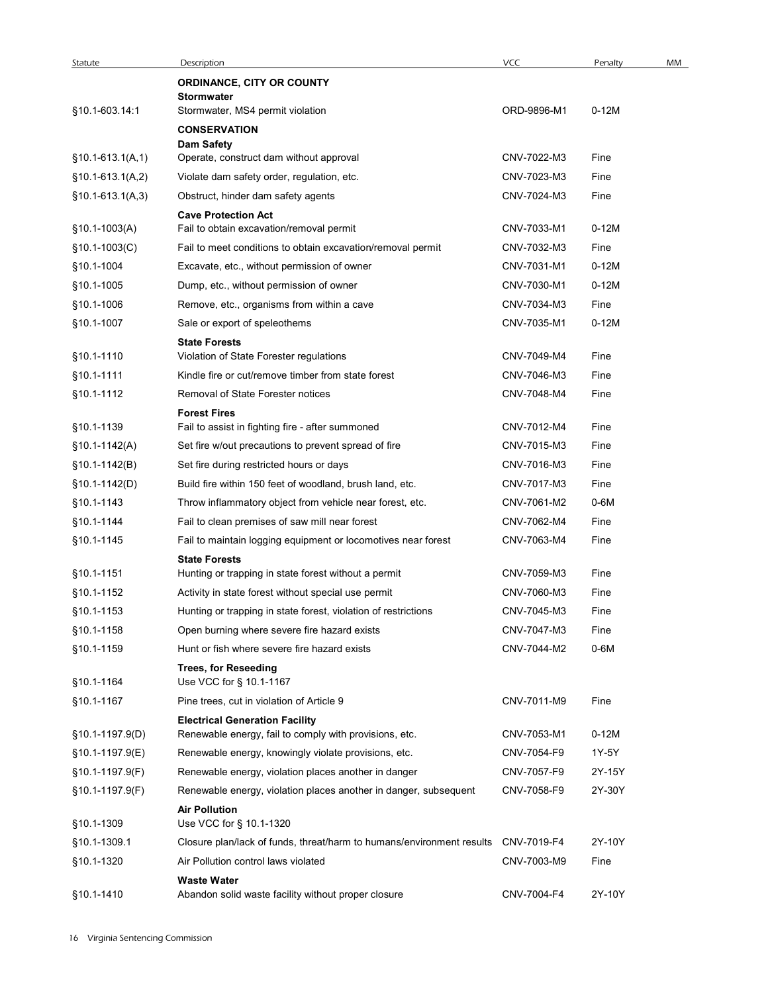| Statute                  | Description<br><b>ORDINANCE, CITY OR COUNTY</b>                                                             | VCC         | Penalty | MM |
|--------------------------|-------------------------------------------------------------------------------------------------------------|-------------|---------|----|
|                          | <b>Stormwater</b>                                                                                           |             |         |    |
| §10.1-603.14:1           | Stormwater, MS4 permit violation                                                                            | ORD-9896-M1 | $0-12M$ |    |
|                          | <b>CONSERVATION</b>                                                                                         |             |         |    |
| $$10.1-613.1(A,1)$       | <b>Dam Safety</b><br>Operate, construct dam without approval                                                | CNV-7022-M3 | Fine    |    |
| $$10.1-613.1(A,2)$       | Violate dam safety order, regulation, etc.                                                                  | CNV-7023-M3 | Fine    |    |
| $$10.1-613.1(A,3)$       | Obstruct, hinder dam safety agents                                                                          | CNV-7024-M3 | Fine    |    |
|                          | <b>Cave Protection Act</b>                                                                                  |             |         |    |
| $§10.1-1003(A)$          | Fail to obtain excavation/removal permit                                                                    | CNV-7033-M1 | $0-12M$ |    |
| §10.1-1003(C)            | Fail to meet conditions to obtain excavation/removal permit                                                 | CNV-7032-M3 | Fine    |    |
| §10.1-1004               | Excavate, etc., without permission of owner                                                                 | CNV-7031-M1 | $0-12M$ |    |
| §10.1-1005               | Dump, etc., without permission of owner                                                                     | CNV-7030-M1 | $0-12M$ |    |
| §10.1-1006               | Remove, etc., organisms from within a cave                                                                  | CNV-7034-M3 | Fine    |    |
| §10.1-1007               | Sale or export of speleothems                                                                               | CNV-7035-M1 | $0-12M$ |    |
| §10.1-1110               | <b>State Forests</b><br>Violation of State Forester regulations                                             | CNV-7049-M4 | Fine    |    |
| §10.1-1111               | Kindle fire or cut/remove timber from state forest                                                          | CNV-7046-M3 | Fine    |    |
| §10.1-1112               | Removal of State Forester notices                                                                           | CNV-7048-M4 | Fine    |    |
|                          | <b>Forest Fires</b>                                                                                         |             |         |    |
| §10.1-1139               | Fail to assist in fighting fire - after summoned                                                            | CNV-7012-M4 | Fine    |    |
| $§10.1-1142(A)$          | Set fire w/out precautions to prevent spread of fire                                                        | CNV-7015-M3 | Fine    |    |
| $$10.1-1142(B)$          | Set fire during restricted hours or days                                                                    | CNV-7016-M3 | Fine    |    |
| §10.1-1142(D)            | Build fire within 150 feet of woodland, brush land, etc.                                                    | CNV-7017-M3 | Fine    |    |
| §10.1-1143               | Throw inflammatory object from vehicle near forest, etc.                                                    | CNV-7061-M2 | $0-6M$  |    |
| §10.1-1144               | Fail to clean premises of saw mill near forest                                                              | CNV-7062-M4 | Fine    |    |
| §10.1-1145               | Fail to maintain logging equipment or locomotives near forest                                               | CNV-7063-M4 | Fine    |    |
|                          | <b>State Forests</b>                                                                                        | CNV-7059-M3 | Fine    |    |
| §10.1-1151<br>§10.1-1152 | Hunting or trapping in state forest without a permit<br>Activity in state forest without special use permit | CNV-7060-M3 | Fine    |    |
| §10.1-1153               | Hunting or trapping in state forest, violation of restrictions                                              | CNV-7045-M3 | Fine    |    |
| §10.1-1158               | Open burning where severe fire hazard exists                                                                | CNV-7047-M3 | Fine    |    |
| §10.1-1159               | Hunt or fish where severe fire hazard exists                                                                | CNV-7044-M2 | 0-6M    |    |
|                          | <b>Trees, for Reseeding</b>                                                                                 |             |         |    |
| §10.1-1164               | Use VCC for § 10.1-1167                                                                                     |             |         |    |
| §10.1-1167               | Pine trees, cut in violation of Article 9                                                                   | CNV-7011-M9 | Fine    |    |
|                          | <b>Electrical Generation Facility</b>                                                                       |             |         |    |
| §10.1-1197.9(D)          | Renewable energy, fail to comply with provisions, etc.                                                      | CNV-7053-M1 | $0-12M$ |    |
| §10.1-1197.9(E)          | Renewable energy, knowingly violate provisions, etc.                                                        | CNV-7054-F9 | 1Y-5Y   |    |
| §10.1-1197.9(F)          | Renewable energy, violation places another in danger                                                        | CNV-7057-F9 | 2Y-15Y  |    |
| §10.1-1197.9(F)          | Renewable energy, violation places another in danger, subsequent                                            | CNV-7058-F9 | 2Y-30Y  |    |
| §10.1-1309               | <b>Air Pollution</b><br>Use VCC for § 10.1-1320                                                             |             |         |    |
| §10.1-1309.1             | Closure plan/lack of funds, threat/harm to humans/environment results CNV-7019-F4                           |             | 2Y-10Y  |    |
| §10.1-1320               | Air Pollution control laws violated                                                                         | CNV-7003-M9 | Fine    |    |
|                          | <b>Waste Water</b>                                                                                          |             |         |    |
| §10.1-1410               | Abandon solid waste facility without proper closure                                                         | CNV-7004-F4 | 2Y-10Y  |    |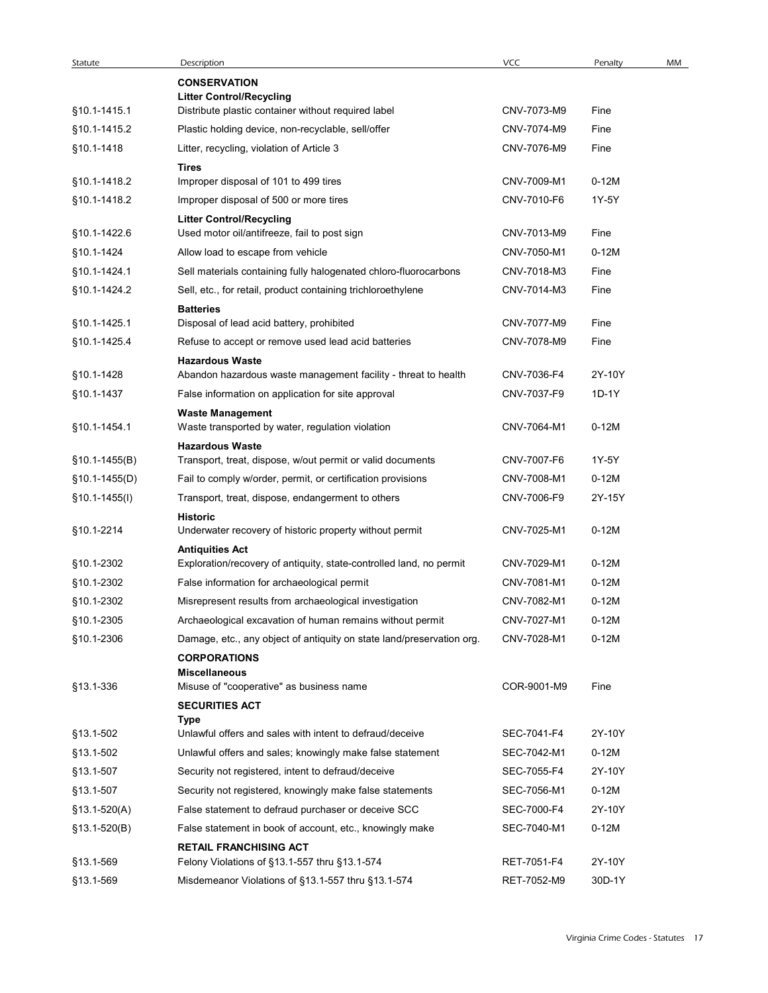| Statute         | Description                                                                               | VCC         | Penalty | MM |
|-----------------|-------------------------------------------------------------------------------------------|-------------|---------|----|
|                 | <b>CONSERVATION</b>                                                                       |             |         |    |
| §10.1-1415.1    | <b>Litter Control/Recycling</b><br>Distribute plastic container without required label    | CNV-7073-M9 | Fine    |    |
| §10.1-1415.2    | Plastic holding device, non-recyclable, sell/offer                                        | CNV-7074-M9 | Fine    |    |
| §10.1-1418      | Litter, recycling, violation of Article 3                                                 | CNV-7076-M9 | Fine    |    |
|                 | Tires                                                                                     |             |         |    |
| §10.1-1418.2    | Improper disposal of 101 to 499 tires                                                     | CNV-7009-M1 | $0-12M$ |    |
| §10.1-1418.2    | Improper disposal of 500 or more tires                                                    | CNV-7010-F6 | 1Y-5Y   |    |
| §10.1-1422.6    | <b>Litter Control/Recycling</b>                                                           | CNV-7013-M9 | Fine    |    |
| §10.1-1424      | Used motor oil/antifreeze, fail to post sign<br>Allow load to escape from vehicle         | CNV-7050-M1 | $0-12M$ |    |
| §10.1-1424.1    | Sell materials containing fully halogenated chloro-fluorocarbons                          | CNV-7018-M3 | Fine    |    |
| §10.1-1424.2    | Sell, etc., for retail, product containing trichloroethylene                              | CNV-7014-M3 | Fine    |    |
|                 | <b>Batteries</b>                                                                          |             |         |    |
| §10.1-1425.1    | Disposal of lead acid battery, prohibited                                                 | CNV-7077-M9 | Fine    |    |
| §10.1-1425.4    | Refuse to accept or remove used lead acid batteries                                       | CNV-7078-M9 | Fine    |    |
|                 | <b>Hazardous Waste</b>                                                                    |             |         |    |
| §10.1-1428      | Abandon hazardous waste management facility - threat to health                            | CNV-7036-F4 | 2Y-10Y  |    |
| §10.1-1437      | False information on application for site approval                                        | CNV-7037-F9 | 1D-1Y   |    |
| §10.1-1454.1    | <b>Waste Management</b><br>Waste transported by water, regulation violation               | CNV-7064-M1 | $0-12M$ |    |
| $$10.1-1455(B)$ | <b>Hazardous Waste</b><br>Transport, treat, dispose, w/out permit or valid documents      | CNV-7007-F6 | 1Y-5Y   |    |
| §10.1-1455(D)   | Fail to comply w/order, permit, or certification provisions                               | CNV-7008-M1 | $0-12M$ |    |
| §10.1-1455(I)   | Transport, treat, dispose, endangerment to others                                         | CNV-7006-F9 | 2Y-15Y  |    |
|                 | <b>Historic</b>                                                                           |             |         |    |
| §10.1-2214      | Underwater recovery of historic property without permit<br><b>Antiquities Act</b>         | CNV-7025-M1 | $0-12M$ |    |
| §10.1-2302      | Exploration/recovery of antiquity, state-controlled land, no permit                       | CNV-7029-M1 | 0-12M   |    |
| §10.1-2302      | False information for archaeological permit                                               | CNV-7081-M1 | $0-12M$ |    |
| §10.1-2302      | Misrepresent results from archaeological investigation                                    | CNV-7082-M1 | $0-12M$ |    |
| §10.1-2305      | Archaeological excavation of human remains without permit                                 | CNV-7027-M1 | 0-12M   |    |
| §10.1-2306      | Damage, etc., any object of antiquity on state land/preservation org.                     | CNV-7028-M1 | 0-12M   |    |
| §13.1-336       | <b>CORPORATIONS</b><br><b>Miscellaneous</b><br>Misuse of "cooperative" as business name   | COR-9001-M9 | Fine    |    |
|                 | <b>SECURITIES ACT</b>                                                                     |             |         |    |
|                 | Type                                                                                      |             |         |    |
| §13.1-502       | Unlawful offers and sales with intent to defraud/deceive                                  | SEC-7041-F4 | 2Y-10Y  |    |
| §13.1-502       | Unlawful offers and sales; knowingly make false statement                                 | SEC-7042-M1 | $0-12M$ |    |
| §13.1-507       | Security not registered, intent to defraud/deceive                                        | SEC-7055-F4 | 2Y-10Y  |    |
| §13.1-507       | Security not registered, knowingly make false statements                                  | SEC-7056-M1 | $0-12M$ |    |
| $$13.1-520(A)$  | False statement to defraud purchaser or deceive SCC                                       | SEC-7000-F4 | 2Y-10Y  |    |
| $$13.1-520(B)$  | False statement in book of account, etc., knowingly make<br><b>RETAIL FRANCHISING ACT</b> | SEC-7040-M1 | $0-12M$ |    |
| §13.1-569       | Felony Violations of §13.1-557 thru §13.1-574                                             | RET-7051-F4 | 2Y-10Y  |    |
| §13.1-569       | Misdemeanor Violations of §13.1-557 thru §13.1-574                                        | RET-7052-M9 | 30D-1Y  |    |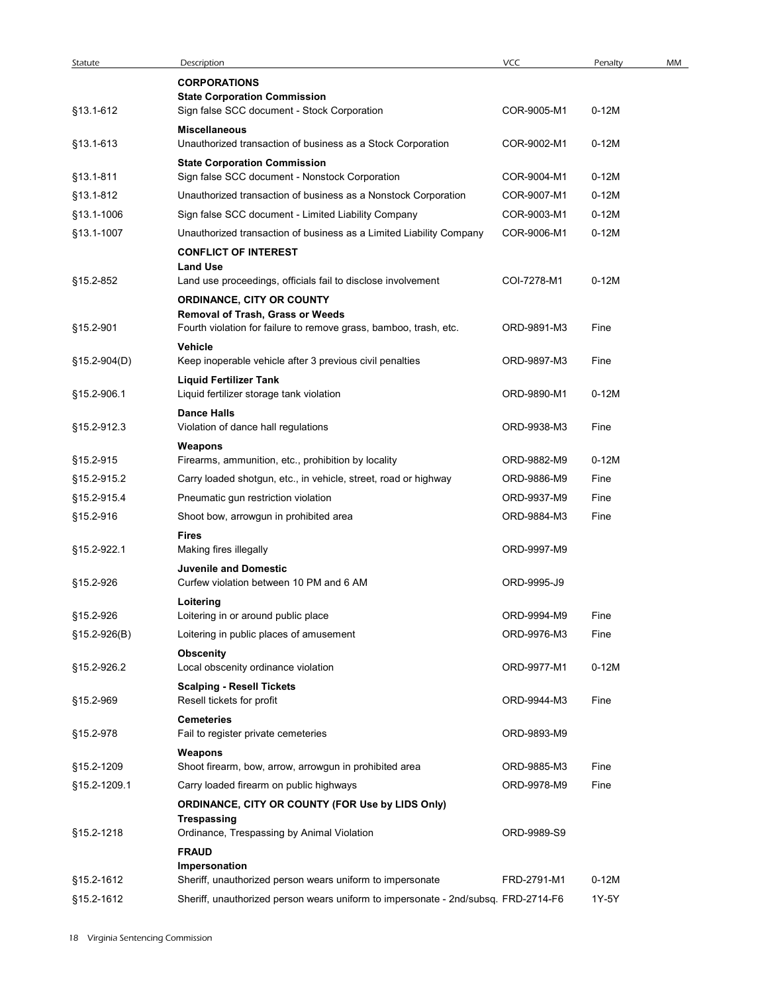| Statute      | Description                                                                           | VCC         | Penalty | MM |
|--------------|---------------------------------------------------------------------------------------|-------------|---------|----|
|              | <b>CORPORATIONS</b>                                                                   |             |         |    |
| §13.1-612    | <b>State Corporation Commission</b><br>Sign false SCC document - Stock Corporation    | COR-9005-M1 | $0-12M$ |    |
|              | <b>Miscellaneous</b>                                                                  |             |         |    |
| §13.1-613    | Unauthorized transaction of business as a Stock Corporation                           | COR-9002-M1 | $0-12M$ |    |
| §13.1-811    | <b>State Corporation Commission</b><br>Sign false SCC document - Nonstock Corporation | COR-9004-M1 | $0-12M$ |    |
| §13.1-812    | Unauthorized transaction of business as a Nonstock Corporation                        | COR-9007-M1 | $0-12M$ |    |
| §13.1-1006   | Sign false SCC document - Limited Liability Company                                   | COR-9003-M1 | $0-12M$ |    |
| §13.1-1007   | Unauthorized transaction of business as a Limited Liability Company                   | COR-9006-M1 | $0-12M$ |    |
|              | <b>CONFLICT OF INTEREST</b>                                                           |             |         |    |
| §15.2-852    | <b>Land Use</b><br>Land use proceedings, officials fail to disclose involvement       | COI-7278-M1 | $0-12M$ |    |
|              | ORDINANCE, CITY OR COUNTY                                                             |             |         |    |
|              | Removal of Trash, Grass or Weeds                                                      |             |         |    |
| §15.2-901    | Fourth violation for failure to remove grass, bamboo, trash, etc.                     | ORD-9891-M3 | Fine    |    |
| §15.2-904(D) | Vehicle<br>Keep inoperable vehicle after 3 previous civil penalties                   | ORD-9897-M3 | Fine    |    |
|              | <b>Liquid Fertilizer Tank</b>                                                         |             |         |    |
| §15.2-906.1  | Liquid fertilizer storage tank violation                                              | ORD-9890-M1 | $0-12M$ |    |
| §15.2-912.3  | <b>Dance Halls</b><br>Violation of dance hall regulations                             | ORD-9938-M3 | Fine    |    |
|              | Weapons                                                                               |             |         |    |
| §15.2-915    | Firearms, ammunition, etc., prohibition by locality                                   | ORD-9882-M9 | $0-12M$ |    |
| §15.2-915.2  | Carry loaded shotgun, etc., in vehicle, street, road or highway                       | ORD-9886-M9 | Fine    |    |
| §15.2-915.4  | Pneumatic gun restriction violation                                                   | ORD-9937-M9 | Fine    |    |
| §15.2-916    | Shoot bow, arrowgun in prohibited area                                                | ORD-9884-M3 | Fine    |    |
|              | <b>Fires</b>                                                                          |             |         |    |
| §15.2-922.1  | Making fires illegally                                                                | ORD-9997-M9 |         |    |
| §15.2-926    | <b>Juvenile and Domestic</b><br>Curfew violation between 10 PM and 6 AM               | ORD-9995-J9 |         |    |
|              | Loitering                                                                             |             |         |    |
| §15.2-926    | Loitering in or around public place                                                   | ORD-9994-M9 | Fine    |    |
| §15.2-926(B) | Loitering in public places of amusement                                               | ORD-9976-M3 | Fine    |    |
| §15.2-926.2  | <b>Obscenity</b><br>Local obscenity ordinance violation                               | ORD-9977-M1 | $0-12M$ |    |
|              | <b>Scalping - Resell Tickets</b>                                                      |             |         |    |
| §15.2-969    | Resell tickets for profit                                                             | ORD-9944-M3 | Fine    |    |
|              | Cemeteries                                                                            |             |         |    |
| §15.2-978    | Fail to register private cemeteries                                                   | ORD-9893-M9 |         |    |
| §15.2-1209   | Weapons<br>Shoot firearm, bow, arrow, arrowgun in prohibited area                     | ORD-9885-M3 | Fine    |    |
| §15.2-1209.1 | Carry loaded firearm on public highways                                               | ORD-9978-M9 | Fine    |    |
|              | ORDINANCE, CITY OR COUNTY (FOR Use by LIDS Only)                                      |             |         |    |
|              | <b>Trespassing</b>                                                                    |             |         |    |
| §15.2-1218   | Ordinance, Trespassing by Animal Violation                                            | ORD-9989-S9 |         |    |
|              | <b>FRAUD</b><br>Impersonation                                                         |             |         |    |
| §15.2-1612   | Sheriff, unauthorized person wears uniform to impersonate                             | FRD-2791-M1 | $0-12M$ |    |
|              |                                                                                       |             |         |    |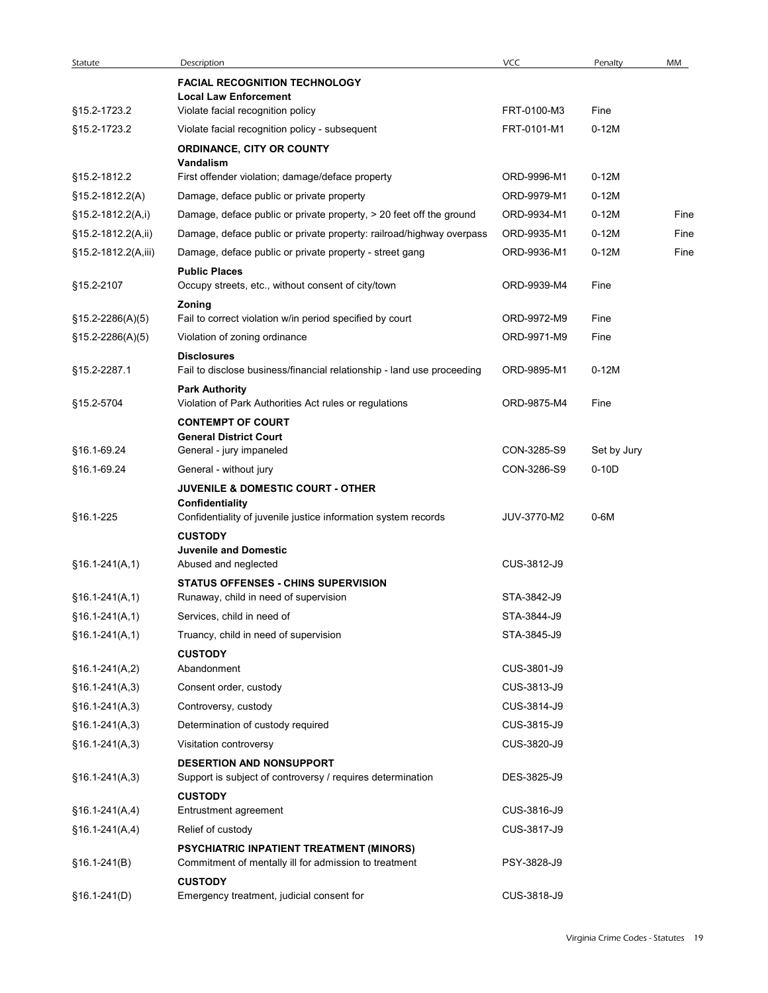| Statute             | Description                                                                                                     | VCC         | Penalty     | MM   |
|---------------------|-----------------------------------------------------------------------------------------------------------------|-------------|-------------|------|
|                     | <b>FACIAL RECOGNITION TECHNOLOGY</b>                                                                            |             |             |      |
| §15.2-1723.2        | <b>Local Law Enforcement</b><br>Violate facial recognition policy                                               | FRT-0100-M3 | Fine        |      |
| §15.2-1723.2        | Violate facial recognition policy - subsequent                                                                  | FRT-0101-M1 | $0-12M$     |      |
|                     | ORDINANCE, CITY OR COUNTY                                                                                       |             |             |      |
|                     | Vandalism                                                                                                       |             |             |      |
| §15.2-1812.2        | First offender violation; damage/deface property                                                                | ORD-9996-M1 | $0-12M$     |      |
| $$15.2 - 1812.2(A)$ | Damage, deface public or private property                                                                       | ORD-9979-M1 | $0-12M$     |      |
| §15.2-1812.2(A,i)   | Damage, deface public or private property, > 20 feet off the ground                                             | ORD-9934-M1 | $0-12M$     | Fine |
| §15.2-1812.2(A,ii)  | Damage, deface public or private property: railroad/highway overpass                                            | ORD-9935-M1 | $0-12M$     | Fine |
| §15.2-1812.2(A,iii) | Damage, deface public or private property - street gang                                                         | ORD-9936-M1 | $0-12M$     | Fine |
| §15.2-2107          | <b>Public Places</b><br>Occupy streets, etc., without consent of city/town                                      | ORD-9939-M4 | Fine        |      |
| §15.2-2286(A)(5)    | Zoning<br>Fail to correct violation w/in period specified by court                                              | ORD-9972-M9 | Fine        |      |
| §15.2-2286(A)(5)    | Violation of zoning ordinance                                                                                   | ORD-9971-M9 | Fine        |      |
|                     | <b>Disclosures</b>                                                                                              |             |             |      |
| §15.2-2287.1        | Fail to disclose business/financial relationship - land use proceeding                                          | ORD-9895-M1 | $0-12M$     |      |
| §15.2-5704          | <b>Park Authority</b><br>Violation of Park Authorities Act rules or regulations                                 | ORD-9875-M4 | Fine        |      |
|                     | <b>CONTEMPT OF COURT</b>                                                                                        |             |             |      |
| §16.1-69.24         | <b>General District Court</b><br>General - jury impaneled                                                       | CON-3285-S9 | Set by Jury |      |
| §16.1-69.24         | General - without jury                                                                                          | CON-3286-S9 | $0-10D$     |      |
|                     | <b>JUVENILE &amp; DOMESTIC COURT - OTHER</b>                                                                    |             |             |      |
|                     | Confidentiality                                                                                                 |             |             |      |
| §16.1-225           | Confidentiality of juvenile justice information system records                                                  | JUV-3770-M2 | $0-6M$      |      |
|                     | <b>CUSTODY</b><br><b>Juvenile and Domestic</b>                                                                  |             |             |      |
| $§16.1-241(A,1)$    | Abused and neglected                                                                                            | CUS-3812-J9 |             |      |
|                     | <b>STATUS OFFENSES - CHINS SUPERVISION</b>                                                                      |             |             |      |
| $§16.1-241(A,1)$    | Runaway, child in need of supervision                                                                           | STA-3842-J9 |             |      |
| $§16.1-241(A,1)$    | Services, child in need of                                                                                      | STA-3844-J9 |             |      |
| $§16.1-241(A,1)$    | Truancy, child in need of supervision                                                                           | STA-3845-J9 |             |      |
|                     | <b>CUSTODY</b>                                                                                                  |             |             |      |
| $§16.1-241(A,2)$    | Abandonment                                                                                                     | CUS-3801-J9 |             |      |
| $§16.1-241(A,3)$    | Consent order, custody                                                                                          | CUS-3813-J9 |             |      |
| $$16.1-241(A,3)$    | Controversy, custody                                                                                            | CUS-3814-J9 |             |      |
| $§16.1-241(A,3)$    | Determination of custody required                                                                               | CUS-3815-J9 |             |      |
| $§16.1-241(A,3)$    | Visitation controversy                                                                                          | CUS-3820-J9 |             |      |
| $§16.1-241(A,3)$    | <b>DESERTION AND NONSUPPORT</b><br>Support is subject of controversy / requires determination<br><b>CUSTODY</b> | DES-3825-J9 |             |      |
| $$16.1-241(A,4)$    | Entrustment agreement                                                                                           | CUS-3816-J9 |             |      |
| $$16.1-241(A,4)$    | Relief of custody                                                                                               | CUS-3817-J9 |             |      |
|                     | PSYCHIATRIC INPATIENT TREATMENT (MINORS)                                                                        |             |             |      |
| $$16.1-241(B)$      | Commitment of mentally ill for admission to treatment<br><b>CUSTODY</b>                                         | PSY-3828-J9 |             |      |
| $$16.1-241(D)$      | Emergency treatment, judicial consent for                                                                       | CUS-3818-J9 |             |      |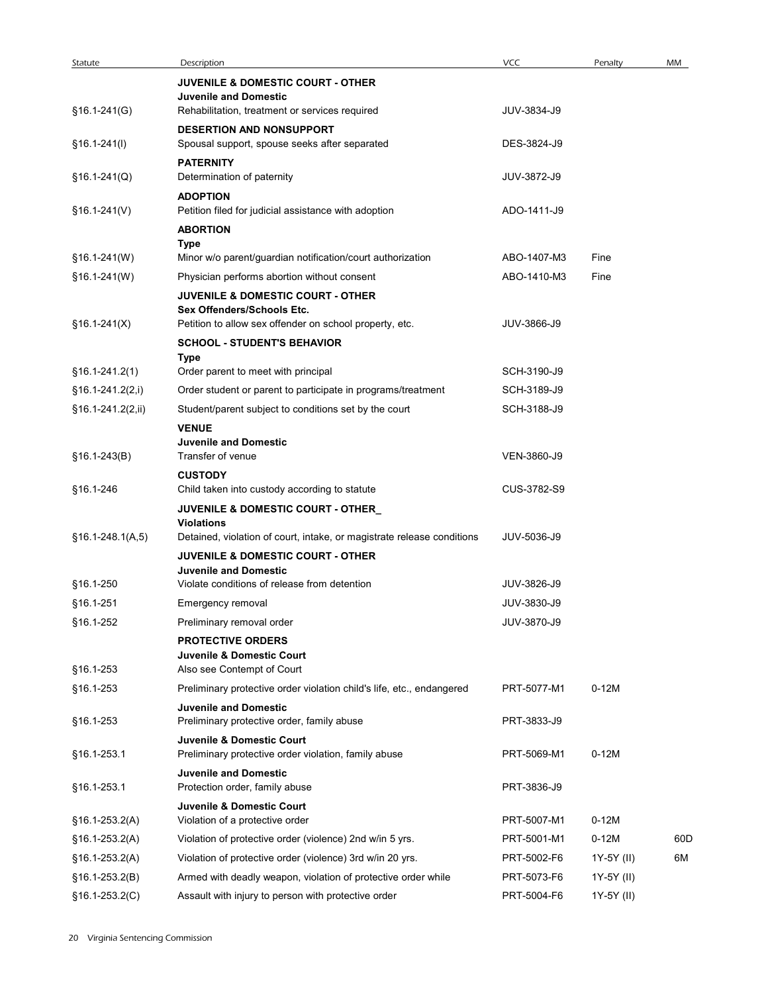| Statute            | Description                                                                | VCC         | Penalty    | MM  |
|--------------------|----------------------------------------------------------------------------|-------------|------------|-----|
|                    | <b>JUVENILE &amp; DOMESTIC COURT - OTHER</b>                               |             |            |     |
|                    | <b>Juvenile and Domestic</b>                                               |             |            |     |
| $$16.1-241(G)$     | Rehabilitation, treatment or services required                             | JUV-3834-J9 |            |     |
|                    | <b>DESERTION AND NONSUPPORT</b>                                            |             |            |     |
| $$16.1-241(l)$     | Spousal support, spouse seeks after separated                              | DES-3824-J9 |            |     |
|                    | <b>PATERNITY</b>                                                           |             |            |     |
| $$16.1-241(Q)$     | Determination of paternity                                                 | JUV-3872-J9 |            |     |
|                    | <b>ADOPTION</b>                                                            |             |            |     |
| $$16.1-241(V)$     | Petition filed for judicial assistance with adoption                       | ADO-1411-J9 |            |     |
|                    | <b>ABORTION</b>                                                            |             |            |     |
|                    | Type                                                                       |             |            |     |
| §16.1-241(W)       | Minor w/o parent/guardian notification/court authorization                 | ABO-1407-M3 | Fine       |     |
| §16.1-241(W)       | Physician performs abortion without consent                                | ABO-1410-M3 | Fine       |     |
|                    | <b>JUVENILE &amp; DOMESTIC COURT - OTHER</b>                               |             |            |     |
|                    | Sex Offenders/Schools Etc.                                                 |             |            |     |
| $$16.1-241(X)$     | Petition to allow sex offender on school property, etc.                    | JUV-3866-J9 |            |     |
|                    | <b>SCHOOL - STUDENT'S BEHAVIOR</b>                                         |             |            |     |
| $$16.1-241.2(1)$   | Type<br>Order parent to meet with principal                                | SCH-3190-J9 |            |     |
|                    |                                                                            |             |            |     |
| $$16.1-241.2(2,i)$ | Order student or parent to participate in programs/treatment               | SCH-3189-J9 |            |     |
| §16.1-241.2(2,ii)  | Student/parent subject to conditions set by the court                      | SCH-3188-J9 |            |     |
|                    | <b>VENUE</b>                                                               |             |            |     |
|                    | <b>Juvenile and Domestic</b>                                               |             |            |     |
| $$16.1-243(B)$     | Transfer of venue                                                          | VEN-3860-J9 |            |     |
|                    | <b>CUSTODY</b>                                                             |             |            |     |
| §16.1-246          | Child taken into custody according to statute                              | CUS-3782-S9 |            |     |
|                    | JUVENILE & DOMESTIC COURT - OTHER<br><b>Violations</b>                     |             |            |     |
| $$16.1-248.1(A,5)$ | Detained, violation of court, intake, or magistrate release conditions     | JUV-5036-J9 |            |     |
|                    | <b>JUVENILE &amp; DOMESTIC COURT - OTHER</b>                               |             |            |     |
|                    | <b>Juvenile and Domestic</b>                                               |             |            |     |
| §16.1-250          | Violate conditions of release from detention                               | JUV-3826-J9 |            |     |
| §16.1-251          | Emergency removal                                                          | JUV-3830-J9 |            |     |
| §16.1-252          | Preliminary removal order                                                  | JUV-3870-J9 |            |     |
|                    |                                                                            |             |            |     |
|                    | <b>PROTECTIVE ORDERS</b><br>Juvenile & Domestic Court                      |             |            |     |
| §16.1-253          | Also see Contempt of Court                                                 |             |            |     |
| §16.1-253          | Preliminary protective order violation child's life, etc., endangered      | PRT-5077-M1 | $0-12M$    |     |
|                    |                                                                            |             |            |     |
| §16.1-253          | <b>Juvenile and Domestic</b><br>Preliminary protective order, family abuse | PRT-3833-J9 |            |     |
|                    | Juvenile & Domestic Court                                                  |             |            |     |
| §16.1-253.1        | Preliminary protective order violation, family abuse                       | PRT-5069-M1 | $0-12M$    |     |
|                    |                                                                            |             |            |     |
| §16.1-253.1        | <b>Juvenile and Domestic</b><br>Protection order, family abuse             | PRT-3836-J9 |            |     |
|                    | Juvenile & Domestic Court                                                  |             |            |     |
| $$16.1-253.2(A)$   | Violation of a protective order                                            | PRT-5007-M1 | $0-12M$    |     |
| §16.1-253.2(A)     | Violation of protective order (violence) 2nd w/in 5 yrs.                   | PRT-5001-M1 | $0-12M$    | 60D |
|                    |                                                                            |             |            |     |
| $$16.1-253.2(A)$   | Violation of protective order (violence) 3rd w/in 20 yrs.                  | PRT-5002-F6 | 1Y-5Y (II) | 6M  |
| §16.1-253.2(B)     | Armed with deadly weapon, violation of protective order while              | PRT-5073-F6 | 1Y-5Y (II) |     |
| $$16.1-253.2(C)$   | Assault with injury to person with protective order                        | PRT-5004-F6 | 1Y-5Y (II) |     |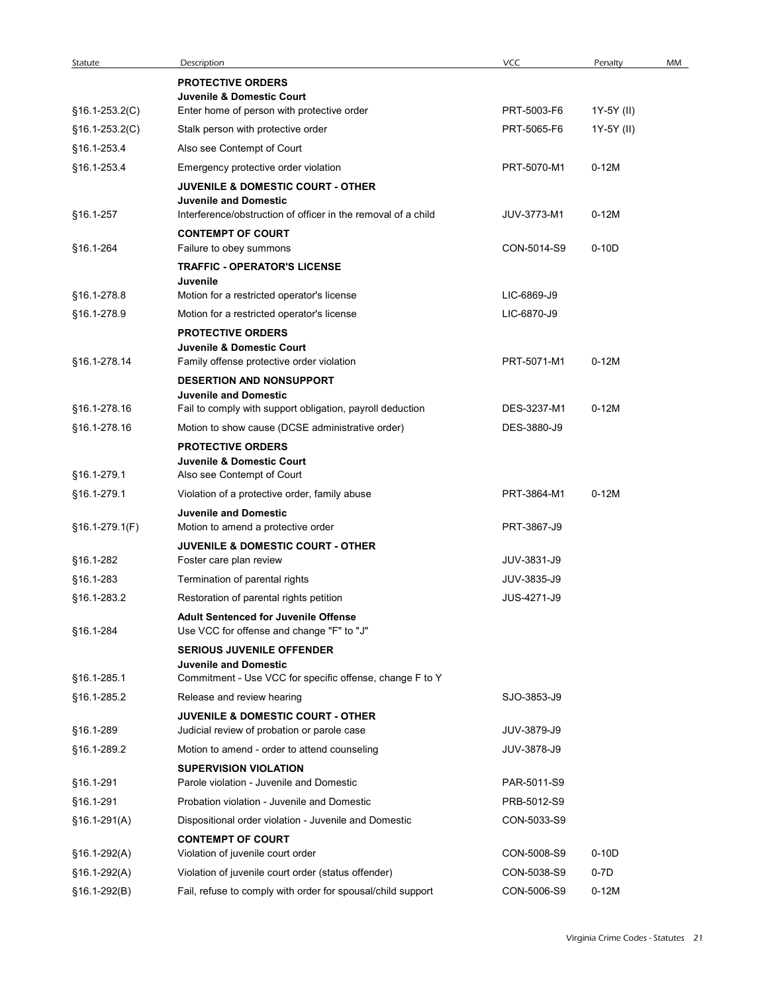| Statute          | Description<br><b>PROTECTIVE ORDERS</b>                                                                       | VCC         | Penalty    | MM |
|------------------|---------------------------------------------------------------------------------------------------------------|-------------|------------|----|
|                  | Juvenile & Domestic Court                                                                                     |             |            |    |
| $§16.1-253.2(C)$ | Enter home of person with protective order                                                                    | PRT-5003-F6 | 1Y-5Y (II) |    |
| $§16.1-253.2(C)$ | Stalk person with protective order                                                                            | PRT-5065-F6 | 1Y-5Y (II) |    |
| §16.1-253.4      | Also see Contempt of Court                                                                                    |             |            |    |
| §16.1-253.4      | Emergency protective order violation                                                                          | PRT-5070-M1 | $0-12M$    |    |
|                  | <b>JUVENILE &amp; DOMESTIC COURT - OTHER</b>                                                                  |             |            |    |
| §16.1-257        | <b>Juvenile and Domestic</b><br>Interference/obstruction of officer in the removal of a child                 | JUV-3773-M1 | $0-12M$    |    |
|                  | <b>CONTEMPT OF COURT</b>                                                                                      |             |            |    |
| §16.1-264        | Failure to obey summons                                                                                       | CON-5014-S9 | $0-10D$    |    |
|                  | <b>TRAFFIC - OPERATOR'S LICENSE</b>                                                                           |             |            |    |
|                  | Juvenile                                                                                                      |             |            |    |
| §16.1-278.8      | Motion for a restricted operator's license                                                                    | LIC-6869-J9 |            |    |
| §16.1-278.9      | Motion for a restricted operator's license<br><b>PROTECTIVE ORDERS</b>                                        | LIC-6870-J9 |            |    |
|                  | Juvenile & Domestic Court                                                                                     |             |            |    |
| §16.1-278.14     | Family offense protective order violation                                                                     | PRT-5071-M1 | $0-12M$    |    |
|                  | DESERTION AND NONSUPPORT                                                                                      |             |            |    |
| §16.1-278.16     | <b>Juvenile and Domestic</b>                                                                                  | DES-3237-M1 | $0-12M$    |    |
| §16.1-278.16     | Fail to comply with support obligation, payroll deduction<br>Motion to show cause (DCSE administrative order) | DES-3880-J9 |            |    |
|                  | <b>PROTECTIVE ORDERS</b>                                                                                      |             |            |    |
|                  | Juvenile & Domestic Court                                                                                     |             |            |    |
| §16.1-279.1      | Also see Contempt of Court                                                                                    |             |            |    |
| §16.1-279.1      | Violation of a protective order, family abuse                                                                 | PRT-3864-M1 | $0-12M$    |    |
|                  | <b>Juvenile and Domestic</b>                                                                                  |             |            |    |
| §16.1-279.1(F)   | Motion to amend a protective order                                                                            | PRT-3867-J9 |            |    |
|                  | JUVENILE & DOMESTIC COURT - OTHER                                                                             |             |            |    |
| §16.1-282        | Foster care plan review                                                                                       | JUV-3831-J9 |            |    |
| §16.1-283        | Termination of parental rights                                                                                | JUV-3835-J9 |            |    |
| §16.1-283.2      | Restoration of parental rights petition                                                                       | JUS-4271-J9 |            |    |
| §16.1-284        | <b>Adult Sentenced for Juvenile Offense</b><br>Use VCC for offense and change "F" to "J"                      |             |            |    |
|                  | <b>SERIOUS JUVENILE OFFENDER</b>                                                                              |             |            |    |
|                  | <b>Juvenile and Domestic</b>                                                                                  |             |            |    |
| §16.1-285.1      | Commitment - Use VCC for specific offense, change F to Y                                                      |             |            |    |
| §16.1-285.2      | Release and review hearing                                                                                    | SJO-3853-J9 |            |    |
|                  | <b>JUVENILE &amp; DOMESTIC COURT - OTHER</b>                                                                  |             |            |    |
| §16.1-289        | Judicial review of probation or parole case                                                                   | JUV-3879-J9 |            |    |
| §16.1-289.2      | Motion to amend - order to attend counseling                                                                  | JUV-3878-J9 |            |    |
| §16.1-291        | <b>SUPERVISION VIOLATION</b><br>Parole violation - Juvenile and Domestic                                      | PAR-5011-S9 |            |    |
| §16.1-291        | Probation violation - Juvenile and Domestic                                                                   | PRB-5012-S9 |            |    |
| $$16.1-291(A)$   | Dispositional order violation - Juvenile and Domestic                                                         | CON-5033-S9 |            |    |
|                  | <b>CONTEMPT OF COURT</b>                                                                                      |             |            |    |
| $$16.1-292(A)$   | Violation of juvenile court order                                                                             | CON-5008-S9 | $0-10D$    |    |
| §16.1-292(A)     | Violation of juvenile court order (status offender)                                                           | CON-5038-S9 | $0-7D$     |    |
|                  | Fail, refuse to comply with order for spousal/child support                                                   | CON-5006-S9 | $0-12M$    |    |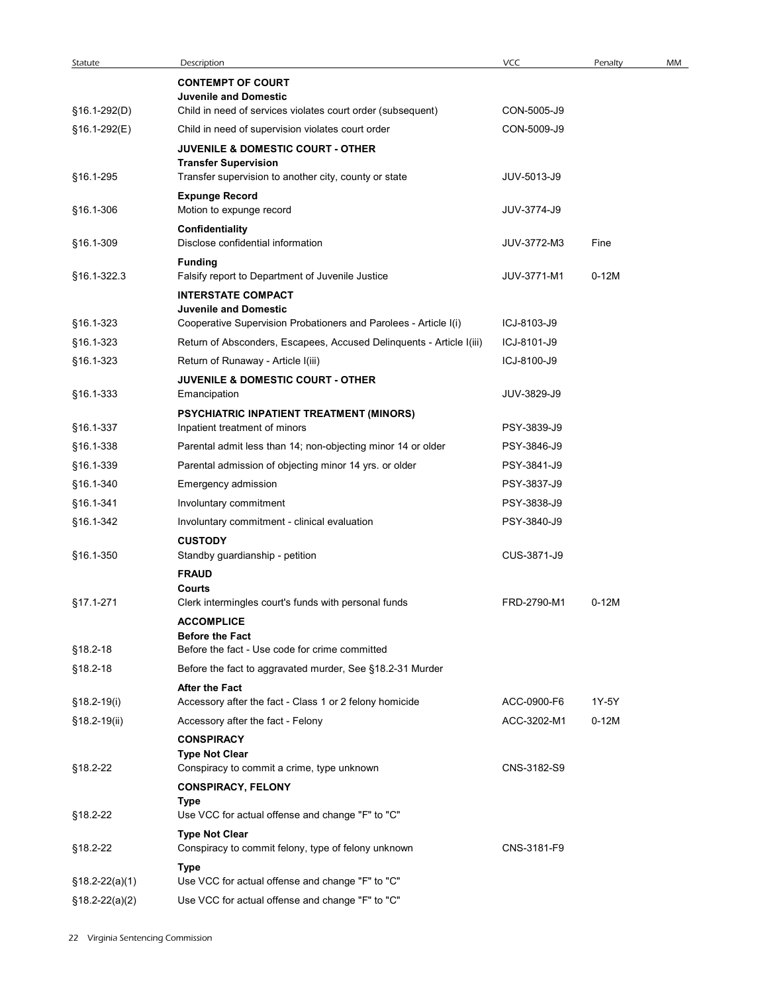| Statute          | Description                                                                                                                          | VCC         | Penalty | MM |
|------------------|--------------------------------------------------------------------------------------------------------------------------------------|-------------|---------|----|
|                  | <b>CONTEMPT OF COURT</b>                                                                                                             |             |         |    |
|                  | <b>Juvenile and Domestic</b>                                                                                                         |             |         |    |
| §16.1-292(D)     | Child in need of services violates court order (subsequent)                                                                          | CON-5005-J9 |         |    |
| §16.1-292(E)     | Child in need of supervision violates court order                                                                                    | CON-5009-J9 |         |    |
| §16.1-295        | <b>JUVENILE &amp; DOMESTIC COURT - OTHER</b><br><b>Transfer Supervision</b><br>Transfer supervision to another city, county or state | JUV-5013-J9 |         |    |
|                  | <b>Expunge Record</b>                                                                                                                |             |         |    |
| §16.1-306        | Motion to expunge record                                                                                                             | JUV-3774-J9 |         |    |
| §16.1-309        | Confidentiality<br>Disclose confidential information                                                                                 | JUV-3772-M3 | Fine    |    |
|                  | <b>Funding</b>                                                                                                                       |             |         |    |
| §16.1-322.3      | Falsify report to Department of Juvenile Justice                                                                                     | JUV-3771-M1 | $0-12M$ |    |
|                  | <b>INTERSTATE COMPACT</b><br><b>Juvenile and Domestic</b>                                                                            |             |         |    |
| §16.1-323        | Cooperative Supervision Probationers and Parolees - Article I(i)                                                                     | ICJ-8103-J9 |         |    |
| §16.1-323        | Return of Absconders, Escapees, Accused Delinquents - Article I(iii)                                                                 | ICJ-8101-J9 |         |    |
| §16.1-323        | Return of Runaway - Article I(iii)                                                                                                   | ICJ-8100-J9 |         |    |
|                  | <b>JUVENILE &amp; DOMESTIC COURT - OTHER</b>                                                                                         |             |         |    |
| §16.1-333        | Emancipation                                                                                                                         | JUV-3829-J9 |         |    |
|                  | PSYCHIATRIC INPATIENT TREATMENT (MINORS)                                                                                             |             |         |    |
| §16.1-337        | Inpatient treatment of minors                                                                                                        | PSY-3839-J9 |         |    |
| §16.1-338        | Parental admit less than 14; non-objecting minor 14 or older                                                                         | PSY-3846-J9 |         |    |
| §16.1-339        | Parental admission of objecting minor 14 yrs. or older                                                                               | PSY-3841-J9 |         |    |
| §16.1-340        | Emergency admission                                                                                                                  | PSY-3837-J9 |         |    |
| §16.1-341        | Involuntary commitment                                                                                                               | PSY-3838-J9 |         |    |
| §16.1-342        | Involuntary commitment - clinical evaluation                                                                                         | PSY-3840-J9 |         |    |
|                  | <b>CUSTODY</b>                                                                                                                       |             |         |    |
| §16.1-350        | Standby guardianship - petition                                                                                                      | CUS-3871-J9 |         |    |
|                  | <b>FRAUD</b>                                                                                                                         |             |         |    |
|                  | Courts                                                                                                                               |             |         |    |
| §17.1-271        | Clerk intermingles court's funds with personal funds                                                                                 | FRD-2790-M1 | $0-12M$ |    |
|                  | <b>ACCOMPLICE</b><br><b>Before the Fact</b>                                                                                          |             |         |    |
| §18.2-18         | Before the fact - Use code for crime committed                                                                                       |             |         |    |
| §18.2-18         | Before the fact to aggravated murder, See §18.2-31 Murder                                                                            |             |         |    |
|                  | <b>After the Fact</b>                                                                                                                |             |         |    |
| §18.2-19(i)      | Accessory after the fact - Class 1 or 2 felony homicide                                                                              | ACC-0900-F6 | 1Y-5Y   |    |
| §18.2-19(ii)     | Accessory after the fact - Felony                                                                                                    | ACC-3202-M1 | $0-12M$ |    |
|                  | <b>CONSPIRACY</b>                                                                                                                    |             |         |    |
|                  | <b>Type Not Clear</b>                                                                                                                |             |         |    |
| §18.2-22         | Conspiracy to commit a crime, type unknown                                                                                           | CNS-3182-S9 |         |    |
|                  | <b>CONSPIRACY, FELONY</b>                                                                                                            |             |         |    |
|                  | Type                                                                                                                                 |             |         |    |
| §18.2-22         | Use VCC for actual offense and change "F" to "C"                                                                                     |             |         |    |
|                  | <b>Type Not Clear</b>                                                                                                                | CNS-3181-F9 |         |    |
| §18.2-22         | Conspiracy to commit felony, type of felony unknown                                                                                  |             |         |    |
| §18.2-22(a)(1)   | Type<br>Use VCC for actual offense and change "F" to "C"                                                                             |             |         |    |
| $$18.2-22(a)(2)$ | Use VCC for actual offense and change "F" to "C"                                                                                     |             |         |    |
|                  |                                                                                                                                      |             |         |    |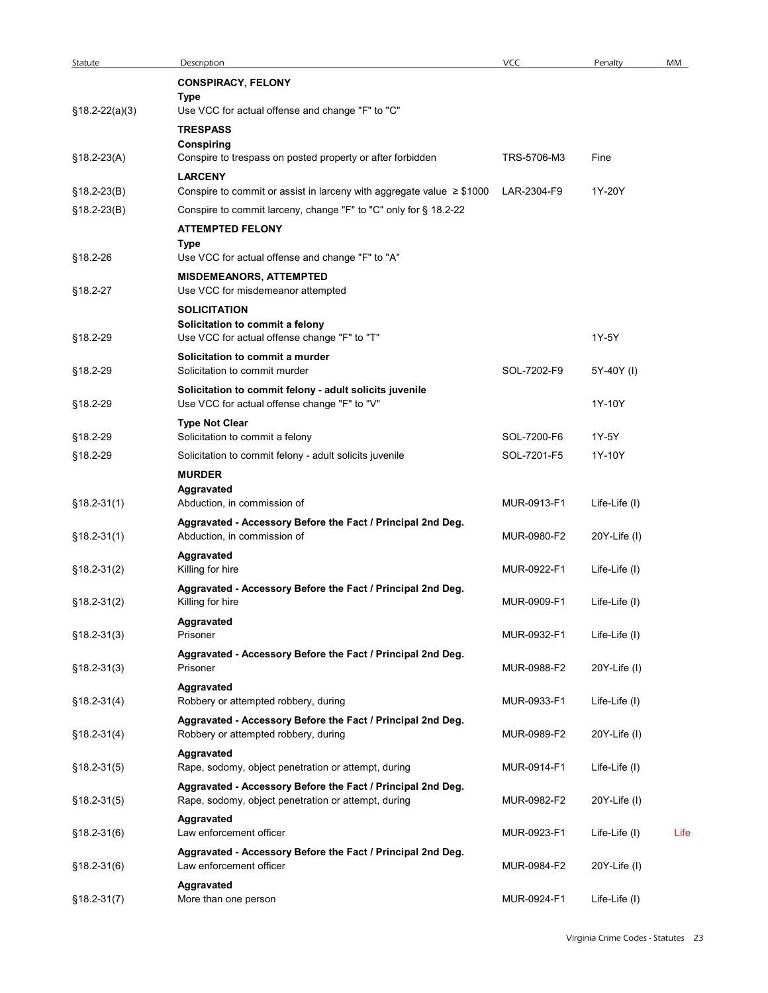| Statute          | Description                                                                                                        | VCC         | Penalty       | MM   |
|------------------|--------------------------------------------------------------------------------------------------------------------|-------------|---------------|------|
|                  | <b>CONSPIRACY, FELONY</b>                                                                                          |             |               |      |
|                  | Type                                                                                                               |             |               |      |
| $$18.2-22(a)(3)$ | Use VCC for actual offense and change "F" to "C"<br><b>TRESPASS</b>                                                |             |               |      |
|                  | Conspiring                                                                                                         |             |               |      |
| $$18.2-23(A)$    | Conspire to trespass on posted property or after forbidden                                                         | TRS-5706-M3 | Fine          |      |
| $§18.2-23(B)$    | <b>LARCENY</b><br>Conspire to commit or assist in larceny with aggregate value $\geq$ \$1000                       | LAR-2304-F9 | 1Y-20Y        |      |
| $$18.2-23(B)$    | Conspire to commit larceny, change "F" to "C" only for § 18.2-22                                                   |             |               |      |
|                  | <b>ATTEMPTED FELONY</b>                                                                                            |             |               |      |
| §18.2-26         | Type<br>Use VCC for actual offense and change "F" to "A"                                                           |             |               |      |
|                  | <b>MISDEMEANORS, ATTEMPTED</b>                                                                                     |             |               |      |
| §18.2-27         | Use VCC for misdemeanor attempted                                                                                  |             |               |      |
|                  | <b>SOLICITATION</b>                                                                                                |             |               |      |
| §18.2-29         | Solicitation to commit a felony<br>Use VCC for actual offense change "F" to "T"                                    |             | 1Y-5Y         |      |
|                  | Solicitation to commit a murder                                                                                    |             |               |      |
| §18.2-29         | Solicitation to commit murder                                                                                      | SOL-7202-F9 | 5Y-40Y (I)    |      |
| §18.2-29         | Solicitation to commit felony - adult solicits juvenile<br>Use VCC for actual offense change "F" to "V"            |             | 1Y-10Y        |      |
|                  | <b>Type Not Clear</b>                                                                                              |             |               |      |
| §18.2-29         | Solicitation to commit a felony                                                                                    | SOL-7200-F6 | 1Y-5Y         |      |
| §18.2-29         | Solicitation to commit felony - adult solicits juvenile                                                            | SOL-7201-F5 | 1Y-10Y        |      |
|                  | <b>MURDER</b><br>Aggravated                                                                                        |             |               |      |
| $$18.2-31(1)$    | Abduction, in commission of                                                                                        | MUR-0913-F1 | Life-Life (I) |      |
|                  | Aggravated - Accessory Before the Fact / Principal 2nd Deg.                                                        |             |               |      |
| $$18.2-31(1)$    | Abduction, in commission of                                                                                        | MUR-0980-F2 | 20Y-Life (I)  |      |
| $$18.2-31(2)$    | Aggravated<br>Killing for hire                                                                                     | MUR-0922-F1 | Life-Life (I) |      |
|                  | Aggravated - Accessory Before the Fact / Principal 2nd Deg.                                                        |             |               |      |
| $$18.2-31(2)$    | Killing for hire                                                                                                   | MUR-0909-F1 | Life-Life (I) |      |
| $$18.2-31(3)$    | Aggravated<br>Prisoner                                                                                             | MUR-0932-F1 | Life-Life (I) |      |
|                  | Aggravated - Accessory Before the Fact / Principal 2nd Deg.                                                        |             |               |      |
| $$18.2 - 31(3)$  | Prisoner                                                                                                           | MUR-0988-F2 | 20Y-Life (I)  |      |
| $$18.2-31(4)$    | Aggravated<br>Robbery or attempted robbery, during                                                                 | MUR-0933-F1 | Life-Life (I) |      |
|                  | Aggravated - Accessory Before the Fact / Principal 2nd Deg.                                                        |             |               |      |
| $$18.2-31(4)$    | Robbery or attempted robbery, during                                                                               | MUR-0989-F2 | 20Y-Life (I)  |      |
|                  | Aggravated                                                                                                         |             |               |      |
| $$18.2-31(5)$    | Rape, sodomy, object penetration or attempt, during<br>Aggravated - Accessory Before the Fact / Principal 2nd Deg. | MUR-0914-F1 | Life-Life (I) |      |
| $$18.2-31(5)$    | Rape, sodomy, object penetration or attempt, during                                                                | MUR-0982-F2 | 20Y-Life (I)  |      |
|                  | Aggravated                                                                                                         |             |               |      |
| $$18.2 - 31(6)$  | Law enforcement officer                                                                                            | MUR-0923-F1 | Life-Life (I) | Life |
| $$18.2-31(6)$    | Aggravated - Accessory Before the Fact / Principal 2nd Deg.<br>Law enforcement officer                             | MUR-0984-F2 | 20Y-Life (I)  |      |
|                  | Aggravated                                                                                                         |             |               |      |
| $$18.2 - 31(7)$  | More than one person                                                                                               | MUR-0924-F1 | Life-Life (I) |      |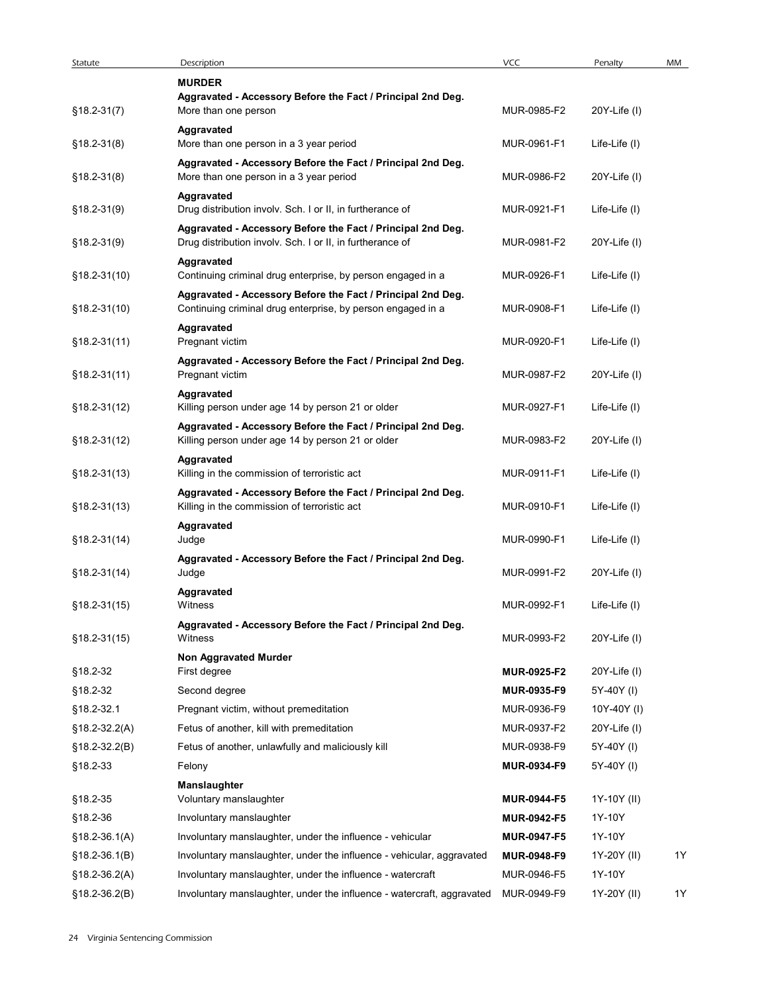| Statute                | Description                                                                                                                | VCC                        | Penalty                   | MM |
|------------------------|----------------------------------------------------------------------------------------------------------------------------|----------------------------|---------------------------|----|
|                        | <b>MURDER</b><br>Aggravated - Accessory Before the Fact / Principal 2nd Deg.                                               |                            |                           |    |
| $$18.2-31(7)$          | More than one person                                                                                                       | MUR-0985-F2                | $20Y$ -Life $(1)$         |    |
| $§18.2-31(8)$          | Aggravated<br>More than one person in a 3 year period                                                                      | MUR-0961-F1                | Life-Life (I)             |    |
|                        | Aggravated - Accessory Before the Fact / Principal 2nd Deg.                                                                |                            |                           |    |
| $§18.2-31(8)$          | More than one person in a 3 year period                                                                                    | MUR-0986-F2                | 20Y-Life (I)              |    |
|                        | Aggravated                                                                                                                 |                            |                           |    |
| $$18.2-31(9)$          | Drug distribution involv. Sch. I or II, in furtherance of                                                                  | MUR-0921-F1                | Life-Life (I)             |    |
| $§18.2-31(9)$          | Aggravated - Accessory Before the Fact / Principal 2nd Deg.<br>Drug distribution involv. Sch. I or II, in furtherance of   | MUR-0981-F2                | 20Y-Life (I)              |    |
|                        | Aggravated                                                                                                                 |                            |                           |    |
| $$18.2-31(10)$         | Continuing criminal drug enterprise, by person engaged in a                                                                | MUR-0926-F1                | Life-Life (I)             |    |
| $§18.2-31(10)$         | Aggravated - Accessory Before the Fact / Principal 2nd Deg.<br>Continuing criminal drug enterprise, by person engaged in a | MUR-0908-F1                | Life-Life (I)             |    |
|                        | Aggravated                                                                                                                 |                            |                           |    |
| $$18.2-31(11)$         | Pregnant victim                                                                                                            | MUR-0920-F1                | Life-Life (I)             |    |
| $$18.2-31(11)$         | Aggravated - Accessory Before the Fact / Principal 2nd Deg.<br>Pregnant victim                                             | MUR-0987-F2                | 20Y-Life (I)              |    |
|                        | Aggravated                                                                                                                 |                            |                           |    |
| $$18.2-31(12)$         | Killing person under age 14 by person 21 or older                                                                          | MUR-0927-F1                | Life-Life (I)             |    |
|                        | Aggravated - Accessory Before the Fact / Principal 2nd Deg.                                                                |                            |                           |    |
| $$18.2-31(12)$         | Killing person under age 14 by person 21 or older<br>Aggravated                                                            | MUR-0983-F2                | 20Y-Life (I)              |    |
| $$18.2-31(13)$         | Killing in the commission of terroristic act                                                                               | MUR-0911-F1                | Life-Life (I)             |    |
|                        | Aggravated - Accessory Before the Fact / Principal 2nd Deg.                                                                |                            |                           |    |
| $$18.2-31(13)$         | Killing in the commission of terroristic act                                                                               | MUR-0910-F1                | Life-Life (I)             |    |
| $$18.2-31(14)$         | Aggravated<br>Judge                                                                                                        | MUR-0990-F1                | Life-Life (I)             |    |
|                        | Aggravated - Accessory Before the Fact / Principal 2nd Deg.                                                                |                            |                           |    |
| $$18.2-31(14)$         | Judge                                                                                                                      | MUR-0991-F2                | 20Y-Life (I)              |    |
| $$18.2-31(15)$         | Aggravated<br>Witness                                                                                                      | MUR-0992-F1                | Life-Life (I)             |    |
|                        | Aggravated - Accessory Before the Fact / Principal 2nd Deg.                                                                |                            |                           |    |
| $$18.2-31(15)$         | Witness                                                                                                                    | MUR-0993-F2                | 20Y-Life (I)              |    |
|                        | Non Aggravated Murder                                                                                                      |                            |                           |    |
| §18.2-32               | First degree                                                                                                               | MUR-0925-F2                | $20Y$ -Life $(1)$         |    |
| §18.2-32<br>§18.2-32.1 | Second degree<br>Pregnant victim, without premeditation                                                                    | MUR-0935-F9<br>MUR-0936-F9 | 5Y-40Y (I)<br>10Y-40Y (I) |    |
| $$18.2-32.2(A)$        | Fetus of another, kill with premeditation                                                                                  | MUR-0937-F2                | 20Y-Life (I)              |    |
| $$18.2-32.2(B)$        | Fetus of another, unlawfully and maliciously kill                                                                          | MUR-0938-F9                | 5Y-40Y (I)                |    |
| §18.2-33               | Felony                                                                                                                     | MUR-0934-F9                | 5Y-40Y (I)                |    |
|                        | <b>Manslaughter</b>                                                                                                        |                            |                           |    |
| §18.2-35               | Voluntary manslaughter                                                                                                     | <b>MUR-0944-F5</b>         | 1Y-10Y (II)               |    |
| §18.2-36               | Involuntary manslaughter                                                                                                   | <b>MUR-0942-F5</b>         | 1Y-10Y                    |    |
| $$18.2 - 36.1(A)$      | Involuntary manslaughter, under the influence - vehicular                                                                  | <b>MUR-0947-F5</b>         | 1Y-10Y                    |    |
| $$18.2-36.1(B)$        | Involuntary manslaughter, under the influence - vehicular, aggravated                                                      | <b>MUR-0948-F9</b>         | 1Y-20Y (II)               | 1Y |
| $$18.2-36.2(A)$        | Involuntary manslaughter, under the influence - watercraft                                                                 | MUR-0946-F5                | 1Y-10Y                    |    |
| $$18.2-36.2(B)$        | Involuntary manslaughter, under the influence - watercraft, aggravated                                                     | MUR-0949-F9                | 1Y-20Y (II)               | 1Y |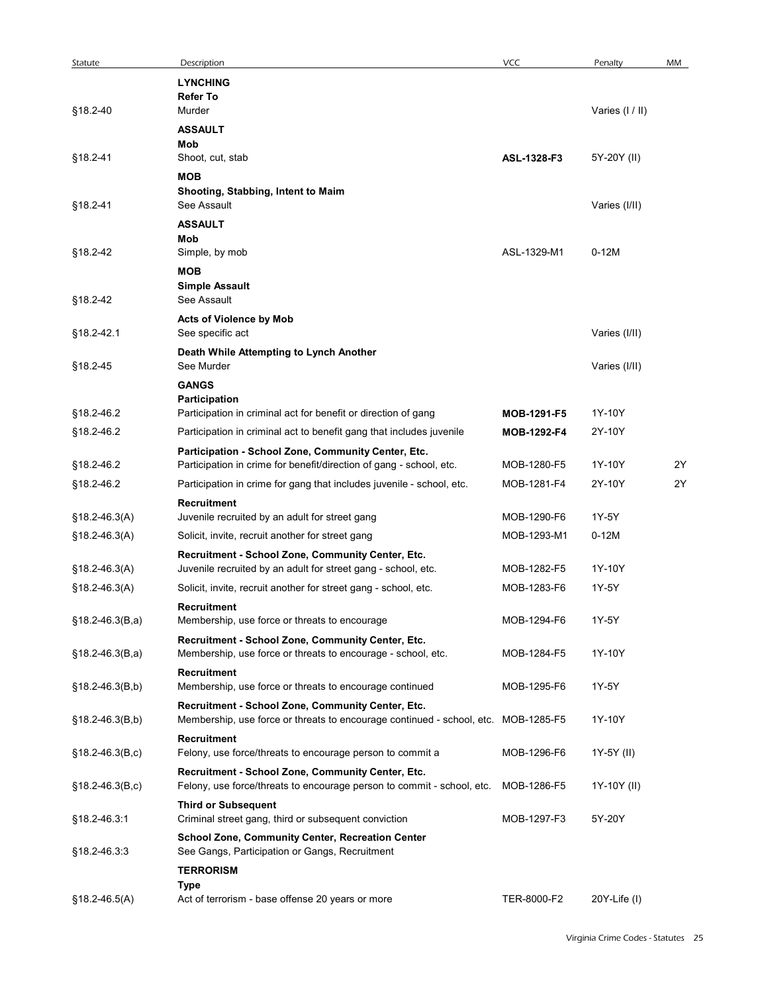| Statute<br>§18.2-40 | Description                                                                                                       |             |                 |    |
|---------------------|-------------------------------------------------------------------------------------------------------------------|-------------|-----------------|----|
|                     |                                                                                                                   |             |                 |    |
|                     |                                                                                                                   | <b>VCC</b>  | Penalty         | MM |
|                     | <b>LYNCHING</b><br><b>Refer To</b>                                                                                |             |                 |    |
|                     | Murder                                                                                                            |             | Varies (I / II) |    |
|                     | <b>ASSAULT</b>                                                                                                    |             |                 |    |
|                     | Mob                                                                                                               |             |                 |    |
| §18.2-41            | Shoot, cut, stab                                                                                                  | ASL-1328-F3 | 5Y-20Y (II)     |    |
|                     | <b>MOB</b><br>Shooting, Stabbing, Intent to Maim                                                                  |             |                 |    |
| §18.2-41            | See Assault                                                                                                       |             | Varies (I/II)   |    |
|                     | <b>ASSAULT</b>                                                                                                    |             |                 |    |
|                     | Mob                                                                                                               |             |                 |    |
| §18.2-42            | Simple, by mob                                                                                                    | ASL-1329-M1 | $0-12M$         |    |
|                     | <b>MOB</b>                                                                                                        |             |                 |    |
|                     | <b>Simple Assault</b>                                                                                             |             |                 |    |
| §18.2-42            | See Assault                                                                                                       |             |                 |    |
| §18.2-42.1          | <b>Acts of Violence by Mob</b><br>See specific act                                                                |             | Varies (I/II)   |    |
|                     | Death While Attempting to Lynch Another                                                                           |             |                 |    |
| §18.2-45            | See Murder                                                                                                        |             | Varies (I/II)   |    |
|                     | <b>GANGS</b>                                                                                                      |             |                 |    |
|                     | Participation                                                                                                     |             |                 |    |
| §18.2-46.2          | Participation in criminal act for benefit or direction of gang                                                    | MOB-1291-F5 | 1Y-10Y          |    |
| §18.2-46.2          | Participation in criminal act to benefit gang that includes juvenile                                              | MOB-1292-F4 | 2Y-10Y          |    |
|                     | Participation - School Zone, Community Center, Etc.                                                               |             |                 |    |
| §18.2-46.2          | Participation in crime for benefit/direction of gang - school, etc.                                               | MOB-1280-F5 | 1Y-10Y          | 2Y |
| §18.2-46.2          | Participation in crime for gang that includes juvenile - school, etc.                                             | MOB-1281-F4 | 2Y-10Y          | 2Y |
|                     | Recruitment                                                                                                       |             |                 |    |
| $§18.2-46.3(A)$     | Juvenile recruited by an adult for street gang                                                                    | MOB-1290-F6 | 1Y-5Y           |    |
| $$18.2 - 46.3(A)$   | Solicit, invite, recruit another for street gang                                                                  | MOB-1293-M1 | $0-12M$         |    |
|                     | Recruitment - School Zone, Community Center, Etc.                                                                 |             |                 |    |
| $$18.2 - 46.3(A)$   | Juvenile recruited by an adult for street gang - school, etc.                                                     | MOB-1282-F5 | 1Y-10Y          |    |
| $$18.2 - 46.3(A)$   | Solicit, invite, recruit another for street gang - school, etc.                                                   | MOB-1283-F6 | 1Y-5Y           |    |
|                     | Recruitment                                                                                                       |             |                 |    |
| $$18.2 - 46.3(B,a)$ | Membership, use force or threats to encourage                                                                     | MOB-1294-F6 | 1Y-5Y           |    |
| $§18.2-46.3(B,a)$   | Recruitment - School Zone, Community Center, Etc.<br>Membership, use force or threats to encourage - school, etc. | MOB-1284-F5 | 1Y-10Y          |    |
|                     |                                                                                                                   |             |                 |    |
| $$18.2 - 46.3(B,b)$ | Recruitment<br>Membership, use force or threats to encourage continued                                            | MOB-1295-F6 | 1Y-5Y           |    |
|                     | Recruitment - School Zone, Community Center, Etc.                                                                 |             |                 |    |
| $§18.2-46.3(B,b)$   | Membership, use force or threats to encourage continued - school, etc. MOB-1285-F5                                |             | 1Y-10Y          |    |
|                     | <b>Recruitment</b>                                                                                                |             |                 |    |
| $§18.2-46.3(B,c)$   | Felony, use force/threats to encourage person to commit a                                                         | MOB-1296-F6 | 1Y-5Y (II)      |    |
|                     | Recruitment - School Zone, Community Center, Etc.                                                                 |             |                 |    |
| $$18.2 - 46.3(B,c)$ | Felony, use force/threats to encourage person to commit - school, etc. MOB-1286-F5                                |             | 1Y-10Y (II)     |    |
|                     | <b>Third or Subsequent</b>                                                                                        |             |                 |    |
| §18.2-46.3:1        | Criminal street gang, third or subsequent conviction                                                              | MOB-1297-F3 | 5Y-20Y          |    |
|                     | School Zone, Community Center, Recreation Center                                                                  |             |                 |    |
| §18.2-46.3:3        | See Gangs, Participation or Gangs, Recruitment                                                                    |             |                 |    |
|                     | <b>TERRORISM</b>                                                                                                  |             |                 |    |
|                     | Type                                                                                                              |             |                 |    |
| §18.2-46.5(A)       | Act of terrorism - base offense 20 years or more                                                                  | TER-8000-F2 | 20Y-Life (I)    |    |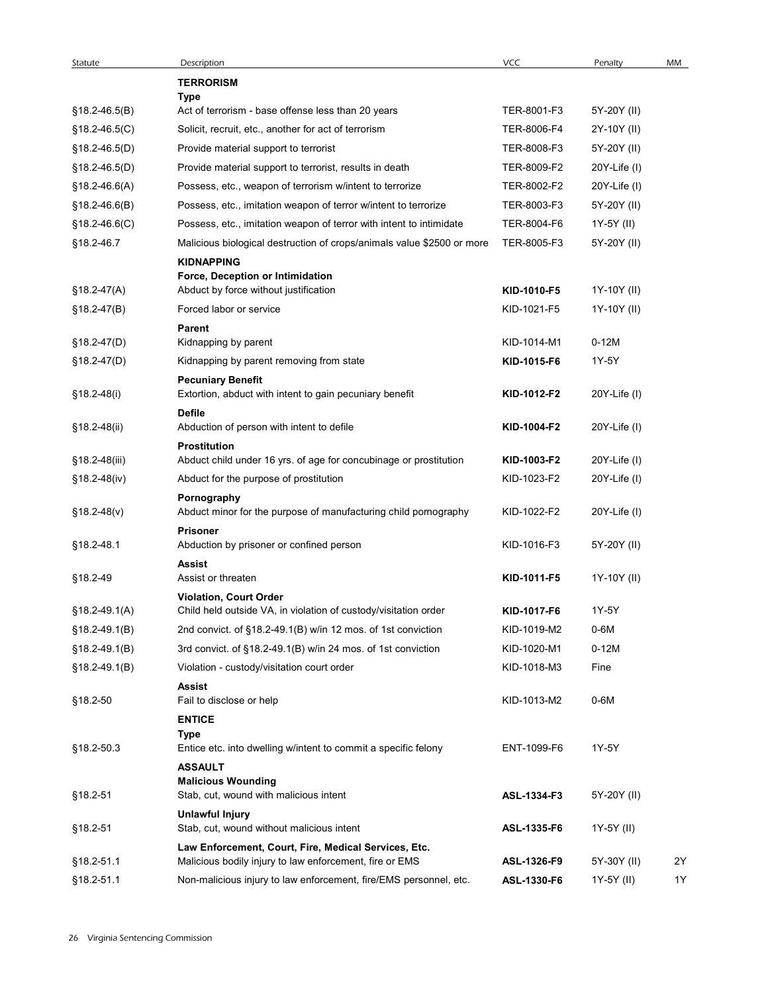| Statute                          | Description                                                                                                         | VCC                        | Penalty                      | MM |
|----------------------------------|---------------------------------------------------------------------------------------------------------------------|----------------------------|------------------------------|----|
|                                  | <b>TERRORISM</b>                                                                                                    |                            |                              |    |
|                                  | Type                                                                                                                |                            |                              |    |
| §18.2-46.5(B)                    | Act of terrorism - base offense less than 20 years                                                                  | TER-8001-F3                | 5Y-20Y (II)                  |    |
| §18.2-46.5(C)                    | Solicit, recruit, etc., another for act of terrorism                                                                | TER-8006-F4                | 2Y-10Y (II)                  |    |
| §18.2-46.5(D)                    | Provide material support to terrorist                                                                               | TER-8008-F3<br>TER-8009-F2 | 5Y-20Y (II)                  |    |
| §18.2-46.5(D)<br>$§18.2-46.6(A)$ | Provide material support to terrorist, results in death<br>Possess, etc., weapon of terrorism w/intent to terrorize | TER-8002-F2                | 20Y-Life (I)<br>20Y-Life (I) |    |
| $§18.2-46.6(B)$                  | Possess, etc., imitation weapon of terror w/intent to terrorize                                                     | TER-8003-F3                | 5Y-20Y (II)                  |    |
| $§18.2-46.6(C)$                  | Possess, etc., imitation weapon of terror with intent to intimidate                                                 | TER-8004-F6                | 1Y-5Y (II)                   |    |
| §18.2-46.7                       | Malicious biological destruction of crops/animals value \$2500 or more                                              | TER-8005-F3                | 5Y-20Y (II)                  |    |
|                                  | <b>KIDNAPPING</b>                                                                                                   |                            |                              |    |
|                                  | Force, Deception or Intimidation                                                                                    |                            |                              |    |
| §18.2-47(A)                      | Abduct by force without justification                                                                               | KID-1010-F5                | 1Y-10Y (II)                  |    |
| $$18.2-47(B)$                    | Forced labor or service                                                                                             | KID-1021-F5                | 1Y-10Y (II)                  |    |
| §18.2-47(D)                      | Parent<br>Kidnapping by parent                                                                                      | KID-1014-M1                | $0-12M$                      |    |
| $$18.2-47(D)$                    | Kidnapping by parent removing from state                                                                            | KID-1015-F6                | 1Y-5Y                        |    |
| §18.2-48(i)                      | <b>Pecuniary Benefit</b><br>Extortion, abduct with intent to gain pecuniary benefit                                 | KID-1012-F2                | 20Y-Life (I)                 |    |
|                                  | <b>Defile</b>                                                                                                       |                            |                              |    |
| §18.2-48(ii)                     | Abduction of person with intent to defile<br><b>Prostitution</b>                                                    | KID-1004-F2                | 20Y-Life (I)                 |    |
| §18.2-48(iii)                    | Abduct child under 16 yrs. of age for concubinage or prostitution                                                   | KID-1003-F2                | 20Y-Life (I)                 |    |
| §18.2-48(iv)                     | Abduct for the purpose of prostitution                                                                              | KID-1023-F2                | 20Y-Life (I)                 |    |
| $$18.2-48(v)$                    | Pornography<br>Abduct minor for the purpose of manufacturing child pornography                                      | KID-1022-F2                | 20Y-Life (I)                 |    |
| §18.2-48.1                       | Prisoner<br>Abduction by prisoner or confined person                                                                | KID-1016-F3                | 5Y-20Y (II)                  |    |
| §18.2-49                         | <b>Assist</b><br>Assist or threaten                                                                                 | KID-1011-F5                | 1Y-10Y (II)                  |    |
|                                  | Violation, Court Order                                                                                              |                            |                              |    |
| §18.2-49.1(A)                    | Child held outside VA, in violation of custody/visitation order                                                     | KID-1017-F6                | 1Y-5Y                        |    |
| §18.2-49.1(B)                    | 2nd convict. of §18.2-49.1(B) w/in 12 mos. of 1st conviction                                                        | KID-1019-M2                | 0-6M                         |    |
| §18.2-49.1(B)                    | 3rd convict. of §18.2-49.1(B) w/in 24 mos. of 1st conviction                                                        | KID-1020-M1                | $0-12M$                      |    |
| §18.2-49.1(B)                    | Violation - custody/visitation court order                                                                          | KID-1018-M3                | Fine                         |    |
|                                  | Assist                                                                                                              |                            |                              |    |
| §18.2-50                         | Fail to disclose or help                                                                                            | KID-1013-M2                | 0-6M                         |    |
|                                  | <b>ENTICE</b><br>Type                                                                                               |                            |                              |    |
| §18.2-50.3                       | Entice etc. into dwelling w/intent to commit a specific felony                                                      | ENT-1099-F6                | 1Y-5Y                        |    |
|                                  | <b>ASSAULT</b>                                                                                                      |                            |                              |    |
| §18.2-51                         | <b>Malicious Wounding</b><br>Stab, cut, wound with malicious intent                                                 | ASL-1334-F3                | 5Y-20Y (II)                  |    |
|                                  | <b>Unlawful Injury</b>                                                                                              |                            |                              |    |
| §18.2-51                         | Stab, cut, wound without malicious intent                                                                           | ASL-1335-F6                | 1Y-5Y (II)                   |    |
|                                  | Law Enforcement, Court, Fire, Medical Services, Etc.                                                                |                            |                              |    |
| §18.2-51.1                       | Malicious bodily injury to law enforcement, fire or EMS                                                             | ASL-1326-F9                | 5Y-30Y (II)                  | 2Y |
| §18.2-51.1                       | Non-malicious injury to law enforcement, fire/EMS personnel, etc.                                                   | ASL-1330-F6                | 1Y-5Y (II)                   | 1Y |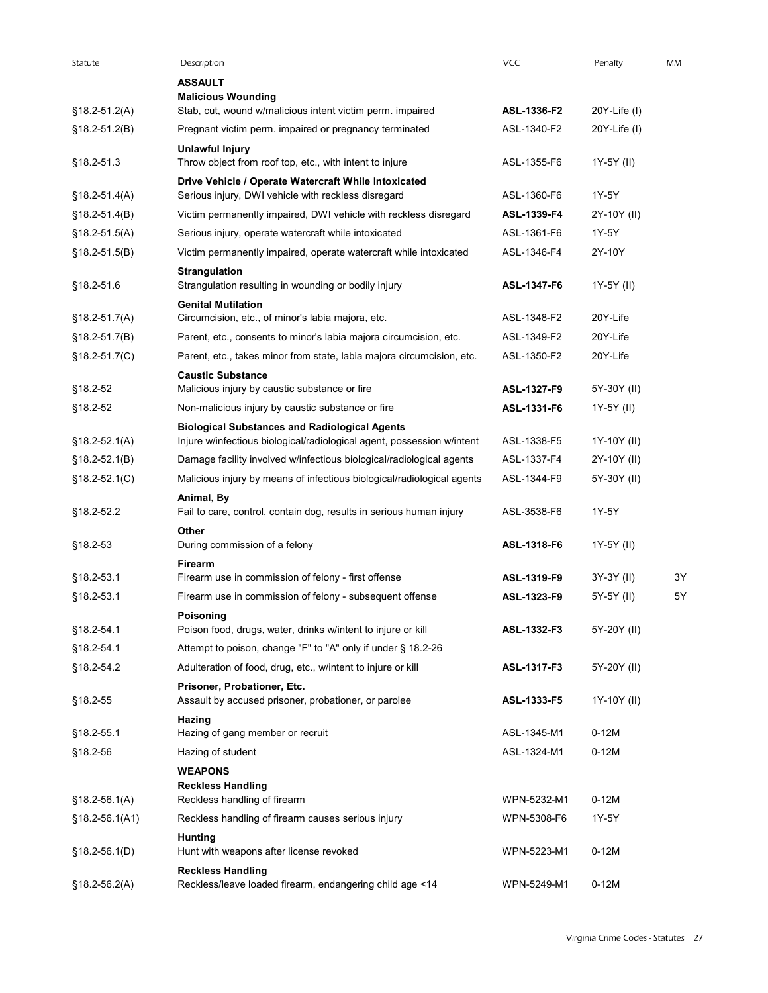| Statute            | Description                                                                                                 | VCC                        | Penalty      | MM |
|--------------------|-------------------------------------------------------------------------------------------------------------|----------------------------|--------------|----|
|                    | <b>ASSAULT</b>                                                                                              |                            |              |    |
| $$18.2 - 51.2(A)$  | <b>Malicious Wounding</b><br>Stab, cut, wound w/malicious intent victim perm. impaired                      | ASL-1336-F2                | 20Y-Life (I) |    |
| $$18.2-51.2(B)$    | Pregnant victim perm. impaired or pregnancy terminated                                                      | ASL-1340-F2                | 20Y-Life (I) |    |
| §18.2-51.3         | <b>Unlawful Injury</b><br>Throw object from roof top, etc., with intent to injure                           | ASL-1355-F6                | 1Y-5Y (II)   |    |
| $$18.2 - 51.4(A)$  | Drive Vehicle / Operate Watercraft While Intoxicated<br>Serious injury, DWI vehicle with reckless disregard | ASL-1360-F6                | 1Y-5Y        |    |
| $§18.2-51.4(B)$    | Victim permanently impaired, DWI vehicle with reckless disregard                                            | ASL-1339-F4                | 2Y-10Y (II)  |    |
| $$18.2 - 51.5(A)$  | Serious injury, operate watercraft while intoxicated                                                        | ASL-1361-F6                | 1Y-5Y        |    |
| $§18.2-51.5(B)$    | Victim permanently impaired, operate watercraft while intoxicated                                           | ASL-1346-F4                | 2Y-10Y       |    |
| §18.2-51.6         | <b>Strangulation</b><br>Strangulation resulting in wounding or bodily injury                                |                            | 1Y-5Y (II)   |    |
| $$18.2 - 51.7(A)$  | <b>Genital Mutilation</b><br>Circumcision, etc., of minor's labia majora, etc.                              | ASL-1347-F6<br>ASL-1348-F2 | 20Y-Life     |    |
|                    |                                                                                                             | ASL-1349-F2                | 20Y-Life     |    |
| $$18.2-51.7(B)$    | Parent, etc., consents to minor's labia majora circumcision, etc.                                           |                            |              |    |
| $$18.2 - 51.7(C)$  | Parent, etc., takes minor from state, labia majora circumcision, etc.<br><b>Caustic Substance</b>           | ASL-1350-F2                | 20Y-Life     |    |
| §18.2-52           | Malicious injury by caustic substance or fire                                                               | ASL-1327-F9                | 5Y-30Y (II)  |    |
| §18.2-52           | Non-malicious injury by caustic substance or fire<br><b>Biological Substances and Radiological Agents</b>   | ASL-1331-F6                | 1Y-5Y (II)   |    |
| $$18.2-52.1(A)$    | Injure w/infectious biological/radiological agent, possession w/intent                                      | ASL-1338-F5                | 1Y-10Y (II)  |    |
| $§18.2-52.1(B)$    | Damage facility involved w/infectious biological/radiological agents                                        | ASL-1337-F4                | 2Y-10Y (II)  |    |
| $$18.2 - 52.1(C)$  | Malicious injury by means of infectious biological/radiological agents<br>Animal, By                        | ASL-1344-F9                | 5Y-30Y (II)  |    |
| §18.2-52.2         | Fail to care, control, contain dog, results in serious human injury<br>Other                                | ASL-3538-F6                | 1Y-5Y        |    |
| §18.2-53           | During commission of a felony<br>Firearm                                                                    | ASL-1318-F6                | 1Y-5Y (II)   |    |
| §18.2-53.1         | Firearm use in commission of felony - first offense                                                         | ASL-1319-F9                | 3Y-3Y (II)   | 3Y |
| §18.2-53.1         | Firearm use in commission of felony - subsequent offense<br>Poisoning                                       | ASL-1323-F9                | 5Y-5Y (II)   | 5Y |
| §18.2-54.1         | Poison food, drugs, water, drinks w/intent to injure or kill                                                | ASL-1332-F3                | 5Y-20Y (II)  |    |
| §18.2-54.1         | Attempt to poison, change "F" to "A" only if under § 18.2-26                                                |                            |              |    |
| §18.2-54.2         | Adulteration of food, drug, etc., w/intent to injure or kill<br>Prisoner, Probationer, Etc.                 | ASL-1317-F3                | 5Y-20Y (II)  |    |
| §18.2-55           | Assault by accused prisoner, probationer, or parolee                                                        | ASL-1333-F5                | 1Y-10Y (II)  |    |
| §18.2-55.1         | Hazing<br>Hazing of gang member or recruit                                                                  | ASL-1345-M1                | $0-12M$      |    |
| §18.2-56           | Hazing of student                                                                                           | ASL-1324-M1                | $0-12M$      |    |
|                    | <b>WEAPONS</b><br><b>Reckless Handling</b>                                                                  |                            |              |    |
| $$18.2 - 56.1(A)$  | Reckless handling of firearm                                                                                | WPN-5232-M1                | $0-12M$      |    |
| $$18.2 - 56.1(A1)$ | Reckless handling of firearm causes serious injury<br><b>Hunting</b>                                        | WPN-5308-F6                | 1Y-5Y        |    |
| $§18.2-56.1(D)$    | Hunt with weapons after license revoked<br><b>Reckless Handling</b>                                         | WPN-5223-M1                | $0-12M$      |    |
| $$18.2 - 56.2(A)$  | Reckless/leave loaded firearm, endangering child age <14                                                    | WPN-5249-M1                | $0-12M$      |    |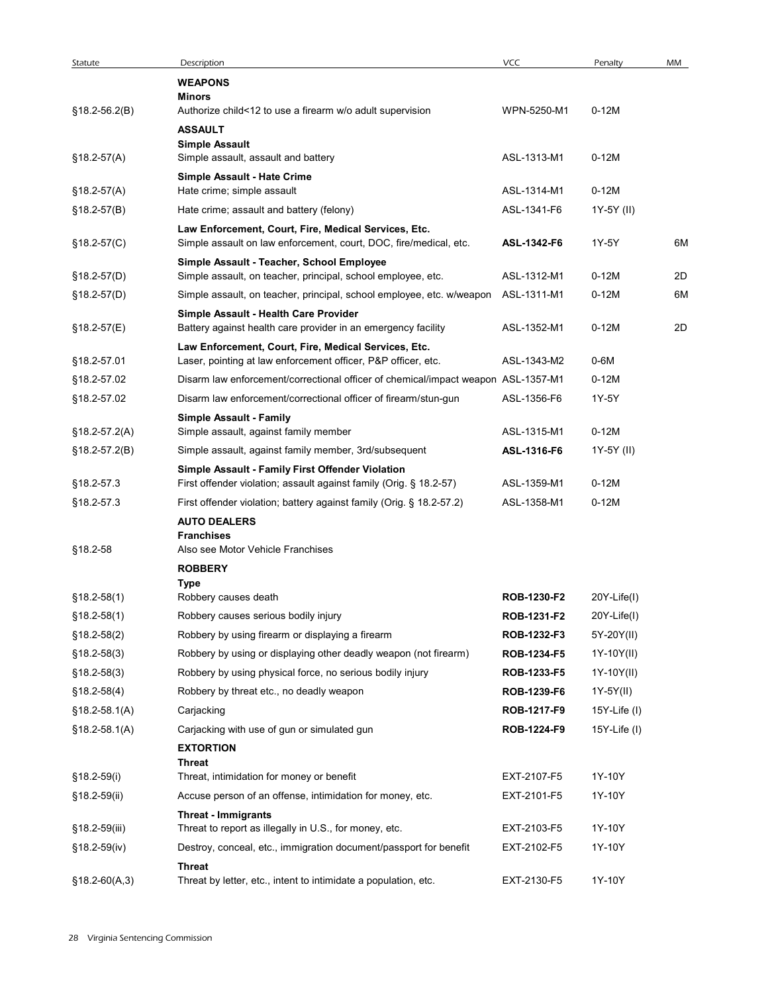| Statute           | Description<br><b>WEAPONS</b>                                                                                             | VCC         | Penalty            | MM |
|-------------------|---------------------------------------------------------------------------------------------------------------------------|-------------|--------------------|----|
|                   | Minors                                                                                                                    |             |                    |    |
| $$18.2-56.2(B)$   | Authorize child<12 to use a firearm w/o adult supervision                                                                 | WPN-5250-M1 | $0-12M$            |    |
|                   | <b>ASSAULT</b><br><b>Simple Assault</b>                                                                                   |             |                    |    |
| $$18.2-57(A)$     | Simple assault, assault and battery                                                                                       | ASL-1313-M1 | $0-12M$            |    |
|                   | Simple Assault - Hate Crime                                                                                               |             |                    |    |
| $$18.2-57(A)$     | Hate crime; simple assault                                                                                                | ASL-1314-M1 | $0-12M$            |    |
| $§18.2-57(B)$     | Hate crime; assault and battery (felony)                                                                                  | ASL-1341-F6 | 1Y-5Y (II)         |    |
| $§18.2-57(C)$     | Law Enforcement, Court, Fire, Medical Services, Etc.<br>Simple assault on law enforcement, court, DOC, fire/medical, etc. | ASL-1342-F6 | 1Y-5Y              | 6M |
| §18.2-57(D)       | Simple Assault - Teacher, School Employee<br>Simple assault, on teacher, principal, school employee, etc.                 | ASL-1312-M1 | $0-12M$            | 2D |
| $$18.2-57(D)$     | Simple assault, on teacher, principal, school employee, etc. w/weapon                                                     | ASL-1311-M1 | $0-12M$            | 6M |
|                   | Simple Assault - Health Care Provider                                                                                     |             |                    |    |
| $$18.2-57(E)$     | Battery against health care provider in an emergency facility                                                             | ASL-1352-M1 | $0 - 12M$          | 2D |
|                   | Law Enforcement, Court, Fire, Medical Services, Etc.                                                                      |             |                    |    |
| §18.2-57.01       | Laser, pointing at law enforcement officer, P&P officer, etc.                                                             | ASL-1343-M2 | 0-6M               |    |
| §18.2-57.02       | Disarm law enforcement/correctional officer of chemical/impact weapon ASL-1357-M1                                         |             | $0-12M$            |    |
| §18.2-57.02       | Disarm law enforcement/correctional officer of firearm/stun-gun                                                           | ASL-1356-F6 | 1Y-5Y              |    |
| $$18.2-57.2(A)$   | <b>Simple Assault - Family</b><br>Simple assault, against family member                                                   | ASL-1315-M1 | $0-12M$            |    |
| $$18.2-57.2(B)$   | Simple assault, against family member, 3rd/subsequent                                                                     | ASL-1316-F6 | 1Y-5Y (II)         |    |
|                   | Simple Assault - Family First Offender Violation                                                                          |             |                    |    |
| §18.2-57.3        | First offender violation; assault against family (Orig. § 18.2-57)                                                        | ASL-1359-M1 | $0-12M$            |    |
| §18.2-57.3        | First offender violation; battery against family (Orig. § 18.2-57.2)                                                      | ASL-1358-M1 | $0-12M$            |    |
|                   | <b>AUTO DEALERS</b>                                                                                                       |             |                    |    |
|                   | <b>Franchises</b>                                                                                                         |             |                    |    |
| §18.2-58          | Also see Motor Vehicle Franchises                                                                                         |             |                    |    |
|                   | <b>ROBBERY</b><br>Type                                                                                                    |             |                    |    |
| $$18.2 - 58(1)$   | Robbery causes death                                                                                                      | ROB-1230-F2 | 20Y-Life(I)        |    |
| $$18.2-58(1)$     | Robbery causes serious bodily injury                                                                                      | ROB-1231-F2 | 20Y-Life(I)        |    |
| $$18.2-58(2)$     | Robbery by using firearm or displaying a firearm                                                                          | ROB-1232-F3 | 5Y-20Y(II)         |    |
| $$18.2 - 58(3)$   | Robbery by using or displaying other deadly weapon (not firearm)                                                          | ROB-1234-F5 | 1Y-10Y(II)         |    |
| $$18.2 - 58(3)$   | Robbery by using physical force, no serious bodily injury                                                                 | ROB-1233-F5 | 1Y-10Y(II)         |    |
| $$18.2-58(4)$     | Robbery by threat etc., no deadly weapon                                                                                  | ROB-1239-F6 | $1Y-5Y(II)$        |    |
| $$18.2 - 58.1(A)$ | Carjacking                                                                                                                | ROB-1217-F9 | 15Y-Life $($ l $)$ |    |
| $$18.2 - 58.1(A)$ | Carjacking with use of gun or simulated gun                                                                               | ROB-1224-F9 | 15Y-Life $($ l $)$ |    |
|                   | <b>EXTORTION</b><br>Threat                                                                                                |             |                    |    |
| §18.2-59(i)       | Threat, intimidation for money or benefit                                                                                 | EXT-2107-F5 | 1Y-10Y             |    |
| §18.2-59(ii)      | Accuse person of an offense, intimidation for money, etc.                                                                 | EXT-2101-F5 | 1Y-10Y             |    |
|                   | <b>Threat - Immigrants</b>                                                                                                | EXT-2103-F5 |                    |    |
| §18.2-59(iii)     | Threat to report as illegally in U.S., for money, etc.                                                                    |             | 1Y-10Y             |    |
| $§18.2-59(iv)$    | Destroy, conceal, etc., immigration document/passport for benefit                                                         | EXT-2102-F5 | 1Y-10Y             |    |
| $$18.2-60(A,3)$   | Threat<br>Threat by letter, etc., intent to intimidate a population, etc.                                                 | EXT-2130-F5 | 1Y-10Y             |    |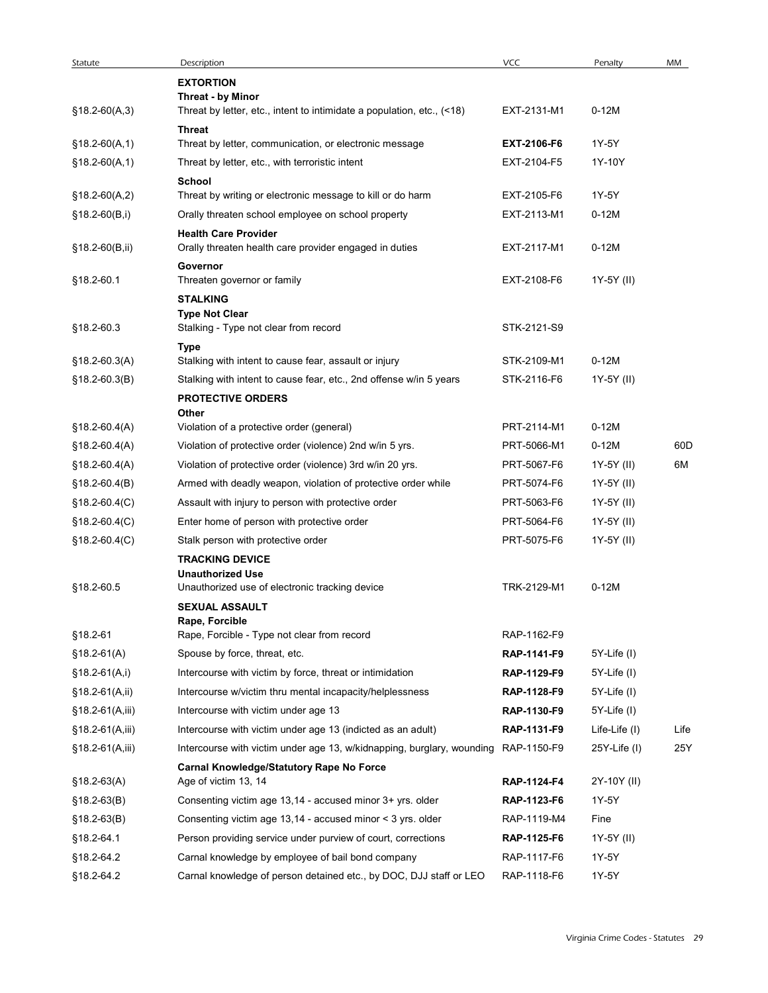| Statute           | Description                                                                                 | <b>VCC</b>         | Penalty           | MM   |
|-------------------|---------------------------------------------------------------------------------------------|--------------------|-------------------|------|
|                   | <b>EXTORTION</b>                                                                            |                    |                   |      |
| $$18.2-60(A,3)$   | Threat - by Minor<br>Threat by letter, etc., intent to intimidate a population, etc., (<18) | EXT-2131-M1        | $0-12M$           |      |
|                   | <b>Threat</b>                                                                               |                    |                   |      |
| $$18.2-60(A,1)$   | Threat by letter, communication, or electronic message                                      | EXT-2106-F6        | 1Y-5Y             |      |
| $§18.2-60(A,1)$   | Threat by letter, etc., with terroristic intent                                             | EXT-2104-F5        | 1Y-10Y            |      |
|                   | School                                                                                      |                    |                   |      |
| $$18.2-60(A,2)$   | Threat by writing or electronic message to kill or do harm                                  | EXT-2105-F6        | 1Y-5Y             |      |
| $$18.2-60(B,i)$   | Orally threaten school employee on school property                                          | EXT-2113-M1        | $0-12M$           |      |
|                   | <b>Health Care Provider</b>                                                                 |                    |                   |      |
| $$18.2-60(B, ii)$ | Orally threaten health care provider engaged in duties                                      | EXT-2117-M1        | $0-12M$           |      |
|                   | Governor                                                                                    |                    |                   |      |
| §18.2-60.1        | Threaten governor or family                                                                 | EXT-2108-F6        | 1Y-5Y (II)        |      |
|                   | <b>STALKING</b><br><b>Type Not Clear</b>                                                    |                    |                   |      |
| §18.2-60.3        | Stalking - Type not clear from record                                                       | STK-2121-S9        |                   |      |
|                   | Type                                                                                        |                    |                   |      |
| $$18.2-60.3(A)$   | Stalking with intent to cause fear, assault or injury                                       | STK-2109-M1        | $0-12M$           |      |
| $$18.2-60.3(B)$   | Stalking with intent to cause fear, etc., 2nd offense w/in 5 years                          | STK-2116-F6        | 1Y-5Y (II)        |      |
|                   | <b>PROTECTIVE ORDERS</b>                                                                    |                    |                   |      |
|                   | Other<br>Violation of a protective order (general)                                          | PRT-2114-M1        | $0-12M$           |      |
| $$18.2-60.4(A)$   |                                                                                             |                    |                   |      |
| $$18.2 - 60.4(A)$ | Violation of protective order (violence) 2nd w/in 5 yrs.                                    | PRT-5066-M1        | $0-12M$           | 60D  |
| $$18.2-60.4(A)$   | Violation of protective order (violence) 3rd w/in 20 yrs.                                   | PRT-5067-F6        | 1Y-5Y (II)        | 6M   |
| $$18.2-60.4(B)$   | Armed with deadly weapon, violation of protective order while                               | PRT-5074-F6        | 1Y-5Y (II)        |      |
| $$18.2-60.4(C)$   | Assault with injury to person with protective order                                         | PRT-5063-F6        | 1Y-5Y (II)        |      |
| $$18.2-60.4(C)$   | Enter home of person with protective order                                                  | PRT-5064-F6        | 1Y-5Y (II)        |      |
| $$18.2-60.4(C)$   | Stalk person with protective order                                                          | PRT-5075-F6        | 1Y-5Y (II)        |      |
|                   | <b>TRACKING DEVICE</b><br><b>Unauthorized Use</b>                                           |                    |                   |      |
| §18.2-60.5        | Unauthorized use of electronic tracking device                                              | TRK-2129-M1        | $0-12M$           |      |
|                   | <b>SEXUAL ASSAULT</b>                                                                       |                    |                   |      |
|                   | Rape, Forcible                                                                              |                    |                   |      |
| §18.2-61          | Rape, Forcible - Type not clear from record                                                 | RAP-1162-F9        |                   |      |
| $$18.2-61(A)$     | Spouse by force, threat, etc.                                                               | RAP-1141-F9        | 5Y-Life (I)       |      |
| $$18.2-61(A,i)$   | Intercourse with victim by force, threat or intimidation                                    | RAP-1129-F9        | 5Y-Life (I)       |      |
| $$18.2-61(A, ii)$ | Intercourse w/victim thru mental incapacity/helplessness                                    | RAP-1128-F9        | 5Y-Life (I)       |      |
| §18.2-61(A,iii)   | Intercourse with victim under age 13                                                        | <b>RAP-1130-F9</b> | 5Y-Life (I)       |      |
| §18.2-61(A,iii)   | Intercourse with victim under age 13 (indicted as an adult)                                 | RAP-1131-F9        | Life-Life (I)     | Life |
| §18.2-61(A,iii)   | Intercourse with victim under age 13, w/kidnapping, burglary, wounding                      | RAP-1150-F9        | $25Y$ -Life $(1)$ | 25Y  |
|                   | <b>Carnal Knowledge/Statutory Rape No Force</b>                                             |                    |                   |      |
| $$18.2-63(A)$     | Age of victim 13, 14                                                                        | <b>RAP-1124-F4</b> | 2Y-10Y (II)       |      |
| $$18.2-63(B)$     | Consenting victim age 13,14 - accused minor 3+ yrs. older                                   | RAP-1123-F6        | 1Y-5Y             |      |
| $$18.2-63(B)$     | Consenting victim age 13,14 - accused minor < 3 yrs. older                                  | RAP-1119-M4        | Fine              |      |
| §18.2-64.1        | Person providing service under purview of court, corrections                                | RAP-1125-F6        | 1Y-5Y (II)        |      |
| §18.2-64.2        | Carnal knowledge by employee of bail bond company                                           | RAP-1117-F6        | 1Y-5Y             |      |
|                   | Carnal knowledge of person detained etc., by DOC, DJJ staff or LEO                          | RAP-1118-F6        |                   |      |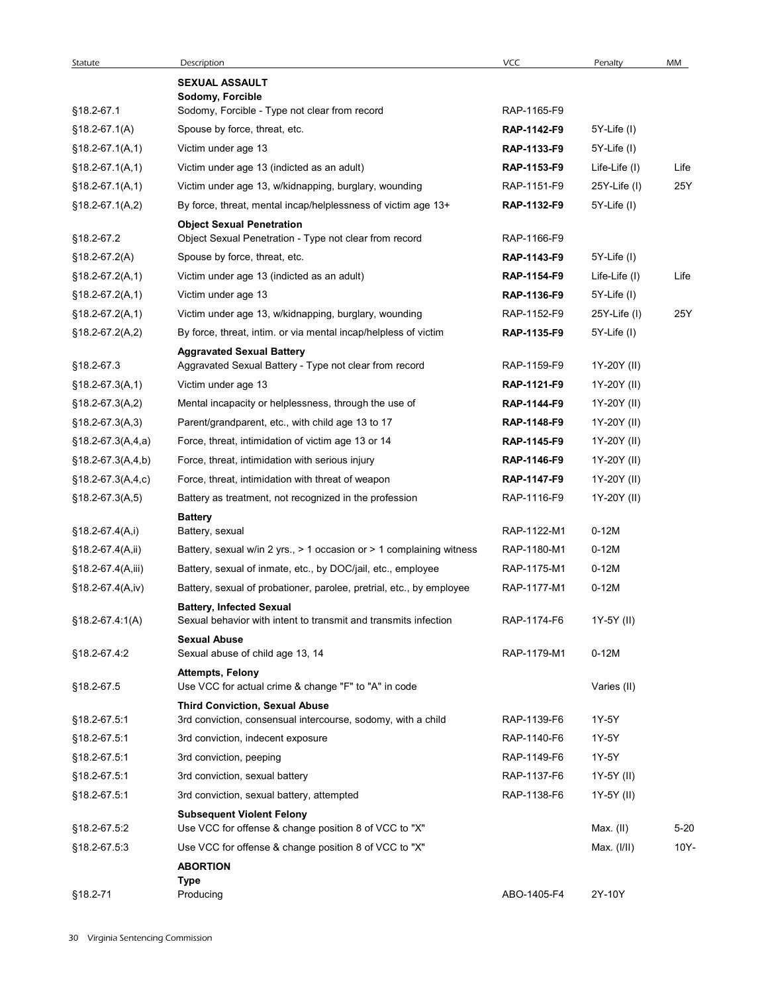| Statute             | Description                                                                                           | VCC                | Penalty           | MM       |
|---------------------|-------------------------------------------------------------------------------------------------------|--------------------|-------------------|----------|
|                     | <b>SEXUAL ASSAULT</b>                                                                                 |                    |                   |          |
|                     | Sodomy, Forcible                                                                                      |                    |                   |          |
| §18.2-67.1          | Sodomy, Forcible - Type not clear from record                                                         | RAP-1165-F9        |                   |          |
| $$18.2-67.1(A)$     | Spouse by force, threat, etc.                                                                         | RAP-1142-F9        | 5Y-Life (I)       |          |
| $§18.2-67.1(A,1)$   | Victim under age 13                                                                                   | RAP-1133-F9        | 5Y-Life (I)       |          |
| $§18.2-67.1(A,1)$   | Victim under age 13 (indicted as an adult)                                                            | RAP-1153-F9        | Life-Life (I)     | Life     |
| $$18.2-67.1(A,1)$   | Victim under age 13, w/kidnapping, burglary, wounding                                                 | RAP-1151-F9        | 25Y-Life (I)      | 25Y      |
| $§18.2-67.1(A,2)$   | By force, threat, mental incap/helplessness of victim age 13+                                         | RAP-1132-F9        | 5Y-Life (I)       |          |
| §18.2-67.2          | <b>Object Sexual Penetration</b><br>Object Sexual Penetration - Type not clear from record            | RAP-1166-F9        |                   |          |
| $$18.2-67.2(A)$     | Spouse by force, threat, etc.                                                                         | RAP-1143-F9        | 5Y-Life (I)       |          |
| $$18.2-67.2(A,1)$   | Victim under age 13 (indicted as an adult)                                                            | RAP-1154-F9        | Life-Life (I)     | Life     |
| $$18.2-67.2(A,1)$   | Victim under age 13                                                                                   | RAP-1136-F9        | 5Y-Life (I)       |          |
| $$18.2-67.2(A,1)$   | Victim under age 13, w/kidnapping, burglary, wounding                                                 | RAP-1152-F9        | $25Y$ -Life $(1)$ | 25Y      |
| §18.2-67.2(A,2)     | By force, threat, intim. or via mental incap/helpless of victim                                       | RAP-1135-F9        | 5Y-Life (I)       |          |
|                     | <b>Aggravated Sexual Battery</b>                                                                      |                    |                   |          |
| §18.2-67.3          | Aggravated Sexual Battery - Type not clear from record                                                | RAP-1159-F9        | 1Y-20Y (II)       |          |
| $$18.2-67.3(A,1)$   | Victim under age 13                                                                                   | RAP-1121-F9        | 1Y-20Y (II)       |          |
| $$18.2-67.3(A,2)$   | Mental incapacity or helplessness, through the use of                                                 | <b>RAP-1144-F9</b> | 1Y-20Y (II)       |          |
| $$18.2-67.3(A,3)$   | Parent/grandparent, etc., with child age 13 to 17                                                     | RAP-1148-F9        | 1Y-20Y (II)       |          |
| $$18.2-67.3(A,4,a)$ | Force, threat, intimidation of victim age 13 or 14                                                    | RAP-1145-F9        | 1Y-20Y (II)       |          |
| $$18.2-67.3(A,4,b)$ | Force, threat, intimidation with serious injury                                                       | RAP-1146-F9        | 1Y-20Y (II)       |          |
| $$18.2-67.3(A,4,c)$ | Force, threat, intimidation with threat of weapon                                                     | RAP-1147-F9        | 1Y-20Y (II)       |          |
| $$18.2-67.3(A,5)$   | Battery as treatment, not recognized in the profession                                                | RAP-1116-F9        | 1Y-20Y (II)       |          |
|                     | <b>Battery</b>                                                                                        |                    |                   |          |
| $$18.2-67.4(A,i)$   | Battery, sexual                                                                                       | RAP-1122-M1        | $0-12M$           |          |
| §18.2-67.4(A,ii)    | Battery, sexual w/in 2 yrs., > 1 occasion or > 1 complaining witness                                  | RAP-1180-M1        | $0-12M$           |          |
| §18.2-67.4(A,iii)   | Battery, sexual of inmate, etc., by DOC/jail, etc., employee                                          | RAP-1175-M1        | $0-12M$           |          |
| $$18.2-67.4(A,iv)$  | Battery, sexual of probationer, parolee, pretrial, etc., by employee                                  | RAP-1177-M1        | $0-12M$           |          |
| $$18.2-67.4:1(A)$   | <b>Battery, Infected Sexual</b><br>Sexual behavior with intent to transmit and transmits infection    | RAP-1174-F6        | 1Y-5Y (II)        |          |
|                     | <b>Sexual Abuse</b>                                                                                   |                    |                   |          |
| §18.2-67.4:2        | Sexual abuse of child age 13, 14                                                                      | RAP-1179-M1        | $0-12M$           |          |
|                     | <b>Attempts, Felony</b>                                                                               |                    |                   |          |
| §18.2-67.5          | Use VCC for actual crime & change "F" to "A" in code                                                  |                    | Varies (II)       |          |
| §18.2-67.5:1        | <b>Third Conviction, Sexual Abuse</b><br>3rd conviction, consensual intercourse, sodomy, with a child | RAP-1139-F6        | 1Y-5Y             |          |
| §18.2-67.5:1        | 3rd conviction, indecent exposure                                                                     | RAP-1140-F6        | 1Y-5Y             |          |
| §18.2-67.5:1        | 3rd conviction, peeping                                                                               | RAP-1149-F6        | 1Y-5Y             |          |
| §18.2-67.5:1        | 3rd conviction, sexual battery                                                                        | RAP-1137-F6        | 1Y-5Y (II)        |          |
| §18.2-67.5:1        | 3rd conviction, sexual battery, attempted                                                             | RAP-1138-F6        | 1Y-5Y (II)        |          |
|                     |                                                                                                       |                    |                   |          |
| §18.2-67.5:2        | <b>Subsequent Violent Felony</b><br>Use VCC for offense & change position 8 of VCC to "X"             |                    | Max. (II)         | $5 - 20$ |
| §18.2-67.5:3        | Use VCC for offense & change position 8 of VCC to "X"                                                 |                    | Max. $(1/11)$     | 10Y-     |
|                     | <b>ABORTION</b>                                                                                       |                    |                   |          |
|                     | Type                                                                                                  |                    |                   |          |
| §18.2-71            | Producing                                                                                             | ABO-1405-F4        | 2Y-10Y            |          |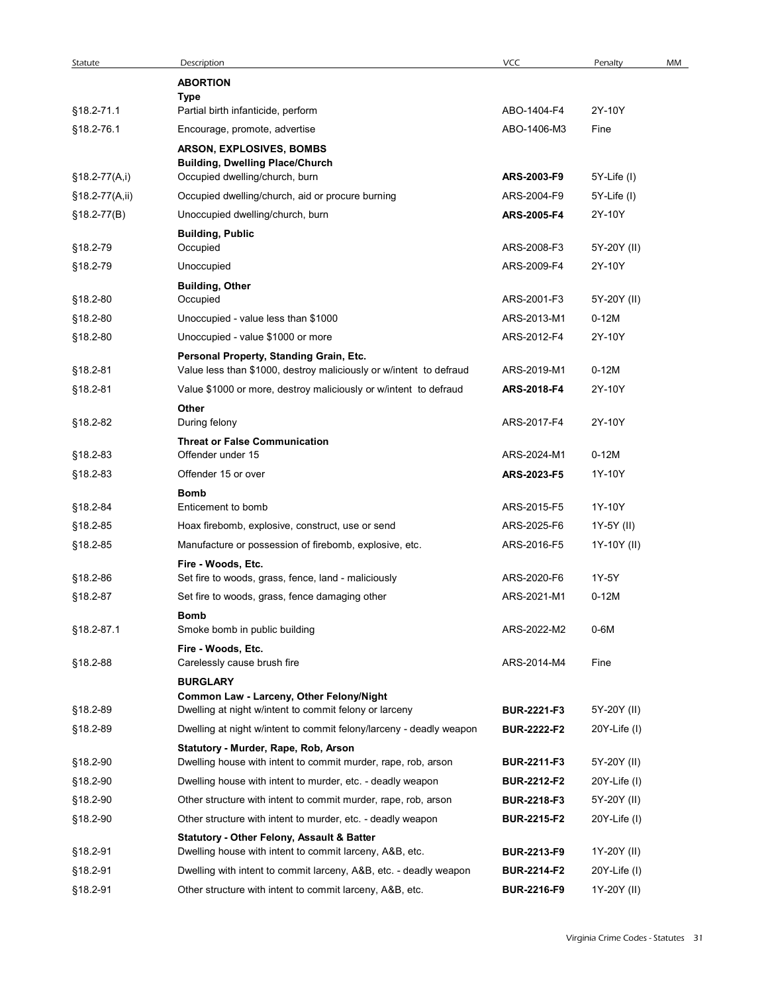| Statute              | Description                                                                                                                   | <b>VCC</b>                               | Penalty                        | MM |
|----------------------|-------------------------------------------------------------------------------------------------------------------------------|------------------------------------------|--------------------------------|----|
|                      | <b>ABORTION</b><br>Type                                                                                                       |                                          |                                |    |
| §18.2-71.1           | Partial birth infanticide, perform                                                                                            | ABO-1404-F4                              | 2Y-10Y                         |    |
| §18.2-76.1           | Encourage, promote, advertise                                                                                                 | ABO-1406-M3                              | Fine                           |    |
|                      | ARSON, EXPLOSIVES, BOMBS                                                                                                      |                                          |                                |    |
| §18.2-77(A,i)        | <b>Building, Dwelling Place/Church</b><br>Occupied dwelling/church, burn                                                      | ARS-2003-F9                              | 5Y-Life (I)                    |    |
| §18.2-77(A,ii)       | Occupied dwelling/church, aid or procure burning                                                                              | ARS-2004-F9                              | 5Y-Life (I)                    |    |
| $$18.2-77(B)$        | Unoccupied dwelling/church, burn                                                                                              | ARS-2005-F4                              | 2Y-10Y                         |    |
|                      | <b>Building, Public</b>                                                                                                       |                                          |                                |    |
| §18.2-79<br>§18.2-79 | Occupied<br>Unoccupied                                                                                                        | ARS-2008-F3<br>ARS-2009-F4               | 5Y-20Y (II)<br>2Y-10Y          |    |
|                      | <b>Building, Other</b>                                                                                                        |                                          |                                |    |
| §18.2-80             | Occupied                                                                                                                      | ARS-2001-F3                              | 5Y-20Y (II)                    |    |
| §18.2-80             | Unoccupied - value less than \$1000                                                                                           | ARS-2013-M1                              | $0-12M$                        |    |
| §18.2-80             | Unoccupied - value \$1000 or more                                                                                             | ARS-2012-F4                              | 2Y-10Y                         |    |
| §18.2-81             | Personal Property, Standing Grain, Etc.<br>Value less than \$1000, destroy maliciously or w/intent to defraud                 | ARS-2019-M1                              | $0-12M$                        |    |
| §18.2-81             | Value \$1000 or more, destroy maliciously or w/intent to defraud                                                              | ARS-2018-F4                              | 2Y-10Y                         |    |
|                      | Other                                                                                                                         |                                          |                                |    |
| §18.2-82             | During felony                                                                                                                 | ARS-2017-F4                              | 2Y-10Y                         |    |
| §18.2-83             | <b>Threat or False Communication</b><br>Offender under 15                                                                     | ARS-2024-M1                              | $0-12M$                        |    |
| §18.2-83             | Offender 15 or over                                                                                                           | ARS-2023-F5                              | 1Y-10Y                         |    |
|                      | <b>Bomb</b>                                                                                                                   |                                          |                                |    |
| §18.2-84             | Enticement to bomb                                                                                                            | ARS-2015-F5                              | 1Y-10Y                         |    |
| §18.2-85<br>§18.2-85 | Hoax firebomb, explosive, construct, use or send<br>Manufacture or possession of firebomb, explosive, etc.                    | ARS-2025-F6<br>ARS-2016-F5               | 1Y-5Y (II)<br>1Y-10Y (II)      |    |
|                      | Fire - Woods, Etc.                                                                                                            |                                          |                                |    |
| §18.2-86             | Set fire to woods, grass, fence, land - maliciously                                                                           | ARS-2020-F6                              | 1Y-5Y                          |    |
| §18.2-87             | Set fire to woods, grass, fence damaging other                                                                                | ARS-2021-M1                              | $0-12M$                        |    |
|                      | <b>Bomb</b>                                                                                                                   |                                          |                                |    |
| §18.2-87.1           | Smoke bomb in public building<br>Fire - Woods, Etc.                                                                           | ARS-2022-M2                              | 0-6M                           |    |
| §18.2-88             | Carelessly cause brush fire                                                                                                   | ARS-2014-M4                              | Fine                           |    |
|                      | <b>BURGLARY</b>                                                                                                               |                                          |                                |    |
| §18.2-89             | Common Law - Larceny, Other Felony/Night<br>Dwelling at night w/intent to commit felony or larceny                            | <b>BUR-2221-F3</b>                       | 5Y-20Y (II)                    |    |
| §18.2-89             | Dwelling at night w/intent to commit felony/larceny - deadly weapon                                                           | <b>BUR-2222-F2</b>                       | $20Y$ -Life (I)                |    |
|                      | Statutory - Murder, Rape, Rob, Arson                                                                                          |                                          |                                |    |
| §18.2-90             | Dwelling house with intent to commit murder, rape, rob, arson                                                                 | BUR-2211-F3                              | 5Y-20Y (II)                    |    |
| §18.2-90             | Dwelling house with intent to murder, etc. - deadly weapon                                                                    | <b>BUR-2212-F2</b>                       | $20Y$ -Life (I)                |    |
| §18.2-90<br>§18.2-90 | Other structure with intent to commit murder, rape, rob, arson<br>Other structure with intent to murder, etc. - deadly weapon | <b>BUR-2218-F3</b><br><b>BUR-2215-F2</b> | 5Y-20Y (II)<br>$20Y$ -Life (I) |    |
|                      | Statutory - Other Felony, Assault & Batter                                                                                    |                                          |                                |    |
| §18.2-91             | Dwelling house with intent to commit larceny, A&B, etc.                                                                       | <b>BUR-2213-F9</b>                       | 1Y-20Y (II)                    |    |
| §18.2-91             | Dwelling with intent to commit larceny, A&B, etc. - deadly weapon                                                             | <b>BUR-2214-F2</b>                       | $20Y$ -Life (I)                |    |
| §18.2-91             | Other structure with intent to commit larceny, A&B, etc.                                                                      | <b>BUR-2216-F9</b>                       | 1Y-20Y (II)                    |    |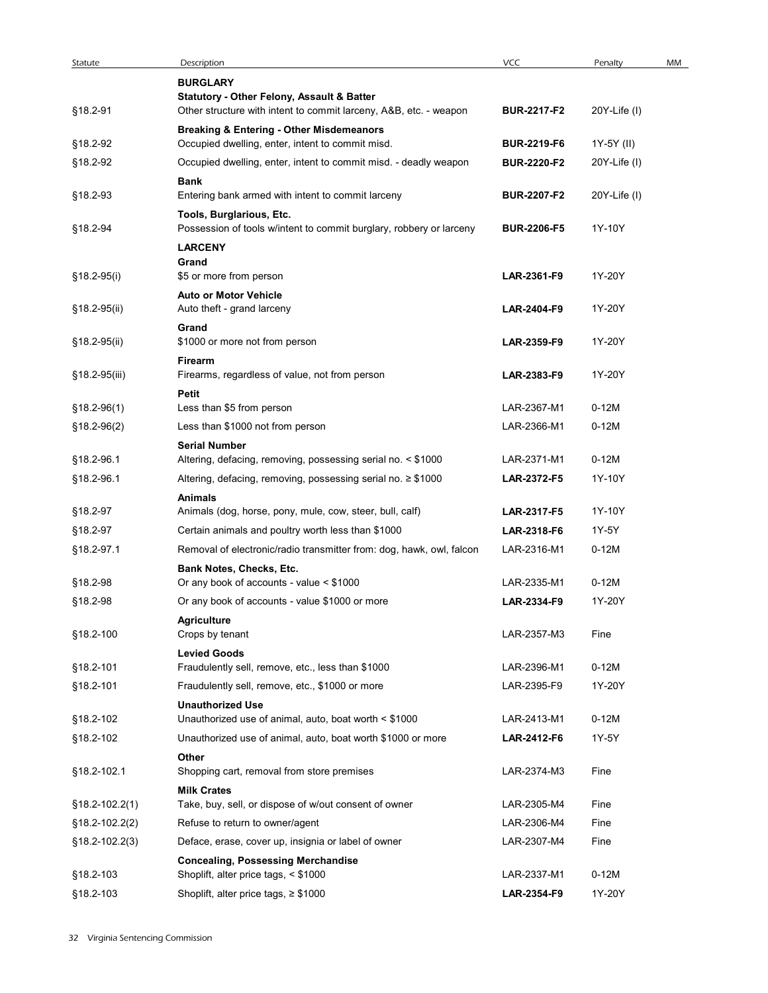| Statute                          | Description                                                                                             | VCC                        | Penalty            | MM |
|----------------------------------|---------------------------------------------------------------------------------------------------------|----------------------------|--------------------|----|
|                                  | <b>BURGLARY</b><br>Statutory - Other Felony, Assault & Batter                                           |                            |                    |    |
| §18.2-91                         | Other structure with intent to commit larceny, A&B, etc. - weapon                                       | <b>BUR-2217-F2</b>         | 20Y-Life (I)       |    |
| §18.2-92                         | <b>Breaking &amp; Entering - Other Misdemeanors</b><br>Occupied dwelling, enter, intent to commit misd. | <b>BUR-2219-F6</b>         | 1Y-5Y (II)         |    |
| §18.2-92                         | Occupied dwelling, enter, intent to commit misd. - deadly weapon                                        | <b>BUR-2220-F2</b>         | 20Y-Life (I)       |    |
| §18.2-93                         | <b>Bank</b><br>Entering bank armed with intent to commit larceny                                        | <b>BUR-2207-F2</b>         | 20Y-Life (I)       |    |
| §18.2-94                         | Tools, Burglarious, Etc.<br>Possession of tools w/intent to commit burglary, robbery or larceny         | <b>BUR-2206-F5</b>         | 1Y-10Y             |    |
|                                  | <b>LARCENY</b><br>Grand                                                                                 |                            |                    |    |
| §18.2-95(i)                      | \$5 or more from person                                                                                 | LAR-2361-F9                | 1Y-20Y             |    |
| §18.2-95(ii)                     | <b>Auto or Motor Vehicle</b><br>Auto theft - grand larceny                                              | LAR-2404-F9                | 1Y-20Y             |    |
| §18.2-95(ii)                     | Grand<br>\$1000 or more not from person                                                                 | LAR-2359-F9                | 1Y-20Y             |    |
| §18.2-95(iii)                    | Firearm<br>Firearms, regardless of value, not from person                                               | LAR-2383-F9                | 1Y-20Y             |    |
|                                  | Petit                                                                                                   |                            |                    |    |
| §18.2-96(1)<br>§18.2-96(2)       | Less than \$5 from person<br>Less than \$1000 not from person                                           | LAR-2367-M1<br>LAR-2366-M1 | $0-12M$<br>$0-12M$ |    |
|                                  | <b>Serial Number</b>                                                                                    |                            |                    |    |
| §18.2-96.1                       | Altering, defacing, removing, possessing serial no. < \$1000                                            | LAR-2371-M1                | $0-12M$            |    |
| §18.2-96.1                       | Altering, defacing, removing, possessing serial no. ≥ \$1000                                            | LAR-2372-F5                | 1Y-10Y             |    |
| §18.2-97                         | <b>Animals</b><br>Animals (dog, horse, pony, mule, cow, steer, bull, calf)                              | LAR-2317-F5                | 1Y-10Y             |    |
| §18.2-97                         | Certain animals and poultry worth less than \$1000                                                      | LAR-2318-F6                | 1Y-5Y              |    |
| §18.2-97.1                       | Removal of electronic/radio transmitter from: dog, hawk, owl, falcon                                    | LAR-2316-M1                | $0-12M$            |    |
|                                  | Bank Notes, Checks, Etc.                                                                                |                            |                    |    |
| §18.2-98                         | Or any book of accounts - value < \$1000                                                                | LAR-2335-M1                | $0-12M$            |    |
| §18.2-98                         | Or any book of accounts - value \$1000 or more                                                          | LAR-2334-F9                | 1Y-20Y             |    |
| §18.2-100                        | <b>Agriculture</b><br>Crops by tenant                                                                   | LAR-2357-M3                | Fine               |    |
|                                  | <b>Levied Goods</b>                                                                                     |                            |                    |    |
| §18.2-101                        | Fraudulently sell, remove, etc., less than \$1000                                                       | LAR-2396-M1                | $0-12M$            |    |
| §18.2-101                        | Fraudulently sell, remove, etc., \$1000 or more<br><b>Unauthorized Use</b>                              | LAR-2395-F9                | 1Y-20Y             |    |
| §18.2-102                        | Unauthorized use of animal, auto, boat worth < \$1000                                                   | LAR-2413-M1                | $0-12M$            |    |
| §18.2-102                        | Unauthorized use of animal, auto, boat worth \$1000 or more<br>Other                                    | LAR-2412-F6                | 1Y-5Y              |    |
| §18.2-102.1                      | Shopping cart, removal from store premises                                                              | LAR-2374-M3                | Fine               |    |
|                                  | <b>Milk Crates</b>                                                                                      |                            |                    |    |
| §18.2-102.2(1)                   | Take, buy, sell, or dispose of w/out consent of owner                                                   | LAR-2305-M4<br>LAR-2306-M4 | Fine               |    |
| §18.2-102.2(2)<br>§18.2-102.2(3) | Refuse to return to owner/agent<br>Deface, erase, cover up, insignia or label of owner                  | LAR-2307-M4                | Fine<br>Fine       |    |
|                                  | <b>Concealing, Possessing Merchandise</b>                                                               |                            |                    |    |
| §18.2-103                        | Shoplift, alter price tags, < \$1000                                                                    | LAR-2337-M1                | $0-12M$            |    |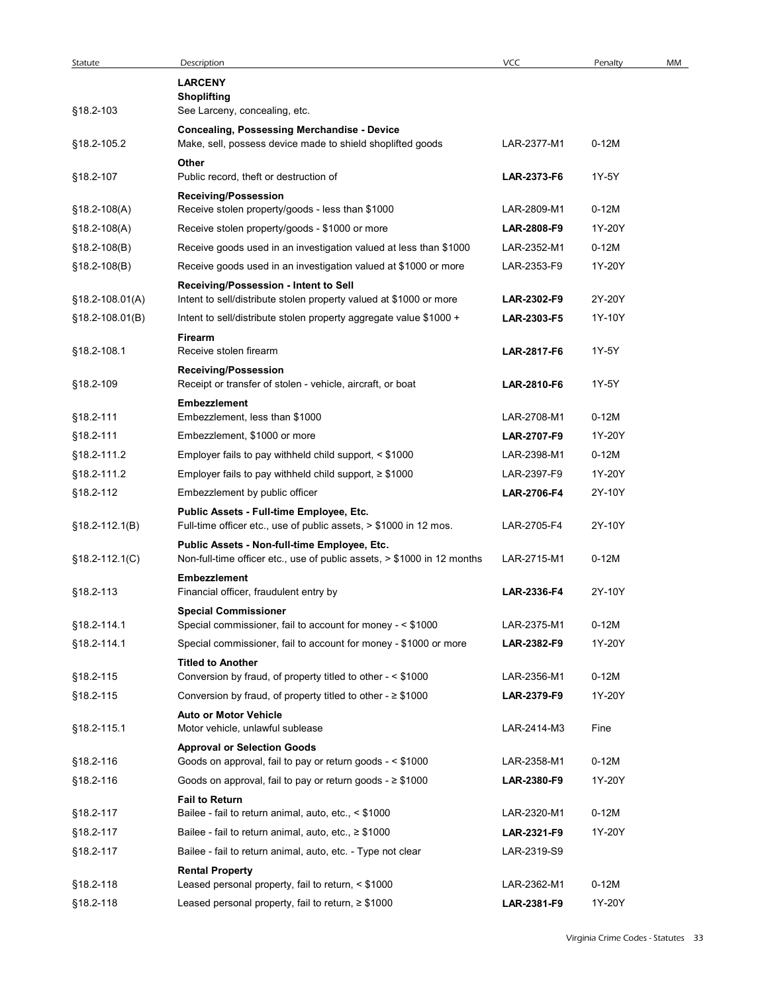| Statute             | Description                                                                                                      | <b>VCC</b>                 | Penalty           | MM |
|---------------------|------------------------------------------------------------------------------------------------------------------|----------------------------|-------------------|----|
|                     | <b>LARCENY</b>                                                                                                   |                            |                   |    |
| §18.2-103           | <b>Shoplifting</b><br>See Larceny, concealing, etc.                                                              |                            |                   |    |
|                     |                                                                                                                  |                            |                   |    |
| §18.2-105.2         | <b>Concealing, Possessing Merchandise - Device</b><br>Make, sell, possess device made to shield shoplifted goods | LAR-2377-M1                | $0-12M$           |    |
|                     | Other                                                                                                            |                            |                   |    |
| §18.2-107           | Public record, theft or destruction of                                                                           | LAR-2373-F6                | 1Y-5Y             |    |
|                     | <b>Receiving/Possession</b>                                                                                      |                            |                   |    |
| $$18.2-108(A)$      | Receive stolen property/goods - less than \$1000                                                                 | LAR-2809-M1                | $0-12M$           |    |
| $$18.2 - 108(A)$    | Receive stolen property/goods - \$1000 or more                                                                   | LAR-2808-F9                | 1Y-20Y            |    |
| $$18.2 - 108(B)$    | Receive goods used in an investigation valued at less than \$1000                                                | LAR-2352-M1                | $0-12M$           |    |
| $$18.2 - 108(B)$    | Receive goods used in an investigation valued at \$1000 or more                                                  | LAR-2353-F9                | 1Y-20Y            |    |
| $$18.2 - 108.01(A)$ | Receiving/Possession - Intent to Sell<br>Intent to sell/distribute stolen property valued at \$1000 or more      | LAR-2302-F9                | 2Y-20Y            |    |
| §18.2-108.01(B)     | Intent to sell/distribute stolen property aggregate value \$1000 +                                               | LAR-2303-F5                | 1Y-10Y            |    |
|                     | Firearm                                                                                                          |                            |                   |    |
| §18.2-108.1         | Receive stolen firearm                                                                                           | LAR-2817-F6                | 1Y-5Y             |    |
|                     | <b>Receiving/Possession</b>                                                                                      |                            |                   |    |
| §18.2-109           | Receipt or transfer of stolen - vehicle, aircraft, or boat                                                       | LAR-2810-F6                | 1Y-5Y             |    |
|                     | <b>Embezzlement</b>                                                                                              |                            |                   |    |
| §18.2-111           | Embezzlement, less than \$1000                                                                                   | LAR-2708-M1                | $0-12M$           |    |
| §18.2-111           | Embezzlement, \$1000 or more                                                                                     | LAR-2707-F9                | 1Y-20Y            |    |
| §18.2-111.2         | Employer fails to pay withheld child support, < \$1000                                                           | LAR-2398-M1                | $0-12M$           |    |
| §18.2-111.2         | Employer fails to pay withheld child support, $\geq$ \$1000                                                      | LAR-2397-F9                | 1Y-20Y            |    |
| §18.2-112           | Embezzlement by public officer                                                                                   | LAR-2706-F4                | 2Y-10Y            |    |
|                     | Public Assets - Full-time Employee, Etc.<br>Full-time officer etc., use of public assets, > \$1000 in 12 mos.    | LAR-2705-F4                | 2Y-10Y            |    |
| $$18.2 - 112.1(B)$  | Public Assets - Non-full-time Employee, Etc.                                                                     |                            |                   |    |
| $$18.2 - 112.1(C)$  | Non-full-time officer etc., use of public assets, > \$1000 in 12 months                                          | LAR-2715-M1                | $0-12M$           |    |
|                     | <b>Embezzlement</b>                                                                                              |                            |                   |    |
| §18.2-113           | Financial officer, fraudulent entry by                                                                           | LAR-2336-F4                | 2Y-10Y            |    |
|                     | <b>Special Commissioner</b>                                                                                      |                            |                   |    |
| §18.2-114.1         | Special commissioner, fail to account for money - < \$1000                                                       | LAR-2375-M1                | $0-12M$           |    |
| §18.2-114.1         | Special commissioner, fail to account for money - \$1000 or more                                                 | LAR-2382-F9                | 1Y-20Y            |    |
| §18.2-115           | <b>Titled to Another</b><br>Conversion by fraud, of property titled to other - < \$1000                          | LAR-2356-M1                | $0-12M$           |    |
| §18.2-115           | Conversion by fraud, of property titled to other - $\geq$ \$1000                                                 | LAR-2379-F9                | 1Y-20Y            |    |
|                     | <b>Auto or Motor Vehicle</b>                                                                                     |                            |                   |    |
| §18.2-115.1         | Motor vehicle, unlawful sublease                                                                                 | LAR-2414-M3                | Fine              |    |
|                     | <b>Approval or Selection Goods</b>                                                                               |                            |                   |    |
| §18.2-116           | Goods on approval, fail to pay or return goods - < \$1000                                                        | LAR-2358-M1                | $0-12M$           |    |
| §18.2-116           | Goods on approval, fail to pay or return goods - $\geq$ \$1000                                                   | LAR-2380-F9                | 1Y-20Y            |    |
|                     | <b>Fail to Return</b>                                                                                            |                            |                   |    |
| §18.2-117           | Bailee - fail to return animal, auto, etc., < \$1000                                                             | LAR-2320-M1                | $0-12M$           |    |
| §18.2-117           | Bailee - fail to return animal, auto, etc., ≥ \$1000                                                             | LAR-2321-F9                | 1Y-20Y            |    |
| §18.2-117           | Bailee - fail to return animal, auto, etc. - Type not clear                                                      | LAR-2319-S9                |                   |    |
|                     | <b>Rental Property</b>                                                                                           |                            |                   |    |
| §18.2-118           | Leased personal property, fail to return, < \$1000<br>Leased personal property, fail to return, ≥ \$1000         | LAR-2362-M1<br>LAR-2381-F9 | $0-12M$<br>1Y-20Y |    |
| §18.2-118           |                                                                                                                  |                            |                   |    |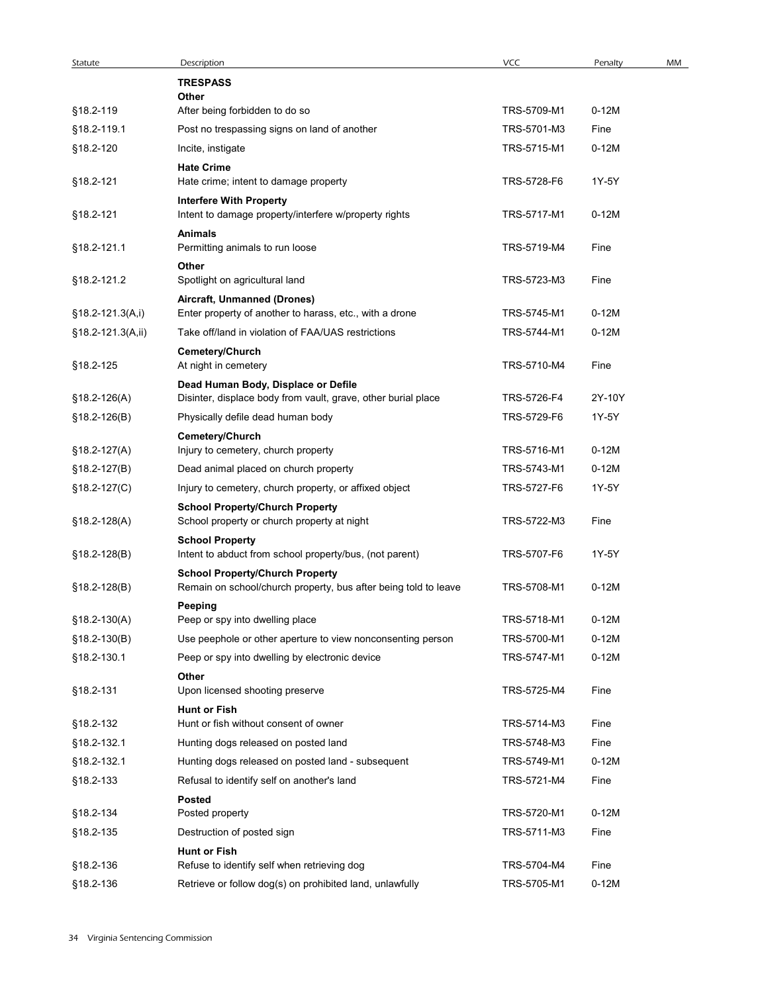| Statute            | Description                                                     | VCC         | Penalty | MM |
|--------------------|-----------------------------------------------------------------|-------------|---------|----|
|                    | <b>TRESPASS</b>                                                 |             |         |    |
| §18.2-119          | Other<br>After being forbidden to do so                         | TRS-5709-M1 | $0-12M$ |    |
|                    |                                                                 |             |         |    |
| §18.2-119.1        | Post no trespassing signs on land of another                    | TRS-5701-M3 | Fine    |    |
| §18.2-120          | Incite, instigate                                               | TRS-5715-M1 | $0-12M$ |    |
|                    | <b>Hate Crime</b>                                               |             |         |    |
| §18.2-121          | Hate crime; intent to damage property                           | TRS-5728-F6 | 1Y-5Y   |    |
|                    | <b>Interfere With Property</b>                                  |             |         |    |
| §18.2-121          | Intent to damage property/interfere w/property rights           | TRS-5717-M1 | $0-12M$ |    |
|                    | <b>Animals</b>                                                  |             |         |    |
| §18.2-121.1        | Permitting animals to run loose                                 | TRS-5719-M4 | Fine    |    |
|                    | Other                                                           |             |         |    |
| §18.2-121.2        | Spotlight on agricultural land                                  | TRS-5723-M3 | Fine    |    |
|                    | Aircraft, Unmanned (Drones)                                     |             |         |    |
| $§18.2-121.3(A,i)$ | Enter property of another to harass, etc., with a drone         | TRS-5745-M1 | $0-12M$ |    |
| §18.2-121.3(A,ii)  | Take off/land in violation of FAA/UAS restrictions              | TRS-5744-M1 | $0-12M$ |    |
|                    | Cemetery/Church                                                 |             |         |    |
| §18.2-125          | At night in cemetery                                            | TRS-5710-M4 | Fine    |    |
|                    | Dead Human Body, Displace or Defile                             |             |         |    |
| $$18.2-126(A)$     | Disinter, displace body from vault, grave, other burial place   | TRS-5726-F4 | 2Y-10Y  |    |
| $$18.2-126(B)$     | Physically defile dead human body                               | TRS-5729-F6 | 1Y-5Y   |    |
|                    | Cemetery/Church                                                 |             |         |    |
| $$18.2-127(A)$     | Injury to cemetery, church property                             | TRS-5716-M1 | $0-12M$ |    |
|                    |                                                                 | TRS-5743-M1 | $0-12M$ |    |
| $§18.2-127(B)$     | Dead animal placed on church property                           |             |         |    |
| $$18.2-127(C)$     | Injury to cemetery, church property, or affixed object          | TRS-5727-F6 | 1Y-5Y   |    |
|                    | <b>School Property/Church Property</b>                          |             |         |    |
| $$18.2-128(A)$     | School property or church property at night                     | TRS-5722-M3 | Fine    |    |
|                    | <b>School Property</b>                                          |             |         |    |
| $$18.2 - 128(B)$   | Intent to abduct from school property/bus, (not parent)         | TRS-5707-F6 | 1Y-5Y   |    |
|                    | <b>School Property/Church Property</b>                          |             |         |    |
| $$18.2 - 128(B)$   | Remain on school/church property, bus after being told to leave | TRS-5708-M1 | $0-12M$ |    |
|                    | Peeping                                                         |             |         |    |
| $$18.2-130(A)$     | Peep or spy into dwelling place                                 | TRS-5718-M1 | $0-12M$ |    |
| $$18.2-130(B)$     | Use peephole or other aperture to view nonconsenting person     | TRS-5700-M1 | $0-12M$ |    |
| §18.2-130.1        | Peep or spy into dwelling by electronic device                  | TRS-5747-M1 | $0-12M$ |    |
|                    | Other                                                           |             |         |    |
| §18.2-131          | Upon licensed shooting preserve                                 | TRS-5725-M4 | Fine    |    |
|                    | <b>Hunt or Fish</b>                                             |             |         |    |
| §18.2-132          | Hunt or fish without consent of owner                           | TRS-5714-M3 | Fine    |    |
| §18.2-132.1        | Hunting dogs released on posted land                            | TRS-5748-M3 | Fine    |    |
|                    |                                                                 |             |         |    |
| §18.2-132.1        | Hunting dogs released on posted land - subsequent               | TRS-5749-M1 | $0-12M$ |    |
| §18.2-133          | Refusal to identify self on another's land                      | TRS-5721-M4 | Fine    |    |
|                    | <b>Posted</b>                                                   |             |         |    |
| §18.2-134          | Posted property                                                 | TRS-5720-M1 | $0-12M$ |    |
| §18.2-135          | Destruction of posted sign                                      | TRS-5711-M3 | Fine    |    |
|                    | <b>Hunt or Fish</b>                                             |             |         |    |
| §18.2-136          | Refuse to identify self when retrieving dog                     | TRS-5704-M4 | Fine    |    |
| §18.2-136          | Retrieve or follow dog(s) on prohibited land, unlawfully        | TRS-5705-M1 | $0-12M$ |    |
|                    |                                                                 |             |         |    |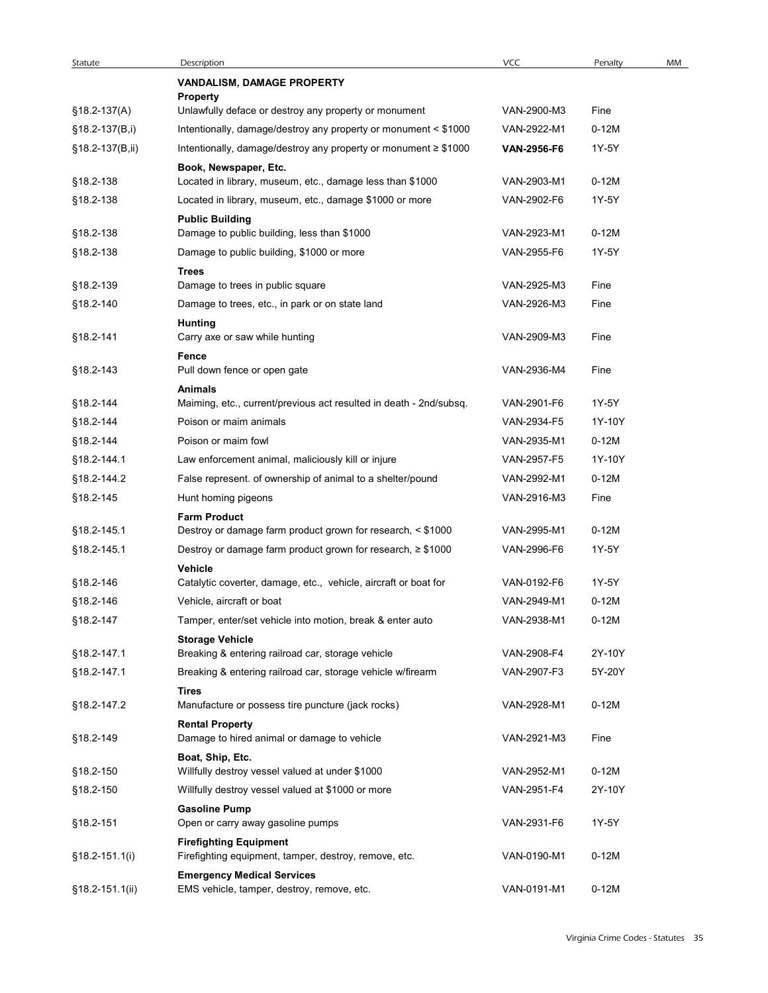| Statute            | Description                                                              | VCC                        | Penalty          | MM |
|--------------------|--------------------------------------------------------------------------|----------------------------|------------------|----|
|                    | VANDALISM, DAMAGE PROPERTY                                               |                            |                  |    |
| §18.2-137(A)       | <b>Property</b><br>Unlawfully deface or destroy any property or monument | VAN-2900-M3                | Fine             |    |
| §18.2-137(B,i)     | Intentionally, damage/destroy any property or monument < \$1000          | VAN-2922-M1                | $0-12M$          |    |
| §18.2-137(B,ii)    | Intentionally, damage/destroy any property or monument ≥ \$1000          | <b>VAN-2956-F6</b>         | 1Y-5Y            |    |
|                    | Book, Newspaper, Etc.                                                    |                            |                  |    |
| §18.2-138          | Located in library, museum, etc., damage less than \$1000                | VAN-2903-M1                | $0-12M$          |    |
| §18.2-138          | Located in library, museum, etc., damage \$1000 or more                  | VAN-2902-F6                | 1Y-5Y            |    |
|                    | <b>Public Building</b>                                                   |                            |                  |    |
| §18.2-138          | Damage to public building, less than \$1000                              | VAN-2923-M1                | $0-12M$          |    |
| §18.2-138          | Damage to public building, \$1000 or more<br><b>Trees</b>                | VAN-2955-F6                | 1Y-5Y            |    |
| §18.2-139          | Damage to trees in public square                                         | VAN-2925-M3                | Fine             |    |
| §18.2-140          | Damage to trees, etc., in park or on state land                          | VAN-2926-M3                | Fine             |    |
|                    | <b>Hunting</b>                                                           |                            |                  |    |
| §18.2-141          | Carry axe or saw while hunting                                           | VAN-2909-M3                | Fine             |    |
| §18.2-143          | Fence<br>Pull down fence or open gate                                    | VAN-2936-M4                | Fine             |    |
|                    | Animals                                                                  |                            |                  |    |
| §18.2-144          | Maiming, etc., current/previous act resulted in death - 2nd/subsq.       | VAN-2901-F6                | 1Y-5Y            |    |
| §18.2-144          | Poison or maim animals                                                   | VAN-2934-F5                | 1Y-10Y           |    |
| §18.2-144          | Poison or maim fowl                                                      | VAN-2935-M1                | $0-12M$          |    |
| §18.2-144.1        | Law enforcement animal, maliciously kill or injure                       | VAN-2957-F5                | 1Y-10Y           |    |
| §18.2-144.2        | False represent. of ownership of animal to a shelter/pound               | VAN-2992-M1                | $0-12M$          |    |
| §18.2-145          | Hunt homing pigeons                                                      | VAN-2916-M3                | Fine             |    |
|                    | <b>Farm Product</b>                                                      |                            |                  |    |
| §18.2-145.1        | Destroy or damage farm product grown for research, < \$1000              | VAN-2995-M1<br>VAN-2996-F6 | $0-12M$<br>1Y-5Y |    |
| §18.2-145.1        | Destroy or damage farm product grown for research, ≥ \$1000<br>Vehicle   |                            |                  |    |
| §18.2-146          | Catalytic coverter, damage, etc., vehicle, aircraft or boat for          | VAN-0192-F6                | 1Y-5Y            |    |
| §18.2-146          | Vehicle, aircraft or boat                                                | VAN-2949-M1                | $0-12M$          |    |
| §18.2-147          | Tamper, enter/set vehicle into motion, break & enter auto                | VAN-2938-M1                | $0-12M$          |    |
|                    | <b>Storage Vehicle</b>                                                   |                            |                  |    |
| §18.2-147.1        | Breaking & entering railroad car, storage vehicle                        | VAN-2908-F4                | 2Y-10Y           |    |
| §18.2-147.1        | Breaking & entering railroad car, storage vehicle w/firearm              | VAN-2907-F3                | 5Y-20Y           |    |
| §18.2-147.2        | Tires<br>Manufacture or possess tire puncture (jack rocks)               | VAN-2928-M1                | $0-12M$          |    |
|                    | <b>Rental Property</b>                                                   |                            |                  |    |
| §18.2-149          | Damage to hired animal or damage to vehicle                              | VAN-2921-M3                | Fine             |    |
|                    | Boat, Ship, Etc.                                                         |                            |                  |    |
| §18.2-150          | Willfully destroy vessel valued at under \$1000                          | VAN-2952-M1                | $0-12M$          |    |
| §18.2-150          | Willfully destroy vessel valued at \$1000 or more                        | VAN-2951-F4                | 2Y-10Y           |    |
| §18.2-151          | <b>Gasoline Pump</b><br>Open or carry away gasoline pumps                | VAN-2931-F6                | 1Y-5Y            |    |
|                    | <b>Firefighting Equipment</b>                                            |                            |                  |    |
| §18.2-151.1(i)     | Firefighting equipment, tamper, destroy, remove, etc.                    | VAN-0190-M1                | $0-12M$          |    |
| $$18.2 - 151.1(i)$ | <b>Emergency Medical Services</b>                                        |                            |                  |    |
|                    | EMS vehicle, tamper, destroy, remove, etc.                               | VAN-0191-M1                | $0-12M$          |    |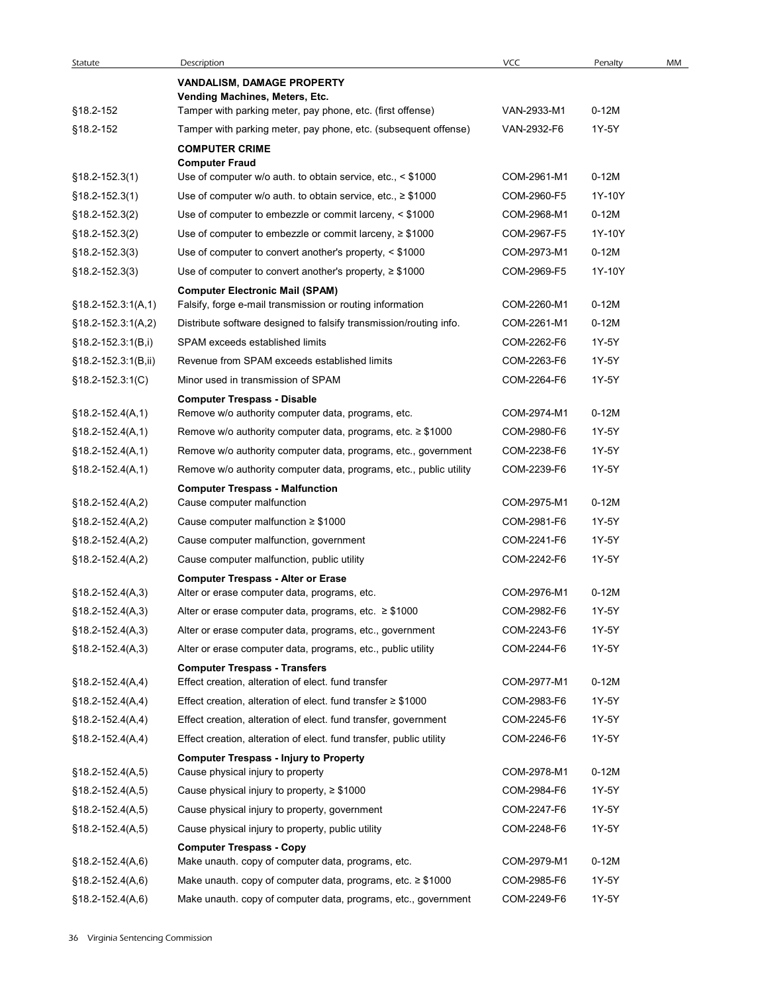| Statute                    | Description                                                                                  | <b>VCC</b>  | Penalty | MM |
|----------------------------|----------------------------------------------------------------------------------------------|-------------|---------|----|
|                            | <b>VANDALISM, DAMAGE PROPERTY</b>                                                            |             |         |    |
| §18.2-152                  | Vending Machines, Meters, Etc.<br>Tamper with parking meter, pay phone, etc. (first offense) | VAN-2933-M1 | $0-12M$ |    |
| §18.2-152                  | Tamper with parking meter, pay phone, etc. (subsequent offense)                              | VAN-2932-F6 | 1Y-5Y   |    |
|                            | <b>COMPUTER CRIME</b>                                                                        |             |         |    |
|                            | <b>Computer Fraud</b>                                                                        |             |         |    |
| §18.2-152.3(1)             | Use of computer w/o auth. to obtain service, etc., < \$1000                                  | COM-2961-M1 | $0-12M$ |    |
| §18.2-152.3(1)             | Use of computer w/o auth. to obtain service, etc., $\geq$ \$1000                             | COM-2960-F5 | 1Y-10Y  |    |
| $§18.2-152.3(2)$           | Use of computer to embezzle or commit larceny, < \$1000                                      | COM-2968-M1 | $0-12M$ |    |
| §18.2-152.3(2)             | Use of computer to embezzle or commit larceny, $\geq$ \$1000                                 | COM-2967-F5 | 1Y-10Y  |    |
| $$18.2 - 152.3(3)$         | Use of computer to convert another's property, < \$1000                                      | COM-2973-M1 | $0-12M$ |    |
| $$18.2 - 152.3(3)$         | Use of computer to convert another's property, $\geq$ \$1000                                 | COM-2969-F5 | 1Y-10Y  |    |
|                            | <b>Computer Electronic Mail (SPAM)</b>                                                       |             |         |    |
| $§18.2 - 152.3:1(A,1)$     | Falsify, forge e-mail transmission or routing information                                    | COM-2260-M1 | 0-12M   |    |
| §18.2-152.3:1(A,2)         | Distribute software designed to falsify transmission/routing info.                           | COM-2261-M1 | 0-12M   |    |
| §18.2-152.3:1(B,i)         | SPAM exceeds established limits                                                              | COM-2262-F6 | 1Y-5Y   |    |
| $§18.2-152.3:1(B, ii)$     | Revenue from SPAM exceeds established limits                                                 | COM-2263-F6 | 1Y-5Y   |    |
| $$18.2 - 152.3 \cdot 1(C)$ | Minor used in transmission of SPAM                                                           | COM-2264-F6 | 1Y-5Y   |    |
| $§18.2-152.4(A,1)$         | <b>Computer Trespass - Disable</b><br>Remove w/o authority computer data, programs, etc.     | COM-2974-M1 | $0-12M$ |    |
| $§18.2-152.4(A,1)$         | Remove w/o authority computer data, programs, etc. $\geq$ \$1000                             | COM-2980-F6 | 1Y-5Y   |    |
| $§18.2-152.4(A,1)$         | Remove w/o authority computer data, programs, etc., government                               | COM-2238-F6 | 1Y-5Y   |    |
| $§18.2-152.4(A,1)$         | Remove w/o authority computer data, programs, etc., public utility                           | COM-2239-F6 | 1Y-5Y   |    |
|                            | <b>Computer Trespass - Malfunction</b>                                                       |             |         |    |
| $$18.2-152.4(A,2)$         | Cause computer malfunction                                                                   | COM-2975-M1 | $0-12M$ |    |
| $$18.2 - 152.4(A,2)$       | Cause computer malfunction $\geq$ \$1000                                                     | COM-2981-F6 | 1Y-5Y   |    |
| $$18.2-152.4(A,2)$         | Cause computer malfunction, government                                                       | COM-2241-F6 | 1Y-5Y   |    |
| $§18.2-152.4(A,2)$         | Cause computer malfunction, public utility                                                   | COM-2242-F6 | 1Y-5Y   |    |
|                            | <b>Computer Trespass - Alter or Erase</b>                                                    |             |         |    |
| $$18.2 - 152.4(A,3)$       | Alter or erase computer data, programs, etc.                                                 | COM-2976-M1 | $0-12M$ |    |
| $§18.2-152.4(A,3)$         | Alter or erase computer data, programs, etc. $\geq$ \$1000                                   | COM-2982-F6 | 1Y-5Y   |    |
| $§18.2-152.4(A,3)$         | Alter or erase computer data, programs, etc., government                                     | COM-2243-F6 | 1Y-5Y   |    |
| $§18.2-152.4(A,3)$         | Alter or erase computer data, programs, etc., public utility                                 | COM-2244-F6 | 1Y-5Y   |    |
|                            | <b>Computer Trespass - Transfers</b>                                                         |             |         |    |
| $$18.2 - 152.4(A, 4)$      | Effect creation, alteration of elect. fund transfer                                          | COM-2977-M1 | $0-12M$ |    |
| $$18.2 - 152.4(A, 4)$      | Effect creation, alteration of elect. fund transfer $\geq$ \$1000                            | COM-2983-F6 | 1Y-5Y   |    |
| $$18.2-152.4(A,4)$         | Effect creation, alteration of elect. fund transfer, government                              | COM-2245-F6 | 1Y-5Y   |    |
| $$18.2 - 152.4(A, 4)$      | Effect creation, alteration of elect. fund transfer, public utility                          | COM-2246-F6 | 1Y-5Y   |    |
|                            | <b>Computer Trespass - Injury to Property</b>                                                |             |         |    |
| $§18.2-152.4(A,5)$         | Cause physical injury to property                                                            | COM-2978-M1 | $0-12M$ |    |
| §18.2-152.4(A,5)           | Cause physical injury to property, $\geq$ \$1000                                             | COM-2984-F6 | 1Y-5Y   |    |
| $$18.2 - 152.4(A, 5)$      | Cause physical injury to property, government                                                | COM-2247-F6 | 1Y-5Y   |    |
| §18.2-152.4(A,5)           | Cause physical injury to property, public utility                                            | COM-2248-F6 | 1Y-5Y   |    |
|                            | <b>Computer Trespass - Copy</b>                                                              |             |         |    |
| $$18.2 - 152.4(A, 6)$      | Make unauth. copy of computer data, programs, etc.                                           | COM-2979-M1 | $0-12M$ |    |
| $$18.2 - 152.4(A, 6)$      | Make unauth. copy of computer data, programs, etc. $\geq$ \$1000                             | COM-2985-F6 | 1Y-5Y   |    |
| $§18.2-152.4(A,6)$         | Make unauth. copy of computer data, programs, etc., government                               | COM-2249-F6 | 1Y-5Y   |    |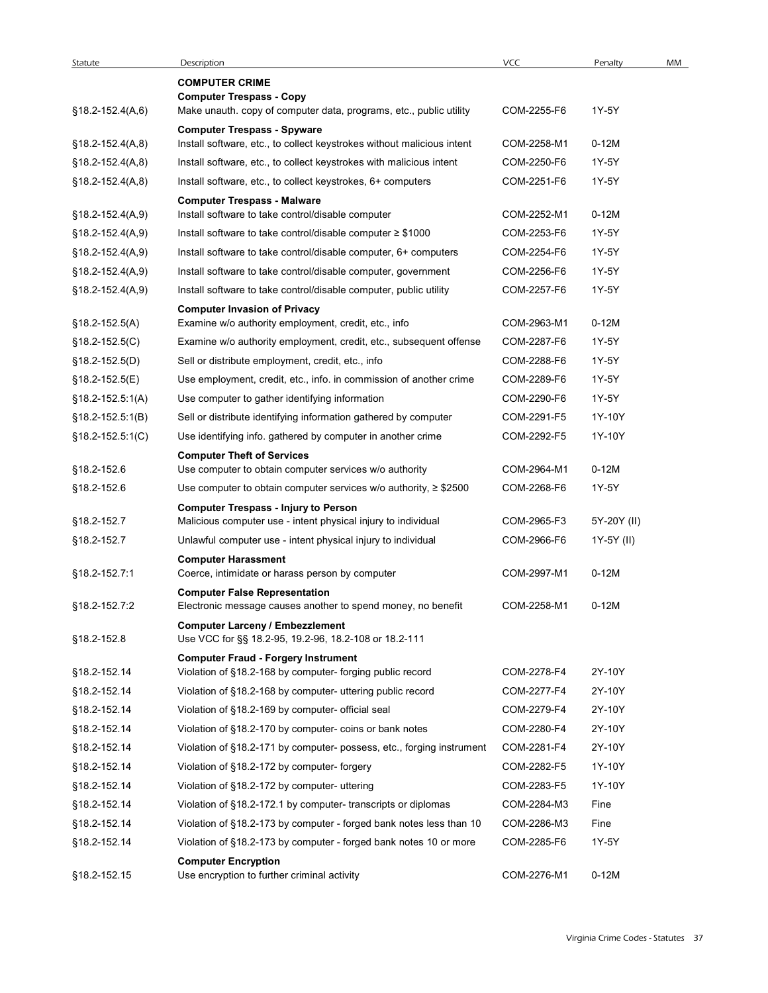| Statute                      | Description                                                                                              | <b>VCC</b>                 | Penalty          | MM |
|------------------------------|----------------------------------------------------------------------------------------------------------|----------------------------|------------------|----|
|                              | <b>COMPUTER CRIME</b><br><b>Computer Trespass - Copy</b>                                                 |                            |                  |    |
| §18.2-152.4(A,6)             | Make unauth. copy of computer data, programs, etc., public utility<br><b>Computer Trespass - Spyware</b> | COM-2255-F6                | 1Y-5Y            |    |
| $$18.2-152.4(A, 8)$          | Install software, etc., to collect keystrokes without malicious intent                                   | COM-2258-M1                | $0-12M$          |    |
| $$18.2 - 152.4(A, 8)$        | Install software, etc., to collect keystrokes with malicious intent                                      | COM-2250-F6                | 1Y-5Y            |    |
| $$18.2-152.4(A, 8)$          | Install software, etc., to collect keystrokes, 6+ computers                                              | COM-2251-F6                | 1Y-5Y            |    |
| §18.2-152.4(A,9)             | <b>Computer Trespass - Malware</b><br>Install software to take control/disable computer                  | COM-2252-M1                | $0-12M$          |    |
| $$18.2 - 152.4(A, 9)$        | Install software to take control/disable computer $\geq$ \$1000                                          | COM-2253-F6                | 1Y-5Y            |    |
| $$18.2 - 152.4(A, 9)$        | Install software to take control/disable computer, 6+ computers                                          | COM-2254-F6                | 1Y-5Y            |    |
| §18.2-152.4(A,9)             | Install software to take control/disable computer, government                                            | COM-2256-F6                | 1Y-5Y            |    |
| §18.2-152.4(A,9)             | Install software to take control/disable computer, public utility                                        | COM-2257-F6                | 1Y-5Y            |    |
| §18.2-152.5(A)               | <b>Computer Invasion of Privacy</b><br>Examine w/o authority employment, credit, etc., info              | COM-2963-M1                | $0-12M$          |    |
| $§18.2-152.5(C)$             | Examine w/o authority employment, credit, etc., subsequent offense                                       | COM-2287-F6                | 1Y-5Y            |    |
| $$18.2 - 152.5(D)$           | Sell or distribute employment, credit, etc., info                                                        | COM-2288-F6                | 1Y-5Y            |    |
| $$18.2 - 152.5(E)$           | Use employment, credit, etc., info. in commission of another crime                                       | COM-2289-F6                | 1Y-5Y            |    |
| §18.2-152.5:1(A)             | Use computer to gather identifying information                                                           | COM-2290-F6                | 1Y-5Y            |    |
| $§18.2-152.5:1(B)$           | Sell or distribute identifying information gathered by computer                                          | COM-2291-F5                | 1Y-10Y           |    |
| $§18.2 - 152.5:1(C)$         | Use identifying info. gathered by computer in another crime                                              | COM-2292-F5                | 1Y-10Y           |    |
| §18.2-152.6                  | <b>Computer Theft of Services</b><br>Use computer to obtain computer services w/o authority              | COM-2964-M1                | $0-12M$          |    |
| §18.2-152.6                  | Use computer to obtain computer services $w/o$ authority, $\geq$ \$2500                                  | COM-2268-F6                | 1Y-5Y            |    |
|                              | <b>Computer Trespass - Injury to Person</b>                                                              |                            |                  |    |
| §18.2-152.7                  | Malicious computer use - intent physical injury to individual                                            | COM-2965-F3                | 5Y-20Y (II)      |    |
| §18.2-152.7                  | Unlawful computer use - intent physical injury to individual                                             | COM-2966-F6                | 1Y-5Y (II)       |    |
| §18.2-152.7:1                | <b>Computer Harassment</b><br>Coerce, intimidate or harass person by computer                            | COM-2997-M1                | $0-12M$          |    |
|                              | <b>Computer False Representation</b>                                                                     |                            |                  |    |
| §18.2-152.7:2                | Electronic message causes another to spend money, no benefit                                             | COM-2258-M1                | $0-12M$          |    |
| §18.2-152.8                  | <b>Computer Larceny / Embezzlement</b><br>Use VCC for §§ 18.2-95, 19.2-96, 18.2-108 or 18.2-111          |                            |                  |    |
|                              | <b>Computer Fraud - Forgery Instrument</b>                                                               |                            |                  |    |
| §18.2-152.14                 | Violation of §18.2-168 by computer- forging public record                                                | COM-2278-F4                | 2Y-10Y           |    |
| §18.2-152.14                 | Violation of §18.2-168 by computer- uttering public record                                               | COM-2277-F4                | 2Y-10Y           |    |
| §18.2-152.14                 | Violation of §18.2-169 by computer- official seal                                                        | COM-2279-F4                | 2Y-10Y           |    |
| §18.2-152.14                 | Violation of §18.2-170 by computer- coins or bank notes                                                  | COM-2280-F4                | 2Y-10Y           |    |
| §18.2-152.14                 | Violation of §18.2-171 by computer- possess, etc., forging instrument                                    | COM-2281-F4                | 2Y-10Y           |    |
| §18.2-152.14<br>§18.2-152.14 | Violation of §18.2-172 by computer-forgery<br>Violation of §18.2-172 by computer- uttering               | COM-2282-F5<br>COM-2283-F5 | 1Y-10Y<br>1Y-10Y |    |
| §18.2-152.14                 | Violation of §18.2-172.1 by computer- transcripts or diplomas                                            | COM-2284-M3                | Fine             |    |
| §18.2-152.14                 | Violation of §18.2-173 by computer - forged bank notes less than 10                                      | COM-2286-M3                | Fine             |    |
| §18.2-152.14                 | Violation of §18.2-173 by computer - forged bank notes 10 or more                                        | COM-2285-F6                | 1Y-5Y            |    |
|                              | <b>Computer Encryption</b>                                                                               |                            |                  |    |
| §18.2-152.15                 | Use encryption to further criminal activity                                                              | COM-2276-M1                | $0-12M$          |    |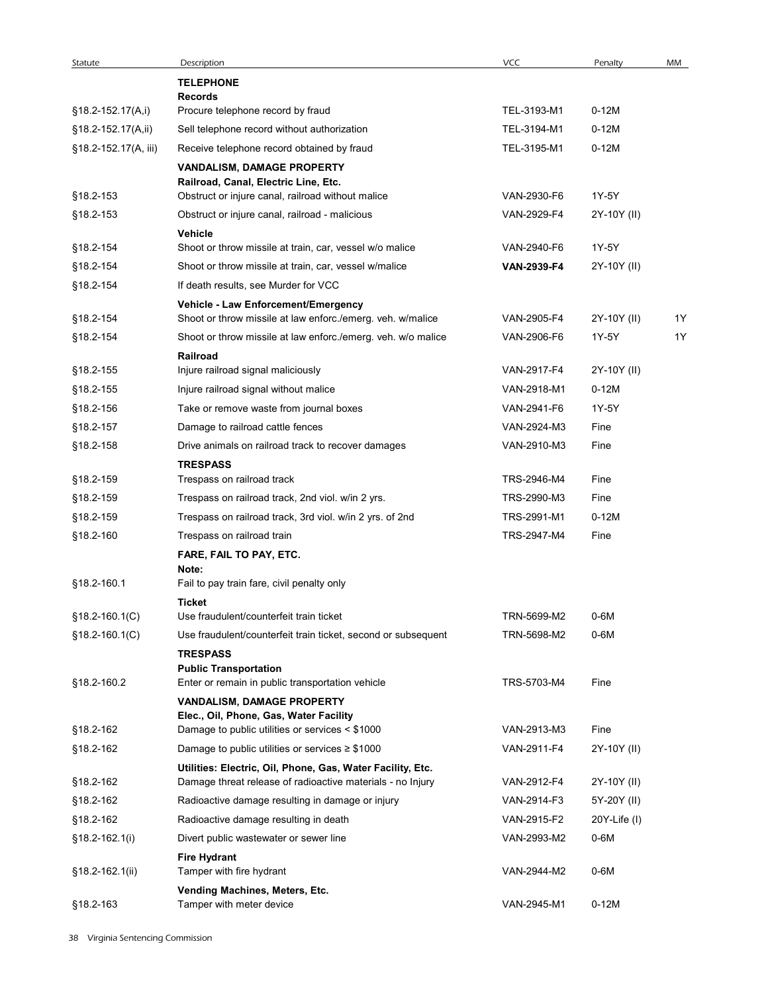| Statute                | Description                                                                                                              | VCC                        | Penalty      | MM |
|------------------------|--------------------------------------------------------------------------------------------------------------------------|----------------------------|--------------|----|
|                        | <b>TELEPHONE</b>                                                                                                         |                            |              |    |
| $§18.2-152.17(A,i)$    | <b>Records</b><br>Procure telephone record by fraud                                                                      | TEL-3193-M1                | $0-12M$      |    |
| §18.2-152.17(A,ii)     | Sell telephone record without authorization                                                                              | TEL-3194-M1                | $0-12M$      |    |
| §18.2-152.17(A, iii)   | Receive telephone record obtained by fraud                                                                               | TEL-3195-M1                | $0-12M$      |    |
|                        | VANDALISM, DAMAGE PROPERTY                                                                                               |                            |              |    |
|                        | Railroad, Canal, Electric Line, Etc.                                                                                     |                            |              |    |
| §18.2-153              | Obstruct or injure canal, railroad without malice                                                                        | VAN-2930-F6                | 1Y-5Y        |    |
| §18.2-153              | Obstruct or injure canal, railroad - malicious                                                                           | VAN-2929-F4                | 2Y-10Y (II)  |    |
| §18.2-154              | Vehicle<br>Shoot or throw missile at train, car, vessel w/o malice                                                       | VAN-2940-F6                | 1Y-5Y        |    |
| §18.2-154              | Shoot or throw missile at train, car, vessel w/malice                                                                    | VAN-2939-F4                | 2Y-10Y (II)  |    |
| §18.2-154              | If death results, see Murder for VCC                                                                                     |                            |              |    |
|                        | Vehicle - Law Enforcement/Emergency                                                                                      |                            |              |    |
| §18.2-154              | Shoot or throw missile at law enforc./emerg. veh. w/malice                                                               | VAN-2905-F4                | 2Y-10Y (II)  | 1Y |
| §18.2-154              | Shoot or throw missile at law enforc./emerg. veh. w/o malice                                                             | VAN-2906-F6                | 1Y-5Y        | 1Y |
|                        | Railroad                                                                                                                 |                            |              |    |
| §18.2-155              | Injure railroad signal maliciously                                                                                       | VAN-2917-F4                | 2Y-10Y (II)  |    |
| §18.2-155              | Injure railroad signal without malice                                                                                    | VAN-2918-M1                | $0-12M$      |    |
| §18.2-156              | Take or remove waste from journal boxes                                                                                  | VAN-2941-F6                | 1Y-5Y        |    |
| §18.2-157              | Damage to railroad cattle fences                                                                                         | VAN-2924-M3                | Fine         |    |
| §18.2-158              | Drive animals on railroad track to recover damages                                                                       | VAN-2910-M3                | Fine         |    |
|                        | <b>TRESPASS</b>                                                                                                          |                            |              |    |
| §18.2-159              | Trespass on railroad track                                                                                               | TRS-2946-M4<br>TRS-2990-M3 | Fine<br>Fine |    |
| §18.2-159              | Trespass on railroad track, 2nd viol. w/in 2 yrs.<br>Trespass on railroad track, 3rd viol. w/in 2 yrs. of 2nd            | TRS-2991-M1                | $0-12M$      |    |
| §18.2-159<br>§18.2-160 | Trespass on railroad train                                                                                               | TRS-2947-M4                | Fine         |    |
|                        | FARE, FAIL TO PAY, ETC.                                                                                                  |                            |              |    |
|                        | Note:                                                                                                                    |                            |              |    |
| §18.2-160.1            | Fail to pay train fare, civil penalty only                                                                               |                            |              |    |
|                        | Ticket                                                                                                                   |                            |              |    |
| §18.2-160.1(C)         | Use fraudulent/counterfeit train ticket                                                                                  | TRN-5699-M2                | $0-6M$       |    |
| $$18.2 - 160.1(C)$     | Use fraudulent/counterfeit train ticket, second or subsequent                                                            | TRN-5698-M2                | $0-6M$       |    |
|                        | <b>TRESPASS</b><br><b>Public Transportation</b>                                                                          |                            |              |    |
| §18.2-160.2            | Enter or remain in public transportation vehicle                                                                         | TRS-5703-M4                | Fine         |    |
|                        | VANDALISM, DAMAGE PROPERTY                                                                                               |                            |              |    |
|                        | Elec., Oil, Phone, Gas, Water Facility                                                                                   |                            |              |    |
| §18.2-162              | Damage to public utilities or services < \$1000                                                                          | VAN-2913-M3<br>VAN-2911-F4 | Fine         |    |
| §18.2-162              | Damage to public utilities or services $\geq$ \$1000                                                                     |                            | 2Y-10Y (II)  |    |
| §18.2-162              | Utilities: Electric, Oil, Phone, Gas, Water Facility, Etc.<br>Damage threat release of radioactive materials - no Injury | VAN-2912-F4                | 2Y-10Y (II)  |    |
| §18.2-162              | Radioactive damage resulting in damage or injury                                                                         | VAN-2914-F3                | 5Y-20Y (II)  |    |
| §18.2-162              | Radioactive damage resulting in death                                                                                    | VAN-2915-F2                | 20Y-Life (I) |    |
| $§18.2-162.1(i)$       | Divert public wastewater or sewer line                                                                                   | VAN-2993-M2                | 0-6M         |    |
|                        | <b>Fire Hydrant</b>                                                                                                      |                            |              |    |
| §18.2-162.1(ii)        | Tamper with fire hydrant                                                                                                 | VAN-2944-M2                | $0-6M$       |    |
|                        | Vending Machines, Meters, Etc.                                                                                           |                            |              |    |
| §18.2-163              | Tamper with meter device                                                                                                 | VAN-2945-M1                | $0-12M$      |    |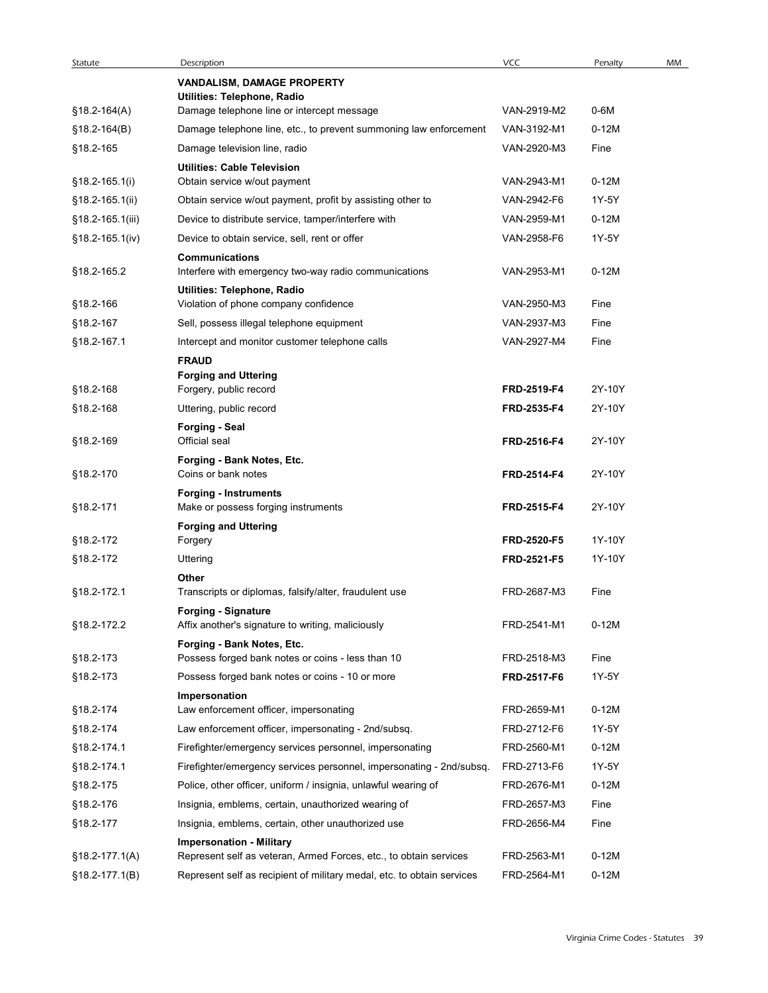| Statute            | Description                                                                                          | VCC         | Penalty | MM |
|--------------------|------------------------------------------------------------------------------------------------------|-------------|---------|----|
|                    | VANDALISM, DAMAGE PROPERTY<br>Utilities: Telephone, Radio                                            |             |         |    |
| $$18.2 - 164(A)$   | Damage telephone line or intercept message                                                           | VAN-2919-M2 | 0-6M    |    |
| $$18.2 - 164(B)$   | Damage telephone line, etc., to prevent summoning law enforcement                                    | VAN-3192-M1 | $0-12M$ |    |
| §18.2-165          | Damage television line, radio                                                                        | VAN-2920-M3 | Fine    |    |
|                    | <b>Utilities: Cable Television</b>                                                                   |             |         |    |
| $$18.2 - 165.1(i)$ | Obtain service w/out payment                                                                         | VAN-2943-M1 | $0-12M$ |    |
| §18.2-165.1(ii)    | Obtain service w/out payment, profit by assisting other to                                           | VAN-2942-F6 | 1Y-5Y   |    |
| §18.2-165.1(iii)   | Device to distribute service, tamper/interfere with                                                  | VAN-2959-M1 | $0-12M$ |    |
| §18.2-165.1(iv)    | Device to obtain service, sell, rent or offer                                                        | VAN-2958-F6 | 1Y-5Y   |    |
| §18.2-165.2        | <b>Communications</b><br>Interfere with emergency two-way radio communications                       | VAN-2953-M1 | $0-12M$ |    |
|                    | Utilities: Telephone, Radio                                                                          |             |         |    |
| §18.2-166          | Violation of phone company confidence                                                                | VAN-2950-M3 | Fine    |    |
| §18.2-167          | Sell, possess illegal telephone equipment                                                            | VAN-2937-M3 | Fine    |    |
| §18.2-167.1        | Intercept and monitor customer telephone calls                                                       | VAN-2927-M4 | Fine    |    |
|                    | <b>FRAUD</b>                                                                                         |             |         |    |
| §18.2-168          | <b>Forging and Uttering</b><br>Forgery, public record                                                | FRD-2519-F4 | 2Y-10Y  |    |
| §18.2-168          | Uttering, public record                                                                              | FRD-2535-F4 | 2Y-10Y  |    |
|                    | <b>Forging - Seal</b>                                                                                |             |         |    |
| §18.2-169          | Official seal                                                                                        | FRD-2516-F4 | 2Y-10Y  |    |
|                    | Forging - Bank Notes, Etc.                                                                           |             |         |    |
| §18.2-170          | Coins or bank notes                                                                                  | FRD-2514-F4 | 2Y-10Y  |    |
| §18.2-171          | <b>Forging - Instruments</b><br>Make or possess forging instruments                                  | FRD-2515-F4 | 2Y-10Y  |    |
|                    | <b>Forging and Uttering</b>                                                                          |             |         |    |
| §18.2-172          | Forgery                                                                                              | FRD-2520-F5 | 1Y-10Y  |    |
| §18.2-172          | Uttering                                                                                             | FRD-2521-F5 | 1Y-10Y  |    |
|                    | Other                                                                                                |             |         |    |
| §18.2-172.1        | Transcripts or diplomas, falsify/alter, fraudulent use                                               | FRD-2687-M3 | Fine    |    |
| §18.2-172.2        | <b>Forging - Signature</b><br>Affix another's signature to writing, maliciously                      | FRD-2541-M1 | $0-12M$ |    |
|                    | Forging - Bank Notes, Etc.                                                                           |             |         |    |
| §18.2-173          | Possess forged bank notes or coins - less than 10                                                    | FRD-2518-M3 | Fine    |    |
| §18.2-173          | Possess forged bank notes or coins - 10 or more                                                      | FRD-2517-F6 | 1Y-5Y   |    |
|                    | Impersonation                                                                                        |             |         |    |
| §18.2-174          | Law enforcement officer, impersonating                                                               | FRD-2659-M1 | $0-12M$ |    |
| §18.2-174          | Law enforcement officer, impersonating - 2nd/subsq.                                                  | FRD-2712-F6 | 1Y-5Y   |    |
| §18.2-174.1        | Firefighter/emergency services personnel, impersonating                                              | FRD-2560-M1 | $0-12M$ |    |
| §18.2-174.1        | Firefighter/emergency services personnel, impersonating - 2nd/subsq.                                 | FRD-2713-F6 | 1Y-5Y   |    |
| §18.2-175          | Police, other officer, uniform / insignia, unlawful wearing of                                       | FRD-2676-M1 | $0-12M$ |    |
| §18.2-176          | Insignia, emblems, certain, unauthorized wearing of                                                  | FRD-2657-M3 | Fine    |    |
| §18.2-177          | Insignia, emblems, certain, other unauthorized use                                                   | FRD-2656-M4 | Fine    |    |
| §18.2-177.1(A)     | <b>Impersonation - Military</b><br>Represent self as veteran, Armed Forces, etc., to obtain services | FRD-2563-M1 | $0-12M$ |    |
| $§18.2-177.1(B)$   | Represent self as recipient of military medal, etc. to obtain services                               | FRD-2564-M1 | $0-12M$ |    |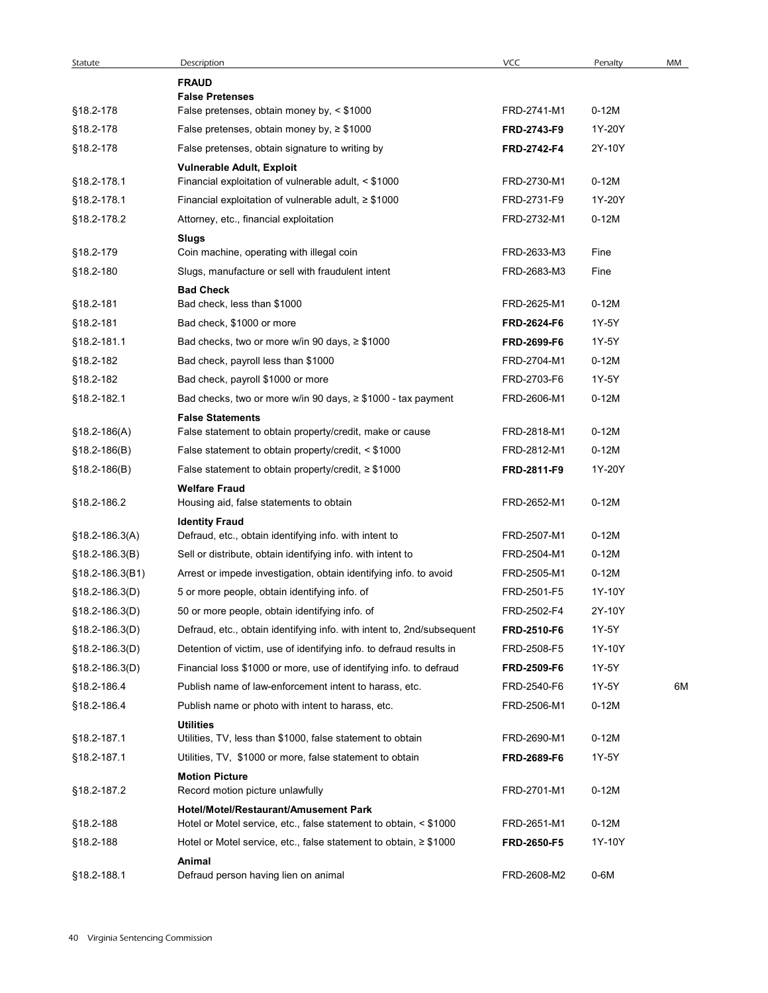| Statute            | Description                                                                     | <b>VCC</b>         | Penalty | MM |
|--------------------|---------------------------------------------------------------------------------|--------------------|---------|----|
|                    | <b>FRAUD</b>                                                                    |                    |         |    |
| §18.2-178          | <b>False Pretenses</b><br>False pretenses, obtain money by, < \$1000            | FRD-2741-M1        | $0-12M$ |    |
| §18.2-178          | False pretenses, obtain money by, $\geq$ \$1000                                 | FRD-2743-F9        | 1Y-20Y  |    |
| §18.2-178          | False pretenses, obtain signature to writing by                                 | FRD-2742-F4        | 2Y-10Y  |    |
|                    | <b>Vulnerable Adult, Exploit</b>                                                |                    |         |    |
| §18.2-178.1        | Financial exploitation of vulnerable adult, < \$1000                            | FRD-2730-M1        | $0-12M$ |    |
| §18.2-178.1        | Financial exploitation of vulnerable adult, $\geq$ \$1000                       | FRD-2731-F9        | 1Y-20Y  |    |
| §18.2-178.2        | Attorney, etc., financial exploitation                                          | FRD-2732-M1        | $0-12M$ |    |
|                    | Slugs                                                                           |                    |         |    |
| §18.2-179          | Coin machine, operating with illegal coin                                       | FRD-2633-M3        | Fine    |    |
| §18.2-180          | Slugs, manufacture or sell with fraudulent intent                               | FRD-2683-M3        | Fine    |    |
|                    | <b>Bad Check</b>                                                                |                    |         |    |
| §18.2-181          | Bad check, less than \$1000                                                     | FRD-2625-M1        | $0-12M$ |    |
| §18.2-181          | Bad check, \$1000 or more                                                       | FRD-2624-F6        | 1Y-5Y   |    |
| §18.2-181.1        | Bad checks, two or more w/in 90 days, $\geq$ \$1000                             | FRD-2699-F6        | 1Y-5Y   |    |
| §18.2-182          | Bad check, payroll less than \$1000                                             | FRD-2704-M1        | $0-12M$ |    |
| §18.2-182          | Bad check, payroll \$1000 or more                                               | FRD-2703-F6        | 1Y-5Y   |    |
| §18.2-182.1        | Bad checks, two or more w/in 90 days, $\geq$ \$1000 - tax payment               | FRD-2606-M1        | $0-12M$ |    |
|                    | <b>False Statements</b>                                                         |                    |         |    |
| $$18.2 - 186(A)$   | False statement to obtain property/credit, make or cause                        | FRD-2818-M1        | $0-12M$ |    |
| $$18.2 - 186(B)$   | False statement to obtain property/credit, < \$1000                             | FRD-2812-M1        | $0-12M$ |    |
| $$18.2 - 186(B)$   | False statement to obtain property/credit, $\geq$ \$1000                        | FRD-2811-F9        | 1Y-20Y  |    |
|                    | <b>Welfare Fraud</b>                                                            |                    |         |    |
| §18.2-186.2        | Housing aid, false statements to obtain                                         | FRD-2652-M1        | $0-12M$ |    |
| §18.2-186.3(A)     | <b>Identity Fraud</b><br>Defraud, etc., obtain identifying info. with intent to | FRD-2507-M1        | $0-12M$ |    |
| §18.2-186.3(B)     | Sell or distribute, obtain identifying info. with intent to                     | FRD-2504-M1        | $0-12M$ |    |
| §18.2-186.3(B1)    | Arrest or impede investigation, obtain identifying info. to avoid               | FRD-2505-M1        | $0-12M$ |    |
| $$18.2 - 186.3(D)$ | 5 or more people, obtain identifying info. of                                   | FRD-2501-F5        | 1Y-10Y  |    |
| §18.2-186.3(D)     | 50 or more people, obtain identifying info. of                                  | FRD-2502-F4        | 2Y-10Y  |    |
| §18.2-186.3(D)     | Defraud, etc., obtain identifying info. with intent to, 2nd/subsequent          | <b>FRD-2510-F6</b> | 1Y-5Y   |    |
|                    |                                                                                 |                    | 1Y-10Y  |    |
| $§18.2-186.3(D)$   | Detention of victim, use of identifying info. to defraud results in             | FRD-2508-F5        |         |    |
| §18.2-186.3(D)     | Financial loss \$1000 or more, use of identifying info. to defraud              | FRD-2509-F6        | 1Y-5Y   |    |
| §18.2-186.4        | Publish name of law-enforcement intent to harass, etc.                          | FRD-2540-F6        | 1Y-5Y   | 6M |
| §18.2-186.4        | Publish name or photo with intent to harass, etc.                               | FRD-2506-M1        | $0-12M$ |    |
| §18.2-187.1        | <b>Utilities</b><br>Utilities, TV, less than \$1000, false statement to obtain  | FRD-2690-M1        | $0-12M$ |    |
| §18.2-187.1        | Utilities, TV, \$1000 or more, false statement to obtain                        | FRD-2689-F6        | 1Y-5Y   |    |
|                    | <b>Motion Picture</b>                                                           |                    |         |    |
| §18.2-187.2        | Record motion picture unlawfully                                                | FRD-2701-M1        | $0-12M$ |    |
|                    | Hotel/Motel/Restaurant/Amusement Park                                           |                    |         |    |
| §18.2-188          | Hotel or Motel service, etc., false statement to obtain, < \$1000               | FRD-2651-M1        | $0-12M$ |    |
| §18.2-188          | Hotel or Motel service, etc., false statement to obtain, $\geq$ \$1000          | <b>FRD-2650-F5</b> | 1Y-10Y  |    |
|                    | Animal                                                                          |                    |         |    |
| §18.2-188.1        | Defraud person having lien on animal                                            | FRD-2608-M2        | 0-6M    |    |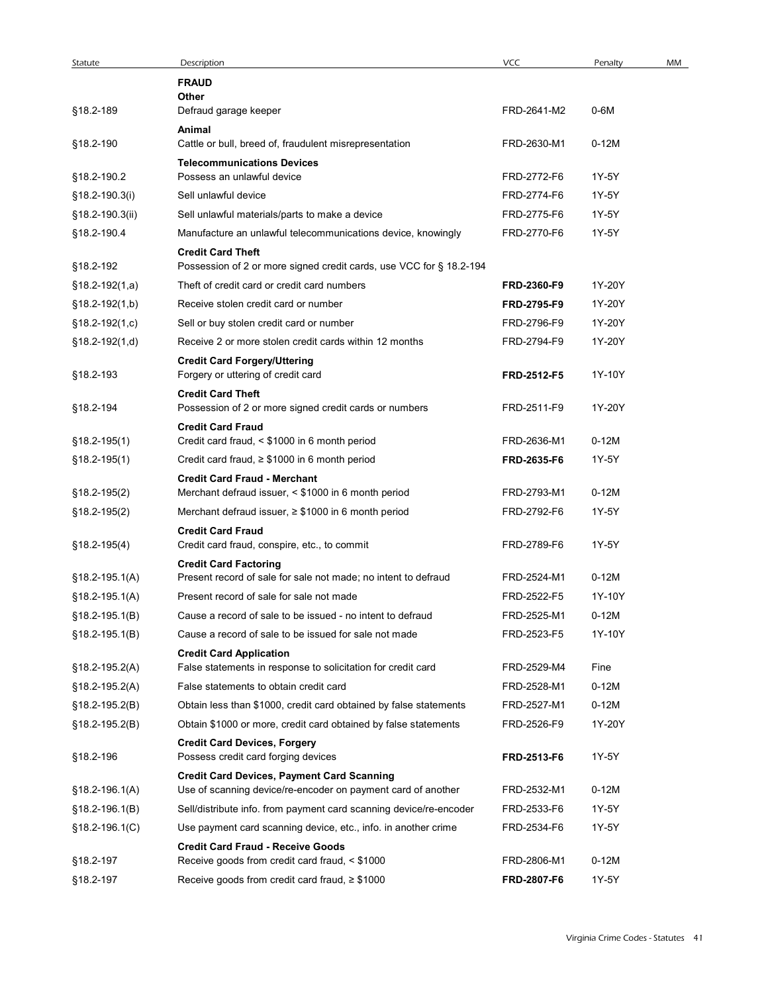| Statute                       | Description                                                                | <b>VCC</b>                 | Penalty        | MM |
|-------------------------------|----------------------------------------------------------------------------|----------------------------|----------------|----|
|                               | <b>FRAUD</b><br>Other                                                      |                            |                |    |
| §18.2-189                     | Defraud garage keeper                                                      | FRD-2641-M2                | 0-6M           |    |
|                               | Animal                                                                     |                            |                |    |
| §18.2-190                     | Cattle or bull, breed of, fraudulent misrepresentation                     | FRD-2630-M1                | $0-12M$        |    |
|                               | <b>Telecommunications Devices</b>                                          |                            |                |    |
| §18.2-190.2<br>§18.2-190.3(i) | Possess an unlawful device<br>Sell unlawful device                         | FRD-2772-F6<br>FRD-2774-F6 | 1Y-5Y<br>1Y-5Y |    |
| §18.2-190.3(ii)               | Sell unlawful materials/parts to make a device                             | FRD-2775-F6                | 1Y-5Y          |    |
| §18.2-190.4                   | Manufacture an unlawful telecommunications device, knowingly               | FRD-2770-F6                | 1Y-5Y          |    |
|                               | <b>Credit Card Theft</b>                                                   |                            |                |    |
| §18.2-192                     | Possession of 2 or more signed credit cards, use VCC for § 18.2-194        |                            |                |    |
| $$18.2-192(1,a)$              | Theft of credit card or credit card numbers                                | FRD-2360-F9                | 1Y-20Y         |    |
| $$18.2-192(1,b)$              | Receive stolen credit card or number                                       | FRD-2795-F9                | 1Y-20Y         |    |
| $$18.2-192(1,c)$              | Sell or buy stolen credit card or number                                   | FRD-2796-F9                | 1Y-20Y         |    |
| $§18.2-192(1,d)$              | Receive 2 or more stolen credit cards within 12 months                     | FRD-2794-F9                | 1Y-20Y         |    |
| §18.2-193                     | <b>Credit Card Forgery/Uttering</b><br>Forgery or uttering of credit card  | FRD-2512-F5                | 1Y-10Y         |    |
|                               | <b>Credit Card Theft</b>                                                   |                            |                |    |
| §18.2-194                     | Possession of 2 or more signed credit cards or numbers                     | FRD-2511-F9                | 1Y-20Y         |    |
|                               | <b>Credit Card Fraud</b>                                                   |                            |                |    |
| $$18.2 - 195(1)$              | Credit card fraud, < \$1000 in 6 month period                              | FRD-2636-M1                | $0-12M$        |    |
| $$18.2 - 195(1)$              | Credit card fraud, $\geq$ \$1000 in 6 month period                         | FRD-2635-F6                | 1Y-5Y          |    |
|                               | <b>Credit Card Fraud - Merchant</b>                                        | FRD-2793-M1                | $0-12M$        |    |
| §18.2-195(2)<br>§18.2-195(2)  | Merchant defraud issuer, < \$1000 in 6 month period                        | FRD-2792-F6                | 1Y-5Y          |    |
|                               | Merchant defraud issuer, $\geq$ \$1000 in 6 month period                   |                            |                |    |
| $$18.2-195(4)$                | <b>Credit Card Fraud</b><br>Credit card fraud, conspire, etc., to commit   | FRD-2789-F6                | 1Y-5Y          |    |
|                               | <b>Credit Card Factoring</b>                                               |                            |                |    |
| $$18.2 - 195.1(A)$            | Present record of sale for sale not made; no intent to defraud             | FRD-2524-M1                | $0-12M$        |    |
| $$18.2 - 195.1(A)$            | Present record of sale for sale not made                                   | FRD-2522-F5                | 1Y-10Y         |    |
| $$18.2 - 195.1(B)$            | Cause a record of sale to be issued - no intent to defraud                 | FRD-2525-M1                | $0-12M$        |    |
| $$18.2 - 195.1(B)$            | Cause a record of sale to be issued for sale not made                      | FRD-2523-F5                | 1Y-10Y         |    |
|                               | <b>Credit Card Application</b>                                             |                            |                |    |
| $$18.2 - 195.2(A)$            | False statements in response to solicitation for credit card               | FRD-2529-M4                | Fine           |    |
| $$18.2 - 195.2(A)$            | False statements to obtain credit card                                     | FRD-2528-M1                | $0-12M$        |    |
| $$18.2-195.2(B)$              | Obtain less than \$1000, credit card obtained by false statements          | FRD-2527-M1                | $0-12M$        |    |
| §18.2-195.2(B)                | Obtain \$1000 or more, credit card obtained by false statements            | FRD-2526-F9                | 1Y-20Y         |    |
| §18.2-196                     | <b>Credit Card Devices, Forgery</b><br>Possess credit card forging devices | FRD-2513-F6                | 1Y-5Y          |    |
|                               | <b>Credit Card Devices, Payment Card Scanning</b>                          |                            |                |    |
| §18.2-196.1(A)                | Use of scanning device/re-encoder on payment card of another               | FRD-2532-M1                | $0-12M$        |    |
| $§18.2-196.1(B)$              | Sell/distribute info. from payment card scanning device/re-encoder         | FRD-2533-F6                | 1Y-5Y          |    |
| §18.2-196.1(C)                | Use payment card scanning device, etc., info. in another crime             | FRD-2534-F6                | 1Y-5Y          |    |
|                               | <b>Credit Card Fraud - Receive Goods</b>                                   |                            |                |    |
| §18.2-197                     | Receive goods from credit card fraud, < \$1000                             | FRD-2806-M1                | $0-12M$        |    |
| §18.2-197                     | Receive goods from credit card fraud, $\geq$ \$1000                        | <b>FRD-2807-F6</b>         | 1Y-5Y          |    |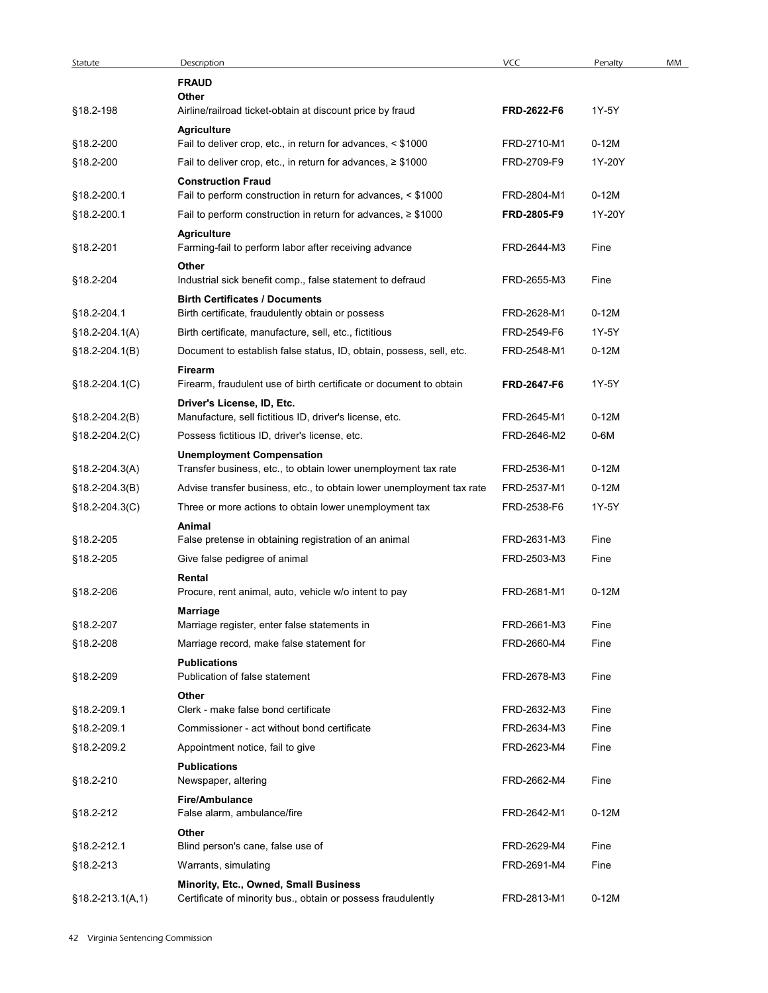| Statute              | Description                                                                                           | VCC         | Penalty | MM |
|----------------------|-------------------------------------------------------------------------------------------------------|-------------|---------|----|
|                      | <b>FRAUD</b>                                                                                          |             |         |    |
| §18.2-198            | Other<br>Airline/railroad ticket-obtain at discount price by fraud                                    | FRD-2622-F6 | 1Y-5Y   |    |
|                      | <b>Agriculture</b>                                                                                    |             |         |    |
| §18.2-200            | Fail to deliver crop, etc., in return for advances, < \$1000                                          | FRD-2710-M1 | $0-12M$ |    |
| §18.2-200            | Fail to deliver crop, etc., in return for advances, $\geq$ \$1000                                     | FRD-2709-F9 | 1Y-20Y  |    |
| §18.2-200.1          | <b>Construction Fraud</b><br>Fail to perform construction in return for advances, < \$1000            | FRD-2804-M1 | $0-12M$ |    |
| §18.2-200.1          | Fail to perform construction in return for advances, $\geq$ \$1000                                    | FRD-2805-F9 | 1Y-20Y  |    |
| §18.2-201            | <b>Agriculture</b><br>Farming-fail to perform labor after receiving advance                           | FRD-2644-M3 | Fine    |    |
|                      | Other                                                                                                 | FRD-2655-M3 | Fine    |    |
| §18.2-204            | Industrial sick benefit comp., false statement to defraud<br><b>Birth Certificates / Documents</b>    |             |         |    |
| §18.2-204.1          | Birth certificate, fraudulently obtain or possess                                                     | FRD-2628-M1 | $0-12M$ |    |
| $$18.2-204.1(A)$     | Birth certificate, manufacture, sell, etc., fictitious                                                | FRD-2549-F6 | 1Y-5Y   |    |
| $$18.2 - 204.1(B)$   | Document to establish false status, ID, obtain, possess, sell, etc.                                   | FRD-2548-M1 | $0-12M$ |    |
| §18.2-204.1(C)       | Firearm<br>Firearm, fraudulent use of birth certificate or document to obtain                         | FRD-2647-F6 | 1Y-5Y   |    |
| §18.2-204.2(B)       | Driver's License, ID, Etc.<br>Manufacture, sell fictitious ID, driver's license, etc.                 | FRD-2645-M1 | $0-12M$ |    |
| §18.2-204.2(C)       | Possess fictitious ID, driver's license, etc.                                                         | FRD-2646-M2 | 0-6M    |    |
| §18.2-204.3(A)       | <b>Unemployment Compensation</b><br>Transfer business, etc., to obtain lower unemployment tax rate    | FRD-2536-M1 | $0-12M$ |    |
| §18.2-204.3(B)       | Advise transfer business, etc., to obtain lower unemployment tax rate                                 | FRD-2537-M1 | $0-12M$ |    |
| §18.2-204.3(C)       | Three or more actions to obtain lower unemployment tax                                                | FRD-2538-F6 | 1Y-5Y   |    |
|                      | Animal                                                                                                |             |         |    |
| §18.2-205            | False pretense in obtaining registration of an animal                                                 | FRD-2631-M3 | Fine    |    |
| §18.2-205            | Give false pedigree of animal                                                                         | FRD-2503-M3 | Fine    |    |
| §18.2-206            | Rental<br>Procure, rent animal, auto, vehicle w/o intent to pay                                       | FRD-2681-M1 | $0-12M$ |    |
| §18.2-207            | <b>Marriage</b><br>Marriage register, enter false statements in                                       | FRD-2661-M3 | Fine    |    |
| §18.2-208            | Marriage record, make false statement for                                                             | FRD-2660-M4 | Fine    |    |
|                      | <b>Publications</b>                                                                                   |             |         |    |
| §18.2-209            | Publication of false statement                                                                        | FRD-2678-M3 | Fine    |    |
| §18.2-209.1          | Other<br>Clerk - make false bond certificate                                                          | FRD-2632-M3 | Fine    |    |
| §18.2-209.1          | Commissioner - act without bond certificate                                                           | FRD-2634-M3 | Fine    |    |
| §18.2-209.2          | Appointment notice, fail to give                                                                      | FRD-2623-M4 | Fine    |    |
| §18.2-210            | <b>Publications</b><br>Newspaper, altering                                                            | FRD-2662-M4 | Fine    |    |
|                      | <b>Fire/Ambulance</b>                                                                                 |             |         |    |
| §18.2-212            | False alarm, ambulance/fire<br>Other                                                                  | FRD-2642-M1 | $0-12M$ |    |
| §18.2-212.1          | Blind person's cane, false use of                                                                     | FRD-2629-M4 | Fine    |    |
| §18.2-213            | Warrants, simulating                                                                                  | FRD-2691-M4 | Fine    |    |
| $$18.2 - 213.1(A,1)$ | Minority, Etc., Owned, Small Business<br>Certificate of minority bus., obtain or possess fraudulently | FRD-2813-M1 | $0-12M$ |    |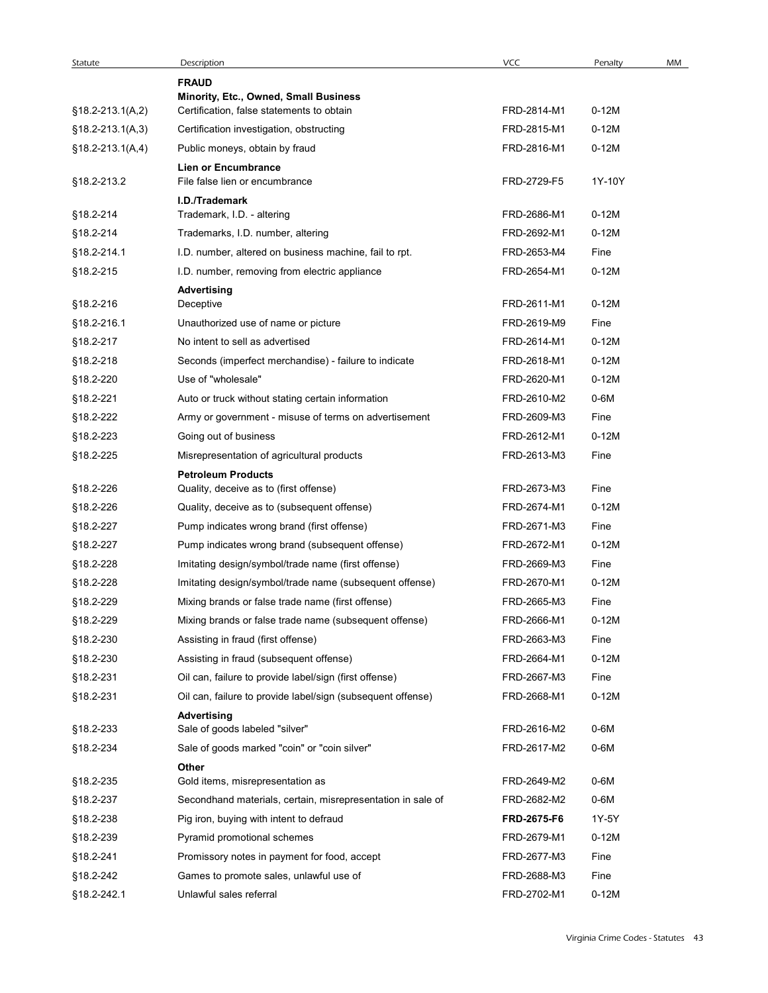| Statute                  | Description                                                                                             | VCC                        | Penalty         | MM |
|--------------------------|---------------------------------------------------------------------------------------------------------|----------------------------|-----------------|----|
|                          | <b>FRAUD</b>                                                                                            |                            |                 |    |
| $$18.2-213.1(A,2)$       | Minority, Etc., Owned, Small Business<br>Certification, false statements to obtain                      | FRD-2814-M1                | $0-12M$         |    |
| $$18.2-213.1(A,3)$       | Certification investigation, obstructing                                                                | FRD-2815-M1                | $0-12M$         |    |
| $$18.2-213.1(A,4)$       | Public moneys, obtain by fraud                                                                          | FRD-2816-M1                | $0-12M$         |    |
|                          | <b>Lien or Encumbrance</b>                                                                              |                            |                 |    |
| §18.2-213.2              | File false lien or encumbrance                                                                          | FRD-2729-F5                | 1Y-10Y          |    |
|                          | I.D./Trademark                                                                                          |                            |                 |    |
| §18.2-214                | Trademark, I.D. - altering                                                                              | FRD-2686-M1                | $0-12M$         |    |
| §18.2-214                | Trademarks, I.D. number, altering                                                                       | FRD-2692-M1<br>FRD-2653-M4 | $0-12M$<br>Fine |    |
| §18.2-214.1<br>§18.2-215 | I.D. number, altered on business machine, fail to rpt.<br>I.D. number, removing from electric appliance | FRD-2654-M1                | $0-12M$         |    |
|                          | <b>Advertising</b>                                                                                      |                            |                 |    |
| §18.2-216                | Deceptive                                                                                               | FRD-2611-M1                | $0-12M$         |    |
| §18.2-216.1              | Unauthorized use of name or picture                                                                     | FRD-2619-M9                | Fine            |    |
| §18.2-217                | No intent to sell as advertised                                                                         | FRD-2614-M1                | $0-12M$         |    |
| §18.2-218                | Seconds (imperfect merchandise) - failure to indicate                                                   | FRD-2618-M1                | 0-12M           |    |
| §18.2-220                | Use of "wholesale"                                                                                      | FRD-2620-M1                | $0-12M$         |    |
| §18.2-221                | Auto or truck without stating certain information                                                       | FRD-2610-M2                | 0-6M            |    |
| §18.2-222                | Army or government - misuse of terms on advertisement                                                   | FRD-2609-M3                | Fine            |    |
| §18.2-223                | Going out of business                                                                                   | FRD-2612-M1                | $0-12M$         |    |
| §18.2-225                | Misrepresentation of agricultural products                                                              | FRD-2613-M3                | Fine            |    |
|                          | <b>Petroleum Products</b>                                                                               |                            |                 |    |
| §18.2-226                | Quality, deceive as to (first offense)                                                                  | FRD-2673-M3                | Fine            |    |
| §18.2-226                | Quality, deceive as to (subsequent offense)                                                             | FRD-2674-M1                | $0-12M$         |    |
| §18.2-227                | Pump indicates wrong brand (first offense)                                                              | FRD-2671-M3                | Fine            |    |
| §18.2-227                | Pump indicates wrong brand (subsequent offense)                                                         | FRD-2672-M1                | $0-12M$         |    |
| §18.2-228                | Imitating design/symbol/trade name (first offense)                                                      | FRD-2669-M3                | Fine            |    |
| §18.2-228                | Imitating design/symbol/trade name (subsequent offense)                                                 | FRD-2670-M1                | $0-12M$         |    |
| §18.2-229                | Mixing brands or false trade name (first offense)                                                       | FRD-2665-M3                | Fine            |    |
| §18.2-229                | Mixing brands or false trade name (subsequent offense)                                                  | FRD-2666-M1                | $0-12M$         |    |
| §18.2-230                | Assisting in fraud (first offense)                                                                      | FRD-2663-M3                | Fine            |    |
| §18.2-230                | Assisting in fraud (subsequent offense)                                                                 | FRD-2664-M1                | $0-12M$         |    |
| §18.2-231                | Oil can, failure to provide label/sign (first offense)                                                  | FRD-2667-M3                | Fine            |    |
| §18.2-231                | Oil can, failure to provide label/sign (subsequent offense)                                             | FRD-2668-M1                | $0-12M$         |    |
| §18.2-233                | Advertising<br>Sale of goods labeled "silver"                                                           | FRD-2616-M2                | 0-6M            |    |
| §18.2-234                | Sale of goods marked "coin" or "coin silver"                                                            | FRD-2617-M2                | 0-6M            |    |
|                          | Other                                                                                                   |                            |                 |    |
| §18.2-235                | Gold items, misrepresentation as                                                                        | FRD-2649-M2                | 0-6M            |    |
| §18.2-237                | Secondhand materials, certain, misrepresentation in sale of                                             | FRD-2682-M2                | 0-6M            |    |
| §18.2-238                | Pig iron, buying with intent to defraud                                                                 | FRD-2675-F6                | 1Y-5Y           |    |
| §18.2-239                | Pyramid promotional schemes                                                                             | FRD-2679-M1                | $0-12M$         |    |
| §18.2-241                | Promissory notes in payment for food, accept                                                            | FRD-2677-M3                | Fine            |    |
| §18.2-242                | Games to promote sales, unlawful use of                                                                 | FRD-2688-M3                | Fine            |    |
|                          | Unlawful sales referral                                                                                 | FRD-2702-M1                | 0-12M           |    |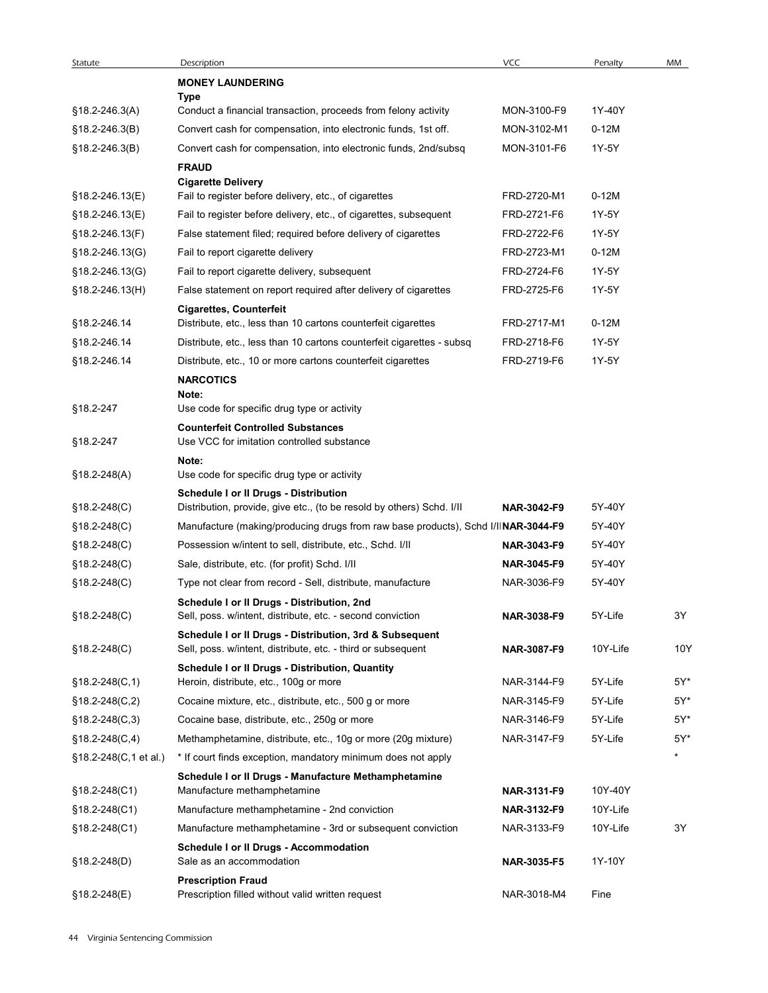| Statute               | Description<br><b>MONEY LAUNDERING</b>                                                                                  | VCC                | Penalty  | MM      |
|-----------------------|-------------------------------------------------------------------------------------------------------------------------|--------------------|----------|---------|
|                       | Type                                                                                                                    |                    |          |         |
| $$18.2 - 246.3(A)$    | Conduct a financial transaction, proceeds from felony activity                                                          | MON-3100-F9        | 1Y-40Y   |         |
| §18.2-246.3(B)        | Convert cash for compensation, into electronic funds, 1st off.                                                          | MON-3102-M1        | $0-12M$  |         |
| §18.2-246.3(B)        | Convert cash for compensation, into electronic funds, 2nd/subsq                                                         | MON-3101-F6        | 1Y-5Y    |         |
|                       | <b>FRAUD</b>                                                                                                            |                    |          |         |
| §18.2-246.13(E)       | <b>Cigarette Delivery</b><br>Fail to register before delivery, etc., of cigarettes                                      | FRD-2720-M1        | $0-12M$  |         |
| §18.2-246.13(E)       | Fail to register before delivery, etc., of cigarettes, subsequent                                                       | FRD-2721-F6        | 1Y-5Y    |         |
| §18.2-246.13(F)       | False statement filed; required before delivery of cigarettes                                                           | FRD-2722-F6        | 1Y-5Y    |         |
| §18.2-246.13(G)       | Fail to report cigarette delivery                                                                                       | FRD-2723-M1        | $0-12M$  |         |
| §18.2-246.13(G)       | Fail to report cigarette delivery, subsequent                                                                           | FRD-2724-F6        | 1Y-5Y    |         |
| §18.2-246.13(H)       | False statement on report required after delivery of cigarettes                                                         | FRD-2725-F6        | 1Y-5Y    |         |
|                       | <b>Cigarettes, Counterfeit</b>                                                                                          |                    |          |         |
| §18.2-246.14          | Distribute, etc., less than 10 cartons counterfeit cigarettes                                                           | FRD-2717-M1        | $0-12M$  |         |
| §18.2-246.14          | Distribute, etc., less than 10 cartons counterfeit cigarettes - subsq                                                   | FRD-2718-F6        | 1Y-5Y    |         |
| §18.2-246.14          | Distribute, etc., 10 or more cartons counterfeit cigarettes                                                             | FRD-2719-F6        | 1Y-5Y    |         |
|                       | <b>NARCOTICS</b>                                                                                                        |                    |          |         |
| §18.2-247             | Note:<br>Use code for specific drug type or activity                                                                    |                    |          |         |
|                       | <b>Counterfeit Controlled Substances</b>                                                                                |                    |          |         |
| §18.2-247             | Use VCC for imitation controlled substance                                                                              |                    |          |         |
|                       | Note:                                                                                                                   |                    |          |         |
| $$18.2 - 248(A)$      | Use code for specific drug type or activity                                                                             |                    |          |         |
| $$18.2 - 248(C)$      | <b>Schedule I or II Drugs - Distribution</b><br>Distribution, provide, give etc., (to be resold by others) Schd. I/II   | NAR-3042-F9        | 5Y-40Y   |         |
| $$18.2 - 248(C)$      | Manufacture (making/producing drugs from raw base products), Schd I/IINAR-3044-F9                                       |                    | 5Y-40Y   |         |
| $$18.2 - 248(C)$      | Possession w/intent to sell, distribute, etc., Schd. I/II                                                               | <b>NAR-3043-F9</b> | 5Y-40Y   |         |
| $$18.2 - 248(C)$      | Sale, distribute, etc. (for profit) Schd. I/II                                                                          | NAR-3045-F9        | 5Y-40Y   |         |
| $$18.2 - 248(C)$      | Type not clear from record - Sell, distribute, manufacture                                                              | NAR-3036-F9        | 5Y-40Y   |         |
|                       | Schedule I or II Drugs - Distribution, 2nd                                                                              |                    |          |         |
| $$18.2 - 248(C)$      | Sell, poss. w/intent, distribute, etc. - second conviction                                                              | NAR-3038-F9        | 5Y-Life  | 3Y      |
| §18.2-248(C)          | Schedule I or II Drugs - Distribution, 3rd & Subsequent<br>Sell, poss. w/intent, distribute, etc. - third or subsequent | NAR-3087-F9        | 10Y-Life | 10Y     |
|                       | Schedule I or II Drugs - Distribution, Quantity                                                                         |                    |          |         |
| $§18.2 - 248(C, 1)$   | Heroin, distribute, etc., 100g or more                                                                                  | NAR-3144-F9        | 5Y-Life  | $5Y^*$  |
| $$18.2 - 248(C, 2)$   | Cocaine mixture, etc., distribute, etc., 500 g or more                                                                  | NAR-3145-F9        | 5Y-Life  | 5Y*     |
| $$18.2 - 248(C, 3)$   | Cocaine base, distribute, etc., 250g or more                                                                            | NAR-3146-F9        | 5Y-Life  | $5Y^*$  |
| §18.2-248(C,4)        | Methamphetamine, distribute, etc., 10g or more (20g mixture)                                                            | NAR-3147-F9        | 5Y-Life  | $5Y^*$  |
| §18.2-248(C,1 et al.) | * If court finds exception, mandatory minimum does not apply                                                            |                    |          | $\star$ |
|                       | Schedule I or II Drugs - Manufacture Methamphetamine                                                                    |                    |          |         |
| $$18.2 - 248(C1)$     | Manufacture methamphetamine                                                                                             | NAR-3131-F9        | 10Y-40Y  |         |
| §18.2-248(C1)         | Manufacture methamphetamine - 2nd conviction                                                                            | NAR-3132-F9        | 10Y-Life |         |
| §18.2-248(C1)         | Manufacture methamphetamine - 3rd or subsequent conviction                                                              | NAR-3133-F9        | 10Y-Life | 3Y      |
|                       | Schedule I or II Drugs - Accommodation                                                                                  |                    |          |         |
| $$18.2 - 248(D)$      | Sale as an accommodation                                                                                                | NAR-3035-F5        | 1Y-10Y   |         |
|                       | <b>Prescription Fraud</b>                                                                                               |                    |          |         |
| $$18.2 - 248(E)$      | Prescription filled without valid written request                                                                       | NAR-3018-M4        | Fine     |         |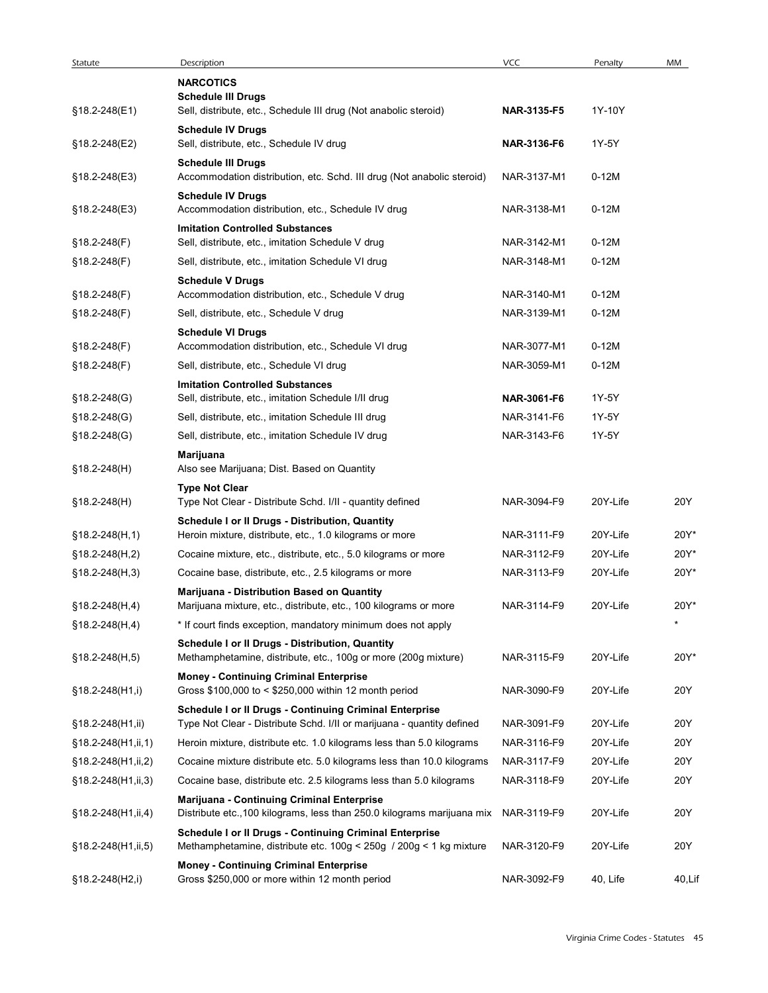| Statute             | Description                                                                                                                       | <b>VCC</b>  | Penalty  | MM     |
|---------------------|-----------------------------------------------------------------------------------------------------------------------------------|-------------|----------|--------|
|                     | <b>NARCOTICS</b>                                                                                                                  |             |          |        |
| §18.2-248(E1)       | <b>Schedule III Drugs</b><br>Sell, distribute, etc., Schedule III drug (Not anabolic steroid)                                     | NAR-3135-F5 | 1Y-10Y   |        |
| §18.2-248(E2)       | <b>Schedule IV Drugs</b><br>Sell, distribute, etc., Schedule IV drug                                                              | NAR-3136-F6 | 1Y-5Y    |        |
| §18.2-248(E3)       | <b>Schedule III Drugs</b><br>Accommodation distribution, etc. Schd. III drug (Not anabolic steroid)                               | NAR-3137-M1 | $0-12M$  |        |
| §18.2-248(E3)       | <b>Schedule IV Drugs</b><br>Accommodation distribution, etc., Schedule IV drug                                                    | NAR-3138-M1 | $0-12M$  |        |
| $$18.2 - 248(F)$    | <b>Imitation Controlled Substances</b><br>Sell, distribute, etc., imitation Schedule V drug                                       | NAR-3142-M1 | $0-12M$  |        |
| §18.2-248(F)        | Sell, distribute, etc., imitation Schedule VI drug                                                                                | NAR-3148-M1 | $0-12M$  |        |
| §18.2-248(F)        | <b>Schedule V Drugs</b><br>Accommodation distribution, etc., Schedule V drug                                                      | NAR-3140-M1 | $0-12M$  |        |
| §18.2-248(F)        | Sell, distribute, etc., Schedule V drug                                                                                           | NAR-3139-M1 | $0-12M$  |        |
|                     | <b>Schedule VI Drugs</b>                                                                                                          |             |          |        |
| §18.2-248(F)        | Accommodation distribution, etc., Schedule VI drug                                                                                | NAR-3077-M1 | $0-12M$  |        |
| §18.2-248(F)        | Sell, distribute, etc., Schedule VI drug                                                                                          | NAR-3059-M1 | $0-12M$  |        |
| §18.2-248(G)        | <b>Imitation Controlled Substances</b><br>Sell, distribute, etc., imitation Schedule I/II drug                                    | NAR-3061-F6 | 1Y-5Y    |        |
| $$18.2 - 248$ (G)   | Sell, distribute, etc., imitation Schedule III drug                                                                               | NAR-3141-F6 | 1Y-5Y    |        |
| §18.2-248(G)        | Sell, distribute, etc., imitation Schedule IV drug                                                                                | NAR-3143-F6 | 1Y-5Y    |        |
| §18.2-248(H)        | Marijuana<br>Also see Marijuana; Dist. Based on Quantity                                                                          |             |          |        |
|                     | <b>Type Not Clear</b>                                                                                                             |             |          |        |
| §18.2-248(H)        | Type Not Clear - Distribute Schd. I/II - quantity defined                                                                         | NAR-3094-F9 | 20Y-Life | 20Y    |
| $$18.2 - 248(H, 1)$ | Schedule I or II Drugs - Distribution, Quantity<br>Heroin mixture, distribute, etc., 1.0 kilograms or more                        | NAR-3111-F9 | 20Y-Life | 20Y*   |
| §18.2-248(H,2)      | Cocaine mixture, etc., distribute, etc., 5.0 kilograms or more                                                                    | NAR-3112-F9 | 20Y-Life | 20Y*   |
| §18.2-248(H,3)      | Cocaine base, distribute, etc., 2.5 kilograms or more                                                                             | NAR-3113-F9 | 20Y-Life | 20Y*   |
| §18.2-248(H,4)      | Marijuana - Distribution Based on Quantity<br>Marijuana mixture, etc., distribute, etc., 100 kilograms or more                    | NAR-3114-F9 | 20Y-Life | 20Y*   |
| $$18.2 - 248(H, 4)$ | * If court finds exception, mandatory minimum does not apply                                                                      |             |          |        |
| $§18.2-248(H,5)$    | Schedule I or II Drugs - Distribution, Quantity<br>Methamphetamine, distribute, etc., 100g or more (200g mixture)                 | NAR-3115-F9 | 20Y-Life | 20Y*   |
| §18.2-248(H1,i)     | <b>Money - Continuing Criminal Enterprise</b><br>Gross \$100,000 to < \$250,000 within 12 month period                            | NAR-3090-F9 | 20Y-Life | 20Y    |
|                     | Schedule I or II Drugs - Continuing Criminal Enterprise                                                                           |             |          |        |
| §18.2-248(H1,ii)    | Type Not Clear - Distribute Schd. I/II or marijuana - quantity defined                                                            | NAR-3091-F9 | 20Y-Life | 20Y    |
| §18.2-248(H1,ii,1)  | Heroin mixture, distribute etc. 1.0 kilograms less than 5.0 kilograms                                                             | NAR-3116-F9 | 20Y-Life | 20Y    |
| §18.2-248(H1,ii,2)  | Cocaine mixture distribute etc. 5.0 kilograms less than 10.0 kilograms                                                            | NAR-3117-F9 | 20Y-Life | 20Y    |
| §18.2-248(H1,ii,3)  | Cocaine base, distribute etc. 2.5 kilograms less than 5.0 kilograms                                                               | NAR-3118-F9 | 20Y-Life | 20Y    |
| §18.2-248(H1,ii,4)  | Marijuana - Continuing Criminal Enterprise<br>Distribute etc., 100 kilograms, less than 250.0 kilograms marijuana mix NAR-3119-F9 |             | 20Y-Life | 20Y    |
| §18.2-248(H1,ii,5)  | Schedule I or II Drugs - Continuing Criminal Enterprise<br>Methamphetamine, distribute etc. 100g < 250g / 200g < 1 kg mixture     | NAR-3120-F9 | 20Y-Life | 20Y    |
| §18.2-248(H2,i)     | <b>Money - Continuing Criminal Enterprise</b><br>Gross \$250,000 or more within 12 month period                                   | NAR-3092-F9 | 40, Life | 40,Lif |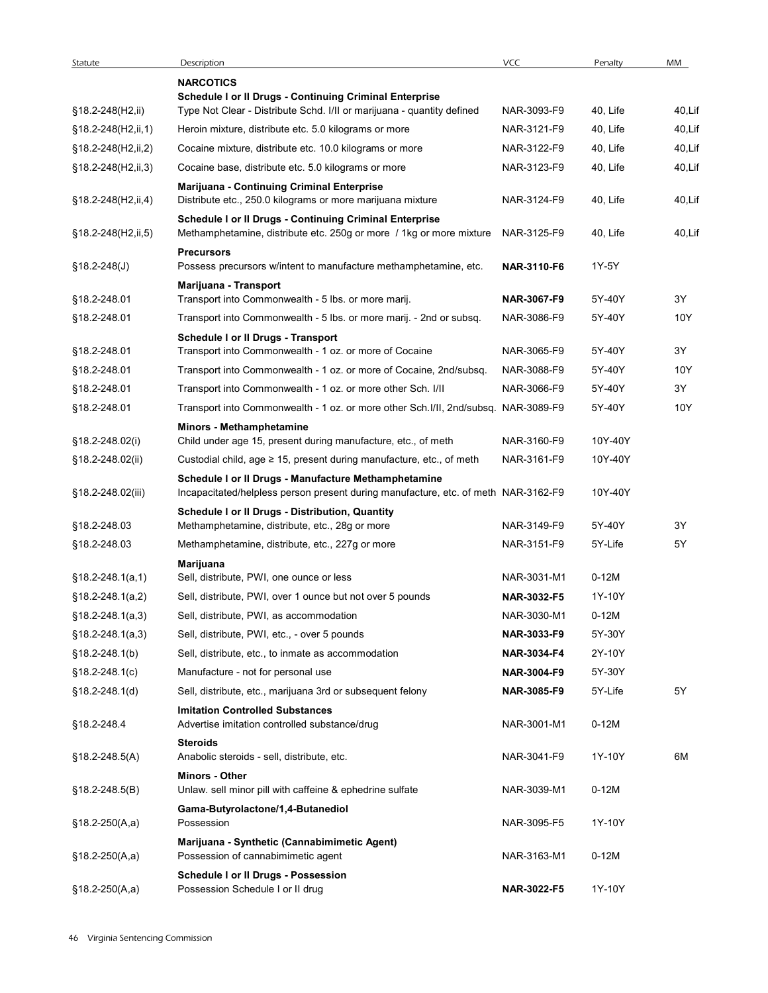| Statute                  | Description<br><b>NARCOTICS</b>                                                                                                            | <b>VCC</b>         | Penalty  | MM            |
|--------------------------|--------------------------------------------------------------------------------------------------------------------------------------------|--------------------|----------|---------------|
|                          | Schedule I or II Drugs - Continuing Criminal Enterprise                                                                                    |                    |          |               |
| §18.2-248(H2,ii)         | Type Not Clear - Distribute Schd. I/II or marijuana - quantity defined                                                                     | NAR-3093-F9        | 40, Life | 40,Lif        |
| $§18.2 - 248(H2, ii, 1)$ | Heroin mixture, distribute etc. 5.0 kilograms or more                                                                                      | NAR-3121-F9        | 40, Life | 40,Lif        |
| §18.2-248(H2,ii,2)       | Cocaine mixture, distribute etc. 10.0 kilograms or more                                                                                    | NAR-3122-F9        | 40, Life | 40,Lif        |
| §18.2-248(H2,ii,3)       | Cocaine base, distribute etc. 5.0 kilograms or more<br>Marijuana - Continuing Criminal Enterprise                                          | NAR-3123-F9        | 40, Life | 40,Lif        |
| §18.2-248(H2,ii,4)       | Distribute etc., 250.0 kilograms or more marijuana mixture<br>Schedule I or II Drugs - Continuing Criminal Enterprise                      | NAR-3124-F9        | 40, Life | 40,Lif        |
| §18.2-248(H2,ii,5)       | Methamphetamine, distribute etc. 250g or more / 1kg or more mixture<br><b>Precursors</b>                                                   | NAR-3125-F9        | 40, Life | 40,Lif        |
| $$18.2 - 248(J)$         | Possess precursors w/intent to manufacture methamphetamine, etc.                                                                           | <b>NAR-3110-F6</b> | 1Y-5Y    |               |
| §18.2-248.01             | Marijuana - Transport<br>Transport into Commonwealth - 5 lbs. or more marij.                                                               | <b>NAR-3067-F9</b> | 5Y-40Y   | 3Y            |
| §18.2-248.01             | Transport into Commonwealth - 5 lbs. or more marij. - 2nd or subsq.                                                                        | NAR-3086-F9        | 5Y-40Y   | 10Y           |
|                          | Schedule I or II Drugs - Transport                                                                                                         |                    |          |               |
| §18.2-248.01             | Transport into Commonwealth - 1 oz. or more of Cocaine                                                                                     | NAR-3065-F9        | 5Y-40Y   | 3Y            |
| §18.2-248.01             | Transport into Commonwealth - 1 oz. or more of Cocaine, 2nd/subsq.                                                                         | NAR-3088-F9        | 5Y-40Y   | 10Y           |
| §18.2-248.01             | Transport into Commonwealth - 1 oz. or more other Sch. I/II                                                                                | NAR-3066-F9        | 5Y-40Y   | 3Y            |
| §18.2-248.01             | Transport into Commonwealth - 1 oz. or more other Sch. I/II, 2nd/subsq. NAR-3089-F9                                                        |                    | 5Y-40Y   | 10Y           |
|                          | Minors - Methamphetamine                                                                                                                   |                    |          |               |
| §18.2-248.02(i)          | Child under age 15, present during manufacture, etc., of meth                                                                              | NAR-3160-F9        | 10Y-40Y  |               |
| §18.2-248.02(ii)         | Custodial child, age $\geq$ 15, present during manufacture, etc., of meth                                                                  | NAR-3161-F9        | 10Y-40Y  |               |
| §18.2-248.02(iii)        | Schedule I or II Drugs - Manufacture Methamphetamine<br>Incapacitated/helpless person present during manufacture, etc. of meth NAR-3162-F9 |                    | 10Y-40Y  |               |
|                          | Schedule I or II Drugs - Distribution, Quantity                                                                                            |                    |          |               |
| §18.2-248.03             | Methamphetamine, distribute, etc., 28g or more                                                                                             | NAR-3149-F9        | 5Y-40Y   | 3Y            |
| §18.2-248.03             | Methamphetamine, distribute, etc., 227g or more                                                                                            | NAR-3151-F9        | 5Y-Life  | 5Y            |
|                          | Marijuana                                                                                                                                  |                    |          |               |
| §18.2-248.1(a,1)         | Sell, distribute, PWI, one ounce or less                                                                                                   | NAR-3031-M1        | $0-12M$  |               |
| $$18.2 - 248.1(a,2)$     | Sell, distribute, PWI, over 1 ounce but not over 5 pounds                                                                                  | <b>NAR-3032-F5</b> | 1Y-10Y   |               |
| $$18.2 - 248.1(a,3)$     | Sell, distribute, PWI, as accommodation                                                                                                    | NAR-3030-M1        | $0-12M$  |               |
| $$18.2 - 248.1(a,3)$     | Sell, distribute, PWI, etc., - over 5 pounds                                                                                               | <b>NAR-3033-F9</b> | 5Y-30Y   |               |
| §18.2-248.1(b)           | Sell, distribute, etc., to inmate as accommodation                                                                                         | <b>NAR-3034-F4</b> | 2Y-10Y   |               |
| $§18.2 - 248.1(c)$       | Manufacture - not for personal use                                                                                                         | <b>NAR-3004-F9</b> | 5Y-30Y   |               |
| §18.2-248.1(d)           | Sell, distribute, etc., marijuana 3rd or subsequent felony                                                                                 | <b>NAR-3085-F9</b> | 5Y-Life  | $5\,\hbox{Y}$ |
| §18.2-248.4              | <b>Imitation Controlled Substances</b><br>Advertise imitation controlled substance/drug                                                    | NAR-3001-M1        | $0-12M$  |               |
|                          | <b>Steroids</b>                                                                                                                            |                    |          |               |
| $$18.2 - 248.5(A)$       | Anabolic steroids - sell, distribute, etc.                                                                                                 | NAR-3041-F9        | 1Y-10Y   | 6M            |
| §18.2-248.5(B)           | Minors - Other<br>Unlaw. sell minor pill with caffeine & ephedrine sulfate                                                                 | NAR-3039-M1        | $0-12M$  |               |
| $§18.2-250(A,a)$         | Gama-Butyrolactone/1,4-Butanediol<br>Possession                                                                                            | NAR-3095-F5        | 1Y-10Y   |               |
| $§18.2-250(A,a)$         | Marijuana - Synthetic (Cannabimimetic Agent)<br>Possession of cannabimimetic agent                                                         | NAR-3163-M1        | $0-12M$  |               |
|                          | Schedule I or II Drugs - Possession                                                                                                        |                    |          |               |
| $$18.2-250(A,a)$         | Possession Schedule I or II drug                                                                                                           | NAR-3022-F5        | 1Y-10Y   |               |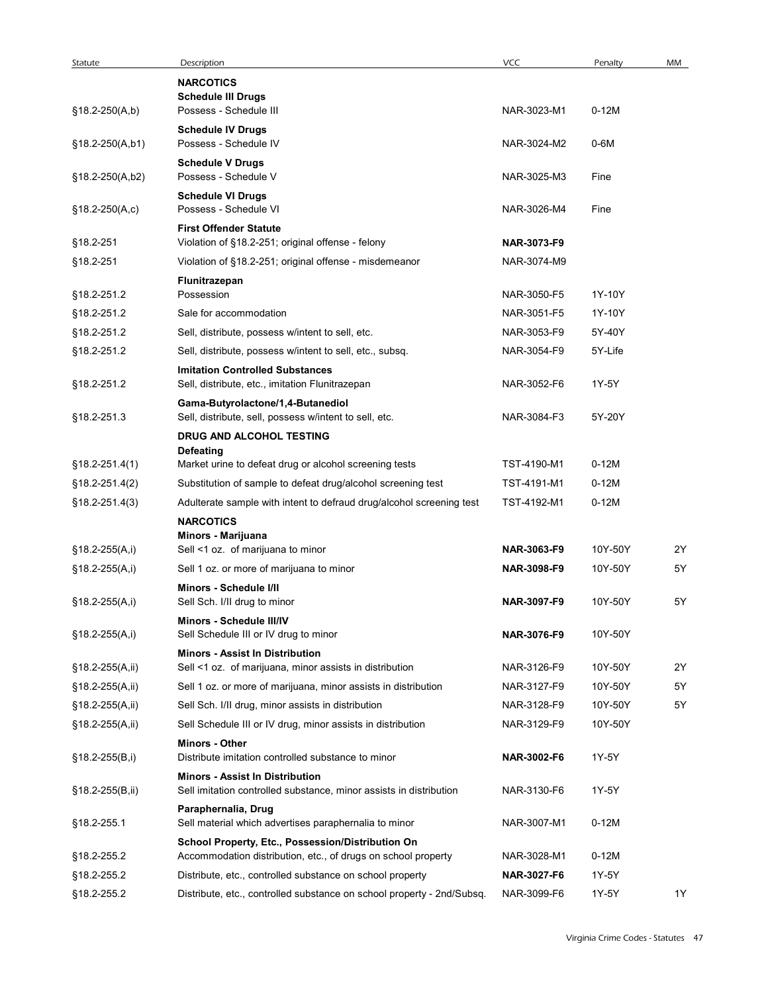| Statute            | Description                                                                                                  | <b>VCC</b>  | Penalty | MM |
|--------------------|--------------------------------------------------------------------------------------------------------------|-------------|---------|----|
|                    | <b>NARCOTICS</b><br><b>Schedule III Drugs</b>                                                                |             |         |    |
| $$18.2-250(A,b)$   | Possess - Schedule III                                                                                       | NAR-3023-M1 | $0-12M$ |    |
| §18.2-250(A,b1)    | <b>Schedule IV Drugs</b><br>Possess - Schedule IV                                                            | NAR-3024-M2 | $0-6M$  |    |
| §18.2-250(A,b2)    | <b>Schedule V Drugs</b><br>Possess - Schedule V                                                              | NAR-3025-M3 | Fine    |    |
|                    | <b>Schedule VI Drugs</b>                                                                                     |             |         |    |
| $§18.2-250(A,c)$   | Possess - Schedule VI                                                                                        | NAR-3026-M4 | Fine    |    |
|                    | <b>First Offender Statute</b>                                                                                |             |         |    |
| §18.2-251          | Violation of §18.2-251; original offense - felony                                                            | NAR-3073-F9 |         |    |
| §18.2-251          | Violation of §18.2-251; original offense - misdemeanor                                                       | NAR-3074-M9 |         |    |
| §18.2-251.2        | Flunitrazepan<br>Possession                                                                                  | NAR-3050-F5 | 1Y-10Y  |    |
| §18.2-251.2        | Sale for accommodation                                                                                       | NAR-3051-F5 | 1Y-10Y  |    |
| §18.2-251.2        | Sell, distribute, possess w/intent to sell, etc.                                                             | NAR-3053-F9 | 5Y-40Y  |    |
| §18.2-251.2        | Sell, distribute, possess w/intent to sell, etc., subsq.                                                     | NAR-3054-F9 | 5Y-Life |    |
|                    | <b>Imitation Controlled Substances</b>                                                                       |             |         |    |
| §18.2-251.2        | Sell, distribute, etc., imitation Flunitrazepan<br>Gama-Butyrolactone/1,4-Butanediol                         | NAR-3052-F6 | 1Y-5Y   |    |
| §18.2-251.3        | Sell, distribute, sell, possess w/intent to sell, etc.<br>DRUG AND ALCOHOL TESTING                           | NAR-3084-F3 | 5Y-20Y  |    |
|                    | Defeating                                                                                                    |             |         |    |
| $$18.2 - 251.4(1)$ | Market urine to defeat drug or alcohol screening tests                                                       | TST-4190-M1 | $0-12M$ |    |
| $$18.2 - 251.4(2)$ | Substitution of sample to defeat drug/alcohol screening test                                                 | TST-4191-M1 | $0-12M$ |    |
| $$18.2 - 251.4(3)$ | Adulterate sample with intent to defraud drug/alcohol screening test                                         | TST-4192-M1 | $0-12M$ |    |
|                    | <b>NARCOTICS</b>                                                                                             |             |         |    |
| $§18.2-255(A,i)$   | Minors - Marijuana<br>Sell <1 oz. of marijuana to minor                                                      | NAR-3063-F9 | 10Y-50Y | 2Y |
| $$18.2-255(A,i)$   | Sell 1 oz. or more of marijuana to minor                                                                     | NAR-3098-F9 | 10Y-50Y | 5Y |
|                    | Minors - Schedule I/II                                                                                       |             |         |    |
| §18.2-255(A,i)     | Sell Sch. I/II drug to minor<br>Minors - Schedule III/IV                                                     | NAR-3097-F9 | 10Y-50Y | 5Y |
| §18.2-255(A,i)     | Sell Schedule III or IV drug to minor                                                                        | NAR-3076-F9 | 10Y-50Y |    |
|                    | <b>Minors - Assist In Distribution</b>                                                                       |             |         |    |
| §18.2-255(A,ii)    | Sell <1 oz. of marijuana, minor assists in distribution                                                      | NAR-3126-F9 | 10Y-50Y | 2Y |
| §18.2-255(A,ii)    | Sell 1 oz. or more of marijuana, minor assists in distribution                                               | NAR-3127-F9 | 10Y-50Y | 5Y |
| §18.2-255(A,ii)    | Sell Sch. I/II drug, minor assists in distribution                                                           | NAR-3128-F9 | 10Y-50Y | 5Y |
| §18.2-255(A,ii)    | Sell Schedule III or IV drug, minor assists in distribution                                                  | NAR-3129-F9 | 10Y-50Y |    |
| $§18.2-255(B,i)$   | Minors - Other<br>Distribute imitation controlled substance to minor                                         | NAR-3002-F6 | 1Y-5Y   |    |
| §18.2-255(B,ii)    | <b>Minors - Assist In Distribution</b><br>Sell imitation controlled substance, minor assists in distribution | NAR-3130-F6 | 1Y-5Y   |    |
| §18.2-255.1        | Paraphernalia, Drug<br>Sell material which advertises paraphernalia to minor                                 | NAR-3007-M1 | $0-12M$ |    |
|                    | School Property, Etc., Possession/Distribution On                                                            |             |         |    |
| §18.2-255.2        | Accommodation distribution, etc., of drugs on school property                                                | NAR-3028-M1 | $0-12M$ |    |
| §18.2-255.2        | Distribute, etc., controlled substance on school property                                                    | NAR-3027-F6 | 1Y-5Y   |    |
| §18.2-255.2        | Distribute, etc., controlled substance on school property - 2nd/Subsq.                                       | NAR-3099-F6 | 1Y-5Y   | 1Y |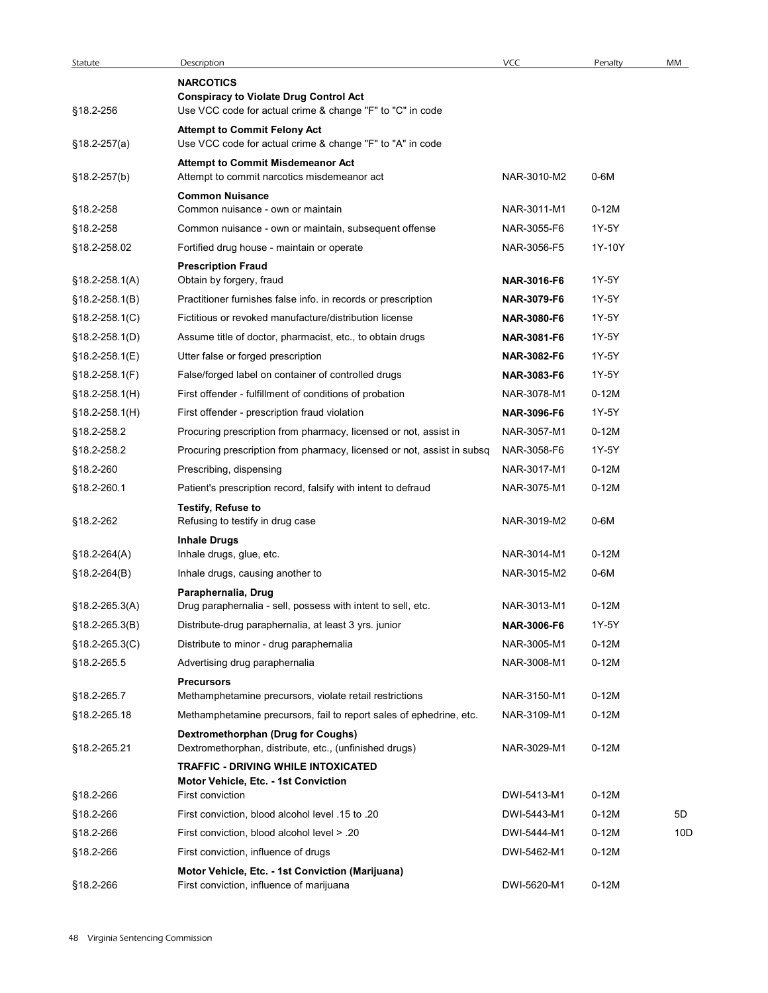| Statute            | Description                                                                                         | <b>VCC</b>         | Penalty | MM  |
|--------------------|-----------------------------------------------------------------------------------------------------|--------------------|---------|-----|
|                    | <b>NARCOTICS</b><br><b>Conspiracy to Violate Drug Control Act</b>                                   |                    |         |     |
| §18.2-256          | Use VCC code for actual crime & change "F" to "C" in code                                           |                    |         |     |
| $$18.2-257(a)$     | <b>Attempt to Commit Felony Act</b><br>Use VCC code for actual crime & change "F" to "A" in code    |                    |         |     |
|                    | <b>Attempt to Commit Misdemeanor Act</b>                                                            |                    |         |     |
| $§18.2-257(b)$     | Attempt to commit narcotics misdemeanor act                                                         | NAR-3010-M2        | 0-6M    |     |
|                    | <b>Common Nuisance</b>                                                                              |                    |         |     |
| §18.2-258          | Common nuisance - own or maintain                                                                   | NAR-3011-M1        | $0-12M$ |     |
| §18.2-258          | Common nuisance - own or maintain, subsequent offense                                               | NAR-3055-F6        | 1Y-5Y   |     |
| §18.2-258.02       | Fortified drug house - maintain or operate                                                          | NAR-3056-F5        | 1Y-10Y  |     |
| $§18.2-258.1(A)$   | <b>Prescription Fraud</b><br>Obtain by forgery, fraud                                               | NAR-3016-F6        | 1Y-5Y   |     |
| §18.2-258.1(B)     | Practitioner furnishes false info. in records or prescription                                       | NAR-3079-F6        | 1Y-5Y   |     |
| $§18.2 - 258.1(C)$ | Fictitious or revoked manufacture/distribution license                                              | <b>NAR-3080-F6</b> | 1Y-5Y   |     |
| §18.2-258.1(D)     | Assume title of doctor, pharmacist, etc., to obtain drugs                                           | NAR-3081-F6        | 1Y-5Y   |     |
| §18.2-258.1(E)     | Utter false or forged prescription                                                                  | NAR-3082-F6        | 1Y-5Y   |     |
| $$18.2 - 258.1(F)$ | False/forged label on container of controlled drugs                                                 | NAR-3083-F6        | 1Y-5Y   |     |
| §18.2-258.1(H)     | First offender - fulfillment of conditions of probation                                             | NAR-3078-M1        | $0-12M$ |     |
| $$18.2 - 258.1(H)$ | First offender - prescription fraud violation                                                       | NAR-3096-F6        | 1Y-5Y   |     |
| §18.2-258.2        | Procuring prescription from pharmacy, licensed or not, assist in                                    | NAR-3057-M1        | $0-12M$ |     |
| §18.2-258.2        | Procuring prescription from pharmacy, licensed or not, assist in subsq                              | NAR-3058-F6        | 1Y-5Y   |     |
| §18.2-260          | Prescribing, dispensing                                                                             | NAR-3017-M1        | $0-12M$ |     |
| §18.2-260.1        | Patient's prescription record, falsify with intent to defraud                                       | NAR-3075-M1        | $0-12M$ |     |
|                    | <b>Testify, Refuse to</b>                                                                           |                    |         |     |
| §18.2-262          | Refusing to testify in drug case                                                                    | NAR-3019-M2        | $0-6M$  |     |
|                    | <b>Inhale Drugs</b>                                                                                 | NAR-3014-M1        | $0-12M$ |     |
| §18.2-264(A)       | Inhale drugs, glue, etc.                                                                            |                    |         |     |
| $$18.2 - 264(B)$   | Inhale drugs, causing another to                                                                    | NAR-3015-M2        | $0-6M$  |     |
| §18.2-265.3(A)     | Paraphernalia, Drug<br>Drug paraphernalia - sell, possess with intent to sell, etc.                 | NAR-3013-M1        | $0-12M$ |     |
| §18.2-265.3(B)     | Distribute-drug paraphernalia, at least 3 yrs. junior                                               | NAR-3006-F6        | 1Y-5Y   |     |
| $§18.2 - 265.3(C)$ | Distribute to minor - drug paraphernalia                                                            | NAR-3005-M1        | $0-12M$ |     |
| §18.2-265.5        | Advertising drug paraphernalia                                                                      | NAR-3008-M1        | $0-12M$ |     |
|                    | <b>Precursors</b>                                                                                   |                    |         |     |
| §18.2-265.7        | Methamphetamine precursors, violate retail restrictions                                             | NAR-3150-M1        | $0-12M$ |     |
| §18.2-265.18       | Methamphetamine precursors, fail to report sales of ephedrine, etc.                                 | NAR-3109-M1        | $0-12M$ |     |
| §18.2-265.21       | <b>Dextromethorphan (Drug for Coughs)</b><br>Dextromethorphan, distribute, etc., (unfinished drugs) | NAR-3029-M1        | $0-12M$ |     |
|                    | <b>TRAFFIC - DRIVING WHILE INTOXICATED</b><br>Motor Vehicle, Etc. - 1st Conviction                  |                    |         |     |
| §18.2-266          | First conviction                                                                                    | DWI-5413-M1        | $0-12M$ |     |
| §18.2-266          | First conviction, blood alcohol level .15 to .20                                                    | DWI-5443-M1        | $0-12M$ | 5D  |
| §18.2-266          | First conviction, blood alcohol level > .20                                                         | DWI-5444-M1        | $0-12M$ | 10D |
| §18.2-266          | First conviction, influence of drugs                                                                | DWI-5462-M1        | $0-12M$ |     |
|                    | Motor Vehicle, Etc. - 1st Conviction (Marijuana)                                                    |                    |         |     |
| §18.2-266          | First conviction, influence of marijuana                                                            | DWI-5620-M1        | $0-12M$ |     |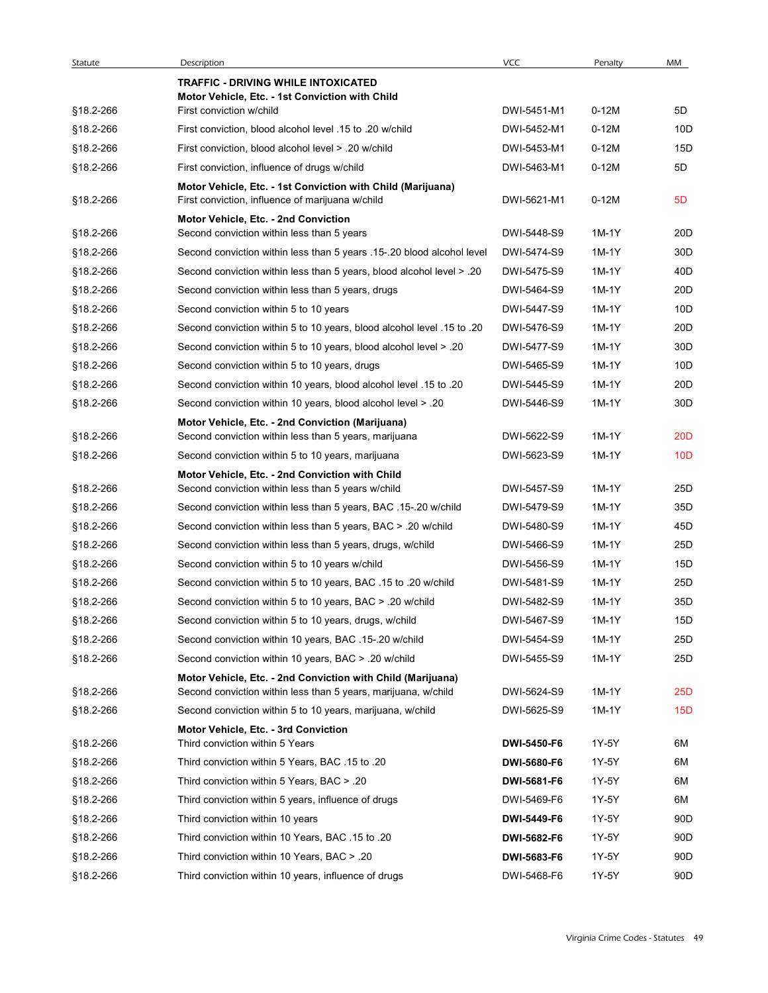| <b>VCC</b><br>Description<br>MM<br>Statute<br>Penalty<br><b>TRAFFIC - DRIVING WHILE INTOXICATED</b><br>Motor Vehicle, Etc. - 1st Conviction with Child<br>$0-12M$<br>5D<br>§18.2-266<br>First conviction w/child<br>DWI-5451-M1<br>$0-12M$<br>§18.2-266<br>First conviction, blood alcohol level .15 to .20 w/child<br>DWI-5452-M1<br>First conviction, blood alcohol level > .20 w/child<br>$0-12M$<br>§18.2-266<br>DWI-5453-M1<br>§18.2-266<br>First conviction, influence of drugs w/child<br>DWI-5463-M1<br>$0-12M$<br>5D<br>Motor Vehicle, Etc. - 1st Conviction with Child (Marijuana)<br>First conviction, influence of marijuana w/child<br>DWI-5621-M1<br>$0-12M$<br>5 <sub>D</sub><br>§18.2-266<br>Motor Vehicle, Etc. - 2nd Conviction<br>1M-1Y<br>§18.2-266<br>Second conviction within less than 5 years<br>DWI-5448-S9<br>DWI-5474-S9<br>1M-1Y<br>§18.2-266<br>Second conviction within less than 5 years .15-.20 blood alcohol level<br>DWI-5475-S9<br>1M-1Y<br>§18.2-266<br>Second conviction within less than 5 years, blood alcohol level > .20<br>Second conviction within less than 5 years, drugs<br>1M-1Y<br>§18.2-266<br>DWI-5464-S9<br>§18.2-266<br>Second conviction within 5 to 10 years<br>DWI-5447-S9<br>1M-1Y<br>DWI-5476-S9<br>§18.2-266<br>Second conviction within 5 to 10 years, blood alcohol level .15 to .20<br>1M-1Y<br>§18.2-266<br>DWI-5477-S9<br>Second conviction within 5 to 10 years, blood alcohol level > .20<br>1M-1Y<br>§18.2-266<br>Second conviction within 5 to 10 years, drugs<br>DWI-5465-S9<br>1M-1Y<br>§18.2-266<br>Second conviction within 10 years, blood alcohol level .15 to .20<br>DWI-5445-S9<br>1M-1Y<br>§18.2-266<br>Second conviction within 10 years, blood alcohol level > .20<br>1M-1Y<br>DWI-5446-S9<br>Motor Vehicle, Etc. - 2nd Conviction (Marijuana)<br>DWI-5622-S9<br>1M-1Y<br>§18.2-266<br>Second conviction within less than 5 years, marijuana<br>§18.2-266<br>Second conviction within 5 to 10 years, marijuana<br>DWI-5623-S9<br>1M-1Y<br>Motor Vehicle, Etc. - 2nd Conviction with Child<br>DWI-5457-S9<br>1M-1Y<br>§18.2-266<br>Second conviction within less than 5 years w/child<br>§18.2-266<br>DWI-5479-S9<br>1M-1Y<br>Second conviction within less than 5 years, BAC .15-.20 w/child<br>§18.2-266<br>Second conviction within less than 5 years, BAC > .20 w/child<br>DWI-5480-S9<br>1M-1Y<br>§18.2-266<br>Second conviction within less than 5 years, drugs, w/child<br>1M-1Y<br>DWI-5466-S9<br>1M-1Y<br>§18.2-266<br>Second conviction within 5 to 10 years w/child<br>DWI-5456-S9<br>§18.2-266<br>1M-1Y<br>Second conviction within 5 to 10 years, BAC .15 to .20 w/child<br>DWI-5481-S9<br>1M-1Y<br>§18.2-266<br>Second conviction within 5 to 10 years, BAC > .20 w/child<br>DWI-5482-S9<br>§18.2-266<br>Second conviction within 5 to 10 years, drugs, w/child<br>1M-1Y<br>DWI-5467-S9<br>Second conviction within 10 years, BAC .15-.20 w/child<br>DWI-5454-S9<br>1M-1Y<br>§18.2-266<br>§18.2-266<br>Second conviction within 10 years, BAC > .20 w/child<br>DWI-5455-S9<br>1M-1Y |
|--------------------------------------------------------------------------------------------------------------------------------------------------------------------------------------------------------------------------------------------------------------------------------------------------------------------------------------------------------------------------------------------------------------------------------------------------------------------------------------------------------------------------------------------------------------------------------------------------------------------------------------------------------------------------------------------------------------------------------------------------------------------------------------------------------------------------------------------------------------------------------------------------------------------------------------------------------------------------------------------------------------------------------------------------------------------------------------------------------------------------------------------------------------------------------------------------------------------------------------------------------------------------------------------------------------------------------------------------------------------------------------------------------------------------------------------------------------------------------------------------------------------------------------------------------------------------------------------------------------------------------------------------------------------------------------------------------------------------------------------------------------------------------------------------------------------------------------------------------------------------------------------------------------------------------------------------------------------------------------------------------------------------------------------------------------------------------------------------------------------------------------------------------------------------------------------------------------------------------------------------------------------------------------------------------------------------------------------------------------------------------------------------------------------------------------------------------------------------------------------------------------------------------------------------------------------------------------------------------------------------------------------------------------------------------------------------------------------------------------------------------------------------------------------------------------------------------------------------------------------------------------------------------------------------------------------------------------------------------------------------------------------------------------------------------------------------------|
| 10D<br>15D<br>20 <sub>D</sub><br>30 <sub>D</sub><br>40D<br>20D<br>10D<br>20 <sub>D</sub><br>30D<br>10D<br>20D<br>30D<br><b>20D</b><br>10 <sub>D</sub><br>25D<br>35D<br>45D<br>25D<br>15D<br>25D<br>35D<br>15D<br>25D<br>25D                                                                                                                                                                                                                                                                                                                                                                                                                                                                                                                                                                                                                                                                                                                                                                                                                                                                                                                                                                                                                                                                                                                                                                                                                                                                                                                                                                                                                                                                                                                                                                                                                                                                                                                                                                                                                                                                                                                                                                                                                                                                                                                                                                                                                                                                                                                                                                                                                                                                                                                                                                                                                                                                                                                                                                                                                                                    |
|                                                                                                                                                                                                                                                                                                                                                                                                                                                                                                                                                                                                                                                                                                                                                                                                                                                                                                                                                                                                                                                                                                                                                                                                                                                                                                                                                                                                                                                                                                                                                                                                                                                                                                                                                                                                                                                                                                                                                                                                                                                                                                                                                                                                                                                                                                                                                                                                                                                                                                                                                                                                                                                                                                                                                                                                                                                                                                                                                                                                                                                                                |
|                                                                                                                                                                                                                                                                                                                                                                                                                                                                                                                                                                                                                                                                                                                                                                                                                                                                                                                                                                                                                                                                                                                                                                                                                                                                                                                                                                                                                                                                                                                                                                                                                                                                                                                                                                                                                                                                                                                                                                                                                                                                                                                                                                                                                                                                                                                                                                                                                                                                                                                                                                                                                                                                                                                                                                                                                                                                                                                                                                                                                                                                                |
|                                                                                                                                                                                                                                                                                                                                                                                                                                                                                                                                                                                                                                                                                                                                                                                                                                                                                                                                                                                                                                                                                                                                                                                                                                                                                                                                                                                                                                                                                                                                                                                                                                                                                                                                                                                                                                                                                                                                                                                                                                                                                                                                                                                                                                                                                                                                                                                                                                                                                                                                                                                                                                                                                                                                                                                                                                                                                                                                                                                                                                                                                |
|                                                                                                                                                                                                                                                                                                                                                                                                                                                                                                                                                                                                                                                                                                                                                                                                                                                                                                                                                                                                                                                                                                                                                                                                                                                                                                                                                                                                                                                                                                                                                                                                                                                                                                                                                                                                                                                                                                                                                                                                                                                                                                                                                                                                                                                                                                                                                                                                                                                                                                                                                                                                                                                                                                                                                                                                                                                                                                                                                                                                                                                                                |
|                                                                                                                                                                                                                                                                                                                                                                                                                                                                                                                                                                                                                                                                                                                                                                                                                                                                                                                                                                                                                                                                                                                                                                                                                                                                                                                                                                                                                                                                                                                                                                                                                                                                                                                                                                                                                                                                                                                                                                                                                                                                                                                                                                                                                                                                                                                                                                                                                                                                                                                                                                                                                                                                                                                                                                                                                                                                                                                                                                                                                                                                                |
|                                                                                                                                                                                                                                                                                                                                                                                                                                                                                                                                                                                                                                                                                                                                                                                                                                                                                                                                                                                                                                                                                                                                                                                                                                                                                                                                                                                                                                                                                                                                                                                                                                                                                                                                                                                                                                                                                                                                                                                                                                                                                                                                                                                                                                                                                                                                                                                                                                                                                                                                                                                                                                                                                                                                                                                                                                                                                                                                                                                                                                                                                |
|                                                                                                                                                                                                                                                                                                                                                                                                                                                                                                                                                                                                                                                                                                                                                                                                                                                                                                                                                                                                                                                                                                                                                                                                                                                                                                                                                                                                                                                                                                                                                                                                                                                                                                                                                                                                                                                                                                                                                                                                                                                                                                                                                                                                                                                                                                                                                                                                                                                                                                                                                                                                                                                                                                                                                                                                                                                                                                                                                                                                                                                                                |
|                                                                                                                                                                                                                                                                                                                                                                                                                                                                                                                                                                                                                                                                                                                                                                                                                                                                                                                                                                                                                                                                                                                                                                                                                                                                                                                                                                                                                                                                                                                                                                                                                                                                                                                                                                                                                                                                                                                                                                                                                                                                                                                                                                                                                                                                                                                                                                                                                                                                                                                                                                                                                                                                                                                                                                                                                                                                                                                                                                                                                                                                                |
|                                                                                                                                                                                                                                                                                                                                                                                                                                                                                                                                                                                                                                                                                                                                                                                                                                                                                                                                                                                                                                                                                                                                                                                                                                                                                                                                                                                                                                                                                                                                                                                                                                                                                                                                                                                                                                                                                                                                                                                                                                                                                                                                                                                                                                                                                                                                                                                                                                                                                                                                                                                                                                                                                                                                                                                                                                                                                                                                                                                                                                                                                |
|                                                                                                                                                                                                                                                                                                                                                                                                                                                                                                                                                                                                                                                                                                                                                                                                                                                                                                                                                                                                                                                                                                                                                                                                                                                                                                                                                                                                                                                                                                                                                                                                                                                                                                                                                                                                                                                                                                                                                                                                                                                                                                                                                                                                                                                                                                                                                                                                                                                                                                                                                                                                                                                                                                                                                                                                                                                                                                                                                                                                                                                                                |
|                                                                                                                                                                                                                                                                                                                                                                                                                                                                                                                                                                                                                                                                                                                                                                                                                                                                                                                                                                                                                                                                                                                                                                                                                                                                                                                                                                                                                                                                                                                                                                                                                                                                                                                                                                                                                                                                                                                                                                                                                                                                                                                                                                                                                                                                                                                                                                                                                                                                                                                                                                                                                                                                                                                                                                                                                                                                                                                                                                                                                                                                                |
|                                                                                                                                                                                                                                                                                                                                                                                                                                                                                                                                                                                                                                                                                                                                                                                                                                                                                                                                                                                                                                                                                                                                                                                                                                                                                                                                                                                                                                                                                                                                                                                                                                                                                                                                                                                                                                                                                                                                                                                                                                                                                                                                                                                                                                                                                                                                                                                                                                                                                                                                                                                                                                                                                                                                                                                                                                                                                                                                                                                                                                                                                |
|                                                                                                                                                                                                                                                                                                                                                                                                                                                                                                                                                                                                                                                                                                                                                                                                                                                                                                                                                                                                                                                                                                                                                                                                                                                                                                                                                                                                                                                                                                                                                                                                                                                                                                                                                                                                                                                                                                                                                                                                                                                                                                                                                                                                                                                                                                                                                                                                                                                                                                                                                                                                                                                                                                                                                                                                                                                                                                                                                                                                                                                                                |
|                                                                                                                                                                                                                                                                                                                                                                                                                                                                                                                                                                                                                                                                                                                                                                                                                                                                                                                                                                                                                                                                                                                                                                                                                                                                                                                                                                                                                                                                                                                                                                                                                                                                                                                                                                                                                                                                                                                                                                                                                                                                                                                                                                                                                                                                                                                                                                                                                                                                                                                                                                                                                                                                                                                                                                                                                                                                                                                                                                                                                                                                                |
|                                                                                                                                                                                                                                                                                                                                                                                                                                                                                                                                                                                                                                                                                                                                                                                                                                                                                                                                                                                                                                                                                                                                                                                                                                                                                                                                                                                                                                                                                                                                                                                                                                                                                                                                                                                                                                                                                                                                                                                                                                                                                                                                                                                                                                                                                                                                                                                                                                                                                                                                                                                                                                                                                                                                                                                                                                                                                                                                                                                                                                                                                |
|                                                                                                                                                                                                                                                                                                                                                                                                                                                                                                                                                                                                                                                                                                                                                                                                                                                                                                                                                                                                                                                                                                                                                                                                                                                                                                                                                                                                                                                                                                                                                                                                                                                                                                                                                                                                                                                                                                                                                                                                                                                                                                                                                                                                                                                                                                                                                                                                                                                                                                                                                                                                                                                                                                                                                                                                                                                                                                                                                                                                                                                                                |
|                                                                                                                                                                                                                                                                                                                                                                                                                                                                                                                                                                                                                                                                                                                                                                                                                                                                                                                                                                                                                                                                                                                                                                                                                                                                                                                                                                                                                                                                                                                                                                                                                                                                                                                                                                                                                                                                                                                                                                                                                                                                                                                                                                                                                                                                                                                                                                                                                                                                                                                                                                                                                                                                                                                                                                                                                                                                                                                                                                                                                                                                                |
|                                                                                                                                                                                                                                                                                                                                                                                                                                                                                                                                                                                                                                                                                                                                                                                                                                                                                                                                                                                                                                                                                                                                                                                                                                                                                                                                                                                                                                                                                                                                                                                                                                                                                                                                                                                                                                                                                                                                                                                                                                                                                                                                                                                                                                                                                                                                                                                                                                                                                                                                                                                                                                                                                                                                                                                                                                                                                                                                                                                                                                                                                |
|                                                                                                                                                                                                                                                                                                                                                                                                                                                                                                                                                                                                                                                                                                                                                                                                                                                                                                                                                                                                                                                                                                                                                                                                                                                                                                                                                                                                                                                                                                                                                                                                                                                                                                                                                                                                                                                                                                                                                                                                                                                                                                                                                                                                                                                                                                                                                                                                                                                                                                                                                                                                                                                                                                                                                                                                                                                                                                                                                                                                                                                                                |
|                                                                                                                                                                                                                                                                                                                                                                                                                                                                                                                                                                                                                                                                                                                                                                                                                                                                                                                                                                                                                                                                                                                                                                                                                                                                                                                                                                                                                                                                                                                                                                                                                                                                                                                                                                                                                                                                                                                                                                                                                                                                                                                                                                                                                                                                                                                                                                                                                                                                                                                                                                                                                                                                                                                                                                                                                                                                                                                                                                                                                                                                                |
|                                                                                                                                                                                                                                                                                                                                                                                                                                                                                                                                                                                                                                                                                                                                                                                                                                                                                                                                                                                                                                                                                                                                                                                                                                                                                                                                                                                                                                                                                                                                                                                                                                                                                                                                                                                                                                                                                                                                                                                                                                                                                                                                                                                                                                                                                                                                                                                                                                                                                                                                                                                                                                                                                                                                                                                                                                                                                                                                                                                                                                                                                |
|                                                                                                                                                                                                                                                                                                                                                                                                                                                                                                                                                                                                                                                                                                                                                                                                                                                                                                                                                                                                                                                                                                                                                                                                                                                                                                                                                                                                                                                                                                                                                                                                                                                                                                                                                                                                                                                                                                                                                                                                                                                                                                                                                                                                                                                                                                                                                                                                                                                                                                                                                                                                                                                                                                                                                                                                                                                                                                                                                                                                                                                                                |
|                                                                                                                                                                                                                                                                                                                                                                                                                                                                                                                                                                                                                                                                                                                                                                                                                                                                                                                                                                                                                                                                                                                                                                                                                                                                                                                                                                                                                                                                                                                                                                                                                                                                                                                                                                                                                                                                                                                                                                                                                                                                                                                                                                                                                                                                                                                                                                                                                                                                                                                                                                                                                                                                                                                                                                                                                                                                                                                                                                                                                                                                                |
|                                                                                                                                                                                                                                                                                                                                                                                                                                                                                                                                                                                                                                                                                                                                                                                                                                                                                                                                                                                                                                                                                                                                                                                                                                                                                                                                                                                                                                                                                                                                                                                                                                                                                                                                                                                                                                                                                                                                                                                                                                                                                                                                                                                                                                                                                                                                                                                                                                                                                                                                                                                                                                                                                                                                                                                                                                                                                                                                                                                                                                                                                |
|                                                                                                                                                                                                                                                                                                                                                                                                                                                                                                                                                                                                                                                                                                                                                                                                                                                                                                                                                                                                                                                                                                                                                                                                                                                                                                                                                                                                                                                                                                                                                                                                                                                                                                                                                                                                                                                                                                                                                                                                                                                                                                                                                                                                                                                                                                                                                                                                                                                                                                                                                                                                                                                                                                                                                                                                                                                                                                                                                                                                                                                                                |
|                                                                                                                                                                                                                                                                                                                                                                                                                                                                                                                                                                                                                                                                                                                                                                                                                                                                                                                                                                                                                                                                                                                                                                                                                                                                                                                                                                                                                                                                                                                                                                                                                                                                                                                                                                                                                                                                                                                                                                                                                                                                                                                                                                                                                                                                                                                                                                                                                                                                                                                                                                                                                                                                                                                                                                                                                                                                                                                                                                                                                                                                                |
|                                                                                                                                                                                                                                                                                                                                                                                                                                                                                                                                                                                                                                                                                                                                                                                                                                                                                                                                                                                                                                                                                                                                                                                                                                                                                                                                                                                                                                                                                                                                                                                                                                                                                                                                                                                                                                                                                                                                                                                                                                                                                                                                                                                                                                                                                                                                                                                                                                                                                                                                                                                                                                                                                                                                                                                                                                                                                                                                                                                                                                                                                |
|                                                                                                                                                                                                                                                                                                                                                                                                                                                                                                                                                                                                                                                                                                                                                                                                                                                                                                                                                                                                                                                                                                                                                                                                                                                                                                                                                                                                                                                                                                                                                                                                                                                                                                                                                                                                                                                                                                                                                                                                                                                                                                                                                                                                                                                                                                                                                                                                                                                                                                                                                                                                                                                                                                                                                                                                                                                                                                                                                                                                                                                                                |
|                                                                                                                                                                                                                                                                                                                                                                                                                                                                                                                                                                                                                                                                                                                                                                                                                                                                                                                                                                                                                                                                                                                                                                                                                                                                                                                                                                                                                                                                                                                                                                                                                                                                                                                                                                                                                                                                                                                                                                                                                                                                                                                                                                                                                                                                                                                                                                                                                                                                                                                                                                                                                                                                                                                                                                                                                                                                                                                                                                                                                                                                                |
|                                                                                                                                                                                                                                                                                                                                                                                                                                                                                                                                                                                                                                                                                                                                                                                                                                                                                                                                                                                                                                                                                                                                                                                                                                                                                                                                                                                                                                                                                                                                                                                                                                                                                                                                                                                                                                                                                                                                                                                                                                                                                                                                                                                                                                                                                                                                                                                                                                                                                                                                                                                                                                                                                                                                                                                                                                                                                                                                                                                                                                                                                |
|                                                                                                                                                                                                                                                                                                                                                                                                                                                                                                                                                                                                                                                                                                                                                                                                                                                                                                                                                                                                                                                                                                                                                                                                                                                                                                                                                                                                                                                                                                                                                                                                                                                                                                                                                                                                                                                                                                                                                                                                                                                                                                                                                                                                                                                                                                                                                                                                                                                                                                                                                                                                                                                                                                                                                                                                                                                                                                                                                                                                                                                                                |
|                                                                                                                                                                                                                                                                                                                                                                                                                                                                                                                                                                                                                                                                                                                                                                                                                                                                                                                                                                                                                                                                                                                                                                                                                                                                                                                                                                                                                                                                                                                                                                                                                                                                                                                                                                                                                                                                                                                                                                                                                                                                                                                                                                                                                                                                                                                                                                                                                                                                                                                                                                                                                                                                                                                                                                                                                                                                                                                                                                                                                                                                                |
| Motor Vehicle, Etc. - 2nd Conviction with Child (Marijuana)                                                                                                                                                                                                                                                                                                                                                                                                                                                                                                                                                                                                                                                                                                                                                                                                                                                                                                                                                                                                                                                                                                                                                                                                                                                                                                                                                                                                                                                                                                                                                                                                                                                                                                                                                                                                                                                                                                                                                                                                                                                                                                                                                                                                                                                                                                                                                                                                                                                                                                                                                                                                                                                                                                                                                                                                                                                                                                                                                                                                                    |
| 25 <sub>D</sub><br>DWI-5624-S9<br>1M-1Y<br>§18.2-266<br>Second conviction within less than 5 years, marijuana, w/child                                                                                                                                                                                                                                                                                                                                                                                                                                                                                                                                                                                                                                                                                                                                                                                                                                                                                                                                                                                                                                                                                                                                                                                                                                                                                                                                                                                                                                                                                                                                                                                                                                                                                                                                                                                                                                                                                                                                                                                                                                                                                                                                                                                                                                                                                                                                                                                                                                                                                                                                                                                                                                                                                                                                                                                                                                                                                                                                                         |
| §18.2-266<br>DWI-5625-S9<br>1M-1Y<br>15D<br>Second conviction within 5 to 10 years, marijuana, w/child                                                                                                                                                                                                                                                                                                                                                                                                                                                                                                                                                                                                                                                                                                                                                                                                                                                                                                                                                                                                                                                                                                                                                                                                                                                                                                                                                                                                                                                                                                                                                                                                                                                                                                                                                                                                                                                                                                                                                                                                                                                                                                                                                                                                                                                                                                                                                                                                                                                                                                                                                                                                                                                                                                                                                                                                                                                                                                                                                                         |
| Motor Vehicle, Etc. - 3rd Conviction                                                                                                                                                                                                                                                                                                                                                                                                                                                                                                                                                                                                                                                                                                                                                                                                                                                                                                                                                                                                                                                                                                                                                                                                                                                                                                                                                                                                                                                                                                                                                                                                                                                                                                                                                                                                                                                                                                                                                                                                                                                                                                                                                                                                                                                                                                                                                                                                                                                                                                                                                                                                                                                                                                                                                                                                                                                                                                                                                                                                                                           |
| §18.2-266<br>Third conviction within 5 Years<br>DWI-5450-F6<br>1Y-5Y<br>6M                                                                                                                                                                                                                                                                                                                                                                                                                                                                                                                                                                                                                                                                                                                                                                                                                                                                                                                                                                                                                                                                                                                                                                                                                                                                                                                                                                                                                                                                                                                                                                                                                                                                                                                                                                                                                                                                                                                                                                                                                                                                                                                                                                                                                                                                                                                                                                                                                                                                                                                                                                                                                                                                                                                                                                                                                                                                                                                                                                                                     |
| §18.2-266<br>Third conviction within 5 Years, BAC .15 to .20<br>DWI-5680-F6<br>6M<br>1Y-5Y                                                                                                                                                                                                                                                                                                                                                                                                                                                                                                                                                                                                                                                                                                                                                                                                                                                                                                                                                                                                                                                                                                                                                                                                                                                                                                                                                                                                                                                                                                                                                                                                                                                                                                                                                                                                                                                                                                                                                                                                                                                                                                                                                                                                                                                                                                                                                                                                                                                                                                                                                                                                                                                                                                                                                                                                                                                                                                                                                                                     |
| §18.2-266<br>Third conviction within 5 Years, BAC > .20<br>6M<br>1Y-5Y<br>DWI-5681-F6                                                                                                                                                                                                                                                                                                                                                                                                                                                                                                                                                                                                                                                                                                                                                                                                                                                                                                                                                                                                                                                                                                                                                                                                                                                                                                                                                                                                                                                                                                                                                                                                                                                                                                                                                                                                                                                                                                                                                                                                                                                                                                                                                                                                                                                                                                                                                                                                                                                                                                                                                                                                                                                                                                                                                                                                                                                                                                                                                                                          |
| §18.2-266<br>1Y-5Y<br>6M<br>Third conviction within 5 years, influence of drugs<br>DWI-5469-F6                                                                                                                                                                                                                                                                                                                                                                                                                                                                                                                                                                                                                                                                                                                                                                                                                                                                                                                                                                                                                                                                                                                                                                                                                                                                                                                                                                                                                                                                                                                                                                                                                                                                                                                                                                                                                                                                                                                                                                                                                                                                                                                                                                                                                                                                                                                                                                                                                                                                                                                                                                                                                                                                                                                                                                                                                                                                                                                                                                                 |
| §18.2-266<br>1Y-5Y<br>90 <sub>D</sub><br>Third conviction within 10 years<br>DWI-5449-F6                                                                                                                                                                                                                                                                                                                                                                                                                                                                                                                                                                                                                                                                                                                                                                                                                                                                                                                                                                                                                                                                                                                                                                                                                                                                                                                                                                                                                                                                                                                                                                                                                                                                                                                                                                                                                                                                                                                                                                                                                                                                                                                                                                                                                                                                                                                                                                                                                                                                                                                                                                                                                                                                                                                                                                                                                                                                                                                                                                                       |
| §18.2-266<br>Third conviction within 10 Years, BAC .15 to .20<br>90D<br>DWI-5682-F6<br>1Y-5Y                                                                                                                                                                                                                                                                                                                                                                                                                                                                                                                                                                                                                                                                                                                                                                                                                                                                                                                                                                                                                                                                                                                                                                                                                                                                                                                                                                                                                                                                                                                                                                                                                                                                                                                                                                                                                                                                                                                                                                                                                                                                                                                                                                                                                                                                                                                                                                                                                                                                                                                                                                                                                                                                                                                                                                                                                                                                                                                                                                                   |
| §18.2-266<br>Third conviction within 10 Years, BAC > .20<br>DWI-5683-F6<br>1Y-5Y<br>90 <sub>D</sub>                                                                                                                                                                                                                                                                                                                                                                                                                                                                                                                                                                                                                                                                                                                                                                                                                                                                                                                                                                                                                                                                                                                                                                                                                                                                                                                                                                                                                                                                                                                                                                                                                                                                                                                                                                                                                                                                                                                                                                                                                                                                                                                                                                                                                                                                                                                                                                                                                                                                                                                                                                                                                                                                                                                                                                                                                                                                                                                                                                            |
| 90D<br>DWI-5468-F6<br>1Y-5Y<br>§18.2-266<br>Third conviction within 10 years, influence of drugs                                                                                                                                                                                                                                                                                                                                                                                                                                                                                                                                                                                                                                                                                                                                                                                                                                                                                                                                                                                                                                                                                                                                                                                                                                                                                                                                                                                                                                                                                                                                                                                                                                                                                                                                                                                                                                                                                                                                                                                                                                                                                                                                                                                                                                                                                                                                                                                                                                                                                                                                                                                                                                                                                                                                                                                                                                                                                                                                                                               |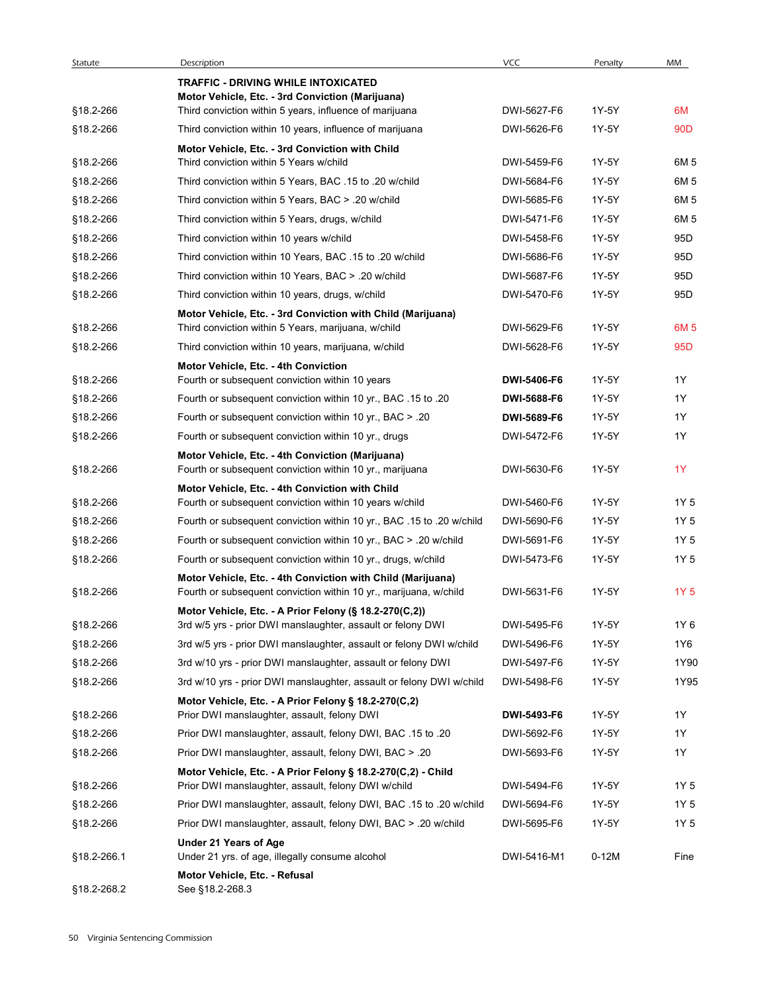| Statute     | Description<br><b>TRAFFIC - DRIVING WHILE INTOXICATED</b>                                                                        | <b>VCC</b>  | Penalty | MM              |
|-------------|----------------------------------------------------------------------------------------------------------------------------------|-------------|---------|-----------------|
|             | Motor Vehicle, Etc. - 3rd Conviction (Marijuana)                                                                                 |             |         |                 |
| §18.2-266   | Third conviction within 5 years, influence of marijuana                                                                          | DWI-5627-F6 | 1Y-5Y   | 6M              |
| §18.2-266   | Third conviction within 10 years, influence of marijuana                                                                         | DWI-5626-F6 | 1Y-5Y   | 90 <sub>D</sub> |
| §18.2-266   | Motor Vehicle, Etc. - 3rd Conviction with Child<br>Third conviction within 5 Years w/child                                       | DWI-5459-F6 | 1Y-5Y   | 6M 5            |
| §18.2-266   | Third conviction within 5 Years, BAC .15 to .20 w/child                                                                          | DWI-5684-F6 | 1Y-5Y   | 6M 5            |
| §18.2-266   | Third conviction within 5 Years, BAC > .20 w/child                                                                               | DWI-5685-F6 | 1Y-5Y   | 6M 5            |
| §18.2-266   | Third conviction within 5 Years, drugs, w/child                                                                                  | DWI-5471-F6 | 1Y-5Y   | 6M 5            |
| §18.2-266   | Third conviction within 10 years w/child                                                                                         | DWI-5458-F6 | 1Y-5Y   | 95 <sub>D</sub> |
| §18.2-266   | Third conviction within 10 Years, BAC .15 to .20 w/child                                                                         | DWI-5686-F6 | 1Y-5Y   | 95 <sub>D</sub> |
|             |                                                                                                                                  | DWI-5687-F6 | 1Y-5Y   | 95 <sub>D</sub> |
| §18.2-266   | Third conviction within 10 Years, BAC > .20 w/child                                                                              | DWI-5470-F6 | 1Y-5Y   | 95 <sub>D</sub> |
| §18.2-266   | Third conviction within 10 years, drugs, w/child<br>Motor Vehicle, Etc. - 3rd Conviction with Child (Marijuana)                  |             |         |                 |
| §18.2-266   | Third conviction within 5 Years, marijuana, w/child                                                                              | DWI-5629-F6 | 1Y-5Y   | 6M <sub>5</sub> |
| §18.2-266   | Third conviction within 10 years, marijuana, w/child                                                                             | DWI-5628-F6 | 1Y-5Y   | 95D             |
|             | Motor Vehicle, Etc. - 4th Conviction                                                                                             |             |         |                 |
| §18.2-266   | Fourth or subsequent conviction within 10 years                                                                                  | DWI-5406-F6 | 1Y-5Y   | 1Y              |
| §18.2-266   | Fourth or subsequent conviction within 10 yr., BAC .15 to .20                                                                    | DWI-5688-F6 | 1Y-5Y   | 1Y              |
| §18.2-266   | Fourth or subsequent conviction within 10 yr., BAC > .20                                                                         | DWI-5689-F6 | 1Y-5Y   | 1Y              |
| §18.2-266   | Fourth or subsequent conviction within 10 yr., drugs                                                                             | DWI-5472-F6 | 1Y-5Y   | 1Y              |
| §18.2-266   | Motor Vehicle, Etc. - 4th Conviction (Marijuana)<br>Fourth or subsequent conviction within 10 yr., marijuana                     | DWI-5630-F6 | 1Y-5Y   | 1Y              |
|             | Motor Vehicle, Etc. - 4th Conviction with Child                                                                                  |             |         |                 |
| §18.2-266   | Fourth or subsequent conviction within 10 years w/child                                                                          | DWI-5460-F6 | 1Y-5Y   | 1Y 5            |
| §18.2-266   | Fourth or subsequent conviction within 10 yr., BAC .15 to .20 w/child                                                            | DWI-5690-F6 | 1Y-5Y   | 1Y 5            |
| §18.2-266   | Fourth or subsequent conviction within 10 yr., BAC > .20 w/child                                                                 | DWI-5691-F6 | 1Y-5Y   | 1Y 5            |
| §18.2-266   | Fourth or subsequent conviction within 10 yr., drugs, w/child                                                                    | DWI-5473-F6 | 1Y-5Y   | 1Y 5            |
| §18.2-266   | Motor Vehicle, Etc. - 4th Conviction with Child (Marijuana)<br>Fourth or subsequent conviction within 10 yr., marijuana, w/child | DWI-5631-F6 | 1Y-5Y   | 1Y 5            |
|             | Motor Vehicle, Etc. - A Prior Felony (§ 18.2-270(C,2))                                                                           |             |         |                 |
| §18.2-266   | 3rd w/5 yrs - prior DWI manslaughter, assault or felony DWI                                                                      | DWI-5495-F6 | 1Y-5Y   | 1Y 6            |
| §18.2-266   | 3rd w/5 yrs - prior DWI manslaughter, assault or felony DWI w/child                                                              | DWI-5496-F6 | 1Y-5Y   | 1Y6             |
| §18.2-266   | 3rd w/10 yrs - prior DWI manslaughter, assault or felony DWI                                                                     | DWI-5497-F6 | 1Y-5Y   | 1Y90            |
| §18.2-266   | 3rd w/10 yrs - prior DWI manslaughter, assault or felony DWI w/child<br>Motor Vehicle, Etc. - A Prior Felony § 18.2-270(C,2)     | DWI-5498-F6 | 1Y-5Y   | 1Y95            |
| §18.2-266   | Prior DWI manslaughter, assault, felony DWI                                                                                      | DWI-5493-F6 | 1Y-5Y   | 1Y              |
| §18.2-266   | Prior DWI manslaughter, assault, felony DWI, BAC .15 to .20                                                                      | DWI-5692-F6 | 1Y-5Y   | 1Y              |
| §18.2-266   | Prior DWI manslaughter, assault, felony DWI, BAC > .20                                                                           | DWI-5693-F6 | 1Y-5Y   | 1Y              |
| §18.2-266   | Motor Vehicle, Etc. - A Prior Felony § 18.2-270(C,2) - Child<br>Prior DWI manslaughter, assault, felony DWI w/child              | DWI-5494-F6 | 1Y-5Y   | 1Y 5            |
| §18.2-266   | Prior DWI manslaughter, assault, felony DWI, BAC .15 to .20 w/child                                                              | DWI-5694-F6 | 1Y-5Y   | 1Y 5            |
| §18.2-266   | Prior DWI manslaughter, assault, felony DWI, BAC > .20 w/child                                                                   | DWI-5695-F6 | 1Y-5Y   | 1Y 5            |
|             | Under 21 Years of Age                                                                                                            |             |         |                 |
| §18.2-266.1 | Under 21 yrs. of age, illegally consume alcohol<br>Motor Vehicle, Etc. - Refusal                                                 | DWI-5416-M1 | $0-12M$ | Fine            |
| §18.2-268.2 | See §18.2-268.3                                                                                                                  |             |         |                 |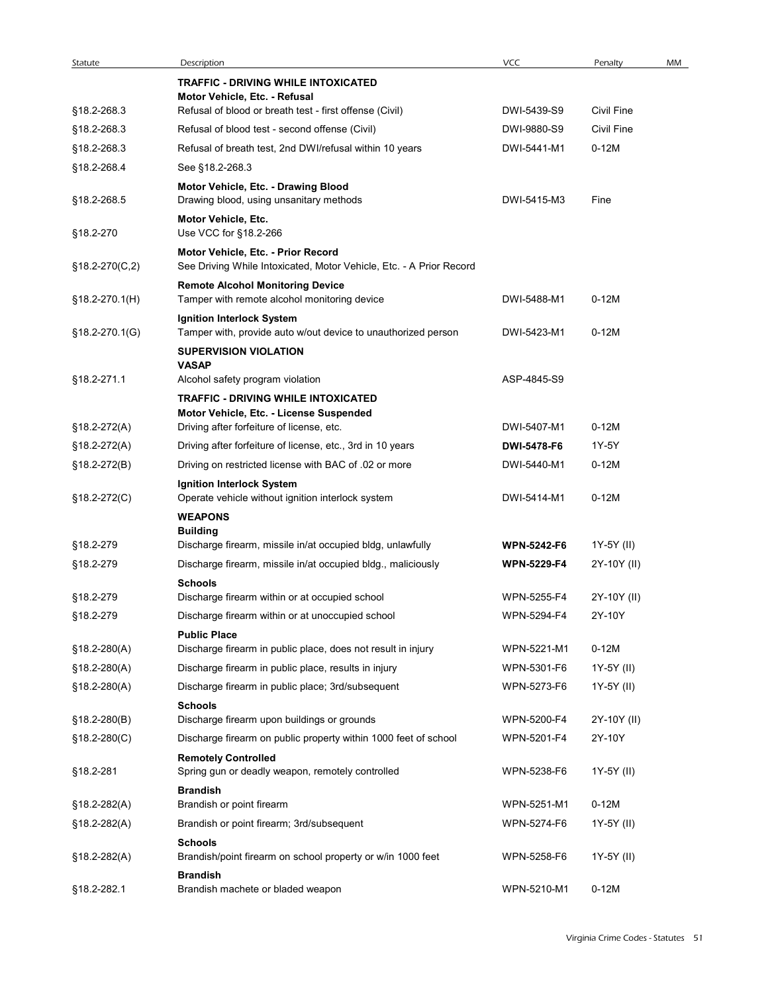| Statute                        | Description                                                                                                                | VCC                                      | Penalty                   | MM |
|--------------------------------|----------------------------------------------------------------------------------------------------------------------------|------------------------------------------|---------------------------|----|
|                                | <b>TRAFFIC - DRIVING WHILE INTOXICATED</b>                                                                                 |                                          |                           |    |
|                                | Motor Vehicle, Etc. - Refusal                                                                                              |                                          |                           |    |
| §18.2-268.3                    | Refusal of blood or breath test - first offense (Civil)                                                                    | DWI-5439-S9                              | <b>Civil Fine</b>         |    |
| §18.2-268.3                    | Refusal of blood test - second offense (Civil)                                                                             | DWI-9880-S9                              | Civil Fine                |    |
| §18.2-268.3                    | Refusal of breath test, 2nd DWI/refusal within 10 years                                                                    | DWI-5441-M1                              | $0-12M$                   |    |
| §18.2-268.4                    | See §18.2-268.3                                                                                                            |                                          |                           |    |
| §18.2-268.5                    | Motor Vehicle, Etc. - Drawing Blood<br>Drawing blood, using unsanitary methods                                             | DWI-5415-M3                              | Fine                      |    |
|                                | Motor Vehicle, Etc.                                                                                                        |                                          |                           |    |
| §18.2-270                      | Use VCC for §18.2-266                                                                                                      |                                          |                           |    |
| $§18.2-270(C,2)$               | Motor Vehicle, Etc. - Prior Record<br>See Driving While Intoxicated, Motor Vehicle, Etc. - A Prior Record                  |                                          |                           |    |
|                                | <b>Remote Alcohol Monitoring Device</b>                                                                                    |                                          |                           |    |
| $$18.2-270.1(H)$               | Tamper with remote alcohol monitoring device                                                                               | DWI-5488-M1                              | $0-12M$                   |    |
|                                | Ignition Interlock System                                                                                                  |                                          |                           |    |
| §18.2-270.1(G)                 | Tamper with, provide auto w/out device to unauthorized person                                                              | DWI-5423-M1                              | $0-12M$                   |    |
|                                | <b>SUPERVISION VIOLATION</b><br><b>VASAP</b>                                                                               |                                          |                           |    |
| §18.2-271.1                    | Alcohol safety program violation                                                                                           | ASP-4845-S9                              |                           |    |
|                                | <b>TRAFFIC - DRIVING WHILE INTOXICATED</b>                                                                                 |                                          |                           |    |
|                                | Motor Vehicle, Etc. - License Suspended<br>Driving after forfeiture of license, etc.                                       | DWI-5407-M1                              | $0-12M$                   |    |
| §18.2-272(A)<br>$$18.2-272(A)$ | Driving after forfeiture of license, etc., 3rd in 10 years                                                                 | DWI-5478-F6                              | 1Y-5Y                     |    |
| §18.2-272(B)                   | Driving on restricted license with BAC of .02 or more                                                                      | DWI-5440-M1                              | $0-12M$                   |    |
|                                | Ignition Interlock System                                                                                                  |                                          |                           |    |
| §18.2-272(C)                   | Operate vehicle without ignition interlock system                                                                          | DWI-5414-M1                              | $0-12M$                   |    |
|                                | <b>WEAPONS</b>                                                                                                             |                                          |                           |    |
|                                | <b>Building</b>                                                                                                            |                                          |                           |    |
| §18.2-279<br>§18.2-279         | Discharge firearm, missile in/at occupied bldg, unlawfully<br>Discharge firearm, missile in/at occupied bldg., maliciously | <b>WPN-5242-F6</b><br><b>WPN-5229-F4</b> | 1Y-5Y (II)<br>2Y-10Y (II) |    |
|                                | <b>Schools</b>                                                                                                             |                                          |                           |    |
| §18.2-279                      | Discharge firearm within or at occupied school                                                                             | WPN-5255-F4                              | 2Y-10Y (II)               |    |
| §18.2-279                      | Discharge firearm within or at unoccupied school                                                                           | WPN-5294-F4                              | 2Y-10Y                    |    |
|                                | <b>Public Place</b>                                                                                                        |                                          |                           |    |
| $$18.2 - 280(A)$               | Discharge firearm in public place, does not result in injury                                                               | WPN-5221-M1                              | $0-12M$                   |    |
| $$18.2-280(A)$                 | Discharge firearm in public place, results in injury                                                                       | WPN-5301-F6                              | 1Y-5Y (II)                |    |
| $$18.2 - 280(A)$               | Discharge firearm in public place; 3rd/subsequent                                                                          | WPN-5273-F6                              | 1Y-5Y (II)                |    |
| §18.2-280(B)                   | <b>Schools</b><br>Discharge firearm upon buildings or grounds                                                              | WPN-5200-F4                              | 2Y-10Y (II)               |    |
| $$18.2-280(C)$                 | Discharge firearm on public property within 1000 feet of school                                                            | WPN-5201-F4                              | 2Y-10Y                    |    |
|                                | <b>Remotely Controlled</b>                                                                                                 |                                          |                           |    |
| §18.2-281                      | Spring gun or deadly weapon, remotely controlled                                                                           | WPN-5238-F6                              | 1Y-5Y (II)                |    |
|                                | <b>Brandish</b>                                                                                                            |                                          |                           |    |
| $$18.2 - 282(A)$               | Brandish or point firearm                                                                                                  | WPN-5251-M1                              | $0-12M$                   |    |
| $$18.2 - 282(A)$               | Brandish or point firearm; 3rd/subsequent                                                                                  | WPN-5274-F6                              | 1Y-5Y (II)                |    |
| §18.2-282(A)                   | <b>Schools</b><br>Brandish/point firearm on school property or w/in 1000 feet                                              | WPN-5258-F6                              | 1Y-5Y (II)                |    |
|                                | <b>Brandish</b>                                                                                                            |                                          |                           |    |
| §18.2-282.1                    | Brandish machete or bladed weapon                                                                                          | WPN-5210-M1                              |                           |    |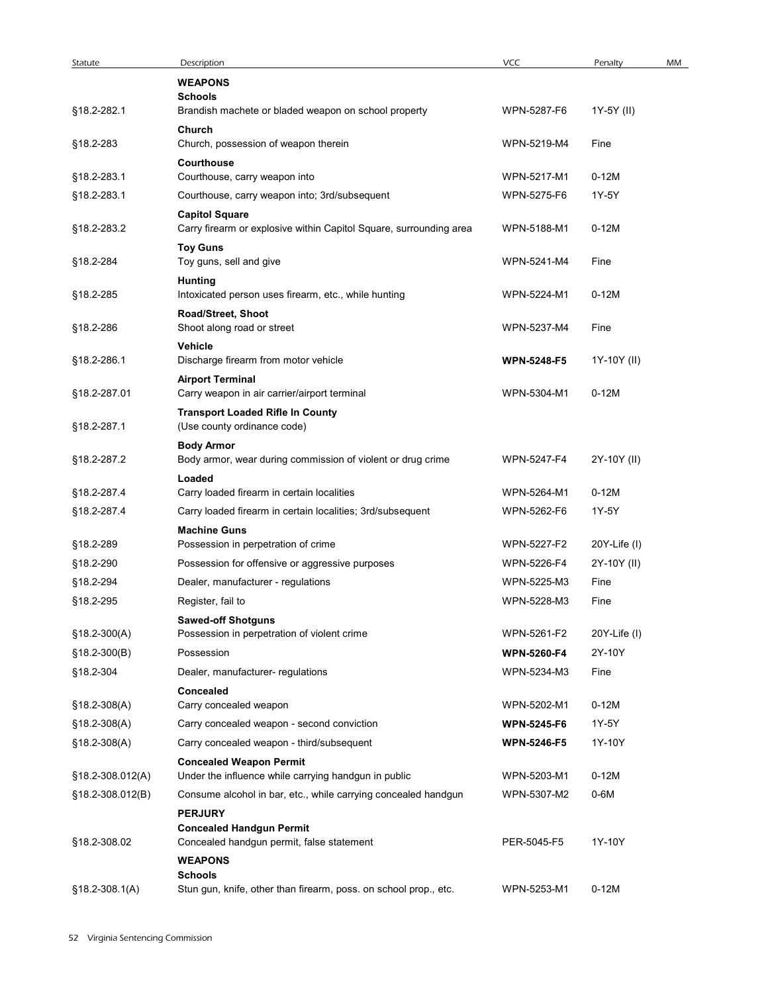| Statute<br>§18.2-282.1<br>§18.2-283 | Description                                                            |                    |              |    |
|-------------------------------------|------------------------------------------------------------------------|--------------------|--------------|----|
|                                     |                                                                        |                    |              |    |
|                                     |                                                                        |                    |              |    |
|                                     |                                                                        |                    |              |    |
|                                     |                                                                        |                    |              |    |
|                                     |                                                                        |                    |              |    |
|                                     |                                                                        |                    |              |    |
|                                     |                                                                        |                    |              |    |
|                                     |                                                                        | VCC                | Penalty      | MM |
|                                     | <b>WEAPONS</b><br><b>Schools</b>                                       |                    |              |    |
|                                     | Brandish machete or bladed weapon on school property                   | WPN-5287-F6        | 1Y-5Y (II)   |    |
|                                     | Church                                                                 |                    |              |    |
|                                     | Church, possession of weapon therein                                   | WPN-5219-M4        | Fine         |    |
|                                     | Courthouse                                                             |                    |              |    |
| §18.2-283.1                         | Courthouse, carry weapon into                                          | WPN-5217-M1        | $0-12M$      |    |
| §18.2-283.1                         | Courthouse, carry weapon into; 3rd/subsequent                          | WPN-5275-F6        | 1Y-5Y        |    |
|                                     | <b>Capitol Square</b>                                                  |                    |              |    |
| §18.2-283.2                         | Carry firearm or explosive within Capitol Square, surrounding area     | WPN-5188-M1        | $0-12M$      |    |
|                                     | <b>Toy Guns</b>                                                        |                    |              |    |
| §18.2-284                           | Toy guns, sell and give                                                | WPN-5241-M4        | Fine         |    |
| §18.2-285                           | <b>Hunting</b><br>Intoxicated person uses firearm, etc., while hunting | WPN-5224-M1        | $0-12M$      |    |
|                                     | Road/Street, Shoot                                                     |                    |              |    |
| §18.2-286                           | Shoot along road or street                                             | WPN-5237-M4        | Fine         |    |
|                                     | Vehicle                                                                |                    |              |    |
| §18.2-286.1                         | Discharge firearm from motor vehicle                                   | <b>WPN-5248-F5</b> | 1Y-10Y (II)  |    |
|                                     | <b>Airport Terminal</b>                                                |                    |              |    |
| §18.2-287.01                        | Carry weapon in air carrier/airport terminal                           | WPN-5304-M1        | $0-12M$      |    |
|                                     | <b>Transport Loaded Rifle In County</b>                                |                    |              |    |
| §18.2-287.1                         | (Use county ordinance code)                                            |                    |              |    |
|                                     | <b>Body Armor</b>                                                      |                    |              |    |
| §18.2-287.2                         | Body armor, wear during commission of violent or drug crime            | WPN-5247-F4        | 2Y-10Y (II)  |    |
|                                     | Loaded                                                                 |                    |              |    |
| §18.2-287.4                         | Carry loaded firearm in certain localities                             | WPN-5264-M1        | $0-12M$      |    |
| §18.2-287.4                         | Carry loaded firearm in certain localities; 3rd/subsequent             | WPN-5262-F6        | 1Y-5Y        |    |
|                                     | <b>Machine Guns</b>                                                    | WPN-5227-F2        |              |    |
| §18.2-289                           | Possession in perpetration of crime                                    |                    | 20Y-Life (I) |    |
| §18.2-290                           | Possession for offensive or aggressive purposes                        | WPN-5226-F4        | 2Y-10Y (II)  |    |
| §18.2-294                           | Dealer, manufacturer - regulations                                     | WPN-5225-M3        | Fine         |    |
| §18.2-295                           | Register, fail to                                                      | WPN-5228-M3        | Fine         |    |
|                                     | <b>Sawed-off Shotguns</b>                                              |                    |              |    |
| $$18.2-300(A)$                      | Possession in perpetration of violent crime                            | WPN-5261-F2        | 20Y-Life (I) |    |
| $$18.2-300(B)$                      | Possession                                                             | <b>WPN-5260-F4</b> | 2Y-10Y       |    |
| §18.2-304                           | Dealer, manufacturer- regulations                                      | WPN-5234-M3        | Fine         |    |
|                                     | Concealed                                                              |                    |              |    |
| $$18.2-308(A)$                      | Carry concealed weapon                                                 | WPN-5202-M1        | $0-12M$      |    |
| $$18.2-308(A)$                      | Carry concealed weapon - second conviction                             | <b>WPN-5245-F6</b> | 1Y-5Y        |    |
| $$18.2-308(A)$                      | Carry concealed weapon - third/subsequent                              | <b>WPN-5246-F5</b> | 1Y-10Y       |    |
|                                     | <b>Concealed Weapon Permit</b>                                         |                    |              |    |
| §18.2-308.012(A)                    | Under the influence while carrying handgun in public                   | WPN-5203-M1        | $0-12M$      |    |
| §18.2-308.012(B)                    | Consume alcohol in bar, etc., while carrying concealed handgun         | WPN-5307-M2        | 0-6M         |    |
|                                     | <b>PERJURY</b>                                                         |                    |              |    |
|                                     | <b>Concealed Handgun Permit</b>                                        |                    |              |    |
| §18.2-308.02                        | Concealed handgun permit, false statement                              | PER-5045-F5        | 1Y-10Y       |    |
|                                     | <b>WEAPONS</b><br><b>Schools</b>                                       |                    |              |    |
| $$18.2 - 308.1(A)$                  | Stun gun, knife, other than firearm, poss. on school prop., etc.       | WPN-5253-M1        | $0-12M$      |    |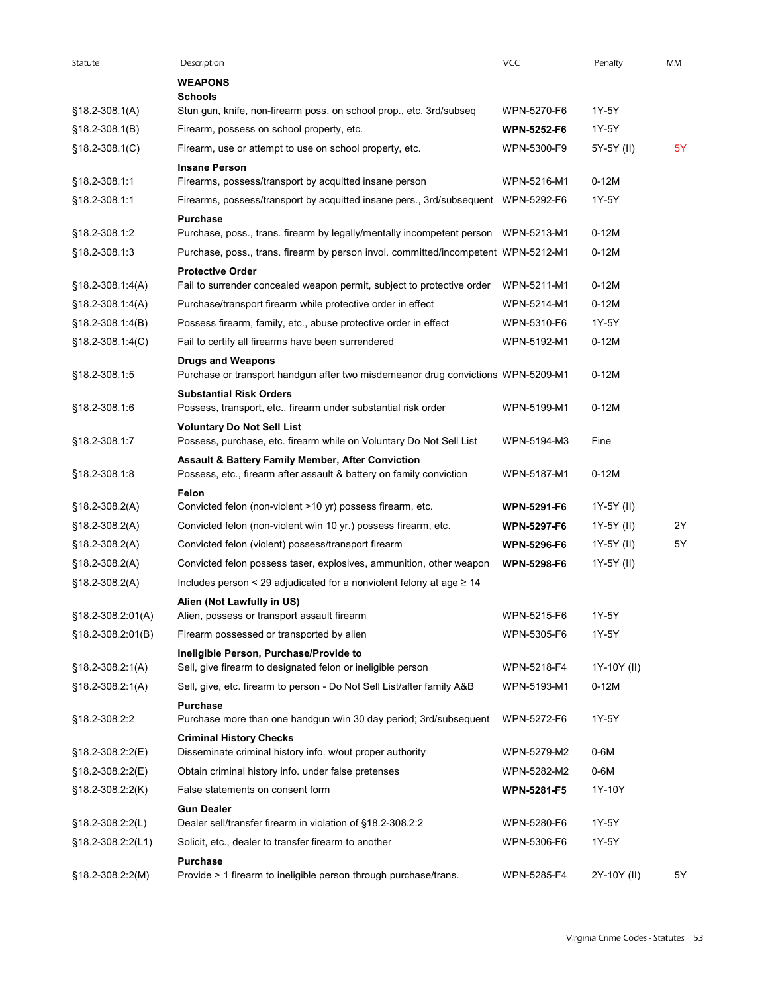| Statute                    | Description                                                                                                              | <b>VCC</b>         | Penalty     | MM |
|----------------------------|--------------------------------------------------------------------------------------------------------------------------|--------------------|-------------|----|
|                            | <b>WEAPONS</b>                                                                                                           |                    |             |    |
| $$18.2-308.1(A)$           | <b>Schools</b><br>Stun gun, knife, non-firearm poss. on school prop., etc. 3rd/subseq                                    | WPN-5270-F6        | 1Y-5Y       |    |
| §18.2-308.1(B)             | Firearm, possess on school property, etc.                                                                                | <b>WPN-5252-F6</b> | 1Y-5Y       |    |
| §18.2-308.1(C)             | Firearm, use or attempt to use on school property, etc.                                                                  | WPN-5300-F9        | 5Y-5Y (II)  | 5Y |
|                            | <b>Insane Person</b>                                                                                                     |                    |             |    |
| §18.2-308.1:1              | Firearms, possess/transport by acquitted insane person                                                                   | WPN-5216-M1        | $0-12M$     |    |
| §18.2-308.1:1              | Firearms, possess/transport by acquitted insane pers., 3rd/subsequent WPN-5292-F6                                        |                    | 1Y-5Y       |    |
| §18.2-308.1:2              | Purchase<br>Purchase, poss., trans. firearm by legally/mentally incompetent person  WPN-5213-M1                          |                    | $0-12M$     |    |
| §18.2-308.1:3              | Purchase, poss., trans. firearm by person invol. committed/incompetent WPN-5212-M1                                       |                    | $0-12M$     |    |
|                            | <b>Protective Order</b>                                                                                                  |                    |             |    |
| §18.2-308.1:4(A)           | Fail to surrender concealed weapon permit, subject to protective order                                                   | WPN-5211-M1        | $0-12M$     |    |
| $$18.2-308.1.4(A)$         | Purchase/transport firearm while protective order in effect                                                              | WPN-5214-M1        | $0-12M$     |    |
| §18.2-308.1:4(B)           | Possess firearm, family, etc., abuse protective order in effect                                                          | WPN-5310-F6        | 1Y-5Y       |    |
| §18.2-308.1:4(C)           | Fail to certify all firearms have been surrendered                                                                       | WPN-5192-M1        | $0-12M$     |    |
| §18.2-308.1:5              | <b>Drugs and Weapons</b><br>Purchase or transport handgun after two misdemeanor drug convictions WPN-5209-M1             |                    | $0-12M$     |    |
| §18.2-308.1:6              | <b>Substantial Risk Orders</b><br>Possess, transport, etc., firearm under substantial risk order                         | WPN-5199-M1        | $0-12M$     |    |
| §18.2-308.1:7              | <b>Voluntary Do Not Sell List</b><br>Possess, purchase, etc. firearm while on Voluntary Do Not Sell List                 | WPN-5194-M3        | Fine        |    |
| §18.2-308.1:8              | Assault & Battery Family Member, After Conviction<br>Possess, etc., firearm after assault & battery on family conviction | WPN-5187-M1        | $0-12M$     |    |
| §18.2-308.2(A)             | Felon<br>Convicted felon (non-violent >10 yr) possess firearm, etc.                                                      | <b>WPN-5291-F6</b> | 1Y-5Y (II)  |    |
| §18.2-308.2(A)             | Convicted felon (non-violent w/in 10 yr.) possess firearm, etc.                                                          | <b>WPN-5297-F6</b> | 1Y-5Y (II)  | 2Y |
| $$18.2-308.2(A)$           | Convicted felon (violent) possess/transport firearm                                                                      | <b>WPN-5296-F6</b> | 1Y-5Y (II)  | 5Y |
| §18.2-308.2(A)             | Convicted felon possess taser, explosives, ammunition, other weapon                                                      | <b>WPN-5298-F6</b> | 1Y-5Y (II)  |    |
| $$18.2-308.2(A)$           | Includes person < 29 adjudicated for a nonviolent felony at age $\geq$ 14                                                |                    |             |    |
|                            | Alien (Not Lawfully in US)                                                                                               |                    |             |    |
| §18.2-308.2:01(A)          | Alien, possess or transport assault firearm                                                                              | WPN-5215-F6        | 1Y-5Y       |    |
| §18.2-308.2:01(B)          | Firearm possessed or transported by alien                                                                                | WPN-5305-F6        | 1Y-5Y       |    |
|                            | Ineligible Person, Purchase/Provide to                                                                                   |                    |             |    |
| $$18.2-308.2:1(A)$         | Sell, give firearm to designated felon or ineligible person                                                              | WPN-5218-F4        | 1Y-10Y (II) |    |
| §18.2-308.2:1(A)           | Sell, give, etc. firearm to person - Do Not Sell List/after family A&B                                                   | WPN-5193-M1        | $0-12M$     |    |
| §18.2-308.2:2              | Purchase<br>Purchase more than one handgun w/in 30 day period; 3rd/subsequent                                            | WPN-5272-F6        | 1Y-5Y       |    |
| §18.2-308.2:2(E)           | <b>Criminal History Checks</b><br>Disseminate criminal history info. w/out proper authority                              | WPN-5279-M2        | 0-6M        |    |
| §18.2-308.2:2(E)           | Obtain criminal history info. under false pretenses                                                                      | WPN-5282-M2        | 0-6M        |    |
| $$18.2 - 308.2 \cdot 2(K)$ | False statements on consent form                                                                                         | <b>WPN-5281-F5</b> | 1Y-10Y      |    |
|                            | <b>Gun Dealer</b>                                                                                                        |                    |             |    |
| $$18.2 - 308.2 \, 2(L)$    | Dealer sell/transfer firearm in violation of §18.2-308.2:2                                                               | WPN-5280-F6        | 1Y-5Y       |    |
| §18.2-308.2:2(L1)          | Solicit, etc., dealer to transfer firearm to another                                                                     | WPN-5306-F6        | 1Y-5Y       |    |
| $$18.2-308.2:2(M)$         | <b>Purchase</b><br>Provide > 1 firearm to ineligible person through purchase/trans.                                      | WPN-5285-F4        | 2Y-10Y (II) | 5Y |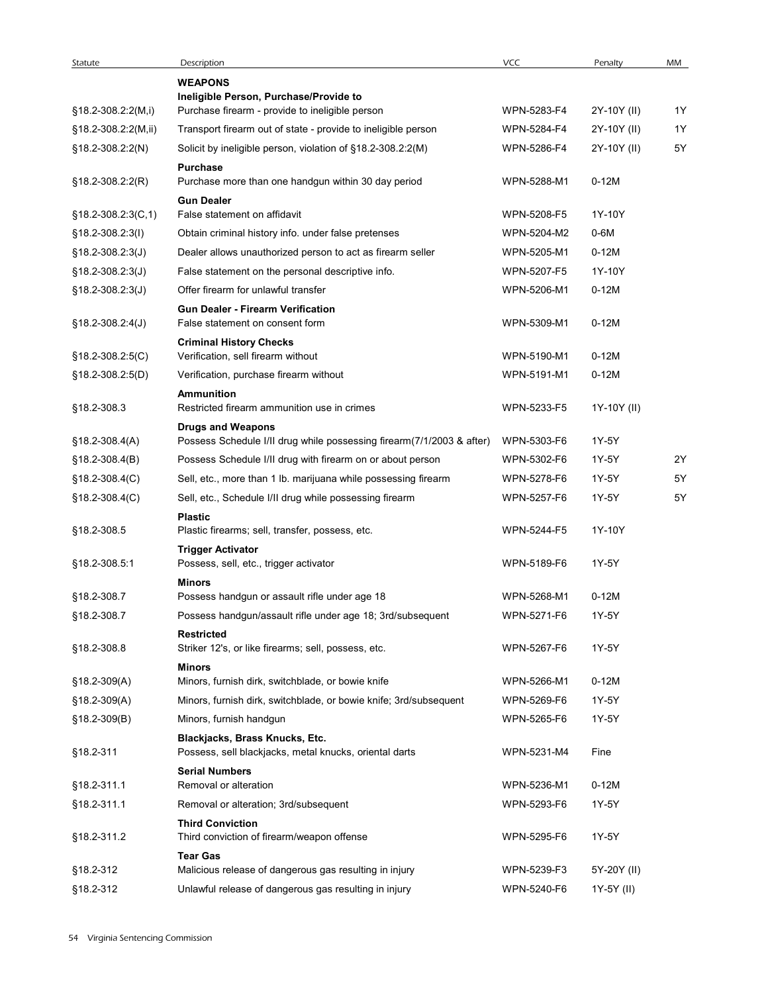| Statute                              | Description                                                                                       | <b>VCC</b>  | Penalty     | MM |
|--------------------------------------|---------------------------------------------------------------------------------------------------|-------------|-------------|----|
|                                      | <b>WEAPONS</b>                                                                                    |             |             |    |
| $$18.2-308.2:2(M,i)$                 | Ineligible Person, Purchase/Provide to<br>Purchase firearm - provide to ineligible person         | WPN-5283-F4 | 2Y-10Y (II) | 1Y |
| §18.2-308.2:2(M,ii)                  | Transport firearm out of state - provide to ineligible person                                     | WPN-5284-F4 | 2Y-10Y (II) | 1Y |
| §18.2-308.2:2(N)                     | Solicit by ineligible person, violation of §18.2-308.2:2(M)                                       | WPN-5286-F4 | 2Y-10Y (II) | 5Y |
|                                      | <b>Purchase</b>                                                                                   |             |             |    |
| $$18.2-308.2:2(R)$                   | Purchase more than one handgun within 30 day period                                               | WPN-5288-M1 | $0-12M$     |    |
|                                      | <b>Gun Dealer</b>                                                                                 |             |             |    |
| $§18.2-308.2:3(C,1)$                 | False statement on affidavit                                                                      | WPN-5208-F5 | 1Y-10Y      |    |
| $$18.2 - 308.2 :3(l)$                | Obtain criminal history info. under false pretenses                                               | WPN-5204-M2 | $0-6M$      |    |
| $$18.2-308.2:3(J)$                   | Dealer allows unauthorized person to act as firearm seller                                        | WPN-5205-M1 | $0-12M$     |    |
| $$18.2-308.2:3(J)$                   | False statement on the personal descriptive info.                                                 | WPN-5207-F5 | 1Y-10Y      |    |
| $$18.2-308.2:3(J)$                   | Offer firearm for unlawful transfer                                                               | WPN-5206-M1 | $0-12M$     |    |
| $$18.2 - 308.2.4(J)$                 | Gun Dealer - Firearm Verification<br>False statement on consent form                              | WPN-5309-M1 | $0-12M$     |    |
|                                      | <b>Criminal History Checks</b>                                                                    |             |             |    |
| $$18.2-308.2:5(C)$                   | Verification, sell firearm without                                                                | WPN-5190-M1 | $0-12M$     |    |
| §18.2-308.2:5(D)                     | Verification, purchase firearm without                                                            | WPN-5191-M1 | $0-12M$     |    |
| §18.2-308.3                          | <b>Ammunition</b><br>Restricted firearm ammunition use in crimes                                  | WPN-5233-F5 | 1Y-10Y (II) |    |
| $$18.2-308.4(A)$                     | <b>Drugs and Weapons</b><br>Possess Schedule I/II drug while possessing firearm(7/1/2003 & after) | WPN-5303-F6 | 1Y-5Y       |    |
| §18.2-308.4(B)                       | Possess Schedule I/II drug with firearm on or about person                                        | WPN-5302-F6 | 1Y-5Y       | 2Y |
|                                      | Sell, etc., more than 1 lb. marijuana while possessing firearm                                    | WPN-5278-F6 | 1Y-5Y       | 5Y |
| $$18.2 - 308.4(C)$<br>§18.2-308.4(C) | Sell, etc., Schedule I/II drug while possessing firearm                                           | WPN-5257-F6 | 1Y-5Y       | 5Y |
|                                      | <b>Plastic</b>                                                                                    |             |             |    |
| §18.2-308.5                          | Plastic firearms; sell, transfer, possess, etc.                                                   | WPN-5244-F5 | 1Y-10Y      |    |
| §18.2-308.5:1                        | <b>Trigger Activator</b><br>Possess, sell, etc., trigger activator<br>Minors                      | WPN-5189-F6 | 1Y-5Y       |    |
| §18.2-308.7                          | Possess handgun or assault rifle under age 18                                                     | WPN-5268-M1 | $0-12M$     |    |
| §18.2-308.7                          | Possess handgun/assault rifle under age 18; 3rd/subsequent                                        | WPN-5271-F6 | 1Y-5Y       |    |
| §18.2-308.8                          | <b>Restricted</b><br>Striker 12's, or like firearms; sell, possess, etc.                          | WPN-5267-F6 | 1Y-5Y       |    |
|                                      | <b>Minors</b>                                                                                     |             |             |    |
| $$18.2-309(A)$                       | Minors, furnish dirk, switchblade, or bowie knife                                                 | WPN-5266-M1 | $0-12M$     |    |
| §18.2-309(A)                         | Minors, furnish dirk, switchblade, or bowie knife; 3rd/subsequent                                 | WPN-5269-F6 | 1Y-5Y       |    |
| §18.2-309(B)                         | Minors, furnish handgun                                                                           | WPN-5265-F6 | 1Y-5Y       |    |
| §18.2-311                            | Blackjacks, Brass Knucks, Etc.<br>Possess, sell blackjacks, metal knucks, oriental darts          | WPN-5231-M4 | Fine        |    |
|                                      | <b>Serial Numbers</b>                                                                             |             |             |    |
| §18.2-311.1                          | Removal or alteration                                                                             | WPN-5236-M1 | $0-12M$     |    |
| §18.2-311.1                          | Removal or alteration; 3rd/subsequent                                                             | WPN-5293-F6 | 1Y-5Y       |    |
| §18.2-311.2                          | <b>Third Conviction</b><br>Third conviction of firearm/weapon offense                             | WPN-5295-F6 | 1Y-5Y       |    |
|                                      | <b>Tear Gas</b><br>Malicious release of dangerous gas resulting in injury                         | WPN-5239-F3 | 5Y-20Y (II) |    |
| §18.2-312                            |                                                                                                   |             | 1Y-5Y (II)  |    |
| §18.2-312                            | Unlawful release of dangerous gas resulting in injury                                             | WPN-5240-F6 |             |    |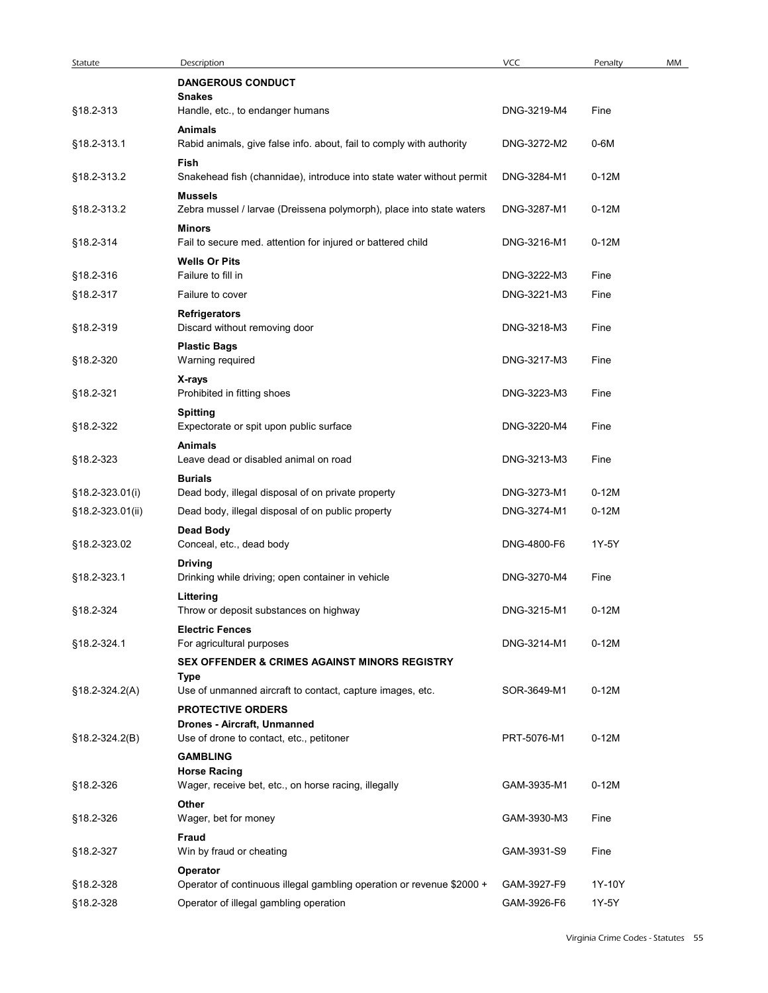| Statute          | Description                                                                                          | VCC         | Penalty                            | MM |
|------------------|------------------------------------------------------------------------------------------------------|-------------|------------------------------------|----|
|                  | <b>DANGEROUS CONDUCT</b><br><b>Snakes</b>                                                            |             |                                    |    |
| §18.2-313        | Handle, etc., to endanger humans<br><b>Animals</b>                                                   | DNG-3219-M4 | Fine                               |    |
| §18.2-313.1      | Rabid animals, give false info. about, fail to comply with authority<br>Fish                         | DNG-3272-M2 | 0-6M                               |    |
| §18.2-313.2      | Snakehead fish (channidae), introduce into state water without permit                                | DNG-3284-M1 | $0-12M$                            |    |
| §18.2-313.2      | <b>Mussels</b><br>Zebra mussel / larvae (Dreissena polymorph), place into state waters               | DNG-3287-M1 | $0-12M$                            |    |
| §18.2-314        | Minors<br>Fail to secure med. attention for injured or battered child                                | DNG-3216-M1 | $0-12M$                            |    |
| §18.2-316        | <b>Wells Or Pits</b><br>Failure to fill in                                                           | DNG-3222-M3 | Fine                               |    |
| §18.2-317        | Failure to cover                                                                                     | DNG-3221-M3 | Fine                               |    |
| §18.2-319        | Refrigerators<br>Discard without removing door                                                       | DNG-3218-M3 | Fine                               |    |
| §18.2-320        | <b>Plastic Bags</b><br>Warning required                                                              | DNG-3217-M3 | Fine                               |    |
| §18.2-321        | X-rays<br>Prohibited in fitting shoes                                                                | DNG-3223-M3 | Fine                               |    |
| §18.2-322        | <b>Spitting</b><br>Expectorate or spit upon public surface                                           | DNG-3220-M4 | Fine                               |    |
| §18.2-323        | <b>Animals</b><br>Leave dead or disabled animal on road                                              | DNG-3213-M3 | Fine                               |    |
| §18.2-323.01(i)  | <b>Burials</b><br>Dead body, illegal disposal of on private property                                 | DNG-3273-M1 | $0-12M$                            |    |
| §18.2-323.01(ii) | Dead body, illegal disposal of on public property                                                    | DNG-3274-M1 | $0-12M$                            |    |
| §18.2-323.02     | <b>Dead Body</b><br>Conceal, etc., dead body                                                         | DNG-4800-F6 | 1Y-5Y                              |    |
| §18.2-323.1      | <b>Driving</b><br>Drinking while driving; open container in vehicle                                  | DNG-3270-M4 | Fine                               |    |
| §18.2-324        | Littering<br>Throw or deposit substances on highway                                                  | DNG-3215-M1 | $0-12M$                            |    |
|                  | <b>Electric Fences</b>                                                                               |             |                                    |    |
| §18.2-324.1      | For agricultural purposes<br><b>SEX OFFENDER &amp; CRIMES AGAINST MINORS REGISTRY</b>                | DNG-3214-M1 | $0-12M$                            |    |
| §18.2-324.2(A)   | <b>Type</b><br>Use of unmanned aircraft to contact, capture images, etc.<br><b>PROTECTIVE ORDERS</b> | SOR-3649-M1 | $0-12M$                            |    |
| §18.2-324.2(B)   | Drones - Aircraft, Unmanned<br>Use of drone to contact, etc., petitoner<br><b>GAMBLING</b>           | PRT-5076-M1 | $0-12M$                            |    |
| §18.2-326        | <b>Horse Racing</b><br>Wager, receive bet, etc., on horse racing, illegally                          | GAM-3935-M1 | $0-12M$                            |    |
| §18.2-326        | Other<br>Wager, bet for money                                                                        | GAM-3930-M3 | Fine                               |    |
| §18.2-327        | Fraud<br>Win by fraud or cheating                                                                    | GAM-3931-S9 | Fine                               |    |
| §18.2-328        | Operator<br>Operator of continuous illegal gambling operation or revenue \$2000 +                    | GAM-3927-F9 | 1Y-10Y                             |    |
| §18.2-328        | Operator of illegal gambling operation                                                               | GAM-3926-F6 | 1Y-5Y                              |    |
|                  |                                                                                                      |             | Virginia Crime Codes - Statutes 55 |    |
|                  |                                                                                                      |             |                                    |    |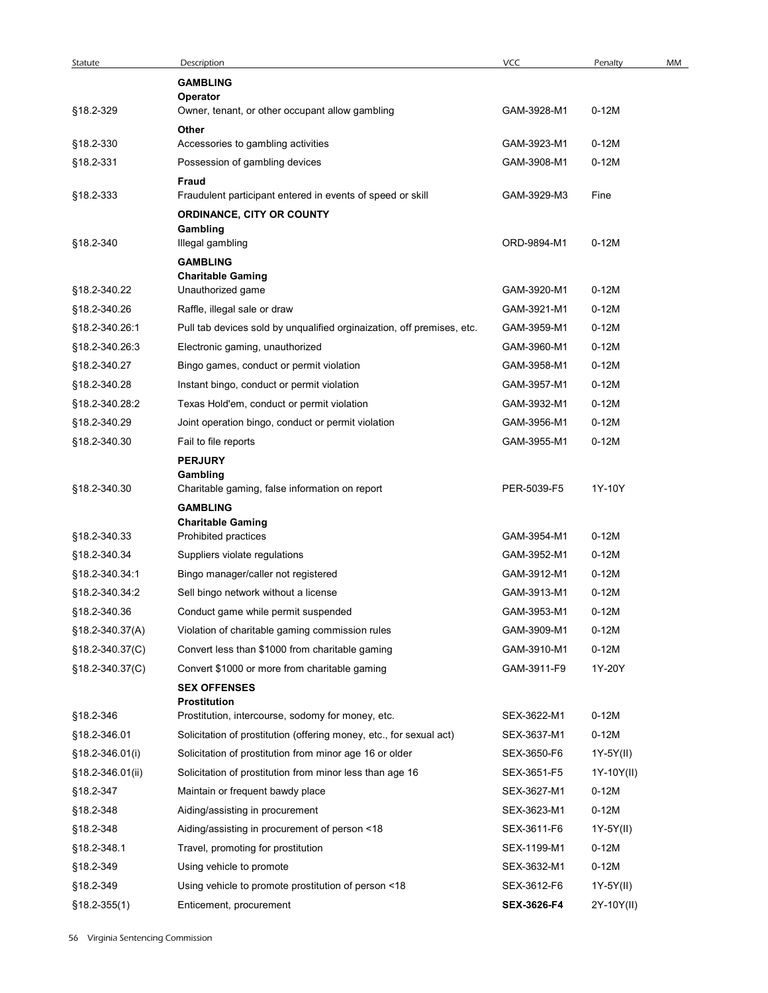|                        | Description                                                            | <b>VCC</b>                 | Penalty            | MM |
|------------------------|------------------------------------------------------------------------|----------------------------|--------------------|----|
| Statute                | <b>GAMBLING</b>                                                        |                            |                    |    |
|                        | Operator                                                               |                            |                    |    |
| §18.2-329              | Owner, tenant, or other occupant allow gambling                        | GAM-3928-M1                | $0-12M$            |    |
|                        | Other                                                                  |                            |                    |    |
| §18.2-330<br>§18.2-331 | Accessories to gambling activities<br>Possession of gambling devices   | GAM-3923-M1<br>GAM-3908-M1 | $0-12M$<br>$0-12M$ |    |
|                        | Fraud                                                                  |                            |                    |    |
| §18.2-333              | Fraudulent participant entered in events of speed or skill             | GAM-3929-M3                | Fine               |    |
|                        | ORDINANCE, CITY OR COUNTY                                              |                            |                    |    |
| §18.2-340              | Gambling                                                               | ORD-9894-M1                | $0-12M$            |    |
|                        | Illegal gambling<br><b>GAMBLING</b>                                    |                            |                    |    |
|                        | <b>Charitable Gaming</b>                                               |                            |                    |    |
| §18.2-340.22           | Unauthorized game                                                      | GAM-3920-M1                | $0-12M$            |    |
| §18.2-340.26           | Raffle, illegal sale or draw                                           | GAM-3921-M1                | $0-12M$            |    |
| §18.2-340.26:1         | Pull tab devices sold by unqualified orginaization, off premises, etc. | GAM-3959-M1                | $0-12M$            |    |
| §18.2-340.26:3         | Electronic gaming, unauthorized                                        | GAM-3960-M1                | $0-12M$            |    |
| §18.2-340.27           | Bingo games, conduct or permit violation                               | GAM-3958-M1                | $0-12M$            |    |
| §18.2-340.28           | Instant bingo, conduct or permit violation                             | GAM-3957-M1                | $0-12M$            |    |
| §18.2-340.28:2         | Texas Hold'em, conduct or permit violation                             | GAM-3932-M1                | $0-12M$            |    |
| §18.2-340.29           | Joint operation bingo, conduct or permit violation                     | GAM-3956-M1                | $0-12M$            |    |
| §18.2-340.30           | Fail to file reports                                                   | GAM-3955-M1                | $0-12M$            |    |
|                        | <b>PERJURY</b><br>Gambling                                             |                            |                    |    |
| §18.2-340.30           | Charitable gaming, false information on report                         | PER-5039-F5                | 1Y-10Y             |    |
|                        | <b>GAMBLING</b>                                                        |                            |                    |    |
|                        | <b>Charitable Gaming</b>                                               |                            |                    |    |
| §18.2-340.33           | Prohibited practices                                                   | GAM-3954-M1                | $0-12M$            |    |
| §18.2-340.34           | Suppliers violate regulations                                          | GAM-3952-M1                | $0-12M$            |    |
| §18.2-340.34:1         | Bingo manager/caller not registered                                    | GAM-3912-M1                | $0-12M$            |    |
| §18.2-340.34:2         | Sell bingo network without a license                                   | GAM-3913-M1                | $0-12M$            |    |
| §18.2-340.36           | Conduct game while permit suspended                                    | GAM-3953-M1                | $0-12M$            |    |
| §18.2-340.37(A)        | Violation of charitable gaming commission rules                        | GAM-3909-M1                | $0-12M$            |    |
| §18.2-340.37(C)        | Convert less than \$1000 from charitable gaming                        | GAM-3910-M1                | $0-12M$            |    |
| §18.2-340.37(C)        | Convert \$1000 or more from charitable gaming                          | GAM-3911-F9                | 1Y-20Y             |    |
|                        | <b>SEX OFFENSES</b><br>Prostitution                                    |                            |                    |    |
| §18.2-346              | Prostitution, intercourse, sodomy for money, etc.                      | SEX-3622-M1                | $0-12M$            |    |
| §18.2-346.01           | Solicitation of prostitution (offering money, etc., for sexual act)    | SEX-3637-M1                | $0-12M$            |    |
| §18.2-346.01(i)        | Solicitation of prostitution from minor age 16 or older                | SEX-3650-F6                | 1Y-5Y(II)          |    |
| §18.2-346.01(ii)       | Solicitation of prostitution from minor less than age 16               | SEX-3651-F5                | 1Y-10Y(II)         |    |
| §18.2-347              | Maintain or frequent bawdy place                                       | SEX-3627-M1                | $0-12M$            |    |
| §18.2-348              | Aiding/assisting in procurement                                        | SEX-3623-M1                | $0-12M$            |    |
| §18.2-348              | Aiding/assisting in procurement of person <18                          | SEX-3611-F6                | 1Y-5Y(II)          |    |
| §18.2-348.1            | Travel, promoting for prostitution                                     | SEX-1199-M1                | $0-12M$            |    |
| §18.2-349              | Using vehicle to promote                                               | SEX-3632-M1                | $0-12M$            |    |
| §18.2-349              | Using vehicle to promote prostitution of person <18                    | SEX-3612-F6                | 1Y-5Y(II)          |    |
|                        | Enticement, procurement                                                | SEX-3626-F4                | 2Y-10Y(II)         |    |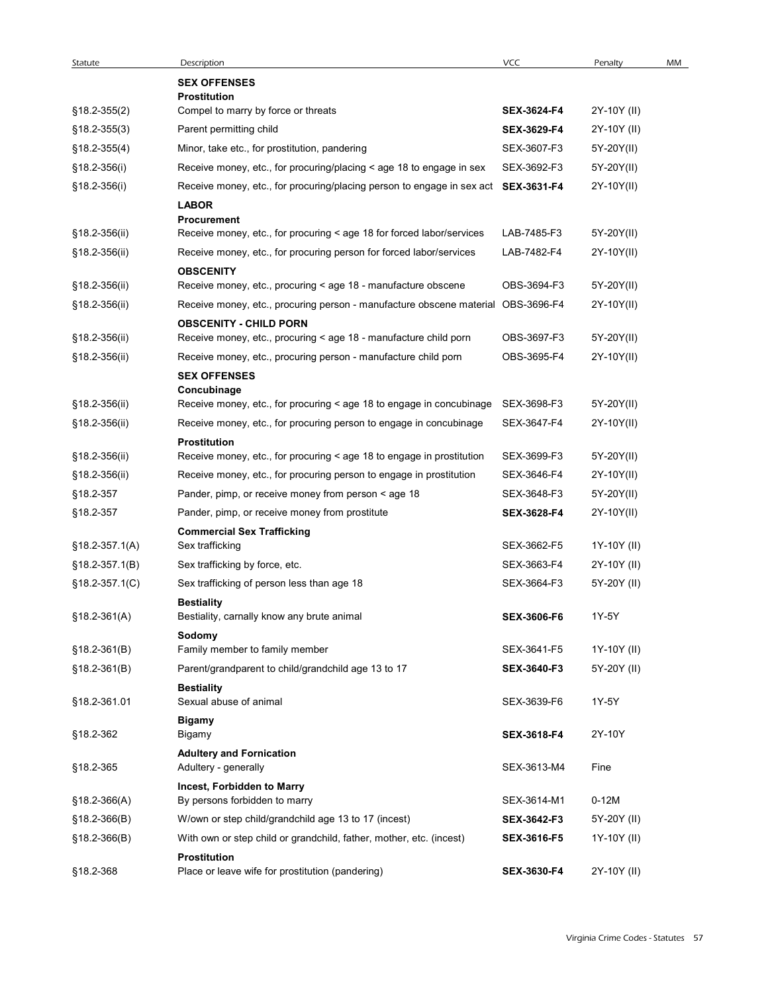| Statute          | Description                                                                                       | VCC                | Penalty     | MM |
|------------------|---------------------------------------------------------------------------------------------------|--------------------|-------------|----|
|                  | <b>SEX OFFENSES</b>                                                                               |                    |             |    |
|                  | Prostitution                                                                                      |                    |             |    |
| $$18.2 - 355(2)$ | Compel to marry by force or threats                                                               | SEX-3624-F4        | 2Y-10Y (II) |    |
| $$18.2 - 355(3)$ | Parent permitting child                                                                           | SEX-3629-F4        | 2Y-10Y (II) |    |
| $$18.2 - 355(4)$ | Minor, take etc., for prostitution, pandering                                                     | SEX-3607-F3        | 5Y-20Y(II)  |    |
| §18.2-356(i)     | Receive money, etc., for procuring/placing < age 18 to engage in sex                              | SEX-3692-F3        | 5Y-20Y(II)  |    |
| §18.2-356(i)     | Receive money, etc., for procuring/placing person to engage in sex act SEX-3631-F4                |                    | 2Y-10Y(II)  |    |
|                  | <b>LABOR</b><br><b>Procurement</b>                                                                |                    |             |    |
| §18.2-356(ii)    | Receive money, etc., for procuring < age 18 for forced labor/services                             | LAB-7485-F3        | 5Y-20Y(II)  |    |
| §18.2-356(ii)    | Receive money, etc., for procuring person for forced labor/services                               | LAB-7482-F4        | 2Y-10Y(II)  |    |
|                  | <b>OBSCENITY</b>                                                                                  |                    |             |    |
| §18.2-356(ii)    | Receive money, etc., procuring < age 18 - manufacture obscene                                     | OBS-3694-F3        | 5Y-20Y(II)  |    |
| §18.2-356(ii)    | Receive money, etc., procuring person - manufacture obscene material                              | OBS-3696-F4        | 2Y-10Y(II)  |    |
| §18.2-356(ii)    | <b>OBSCENITY - CHILD PORN</b><br>Receive money, etc., procuring < age 18 - manufacture child porn | OBS-3697-F3        | 5Y-20Y(II)  |    |
| §18.2-356(ii)    | Receive money, etc., procuring person - manufacture child porn                                    | OBS-3695-F4        | 2Y-10Y(II)  |    |
|                  | <b>SEX OFFENSES</b>                                                                               |                    |             |    |
|                  | Concubinage                                                                                       |                    |             |    |
| §18.2-356(ii)    | Receive money, etc., for procuring < age 18 to engage in concubinage SEX-3698-F3                  |                    | 5Y-20Y(II)  |    |
| §18.2-356(ii)    | Receive money, etc., for procuring person to engage in concubinage                                | SEX-3647-F4        | 2Y-10Y(II)  |    |
| §18.2-356(ii)    | <b>Prostitution</b><br>Receive money, etc., for procuring < age 18 to engage in prostitution      | SEX-3699-F3        | 5Y-20Y(II)  |    |
| §18.2-356(ii)    | Receive money, etc., for procuring person to engage in prostitution                               | SEX-3646-F4        | 2Y-10Y(II)  |    |
| §18.2-357        | Pander, pimp, or receive money from person < age 18                                               | SEX-3648-F3        | 5Y-20Y(II)  |    |
| §18.2-357        | Pander, pimp, or receive money from prostitute                                                    | SEX-3628-F4        | 2Y-10Y(II)  |    |
|                  | <b>Commercial Sex Trafficking</b>                                                                 |                    |             |    |
| $$18.2-357.1(A)$ | Sex trafficking                                                                                   | SEX-3662-F5        | 1Y-10Y (II) |    |
| §18.2-357.1(B)   | Sex trafficking by force, etc.                                                                    | SEX-3663-F4        | 2Y-10Y (II) |    |
| $§18.2-357.1(C)$ | Sex trafficking of person less than age 18                                                        | SEX-3664-F3        | 5Y-20Y (II) |    |
|                  | <b>Bestiality</b>                                                                                 |                    |             |    |
| $$18.2-361(A)$   | Bestiality, carnally know any brute animal                                                        | <b>SEX-3606-F6</b> | 1Y-5Y       |    |
| $$18.2-361(B)$   | Sodomy<br>Family member to family member                                                          | SEX-3641-F5        | 1Y-10Y (II) |    |
| $$18.2-361(B)$   | Parent/grandparent to child/grandchild age 13 to 17                                               | <b>SEX-3640-F3</b> | 5Y-20Y (II) |    |
|                  | <b>Bestiality</b>                                                                                 |                    |             |    |
| §18.2-361.01     | Sexual abuse of animal                                                                            | SEX-3639-F6        | 1Y-5Y       |    |
|                  | <b>Bigamy</b>                                                                                     |                    |             |    |
| §18.2-362        | Bigamy                                                                                            | SEX-3618-F4        | 2Y-10Y      |    |
| §18.2-365        | <b>Adultery and Fornication</b><br>Adultery - generally                                           | SEX-3613-M4        | Fine        |    |
|                  | Incest, Forbidden to Marry                                                                        |                    |             |    |
| $$18.2-366(A)$   | By persons forbidden to marry                                                                     | SEX-3614-M1        | $0-12M$     |    |
| $$18.2-366(B)$   | W/own or step child/grandchild age 13 to 17 (incest)                                              | <b>SEX-3642-F3</b> | 5Y-20Y (II) |    |
| $§18.2-366(B)$   | With own or step child or grandchild, father, mother, etc. (incest)                               | <b>SEX-3616-F5</b> | 1Y-10Y (II) |    |
|                  | Prostitution                                                                                      |                    |             |    |
| §18.2-368        | Place or leave wife for prostitution (pandering)                                                  | SEX-3630-F4        | 2Y-10Y (II) |    |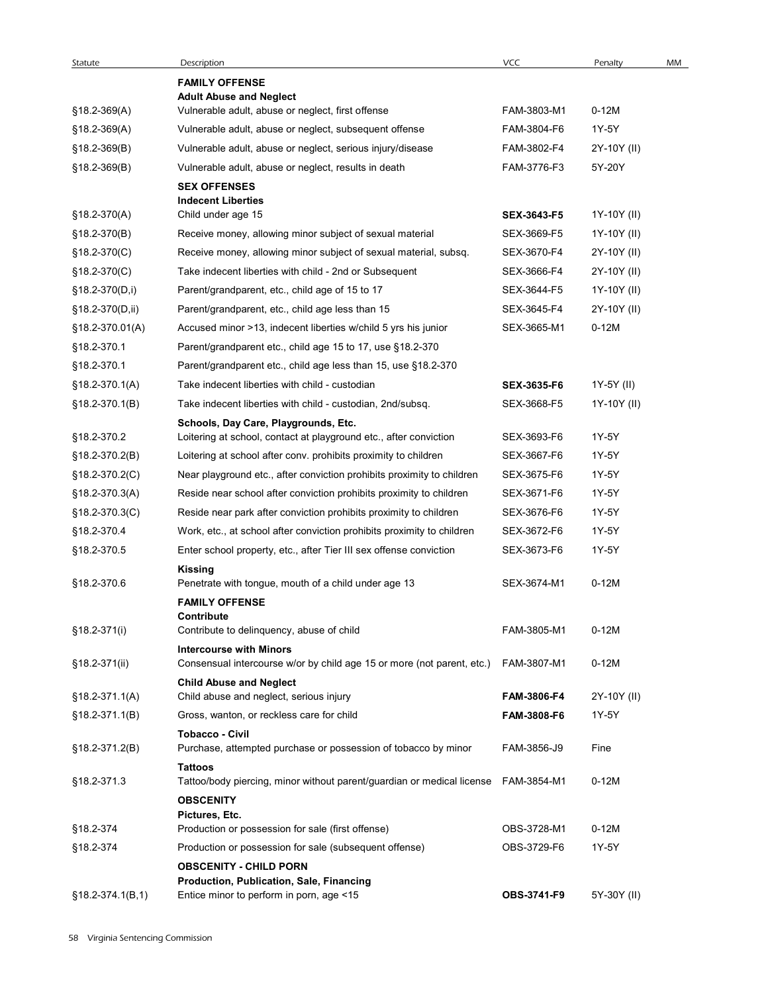|                     | Description                                                                                                          | VCC         | Penalty     | MM |
|---------------------|----------------------------------------------------------------------------------------------------------------------|-------------|-------------|----|
| Statute             | <b>FAMILY OFFENSE</b>                                                                                                |             |             |    |
|                     | <b>Adult Abuse and Neglect</b>                                                                                       |             |             |    |
| $$18.2-369(A)$      | Vulnerable adult, abuse or neglect, first offense                                                                    | FAM-3803-M1 | $0-12M$     |    |
| $$18.2-369(A)$      | Vulnerable adult, abuse or neglect, subsequent offense                                                               | FAM-3804-F6 | 1Y-5Y       |    |
| $$18.2-369(B)$      | Vulnerable adult, abuse or neglect, serious injury/disease                                                           | FAM-3802-F4 | 2Y-10Y (II) |    |
| $$18.2-369(B)$      | Vulnerable adult, abuse or neglect, results in death<br><b>SEX OFFENSES</b>                                          | FAM-3776-F3 | 5Y-20Y      |    |
| §18.2-370(A)        | <b>Indecent Liberties</b><br>Child under age 15                                                                      | SEX-3643-F5 | 1Y-10Y (II) |    |
| §18.2-370(B)        | Receive money, allowing minor subject of sexual material                                                             | SEX-3669-F5 | 1Y-10Y (II) |    |
| $$18.2-370(C)$      | Receive money, allowing minor subject of sexual material, subsq.                                                     | SEX-3670-F4 | 2Y-10Y (II) |    |
| §18.2-370(C)        | Take indecent liberties with child - 2nd or Subsequent                                                               | SEX-3666-F4 | 2Y-10Y (II) |    |
| §18.2-370(D,i)      | Parent/grandparent, etc., child age of 15 to 17                                                                      | SEX-3644-F5 | 1Y-10Y (II) |    |
| §18.2-370(D,ii)     | Parent/grandparent, etc., child age less than 15                                                                     | SEX-3645-F4 | 2Y-10Y (II) |    |
| $$18.2 - 370.01(A)$ | Accused minor >13, indecent liberties w/child 5 yrs his junior                                                       | SEX-3665-M1 | 0-12M       |    |
| $§18.2-370.1$       | Parent/grandparent etc., child age 15 to 17, use §18.2-370                                                           |             |             |    |
| §18.2-370.1         | Parent/grandparent etc., child age less than 15, use §18.2-370                                                       |             |             |    |
| §18.2-370.1(A)      | Take indecent liberties with child - custodian                                                                       | SEX-3635-F6 | 1Y-5Y (II)  |    |
| §18.2-370.1(B)      | Take indecent liberties with child - custodian, 2nd/subsq.                                                           | SEX-3668-F5 | 1Y-10Y (II) |    |
| §18.2-370.2         | Schools, Day Care, Playgrounds, Etc.<br>Loitering at school, contact at playground etc., after conviction            | SEX-3693-F6 | 1Y-5Y       |    |
| §18.2-370.2(B)      | Loitering at school after conv. prohibits proximity to children                                                      | SEX-3667-F6 | 1Y-5Y       |    |
| §18.2-370.2(C)      | Near playground etc., after conviction prohibits proximity to children                                               | SEX-3675-F6 | 1Y-5Y       |    |
| §18.2-370.3(A)      | Reside near school after conviction prohibits proximity to children                                                  | SEX-3671-F6 | 1Y-5Y       |    |
| §18.2-370.3(C)      | Reside near park after conviction prohibits proximity to children                                                    | SEX-3676-F6 | 1Y-5Y       |    |
| §18.2-370.4         | Work, etc., at school after conviction prohibits proximity to children                                               | SEX-3672-F6 | 1Y-5Y       |    |
| §18.2-370.5         | Enter school property, etc., after Tier III sex offense conviction                                                   | SEX-3673-F6 | 1Y-5Y       |    |
|                     | <b>Kissing</b>                                                                                                       |             |             |    |
| §18.2-370.6         | Penetrate with tongue, mouth of a child under age 13<br><b>FAMILY OFFENSE</b>                                        | SEX-3674-M1 | $0-12M$     |    |
| $$18.2-371(i)$      | Contribute<br>Contribute to delinquency, abuse of child                                                              | FAM-3805-M1 | $0-12M$     |    |
|                     | <b>Intercourse with Minors</b>                                                                                       |             |             |    |
| §18.2-371(ii)       | Consensual intercourse w/or by child age 15 or more (not parent, etc.) FAM-3807-M1<br><b>Child Abuse and Neglect</b> |             | $0-12M$     |    |
| $$18.2-371.1(A)$    | Child abuse and neglect, serious injury                                                                              | FAM-3806-F4 | 2Y-10Y (II) |    |
| $$18.2-371.1(B)$    | Gross, wanton, or reckless care for child                                                                            | FAM-3808-F6 | 1Y-5Y       |    |
| $$18.2-371.2(B)$    | <b>Tobacco - Civil</b><br>Purchase, attempted purchase or possession of tobacco by minor                             | FAM-3856-J9 | Fine        |    |
| §18.2-371.3         | <b>Tattoos</b><br>Tattoo/body piercing, minor without parent/guardian or medical license FAM-3854-M1                 |             | $0-12M$     |    |
|                     | <b>OBSCENITY</b>                                                                                                     |             |             |    |
| §18.2-374           | Pictures, Etc.<br>Production or possession for sale (first offense)                                                  | OBS-3728-M1 | $0-12M$     |    |
| §18.2-374           | Production or possession for sale (subsequent offense)                                                               | OBS-3729-F6 | 1Y-5Y       |    |
|                     | <b>OBSCENITY - CHILD PORN</b>                                                                                        |             |             |    |
|                     | Production, Publication, Sale, Financing                                                                             |             |             |    |
| $§18.2-374.1(B,1)$  | Entice minor to perform in porn, age <15                                                                             | OBS-3741-F9 | 5Y-30Y (II) |    |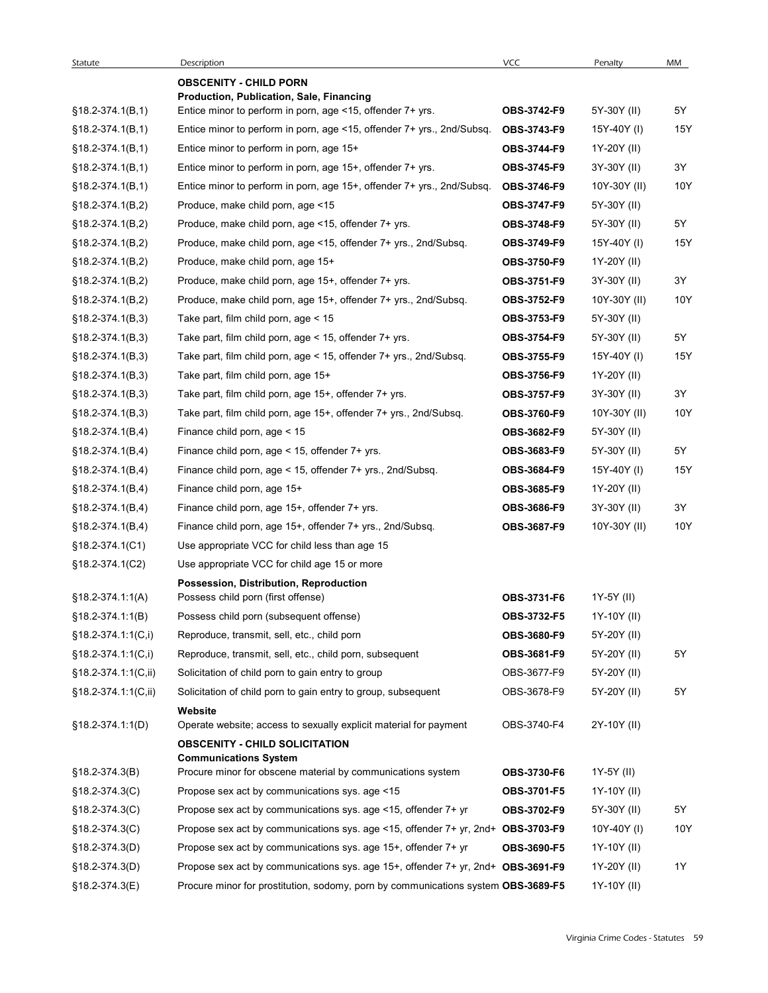| Statute                | Description<br><b>OBSCENITY - CHILD PORN</b>                                      | <b>VCC</b>         | Penalty        | MM  |
|------------------------|-----------------------------------------------------------------------------------|--------------------|----------------|-----|
|                        | Production, Publication, Sale, Financing                                          |                    |                |     |
| $§18.2-374.1(B,1)$     | Entice minor to perform in porn, age <15, offender 7+ yrs.                        | OBS-3742-F9        | 5Y-30Y (II)    | 5Y  |
| $§18.2-374.1(B,1)$     | Entice minor to perform in porn, age <15, offender 7+ yrs., 2nd/Subsq.            | OBS-3743-F9        | 15Y-40Y (I)    | 15Y |
| §18.2-374.1(B,1)       | Entice minor to perform in porn, age 15+                                          | <b>OBS-3744-F9</b> | 1Y-20Y (II)    |     |
| $§18.2-374.1(B,1)$     | Entice minor to perform in porn, age 15+, offender 7+ yrs.                        | <b>OBS-3745-F9</b> | 3Y-30Y (II)    | 3Y  |
| $§18.2-374.1(B,1)$     | Entice minor to perform in porn, age $15+$ , offender $7+$ yrs., 2nd/Subsq.       | OBS-3746-F9        | 10Y-30Y (II)   | 10Y |
| $§18.2-374.1(B,2)$     | Produce, make child porn, age <15                                                 | <b>OBS-3747-F9</b> | 5Y-30Y (II)    |     |
| §18.2-374.1(B,2)       | Produce, make child porn, age <15, offender 7+ yrs.                               | OBS-3748-F9        | 5Y-30Y (II)    | 5Y  |
| $§18.2-374.1(B,2)$     | Produce, make child porn, age <15, offender 7+ yrs., 2nd/Subsq.                   | <b>OBS-3749-F9</b> | 15Y-40Y (I)    | 15Y |
| $§18.2-374.1(B,2)$     | Produce, make child porn, age 15+                                                 | <b>OBS-3750-F9</b> | 1Y-20Y (II)    |     |
| $$18.2-374.1(B,2)$     | Produce, make child porn, age 15+, offender 7+ yrs.                               | <b>OBS-3751-F9</b> | 3Y-30Y (II)    | 3Y  |
| §18.2-374.1(B,2)       | Produce, make child porn, age 15+, offender 7+ yrs., 2nd/Subsq.                   | <b>OBS-3752-F9</b> | $10Y-30Y (II)$ | 10Y |
| $§18.2-374.1(B,3)$     | Take part, film child porn, age < 15                                              | <b>OBS-3753-F9</b> | 5Y-30Y (II)    |     |
| $§18.2-374.1(B,3)$     | Take part, film child porn, age < 15, offender 7+ yrs.                            | OBS-3754-F9        | 5Y-30Y (II)    | 5Y  |
| $§18.2-374.1(B,3)$     | Take part, film child porn, age < 15, offender 7+ yrs., 2nd/Subsq.                | OBS-3755-F9        | 15Y-40Y (I)    | 15Y |
| $§18.2-374.1(B,3)$     | Take part, film child porn, age 15+                                               | OBS-3756-F9        | 1Y-20Y (II)    |     |
| $§18.2-374.1(B,3)$     | Take part, film child porn, age 15+, offender 7+ yrs.                             | <b>OBS-3757-F9</b> | 3Y-30Y (II)    | 3Y  |
| $§18.2-374.1(B,3)$     | Take part, film child porn, age 15+, offender 7+ yrs., 2nd/Subsq.                 | <b>OBS-3760-F9</b> | 10Y-30Y (II)   | 10Y |
| $§18.2-374.1(B,4)$     | Finance child porn, age < 15                                                      | <b>OBS-3682-F9</b> | 5Y-30Y (II)    |     |
| $§18.2-374.1(B,4)$     | Finance child porn, age < 15, offender 7+ yrs.                                    | <b>OBS-3683-F9</b> | 5Y-30Y (II)    | 5Y  |
| $§18.2-374.1(B,4)$     | Finance child porn, age < 15, offender 7+ yrs., 2nd/Subsq.                        | <b>OBS-3684-F9</b> | 15Y-40Y (I)    | 15Y |
| $§18.2-374.1(B,4)$     | Finance child porn, age 15+                                                       | OBS-3685-F9        | 1Y-20Y (II)    |     |
| $§18.2-374.1(B,4)$     | Finance child porn, age 15+, offender 7+ yrs.                                     | OBS-3686-F9        | 3Y-30Y (II)    | 3Y  |
| $§18.2-374.1(B,4)$     | Finance child porn, age 15+, offender 7+ yrs., 2nd/Subsq.                         | OBS-3687-F9        | 10Y-30Y (II)   | 10Y |
| $§18.2-374.1(C1)$      | Use appropriate VCC for child less than age 15                                    |                    |                |     |
| §18.2-374.1(C2)        | Use appropriate VCC for child age 15 or more                                      |                    |                |     |
|                        | Possession, Distribution, Reproduction                                            |                    |                |     |
| $$18.2-374.1:1(A)$     | Possess child porn (first offense)                                                | OBS-3731-F6        | 1Y-5Y (II)     |     |
| §18.2-374.1:1(B)       | Possess child porn (subsequent offense)                                           | <b>OBS-3732-F5</b> | 1Y-10Y (II)    |     |
| §18.2-374.1.1(C,i)     | Reproduce, transmit, sell, etc., child porn                                       | <b>OBS-3680-F9</b> | 5Y-20Y (II)    |     |
| §18.2-374.1:1(C,i)     | Reproduce, transmit, sell, etc., child porn, subsequent                           | <b>OBS-3681-F9</b> | 5Y-20Y (II)    | 5Y  |
| §18.2-374.1:1(C,ii)    | Solicitation of child porn to gain entry to group                                 | OBS-3677-F9        | 5Y-20Y (II)    |     |
| $§18.2-374.1:1(C, ii)$ | Solicitation of child porn to gain entry to group, subsequent                     | OBS-3678-F9        | 5Y-20Y (II)    | 5Y  |
| $§18.2-374.1:1(D)$     | Website<br>Operate website; access to sexually explicit material for payment      | OBS-3740-F4        | 2Y-10Y (II)    |     |
|                        | <b>OBSCENITY - CHILD SOLICITATION</b><br><b>Communications System</b>             |                    |                |     |
| $§18.2-374.3(B)$       | Procure minor for obscene material by communications system                       | <b>OBS-3730-F6</b> | 1Y-5Y (II)     |     |
| §18.2-374.3(C)         | Propose sex act by communications sys. age <15                                    | OBS-3701-F5        | 1Y-10Y (II)    |     |
| §18.2-374.3(C)         | Propose sex act by communications sys. age <15, offender 7+ yr                    | OBS-3702-F9        | 5Y-30Y (II)    | 5Y  |
| §18.2-374.3(C)         | Propose sex act by communications sys. age <15, offender 7+ yr, 2nd+ OBS-3703-F9  |                    | 10Y-40Y (I)    | 10Y |
| §18.2-374.3(D)         | Propose sex act by communications sys. age 15+, offender 7+ yr                    | OBS-3690-F5        | 1Y-10Y (II)    |     |
| $$18.2-374.3(D)$       | Propose sex act by communications sys. age 15+, offender 7+ yr, 2nd+ OBS-3691-F9  |                    | 1Y-20Y (II)    | 1Y  |
|                        | Procure minor for prostitution, sodomy, porn by communications system OBS-3689-F5 |                    | 1Y-10Y (II)    |     |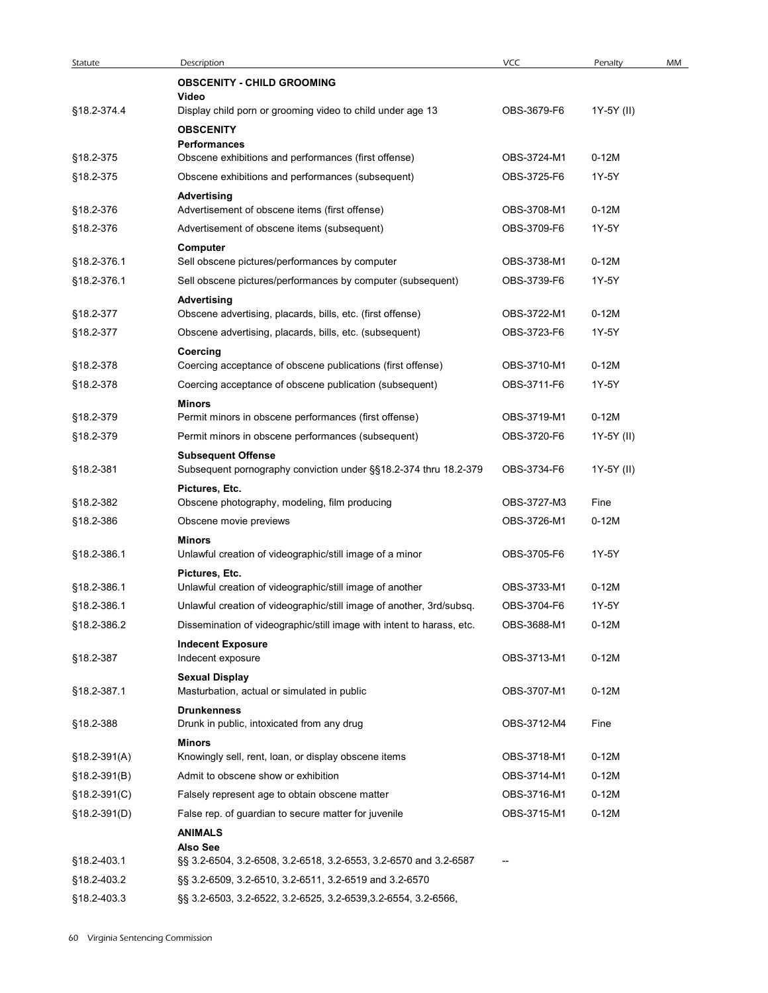| Statute                | Description                                                                                                 | <b>VCC</b>                 | Penalty               | MM |
|------------------------|-------------------------------------------------------------------------------------------------------------|----------------------------|-----------------------|----|
|                        | <b>OBSCENITY - CHILD GROOMING</b>                                                                           |                            |                       |    |
| §18.2-374.4            | Video<br>Display child porn or grooming video to child under age 13                                         | OBS-3679-F6                | 1Y-5Y (II)            |    |
|                        | <b>OBSCENITY</b>                                                                                            |                            |                       |    |
| §18.2-375              | Performances<br>Obscene exhibitions and performances (first offense)                                        | OBS-3724-M1                | $0-12M$               |    |
| §18.2-375              | Obscene exhibitions and performances (subsequent)                                                           | OBS-3725-F6                | 1Y-5Y                 |    |
|                        | <b>Advertising</b>                                                                                          |                            |                       |    |
| §18.2-376              | Advertisement of obscene items (first offense)                                                              | OBS-3708-M1                | $0-12M$               |    |
| §18.2-376              | Advertisement of obscene items (subsequent)                                                                 | OBS-3709-F6                | 1Y-5Y                 |    |
| §18.2-376.1            | Computer<br>Sell obscene pictures/performances by computer                                                  | OBS-3738-M1                | $0-12M$               |    |
| §18.2-376.1            | Sell obscene pictures/performances by computer (subsequent)                                                 | OBS-3739-F6                | 1Y-5Y                 |    |
|                        | <b>Advertising</b>                                                                                          |                            |                       |    |
| §18.2-377              | Obscene advertising, placards, bills, etc. (first offense)                                                  | OBS-3722-M1                | $0-12M$               |    |
| §18.2-377              | Obscene advertising, placards, bills, etc. (subsequent)                                                     | OBS-3723-F6                | 1Y-5Y                 |    |
| §18.2-378              | Coercing<br>Coercing acceptance of obscene publications (first offense)                                     | OBS-3710-M1                | $0-12M$               |    |
| §18.2-378              | Coercing acceptance of obscene publication (subsequent)                                                     | OBS-3711-F6                | 1Y-5Y                 |    |
|                        | Minors                                                                                                      |                            |                       |    |
| §18.2-379<br>§18.2-379 | Permit minors in obscene performances (first offense)<br>Permit minors in obscene performances (subsequent) | OBS-3719-M1<br>OBS-3720-F6 | $0-12M$<br>1Y-5Y (II) |    |
|                        | <b>Subsequent Offense</b>                                                                                   |                            |                       |    |
| §18.2-381              | Subsequent pornography conviction under §§18.2-374 thru 18.2-379                                            | OBS-3734-F6                | 1Y-5Y (II)            |    |
|                        | Pictures, Etc.                                                                                              |                            |                       |    |
| §18.2-382              | Obscene photography, modeling, film producing                                                               | OBS-3727-M3                | Fine                  |    |
| §18.2-386              | Obscene movie previews                                                                                      | OBS-3726-M1                | $0-12M$               |    |
| §18.2-386.1            | Minors<br>Unlawful creation of videographic/still image of a minor                                          | OBS-3705-F6                | 1Y-5Y                 |    |
|                        | Pictures, Etc.                                                                                              |                            |                       |    |
| §18.2-386.1            | Unlawful creation of videographic/still image of another                                                    | OBS-3733-M1                | $0-12M$               |    |
| §18.2-386.1            | Unlawful creation of videographic/still image of another, 3rd/subsq.                                        | OBS-3704-F6                | 1Y-5Y                 |    |
| §18.2-386.2            | Dissemination of videographic/still image with intent to harass, etc.<br><b>Indecent Exposure</b>           | OBS-3688-M1                | $0-12M$               |    |
| §18.2-387              | Indecent exposure                                                                                           | OBS-3713-M1                | $0-12M$               |    |
|                        | <b>Sexual Display</b>                                                                                       |                            |                       |    |
| §18.2-387.1            | Masturbation, actual or simulated in public                                                                 | OBS-3707-M1                | $0-12M$               |    |
| §18.2-388              | <b>Drunkenness</b><br>Drunk in public, intoxicated from any drug                                            | OBS-3712-M4                | Fine                  |    |
|                        | <b>Minors</b>                                                                                               |                            |                       |    |
| $$18.2-391(A)$         | Knowingly sell, rent, loan, or display obscene items                                                        | OBS-3718-M1                | $0-12M$               |    |
| $$18.2-391(B)$         | Admit to obscene show or exhibition                                                                         | OBS-3714-M1                | $0-12M$               |    |
| $§18.2-391(C)$         | Falsely represent age to obtain obscene matter                                                              | OBS-3716-M1                | $0-12M$               |    |
| §18.2-391(D)           | False rep. of guardian to secure matter for juvenile<br><b>ANIMALS</b>                                      | OBS-3715-M1                | $0-12M$               |    |
|                        | <b>Also See</b>                                                                                             |                            |                       |    |
| §18.2-403.1            | §§ 3.2-6504, 3.2-6508, 3.2-6518, 3.2-6553, 3.2-6570 and 3.2-6587                                            | $\overline{\phantom{a}}$   |                       |    |
| §18.2-403.2            | §§ 3.2-6509, 3.2-6510, 3.2-6511, 3.2-6519 and 3.2-6570                                                      |                            |                       |    |
| §18.2-403.3            | §§ 3.2-6503, 3.2-6522, 3.2-6525, 3.2-6539, 3.2-6554, 3.2-6566,                                              |                            |                       |    |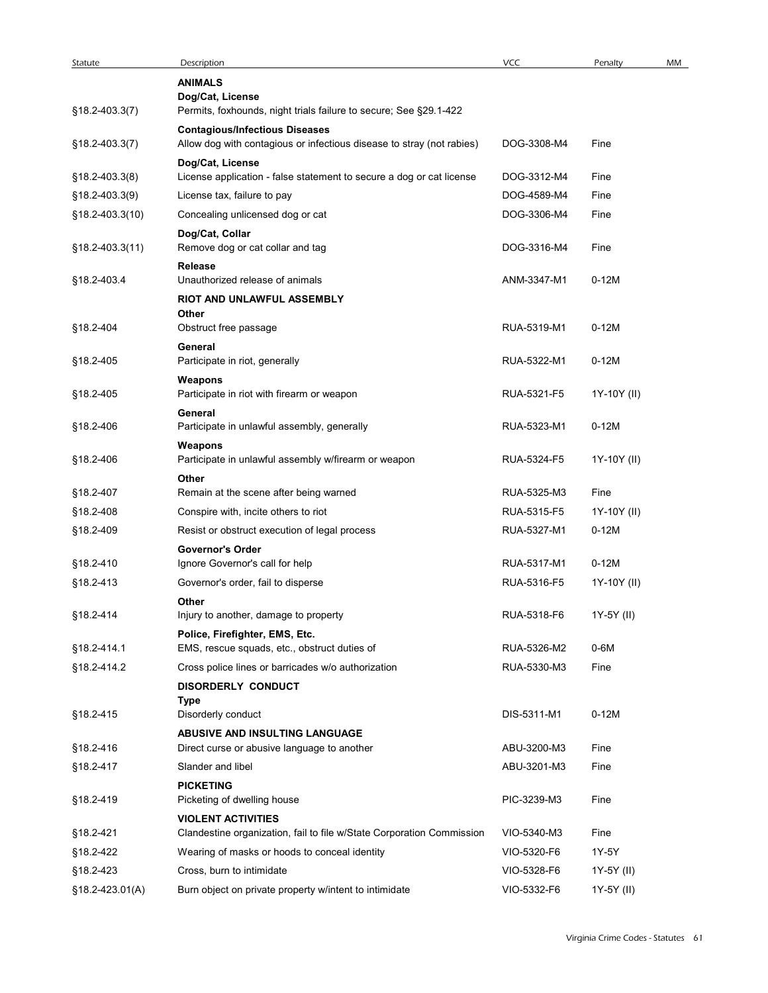| Statute         | Description                                                                                                    | VCC         | Penalty     | MM |
|-----------------|----------------------------------------------------------------------------------------------------------------|-------------|-------------|----|
|                 | <b>ANIMALS</b>                                                                                                 |             |             |    |
|                 | Dog/Cat, License                                                                                               |             |             |    |
| §18.2-403.3(7)  | Permits, foxhounds, night trials failure to secure; See §29.1-422                                              |             |             |    |
| §18.2-403.3(7)  | <b>Contagious/Infectious Diseases</b><br>Allow dog with contagious or infectious disease to stray (not rabies) | DOG-3308-M4 | Fine        |    |
|                 | Dog/Cat, License                                                                                               |             |             |    |
| §18.2-403.3(8)  | License application - false statement to secure a dog or cat license                                           | DOG-3312-M4 | Fine        |    |
| §18.2-403.3(9)  | License tax, failure to pay                                                                                    | DOG-4589-M4 | Fine        |    |
| §18.2-403.3(10) | Concealing unlicensed dog or cat                                                                               | DOG-3306-M4 | Fine        |    |
|                 | Dog/Cat, Collar                                                                                                |             |             |    |
| §18.2-403.3(11) | Remove dog or cat collar and tag                                                                               | DOG-3316-M4 | Fine        |    |
|                 | Release<br>Unauthorized release of animals                                                                     |             |             |    |
| §18.2-403.4     | RIOT AND UNLAWFUL ASSEMBLY                                                                                     | ANM-3347-M1 | $0-12M$     |    |
|                 | Other                                                                                                          |             |             |    |
| §18.2-404       | Obstruct free passage                                                                                          | RUA-5319-M1 | $0-12M$     |    |
|                 | General                                                                                                        |             |             |    |
| §18.2-405       | Participate in riot, generally                                                                                 | RUA-5322-M1 | $0-12M$     |    |
|                 | Weapons<br>Participate in riot with firearm or weapon                                                          |             |             |    |
| §18.2-405       |                                                                                                                | RUA-5321-F5 | 1Y-10Y (II) |    |
| §18.2-406       | General<br>Participate in unlawful assembly, generally                                                         | RUA-5323-M1 | $0-12M$     |    |
|                 | Weapons                                                                                                        |             |             |    |
| §18.2-406       | Participate in unlawful assembly w/firearm or weapon                                                           | RUA-5324-F5 | 1Y-10Y (II) |    |
|                 | Other                                                                                                          |             |             |    |
| §18.2-407       | Remain at the scene after being warned                                                                         | RUA-5325-M3 | Fine        |    |
| §18.2-408       | Conspire with, incite others to riot                                                                           | RUA-5315-F5 | 1Y-10Y (II) |    |
| §18.2-409       | Resist or obstruct execution of legal process                                                                  | RUA-5327-M1 | $0-12M$     |    |
|                 | <b>Governor's Order</b>                                                                                        |             |             |    |
| §18.2-410       | Ignore Governor's call for help                                                                                | RUA-5317-M1 | $0-12M$     |    |
| §18.2-413       | Governor's order, fail to disperse                                                                             | RUA-5316-F5 | 1Y-10Y (II) |    |
| §18.2-414       | Other<br>Injury to another, damage to property                                                                 | RUA-5318-F6 | 1Y-5Y (II)  |    |
|                 | Police, Firefighter, EMS, Etc.                                                                                 |             |             |    |
| §18.2-414.1     | EMS, rescue squads, etc., obstruct duties of                                                                   | RUA-5326-M2 | 0-6M        |    |
| §18.2-414.2     | Cross police lines or barricades w/o authorization                                                             | RUA-5330-M3 | Fine        |    |
|                 | DISORDERLY CONDUCT                                                                                             |             |             |    |
|                 | Type                                                                                                           |             |             |    |
| §18.2-415       | Disorderly conduct                                                                                             | DIS-5311-M1 | $0-12M$     |    |
| §18.2-416       | ABUSIVE AND INSULTING LANGUAGE<br>Direct curse or abusive language to another                                  | ABU-3200-M3 | Fine        |    |
| §18.2-417       | Slander and libel                                                                                              | ABU-3201-M3 | Fine        |    |
|                 | <b>PICKETING</b>                                                                                               |             |             |    |
| §18.2-419       | Picketing of dwelling house                                                                                    | PIC-3239-M3 | Fine        |    |
|                 | <b>VIOLENT ACTIVITIES</b>                                                                                      |             |             |    |
| §18.2-421       | Clandestine organization, fail to file w/State Corporation Commission                                          | VIO-5340-M3 | Fine        |    |
| §18.2-422       | Wearing of masks or hoods to conceal identity                                                                  | VIO-5320-F6 | 1Y-5Y       |    |
|                 | Cross, burn to intimidate                                                                                      | VIO-5328-F6 |             |    |
| §18.2-423       |                                                                                                                |             | 1Y-5Y (II)  |    |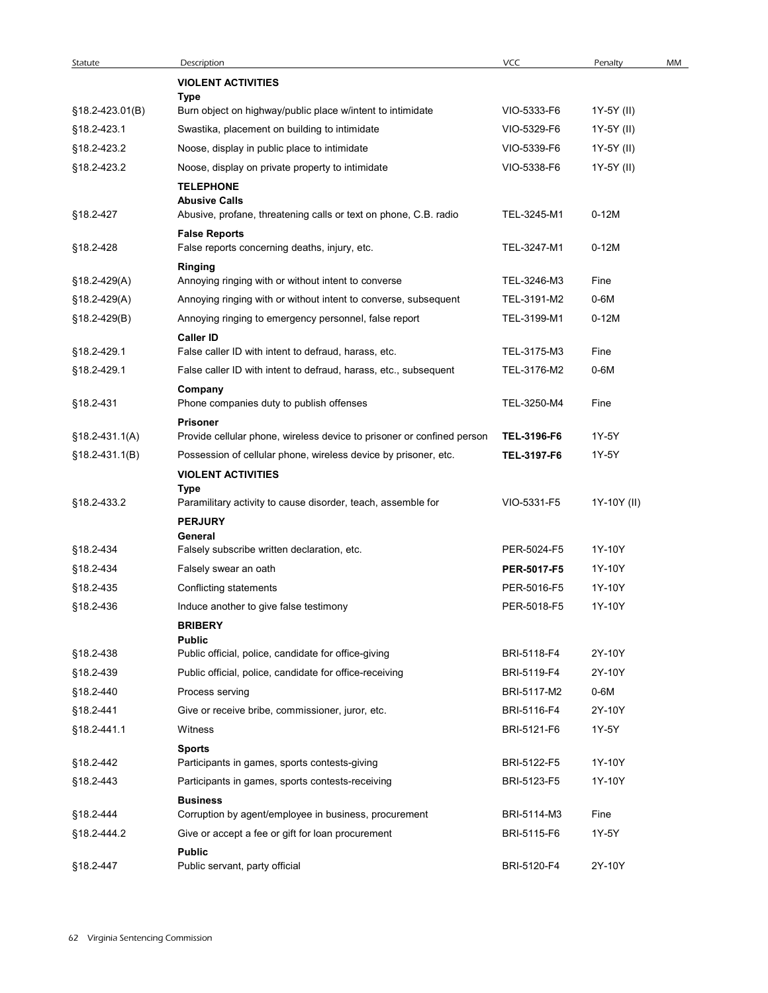| Statute          | Description                                                                                                  | VCC                        | Penalty       | MM |
|------------------|--------------------------------------------------------------------------------------------------------------|----------------------------|---------------|----|
|                  | <b>VIOLENT ACTIVITIES</b><br>Type                                                                            |                            |               |    |
| §18.2-423.01(B)  | Burn object on highway/public place w/intent to intimidate                                                   | VIO-5333-F6                | 1Y-5Y (II)    |    |
| §18.2-423.1      | Swastika, placement on building to intimidate                                                                | VIO-5329-F6                | 1Y-5Y (II)    |    |
| §18.2-423.2      | Noose, display in public place to intimidate                                                                 | VIO-5339-F6                | 1Y-5Y (II)    |    |
| §18.2-423.2      | Noose, display on private property to intimidate                                                             | VIO-5338-F6                | 1Y-5Y (II)    |    |
| §18.2-427        | <b>TELEPHONE</b><br><b>Abusive Calls</b><br>Abusive, profane, threatening calls or text on phone, C.B. radio | TEL-3245-M1                | $0-12M$       |    |
|                  | <b>False Reports</b>                                                                                         |                            |               |    |
| §18.2-428        | False reports concerning deaths, injury, etc.                                                                | TEL-3247-M1                | $0-12M$       |    |
| $$18.2-429(A)$   | <b>Ringing</b><br>Annoying ringing with or without intent to converse                                        | TEL-3246-M3                | Fine          |    |
| $$18.2-429(A)$   | Annoying ringing with or without intent to converse, subsequent                                              | TEL-3191-M2                | 0-6M          |    |
| $$18.2 - 429(B)$ | Annoying ringing to emergency personnel, false report                                                        | TEL-3199-M1                | $0-12M$       |    |
|                  | <b>Caller ID</b>                                                                                             |                            |               |    |
| §18.2-429.1      | False caller ID with intent to defraud, harass, etc.                                                         | TEL-3175-M3                | Fine          |    |
| §18.2-429.1      | False caller ID with intent to defraud, harass, etc., subsequent                                             | TEL-3176-M2                | $0-6M$        |    |
| §18.2-431        | Company<br>Phone companies duty to publish offenses<br><b>Prisoner</b>                                       | TEL-3250-M4                | Fine          |    |
| $$18.2-431.1(A)$ | Provide cellular phone, wireless device to prisoner or confined person                                       | TEL-3196-F6                | 1Y-5Y         |    |
| $$18.2-431.1(B)$ | Possession of cellular phone, wireless device by prisoner, etc.                                              | TEL-3197-F6                | 1Y-5Y         |    |
|                  | <b>VIOLENT ACTIVITIES</b>                                                                                    |                            |               |    |
|                  | <b>Type</b>                                                                                                  |                            |               |    |
| §18.2-433.2      | Paramilitary activity to cause disorder, teach, assemble for                                                 | VIO-5331-F5                | 1Y-10Y (II)   |    |
|                  | <b>PERJURY</b><br>General                                                                                    |                            |               |    |
| §18.2-434        | Falsely subscribe written declaration, etc.                                                                  | PER-5024-F5                | 1Y-10Y        |    |
| §18.2-434        | Falsely swear an oath                                                                                        | PER-5017-F5                | 1Y-10Y        |    |
| §18.2-435        | Conflicting statements                                                                                       | PER-5016-F5                | 1Y-10Y        |    |
| §18.2-436        | Induce another to give false testimony                                                                       | PER-5018-F5                | 1Y-10Y        |    |
|                  | <b>BRIBERY</b>                                                                                               |                            |               |    |
| §18.2-438        | <b>Public</b><br>Public official, police, candidate for office-giving                                        | BRI-5118-F4                | 2Y-10Y        |    |
| §18.2-439        | Public official, police, candidate for office-receiving                                                      | BRI-5119-F4                | 2Y-10Y        |    |
| §18.2-440        | Process serving                                                                                              | BRI-5117-M2                | 0-6M          |    |
| §18.2-441        | Give or receive bribe, commissioner, juror, etc.                                                             | BRI-5116-F4                | 2Y-10Y        |    |
| §18.2-441.1      | Witness                                                                                                      | BRI-5121-F6                | 1Y-5Y         |    |
|                  | <b>Sports</b>                                                                                                |                            |               |    |
| §18.2-442        | Participants in games, sports contests-giving                                                                | BRI-5122-F5                | 1Y-10Y        |    |
| §18.2-443        | Participants in games, sports contests-receiving                                                             | BRI-5123-F5                | 1Y-10Y        |    |
|                  | <b>Business</b>                                                                                              |                            |               |    |
| §18.2-444        | Corruption by agent/employee in business, procurement                                                        | BRI-5114-M3<br>BRI-5115-F6 | Fine<br>1Y-5Y |    |
| §18.2-444.2      | Give or accept a fee or gift for loan procurement<br><b>Public</b>                                           |                            |               |    |
| §18.2-447        | Public servant, party official                                                                               | BRI-5120-F4                | 2Y-10Y        |    |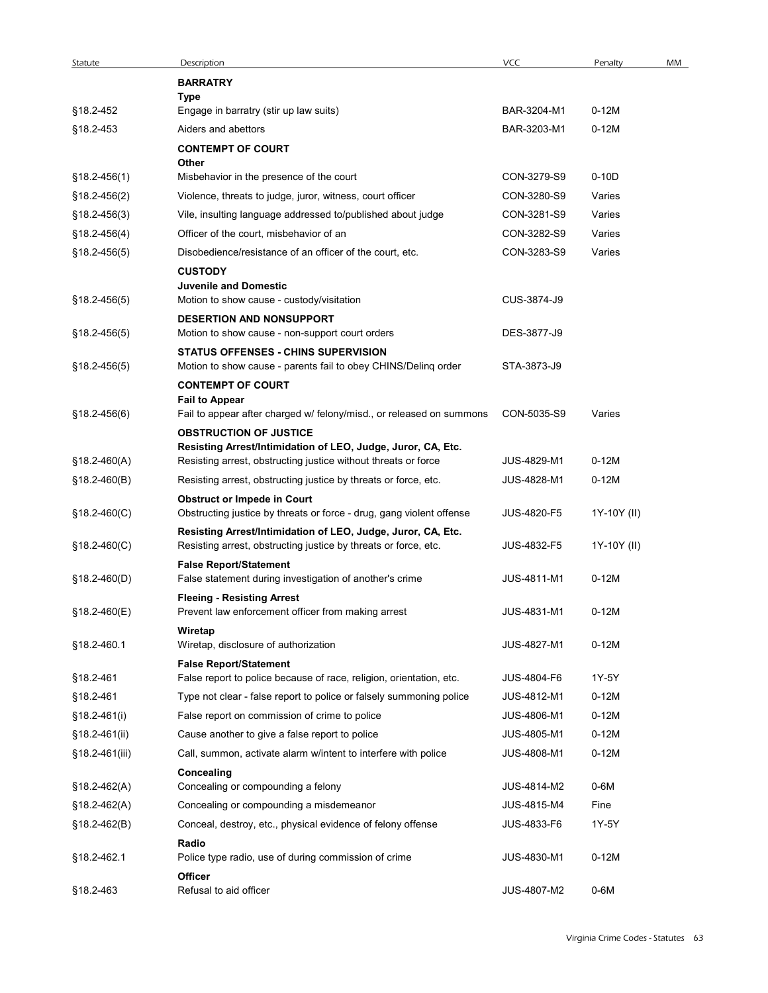| Statute                          | Description                                                                                                                       | <b>VCC</b>         | Penalty     | MM |
|----------------------------------|-----------------------------------------------------------------------------------------------------------------------------------|--------------------|-------------|----|
|                                  | <b>BARRATRY</b><br>Type                                                                                                           |                    |             |    |
| §18.2-452                        | Engage in barratry (stir up law suits)                                                                                            | BAR-3204-M1        | $0-12M$     |    |
| §18.2-453                        | Aiders and abettors                                                                                                               | BAR-3203-M1        | $0-12M$     |    |
|                                  | <b>CONTEMPT OF COURT</b>                                                                                                          |                    |             |    |
| $$18.2 - 456(1)$                 | Other<br>Misbehavior in the presence of the court                                                                                 | CON-3279-S9        | $0-10D$     |    |
| $$18.2 - 456(2)$                 | Violence, threats to judge, juror, witness, court officer                                                                         | CON-3280-S9        | Varies      |    |
| $$18.2 - 456(3)$                 | Vile, insulting language addressed to/published about judge                                                                       | CON-3281-S9        | Varies      |    |
| $$18.2 - 456(4)$                 | Officer of the court, misbehavior of an                                                                                           | CON-3282-S9        | Varies      |    |
| $$18.2 - 456(5)$                 | Disobedience/resistance of an officer of the court, etc.                                                                          | CON-3283-S9        | Varies      |    |
|                                  | <b>CUSTODY</b>                                                                                                                    |                    |             |    |
| $$18.2 - 456(5)$                 | <b>Juvenile and Domestic</b><br>Motion to show cause - custody/visitation                                                         | CUS-3874-J9        |             |    |
|                                  | <b>DESERTION AND NONSUPPORT</b>                                                                                                   |                    |             |    |
| $$18.2 - 456(5)$                 | Motion to show cause - non-support court orders                                                                                   | DES-3877-J9        |             |    |
|                                  | <b>STATUS OFFENSES - CHINS SUPERVISION</b>                                                                                        |                    |             |    |
| $$18.2 - 456(5)$                 | Motion to show cause - parents fail to obey CHINS/Deling order                                                                    | STA-3873-J9        |             |    |
|                                  | <b>CONTEMPT OF COURT</b><br><b>Fail to Appear</b>                                                                                 |                    |             |    |
| §18.2-456(6)                     | Fail to appear after charged w/ felony/misd., or released on summons                                                              | CON-5035-S9        | Varies      |    |
|                                  | <b>OBSTRUCTION OF JUSTICE</b>                                                                                                     |                    |             |    |
|                                  | Resisting Arrest/Intimidation of LEO, Judge, Juror, CA, Etc.                                                                      | JUS-4829-M1        | $0-12M$     |    |
| $$18.2-460(A)$<br>$$18.2-460(B)$ | Resisting arrest, obstructing justice without threats or force<br>Resisting arrest, obstructing justice by threats or force, etc. | JUS-4828-M1        | $0-12M$     |    |
|                                  | <b>Obstruct or Impede in Court</b>                                                                                                |                    |             |    |
| §18.2-460(C)                     | Obstructing justice by threats or force - drug, gang violent offense                                                              | JUS-4820-F5        | 1Y-10Y (II) |    |
|                                  | Resisting Arrest/Intimidation of LEO, Judge, Juror, CA, Etc.                                                                      |                    |             |    |
| $$18.2-460(C)$                   | Resisting arrest, obstructing justice by threats or force, etc.                                                                   | JUS-4832-F5        | 1Y-10Y (II) |    |
|                                  | <b>False Report/Statement</b>                                                                                                     | <b>JUS-4811-M1</b> | $0-12M$     |    |
| $$18.2-460(D)$                   | False statement during investigation of another's crime<br><b>Fleeing - Resisting Arrest</b>                                      |                    |             |    |
| $$18.2 - 460(E)$                 | Prevent law enforcement officer from making arrest                                                                                | JUS-4831-M1        | $0-12M$     |    |
|                                  | Wiretap                                                                                                                           |                    |             |    |
| §18.2-460.1                      | Wiretap, disclosure of authorization                                                                                              | JUS-4827-M1        | $0-12M$     |    |
|                                  | <b>False Report/Statement</b><br>False report to police because of race, religion, orientation, etc.                              | JUS-4804-F6        | 1Y-5Y       |    |
| §18.2-461<br>§18.2-461           | Type not clear - false report to police or falsely summoning police                                                               | JUS-4812-M1        | $0-12M$     |    |
| $$18.2 - 461(i)$                 | False report on commission of crime to police                                                                                     | <b>JUS-4806-M1</b> | $0-12M$     |    |
| §18.2-461(ii)                    | Cause another to give a false report to police                                                                                    | JUS-4805-M1        | $0-12M$     |    |
| §18.2-461(iii)                   | Call, summon, activate alarm w/intent to interfere with police                                                                    | JUS-4808-M1        | $0-12M$     |    |
|                                  | Concealing                                                                                                                        |                    |             |    |
| $$18.2-462(A)$                   | Concealing or compounding a felony                                                                                                | JUS-4814-M2        | 0-6M        |    |
| §18.2-462(A)                     | Concealing or compounding a misdemeanor                                                                                           | <b>JUS-4815-M4</b> | Fine        |    |
| $$18.2 - 462(B)$                 | Conceal, destroy, etc., physical evidence of felony offense                                                                       | JUS-4833-F6        | 1Y-5Y       |    |
|                                  | Radio                                                                                                                             |                    |             |    |
| §18.2-462.1                      | Police type radio, use of during commission of crime                                                                              | JUS-4830-M1        | $0-12M$     |    |
| §18.2-463                        | Officer<br>Refusal to aid officer                                                                                                 | JUS-4807-M2        | $0-6M$      |    |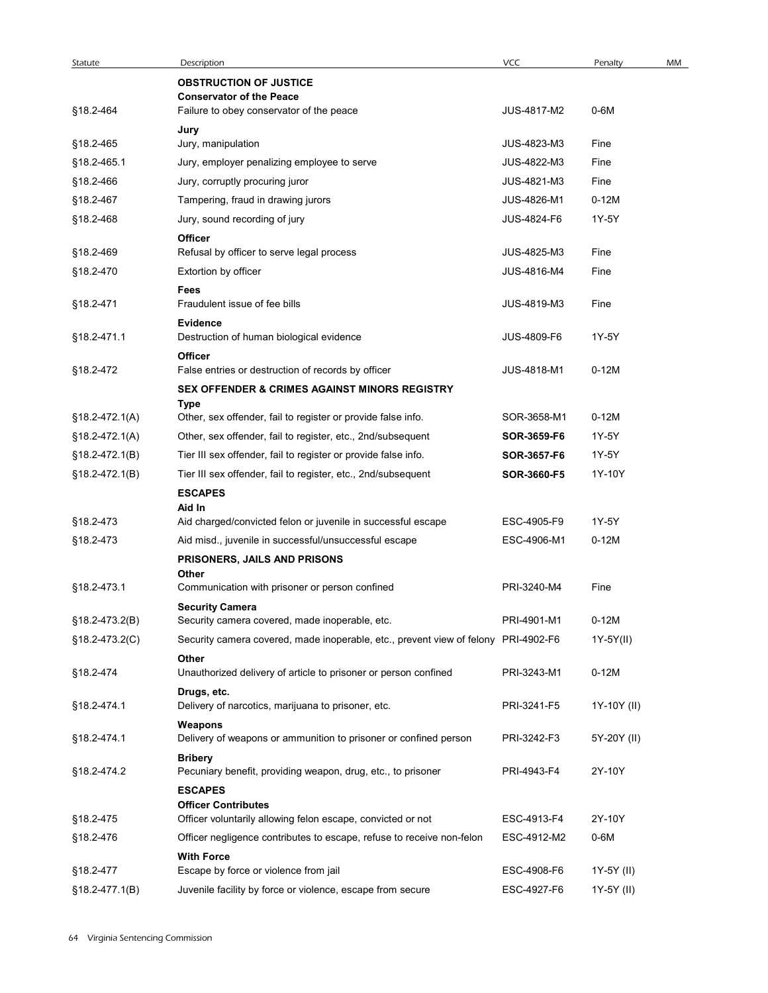| Statute                  | Description                                                                        | <b>VCC</b>                 | Penalty      | MM |
|--------------------------|------------------------------------------------------------------------------------|----------------------------|--------------|----|
|                          | <b>OBSTRUCTION OF JUSTICE</b>                                                      |                            |              |    |
| §18.2-464                | <b>Conservator of the Peace</b><br>Failure to obey conservator of the peace        | JUS-4817-M2                | $0-6M$       |    |
|                          | Jury                                                                               |                            |              |    |
| §18.2-465                | Jury, manipulation                                                                 | JUS-4823-M3                | Fine         |    |
| §18.2-465.1<br>§18.2-466 | Jury, employer penalizing employee to serve<br>Jury, corruptly procuring juror     | JUS-4822-M3<br>JUS-4821-M3 | Fine<br>Fine |    |
| §18.2-467                | Tampering, fraud in drawing jurors                                                 | JUS-4826-M1                | $0-12M$      |    |
| §18.2-468                | Jury, sound recording of jury                                                      | JUS-4824-F6                | 1Y-5Y        |    |
|                          | Officer                                                                            |                            |              |    |
| §18.2-469                | Refusal by officer to serve legal process                                          | <b>JUS-4825-M3</b>         | Fine         |    |
| §18.2-470                | Extortion by officer<br>Fees                                                       | JUS-4816-M4                | Fine         |    |
| §18.2-471                | Fraudulent issue of fee bills                                                      | JUS-4819-M3                | Fine         |    |
| §18.2-471.1              | <b>Evidence</b><br>Destruction of human biological evidence                        | <b>JUS-4809-F6</b>         | 1Y-5Y        |    |
|                          | Officer                                                                            |                            |              |    |
| §18.2-472                | False entries or destruction of records by officer                                 | JUS-4818-M1                | $0-12M$      |    |
|                          | <b>SEX OFFENDER &amp; CRIMES AGAINST MINORS REGISTRY</b>                           |                            |              |    |
| $$18.2-472.1(A)$         | Type<br>Other, sex offender, fail to register or provide false info.               | SOR-3658-M1                | $0-12M$      |    |
| $$18.2 - 472.1(A)$       | Other, sex offender, fail to register, etc., 2nd/subsequent                        | SOR-3659-F6                | 1Y-5Y        |    |
| §18.2-472.1(B)           | Tier III sex offender, fail to register or provide false info.                     | SOR-3657-F6                | 1Y-5Y        |    |
| §18.2-472.1(B)           | Tier III sex offender, fail to register, etc., 2nd/subsequent                      | SOR-3660-F5                | 1Y-10Y       |    |
|                          | <b>ESCAPES</b>                                                                     |                            |              |    |
| §18.2-473                | Aid In<br>Aid charged/convicted felon or juvenile in successful escape             | ESC-4905-F9                | 1Y-5Y        |    |
| §18.2-473                | Aid misd., juvenile in successful/unsuccessful escape                              | ESC-4906-M1                | $0-12M$      |    |
|                          | PRISONERS, JAILS AND PRISONS                                                       |                            |              |    |
| §18.2-473.1              | Other<br>Communication with prisoner or person confined                            | PRI-3240-M4                | Fine         |    |
|                          | <b>Security Camera</b>                                                             |                            |              |    |
| §18.2-473.2(B)           | Security camera covered, made inoperable, etc.                                     | PRI-4901-M1                | $0-12M$      |    |
| §18.2-473.2(C)           | Security camera covered, made inoperable, etc., prevent view of felony PRI-4902-F6 |                            | 1Y-5Y(II)    |    |
| §18.2-474                | Other<br>Unauthorized delivery of article to prisoner or person confined           | PRI-3243-M1                | $0-12M$      |    |
|                          | Drugs, etc.                                                                        |                            |              |    |
| §18.2-474.1              | Delivery of narcotics, marijuana to prisoner, etc.                                 | PRI-3241-F5                | 1Y-10Y (II)  |    |
| §18.2-474.1              | Weapons<br>Delivery of weapons or ammunition to prisoner or confined person        | PRI-3242-F3                | 5Y-20Y (II)  |    |
|                          | <b>Bribery</b>                                                                     |                            |              |    |
| §18.2-474.2              | Pecuniary benefit, providing weapon, drug, etc., to prisoner                       | PRI-4943-F4                | 2Y-10Y       |    |
|                          | <b>ESCAPES</b><br><b>Officer Contributes</b>                                       |                            |              |    |
| §18.2-475                | Officer voluntarily allowing felon escape, convicted or not                        | ESC-4913-F4                | 2Y-10Y       |    |
| §18.2-476                | Officer negligence contributes to escape, refuse to receive non-felon              | ESC-4912-M2                | 0-6M         |    |
|                          | <b>With Force</b>                                                                  |                            |              |    |
| §18.2-477                | Escape by force or violence from jail                                              | ESC-4908-F6                | 1Y-5Y (II)   |    |
| §18.2-477.1(B)           | Juvenile facility by force or violence, escape from secure                         | ESC-4927-F6                | 1Y-5Y (II)   |    |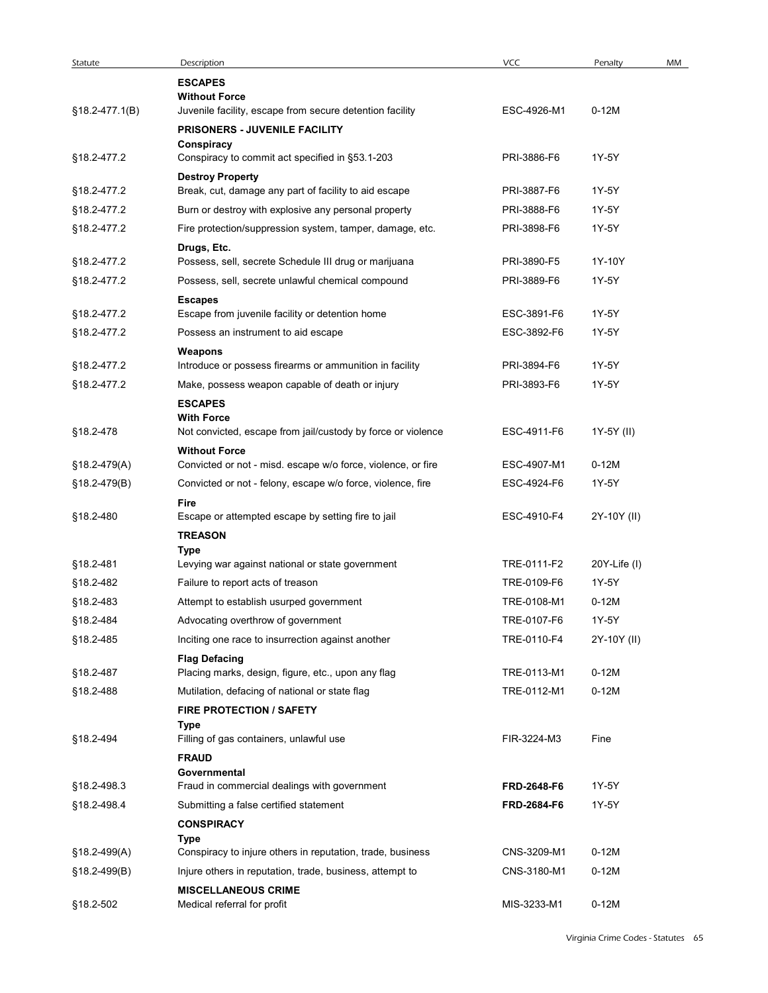| Statute        | Description                                                        | VCC         | Penalty         | MM |
|----------------|--------------------------------------------------------------------|-------------|-----------------|----|
|                | <b>ESCAPES</b>                                                     |             |                 |    |
|                | <b>Without Force</b>                                               |             |                 |    |
| §18.2-477.1(B) | Juvenile facility, escape from secure detention facility           | ESC-4926-M1 | $0-12M$         |    |
|                | <b>PRISONERS - JUVENILE FACILITY</b>                               |             |                 |    |
| §18.2-477.2    | Conspiracy<br>Conspiracy to commit act specified in §53.1-203      | PRI-3886-F6 | 1Y-5Y           |    |
|                | <b>Destroy Property</b>                                            |             |                 |    |
| §18.2-477.2    | Break, cut, damage any part of facility to aid escape              | PRI-3887-F6 | 1Y-5Y           |    |
| §18.2-477.2    | Burn or destroy with explosive any personal property               | PRI-3888-F6 | 1Y-5Y           |    |
| §18.2-477.2    | Fire protection/suppression system, tamper, damage, etc.           | PRI-3898-F6 | 1Y-5Y           |    |
|                | Drugs, Etc.                                                        |             |                 |    |
| §18.2-477.2    | Possess, sell, secrete Schedule III drug or marijuana              | PRI-3890-F5 | 1Y-10Y          |    |
| §18.2-477.2    | Possess, sell, secrete unlawful chemical compound                  | PRI-3889-F6 | 1Y-5Y           |    |
|                | <b>Escapes</b>                                                     |             |                 |    |
| §18.2-477.2    | Escape from juvenile facility or detention home                    | ESC-3891-F6 | 1Y-5Y           |    |
| §18.2-477.2    | Possess an instrument to aid escape                                | ESC-3892-F6 | 1Y-5Y           |    |
| §18.2-477.2    | Weapons<br>Introduce or possess firearms or ammunition in facility | PRI-3894-F6 | 1Y-5Y           |    |
| §18.2-477.2    | Make, possess weapon capable of death or injury                    | PRI-3893-F6 | 1Y-5Y           |    |
|                | <b>ESCAPES</b>                                                     |             |                 |    |
|                | <b>With Force</b>                                                  |             |                 |    |
| §18.2-478      | Not convicted, escape from jail/custody by force or violence       | ESC-4911-F6 | 1Y-5Y (II)      |    |
|                | <b>Without Force</b>                                               |             |                 |    |
| §18.2-479(A)   | Convicted or not - misd. escape w/o force, violence, or fire       | ESC-4907-M1 | $0-12M$         |    |
| §18.2-479(B)   | Convicted or not - felony, escape w/o force, violence, fire        | ESC-4924-F6 | 1Y-5Y           |    |
| §18.2-480      | Fire<br>Escape or attempted escape by setting fire to jail         | ESC-4910-F4 | 2Y-10Y (II)     |    |
|                | <b>TREASON</b>                                                     |             |                 |    |
|                | Type                                                               |             |                 |    |
| §18.2-481      | Levying war against national or state government                   | TRE-0111-F2 | $20Y$ -Life (I) |    |
| §18.2-482      | Failure to report acts of treason                                  | TRE-0109-F6 | 1Y-5Y           |    |
| §18.2-483      | Attempt to establish usurped government                            | TRE-0108-M1 | $0-12M$         |    |
| §18.2-484      | Advocating overthrow of government                                 | TRE-0107-F6 | 1Y-5Y           |    |
| §18.2-485      | Inciting one race to insurrection against another                  | TRE-0110-F4 | 2Y-10Y (II)     |    |
|                | <b>Flag Defacing</b>                                               |             |                 |    |
| §18.2-487      | Placing marks, design, figure, etc., upon any flag                 | TRE-0113-M1 | $0-12M$         |    |
| §18.2-488      | Mutilation, defacing of national or state flag                     | TRE-0112-M1 | $0-12M$         |    |
|                | <b>FIRE PROTECTION / SAFETY</b>                                    |             |                 |    |
| §18.2-494      | Type<br>Filling of gas containers, unlawful use                    | FIR-3224-M3 | Fine            |    |
|                | <b>FRAUD</b>                                                       |             |                 |    |
|                | Governmental                                                       |             |                 |    |
| §18.2-498.3    | Fraud in commercial dealings with government                       | FRD-2648-F6 | 1Y-5Y           |    |
| §18.2-498.4    | Submitting a false certified statement                             | FRD-2684-F6 | 1Y-5Y           |    |
|                | <b>CONSPIRACY</b>                                                  |             |                 |    |
|                | Type                                                               |             |                 |    |
| $$18.2-499(A)$ | Conspiracy to injure others in reputation, trade, business         | CNS-3209-M1 | $0-12M$         |    |
| §18.2-499(B)   | Injure others in reputation, trade, business, attempt to           | CNS-3180-M1 | $0-12M$         |    |
| §18.2-502      | <b>MISCELLANEOUS CRIME</b>                                         | MIS-3233-M1 | $0-12M$         |    |
|                | Medical referral for profit                                        |             |                 |    |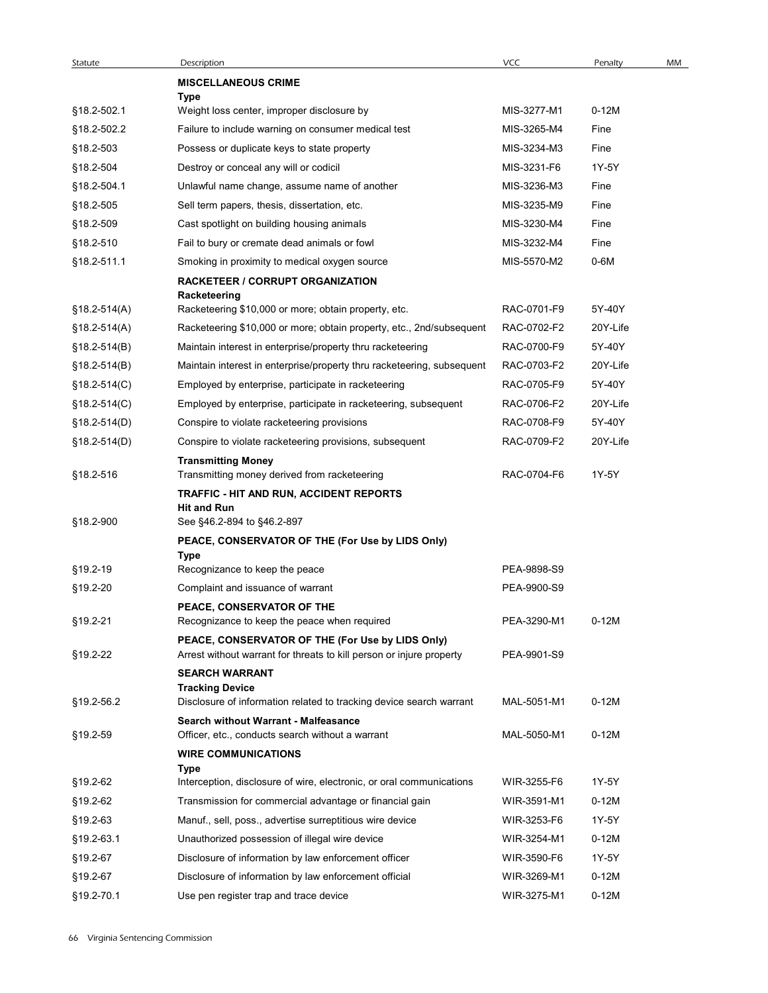| Statute          | Description                                                                                   | <b>VCC</b>  | Penalty  | MM |
|------------------|-----------------------------------------------------------------------------------------------|-------------|----------|----|
|                  | <b>MISCELLANEOUS CRIME</b>                                                                    |             |          |    |
|                  | Type                                                                                          |             |          |    |
| §18.2-502.1      | Weight loss center, improper disclosure by                                                    | MIS-3277-M1 | $0-12M$  |    |
| §18.2-502.2      | Failure to include warning on consumer medical test                                           | MIS-3265-M4 | Fine     |    |
| §18.2-503        | Possess or duplicate keys to state property                                                   | MIS-3234-M3 | Fine     |    |
| §18.2-504        | Destroy or conceal any will or codicil                                                        | MIS-3231-F6 | 1Y-5Y    |    |
| §18.2-504.1      | Unlawful name change, assume name of another                                                  | MIS-3236-M3 | Fine     |    |
| §18.2-505        | Sell term papers, thesis, dissertation, etc.                                                  | MIS-3235-M9 | Fine     |    |
| §18.2-509        | Cast spotlight on building housing animals                                                    | MIS-3230-M4 | Fine     |    |
| §18.2-510        | Fail to bury or cremate dead animals or fowl                                                  | MIS-3232-M4 | Fine     |    |
| §18.2-511.1      | Smoking in proximity to medical oxygen source                                                 | MIS-5570-M2 | 0-6M     |    |
|                  | RACKETEER / CORRUPT ORGANIZATION                                                              |             |          |    |
|                  | Racketeering                                                                                  |             |          |    |
| §18.2-514(A)     | Racketeering \$10,000 or more; obtain property, etc.                                          | RAC-0701-F9 | 5Y-40Y   |    |
| $$18.2 - 514(A)$ | Racketeering \$10,000 or more; obtain property, etc., 2nd/subsequent                          | RAC-0702-F2 | 20Y-Life |    |
| §18.2-514(B)     | Maintain interest in enterprise/property thru racketeering                                    | RAC-0700-F9 | 5Y-40Y   |    |
| $$18.2-514(B)$   | Maintain interest in enterprise/property thru racketeering, subsequent                        | RAC-0703-F2 | 20Y-Life |    |
| $§18.2-514(C)$   | Employed by enterprise, participate in racketeering                                           | RAC-0705-F9 | 5Y-40Y   |    |
| $§18.2-514(C)$   | Employed by enterprise, participate in racketeering, subsequent                               | RAC-0706-F2 | 20Y-Life |    |
| $§18.2-514(D)$   | Conspire to violate racketeering provisions                                                   | RAC-0708-F9 | 5Y-40Y   |    |
| §18.2-514(D)     | Conspire to violate racketeering provisions, subsequent                                       | RAC-0709-F2 | 20Y-Life |    |
|                  | <b>Transmitting Money</b>                                                                     |             |          |    |
| §18.2-516        | Transmitting money derived from racketeering                                                  | RAC-0704-F6 | 1Y-5Y    |    |
|                  | <b>TRAFFIC - HIT AND RUN, ACCIDENT REPORTS</b>                                                |             |          |    |
|                  | <b>Hit and Run</b>                                                                            |             |          |    |
| §18.2-900        | See §46.2-894 to §46.2-897                                                                    |             |          |    |
|                  | PEACE, CONSERVATOR OF THE (For Use by LIDS Only)<br>Type                                      |             |          |    |
| §19.2-19         | Recognizance to keep the peace                                                                | PEA-9898-S9 |          |    |
| §19.2-20         | Complaint and issuance of warrant                                                             | PEA-9900-S9 |          |    |
|                  | PEACE, CONSERVATOR OF THE                                                                     |             |          |    |
| §19.2-21         | Recognizance to keep the peace when required                                                  | PEA-3290-M1 | $0-12M$  |    |
|                  | PEACE, CONSERVATOR OF THE (For Use by LIDS Only)                                              |             |          |    |
| §19.2-22         | Arrest without warrant for threats to kill person or injure property                          | PEA-9901-S9 |          |    |
|                  | <b>SEARCH WARRANT</b>                                                                         |             |          |    |
| §19.2-56.2       | <b>Tracking Device</b><br>Disclosure of information related to tracking device search warrant | MAL-5051-M1 | $0-12M$  |    |
|                  | Search without Warrant - Malfeasance                                                          |             |          |    |
| §19.2-59         | Officer, etc., conducts search without a warrant                                              | MAL-5050-M1 | $0-12M$  |    |
|                  | <b>WIRE COMMUNICATIONS</b>                                                                    |             |          |    |
|                  | Type                                                                                          |             |          |    |
| §19.2-62         | Interception, disclosure of wire, electronic, or oral communications                          | WIR-3255-F6 | 1Y-5Y    |    |
| §19.2-62         | Transmission for commercial advantage or financial gain                                       | WIR-3591-M1 | $0-12M$  |    |
| §19.2-63         | Manuf., sell, poss., advertise surreptitious wire device                                      | WIR-3253-F6 | 1Y-5Y    |    |
| §19.2-63.1       | Unauthorized possession of illegal wire device                                                | WIR-3254-M1 | $0-12M$  |    |
| §19.2-67         | Disclosure of information by law enforcement officer                                          | WIR-3590-F6 | 1Y-5Y    |    |
|                  | Disclosure of information by law enforcement official                                         | WIR-3269-M1 | $0-12M$  |    |
| §19.2-67         |                                                                                               |             |          |    |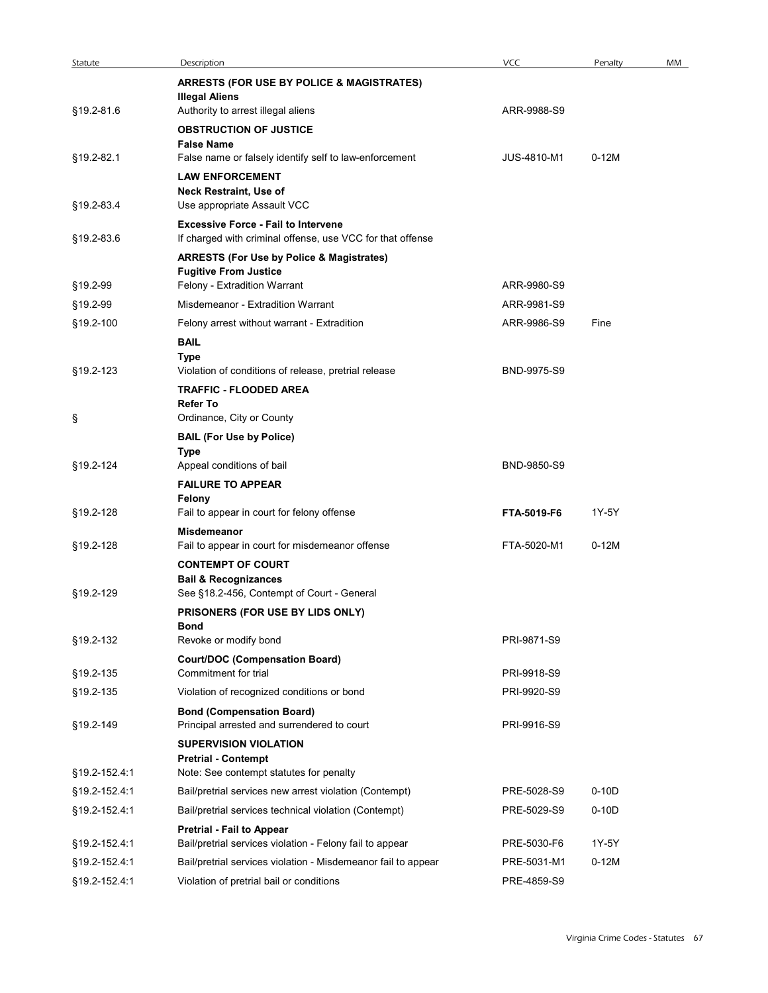| Statute       | Description                                                                                              | VCC                | Penalty | MM |
|---------------|----------------------------------------------------------------------------------------------------------|--------------------|---------|----|
|               | <b>ARRESTS (FOR USE BY POLICE &amp; MAGISTRATES)</b><br><b>Illegal Aliens</b>                            |                    |         |    |
| §19.2-81.6    | Authority to arrest illegal aliens                                                                       | ARR-9988-S9        |         |    |
|               | <b>OBSTRUCTION OF JUSTICE</b>                                                                            |                    |         |    |
| §19.2-82.1    | <b>False Name</b><br>False name or falsely identify self to law-enforcement                              | <b>JUS-4810-M1</b> | $0-12M$ |    |
|               | <b>LAW ENFORCEMENT</b>                                                                                   |                    |         |    |
|               | Neck Restraint, Use of                                                                                   |                    |         |    |
| §19.2-83.4    | Use appropriate Assault VCC                                                                              |                    |         |    |
| §19.2-83.6    | <b>Excessive Force - Fail to Intervene</b><br>If charged with criminal offense, use VCC for that offense |                    |         |    |
|               | <b>ARRESTS (For Use by Police &amp; Magistrates)</b>                                                     |                    |         |    |
|               | <b>Fugitive From Justice</b>                                                                             |                    |         |    |
| §19.2-99      | Felony - Extradition Warrant                                                                             | ARR-9980-S9        |         |    |
| §19.2-99      | Misdemeanor - Extradition Warrant                                                                        | ARR-9981-S9        |         |    |
| §19.2-100     | Felony arrest without warrant - Extradition                                                              | ARR-9986-S9        | Fine    |    |
|               | <b>BAIL</b>                                                                                              |                    |         |    |
| §19.2-123     | <b>Type</b><br>Violation of conditions of release, pretrial release                                      | BND-9975-S9        |         |    |
|               | <b>TRAFFIC - FLOODED AREA</b>                                                                            |                    |         |    |
|               | <b>Refer To</b>                                                                                          |                    |         |    |
| Ş             | Ordinance, City or County                                                                                |                    |         |    |
|               | <b>BAIL (For Use by Police)</b><br>Type                                                                  |                    |         |    |
| §19.2-124     | Appeal conditions of bail                                                                                | BND-9850-S9        |         |    |
|               | <b>FAILURE TO APPEAR</b>                                                                                 |                    |         |    |
| §19.2-128     | Felony<br>Fail to appear in court for felony offense                                                     | FTA-5019-F6        | 1Y-5Y   |    |
|               | Misdemeanor                                                                                              |                    |         |    |
| §19.2-128     | Fail to appear in court for misdemeanor offense                                                          | FTA-5020-M1        | $0-12M$ |    |
|               | <b>CONTEMPT OF COURT</b>                                                                                 |                    |         |    |
|               | <b>Bail &amp; Recognizances</b>                                                                          |                    |         |    |
| §19.2-129     | See §18.2-456, Contempt of Court - General                                                               |                    |         |    |
|               | PRISONERS (FOR USE BY LIDS ONLY)<br><b>Bond</b>                                                          |                    |         |    |
| §19.2-132     | Revoke or modify bond                                                                                    | PRI-9871-S9        |         |    |
|               | <b>Court/DOC (Compensation Board)</b>                                                                    |                    |         |    |
| §19.2-135     | Commitment for trial                                                                                     | PRI-9918-S9        |         |    |
| §19.2-135     | Violation of recognized conditions or bond                                                               | PRI-9920-S9        |         |    |
| §19.2-149     | <b>Bond (Compensation Board)</b><br>Principal arrested and surrendered to court                          | PRI-9916-S9        |         |    |
|               | <b>SUPERVISION VIOLATION</b>                                                                             |                    |         |    |
|               | <b>Pretrial - Contempt</b>                                                                               |                    |         |    |
| §19.2-152.4.1 | Note: See contempt statutes for penalty                                                                  |                    |         |    |
| §19.2-152.4:1 | Bail/pretrial services new arrest violation (Contempt)                                                   | PRE-5028-S9        | $0-10D$ |    |
| §19.2-152.4.1 | Bail/pretrial services technical violation (Contempt)                                                    | PRE-5029-S9        | $0-10D$ |    |
| §19.2-152.4:1 | Pretrial - Fail to Appear<br>Bail/pretrial services violation - Felony fail to appear                    | PRE-5030-F6        | 1Y-5Y   |    |
| §19.2-152.4:1 | Bail/pretrial services violation - Misdemeanor fail to appear                                            | PRE-5031-M1        | $0-12M$ |    |
| §19.2-152.4:1 | Violation of pretrial bail or conditions                                                                 | PRE-4859-S9        |         |    |
|               |                                                                                                          |                    |         |    |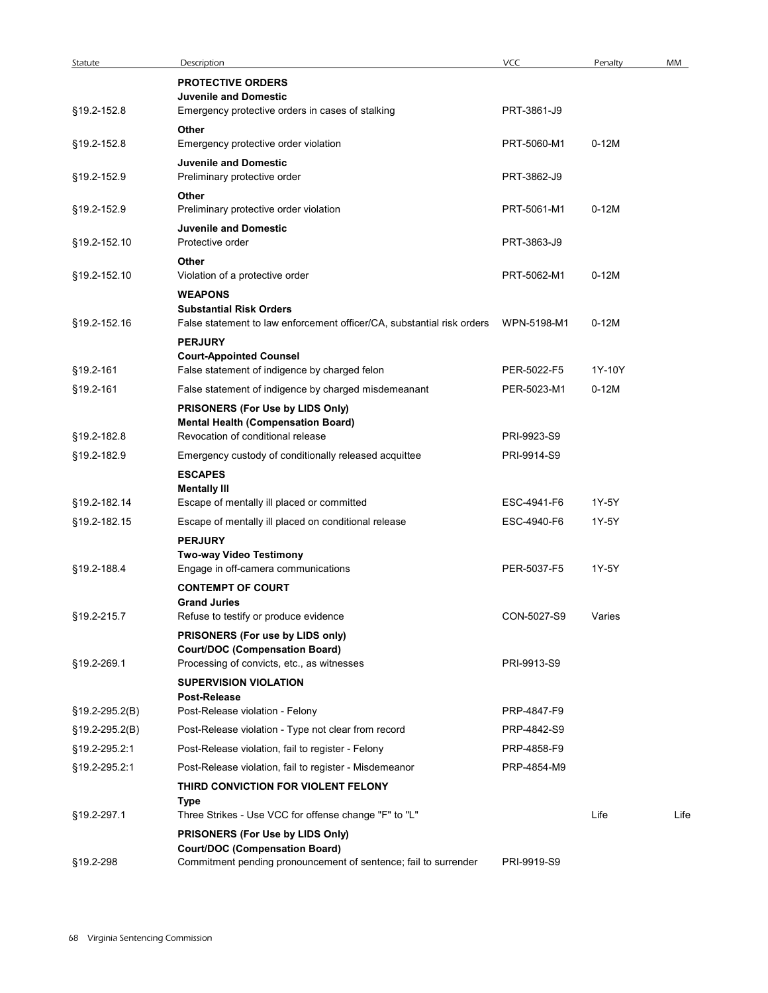| Statute                    | Description                                                                                                                                  | <b>VCC</b>                 | Penalty | MM   |
|----------------------------|----------------------------------------------------------------------------------------------------------------------------------------------|----------------------------|---------|------|
|                            | <b>PROTECTIVE ORDERS</b><br><b>Juvenile and Domestic</b>                                                                                     |                            |         |      |
| §19.2-152.8<br>§19.2-152.8 | Emergency protective orders in cases of stalking<br>Other<br>Emergency protective order violation                                            | PRT-3861-J9<br>PRT-5060-M1 | $0-12M$ |      |
| §19.2-152.9                | <b>Juvenile and Domestic</b><br>Preliminary protective order                                                                                 | PRT-3862-J9                |         |      |
| §19.2-152.9                | Other<br>Preliminary protective order violation                                                                                              | PRT-5061-M1                | $0-12M$ |      |
| §19.2-152.10               | <b>Juvenile and Domestic</b><br>Protective order                                                                                             | PRT-3863-J9                |         |      |
|                            | Other                                                                                                                                        |                            |         |      |
| §19.2-152.10               | Violation of a protective order<br><b>WEAPONS</b>                                                                                            | PRT-5062-M1                | $0-12M$ |      |
| §19.2-152.16               | <b>Substantial Risk Orders</b><br>False statement to law enforcement officer/CA, substantial risk orders WPN-5198-M1                         |                            | $0-12M$ |      |
|                            | <b>PERJURY</b><br><b>Court-Appointed Counsel</b>                                                                                             |                            |         |      |
| §19.2-161                  | False statement of indigence by charged felon                                                                                                | PER-5022-F5                | 1Y-10Y  |      |
| §19.2-161                  | False statement of indigence by charged misdemeanant                                                                                         | PER-5023-M1                | $0-12M$ |      |
|                            | PRISONERS (For Use by LIDS Only)<br><b>Mental Health (Compensation Board)</b>                                                                |                            |         |      |
| §19.2-182.8                | Revocation of conditional release                                                                                                            | PRI-9923-S9                |         |      |
| §19.2-182.9                | Emergency custody of conditionally released acquittee                                                                                        | PRI-9914-S9                |         |      |
|                            | <b>ESCAPES</b>                                                                                                                               |                            |         |      |
| §19.2-182.14               | <b>Mentally III</b><br>Escape of mentally ill placed or committed                                                                            | ESC-4941-F6                | 1Y-5Y   |      |
| §19.2-182.15               | Escape of mentally ill placed on conditional release                                                                                         | ESC-4940-F6                | 1Y-5Y   |      |
|                            | <b>PERJURY</b><br>Two-way Video Testimony                                                                                                    |                            |         |      |
| §19.2-188.4                | Engage in off-camera communications<br><b>CONTEMPT OF COURT</b>                                                                              | PER-5037-F5                | 1Y-5Y   |      |
| §19.2-215.7                | <b>Grand Juries</b><br>Refuse to testify or produce evidence                                                                                 | CON-5027-S9                | Varies  |      |
|                            | PRISONERS (For use by LIDS only)<br><b>Court/DOC (Compensation Board)</b>                                                                    |                            |         |      |
| §19.2-269.1                | Processing of convicts, etc., as witnesses                                                                                                   | PRI-9913-S9                |         |      |
|                            | <b>SUPERVISION VIOLATION</b><br>Post-Release                                                                                                 |                            |         |      |
| §19.2-295.2(B)             | Post-Release violation - Felony                                                                                                              | PRP-4847-F9                |         |      |
| §19.2-295.2(B)             | Post-Release violation - Type not clear from record                                                                                          | PRP-4842-S9                |         |      |
| §19.2-295.2:1              | Post-Release violation, fail to register - Felony                                                                                            | PRP-4858-F9                |         |      |
| §19.2-295.2:1              | Post-Release violation, fail to register - Misdemeanor<br>THIRD CONVICTION FOR VIOLENT FELONY                                                | PRP-4854-M9                |         |      |
| §19.2-297.1                | Type<br>Three Strikes - Use VCC for offense change "F" to "L"                                                                                |                            | Life    | Life |
|                            | PRISONERS (For Use by LIDS Only)<br><b>Court/DOC (Compensation Board)</b><br>Commitment pending pronouncement of sentence; fail to surrender | PRI-9919-S9                |         |      |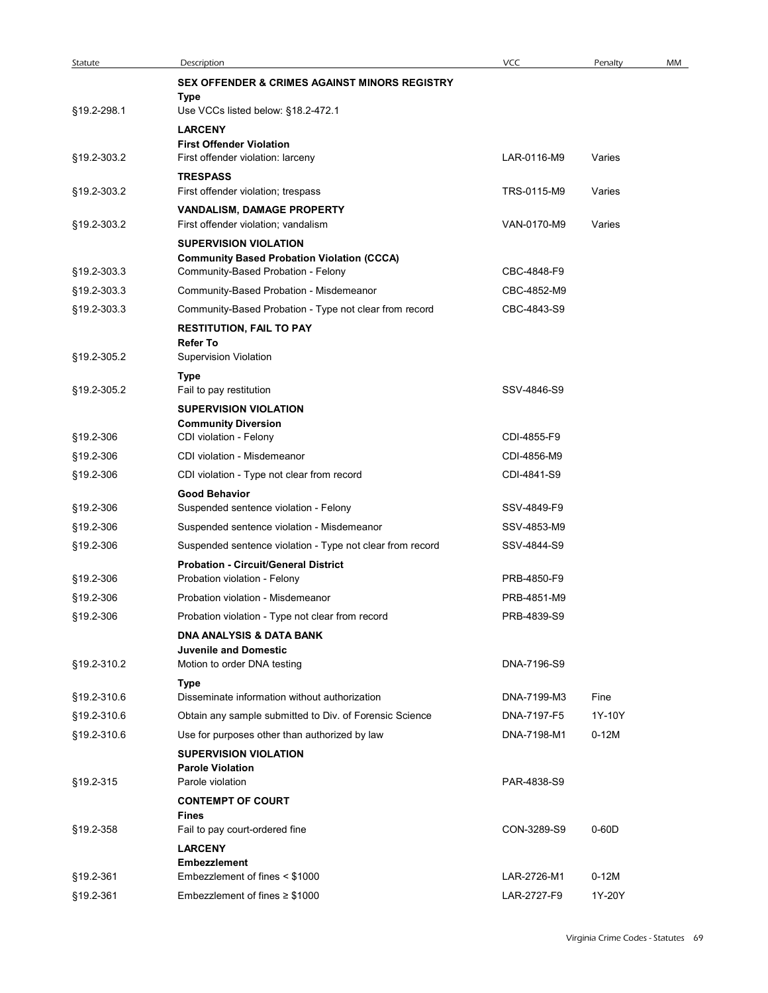| Statute                    | Description                                                                                              | VCC                        | Penalty | MM |
|----------------------------|----------------------------------------------------------------------------------------------------------|----------------------------|---------|----|
|                            | <b>SEX OFFENDER &amp; CRIMES AGAINST MINORS REGISTRY</b><br>Type                                         |                            |         |    |
| §19.2-298.1                | Use VCCs listed below: §18.2-472.1                                                                       |                            |         |    |
|                            | <b>LARCENY</b><br><b>First Offender Violation</b>                                                        |                            |         |    |
| §19.2-303.2                | First offender violation: larceny                                                                        | LAR-0116-M9                | Varies  |    |
| §19.2-303.2                | <b>TRESPASS</b><br>First offender violation; trespass                                                    | TRS-0115-M9                | Varies  |    |
|                            | VANDALISM, DAMAGE PROPERTY                                                                               |                            |         |    |
| §19.2-303.2                | First offender violation; vandalism<br><b>SUPERVISION VIOLATION</b>                                      | VAN-0170-M9                | Varies  |    |
|                            | <b>Community Based Probation Violation (CCCA)</b>                                                        |                            |         |    |
| §19.2-303.3<br>§19.2-303.3 | Community-Based Probation - Felony<br>Community-Based Probation - Misdemeanor                            | CBC-4848-F9<br>CBC-4852-M9 |         |    |
| §19.2-303.3                | Community-Based Probation - Type not clear from record                                                   | CBC-4843-S9                |         |    |
|                            | <b>RESTITUTION, FAIL TO PAY</b>                                                                          |                            |         |    |
| §19.2-305.2                | Refer To<br><b>Supervision Violation</b>                                                                 |                            |         |    |
|                            | Type                                                                                                     |                            |         |    |
| §19.2-305.2                | Fail to pay restitution<br><b>SUPERVISION VIOLATION</b>                                                  | SSV-4846-S9                |         |    |
|                            | <b>Community Diversion</b>                                                                               |                            |         |    |
| §19.2-306                  | CDI violation - Felony                                                                                   | CDI-4855-F9                |         |    |
| §19.2-306<br>§19.2-306     | CDI violation - Misdemeanor<br>CDI violation - Type not clear from record                                | CDI-4856-M9<br>CDI-4841-S9 |         |    |
|                            | <b>Good Behavior</b>                                                                                     |                            |         |    |
| §19.2-306                  | Suspended sentence violation - Felony                                                                    | SSV-4849-F9                |         |    |
| §19.2-306                  | Suspended sentence violation - Misdemeanor                                                               | SSV-4853-M9                |         |    |
| §19.2-306                  | Suspended sentence violation - Type not clear from record<br><b>Probation - Circuit/General District</b> | SSV-4844-S9                |         |    |
| §19.2-306                  | Probation violation - Felony                                                                             | PRB-4850-F9                |         |    |
| §19.2-306                  | Probation violation - Misdemeanor                                                                        | PRB-4851-M9                |         |    |
| §19.2-306                  | Probation violation - Type not clear from record                                                         | PRB-4839-S9                |         |    |
|                            | <b>DNA ANALYSIS &amp; DATA BANK</b><br><b>Juvenile and Domestic</b>                                      |                            |         |    |
| §19.2-310.2                | Motion to order DNA testing                                                                              | DNA-7196-S9                |         |    |
| §19.2-310.6                | <b>Type</b><br>Disseminate information without authorization                                             | DNA-7199-M3                | Fine    |    |
| §19.2-310.6                | Obtain any sample submitted to Div. of Forensic Science                                                  | DNA-7197-F5                | 1Y-10Y  |    |
| §19.2-310.6                | Use for purposes other than authorized by law                                                            | DNA-7198-M1                | $0-12M$ |    |
|                            | <b>SUPERVISION VIOLATION</b><br><b>Parole Violation</b>                                                  |                            |         |    |
| §19.2-315                  | Parole violation                                                                                         | PAR-4838-S9                |         |    |
|                            | <b>CONTEMPT OF COURT</b>                                                                                 |                            |         |    |
| §19.2-358                  | <b>Fines</b><br>Fail to pay court-ordered fine                                                           | CON-3289-S9                | $0-60D$ |    |
|                            | <b>LARCENY</b>                                                                                           |                            |         |    |
| §19.2-361                  | <b>Embezzlement</b><br>Embezzlement of fines < \$1000                                                    | LAR-2726-M1                | $0-12M$ |    |
|                            | Embezzlement of fines $\geq$ \$1000                                                                      |                            |         |    |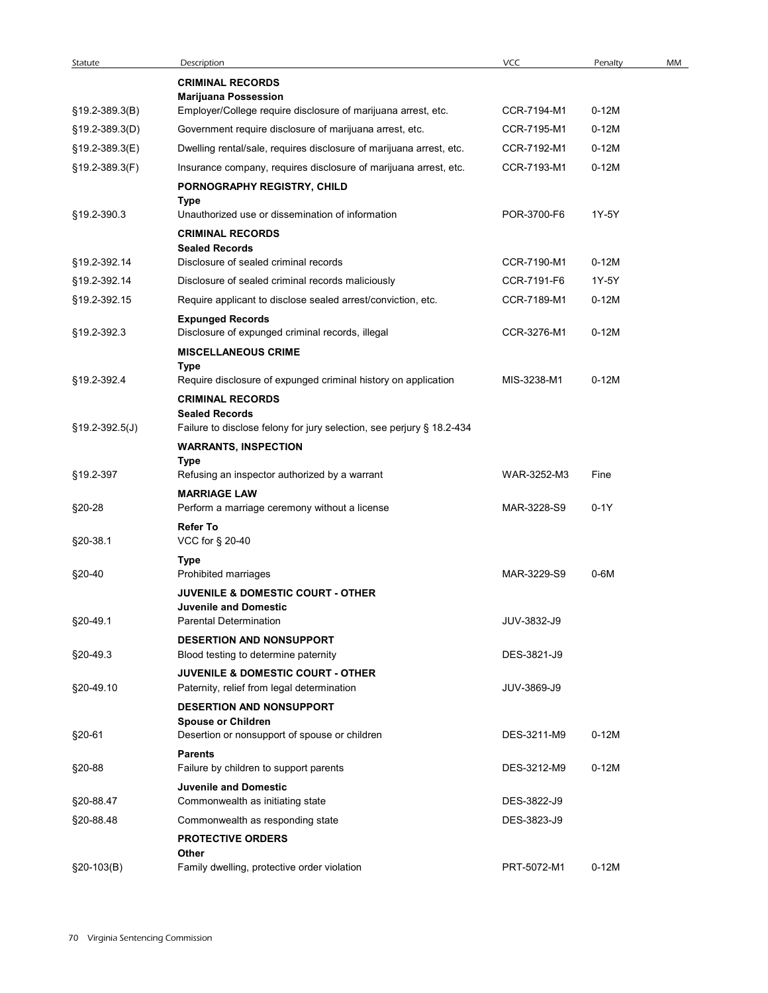| Statute          | Description                                                                  | <b>VCC</b>  | Penalty | MM |
|------------------|------------------------------------------------------------------------------|-------------|---------|----|
|                  | <b>CRIMINAL RECORDS</b>                                                      |             |         |    |
|                  | <b>Marijuana Possession</b>                                                  |             |         |    |
| §19.2-389.3(B)   | Employer/College require disclosure of marijuana arrest, etc.                | CCR-7194-M1 | $0-12M$ |    |
| §19.2-389.3(D)   | Government require disclosure of marijuana arrest, etc.                      | CCR-7195-M1 | $0-12M$ |    |
| §19.2-389.3(E)   | Dwelling rental/sale, requires disclosure of marijuana arrest, etc.          | CCR-7192-M1 | $0-12M$ |    |
| §19.2-389.3(F)   | Insurance company, requires disclosure of marijuana arrest, etc.             | CCR-7193-M1 | $0-12M$ |    |
|                  | PORNOGRAPHY REGISTRY, CHILD                                                  |             |         |    |
| §19.2-390.3      | Type<br>Unauthorized use or dissemination of information                     | POR-3700-F6 | 1Y-5Y   |    |
|                  | <b>CRIMINAL RECORDS</b>                                                      |             |         |    |
|                  | <b>Sealed Records</b>                                                        |             |         |    |
| §19.2-392.14     | Disclosure of sealed criminal records                                        | CCR-7190-M1 | $0-12M$ |    |
| §19.2-392.14     | Disclosure of sealed criminal records maliciously                            | CCR-7191-F6 | 1Y-5Y   |    |
| §19.2-392.15     | Require applicant to disclose sealed arrest/conviction, etc.                 | CCR-7189-M1 | $0-12M$ |    |
|                  | <b>Expunged Records</b>                                                      |             |         |    |
| §19.2-392.3      | Disclosure of expunged criminal records, illegal                             | CCR-3276-M1 | $0-12M$ |    |
|                  | <b>MISCELLANEOUS CRIME</b><br>Type                                           |             |         |    |
| §19.2-392.4      | Require disclosure of expunged criminal history on application               | MIS-3238-M1 | $0-12M$ |    |
|                  | <b>CRIMINAL RECORDS</b>                                                      |             |         |    |
|                  | <b>Sealed Records</b>                                                        |             |         |    |
| $$19.2-392.5(J)$ | Failure to disclose felony for jury selection, see perjury § 18.2-434        |             |         |    |
|                  | <b>WARRANTS, INSPECTION</b>                                                  |             |         |    |
| §19.2-397        | Type<br>Refusing an inspector authorized by a warrant                        | WAR-3252-M3 | Fine    |    |
|                  | <b>MARRIAGE LAW</b>                                                          |             |         |    |
| §20-28           | Perform a marriage ceremony without a license                                | MAR-3228-S9 | $0-1Y$  |    |
|                  | <b>Refer To</b>                                                              |             |         |    |
| §20-38.1         | VCC for § 20-40                                                              |             |         |    |
|                  | Type                                                                         |             |         |    |
| §20-40           | Prohibited marriages                                                         | MAR-3229-S9 | $0-6M$  |    |
|                  | <b>JUVENILE &amp; DOMESTIC COURT - OTHER</b><br><b>Juvenile and Domestic</b> |             |         |    |
| §20-49.1         | <b>Parental Determination</b>                                                | JUV-3832-J9 |         |    |
|                  | <b>DESERTION AND NONSUPPORT</b>                                              |             |         |    |
| §20-49.3         | Blood testing to determine paternity                                         | DES-3821-J9 |         |    |
|                  | <b>JUVENILE &amp; DOMESTIC COURT - OTHER</b>                                 |             |         |    |
| §20-49.10        | Paternity, relief from legal determination                                   | JUV-3869-J9 |         |    |
|                  | <b>DESERTION AND NONSUPPORT</b>                                              |             |         |    |
| §20-61           | <b>Spouse or Children</b><br>Desertion or nonsupport of spouse or children   | DES-3211-M9 | $0-12M$ |    |
|                  | <b>Parents</b>                                                               |             |         |    |
| §20-88           | Failure by children to support parents                                       | DES-3212-M9 | $0-12M$ |    |
|                  | <b>Juvenile and Domestic</b>                                                 |             |         |    |
| §20-88.47        | Commonwealth as initiating state                                             | DES-3822-J9 |         |    |
| §20-88.48        | Commonwealth as responding state                                             | DES-3823-J9 |         |    |
|                  | <b>PROTECTIVE ORDERS</b>                                                     |             |         |    |
|                  | Other                                                                        |             |         |    |
| $$20-103(B)$     | Family dwelling, protective order violation                                  | PRT-5072-M1 | $0-12M$ |    |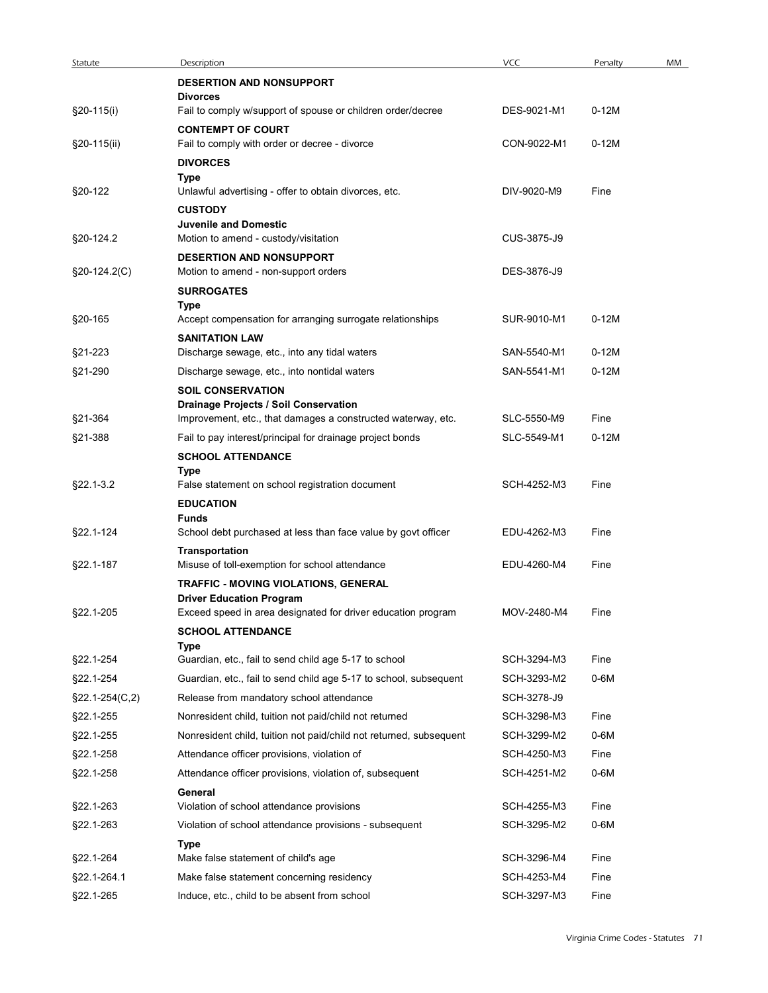| Statute                |                                                                                                     |                            |              |    |
|------------------------|-----------------------------------------------------------------------------------------------------|----------------------------|--------------|----|
|                        |                                                                                                     |                            |              |    |
|                        |                                                                                                     |                            |              |    |
|                        |                                                                                                     |                            |              |    |
|                        |                                                                                                     |                            |              |    |
|                        |                                                                                                     |                            |              |    |
|                        |                                                                                                     |                            |              |    |
|                        |                                                                                                     |                            |              |    |
|                        | Description                                                                                         | <b>VCC</b>                 | Penalty      | MM |
|                        | <b>DESERTION AND NONSUPPORT</b>                                                                     |                            |              |    |
| §20-115(i)             | <b>Divorces</b><br>Fail to comply w/support of spouse or children order/decree                      | DES-9021-M1                | $0-12M$      |    |
|                        | <b>CONTEMPT OF COURT</b>                                                                            |                            |              |    |
| §20-115(ii)            | Fail to comply with order or decree - divorce                                                       | CON-9022-M1                | $0-12M$      |    |
|                        | <b>DIVORCES</b>                                                                                     |                            |              |    |
| §20-122                | Type<br>Unlawful advertising - offer to obtain divorces, etc.                                       | DIV-9020-M9                | Fine         |    |
|                        | <b>CUSTODY</b>                                                                                      |                            |              |    |
|                        | <b>Juvenile and Domestic</b>                                                                        | CUS-3875-J9                |              |    |
| §20-124.2              | Motion to amend - custody/visitation<br>DESERTION AND NONSUPPORT                                    |                            |              |    |
| §20-124.2(C)           | Motion to amend - non-support orders                                                                | DES-3876-J9                |              |    |
|                        | <b>SURROGATES</b>                                                                                   |                            |              |    |
| §20-165                | Type<br>Accept compensation for arranging surrogate relationships                                   | SUR-9010-M1                | $0-12M$      |    |
|                        | <b>SANITATION LAW</b>                                                                               |                            |              |    |
| §21-223                | Discharge sewage, etc., into any tidal waters                                                       | SAN-5540-M1                | $0-12M$      |    |
| §21-290                | Discharge sewage, etc., into nontidal waters                                                        | SAN-5541-M1                | $0-12M$      |    |
|                        | <b>SOIL CONSERVATION</b><br>Drainage Projects / Soil Conservation                                   |                            |              |    |
| §21-364                | Improvement, etc., that damages a constructed waterway, etc.                                        | SLC-5550-M9                | Fine         |    |
| §21-388                | Fail to pay interest/principal for drainage project bonds                                           | SLC-5549-M1                | $0-12M$      |    |
|                        | <b>SCHOOL ATTENDANCE</b>                                                                            |                            |              |    |
| §22.1-3.2              | Type<br>False statement on school registration document                                             | SCH-4252-M3                | Fine         |    |
|                        | <b>EDUCATION</b>                                                                                    |                            |              |    |
| §22.1-124              | <b>Funds</b><br>School debt purchased at less than face value by govt officer                       | EDU-4262-M3                | Fine         |    |
|                        | Transportation                                                                                      |                            |              |    |
| §22.1-187              | Misuse of toll-exemption for school attendance                                                      | EDU-4260-M4                | Fine         |    |
|                        | TRAFFIC - MOVING VIOLATIONS, GENERAL                                                                |                            |              |    |
| §22.1-205              | <b>Driver Education Program</b><br>Exceed speed in area designated for driver education program     | MOV-2480-M4                | Fine         |    |
|                        | <b>SCHOOL ATTENDANCE</b>                                                                            |                            |              |    |
| §22.1-254              | Type<br>Guardian, etc., fail to send child age 5-17 to school                                       | SCH-3294-M3                | Fine         |    |
| §22.1-254              | Guardian, etc., fail to send child age 5-17 to school, subsequent                                   | SCH-3293-M2                | 0-6M         |    |
| §22.1-254(C,2)         | Release from mandatory school attendance                                                            | SCH-3278-J9                |              |    |
| §22.1-255              | Nonresident child, tuition not paid/child not returned                                              | SCH-3298-M3                | Fine         |    |
| §22.1-255              | Nonresident child, tuition not paid/child not returned, subsequent                                  | SCH-3299-M2                | $0-6M$       |    |
| §22.1-258              | Attendance officer provisions, violation of                                                         | SCH-4250-M3                | Fine         |    |
| §22.1-258              | Attendance officer provisions, violation of, subsequent                                             | SCH-4251-M2                | 0-6M         |    |
|                        | General                                                                                             |                            |              |    |
| §22.1-263<br>§22.1-263 | Violation of school attendance provisions<br>Violation of school attendance provisions - subsequent | SCH-4255-M3<br>SCH-3295-M2 | Fine<br>0-6M |    |
|                        | Type                                                                                                |                            |              |    |
|                        | Make false statement of child's age                                                                 | SCH-3296-M4                | Fine         |    |
| §22.1-264              |                                                                                                     |                            |              |    |
| §22.1-264.1            | Make false statement concerning residency                                                           | SCH-4253-M4                | Fine         |    |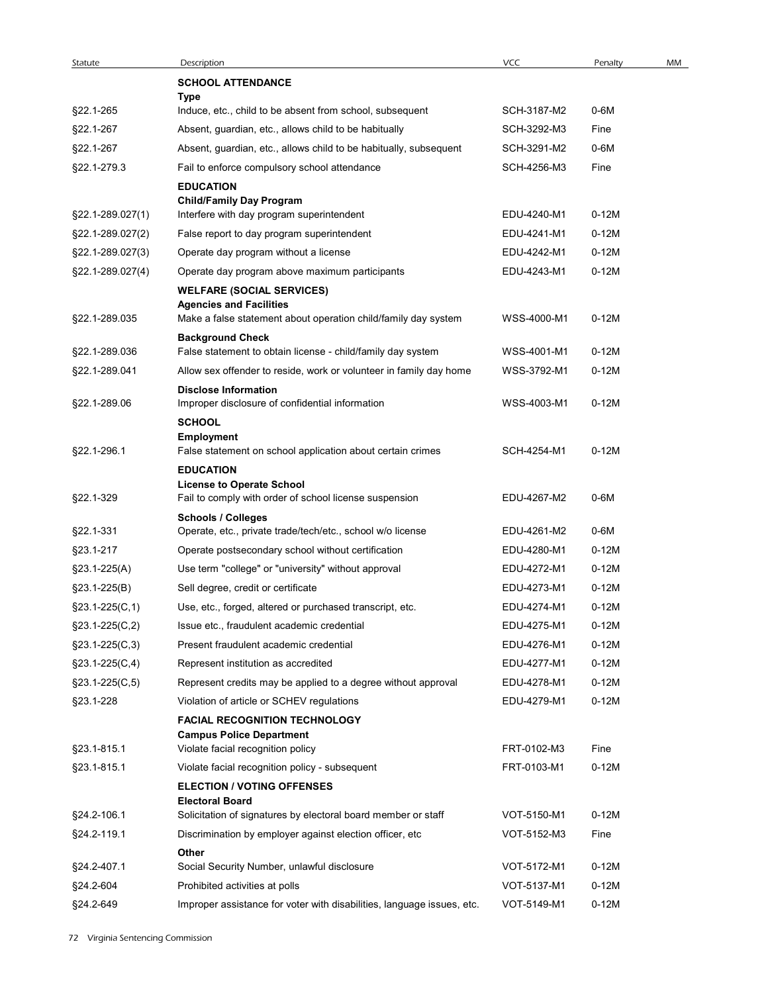| Statute            | Description                                                                                     | <b>VCC</b>  | Penalty | MM |
|--------------------|-------------------------------------------------------------------------------------------------|-------------|---------|----|
|                    | <b>SCHOOL ATTENDANCE</b>                                                                        |             |         |    |
| §22.1-265          | Type<br>Induce, etc., child to be absent from school, subsequent                                | SCH-3187-M2 | 0-6M    |    |
| §22.1-267          | Absent, guardian, etc., allows child to be habitually                                           | SCH-3292-M3 | Fine    |    |
| §22.1-267          | Absent, guardian, etc., allows child to be habitually, subsequent                               | SCH-3291-M2 | $0-6M$  |    |
| §22.1-279.3        | Fail to enforce compulsory school attendance                                                    | SCH-4256-M3 | Fine    |    |
|                    | <b>EDUCATION</b><br><b>Child/Family Day Program</b>                                             |             |         |    |
| §22.1-289.027(1)   | Interfere with day program superintendent                                                       | EDU-4240-M1 | $0-12M$ |    |
| §22.1-289.027(2)   | False report to day program superintendent                                                      | EDU-4241-M1 | $0-12M$ |    |
| §22.1-289.027(3)   | Operate day program without a license                                                           | EDU-4242-M1 | $0-12M$ |    |
| §22.1-289.027(4)   | Operate day program above maximum participants                                                  | EDU-4243-M1 | $0-12M$ |    |
|                    | <b>WELFARE (SOCIAL SERVICES)</b><br><b>Agencies and Facilities</b>                              |             |         |    |
| §22.1-289.035      | Make a false statement about operation child/family day system                                  | WSS-4000-M1 | $0-12M$ |    |
|                    | <b>Background Check</b>                                                                         |             |         |    |
| §22.1-289.036      | False statement to obtain license - child/family day system                                     | WSS-4001-M1 | $0-12M$ |    |
| §22.1-289.041      | Allow sex offender to reside, work or volunteer in family day home                              | WSS-3792-M1 | $0-12M$ |    |
| §22.1-289.06       | <b>Disclose Information</b><br>Improper disclosure of confidential information<br><b>SCHOOL</b> | WSS-4003-M1 | $0-12M$ |    |
| §22.1-296.1        | <b>Employment</b><br>False statement on school application about certain crimes                 | SCH-4254-M1 | $0-12M$ |    |
|                    | <b>EDUCATION</b><br><b>License to Operate School</b>                                            |             |         |    |
| §22.1-329          | Fail to comply with order of school license suspension<br><b>Schools / Colleges</b>             | EDU-4267-M2 | 0-6M    |    |
| §22.1-331          | Operate, etc., private trade/tech/etc., school w/o license                                      | EDU-4261-M2 | 0-6M    |    |
| §23.1-217          | Operate postsecondary school without certification                                              | EDU-4280-M1 | $0-12M$ |    |
| §23.1-225(A)       | Use term "college" or "university" without approval                                             | EDU-4272-M1 | $0-12M$ |    |
| $§23.1 - 225(B)$   | Sell degree, credit or certificate                                                              | EDU-4273-M1 | $0-12M$ |    |
| $\S$ 23.1-225(C,1) | Use, etc., forged, altered or purchased transcript, etc.                                        | EDU-4274-M1 | $0-12M$ |    |
| $$23.1-225(C,2)$   | Issue etc., fraudulent academic credential                                                      | EDU-4275-M1 | $0-12M$ |    |
| $\S$ 23.1-225(C,3) | Present fraudulent academic credential                                                          | EDU-4276-M1 | $0-12M$ |    |
| $\S$ 23.1-225(C,4) | Represent institution as accredited                                                             | EDU-4277-M1 | $0-12M$ |    |
| $\S$ 23.1-225(C,5) | Represent credits may be applied to a degree without approval                                   | EDU-4278-M1 | $0-12M$ |    |
| §23.1-228          | Violation of article or SCHEV regulations                                                       | EDU-4279-M1 | $0-12M$ |    |
|                    | <b>FACIAL RECOGNITION TECHNOLOGY</b>                                                            |             |         |    |
| §23.1-815.1        | <b>Campus Police Department</b><br>Violate facial recognition policy                            | FRT-0102-M3 | Fine    |    |
| §23.1-815.1        | Violate facial recognition policy - subsequent                                                  | FRT-0103-M1 | $0-12M$ |    |
|                    | <b>ELECTION / VOTING OFFENSES</b><br><b>Electoral Board</b>                                     |             |         |    |
| §24.2-106.1        | Solicitation of signatures by electoral board member or staff                                   | VOT-5150-M1 | $0-12M$ |    |
| §24.2-119.1        | Discrimination by employer against election officer, etc                                        | VOT-5152-M3 | Fine    |    |
|                    | Other                                                                                           |             |         |    |
| §24.2-407.1        | Social Security Number, unlawful disclosure                                                     | VOT-5172-M1 | $0-12M$ |    |
| §24.2-604          | Prohibited activities at polls                                                                  | VOT-5137-M1 | $0-12M$ |    |
| §24.2-649          | Improper assistance for voter with disabilities, language issues, etc.                          | VOT-5149-M1 | $0-12M$ |    |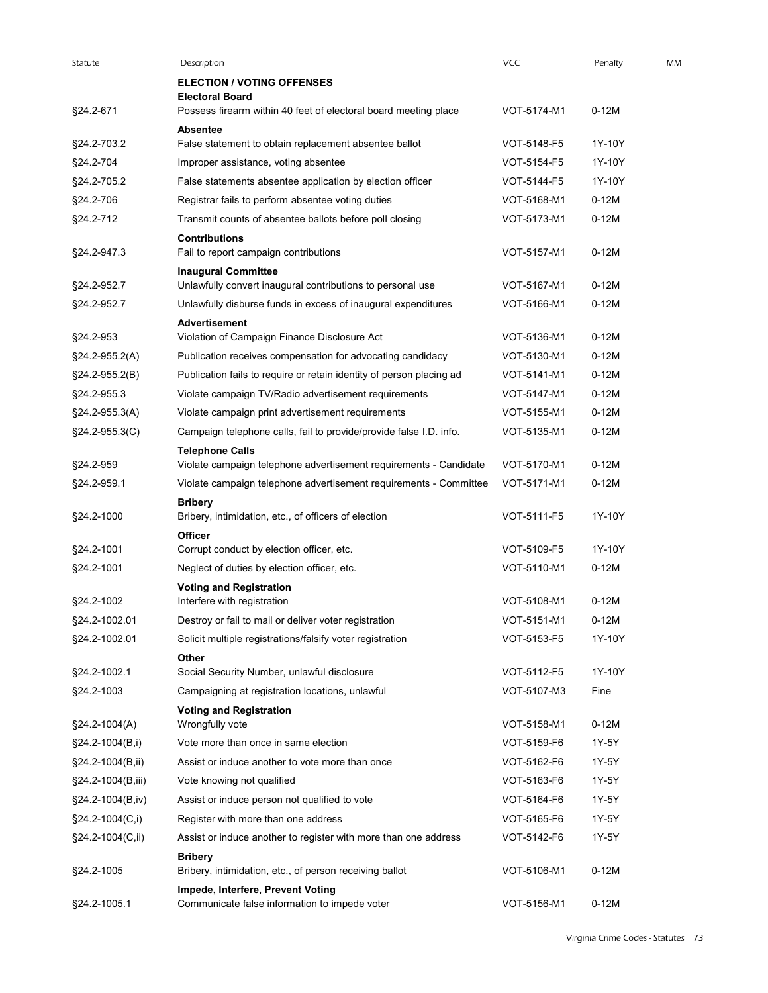| Statute                       | Description                                                                                 | <b>VCC</b>  | Penalty |
|-------------------------------|---------------------------------------------------------------------------------------------|-------------|---------|
|                               | <b>ELECTION / VOTING OFFENSES</b><br><b>Electoral Board</b>                                 |             |         |
| §24.2-671                     | Possess firearm within 40 feet of electoral board meeting place                             | VOT-5174-M1 | $0-12M$ |
|                               | Absentee                                                                                    |             |         |
| §24.2-703.2                   | False statement to obtain replacement absentee ballot                                       | VOT-5148-F5 | 1Y-10Y  |
| §24.2-704                     | Improper assistance, voting absentee                                                        | VOT-5154-F5 | 1Y-10Y  |
| §24.2-705.2                   | False statements absentee application by election officer                                   | VOT-5144-F5 | 1Y-10Y  |
| §24.2-706                     | Registrar fails to perform absentee voting duties                                           | VOT-5168-M1 | $0-12M$ |
| §24.2-712                     | Transmit counts of absentee ballots before poll closing                                     | VOT-5173-M1 | $0-12M$ |
| §24.2-947.3                   | <b>Contributions</b><br>Fail to report campaign contributions                               | VOT-5157-M1 | $0-12M$ |
|                               | <b>Inaugural Committee</b>                                                                  |             |         |
| §24.2-952.7                   | Unlawfully convert inaugural contributions to personal use                                  | VOT-5167-M1 | $0-12M$ |
| §24.2-952.7                   | Unlawfully disburse funds in excess of inaugural expenditures                               | VOT-5166-M1 | $0-12M$ |
| §24.2-953                     | <b>Advertisement</b><br>Violation of Campaign Finance Disclosure Act                        | VOT-5136-M1 | $0-12M$ |
| §24.2-955.2(A)                | Publication receives compensation for advocating candidacy                                  | VOT-5130-M1 | $0-12M$ |
|                               | Publication fails to require or retain identity of person placing ad                        | VOT-5141-M1 | $0-12M$ |
| §24.2-955.2(B)<br>§24.2-955.3 | Violate campaign TV/Radio advertisement requirements                                        | VOT-5147-M1 | $0-12M$ |
| §24.2-955.3(A)                | Violate campaign print advertisement requirements                                           | VOT-5155-M1 | $0-12M$ |
|                               | Campaign telephone calls, fail to provide/provide false I.D. info.                          |             | $0-12M$ |
| §24.2-955.3(C)                |                                                                                             | VOT-5135-M1 |         |
| §24.2-959                     | <b>Telephone Calls</b><br>Violate campaign telephone advertisement requirements - Candidate | VOT-5170-M1 | $0-12M$ |
| §24.2-959.1                   | Violate campaign telephone advertisement requirements - Committee                           | VOT-5171-M1 | $0-12M$ |
|                               | <b>Bribery</b>                                                                              |             |         |
| §24.2-1000                    | Bribery, intimidation, etc., of officers of election                                        | VOT-5111-F5 | 1Y-10Y  |
|                               | Officer                                                                                     |             |         |
| §24.2-1001                    | Corrupt conduct by election officer, etc.                                                   | VOT-5109-F5 | 1Y-10Y  |
| §24.2-1001                    | Neglect of duties by election officer, etc.                                                 | VOT-5110-M1 | $0-12M$ |
|                               | <b>Voting and Registration</b>                                                              |             |         |
| §24.2-1002                    | Interfere with registration                                                                 | VOT-5108-M1 | $0-12M$ |
| §24.2-1002.01                 | Destroy or fail to mail or deliver voter registration                                       | VOT-5151-M1 | $0-12M$ |
| §24.2-1002.01                 | Solicit multiple registrations/falsify voter registration                                   | VOT-5153-F5 | 1Y-10Y  |
| §24.2-1002.1                  | Other<br>Social Security Number, unlawful disclosure                                        | VOT-5112-F5 | 1Y-10Y  |
| §24.2-1003                    | Campaigning at registration locations, unlawful                                             | VOT-5107-M3 | Fine    |
|                               | <b>Voting and Registration</b>                                                              |             |         |
| §24.2-1004(A)                 | Wrongfully vote                                                                             | VOT-5158-M1 | $0-12M$ |
| §24.2-1004(B,i)               | Vote more than once in same election                                                        | VOT-5159-F6 | 1Y-5Y   |
| §24.2-1004(B,ii)              | Assist or induce another to vote more than once                                             | VOT-5162-F6 | 1Y-5Y   |
| §24.2-1004(B,iii)             | Vote knowing not qualified                                                                  | VOT-5163-F6 | 1Y-5Y   |
| §24.2-1004(B,iv)              | Assist or induce person not qualified to vote                                               | VOT-5164-F6 | 1Y-5Y   |
| §24.2-1004(C,i)               | Register with more than one address                                                         | VOT-5165-F6 | 1Y-5Y   |
| §24.2-1004(C,ii)              | Assist or induce another to register with more than one address                             | VOT-5142-F6 | 1Y-5Y   |
|                               | <b>Bribery</b>                                                                              |             |         |
| §24.2-1005                    | Bribery, intimidation, etc., of person receiving ballot                                     | VOT-5106-M1 | $0-12M$ |
| §24.2-1005.1                  | Impede, Interfere, Prevent Voting<br>Communicate false information to impede voter          | VOT-5156-M1 | $0-12M$ |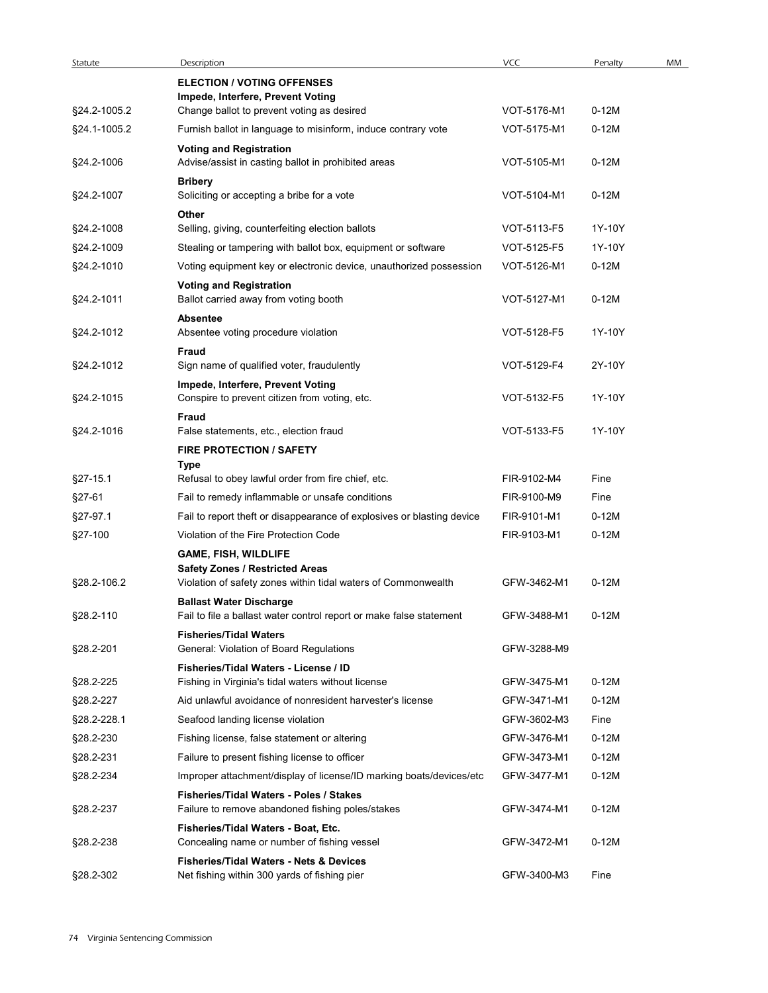| Statute            | Description                                                                                                     | <b>VCC</b>                 | Penalty         | MM |
|--------------------|-----------------------------------------------------------------------------------------------------------------|----------------------------|-----------------|----|
|                    | <b>ELECTION / VOTING OFFENSES</b>                                                                               |                            |                 |    |
| §24.2-1005.2       | Impede, Interfere, Prevent Voting<br>Change ballot to prevent voting as desired                                 | VOT-5176-M1                | $0-12M$         |    |
| §24.1-1005.2       | Furnish ballot in language to misinform, induce contrary vote                                                   | VOT-5175-M1                | $0-12M$         |    |
| §24.2-1006         | <b>Voting and Registration</b><br>Advise/assist in casting ballot in prohibited areas                           | VOT-5105-M1                | $0-12M$         |    |
|                    | <b>Bribery</b>                                                                                                  |                            |                 |    |
| §24.2-1007         | Soliciting or accepting a bribe for a vote<br>Other                                                             | VOT-5104-M1                | $0-12M$         |    |
| §24.2-1008         | Selling, giving, counterfeiting election ballots                                                                | VOT-5113-F5                | 1Y-10Y          |    |
| §24.2-1009         | Stealing or tampering with ballot box, equipment or software                                                    | VOT-5125-F5                | 1Y-10Y          |    |
| §24.2-1010         | Voting equipment key or electronic device, unauthorized possession                                              | VOT-5126-M1                | $0-12M$         |    |
| §24.2-1011         | <b>Voting and Registration</b><br>Ballot carried away from voting booth                                         | VOT-5127-M1                | $0-12M$         |    |
| §24.2-1012         | <b>Absentee</b><br>Absentee voting procedure violation                                                          | VOT-5128-F5                | 1Y-10Y          |    |
| §24.2-1012         | Fraud<br>Sign name of qualified voter, fraudulently                                                             | VOT-5129-F4                | 2Y-10Y          |    |
|                    | Impede, Interfere, Prevent Voting                                                                               |                            |                 |    |
| §24.2-1015         | Conspire to prevent citizen from voting, etc.<br>Fraud                                                          | VOT-5132-F5                | 1Y-10Y          |    |
| §24.2-1016         | False statements, etc., election fraud                                                                          | VOT-5133-F5                | 1Y-10Y          |    |
|                    | <b>FIRE PROTECTION / SAFETY</b>                                                                                 |                            |                 |    |
|                    | Type                                                                                                            |                            |                 |    |
| §27-15.1           | Refusal to obey lawful order from fire chief, etc.                                                              | FIR-9102-M4                | Fine            |    |
| §27-61<br>§27-97.1 | Fail to remedy inflammable or unsafe conditions                                                                 | FIR-9100-M9<br>FIR-9101-M1 | Fine<br>$0-12M$ |    |
| §27-100            | Fail to report theft or disappearance of explosives or blasting device<br>Violation of the Fire Protection Code | FIR-9103-M1                | $0-12M$         |    |
|                    | <b>GAME, FISH, WILDLIFE</b>                                                                                     |                            |                 |    |
| §28.2-106.2        | <b>Safety Zones / Restricted Areas</b><br>Violation of safety zones within tidal waters of Commonwealth         | GFW-3462-M1                | $0-12M$         |    |
|                    | <b>Ballast Water Discharge</b>                                                                                  |                            |                 |    |
| §28.2-110          | Fail to file a ballast water control report or make false statement                                             | GFW-3488-M1                | $0-12M$         |    |
|                    | <b>Fisheries/Tidal Waters</b>                                                                                   |                            |                 |    |
| §28.2-201          | General: Violation of Board Regulations                                                                         | GFW-3288-M9                |                 |    |
| §28.2-225          | Fisheries/Tidal Waters - License / ID<br>Fishing in Virginia's tidal waters without license                     | GFW-3475-M1                | $0-12M$         |    |
| §28.2-227          | Aid unlawful avoidance of nonresident harvester's license                                                       | GFW-3471-M1                | $0-12M$         |    |
| §28.2-228.1        | Seafood landing license violation                                                                               | GFW-3602-M3                | Fine            |    |
| §28.2-230          | Fishing license, false statement or altering                                                                    | GFW-3476-M1                | $0-12M$         |    |
| §28.2-231          | Failure to present fishing license to officer                                                                   | GFW-3473-M1                | $0-12M$         |    |
| §28.2-234          | Improper attachment/display of license/ID marking boats/devices/etc                                             | GFW-3477-M1                | $0-12M$         |    |
| §28.2-237          | Fisheries/Tidal Waters - Poles / Stakes<br>Failure to remove abandoned fishing poles/stakes                     | GFW-3474-M1                | $0-12M$         |    |
|                    | Fisheries/Tidal Waters - Boat, Etc.                                                                             |                            |                 |    |
| §28.2-238          | Concealing name or number of fishing vessel<br><b>Fisheries/Tidal Waters - Nets &amp; Devices</b>               | GFW-3472-M1                | $0-12M$         |    |
| §28.2-302          | Net fishing within 300 yards of fishing pier                                                                    | GFW-3400-M3                | Fine            |    |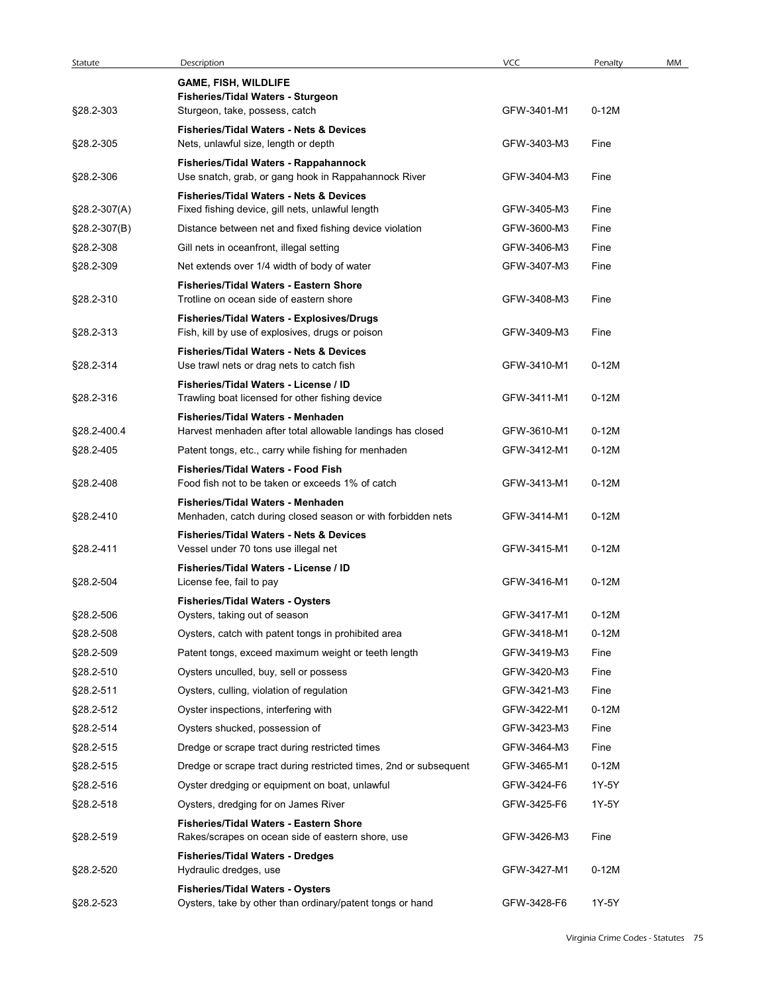| Statute        | Description                                                                                        | VCC         | Penalty | MM |
|----------------|----------------------------------------------------------------------------------------------------|-------------|---------|----|
|                | <b>GAME, FISH, WILDLIFE</b>                                                                        |             |         |    |
| §28.2-303      | Fisheries/Tidal Waters - Sturgeon<br>Sturgeon, take, possess, catch                                | GFW-3401-M1 | $0-12M$ |    |
|                | <b>Fisheries/Tidal Waters - Nets &amp; Devices</b>                                                 |             |         |    |
| §28.2-305      | Nets, unlawful size, length or depth                                                               | GFW-3403-M3 | Fine    |    |
| §28.2-306      | Fisheries/Tidal Waters - Rappahannock<br>Use snatch, grab, or gang hook in Rappahannock River      | GFW-3404-M3 | Fine    |    |
|                | <b>Fisheries/Tidal Waters - Nets &amp; Devices</b>                                                 |             |         |    |
| $$28.2-307(A)$ | Fixed fishing device, gill nets, unlawful length                                                   | GFW-3405-M3 | Fine    |    |
| §28.2-307(B)   | Distance between net and fixed fishing device violation                                            | GFW-3600-M3 | Fine    |    |
| §28.2-308      | Gill nets in oceanfront, illegal setting                                                           | GFW-3406-M3 | Fine    |    |
| §28.2-309      | Net extends over 1/4 width of body of water                                                        | GFW-3407-M3 | Fine    |    |
| §28.2-310      | <b>Fisheries/Tidal Waters - Eastern Shore</b><br>Trotline on ocean side of eastern shore           | GFW-3408-M3 | Fine    |    |
|                | Fisheries/Tidal Waters - Explosives/Drugs                                                          |             |         |    |
| §28.2-313      | Fish, kill by use of explosives, drugs or poison                                                   | GFW-3409-M3 | Fine    |    |
| §28.2-314      | <b>Fisheries/Tidal Waters - Nets &amp; Devices</b><br>Use trawl nets or drag nets to catch fish    | GFW-3410-M1 | $0-12M$ |    |
|                | Fisheries/Tidal Waters - License / ID                                                              |             |         |    |
| §28.2-316      | Trawling boat licensed for other fishing device                                                    | GFW-3411-M1 | $0-12M$ |    |
|                | Fisheries/Tidal Waters - Menhaden                                                                  |             |         |    |
| §28.2-400.4    | Harvest menhaden after total allowable landings has closed                                         | GFW-3610-M1 | $0-12M$ |    |
| §28.2-405      | Patent tongs, etc., carry while fishing for menhaden<br>Fisheries/Tidal Waters - Food Fish         | GFW-3412-M1 | $0-12M$ |    |
| §28.2-408      | Food fish not to be taken or exceeds 1% of catch                                                   | GFW-3413-M1 | $0-12M$ |    |
|                | Fisheries/Tidal Waters - Menhaden                                                                  |             |         |    |
| §28.2-410      | Menhaden, catch during closed season or with forbidden nets                                        | GFW-3414-M1 | $0-12M$ |    |
| §28.2-411      | <b>Fisheries/Tidal Waters - Nets &amp; Devices</b><br>Vessel under 70 tons use illegal net         | GFW-3415-M1 | $0-12M$ |    |
|                | Fisheries/Tidal Waters - License / ID                                                              |             |         |    |
| §28.2-504      | License fee, fail to pay                                                                           | GFW-3416-M1 | $0-12M$ |    |
| §28.2-506      | <b>Fisheries/Tidal Waters - Oysters</b><br>Oysters, taking out of season                           | GFW-3417-M1 | $0-12M$ |    |
| §28.2-508      | Oysters, catch with patent tongs in prohibited area                                                | GFW-3418-M1 | $0-12M$ |    |
| §28.2-509      | Patent tongs, exceed maximum weight or teeth length                                                | GFW-3419-M3 | Fine    |    |
| §28.2-510      | Oysters unculled, buy, sell or possess                                                             | GFW-3420-M3 | Fine    |    |
| §28.2-511      | Oysters, culling, violation of regulation                                                          | GFW-3421-M3 | Fine    |    |
| §28.2-512      | Oyster inspections, interfering with                                                               | GFW-3422-M1 | $0-12M$ |    |
| §28.2-514      | Oysters shucked, possession of                                                                     | GFW-3423-M3 | Fine    |    |
| §28.2-515      | Dredge or scrape tract during restricted times                                                     | GFW-3464-M3 | Fine    |    |
| §28.2-515      | Dredge or scrape tract during restricted times, 2nd or subsequent                                  | GFW-3465-M1 | $0-12M$ |    |
| §28.2-516      | Oyster dredging or equipment on boat, unlawful                                                     | GFW-3424-F6 | 1Y-5Y   |    |
| §28.2-518      | Oysters, dredging for on James River                                                               | GFW-3425-F6 | 1Y-5Y   |    |
| §28.2-519      | <b>Fisheries/Tidal Waters - Eastern Shore</b><br>Rakes/scrapes on ocean side of eastern shore, use | GFW-3426-M3 | Fine    |    |
|                | <b>Fisheries/Tidal Waters - Dredges</b>                                                            |             |         |    |
| §28.2-520      | Hydraulic dredges, use                                                                             | GFW-3427-M1 | $0-12M$ |    |
|                | <b>Fisheries/Tidal Waters - Oysters</b>                                                            |             |         |    |
| §28.2-523      | Oysters, take by other than ordinary/patent tongs or hand                                          | GFW-3428-F6 | 1Y-5Y   |    |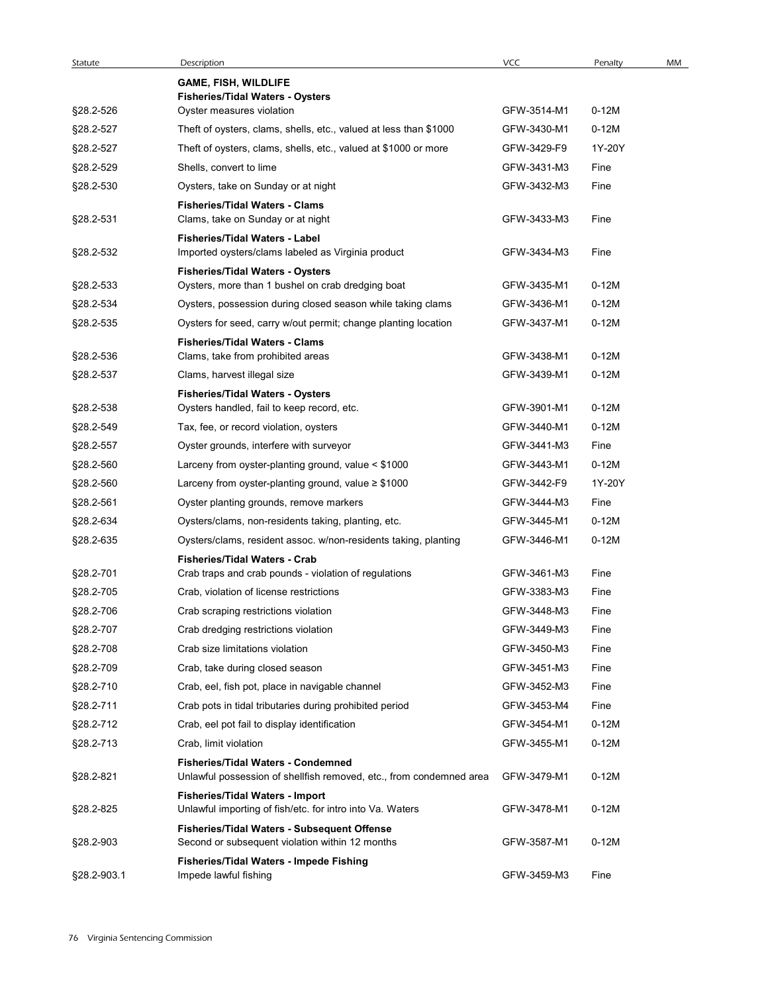| Statute     | Description                                                                                                      | VCC         | Penalty | MM |
|-------------|------------------------------------------------------------------------------------------------------------------|-------------|---------|----|
|             | <b>GAME, FISH, WILDLIFE</b>                                                                                      |             |         |    |
|             | <b>Fisheries/Tidal Waters - Oysters</b>                                                                          |             |         |    |
| §28.2-526   | Oyster measures violation                                                                                        | GFW-3514-M1 | $0-12M$ |    |
| §28.2-527   | Theft of oysters, clams, shells, etc., valued at less than \$1000                                                | GFW-3430-M1 | $0-12M$ |    |
| §28.2-527   | Theft of oysters, clams, shells, etc., valued at \$1000 or more                                                  | GFW-3429-F9 | 1Y-20Y  |    |
| §28.2-529   | Shells, convert to lime                                                                                          | GFW-3431-M3 | Fine    |    |
| §28.2-530   | Oysters, take on Sunday or at night                                                                              | GFW-3432-M3 | Fine    |    |
| §28.2-531   | <b>Fisheries/Tidal Waters - Clams</b><br>Clams, take on Sunday or at night                                       | GFW-3433-M3 | Fine    |    |
| §28.2-532   | Fisheries/Tidal Waters - Label<br>Imported oysters/clams labeled as Virginia product                             | GFW-3434-M3 | Fine    |    |
|             | <b>Fisheries/Tidal Waters - Oysters</b>                                                                          |             |         |    |
| §28.2-533   | Oysters, more than 1 bushel on crab dredging boat                                                                | GFW-3435-M1 | $0-12M$ |    |
| §28.2-534   | Oysters, possession during closed season while taking clams                                                      | GFW-3436-M1 | $0-12M$ |    |
| §28.2-535   | Oysters for seed, carry w/out permit; change planting location                                                   | GFW-3437-M1 | $0-12M$ |    |
|             | <b>Fisheries/Tidal Waters - Clams</b>                                                                            |             |         |    |
| §28.2-536   | Clams, take from prohibited areas                                                                                | GFW-3438-M1 | $0-12M$ |    |
| §28.2-537   | Clams, harvest illegal size                                                                                      | GFW-3439-M1 | $0-12M$ |    |
|             | <b>Fisheries/Tidal Waters - Oysters</b>                                                                          |             |         |    |
| §28.2-538   | Oysters handled, fail to keep record, etc.                                                                       | GFW-3901-M1 | $0-12M$ |    |
| §28.2-549   | Tax, fee, or record violation, oysters                                                                           | GFW-3440-M1 | $0-12M$ |    |
| §28.2-557   | Oyster grounds, interfere with surveyor                                                                          | GFW-3441-M3 | Fine    |    |
| §28.2-560   | Larceny from oyster-planting ground, value < \$1000                                                              | GFW-3443-M1 | $0-12M$ |    |
| §28.2-560   | Larceny from oyster-planting ground, value $\geq$ \$1000                                                         | GFW-3442-F9 | 1Y-20Y  |    |
| §28.2-561   | Oyster planting grounds, remove markers                                                                          | GFW-3444-M3 | Fine    |    |
| §28.2-634   | Oysters/clams, non-residents taking, planting, etc.                                                              | GFW-3445-M1 | $0-12M$ |    |
| §28.2-635   | Oysters/clams, resident assoc. w/non-residents taking, planting                                                  | GFW-3446-M1 | $0-12M$ |    |
|             | Fisheries/Tidal Waters - Crab                                                                                    |             |         |    |
| §28.2-701   | Crab traps and crab pounds - violation of regulations                                                            | GFW-3461-M3 | Fine    |    |
| §28.2-705   | Crab, violation of license restrictions                                                                          | GFW-3383-M3 | Fine    |    |
| §28.2-706   | Crab scraping restrictions violation                                                                             | GFW-3448-M3 | Fine    |    |
| §28.2-707   | Crab dredging restrictions violation                                                                             | GFW-3449-M3 | Fine    |    |
| §28.2-708   | Crab size limitations violation                                                                                  | GFW-3450-M3 | Fine    |    |
| §28.2-709   | Crab, take during closed season                                                                                  | GFW-3451-M3 | Fine    |    |
| §28.2-710   | Crab, eel, fish pot, place in navigable channel                                                                  | GFW-3452-M3 | Fine    |    |
| §28.2-711   | Crab pots in tidal tributaries during prohibited period                                                          | GFW-3453-M4 | Fine    |    |
| §28.2-712   | Crab, eel pot fail to display identification                                                                     | GFW-3454-M1 | $0-12M$ |    |
| §28.2-713   | Crab, limit violation                                                                                            | GFW-3455-M1 | $0-12M$ |    |
| §28.2-821   | <b>Fisheries/Tidal Waters - Condemned</b><br>Unlawful possession of shellfish removed, etc., from condemned area | GFW-3479-M1 | $0-12M$ |    |
| §28.2-825   | Fisheries/Tidal Waters - Import<br>Unlawful importing of fish/etc. for intro into Va. Waters                     | GFW-3478-M1 | $0-12M$ |    |
| §28.2-903   | Fisheries/Tidal Waters - Subsequent Offense<br>Second or subsequent violation within 12 months                   | GFW-3587-M1 | $0-12M$ |    |
| §28.2-903.1 | Fisheries/Tidal Waters - Impede Fishing<br>Impede lawful fishing                                                 | GFW-3459-M3 | Fine    |    |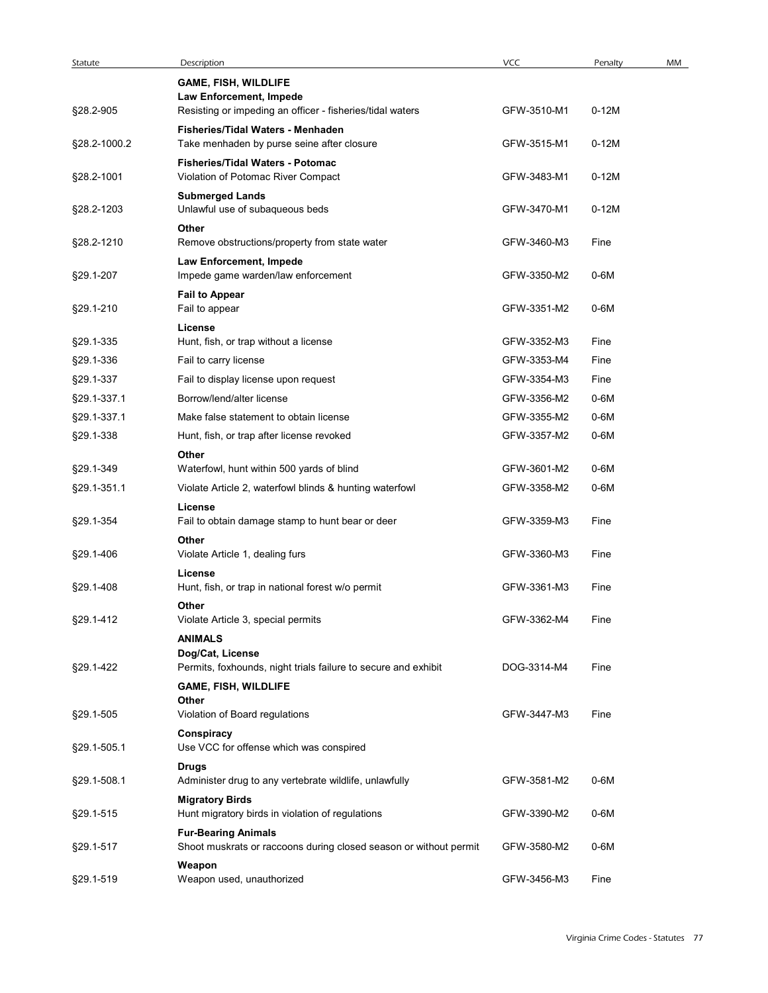| Statute      | Description                                                                                     | VCC         | Penalty | MM |
|--------------|-------------------------------------------------------------------------------------------------|-------------|---------|----|
|              | <b>GAME, FISH, WILDLIFE</b><br>Law Enforcement, Impede                                          |             |         |    |
| §28.2-905    | Resisting or impeding an officer - fisheries/tidal waters                                       | GFW-3510-M1 | $0-12M$ |    |
| §28.2-1000.2 | Fisheries/Tidal Waters - Menhaden<br>Take menhaden by purse seine after closure                 | GFW-3515-M1 | $0-12M$ |    |
|              | Fisheries/Tidal Waters - Potomac                                                                |             |         |    |
| §28.2-1001   | Violation of Potomac River Compact                                                              | GFW-3483-M1 | $0-12M$ |    |
| §28.2-1203   | <b>Submerged Lands</b><br>Unlawful use of subaqueous beds                                       | GFW-3470-M1 | $0-12M$ |    |
|              | Other                                                                                           |             |         |    |
| §28.2-1210   | Remove obstructions/property from state water                                                   | GFW-3460-M3 | Fine    |    |
|              | Law Enforcement, Impede                                                                         |             |         |    |
| §29.1-207    | Impede game warden/law enforcement                                                              | GFW-3350-M2 | $0-6M$  |    |
| §29.1-210    | <b>Fail to Appear</b><br>Fail to appear                                                         | GFW-3351-M2 | 0-6M    |    |
|              | License                                                                                         |             |         |    |
| §29.1-335    | Hunt. fish. or trap without a license                                                           | GFW-3352-M3 | Fine    |    |
| §29.1-336    | Fail to carry license                                                                           | GFW-3353-M4 | Fine    |    |
| §29.1-337    | Fail to display license upon request                                                            | GFW-3354-M3 | Fine    |    |
| §29.1-337.1  | Borrow/lend/alter license                                                                       | GFW-3356-M2 | $0-6M$  |    |
| §29.1-337.1  | Make false statement to obtain license                                                          | GFW-3355-M2 | 0-6M    |    |
| §29.1-338    | Hunt, fish, or trap after license revoked<br>Other                                              | GFW-3357-M2 | 0-6M    |    |
| §29.1-349    | Waterfowl, hunt within 500 yards of blind                                                       | GFW-3601-M2 | 0-6M    |    |
| §29.1-351.1  | Violate Article 2, waterfowl blinds & hunting waterfowl                                         | GFW-3358-M2 | 0-6M    |    |
|              | License                                                                                         |             |         |    |
| §29.1-354    | Fail to obtain damage stamp to hunt bear or deer                                                | GFW-3359-M3 | Fine    |    |
|              | Other                                                                                           |             |         |    |
| §29.1-406    | Violate Article 1, dealing furs                                                                 | GFW-3360-M3 | Fine    |    |
| §29.1-408    | License<br>Hunt, fish, or trap in national forest w/o permit                                    | GFW-3361-M3 | Fine    |    |
|              | Other                                                                                           |             |         |    |
| §29.1-412    | Violate Article 3, special permits                                                              | GFW-3362-M4 | Fine    |    |
|              | <b>ANIMALS</b>                                                                                  |             |         |    |
| §29.1-422    | Dog/Cat, License<br>Permits, foxhounds, night trials failure to secure and exhibit              | DOG-3314-M4 | Fine    |    |
|              | <b>GAME, FISH, WILDLIFE</b>                                                                     |             |         |    |
|              | Other                                                                                           |             |         |    |
| §29.1-505    | Violation of Board regulations                                                                  | GFW-3447-M3 | Fine    |    |
| §29.1-505.1  | Conspiracy<br>Use VCC for offense which was conspired                                           |             |         |    |
|              | <b>Drugs</b>                                                                                    |             |         |    |
| §29.1-508.1  | Administer drug to any vertebrate wildlife, unlawfully                                          | GFW-3581-M2 | 0-6M    |    |
|              | <b>Migratory Birds</b>                                                                          |             |         |    |
| §29.1-515    | Hunt migratory birds in violation of regulations                                                | GFW-3390-M2 | $0-6M$  |    |
| §29.1-517    | <b>Fur-Bearing Animals</b><br>Shoot muskrats or raccoons during closed season or without permit | GFW-3580-M2 | 0-6M    |    |
|              | Weapon                                                                                          |             |         |    |
| §29.1-519    | Weapon used, unauthorized                                                                       | GFW-3456-M3 | Fine    |    |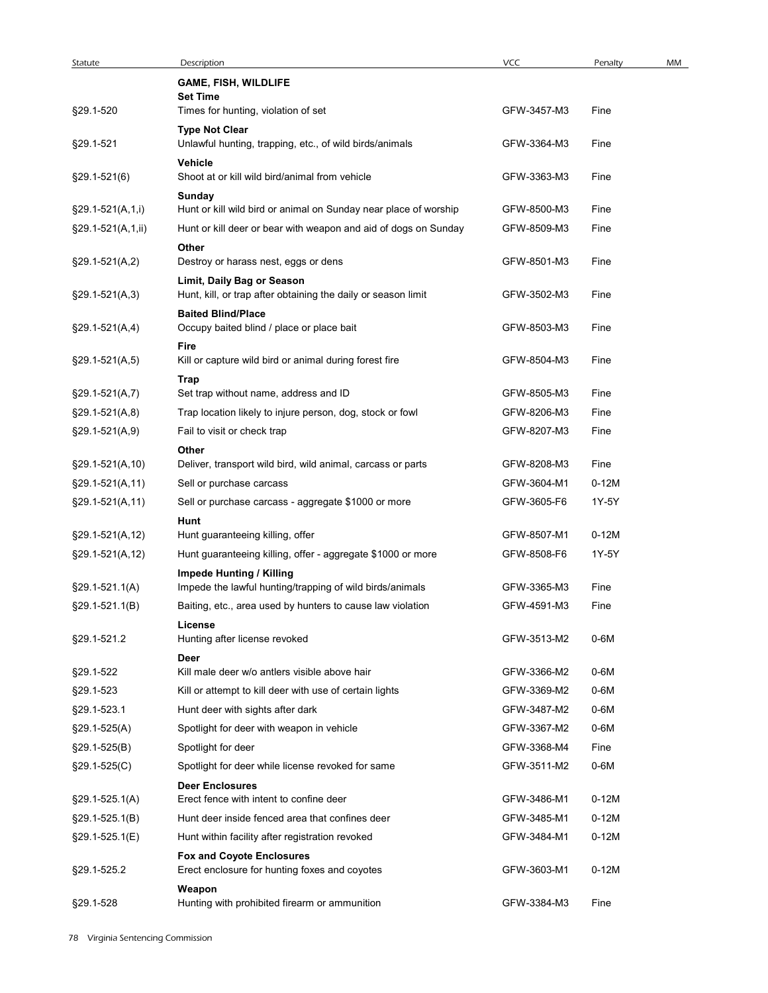| Statute             | Description                                                                                | VCC                        | Penalty          | MM |
|---------------------|--------------------------------------------------------------------------------------------|----------------------------|------------------|----|
|                     | <b>GAME, FISH, WILDLIFE</b>                                                                |                            |                  |    |
| §29.1-520           | <b>Set Time</b><br>Times for hunting, violation of set                                     | GFW-3457-M3                | Fine             |    |
|                     | <b>Type Not Clear</b>                                                                      |                            |                  |    |
| §29.1-521           | Unlawful hunting, trapping, etc., of wild birds/animals                                    | GFW-3364-M3                | Fine             |    |
| $$29.1 - 521(6)$    | Vehicle<br>Shoot at or kill wild bird/animal from vehicle                                  | GFW-3363-M3                | Fine             |    |
|                     | Sunday                                                                                     |                            |                  |    |
| $§29.1-521(A,1,i)$  | Hunt or kill wild bird or animal on Sunday near place of worship                           | GFW-8500-M3                | Fine             |    |
| $§29.1-521(A,1,ii)$ | Hunt or kill deer or bear with weapon and aid of dogs on Sunday<br>Other                   | GFW-8509-M3                | Fine             |    |
| $§29.1-521(A,2)$    | Destroy or harass nest, eggs or dens                                                       | GFW-8501-M3                | Fine             |    |
|                     | Limit, Daily Bag or Season                                                                 |                            |                  |    |
| $§29.1-521(A,3)$    | Hunt, kill, or trap after obtaining the daily or season limit<br><b>Baited Blind/Place</b> | GFW-3502-M3                | Fine             |    |
| $§29.1-521(A,4)$    | Occupy baited blind / place or place bait                                                  | GFW-8503-M3                | Fine             |    |
|                     | Fire                                                                                       |                            |                  |    |
| $§29.1-521(A,5)$    | Kill or capture wild bird or animal during forest fire                                     | GFW-8504-M3                | Fine             |    |
| $$29.1-521(A,7)$    | Trap<br>Set trap without name, address and ID                                              | GFW-8505-M3                | Fine             |    |
| $$29.1-521(A, 8)$   | Trap location likely to injure person, dog, stock or fowl                                  | GFW-8206-M3                | Fine             |    |
| $§29.1-521(A,9)$    | Fail to visit or check trap                                                                | GFW-8207-M3                | Fine             |    |
|                     | Other                                                                                      |                            |                  |    |
| §29.1-521(A,10)     | Deliver, transport wild bird, wild animal, carcass or parts                                | GFW-8208-M3                | Fine             |    |
| $§29.1-521(A,11)$   | Sell or purchase carcass<br>Sell or purchase carcass - aggregate \$1000 or more            | GFW-3604-M1<br>GFW-3605-F6 | $0-12M$<br>1Y-5Y |    |
| $$29.1-521(A,11)$   | Hunt                                                                                       |                            |                  |    |
| $§29.1-521(A, 12)$  | Hunt guaranteeing killing, offer                                                           | GFW-8507-M1                | $0-12M$          |    |
| $§29.1-521(A, 12)$  | Hunt guaranteeing killing, offer - aggregate \$1000 or more                                | GFW-8508-F6                | 1Y-5Y            |    |
|                     | <b>Impede Hunting / Killing</b>                                                            |                            |                  |    |
| $$29.1 - 521.1(A)$  | Impede the lawful hunting/trapping of wild birds/animals                                   | GFW-3365-M3                | Fine             |    |
| $§29.1-521.1(B)$    | Baiting, etc., area used by hunters to cause law violation<br>License                      | GFW-4591-M3                | Fine             |    |
| §29.1-521.2         | Hunting after license revoked                                                              | GFW-3513-M2                | $0-6M$           |    |
|                     | Deer                                                                                       |                            |                  |    |
| §29.1-522           | Kill male deer w/o antlers visible above hair                                              | GFW-3366-M2                | 0-6M             |    |
| §29.1-523           | Kill or attempt to kill deer with use of certain lights                                    | GFW-3369-M2                | 0-6M             |    |
| §29.1-523.1         | Hunt deer with sights after dark                                                           | GFW-3487-M2                | 0-6M             |    |
| $§29.1 - 525(A)$    | Spotlight for deer with weapon in vehicle                                                  | GFW-3367-M2                | $0-6M$           |    |
| $$29.1-525(B)$      | Spotlight for deer                                                                         | GFW-3368-M4                | Fine             |    |
| §29.1-525(C)        | Spotlight for deer while license revoked for same<br><b>Deer Enclosures</b>                | GFW-3511-M2                | 0-6M             |    |
| $$29.1 - 525.1(A)$  | Erect fence with intent to confine deer                                                    | GFW-3486-M1                | $0-12M$          |    |
| $§29.1-525.1(B)$    | Hunt deer inside fenced area that confines deer                                            | GFW-3485-M1                | $0-12M$          |    |
| §29.1-525.1(E)      | Hunt within facility after registration revoked                                            | GFW-3484-M1                | $0-12M$          |    |
|                     | <b>Fox and Coyote Enclosures</b>                                                           |                            |                  |    |
| §29.1-525.2         | Erect enclosure for hunting foxes and coyotes<br>Weapon                                    | GFW-3603-M1                | $0-12M$          |    |
| §29.1-528           | Hunting with prohibited firearm or ammunition                                              | GFW-3384-M3                | Fine             |    |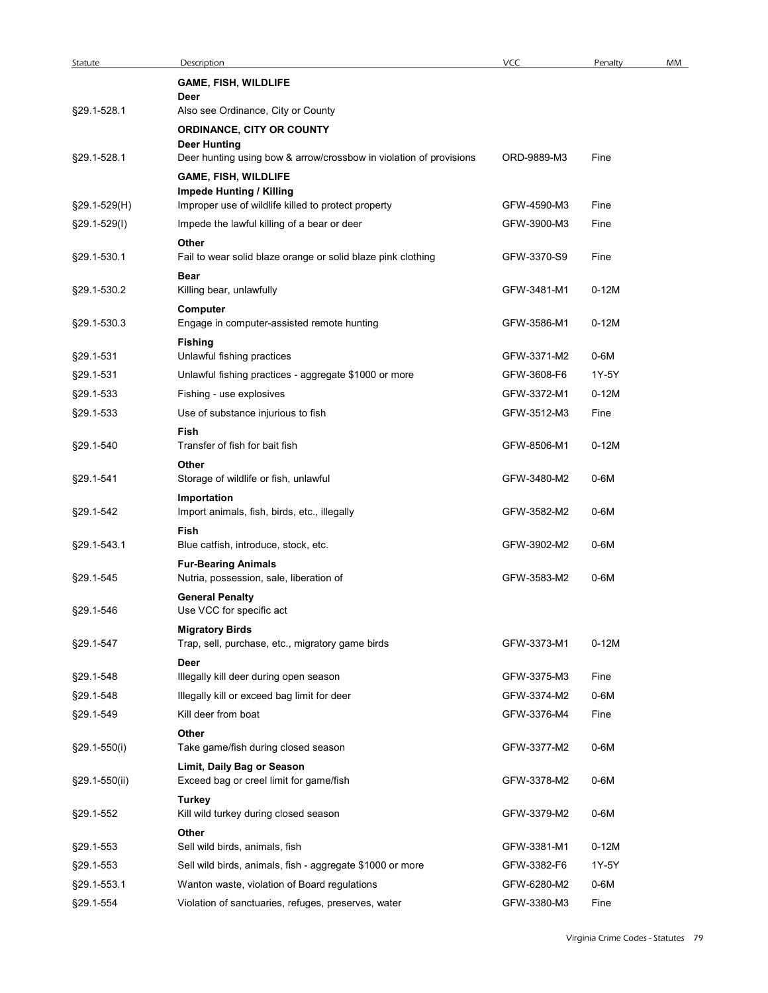| Statute        | Description                                                                                       | VCC         | Penalty | MM |
|----------------|---------------------------------------------------------------------------------------------------|-------------|---------|----|
|                | <b>GAME, FISH, WILDLIFE</b><br>Deer                                                               |             |         |    |
| §29.1-528.1    | Also see Ordinance, City or County                                                                |             |         |    |
|                | ORDINANCE, CITY OR COUNTY<br><b>Deer Hunting</b>                                                  |             |         |    |
| §29.1-528.1    | Deer hunting using bow & arrow/crossbow in violation of provisions<br><b>GAME, FISH, WILDLIFE</b> | ORD-9889-M3 | Fine    |    |
|                | <b>Impede Hunting / Killing</b>                                                                   |             |         |    |
| §29.1-529(H)   | Improper use of wildlife killed to protect property                                               | GFW-4590-M3 | Fine    |    |
| $$29.1-529(1)$ | Impede the lawful killing of a bear or deer<br>Other                                              | GFW-3900-M3 | Fine    |    |
| §29.1-530.1    | Fail to wear solid blaze orange or solid blaze pink clothing<br>Bear                              | GFW-3370-S9 | Fine    |    |
| §29.1-530.2    | Killing bear, unlawfully                                                                          | GFW-3481-M1 | $0-12M$ |    |
| §29.1-530.3    | Computer<br>Engage in computer-assisted remote hunting                                            | GFW-3586-M1 | $0-12M$ |    |
| §29.1-531      | <b>Fishing</b><br>Unlawful fishing practices                                                      | GFW-3371-M2 | $0-6M$  |    |
| §29.1-531      | Unlawful fishing practices - aggregate \$1000 or more                                             | GFW-3608-F6 | 1Y-5Y   |    |
| §29.1-533      | Fishing - use explosives                                                                          | GFW-3372-M1 | $0-12M$ |    |
| §29.1-533      | Use of substance injurious to fish                                                                | GFW-3512-M3 | Fine    |    |
| §29.1-540      | Fish<br>Transfer of fish for bait fish                                                            | GFW-8506-M1 | $0-12M$ |    |
| §29.1-541      | Other<br>Storage of wildlife or fish, unlawful                                                    | GFW-3480-M2 | $0-6M$  |    |
| §29.1-542      | Importation<br>Import animals, fish, birds, etc., illegally                                       | GFW-3582-M2 | $0-6M$  |    |
| §29.1-543.1    | Fish<br>Blue catfish, introduce, stock, etc.                                                      | GFW-3902-M2 | $0-6M$  |    |
| §29.1-545      | <b>Fur-Bearing Animals</b><br>Nutria, possession, sale, liberation of                             | GFW-3583-M2 | $0-6M$  |    |
| §29.1-546      | <b>General Penalty</b><br>Use VCC for specific act                                                |             |         |    |
| §29.1-547      | <b>Migratory Birds</b><br>Trap, sell, purchase, etc., migratory game birds                        | GFW-3373-M1 | $0-12M$ |    |
|                | Deer                                                                                              |             |         |    |
| §29.1-548      | Illegally kill deer during open season                                                            | GFW-3375-M3 | Fine    |    |
| §29.1-548      | Illegally kill or exceed bag limit for deer                                                       | GFW-3374-M2 | $0-6M$  |    |
| §29.1-549      | Kill deer from boat<br>Other                                                                      | GFW-3376-M4 | Fine    |    |
| §29.1-550(i)   | Take game/fish during closed season<br>Limit, Daily Bag or Season                                 | GFW-3377-M2 | $0-6M$  |    |
| §29.1-550(ii)  | Exceed bag or creel limit for game/fish                                                           | GFW-3378-M2 | $0-6M$  |    |
| §29.1-552      | <b>Turkey</b><br>Kill wild turkey during closed season                                            | GFW-3379-M2 | $0-6M$  |    |
| §29.1-553      | Other<br>Sell wild birds, animals, fish                                                           | GFW-3381-M1 | $0-12M$ |    |
| §29.1-553      | Sell wild birds, animals, fish - aggregate \$1000 or more                                         | GFW-3382-F6 | 1Y-5Y   |    |
| §29.1-553.1    | Wanton waste, violation of Board regulations                                                      | GFW-6280-M2 | $0-6M$  |    |
|                | Violation of sanctuaries, refuges, preserves, water                                               | GFW-3380-M3 | Fine    |    |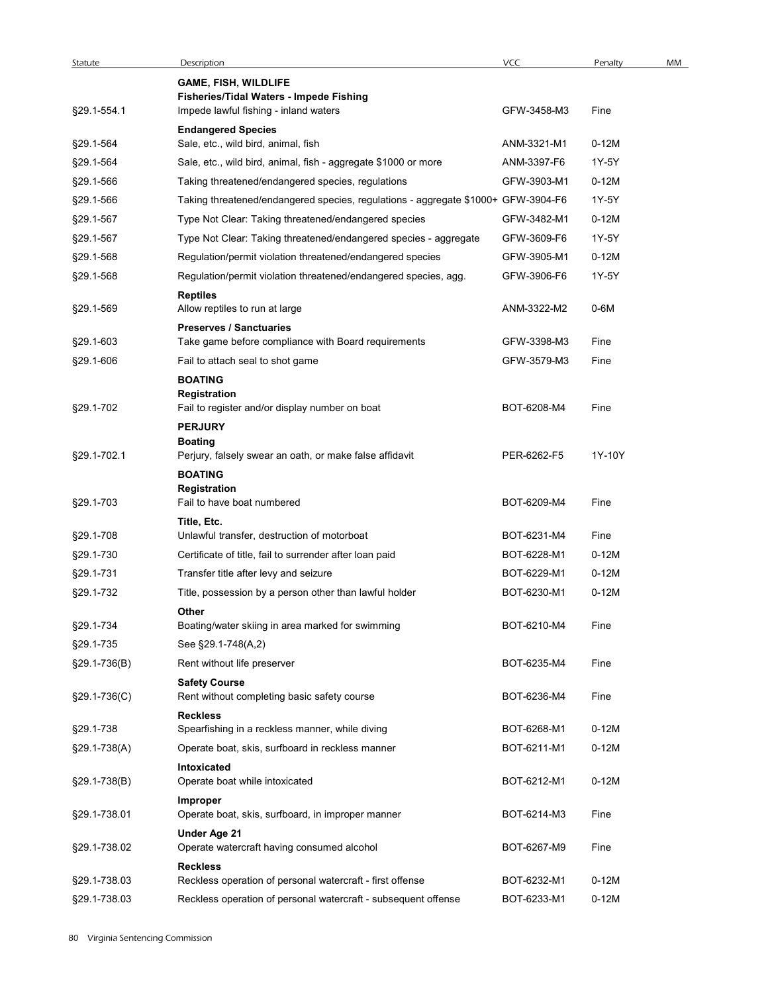| Statute        | Description                                                                       | <b>VCC</b>  | Penalty | MM |
|----------------|-----------------------------------------------------------------------------------|-------------|---------|----|
|                | <b>GAME, FISH, WILDLIFE</b>                                                       |             |         |    |
| §29.1-554.1    | Fisheries/Tidal Waters - Impede Fishing<br>Impede lawful fishing - inland waters  | GFW-3458-M3 | Fine    |    |
|                | <b>Endangered Species</b>                                                         |             |         |    |
| §29.1-564      | Sale, etc., wild bird, animal, fish                                               | ANM-3321-M1 | $0-12M$ |    |
| §29.1-564      | Sale, etc., wild bird, animal, fish - aggregate \$1000 or more                    | ANM-3397-F6 | 1Y-5Y   |    |
| §29.1-566      | Taking threatened/endangered species, regulations                                 | GFW-3903-M1 | $0-12M$ |    |
|                |                                                                                   |             | 1Y-5Y   |    |
| §29.1-566      | Taking threatened/endangered species, regulations - aggregate \$1000+ GFW-3904-F6 |             |         |    |
| §29.1-567      | Type Not Clear: Taking threatened/endangered species                              | GFW-3482-M1 | $0-12M$ |    |
| §29.1-567      | Type Not Clear: Taking threatened/endangered species - aggregate                  | GFW-3609-F6 | 1Y-5Y   |    |
| §29.1-568      | Regulation/permit violation threatened/endangered species                         | GFW-3905-M1 | $0-12M$ |    |
| §29.1-568      | Regulation/permit violation threatened/endangered species, agg.                   | GFW-3906-F6 | 1Y-5Y   |    |
|                | <b>Reptiles</b>                                                                   |             |         |    |
| §29.1-569      | Allow reptiles to run at large                                                    | ANM-3322-M2 | $0-6M$  |    |
|                | <b>Preserves / Sanctuaries</b>                                                    |             |         |    |
| §29.1-603      | Take game before compliance with Board requirements                               | GFW-3398-M3 | Fine    |    |
| §29.1-606      | Fail to attach seal to shot game                                                  | GFW-3579-M3 | Fine    |    |
|                | <b>BOATING</b><br>Registration                                                    |             |         |    |
| §29.1-702      | Fail to register and/or display number on boat                                    | BOT-6208-M4 | Fine    |    |
|                | <b>PERJURY</b>                                                                    |             |         |    |
|                | <b>Boating</b>                                                                    |             |         |    |
| §29.1-702.1    | Perjury, falsely swear an oath, or make false affidavit                           | PER-6262-F5 | 1Y-10Y  |    |
|                | <b>BOATING</b>                                                                    |             |         |    |
|                | Registration                                                                      |             |         |    |
| §29.1-703      | Fail to have boat numbered                                                        | BOT-6209-M4 | Fine    |    |
|                | Title, Etc.                                                                       |             |         |    |
| §29.1-708      | Unlawful transfer, destruction of motorboat                                       | BOT-6231-M4 | Fine    |    |
| §29.1-730      | Certificate of title, fail to surrender after loan paid                           | BOT-6228-M1 | $0-12M$ |    |
| §29.1-731      | Transfer title after levy and seizure                                             | BOT-6229-M1 | $0-12M$ |    |
| §29.1-732      | Title, possession by a person other than lawful holder                            | BOT-6230-M1 | $0-12M$ |    |
|                | Other                                                                             |             |         |    |
| §29.1-734      | Boating/water skiing in area marked for swimming                                  | BOT-6210-M4 | Fine    |    |
| §29.1-735      | See §29.1-748(A,2)                                                                |             |         |    |
| §29.1-736(B)   | Rent without life preserver                                                       | BOT-6235-M4 | Fine    |    |
|                | <b>Safety Course</b>                                                              |             |         |    |
| $$29.1-736(C)$ | Rent without completing basic safety course                                       | BOT-6236-M4 | Fine    |    |
|                | <b>Reckless</b>                                                                   |             |         |    |
| §29.1-738      | Spearfishing in a reckless manner, while diving                                   | BOT-6268-M1 | $0-12M$ |    |
| §29.1-738(A)   | Operate boat, skis, surfboard in reckless manner                                  | BOT-6211-M1 | $0-12M$ |    |
|                | Intoxicated                                                                       |             |         |    |
| §29.1-738(B)   | Operate boat while intoxicated                                                    | BOT-6212-M1 | $0-12M$ |    |
|                | Improper                                                                          |             |         |    |
| §29.1-738.01   | Operate boat, skis, surfboard, in improper manner                                 | BOT-6214-M3 | Fine    |    |
| §29.1-738.02   | Under Age 21                                                                      | BOT-6267-M9 | Fine    |    |
|                | Operate watercraft having consumed alcohol                                        |             |         |    |
|                | <b>Reckless</b>                                                                   | BOT-6232-M1 | $0-12M$ |    |
| §29.1-738.03   | Reckless operation of personal watercraft - first offense                         |             |         |    |
| §29.1-738.03   | Reckless operation of personal watercraft - subsequent offense                    | BOT-6233-M1 | $0-12M$ |    |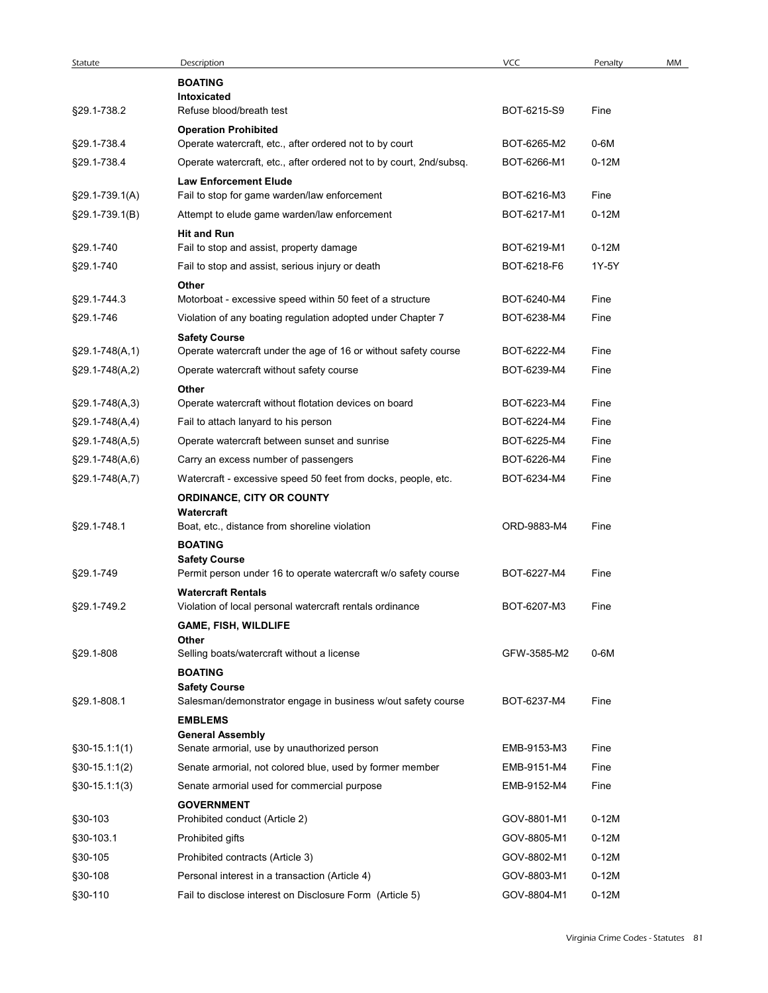| Statute             | Description                                                                            | VCC         | Penalty | MM |
|---------------------|----------------------------------------------------------------------------------------|-------------|---------|----|
|                     | <b>BOATING</b>                                                                         |             |         |    |
|                     | Intoxicated                                                                            |             |         |    |
| §29.1-738.2         | Refuse blood/breath test                                                               | BOT-6215-S9 | Fine    |    |
| §29.1-738.4         | <b>Operation Prohibited</b><br>Operate watercraft, etc., after ordered not to by court | BOT-6265-M2 | 0-6M    |    |
|                     |                                                                                        |             |         |    |
| §29.1-738.4         | Operate watercraft, etc., after ordered not to by court, 2nd/subsq.                    | BOT-6266-M1 | $0-12M$ |    |
| $$29.1 - 739.1(A)$  | <b>Law Enforcement Elude</b><br>Fail to stop for game warden/law enforcement           | BOT-6216-M3 | Fine    |    |
|                     |                                                                                        | BOT-6217-M1 | $0-12M$ |    |
| §29.1-739.1(B)      | Attempt to elude game warden/law enforcement                                           |             |         |    |
| §29.1-740           | <b>Hit and Run</b><br>Fail to stop and assist, property damage                         | BOT-6219-M1 | $0-12M$ |    |
| §29.1-740           | Fail to stop and assist, serious injury or death                                       | BOT-6218-F6 | 1Y-5Y   |    |
|                     |                                                                                        |             |         |    |
| §29.1-744.3         | Other<br>Motorboat - excessive speed within 50 feet of a structure                     | BOT-6240-M4 | Fine    |    |
| §29.1-746           | Violation of any boating regulation adopted under Chapter 7                            | BOT-6238-M4 | Fine    |    |
|                     | <b>Safety Course</b>                                                                   |             |         |    |
| $§29.1 - 748(A, 1)$ | Operate watercraft under the age of 16 or without safety course                        | BOT-6222-M4 | Fine    |    |
| $$29.1-748(A,2)$    | Operate watercraft without safety course                                               | BOT-6239-M4 | Fine    |    |
|                     | Other                                                                                  |             |         |    |
| $§29.1 - 748(A,3)$  | Operate watercraft without flotation devices on board                                  | BOT-6223-M4 | Fine    |    |
| $$29.1-748(A,4)$    | Fail to attach lanyard to his person                                                   | BOT-6224-M4 | Fine    |    |
| $$29.1-748(A,5)$    | Operate watercraft between sunset and sunrise                                          | BOT-6225-M4 | Fine    |    |
| $§29.1 - 748(A, 6)$ | Carry an excess number of passengers                                                   | BOT-6226-M4 | Fine    |    |
|                     |                                                                                        | BOT-6234-M4 |         |    |
| §29.1-748(A,7)      | Watercraft - excessive speed 50 feet from docks, people, etc.                          |             | Fine    |    |
|                     | ORDINANCE, CITY OR COUNTY<br>Watercraft                                                |             |         |    |
| §29.1-748.1         | Boat, etc., distance from shoreline violation                                          | ORD-9883-M4 | Fine    |    |
|                     | <b>BOATING</b>                                                                         |             |         |    |
|                     | <b>Safety Course</b>                                                                   |             |         |    |
| §29.1-749           | Permit person under 16 to operate watercraft w/o safety course                         | BOT-6227-M4 | Fine    |    |
|                     | <b>Watercraft Rentals</b>                                                              |             |         |    |
| §29.1-749.2         | Violation of local personal watercraft rentals ordinance                               | BOT-6207-M3 | Fine    |    |
|                     | <b>GAME, FISH, WILDLIFE</b>                                                            |             |         |    |
| §29.1-808           | Other<br>Selling boats/watercraft without a license                                    | GFW-3585-M2 | $0-6M$  |    |
|                     | <b>BOATING</b>                                                                         |             |         |    |
|                     | <b>Safety Course</b>                                                                   |             |         |    |
| §29.1-808.1         | Salesman/demonstrator engage in business w/out safety course                           | BOT-6237-M4 | Fine    |    |
|                     | <b>EMBLEMS</b>                                                                         |             |         |    |
|                     | <b>General Assembly</b>                                                                |             |         |    |
| $$30-15.1:1(1)$     | Senate armorial, use by unauthorized person                                            | EMB-9153-M3 | Fine    |    |
| $$30-15.1:1(2)$     | Senate armorial, not colored blue, used by former member                               | EMB-9151-M4 | Fine    |    |
| $§30-15.1:1(3)$     | Senate armorial used for commercial purpose                                            | EMB-9152-M4 | Fine    |    |
|                     | <b>GOVERNMENT</b>                                                                      |             |         |    |
| §30-103             | Prohibited conduct (Article 2)                                                         | GOV-8801-M1 | $0-12M$ |    |
| §30-103.1           | Prohibited gifts                                                                       | GOV-8805-M1 | $0-12M$ |    |
| §30-105             | Prohibited contracts (Article 3)                                                       | GOV-8802-M1 | $0-12M$ |    |
| §30-108             | Personal interest in a transaction (Article 4)                                         | GOV-8803-M1 | 0-12M   |    |
| §30-110             | Fail to disclose interest on Disclosure Form (Article 5)                               | GOV-8804-M1 | $0-12M$ |    |
|                     |                                                                                        |             |         |    |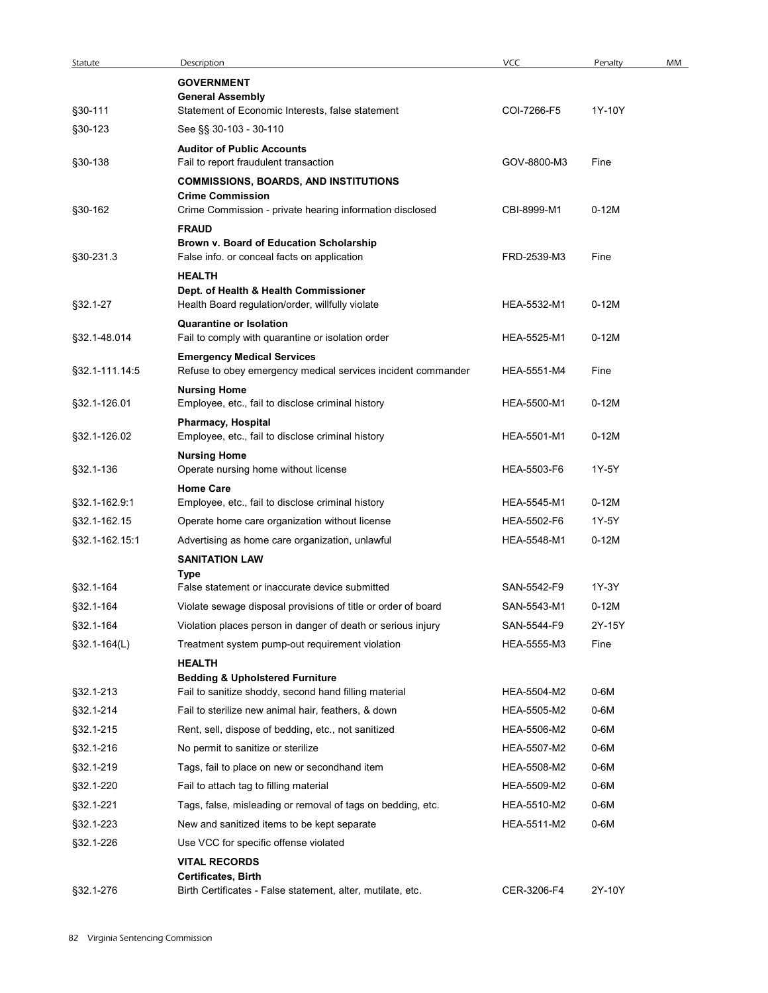| Statute        | Description                                                                            | VCC         | Penalty | MM |
|----------------|----------------------------------------------------------------------------------------|-------------|---------|----|
|                | <b>GOVERNMENT</b><br><b>General Assembly</b>                                           |             |         |    |
| §30-111        | Statement of Economic Interests, false statement                                       | COI-7266-F5 | 1Y-10Y  |    |
| §30-123        | See §§ 30-103 - 30-110                                                                 |             |         |    |
|                | <b>Auditor of Public Accounts</b>                                                      |             |         |    |
| §30-138        | Fail to report fraudulent transaction                                                  | GOV-8800-M3 | Fine    |    |
|                | <b>COMMISSIONS, BOARDS, AND INSTITUTIONS</b><br><b>Crime Commission</b>                |             |         |    |
| §30-162        | Crime Commission - private hearing information disclosed                               | CBI-8999-M1 | $0-12M$ |    |
|                | <b>FRAUD</b>                                                                           |             |         |    |
| §30-231.3      | Brown v. Board of Education Scholarship<br>False info. or conceal facts on application | FRD-2539-M3 | Fine    |    |
|                | <b>HEALTH</b>                                                                          |             |         |    |
|                | Dept. of Health & Health Commissioner                                                  |             |         |    |
| §32.1-27       | Health Board regulation/order, willfully violate                                       | HEA-5532-M1 | $0-12M$ |    |
| §32.1-48.014   | <b>Quarantine or Isolation</b><br>Fail to comply with quarantine or isolation order    | HEA-5525-M1 | $0-12M$ |    |
|                | <b>Emergency Medical Services</b>                                                      |             |         |    |
| §32.1-111.14:5 | Refuse to obey emergency medical services incident commander                           | HEA-5551-M4 | Fine    |    |
|                | <b>Nursing Home</b>                                                                    |             |         |    |
| §32.1-126.01   | Employee, etc., fail to disclose criminal history                                      | HEA-5500-M1 | $0-12M$ |    |
| §32.1-126.02   | Pharmacy, Hospital<br>Employee, etc., fail to disclose criminal history                | HEA-5501-M1 | $0-12M$ |    |
|                | <b>Nursing Home</b>                                                                    |             |         |    |
| §32.1-136      | Operate nursing home without license                                                   | HEA-5503-F6 | 1Y-5Y   |    |
| §32.1-162.9:1  | <b>Home Care</b><br>Employee, etc., fail to disclose criminal history                  | HEA-5545-M1 | $0-12M$ |    |
| §32.1-162.15   | Operate home care organization without license                                         | HEA-5502-F6 | 1Y-5Y   |    |
| §32.1-162.15:1 | Advertising as home care organization, unlawful                                        | HEA-5548-M1 | $0-12M$ |    |
|                | <b>SANITATION LAW</b>                                                                  |             |         |    |
|                | Type                                                                                   |             |         |    |
| §32.1-164      | False statement or inaccurate device submitted                                         | SAN-5542-F9 | 1Y-3Y   |    |
| §32.1-164      | Violate sewage disposal provisions of title or order of board                          | SAN-5543-M1 | $0-12M$ |    |
| §32.1-164      | Violation places person in danger of death or serious injury                           | SAN-5544-F9 | 2Y-15Y  |    |
| §32.1-164(L)   | Treatment system pump-out requirement violation<br><b>HEALTH</b>                       | HEA-5555-M3 | Fine    |    |
|                | <b>Bedding &amp; Upholstered Furniture</b>                                             |             |         |    |
| §32.1-213      | Fail to sanitize shoddy, second hand filling material                                  | HEA-5504-M2 | 0-6M    |    |
| §32.1-214      | Fail to sterilize new animal hair, feathers, & down                                    | HEA-5505-M2 | 0-6M    |    |
| §32.1-215      | Rent, sell, dispose of bedding, etc., not sanitized                                    | HEA-5506-M2 | 0-6M    |    |
| §32.1-216      | No permit to sanitize or sterilize                                                     | HEA-5507-M2 | 0-6M    |    |
| §32.1-219      | Tags, fail to place on new or secondhand item                                          | HEA-5508-M2 | 0-6M    |    |
| §32.1-220      | Fail to attach tag to filling material                                                 | HEA-5509-M2 | 0-6M    |    |
| §32.1-221      | Tags, false, misleading or removal of tags on bedding, etc.                            | HEA-5510-M2 | 0-6M    |    |
| §32.1-223      | New and sanitized items to be kept separate                                            | HEA-5511-M2 | 0-6M    |    |
| §32.1-226      | Use VCC for specific offense violated<br><b>VITAL RECORDS</b>                          |             |         |    |
|                | Certificates, Birth                                                                    |             |         |    |
| §32.1-276      | Birth Certificates - False statement, alter, mutilate, etc.                            | CER-3206-F4 | 2Y-10Y  |    |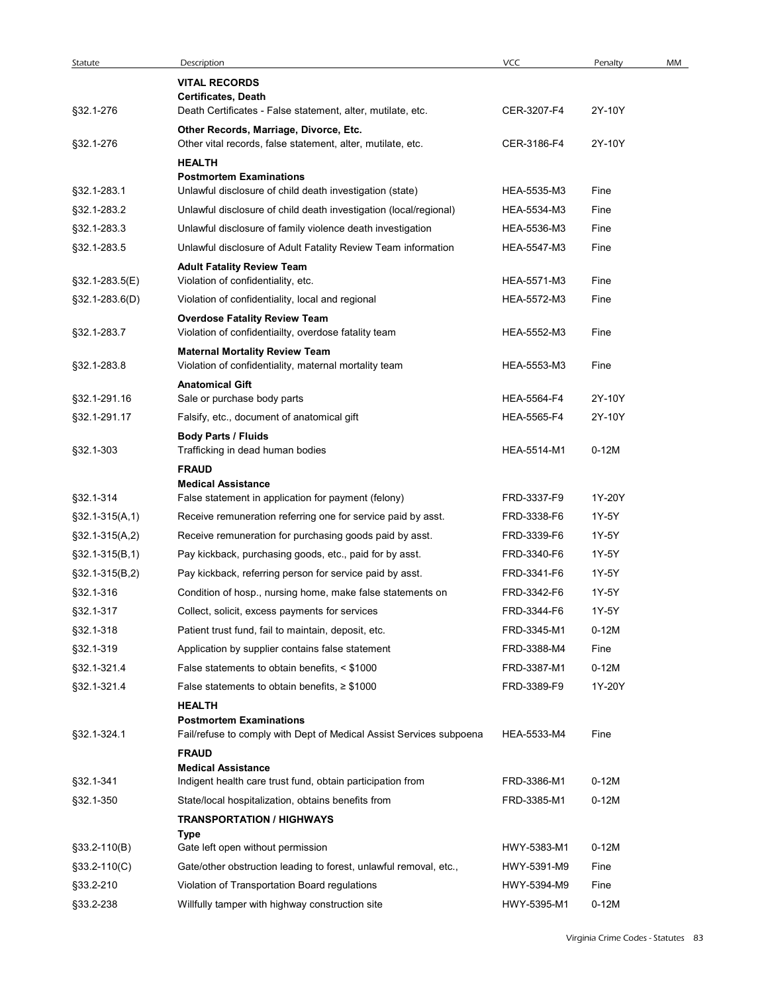| Statute          |                                                                                                |             |         |    |
|------------------|------------------------------------------------------------------------------------------------|-------------|---------|----|
|                  |                                                                                                |             |         |    |
|                  | Description                                                                                    | <b>VCC</b>  | Penalty | MM |
|                  | <b>VITAL RECORDS</b><br>Certificates, Death                                                    |             |         |    |
| §32.1-276        | Death Certificates - False statement, alter, mutilate, etc.                                    | CER-3207-F4 | 2Y-10Y  |    |
|                  | Other Records, Marriage, Divorce, Etc.                                                         |             |         |    |
| §32.1-276        | Other vital records, false statement, alter, mutilate, etc.                                    | CER-3186-F4 | 2Y-10Y  |    |
|                  | <b>HEALTH</b><br><b>Postmortem Examinations</b>                                                |             |         |    |
| §32.1-283.1      | Unlawful disclosure of child death investigation (state)                                       | HEA-5535-M3 | Fine    |    |
| §32.1-283.2      | Unlawful disclosure of child death investigation (local/regional)                              | HEA-5534-M3 | Fine    |    |
| §32.1-283.3      | Unlawful disclosure of family violence death investigation                                     | HEA-5536-M3 | Fine    |    |
| §32.1-283.5      | Unlawful disclosure of Adult Fatality Review Team information                                  | HEA-5547-M3 | Fine    |    |
|                  | <b>Adult Fatality Review Team</b>                                                              |             |         |    |
| §32.1-283.5(E)   | Violation of confidentiality, etc.                                                             | HEA-5571-M3 | Fine    |    |
| §32.1-283.6(D)   | Violation of confidentiality, local and regional                                               | HEA-5572-M3 | Fine    |    |
|                  | <b>Overdose Fatality Review Team</b>                                                           |             |         |    |
| §32.1-283.7      | Violation of confidentiailty, overdose fatality team                                           | HEA-5552-M3 | Fine    |    |
| §32.1-283.8      | <b>Maternal Mortality Review Team</b><br>Violation of confidentiality, maternal mortality team | HEA-5553-M3 | Fine    |    |
|                  | <b>Anatomical Gift</b>                                                                         |             |         |    |
| §32.1-291.16     | Sale or purchase body parts                                                                    | HEA-5564-F4 | 2Y-10Y  |    |
| §32.1-291.17     | Falsify, etc., document of anatomical gift                                                     | HEA-5565-F4 | 2Y-10Y  |    |
|                  | <b>Body Parts / Fluids</b>                                                                     |             |         |    |
| §32.1-303        | Trafficking in dead human bodies                                                               | HEA-5514-M1 | $0-12M$ |    |
|                  | <b>FRAUD</b>                                                                                   |             |         |    |
| §32.1-314        | <b>Medical Assistance</b><br>False statement in application for payment (felony)               | FRD-3337-F9 | 1Y-20Y  |    |
| $$32.1-315(A,1)$ | Receive remuneration referring one for service paid by asst.                                   | FRD-3338-F6 | 1Y-5Y   |    |
| $$32.1-315(A,2)$ | Receive remuneration for purchasing goods paid by asst.                                        | FRD-3339-F6 | 1Y-5Y   |    |
| $§32.1-315(B,1)$ | Pay kickback, purchasing goods, etc., paid for by asst.                                        | FRD-3340-F6 | 1Y-5Y   |    |
| $§32.1-315(B,2)$ | Pay kickback, referring person for service paid by asst.                                       | FRD-3341-F6 | 1Y-5Y   |    |
| §32.1-316        | Condition of hosp., nursing home, make false statements on                                     | FRD-3342-F6 | 1Y-5Y   |    |
| §32.1-317        | Collect, solicit, excess payments for services                                                 | FRD-3344-F6 | 1Y-5Y   |    |
| §32.1-318        | Patient trust fund, fail to maintain, deposit, etc.                                            | FRD-3345-M1 | $0-12M$ |    |
| §32.1-319        | Application by supplier contains false statement                                               | FRD-3388-M4 | Fine    |    |
| §32.1-321.4      | False statements to obtain benefits, < \$1000                                                  | FRD-3387-M1 | $0-12M$ |    |
| §32.1-321.4      | False statements to obtain benefits, $\geq$ \$1000                                             | FRD-3389-F9 | 1Y-20Y  |    |
|                  | <b>HEALTH</b>                                                                                  |             |         |    |
|                  | <b>Postmortem Examinations</b>                                                                 |             |         |    |
| §32.1-324.1      | Fail/refuse to comply with Dept of Medical Assist Services subpoena                            | HEA-5533-M4 | Fine    |    |
|                  | <b>FRAUD</b>                                                                                   |             |         |    |
| §32.1-341        | <b>Medical Assistance</b><br>Indigent health care trust fund, obtain participation from        | FRD-3386-M1 | $0-12M$ |    |
| §32.1-350        | State/local hospitalization, obtains benefits from                                             | FRD-3385-M1 | $0-12M$ |    |
|                  | <b>TRANSPORTATION / HIGHWAYS</b>                                                               |             |         |    |
|                  | Type                                                                                           |             |         |    |
| §33.2-110(B)     | Gate left open without permission                                                              | HWY-5383-M1 | $0-12M$ |    |
| §33.2-110(C)     | Gate/other obstruction leading to forest, unlawful removal, etc.,                              | HWY-5391-M9 | Fine    |    |
|                  | Violation of Transportation Board regulations                                                  | HWY-5394-M9 | Fine    |    |
| §33.2-210        |                                                                                                | HWY-5395-M1 |         |    |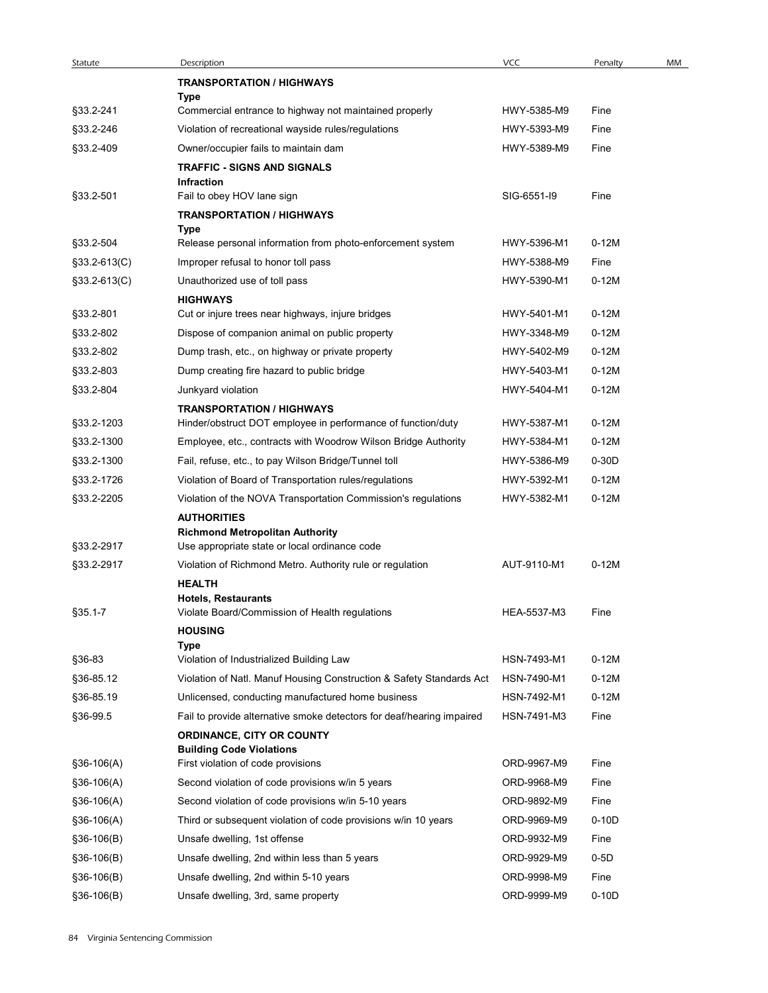| Statute        | Description                                                                                      | VCC         | Penalty | MM |
|----------------|--------------------------------------------------------------------------------------------------|-------------|---------|----|
|                | <b>TRANSPORTATION / HIGHWAYS</b>                                                                 |             |         |    |
|                | Type                                                                                             |             |         |    |
| §33.2-241      | Commercial entrance to highway not maintained properly                                           | HWY-5385-M9 | Fine    |    |
| §33.2-246      | Violation of recreational wayside rules/regulations                                              | HWY-5393-M9 | Fine    |    |
| §33.2-409      | Owner/occupier fails to maintain dam                                                             | HWY-5389-M9 | Fine    |    |
|                | <b>TRAFFIC - SIGNS AND SIGNALS</b>                                                               |             |         |    |
|                | Infraction                                                                                       |             |         |    |
| §33.2-501      | Fail to obey HOV lane sign                                                                       | SIG-6551-I9 | Fine    |    |
|                | <b>TRANSPORTATION / HIGHWAYS</b><br>Type                                                         |             |         |    |
| §33.2-504      | Release personal information from photo-enforcement system                                       | HWY-5396-M1 | $0-12M$ |    |
| §33.2-613(C)   | Improper refusal to honor toll pass                                                              | HWY-5388-M9 | Fine    |    |
| $$33.2-613(C)$ | Unauthorized use of toll pass                                                                    | HWY-5390-M1 | $0-12M$ |    |
|                | <b>HIGHWAYS</b>                                                                                  |             |         |    |
| §33.2-801      | Cut or injure trees near highways, injure bridges                                                | HWY-5401-M1 | $0-12M$ |    |
| §33.2-802      | Dispose of companion animal on public property                                                   | HWY-3348-M9 | $0-12M$ |    |
| §33.2-802      | Dump trash, etc., on highway or private property                                                 | HWY-5402-M9 | $0-12M$ |    |
| §33.2-803      | Dump creating fire hazard to public bridge                                                       | HWY-5403-M1 | $0-12M$ |    |
|                |                                                                                                  |             |         |    |
| §33.2-804      | Junkyard violation                                                                               | HWY-5404-M1 | $0-12M$ |    |
| §33.2-1203     | <b>TRANSPORTATION / HIGHWAYS</b><br>Hinder/obstruct DOT employee in performance of function/duty | HWY-5387-M1 | $0-12M$ |    |
|                |                                                                                                  | HWY-5384-M1 | $0-12M$ |    |
| §33.2-1300     | Employee, etc., contracts with Woodrow Wilson Bridge Authority                                   |             |         |    |
| §33.2-1300     | Fail, refuse, etc., to pay Wilson Bridge/Tunnel toll                                             | HWY-5386-M9 | $0-30D$ |    |
| §33.2-1726     | Violation of Board of Transportation rules/regulations                                           | HWY-5392-M1 | $0-12M$ |    |
| §33.2-2205     | Violation of the NOVA Transportation Commission's regulations                                    | HWY-5382-M1 | $0-12M$ |    |
|                | <b>AUTHORITIES</b>                                                                               |             |         |    |
| §33.2-2917     | <b>Richmond Metropolitan Authority</b><br>Use appropriate state or local ordinance code          |             |         |    |
|                |                                                                                                  |             |         |    |
| §33.2-2917     | Violation of Richmond Metro. Authority rule or regulation                                        | AUT-9110-M1 | $0-12M$ |    |
|                | <b>HEALTH</b><br><b>Hotels, Restaurants</b>                                                      |             |         |    |
| $§35.1 - 7$    | Violate Board/Commission of Health regulations                                                   | HEA-5537-M3 | Fine    |    |
|                | <b>HOUSING</b>                                                                                   |             |         |    |
|                | Type                                                                                             |             |         |    |
| §36-83         | Violation of Industrialized Building Law                                                         | HSN-7493-M1 | $0-12M$ |    |
| §36-85.12      | Violation of Natl. Manuf Housing Construction & Safety Standards Act                             | HSN-7490-M1 | $0-12M$ |    |
| §36-85.19      | Unlicensed, conducting manufactured home business                                                | HSN-7492-M1 | $0-12M$ |    |
| §36-99.5       | Fail to provide alternative smoke detectors for deaf/hearing impaired                            | HSN-7491-M3 | Fine    |    |
|                | ORDINANCE, CITY OR COUNTY                                                                        |             |         |    |
|                | <b>Building Code Violations</b>                                                                  |             |         |    |
| $$36-106(A)$   | First violation of code provisions                                                               | ORD-9967-M9 | Fine    |    |
| $$36-106(A)$   | Second violation of code provisions w/in 5 years                                                 | ORD-9968-M9 | Fine    |    |
| $$36-106(A)$   | Second violation of code provisions w/in 5-10 years                                              | ORD-9892-M9 | Fine    |    |
| $$36-106(A)$   | Third or subsequent violation of code provisions w/in 10 years                                   | ORD-9969-M9 | $0-10D$ |    |
| $$36-106(B)$   | Unsafe dwelling, 1st offense                                                                     | ORD-9932-M9 | Fine    |    |
| $$36-106(B)$   | Unsafe dwelling, 2nd within less than 5 years                                                    | ORD-9929-M9 | $0-5D$  |    |
| $§36-106(B)$   | Unsafe dwelling, 2nd within 5-10 years                                                           | ORD-9998-M9 | Fine    |    |
|                |                                                                                                  |             |         |    |
| $$36-106(B)$   | Unsafe dwelling, 3rd, same property                                                              | ORD-9999-M9 | $0-10D$ |    |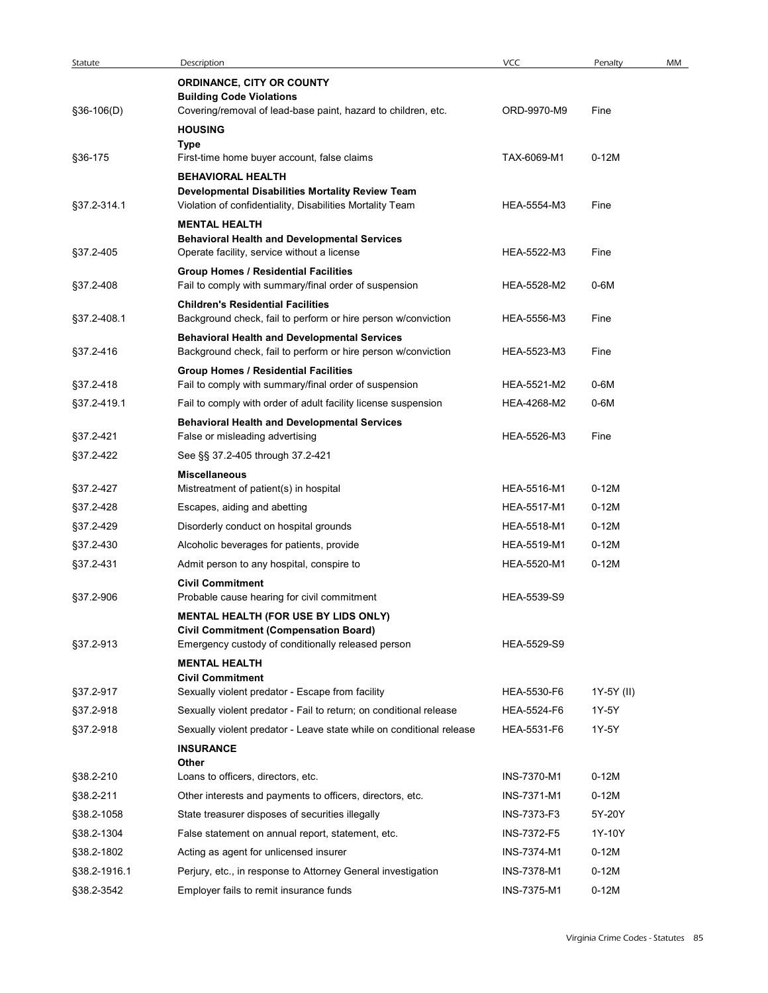| Statute      | Description                                                                                               | VCC         | Penalty    | MM |
|--------------|-----------------------------------------------------------------------------------------------------------|-------------|------------|----|
|              | ORDINANCE, CITY OR COUNTY                                                                                 |             |            |    |
|              | <b>Building Code Violations</b>                                                                           |             |            |    |
| §36-106(D)   | Covering/removal of lead-base paint, hazard to children, etc.                                             | ORD-9970-M9 | Fine       |    |
|              | <b>HOUSING</b><br>Type                                                                                    |             |            |    |
| §36-175      | First-time home buyer account, false claims                                                               | TAX-6069-M1 | $0-12M$    |    |
|              | <b>BEHAVIORAL HEALTH</b>                                                                                  |             |            |    |
|              | Developmental Disabilities Mortality Review Team                                                          |             |            |    |
| §37.2-314.1  | Violation of confidentiality, Disabilities Mortality Team                                                 | HEA-5554-M3 | Fine       |    |
|              | <b>MENTAL HEALTH</b><br><b>Behavioral Health and Developmental Services</b>                               |             |            |    |
| §37.2-405    | Operate facility, service without a license                                                               | HEA-5522-M3 | Fine       |    |
|              | <b>Group Homes / Residential Facilities</b>                                                               |             |            |    |
| §37.2-408    | Fail to comply with summary/final order of suspension                                                     | HEA-5528-M2 | 0-6M       |    |
| §37.2-408.1  | <b>Children's Residential Facilities</b><br>Background check, fail to perform or hire person w/conviction | HEA-5556-M3 | Fine       |    |
|              | <b>Behavioral Health and Developmental Services</b>                                                       |             |            |    |
| §37.2-416    | Background check, fail to perform or hire person w/conviction                                             | HEA-5523-M3 | Fine       |    |
|              | <b>Group Homes / Residential Facilities</b>                                                               |             |            |    |
| §37.2-418    | Fail to comply with summary/final order of suspension                                                     | HEA-5521-M2 | $0-6M$     |    |
| §37.2-419.1  | Fail to comply with order of adult facility license suspension                                            | HEA-4268-M2 | 0-6M       |    |
| §37.2-421    | <b>Behavioral Health and Developmental Services</b><br>False or misleading advertising                    | HEA-5526-M3 | Fine       |    |
| §37.2-422    | See §§ 37.2-405 through 37.2-421                                                                          |             |            |    |
|              | <b>Miscellaneous</b>                                                                                      |             |            |    |
| §37.2-427    | Mistreatment of patient(s) in hospital                                                                    | HEA-5516-M1 | $0-12M$    |    |
| §37.2-428    | Escapes, aiding and abetting                                                                              | HEA-5517-M1 | $0-12M$    |    |
| §37.2-429    | Disorderly conduct on hospital grounds                                                                    | HEA-5518-M1 | $0-12M$    |    |
| §37.2-430    | Alcoholic beverages for patients, provide                                                                 | HEA-5519-M1 | $0-12M$    |    |
| §37.2-431    | Admit person to any hospital, conspire to                                                                 | HEA-5520-M1 | $0-12M$    |    |
|              | <b>Civil Commitment</b>                                                                                   |             |            |    |
| §37.2-906    | Probable cause hearing for civil commitment                                                               | HEA-5539-S9 |            |    |
|              | <b>MENTAL HEALTH (FOR USE BY LIDS ONLY)</b>                                                               |             |            |    |
| §37.2-913    | <b>Civil Commitment (Compensation Board)</b><br>Emergency custody of conditionally released person        | HEA-5529-S9 |            |    |
|              | <b>MENTAL HEALTH</b>                                                                                      |             |            |    |
|              | <b>Civil Commitment</b>                                                                                   |             |            |    |
| §37.2-917    | Sexually violent predator - Escape from facility                                                          | HEA-5530-F6 | 1Y-5Y (II) |    |
| §37.2-918    | Sexually violent predator - Fail to return; on conditional release                                        | HEA-5524-F6 | 1Y-5Y      |    |
| §37.2-918    | Sexually violent predator - Leave state while on conditional release                                      | HEA-5531-F6 | 1Y-5Y      |    |
|              | <b>INSURANCE</b>                                                                                          |             |            |    |
| §38.2-210    | Other<br>Loans to officers, directors, etc.                                                               | INS-7370-M1 | $0-12M$    |    |
| §38.2-211    | Other interests and payments to officers, directors, etc.                                                 | INS-7371-M1 | $0-12M$    |    |
| §38.2-1058   | State treasurer disposes of securities illegally                                                          | INS-7373-F3 | 5Y-20Y     |    |
| §38.2-1304   | False statement on annual report, statement, etc.                                                         | INS-7372-F5 | 1Y-10Y     |    |
| §38.2-1802   | Acting as agent for unlicensed insurer                                                                    | INS-7374-M1 | $0-12M$    |    |
| §38.2-1916.1 | Perjury, etc., in response to Attorney General investigation                                              | INS-7378-M1 | $0-12M$    |    |
|              |                                                                                                           |             |            |    |
| §38.2-3542   | Employer fails to remit insurance funds                                                                   | INS-7375-M1 | $0-12M$    |    |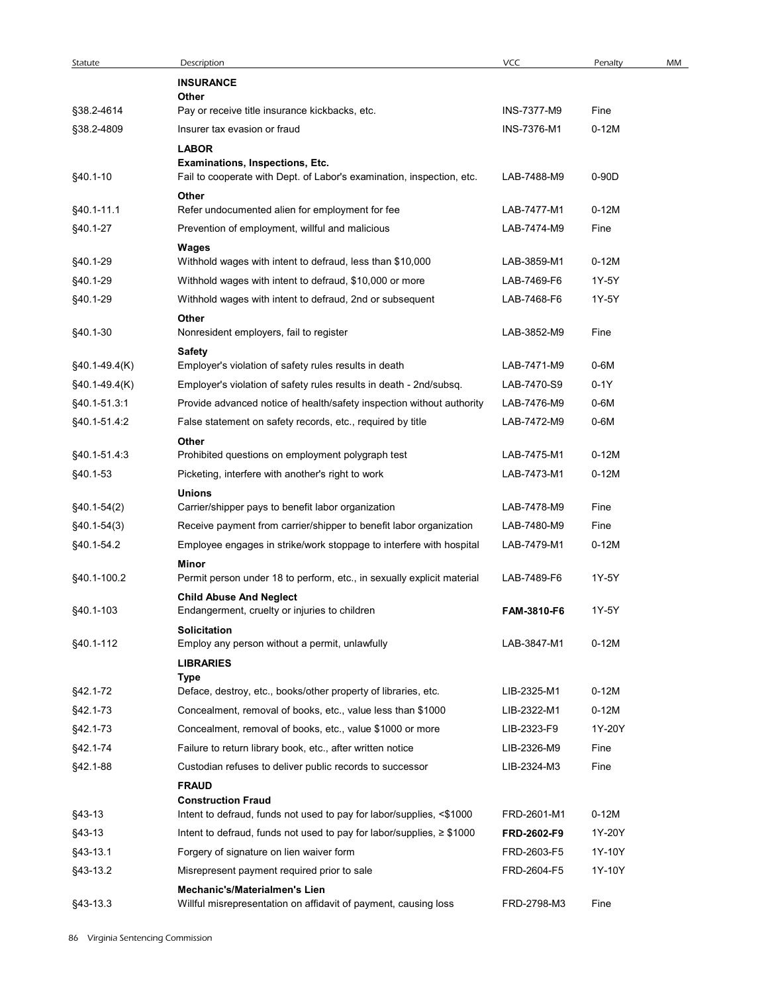| Statute         | Description                                                                     | <b>VCC</b>  | Penalty | MM |
|-----------------|---------------------------------------------------------------------------------|-------------|---------|----|
|                 | <b>INSURANCE</b>                                                                |             |         |    |
| §38.2-4614      | Other<br>Pay or receive title insurance kickbacks, etc.                         | INS-7377-M9 | Fine    |    |
| §38.2-4809      | Insurer tax evasion or fraud                                                    | INS-7376-M1 | $0-12M$ |    |
|                 | <b>LABOR</b>                                                                    |             |         |    |
|                 | Examinations, Inspections, Etc.                                                 |             |         |    |
| §40.1-10        | Fail to cooperate with Dept. of Labor's examination, inspection, etc.           | LAB-7488-M9 | $0-90D$ |    |
|                 | Other                                                                           |             |         |    |
| §40.1-11.1      | Refer undocumented alien for employment for fee                                 | LAB-7477-M1 | $0-12M$ |    |
| §40.1-27        | Prevention of employment, willful and malicious                                 | LAB-7474-M9 | Fine    |    |
| §40.1-29        | Wages<br>Withhold wages with intent to defraud, less than \$10,000              | LAB-3859-M1 | $0-12M$ |    |
| §40.1-29        | Withhold wages with intent to defraud, \$10,000 or more                         | LAB-7469-F6 | 1Y-5Y   |    |
| §40.1-29        | Withhold wages with intent to defraud, 2nd or subsequent                        | LAB-7468-F6 | 1Y-5Y   |    |
|                 | Other                                                                           |             |         |    |
| §40.1-30        | Nonresident employers, fail to register                                         | LAB-3852-M9 | Fine    |    |
|                 | <b>Safety</b>                                                                   |             |         |    |
| $§40.1-49.4(K)$ | Employer's violation of safety rules results in death                           | LAB-7471-M9 | $0-6M$  |    |
| $§40.1-49.4(K)$ | Employer's violation of safety rules results in death - 2nd/subsq.              | LAB-7470-S9 | $0-1Y$  |    |
| §40.1-51.3.1    | Provide advanced notice of health/safety inspection without authority           | LAB-7476-M9 | $0-6M$  |    |
| §40.1-51.4:2    | False statement on safety records, etc., required by title                      | LAB-7472-M9 | $0-6M$  |    |
|                 | Other                                                                           |             |         |    |
| §40.1-51.4:3    | Prohibited questions on employment polygraph test                               | LAB-7475-M1 | $0-12M$ |    |
| §40.1-53        | Picketing, interfere with another's right to work                               | LAB-7473-M1 | $0-12M$ |    |
|                 | Unions                                                                          | LAB-7478-M9 |         |    |
| $§40.1-54(2)$   | Carrier/shipper pays to benefit labor organization                              |             | Fine    |    |
| §40.1-54(3)     | Receive payment from carrier/shipper to benefit labor organization              | LAB-7480-M9 | Fine    |    |
| §40.1-54.2      | Employee engages in strike/work stoppage to interfere with hospital             | LAB-7479-M1 | $0-12M$ |    |
| §40.1-100.2     | Minor<br>Permit person under 18 to perform, etc., in sexually explicit material | LAB-7489-F6 | 1Y-5Y   |    |
|                 | <b>Child Abuse And Neglect</b>                                                  |             |         |    |
| §40.1-103       | Endangerment, cruelty or injuries to children                                   | FAM-3810-F6 | 1Y-5Y   |    |
|                 | Solicitation                                                                    |             |         |    |
| §40.1-112       | Employ any person without a permit, unlawfully                                  | LAB-3847-M1 | $0-12M$ |    |
|                 | <b>LIBRARIES</b>                                                                |             |         |    |
| §42.1-72        | Type<br>Deface, destroy, etc., books/other property of libraries, etc.          | LIB-2325-M1 | $0-12M$ |    |
| §42.1-73        | Concealment, removal of books, etc., value less than \$1000                     | LIB-2322-M1 | $0-12M$ |    |
| §42.1-73        | Concealment, removal of books, etc., value \$1000 or more                       | LIB-2323-F9 | 1Y-20Y  |    |
| §42.1-74        | Failure to return library book, etc., after written notice                      | LIB-2326-M9 | Fine    |    |
| §42.1-88        | Custodian refuses to deliver public records to successor                        | LIB-2324-M3 | Fine    |    |
|                 | <b>FRAUD</b>                                                                    |             |         |    |
|                 | <b>Construction Fraud</b>                                                       |             |         |    |
| §43-13          | Intent to defraud, funds not used to pay for labor/supplies, <\$1000            | FRD-2601-M1 | $0-12M$ |    |
| §43-13          | Intent to defraud, funds not used to pay for labor/supplies, $\geq$ \$1000      | FRD-2602-F9 | 1Y-20Y  |    |
| §43-13.1        | Forgery of signature on lien waiver form                                        | FRD-2603-F5 | 1Y-10Y  |    |
| §43-13.2        | Misrepresent payment required prior to sale                                     | FRD-2604-F5 | 1Y-10Y  |    |
|                 | Mechanic's/Materialmen's Lien                                                   |             |         |    |
| §43-13.3        | Willful misrepresentation on affidavit of payment, causing loss                 | FRD-2798-M3 | Fine    |    |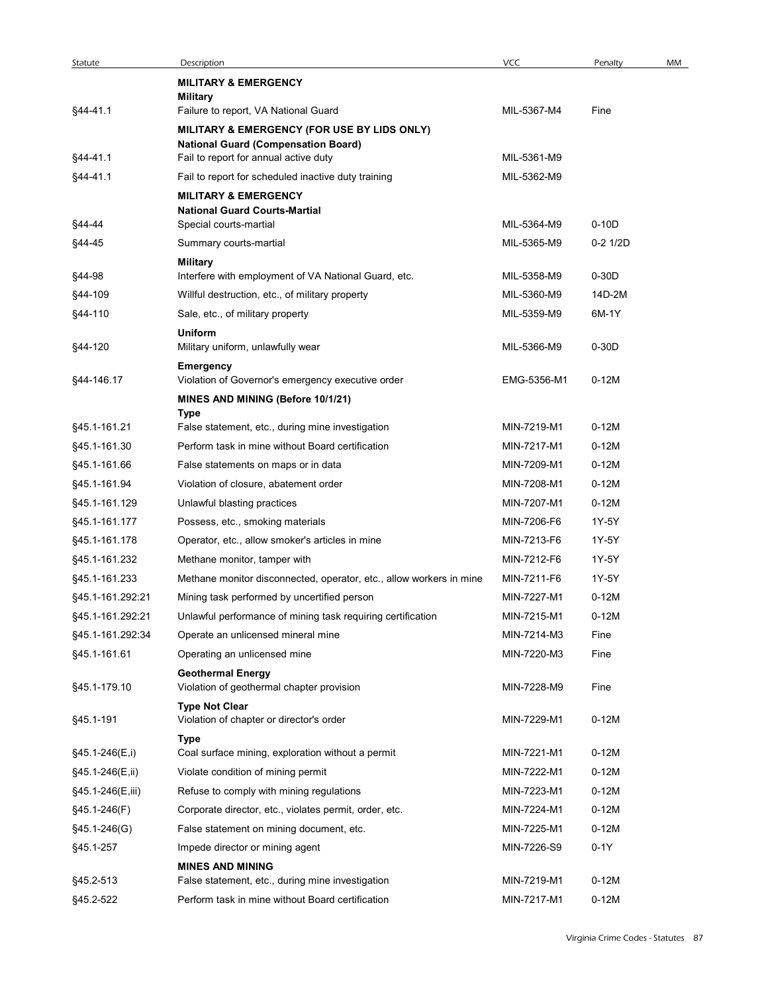| Statute          | Description                                                                                          | <b>VCC</b>  | Penalty    |
|------------------|------------------------------------------------------------------------------------------------------|-------------|------------|
|                  | <b>MILITARY &amp; EMERGENCY</b>                                                                      |             |            |
|                  | <b>Military</b>                                                                                      |             |            |
| §44-41.1         | Failure to report, VA National Guard                                                                 | MIL-5367-M4 | Fine       |
|                  | MILITARY & EMERGENCY (FOR USE BY LIDS ONLY)                                                          |             |            |
| §44-41.1         | <b>National Guard (Compensation Board)</b><br>Fail to report for annual active duty                  | MIL-5361-M9 |            |
| §44-41.1         | Fail to report for scheduled inactive duty training                                                  | MIL-5362-M9 |            |
|                  | <b>MILITARY &amp; EMERGENCY</b>                                                                      |             |            |
|                  | <b>National Guard Courts-Martial</b>                                                                 |             |            |
| §44-44           | Special courts-martial                                                                               | MIL-5364-M9 | $0-10D$    |
| §44-45           | Summary courts-martial                                                                               | MIL-5365-M9 | $0-2$ 1/2D |
| §44-98           | <b>Military</b><br>Interfere with employment of VA National Guard, etc.                              | MIL-5358-M9 | $0-30D$    |
| §44-109          | Willful destruction, etc., of military property                                                      | MIL-5360-M9 | 14D-2M     |
| §44-110          | Sale, etc., of military property                                                                     | MIL-5359-M9 | 6M-1Y      |
|                  | <b>Uniform</b>                                                                                       |             |            |
| §44-120          | Military uniform, unlawfully wear                                                                    | MIL-5366-M9 | $0-30D$    |
|                  | Emergency                                                                                            |             |            |
| §44-146.17       | Violation of Governor's emergency executive order                                                    | EMG-5356-M1 | $0-12M$    |
|                  | MINES AND MINING (Before 10/1/21)                                                                    |             |            |
| §45.1-161.21     | <b>Type</b><br>False statement, etc., during mine investigation                                      | MIN-7219-M1 | $0-12M$    |
| §45.1-161.30     | Perform task in mine without Board certification                                                     | MIN-7217-M1 | $0-12M$    |
| §45.1-161.66     | False statements on maps or in data                                                                  | MIN-7209-M1 | $0-12M$    |
| §45.1-161.94     | Violation of closure, abatement order                                                                | MIN-7208-M1 | $0-12M$    |
| §45.1-161.129    | Unlawful blasting practices                                                                          | MIN-7207-M1 | $0-12M$    |
| §45.1-161.177    | Possess, etc., smoking materials                                                                     | MIN-7206-F6 | 1Y-5Y      |
| §45.1-161.178    | Operator, etc., allow smoker's articles in mine                                                      | MIN-7213-F6 | 1Y-5Y      |
| §45.1-161.232    | Methane monitor, tamper with                                                                         | MIN-7212-F6 | 1Y-5Y      |
| §45.1-161.233    | Methane monitor disconnected, operator, etc., allow workers in mine                                  | MIN-7211-F6 | 1Y-5Y      |
| §45.1-161.292:21 | Mining task performed by uncertified person                                                          | MIN-7227-M1 | $0-12M$    |
| §45.1-161.292:21 | Unlawful performance of mining task requiring certification                                          | MIN-7215-M1 | $0-12M$    |
| §45.1-161.292:34 | Operate an unlicensed mineral mine                                                                   | MIN-7214-M3 | Fine       |
| §45.1-161.61     | Operating an unlicensed mine                                                                         | MIN-7220-M3 | Fine       |
|                  | <b>Geothermal Energy</b>                                                                             |             |            |
| §45.1-179.10     | Violation of geothermal chapter provision                                                            | MIN-7228-M9 | Fine       |
|                  | <b>Type Not Clear</b>                                                                                |             |            |
| §45.1-191        | Violation of chapter or director's order                                                             | MIN-7229-M1 | $0-12M$    |
|                  | Type                                                                                                 |             |            |
| §45.1-246(E,i)   | Coal surface mining, exploration without a permit                                                    | MIN-7221-M1 | $0-12M$    |
| §45.1-246(E,ii)  | Violate condition of mining permit                                                                   | MIN-7222-M1 | $0-12M$    |
| §45.1-246(E,iii) | Refuse to comply with mining regulations                                                             | MIN-7223-M1 | $0-12M$    |
| §45.1-246(F)     | Corporate director, etc., violates permit, order, etc.                                               | MIN-7224-M1 | $0-12M$    |
| §45.1-246(G)     | False statement on mining document, etc.                                                             | MIN-7225-M1 | $0-12M$    |
| §45.1-257        | Impede director or mining agent                                                                      | MIN-7226-S9 | $0-1Y$     |
| §45.2-513        | <b>MINES AND MINING</b>                                                                              | MIN-7219-M1 | $0-12M$    |
| §45.2-522        | False statement, etc., during mine investigation<br>Perform task in mine without Board certification |             |            |
|                  |                                                                                                      | MIN-7217-M1 | $0-12M$    |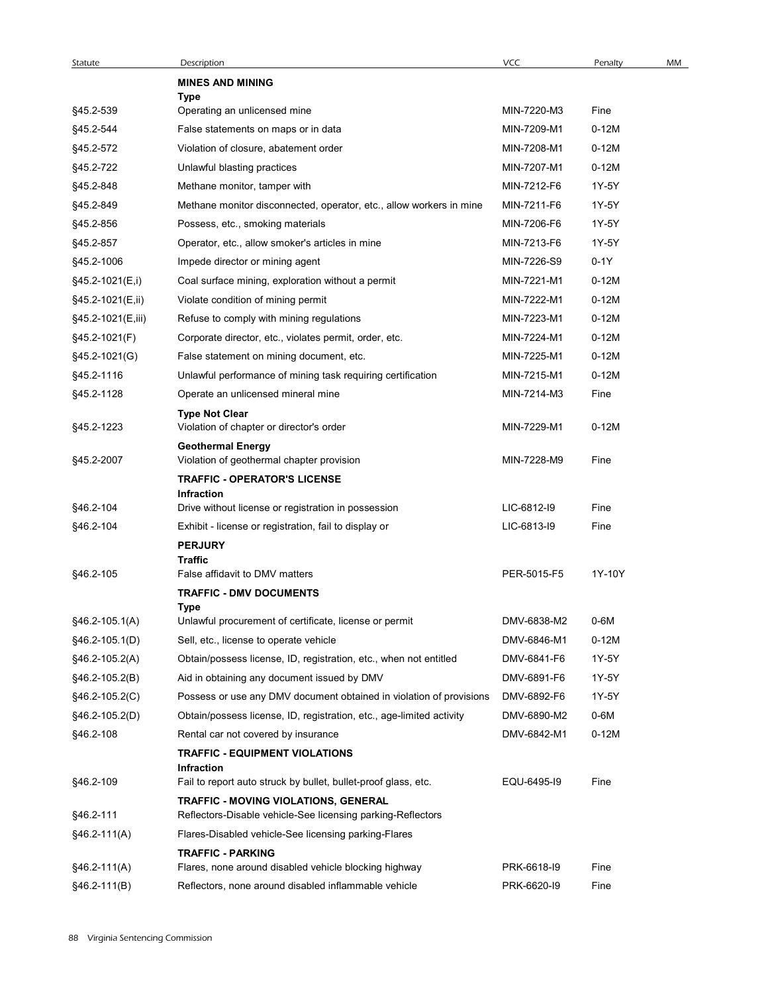| Statute           | Description                                                                                         | <b>VCC</b>                 | Penalty      | MM |
|-------------------|-----------------------------------------------------------------------------------------------------|----------------------------|--------------|----|
|                   | <b>MINES AND MINING</b><br>Type                                                                     |                            |              |    |
| §45.2-539         | Operating an unlicensed mine                                                                        | MIN-7220-M3                | Fine         |    |
| §45.2-544         | False statements on maps or in data                                                                 | MIN-7209-M1                | $0-12M$      |    |
| §45.2-572         | Violation of closure, abatement order                                                               | MIN-7208-M1                | $0-12M$      |    |
| §45.2-722         | Unlawful blasting practices                                                                         | MIN-7207-M1                | $0-12M$      |    |
| §45.2-848         | Methane monitor, tamper with                                                                        | MIN-7212-F6                | 1Y-5Y        |    |
| §45.2-849         | Methane monitor disconnected, operator, etc., allow workers in mine                                 | MIN-7211-F6                | 1Y-5Y        |    |
| §45.2-856         | Possess, etc., smoking materials                                                                    | MIN-7206-F6                | 1Y-5Y        |    |
| §45.2-857         | Operator, etc., allow smoker's articles in mine                                                     | MIN-7213-F6                | 1Y-5Y        |    |
| §45.2-1006        | Impede director or mining agent                                                                     | MIN-7226-S9                | $0-1Y$       |    |
| §45.2-1021(E,i)   | Coal surface mining, exploration without a permit                                                   | MIN-7221-M1                | $0-12M$      |    |
| §45.2-1021(E,ii)  | Violate condition of mining permit                                                                  | MIN-7222-M1                | $0-12M$      |    |
| §45.2-1021(E,iii) | Refuse to comply with mining regulations                                                            | MIN-7223-M1                | $0-12M$      |    |
| §45.2-1021(F)     | Corporate director, etc., violates permit, order, etc.                                              | MIN-7224-M1                | $0-12M$      |    |
| §45.2-1021(G)     | False statement on mining document, etc.                                                            | MIN-7225-M1                | $0-12M$      |    |
| §45.2-1116        | Unlawful performance of mining task requiring certification                                         | MIN-7215-M1                | $0-12M$      |    |
| §45.2-1128        | Operate an unlicensed mineral mine                                                                  | MIN-7214-M3                | Fine         |    |
|                   | <b>Type Not Clear</b>                                                                               |                            |              |    |
| §45.2-1223        | Violation of chapter or director's order<br><b>Geothermal Energy</b>                                | MIN-7229-M1                | $0-12M$      |    |
| §45.2-2007        | Violation of geothermal chapter provision<br><b>TRAFFIC - OPERATOR'S LICENSE</b>                    | MIN-7228-M9                | Fine         |    |
|                   | Infraction                                                                                          |                            |              |    |
| §46.2-104         | Drive without license or registration in possession                                                 | LIC-6812-I9<br>LIC-6813-I9 | Fine<br>Fine |    |
| §46.2-104         | Exhibit - license or registration, fail to display or<br><b>PERJURY</b>                             |                            |              |    |
| §46.2-105         | <b>Traffic</b><br>False affidavit to DMV matters                                                    | PER-5015-F5                | 1Y-10Y       |    |
|                   | <b>TRAFFIC - DMV DOCUMENTS</b>                                                                      |                            |              |    |
|                   | Type                                                                                                |                            |              |    |
| $$46.2-105.1(A)$  | Unlawful procurement of certificate, license or permit                                              | DMV-6838-M2                | $0-6M$       |    |
| §46.2-105.1(D)    | Sell, etc., license to operate vehicle                                                              | DMV-6846-M1                | $0-12M$      |    |
| $§46.2-105.2(A)$  | Obtain/possess license, ID, registration, etc., when not entitled                                   | DMV-6841-F6                | 1Y-5Y        |    |
| §46.2-105.2(B)    | Aid in obtaining any document issued by DMV                                                         | DMV-6891-F6                | 1Y-5Y        |    |
| $§46.2-105.2(C)$  | Possess or use any DMV document obtained in violation of provisions                                 | DMV-6892-F6                | 1Y-5Y        |    |
| §46.2-105.2(D)    | Obtain/possess license, ID, registration, etc., age-limited activity                                | DMV-6890-M2                | 0-6M         |    |
| §46.2-108         | Rental car not covered by insurance                                                                 | DMV-6842-M1                | $0-12M$      |    |
|                   | <b>TRAFFIC - EQUIPMENT VIOLATIONS</b><br>Infraction                                                 |                            |              |    |
| §46.2-109         | Fail to report auto struck by bullet, bullet-proof glass, etc.                                      | EQU-6495-19                | Fine         |    |
| §46.2-111         | TRAFFIC - MOVING VIOLATIONS, GENERAL<br>Reflectors-Disable vehicle-See licensing parking-Reflectors |                            |              |    |
| $§46.2-111(A)$    | Flares-Disabled vehicle-See licensing parking-Flares                                                |                            |              |    |
|                   | <b>TRAFFIC - PARKING</b>                                                                            |                            |              |    |
| $§46.2-111(A)$    | Flares, none around disabled vehicle blocking highway                                               | PRK-6618-I9                | Fine         |    |
| $§46.2-111(B)$    | Reflectors, none around disabled inflammable vehicle                                                | PRK-6620-I9                | Fine         |    |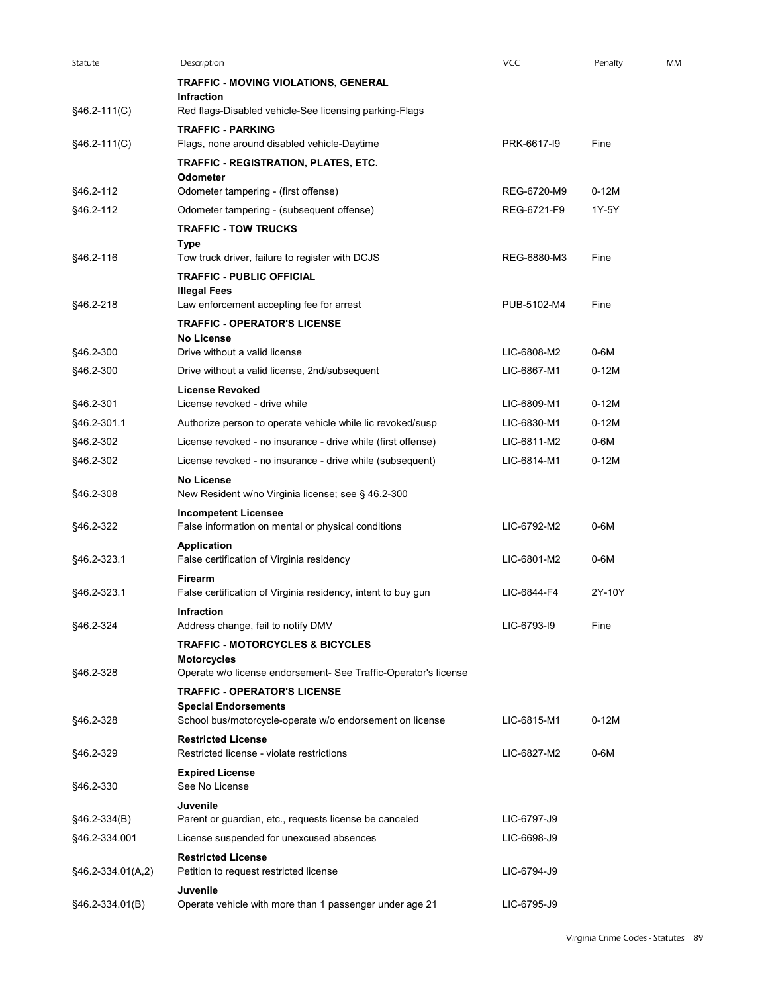| <b>VCC</b><br>Statute<br>Description<br>Penalty<br>MM<br>TRAFFIC - MOVING VIOLATIONS, GENERAL<br>Infraction<br>§46.2-111(C)<br>Red flags-Disabled vehicle-See licensing parking-Flags<br><b>TRAFFIC - PARKING</b><br>$§46.2-111(C)$<br>Flags, none around disabled vehicle-Daytime<br>PRK-6617-I9<br>Fine<br>TRAFFIC - REGISTRATION, PLATES, ETC.<br>Odometer<br>$0-12M$<br>§46.2-112<br>Odometer tampering - (first offense)<br>REG-6720-M9<br>§46.2-112<br>Odometer tampering - (subsequent offense)<br>REG-6721-F9<br>1Y-5Y<br><b>TRAFFIC - TOW TRUCKS</b><br>Type<br>§46.2-116<br>Tow truck driver, failure to register with DCJS<br>REG-6880-M3<br>Fine<br><b>TRAFFIC - PUBLIC OFFICIAL</b><br><b>Illegal Fees</b><br>§46.2-218<br>Law enforcement accepting fee for arrest<br>PUB-5102-M4<br>Fine<br><b>TRAFFIC - OPERATOR'S LICENSE</b><br><b>No License</b><br>Drive without a valid license<br>LIC-6808-M2<br>$0-6M$<br>§46.2-300<br>§46.2-300<br>$0-12M$<br>Drive without a valid license, 2nd/subsequent<br>LIC-6867-M1<br><b>License Revoked</b><br>§46.2-301<br>License revoked - drive while<br>LIC-6809-M1<br>$0-12M$<br>§46.2-301.1<br>LIC-6830-M1<br>$0-12M$<br>Authorize person to operate vehicle while lic revoked/susp<br>§46.2-302<br>License revoked - no insurance - drive while (first offense)<br>LIC-6811-M2<br>0-6M<br>$0-12M$<br>§46.2-302<br>License revoked - no insurance - drive while (subsequent)<br>LIC-6814-M1<br><b>No License</b><br>§46.2-308<br>New Resident w/no Virginia license; see § 46.2-300<br><b>Incompetent Licensee</b><br>§46.2-322<br>LIC-6792-M2<br>0-6M<br>False information on mental or physical conditions<br>Application<br>§46.2-323.1<br>False certification of Virginia residency<br>LIC-6801-M2<br>$0-6M$<br>Firearm<br>§46.2-323.1<br>False certification of Virginia residency, intent to buy gun<br>LIC-6844-F4<br>2Y-10Y<br>Infraction<br>Address change, fail to notify DMV<br>LIC-6793-I9<br>§46.2-324<br>Fine<br><b>TRAFFIC - MOTORCYCLES &amp; BICYCLES</b><br><b>Motorcycles</b><br>§46.2-328<br>Operate w/o license endorsement- See Traffic-Operator's license<br><b>TRAFFIC - OPERATOR'S LICENSE</b><br><b>Special Endorsements</b><br>$0-12M$<br>§46.2-328<br>School bus/motorcycle-operate w/o endorsement on license<br>LIC-6815-M1<br><b>Restricted License</b><br>0-6M<br>Restricted license - violate restrictions<br>LIC-6827-M2<br>§46.2-329<br><b>Expired License</b><br>§46.2-330<br>See No License<br>Juvenile<br>Parent or guardian, etc., requests license be canceled<br>LIC-6797-J9<br>$§46.2-334(B)$<br>§46.2-334.001<br>License suspended for unexcused absences<br>LIC-6698-J9<br><b>Restricted License</b><br>§46.2-334.01(A,2)<br>LIC-6794-J9<br>Petition to request restricted license<br>Juvenile<br>LIC-6795-J9<br>§46.2-334.01(B)<br>Operate vehicle with more than 1 passenger under age 21 |  |  |  |
|-------------------------------------------------------------------------------------------------------------------------------------------------------------------------------------------------------------------------------------------------------------------------------------------------------------------------------------------------------------------------------------------------------------------------------------------------------------------------------------------------------------------------------------------------------------------------------------------------------------------------------------------------------------------------------------------------------------------------------------------------------------------------------------------------------------------------------------------------------------------------------------------------------------------------------------------------------------------------------------------------------------------------------------------------------------------------------------------------------------------------------------------------------------------------------------------------------------------------------------------------------------------------------------------------------------------------------------------------------------------------------------------------------------------------------------------------------------------------------------------------------------------------------------------------------------------------------------------------------------------------------------------------------------------------------------------------------------------------------------------------------------------------------------------------------------------------------------------------------------------------------------------------------------------------------------------------------------------------------------------------------------------------------------------------------------------------------------------------------------------------------------------------------------------------------------------------------------------------------------------------------------------------------------------------------------------------------------------------------------------------------------------------------------------------------------------------------------------------------------------------------------------------------------------------------------------------------------------------------------------------------------------------------------------------------------------------------------------------------------------------------------------------------------------------------------------------------------------------------------------------------------------------|--|--|--|
|                                                                                                                                                                                                                                                                                                                                                                                                                                                                                                                                                                                                                                                                                                                                                                                                                                                                                                                                                                                                                                                                                                                                                                                                                                                                                                                                                                                                                                                                                                                                                                                                                                                                                                                                                                                                                                                                                                                                                                                                                                                                                                                                                                                                                                                                                                                                                                                                                                                                                                                                                                                                                                                                                                                                                                                                                                                                                                 |  |  |  |
|                                                                                                                                                                                                                                                                                                                                                                                                                                                                                                                                                                                                                                                                                                                                                                                                                                                                                                                                                                                                                                                                                                                                                                                                                                                                                                                                                                                                                                                                                                                                                                                                                                                                                                                                                                                                                                                                                                                                                                                                                                                                                                                                                                                                                                                                                                                                                                                                                                                                                                                                                                                                                                                                                                                                                                                                                                                                                                 |  |  |  |
|                                                                                                                                                                                                                                                                                                                                                                                                                                                                                                                                                                                                                                                                                                                                                                                                                                                                                                                                                                                                                                                                                                                                                                                                                                                                                                                                                                                                                                                                                                                                                                                                                                                                                                                                                                                                                                                                                                                                                                                                                                                                                                                                                                                                                                                                                                                                                                                                                                                                                                                                                                                                                                                                                                                                                                                                                                                                                                 |  |  |  |
|                                                                                                                                                                                                                                                                                                                                                                                                                                                                                                                                                                                                                                                                                                                                                                                                                                                                                                                                                                                                                                                                                                                                                                                                                                                                                                                                                                                                                                                                                                                                                                                                                                                                                                                                                                                                                                                                                                                                                                                                                                                                                                                                                                                                                                                                                                                                                                                                                                                                                                                                                                                                                                                                                                                                                                                                                                                                                                 |  |  |  |
|                                                                                                                                                                                                                                                                                                                                                                                                                                                                                                                                                                                                                                                                                                                                                                                                                                                                                                                                                                                                                                                                                                                                                                                                                                                                                                                                                                                                                                                                                                                                                                                                                                                                                                                                                                                                                                                                                                                                                                                                                                                                                                                                                                                                                                                                                                                                                                                                                                                                                                                                                                                                                                                                                                                                                                                                                                                                                                 |  |  |  |
|                                                                                                                                                                                                                                                                                                                                                                                                                                                                                                                                                                                                                                                                                                                                                                                                                                                                                                                                                                                                                                                                                                                                                                                                                                                                                                                                                                                                                                                                                                                                                                                                                                                                                                                                                                                                                                                                                                                                                                                                                                                                                                                                                                                                                                                                                                                                                                                                                                                                                                                                                                                                                                                                                                                                                                                                                                                                                                 |  |  |  |
|                                                                                                                                                                                                                                                                                                                                                                                                                                                                                                                                                                                                                                                                                                                                                                                                                                                                                                                                                                                                                                                                                                                                                                                                                                                                                                                                                                                                                                                                                                                                                                                                                                                                                                                                                                                                                                                                                                                                                                                                                                                                                                                                                                                                                                                                                                                                                                                                                                                                                                                                                                                                                                                                                                                                                                                                                                                                                                 |  |  |  |
|                                                                                                                                                                                                                                                                                                                                                                                                                                                                                                                                                                                                                                                                                                                                                                                                                                                                                                                                                                                                                                                                                                                                                                                                                                                                                                                                                                                                                                                                                                                                                                                                                                                                                                                                                                                                                                                                                                                                                                                                                                                                                                                                                                                                                                                                                                                                                                                                                                                                                                                                                                                                                                                                                                                                                                                                                                                                                                 |  |  |  |
|                                                                                                                                                                                                                                                                                                                                                                                                                                                                                                                                                                                                                                                                                                                                                                                                                                                                                                                                                                                                                                                                                                                                                                                                                                                                                                                                                                                                                                                                                                                                                                                                                                                                                                                                                                                                                                                                                                                                                                                                                                                                                                                                                                                                                                                                                                                                                                                                                                                                                                                                                                                                                                                                                                                                                                                                                                                                                                 |  |  |  |
|                                                                                                                                                                                                                                                                                                                                                                                                                                                                                                                                                                                                                                                                                                                                                                                                                                                                                                                                                                                                                                                                                                                                                                                                                                                                                                                                                                                                                                                                                                                                                                                                                                                                                                                                                                                                                                                                                                                                                                                                                                                                                                                                                                                                                                                                                                                                                                                                                                                                                                                                                                                                                                                                                                                                                                                                                                                                                                 |  |  |  |
|                                                                                                                                                                                                                                                                                                                                                                                                                                                                                                                                                                                                                                                                                                                                                                                                                                                                                                                                                                                                                                                                                                                                                                                                                                                                                                                                                                                                                                                                                                                                                                                                                                                                                                                                                                                                                                                                                                                                                                                                                                                                                                                                                                                                                                                                                                                                                                                                                                                                                                                                                                                                                                                                                                                                                                                                                                                                                                 |  |  |  |
|                                                                                                                                                                                                                                                                                                                                                                                                                                                                                                                                                                                                                                                                                                                                                                                                                                                                                                                                                                                                                                                                                                                                                                                                                                                                                                                                                                                                                                                                                                                                                                                                                                                                                                                                                                                                                                                                                                                                                                                                                                                                                                                                                                                                                                                                                                                                                                                                                                                                                                                                                                                                                                                                                                                                                                                                                                                                                                 |  |  |  |
|                                                                                                                                                                                                                                                                                                                                                                                                                                                                                                                                                                                                                                                                                                                                                                                                                                                                                                                                                                                                                                                                                                                                                                                                                                                                                                                                                                                                                                                                                                                                                                                                                                                                                                                                                                                                                                                                                                                                                                                                                                                                                                                                                                                                                                                                                                                                                                                                                                                                                                                                                                                                                                                                                                                                                                                                                                                                                                 |  |  |  |
|                                                                                                                                                                                                                                                                                                                                                                                                                                                                                                                                                                                                                                                                                                                                                                                                                                                                                                                                                                                                                                                                                                                                                                                                                                                                                                                                                                                                                                                                                                                                                                                                                                                                                                                                                                                                                                                                                                                                                                                                                                                                                                                                                                                                                                                                                                                                                                                                                                                                                                                                                                                                                                                                                                                                                                                                                                                                                                 |  |  |  |
|                                                                                                                                                                                                                                                                                                                                                                                                                                                                                                                                                                                                                                                                                                                                                                                                                                                                                                                                                                                                                                                                                                                                                                                                                                                                                                                                                                                                                                                                                                                                                                                                                                                                                                                                                                                                                                                                                                                                                                                                                                                                                                                                                                                                                                                                                                                                                                                                                                                                                                                                                                                                                                                                                                                                                                                                                                                                                                 |  |  |  |
|                                                                                                                                                                                                                                                                                                                                                                                                                                                                                                                                                                                                                                                                                                                                                                                                                                                                                                                                                                                                                                                                                                                                                                                                                                                                                                                                                                                                                                                                                                                                                                                                                                                                                                                                                                                                                                                                                                                                                                                                                                                                                                                                                                                                                                                                                                                                                                                                                                                                                                                                                                                                                                                                                                                                                                                                                                                                                                 |  |  |  |
|                                                                                                                                                                                                                                                                                                                                                                                                                                                                                                                                                                                                                                                                                                                                                                                                                                                                                                                                                                                                                                                                                                                                                                                                                                                                                                                                                                                                                                                                                                                                                                                                                                                                                                                                                                                                                                                                                                                                                                                                                                                                                                                                                                                                                                                                                                                                                                                                                                                                                                                                                                                                                                                                                                                                                                                                                                                                                                 |  |  |  |
|                                                                                                                                                                                                                                                                                                                                                                                                                                                                                                                                                                                                                                                                                                                                                                                                                                                                                                                                                                                                                                                                                                                                                                                                                                                                                                                                                                                                                                                                                                                                                                                                                                                                                                                                                                                                                                                                                                                                                                                                                                                                                                                                                                                                                                                                                                                                                                                                                                                                                                                                                                                                                                                                                                                                                                                                                                                                                                 |  |  |  |
|                                                                                                                                                                                                                                                                                                                                                                                                                                                                                                                                                                                                                                                                                                                                                                                                                                                                                                                                                                                                                                                                                                                                                                                                                                                                                                                                                                                                                                                                                                                                                                                                                                                                                                                                                                                                                                                                                                                                                                                                                                                                                                                                                                                                                                                                                                                                                                                                                                                                                                                                                                                                                                                                                                                                                                                                                                                                                                 |  |  |  |
|                                                                                                                                                                                                                                                                                                                                                                                                                                                                                                                                                                                                                                                                                                                                                                                                                                                                                                                                                                                                                                                                                                                                                                                                                                                                                                                                                                                                                                                                                                                                                                                                                                                                                                                                                                                                                                                                                                                                                                                                                                                                                                                                                                                                                                                                                                                                                                                                                                                                                                                                                                                                                                                                                                                                                                                                                                                                                                 |  |  |  |
|                                                                                                                                                                                                                                                                                                                                                                                                                                                                                                                                                                                                                                                                                                                                                                                                                                                                                                                                                                                                                                                                                                                                                                                                                                                                                                                                                                                                                                                                                                                                                                                                                                                                                                                                                                                                                                                                                                                                                                                                                                                                                                                                                                                                                                                                                                                                                                                                                                                                                                                                                                                                                                                                                                                                                                                                                                                                                                 |  |  |  |
|                                                                                                                                                                                                                                                                                                                                                                                                                                                                                                                                                                                                                                                                                                                                                                                                                                                                                                                                                                                                                                                                                                                                                                                                                                                                                                                                                                                                                                                                                                                                                                                                                                                                                                                                                                                                                                                                                                                                                                                                                                                                                                                                                                                                                                                                                                                                                                                                                                                                                                                                                                                                                                                                                                                                                                                                                                                                                                 |  |  |  |
|                                                                                                                                                                                                                                                                                                                                                                                                                                                                                                                                                                                                                                                                                                                                                                                                                                                                                                                                                                                                                                                                                                                                                                                                                                                                                                                                                                                                                                                                                                                                                                                                                                                                                                                                                                                                                                                                                                                                                                                                                                                                                                                                                                                                                                                                                                                                                                                                                                                                                                                                                                                                                                                                                                                                                                                                                                                                                                 |  |  |  |
|                                                                                                                                                                                                                                                                                                                                                                                                                                                                                                                                                                                                                                                                                                                                                                                                                                                                                                                                                                                                                                                                                                                                                                                                                                                                                                                                                                                                                                                                                                                                                                                                                                                                                                                                                                                                                                                                                                                                                                                                                                                                                                                                                                                                                                                                                                                                                                                                                                                                                                                                                                                                                                                                                                                                                                                                                                                                                                 |  |  |  |
|                                                                                                                                                                                                                                                                                                                                                                                                                                                                                                                                                                                                                                                                                                                                                                                                                                                                                                                                                                                                                                                                                                                                                                                                                                                                                                                                                                                                                                                                                                                                                                                                                                                                                                                                                                                                                                                                                                                                                                                                                                                                                                                                                                                                                                                                                                                                                                                                                                                                                                                                                                                                                                                                                                                                                                                                                                                                                                 |  |  |  |
|                                                                                                                                                                                                                                                                                                                                                                                                                                                                                                                                                                                                                                                                                                                                                                                                                                                                                                                                                                                                                                                                                                                                                                                                                                                                                                                                                                                                                                                                                                                                                                                                                                                                                                                                                                                                                                                                                                                                                                                                                                                                                                                                                                                                                                                                                                                                                                                                                                                                                                                                                                                                                                                                                                                                                                                                                                                                                                 |  |  |  |
|                                                                                                                                                                                                                                                                                                                                                                                                                                                                                                                                                                                                                                                                                                                                                                                                                                                                                                                                                                                                                                                                                                                                                                                                                                                                                                                                                                                                                                                                                                                                                                                                                                                                                                                                                                                                                                                                                                                                                                                                                                                                                                                                                                                                                                                                                                                                                                                                                                                                                                                                                                                                                                                                                                                                                                                                                                                                                                 |  |  |  |
|                                                                                                                                                                                                                                                                                                                                                                                                                                                                                                                                                                                                                                                                                                                                                                                                                                                                                                                                                                                                                                                                                                                                                                                                                                                                                                                                                                                                                                                                                                                                                                                                                                                                                                                                                                                                                                                                                                                                                                                                                                                                                                                                                                                                                                                                                                                                                                                                                                                                                                                                                                                                                                                                                                                                                                                                                                                                                                 |  |  |  |
|                                                                                                                                                                                                                                                                                                                                                                                                                                                                                                                                                                                                                                                                                                                                                                                                                                                                                                                                                                                                                                                                                                                                                                                                                                                                                                                                                                                                                                                                                                                                                                                                                                                                                                                                                                                                                                                                                                                                                                                                                                                                                                                                                                                                                                                                                                                                                                                                                                                                                                                                                                                                                                                                                                                                                                                                                                                                                                 |  |  |  |
|                                                                                                                                                                                                                                                                                                                                                                                                                                                                                                                                                                                                                                                                                                                                                                                                                                                                                                                                                                                                                                                                                                                                                                                                                                                                                                                                                                                                                                                                                                                                                                                                                                                                                                                                                                                                                                                                                                                                                                                                                                                                                                                                                                                                                                                                                                                                                                                                                                                                                                                                                                                                                                                                                                                                                                                                                                                                                                 |  |  |  |
|                                                                                                                                                                                                                                                                                                                                                                                                                                                                                                                                                                                                                                                                                                                                                                                                                                                                                                                                                                                                                                                                                                                                                                                                                                                                                                                                                                                                                                                                                                                                                                                                                                                                                                                                                                                                                                                                                                                                                                                                                                                                                                                                                                                                                                                                                                                                                                                                                                                                                                                                                                                                                                                                                                                                                                                                                                                                                                 |  |  |  |
|                                                                                                                                                                                                                                                                                                                                                                                                                                                                                                                                                                                                                                                                                                                                                                                                                                                                                                                                                                                                                                                                                                                                                                                                                                                                                                                                                                                                                                                                                                                                                                                                                                                                                                                                                                                                                                                                                                                                                                                                                                                                                                                                                                                                                                                                                                                                                                                                                                                                                                                                                                                                                                                                                                                                                                                                                                                                                                 |  |  |  |
|                                                                                                                                                                                                                                                                                                                                                                                                                                                                                                                                                                                                                                                                                                                                                                                                                                                                                                                                                                                                                                                                                                                                                                                                                                                                                                                                                                                                                                                                                                                                                                                                                                                                                                                                                                                                                                                                                                                                                                                                                                                                                                                                                                                                                                                                                                                                                                                                                                                                                                                                                                                                                                                                                                                                                                                                                                                                                                 |  |  |  |
|                                                                                                                                                                                                                                                                                                                                                                                                                                                                                                                                                                                                                                                                                                                                                                                                                                                                                                                                                                                                                                                                                                                                                                                                                                                                                                                                                                                                                                                                                                                                                                                                                                                                                                                                                                                                                                                                                                                                                                                                                                                                                                                                                                                                                                                                                                                                                                                                                                                                                                                                                                                                                                                                                                                                                                                                                                                                                                 |  |  |  |
|                                                                                                                                                                                                                                                                                                                                                                                                                                                                                                                                                                                                                                                                                                                                                                                                                                                                                                                                                                                                                                                                                                                                                                                                                                                                                                                                                                                                                                                                                                                                                                                                                                                                                                                                                                                                                                                                                                                                                                                                                                                                                                                                                                                                                                                                                                                                                                                                                                                                                                                                                                                                                                                                                                                                                                                                                                                                                                 |  |  |  |
|                                                                                                                                                                                                                                                                                                                                                                                                                                                                                                                                                                                                                                                                                                                                                                                                                                                                                                                                                                                                                                                                                                                                                                                                                                                                                                                                                                                                                                                                                                                                                                                                                                                                                                                                                                                                                                                                                                                                                                                                                                                                                                                                                                                                                                                                                                                                                                                                                                                                                                                                                                                                                                                                                                                                                                                                                                                                                                 |  |  |  |
|                                                                                                                                                                                                                                                                                                                                                                                                                                                                                                                                                                                                                                                                                                                                                                                                                                                                                                                                                                                                                                                                                                                                                                                                                                                                                                                                                                                                                                                                                                                                                                                                                                                                                                                                                                                                                                                                                                                                                                                                                                                                                                                                                                                                                                                                                                                                                                                                                                                                                                                                                                                                                                                                                                                                                                                                                                                                                                 |  |  |  |
|                                                                                                                                                                                                                                                                                                                                                                                                                                                                                                                                                                                                                                                                                                                                                                                                                                                                                                                                                                                                                                                                                                                                                                                                                                                                                                                                                                                                                                                                                                                                                                                                                                                                                                                                                                                                                                                                                                                                                                                                                                                                                                                                                                                                                                                                                                                                                                                                                                                                                                                                                                                                                                                                                                                                                                                                                                                                                                 |  |  |  |
|                                                                                                                                                                                                                                                                                                                                                                                                                                                                                                                                                                                                                                                                                                                                                                                                                                                                                                                                                                                                                                                                                                                                                                                                                                                                                                                                                                                                                                                                                                                                                                                                                                                                                                                                                                                                                                                                                                                                                                                                                                                                                                                                                                                                                                                                                                                                                                                                                                                                                                                                                                                                                                                                                                                                                                                                                                                                                                 |  |  |  |
|                                                                                                                                                                                                                                                                                                                                                                                                                                                                                                                                                                                                                                                                                                                                                                                                                                                                                                                                                                                                                                                                                                                                                                                                                                                                                                                                                                                                                                                                                                                                                                                                                                                                                                                                                                                                                                                                                                                                                                                                                                                                                                                                                                                                                                                                                                                                                                                                                                                                                                                                                                                                                                                                                                                                                                                                                                                                                                 |  |  |  |
|                                                                                                                                                                                                                                                                                                                                                                                                                                                                                                                                                                                                                                                                                                                                                                                                                                                                                                                                                                                                                                                                                                                                                                                                                                                                                                                                                                                                                                                                                                                                                                                                                                                                                                                                                                                                                                                                                                                                                                                                                                                                                                                                                                                                                                                                                                                                                                                                                                                                                                                                                                                                                                                                                                                                                                                                                                                                                                 |  |  |  |
|                                                                                                                                                                                                                                                                                                                                                                                                                                                                                                                                                                                                                                                                                                                                                                                                                                                                                                                                                                                                                                                                                                                                                                                                                                                                                                                                                                                                                                                                                                                                                                                                                                                                                                                                                                                                                                                                                                                                                                                                                                                                                                                                                                                                                                                                                                                                                                                                                                                                                                                                                                                                                                                                                                                                                                                                                                                                                                 |  |  |  |
|                                                                                                                                                                                                                                                                                                                                                                                                                                                                                                                                                                                                                                                                                                                                                                                                                                                                                                                                                                                                                                                                                                                                                                                                                                                                                                                                                                                                                                                                                                                                                                                                                                                                                                                                                                                                                                                                                                                                                                                                                                                                                                                                                                                                                                                                                                                                                                                                                                                                                                                                                                                                                                                                                                                                                                                                                                                                                                 |  |  |  |
|                                                                                                                                                                                                                                                                                                                                                                                                                                                                                                                                                                                                                                                                                                                                                                                                                                                                                                                                                                                                                                                                                                                                                                                                                                                                                                                                                                                                                                                                                                                                                                                                                                                                                                                                                                                                                                                                                                                                                                                                                                                                                                                                                                                                                                                                                                                                                                                                                                                                                                                                                                                                                                                                                                                                                                                                                                                                                                 |  |  |  |
|                                                                                                                                                                                                                                                                                                                                                                                                                                                                                                                                                                                                                                                                                                                                                                                                                                                                                                                                                                                                                                                                                                                                                                                                                                                                                                                                                                                                                                                                                                                                                                                                                                                                                                                                                                                                                                                                                                                                                                                                                                                                                                                                                                                                                                                                                                                                                                                                                                                                                                                                                                                                                                                                                                                                                                                                                                                                                                 |  |  |  |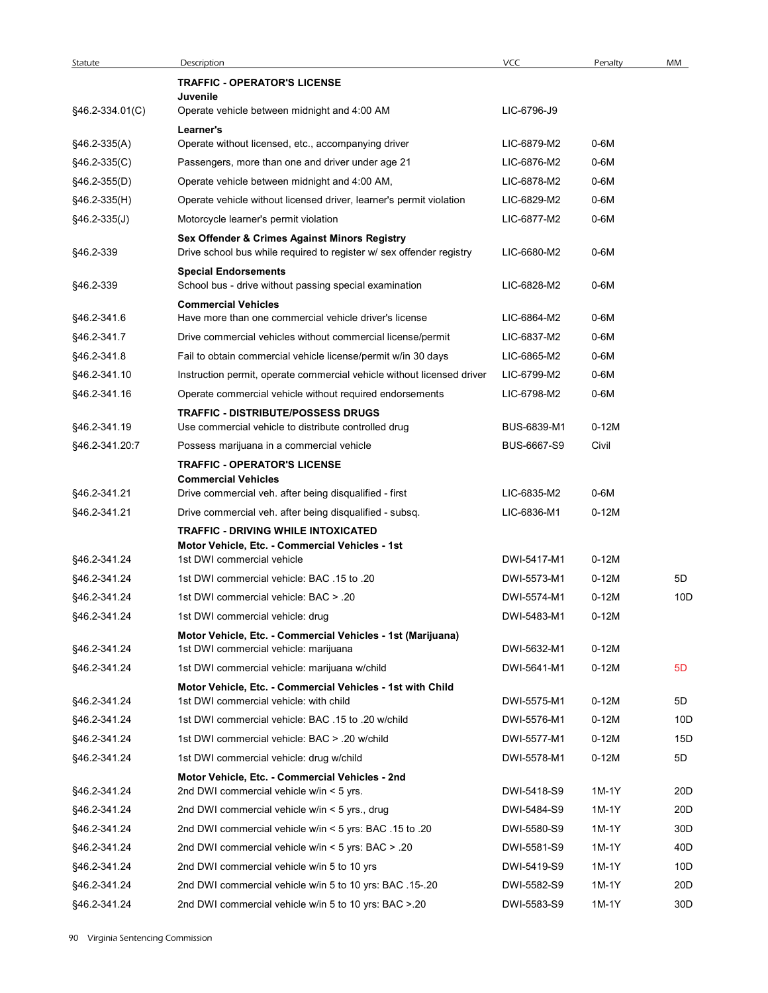| Statute<br>§46.2-334.01(C)       | Description                                                                                                                                                   |                            |                    |                        |
|----------------------------------|---------------------------------------------------------------------------------------------------------------------------------------------------------------|----------------------------|--------------------|------------------------|
|                                  | <b>TRAFFIC - OPERATOR'S LICENSE</b>                                                                                                                           | <b>VCC</b>                 | Penalty            | MM                     |
|                                  | Juvenile                                                                                                                                                      |                            |                    |                        |
|                                  | Operate vehicle between midnight and 4:00 AM                                                                                                                  | LIC-6796-J9                |                    |                        |
|                                  | Learner's                                                                                                                                                     |                            |                    |                        |
| $§46.2-335(A)$<br>$§46.2-335(C)$ | Operate without licensed, etc., accompanying driver<br>Passengers, more than one and driver under age 21                                                      | LIC-6879-M2<br>LIC-6876-M2 | $0-6M$<br>$0-6M$   |                        |
| $§46.2-355(D)$                   | Operate vehicle between midnight and 4:00 AM,                                                                                                                 | LIC-6878-M2                | $0-6M$             |                        |
| §46.2-335(H)                     | Operate vehicle without licensed driver, learner's permit violation                                                                                           | LIC-6829-M2                | $0-6M$             |                        |
| $§46.2-335(J)$                   | Motorcycle learner's permit violation                                                                                                                         | LIC-6877-M2                | $0-6M$             |                        |
| §46.2-339                        | Sex Offender & Crimes Against Minors Registry<br>Drive school bus while required to register w/ sex offender registry                                         | LIC-6680-M2                | $0-6M$             |                        |
|                                  | <b>Special Endorsements</b>                                                                                                                                   |                            |                    |                        |
| §46.2-339                        | School bus - drive without passing special examination                                                                                                        | LIC-6828-M2                | $0-6M$             |                        |
|                                  | <b>Commercial Vehicles</b>                                                                                                                                    |                            |                    |                        |
| §46.2-341.6                      | Have more than one commercial vehicle driver's license                                                                                                        | LIC-6864-M2                | $0-6M$             |                        |
| §46.2-341.7                      | Drive commercial vehicles without commercial license/permit                                                                                                   | LIC-6837-M2                | $0-6M$             |                        |
| §46.2-341.8                      | Fail to obtain commercial vehicle license/permit w/in 30 days                                                                                                 | LIC-6865-M2                | 0-6M               |                        |
| §46.2-341.10                     | Instruction permit, operate commercial vehicle without licensed driver                                                                                        | LIC-6799-M2                | 0-6M               |                        |
| §46.2-341.16<br>§46.2-341.19     | Operate commercial vehicle without required endorsements<br><b>TRAFFIC - DISTRIBUTE/POSSESS DRUGS</b><br>Use commercial vehicle to distribute controlled drug | LIC-6798-M2<br>BUS-6839-M1 | $0-6M$<br>$0-12M$  |                        |
| §46.2-341.20:7                   | Possess marijuana in a commercial vehicle                                                                                                                     | BUS-6667-S9                | Civil              |                        |
|                                  | <b>TRAFFIC - OPERATOR'S LICENSE</b><br><b>Commercial Vehicles</b>                                                                                             |                            |                    |                        |
| §46.2-341.21                     | Drive commercial veh. after being disqualified - first                                                                                                        | LIC-6835-M2                | 0-6M               |                        |
| §46.2-341.21                     | Drive commercial veh. after being disqualified - subsq.                                                                                                       | LIC-6836-M1                | $0-12M$            |                        |
|                                  | <b>TRAFFIC - DRIVING WHILE INTOXICATED</b><br>Motor Vehicle, Etc. - Commercial Vehicles - 1st                                                                 |                            |                    |                        |
| §46.2-341.24                     | 1st DWI commercial vehicle<br>1st DWI commercial vehicle: BAC .15 to .20                                                                                      | DWI-5417-M1<br>DWI-5573-M1 | $0-12M$<br>$0-12M$ | 5D                     |
| §46.2-341.24<br>§46.2-341.24     | 1st DWI commercial vehicle: BAC > .20                                                                                                                         | DWI-5574-M1                | $0-12M$            | 10D                    |
| §46.2-341.24                     | 1st DWI commercial vehicle: drug                                                                                                                              | DWI-5483-M1                | $0-12M$            |                        |
|                                  | Motor Vehicle, Etc. - Commercial Vehicles - 1st (Marijuana)                                                                                                   |                            |                    |                        |
| §46.2-341.24                     | 1st DWI commercial vehicle: marijuana                                                                                                                         | DWI-5632-M1                | $0-12M$            |                        |
| §46.2-341.24                     | 1st DWI commercial vehicle: marijuana w/child                                                                                                                 | DWI-5641-M1                | $0-12M$            | 5D                     |
|                                  | Motor Vehicle, Etc. - Commercial Vehicles - 1st with Child                                                                                                    |                            |                    |                        |
| §46.2-341.24                     | 1st DWI commercial vehicle: with child                                                                                                                        | DWI-5575-M1                | $0-12M$            | 5D                     |
| §46.2-341.24                     | 1st DWI commercial vehicle: BAC .15 to .20 w/child                                                                                                            | DWI-5576-M1                | $0-12M$            | 10D                    |
| §46.2-341.24                     | 1st DWI commercial vehicle: BAC > .20 w/child                                                                                                                 | DWI-5577-M1                | $0-12M$            | 15D                    |
| §46.2-341.24                     | 1st DWI commercial vehicle: drug w/child                                                                                                                      | DWI-5578-M1                | $0-12M$            | $5\mathsf{D}$          |
|                                  | Motor Vehicle, Etc. - Commercial Vehicles - 2nd                                                                                                               |                            |                    |                        |
| §46.2-341.24                     | 2nd DWI commercial vehicle w/in < 5 yrs.                                                                                                                      | DWI-5418-S9                | 1M-1Y              | 20 <sub>D</sub>        |
| §46.2-341.24                     | 2nd DWI commercial vehicle w/in < 5 yrs., drug                                                                                                                | DWI-5484-S9                | 1M-1Y              | 20D                    |
| §46.2-341.24                     | 20. 20 21. 215 2nd DWI commercial vehicle w/in < 5 yrs: BAC                                                                                                   | DWI-5580-S9                | 1M-1Y              | 30 <sub>D</sub>        |
| §46.2-341.24                     | 20. 20 2nd DWI commercial vehicle w/in < 5 yrs: BAC                                                                                                           | DWI-5581-S9                | 1M-1Y              | 40 <sub>D</sub>        |
| §46.2-341.24                     | 2nd DWI commercial vehicle w/in 5 to 10 yrs                                                                                                                   | DWI-5419-S9                | 1M-1Y              | 10D                    |
| §46.2-341.24<br>§46.2-341.24     | 2nd DWI commercial vehicle w/in 5 to 10 yrs: BAC .15-.20<br>2nd DWI commercial vehicle w/in 5 to 10 yrs: BAC > 20                                             | DWI-5582-S9<br>DWI-5583-S9 | 1M-1Y<br>1M-1Y     | 20 <sub>D</sub><br>30D |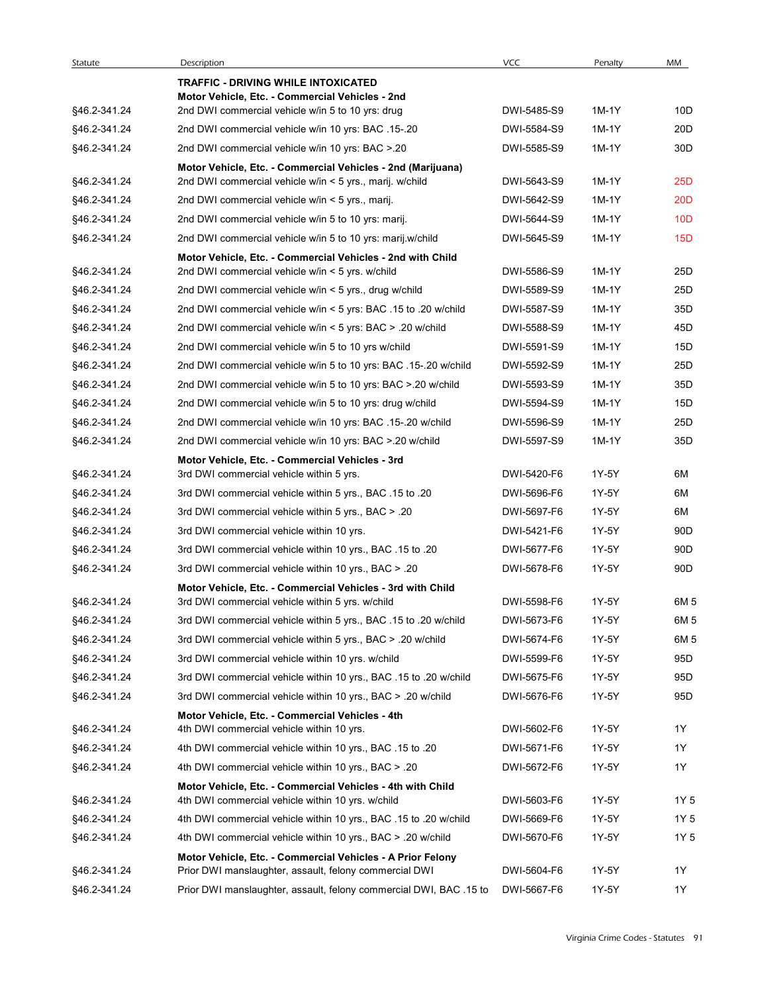| Statute                      | Description                                                                                                    | <b>VCC</b>                 | Penalty | MM              |
|------------------------------|----------------------------------------------------------------------------------------------------------------|----------------------------|---------|-----------------|
|                              | <b>TRAFFIC - DRIVING WHILE INTOXICATED</b><br>Motor Vehicle, Etc. - Commercial Vehicles - 2nd                  |                            |         |                 |
| §46.2-341.24                 | 2nd DWI commercial vehicle w/in 5 to 10 yrs: drug                                                              | DWI-5485-S9                | 1M-1Y   | 10D             |
| §46.2-341.24                 | 2nd DWI commercial vehicle w/in 10 yrs: BAC .15-.20                                                            | DWI-5584-S9                | 1M-1Y   | 20 <sub>D</sub> |
| §46.2-341.24                 | 2nd DWI commercial vehicle w/in 10 yrs: BAC > 20                                                               | DWI-5585-S9                | 1M-1Y   | 30 <sub>D</sub> |
|                              | Motor Vehicle, Etc. - Commercial Vehicles - 2nd (Marijuana)                                                    |                            |         |                 |
| §46.2-341.24                 | 2nd DWI commercial vehicle w/in < 5 yrs., marij. w/child                                                       | DWI-5643-S9                | 1M-1Y   | 25 <sub>D</sub> |
| §46.2-341.24                 | 2nd DWI commercial vehicle w/in < 5 yrs., marij.                                                               | DWI-5642-S9                | 1M-1Y   | 20 <sub>D</sub> |
| §46.2-341.24                 | 2nd DWI commercial vehicle w/in 5 to 10 yrs: marij.                                                            | DWI-5644-S9                | 1M-1Y   | 10 <sub>D</sub> |
| §46.2-341.24                 | 2nd DWI commercial vehicle w/in 5 to 10 yrs: marij.w/child                                                     | DWI-5645-S9                | 1M-1Y   | 15D             |
| §46.2-341.24                 | Motor Vehicle, Etc. - Commercial Vehicles - 2nd with Child<br>2nd DWI commercial vehicle w/in < 5 yrs. w/child | DWI-5586-S9                | 1M-1Y   | 25D             |
| §46.2-341.24                 | 2nd DWI commercial vehicle w/in < 5 yrs., drug w/child                                                         | DWI-5589-S9                | 1M-1Y   | 25D             |
| §46.2-341.24                 | 2nd DWI commercial vehicle w/in < 5 yrs: BAC .15 to .20 w/child                                                | DWI-5587-S9                | 1M-1Y   | 35D             |
| §46.2-341.24                 | 2nd DWI commercial vehicle w/in < 5 yrs: BAC > .20 w/child                                                     | DWI-5588-S9                | 1M-1Y   | 45D             |
| §46.2-341.24                 | 2nd DWI commercial vehicle w/in 5 to 10 yrs w/child                                                            | DWI-5591-S9                | 1M-1Y   | 15D             |
| §46.2-341.24                 | 2nd DWI commercial vehicle w/in 5 to 10 yrs: BAC .15-.20 w/child                                               | DWI-5592-S9                | 1M-1Y   | 25D             |
| §46.2-341.24                 | 2nd DWI commercial vehicle w/in 5 to 10 yrs: BAC > 20 w/child                                                  | DWI-5593-S9                | 1M-1Y   | 35D             |
| §46.2-341.24                 | 2nd DWI commercial vehicle w/in 5 to 10 yrs: drug w/child                                                      | DWI-5594-S9                | 1M-1Y   | 15D             |
| §46.2-341.24                 | 2nd DWI commercial vehicle w/in 10 yrs: BAC .15-.20 w/child                                                    | DWI-5596-S9                | 1M-1Y   | 25D             |
| §46.2-341.24                 | 2nd DWI commercial vehicle w/in 10 yrs: BAC > 20 w/child                                                       | DWI-5597-S9                | 1M-1Y   | 35D             |
|                              | Motor Vehicle, Etc. - Commercial Vehicles - 3rd                                                                |                            |         |                 |
| §46.2-341.24                 | 3rd DWI commercial vehicle within 5 yrs.                                                                       | DWI-5420-F6                | 1Y-5Y   | 6M              |
| §46.2-341.24                 | 3rd DWI commercial vehicle within 5 yrs., BAC .15 to .20                                                       | DWI-5696-F6                | 1Y-5Y   | 6M              |
| §46.2-341.24                 | 3rd DWI commercial vehicle within 5 yrs., BAC > .20                                                            | DWI-5697-F6                | 1Y-5Y   | 6M              |
| §46.2-341.24                 | 3rd DWI commercial vehicle within 10 yrs.                                                                      | DWI-5421-F6                | 1Y-5Y   | 90 <sub>D</sub> |
| §46.2-341.24                 | 3rd DWI commercial vehicle within 10 yrs., BAC .15 to .20                                                      | DWI-5677-F6                | 1Y-5Y   | 90 <sub>D</sub> |
| §46.2-341.24                 | 3rd DWI commercial vehicle within 10 yrs., BAC > .20                                                           | DWI-5678-F6                | 1Y-5Y   | 90 <sub>D</sub> |
|                              | Motor Vehicle, Etc. - Commercial Vehicles - 3rd with Child                                                     |                            | 1Y-5Y   | 6M 5            |
| §46.2-341.24<br>§46.2-341.24 | 3rd DWI commercial vehicle within 5 yrs. w/child                                                               | DWI-5598-F6<br>DWI-5673-F6 | 1Y-5Y   | 6M 5            |
|                              | 3rd DWI commercial vehicle within 5 yrs., BAC .15 to .20 w/child                                               | DWI-5674-F6                | 1Y-5Y   | 6M 5            |
| §46.2-341.24                 | 3rd DWI commercial vehicle within 5 yrs., BAC > .20 w/child                                                    |                            |         |                 |
| §46.2-341.24<br>§46.2-341.24 | 3rd DWI commercial vehicle within 10 yrs. w/child                                                              | DWI-5599-F6                | 1Y-5Y   | 95D<br>95D      |
|                              | 3rd DWI commercial vehicle within 10 yrs., BAC .15 to .20 w/child                                              | DWI-5675-F6                | 1Y-5Y   |                 |
| §46.2-341.24                 | 3rd DWI commercial vehicle within 10 yrs., BAC > .20 w/child                                                   | DWI-5676-F6                | 1Y-5Y   | 95D             |
| §46.2-341.24                 | Motor Vehicle, Etc. - Commercial Vehicles - 4th<br>4th DWI commercial vehicle within 10 yrs.                   | DWI-5602-F6                | 1Y-5Y   | 1Y              |
| §46.2-341.24                 | 4th DWI commercial vehicle within 10 yrs., BAC .15 to .20                                                      | DWI-5671-F6                | 1Y-5Y   | 1Y              |
| §46.2-341.24                 | 4th DWI commercial vehicle within 10 yrs., BAC > .20                                                           | DWI-5672-F6                | 1Y-5Y   | 1Y              |
|                              | Motor Vehicle, Etc. - Commercial Vehicles - 4th with Child                                                     |                            |         |                 |
| §46.2-341.24                 | 4th DWI commercial vehicle within 10 yrs. w/child                                                              | DWI-5603-F6                | 1Y-5Y   | 1Y 5            |
| §46.2-341.24                 | 4th DWI commercial vehicle within 10 yrs., BAC .15 to .20 w/child                                              | DWI-5669-F6                | 1Y-5Y   | 1Y 5            |
| §46.2-341.24                 | 4th DWI commercial vehicle within 10 yrs., BAC > .20 w/child                                                   | DWI-5670-F6                | 1Y-5Y   | 1Y 5            |
|                              | Motor Vehicle, Etc. - Commercial Vehicles - A Prior Felony                                                     |                            |         |                 |
| §46.2-341.24                 | Prior DWI manslaughter, assault, felony commercial DWI                                                         | DWI-5604-F6                | 1Y-5Y   | 1Y              |
| §46.2-341.24                 | Prior DWI manslaughter, assault, felony commercial DWI, BAC .15 to                                             | DWI-5667-F6                | 1Y-5Y   | 1Y              |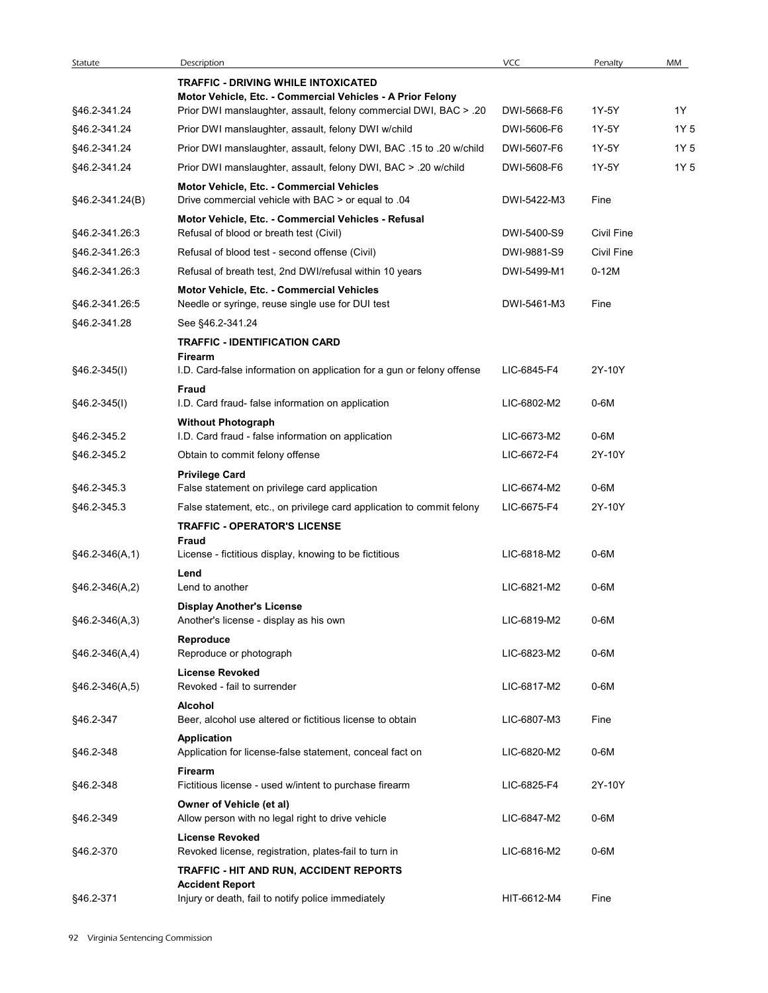| Statute          | Description                                                                                      | <b>VCC</b>  | Penalty           | MM   |
|------------------|--------------------------------------------------------------------------------------------------|-------------|-------------------|------|
|                  | <b>TRAFFIC - DRIVING WHILE INTOXICATED</b>                                                       |             |                   |      |
|                  | Motor Vehicle, Etc. - Commercial Vehicles - A Prior Felony                                       |             |                   |      |
| §46.2-341.24     | Prior DWI manslaughter, assault, felony commercial DWI, BAC > .20                                | DWI-5668-F6 | 1Y-5Y             | 1Y   |
| §46.2-341.24     | Prior DWI manslaughter, assault, felony DWI w/child                                              | DWI-5606-F6 | 1Y-5Y             | 1Y 5 |
| §46.2-341.24     | Prior DWI manslaughter, assault, felony DWI, BAC .15 to .20 w/child                              | DWI-5607-F6 | 1Y-5Y             | 1Y 5 |
| §46.2-341.24     | Prior DWI manslaughter, assault, felony DWI, BAC > .20 w/child                                   | DWI-5608-F6 | 1Y-5Y             | 1Y 5 |
| §46.2-341.24(B)  | Motor Vehicle, Etc. - Commercial Vehicles<br>Drive commercial vehicle with BAC > or equal to .04 | DWI-5422-M3 | Fine              |      |
|                  | Motor Vehicle, Etc. - Commercial Vehicles - Refusal                                              |             |                   |      |
| §46.2-341.26:3   | Refusal of blood or breath test (Civil)                                                          | DWI-5400-S9 | Civil Fine        |      |
| §46.2-341.26:3   | Refusal of blood test - second offense (Civil)                                                   | DWI-9881-S9 | <b>Civil Fine</b> |      |
| §46.2-341.26:3   | Refusal of breath test, 2nd DWI/refusal within 10 years                                          | DWI-5499-M1 | $0-12M$           |      |
| §46.2-341.26:5   | Motor Vehicle, Etc. - Commercial Vehicles<br>Needle or syringe, reuse single use for DUI test    | DWI-5461-M3 | Fine              |      |
| §46.2-341.28     | See §46.2-341.24                                                                                 |             |                   |      |
|                  |                                                                                                  |             |                   |      |
|                  | <b>TRAFFIC - IDENTIFICATION CARD</b><br>Firearm                                                  |             |                   |      |
| $§46.2-345(I)$   | I.D. Card-false information on application for a gun or felony offense<br>Fraud                  | LIC-6845-F4 | 2Y-10Y            |      |
| §46.2-345(I)     | I.D. Card fraud- false information on application                                                | LIC-6802-M2 | 0-6M              |      |
| §46.2-345.2      | <b>Without Photograph</b><br>I.D. Card fraud - false information on application                  | LIC-6673-M2 | 0-6M              |      |
| §46.2-345.2      | Obtain to commit felony offense                                                                  | LIC-6672-F4 | 2Y-10Y            |      |
|                  |                                                                                                  |             |                   |      |
| §46.2-345.3      | <b>Privilege Card</b><br>False statement on privilege card application                           | LIC-6674-M2 | 0-6M              |      |
| §46.2-345.3      | False statement, etc., on privilege card application to commit felony                            | LIC-6675-F4 | 2Y-10Y            |      |
|                  | <b>TRAFFIC - OPERATOR'S LICENSE</b>                                                              |             |                   |      |
|                  | Fraud                                                                                            |             |                   |      |
| $§46.2-346(A,1)$ | License - fictitious display, knowing to be fictitious                                           | LIC-6818-M2 | 0-6M              |      |
|                  | Lend                                                                                             |             |                   |      |
| $§46.2-346(A,2)$ | Lend to another                                                                                  | LIC-6821-M2 | $0-6M$            |      |
| $§46.2-346(A,3)$ | <b>Display Another's License</b><br>Another's license - display as his own                       | LIC-6819-M2 | $0-6M$            |      |
|                  | Reproduce                                                                                        |             |                   |      |
| $§46.2-346(A,4)$ | Reproduce or photograph                                                                          | LIC-6823-M2 | $0-6M$            |      |
|                  | <b>License Revoked</b>                                                                           |             |                   |      |
| $§46.2-346(A,5)$ | Revoked - fail to surrender                                                                      | LIC-6817-M2 | 0-6M              |      |
|                  | Alcohol                                                                                          |             |                   |      |
| §46.2-347        | Beer, alcohol use altered or fictitious license to obtain                                        | LIC-6807-M3 | Fine              |      |
| §46.2-348        | Application<br>Application for license-false statement, conceal fact on                          | LIC-6820-M2 | 0-6M              |      |
|                  | Firearm                                                                                          |             |                   |      |
| §46.2-348        | Fictitious license - used w/intent to purchase firearm                                           | LIC-6825-F4 | 2Y-10Y            |      |
| §46.2-349        | Owner of Vehicle (et al)                                                                         | LIC-6847-M2 | 0-6M              |      |
|                  | Allow person with no legal right to drive vehicle<br><b>License Revoked</b>                      |             |                   |      |
| §46.2-370        | Revoked license, registration, plates-fail to turn in<br>TRAFFIC - HIT AND RUN, ACCIDENT REPORTS | LIC-6816-M2 | $0-6M$            |      |
|                  | <b>Accident Report</b>                                                                           |             |                   |      |
| §46.2-371        | Injury or death, fail to notify police immediately                                               | HIT-6612-M4 | Fine              |      |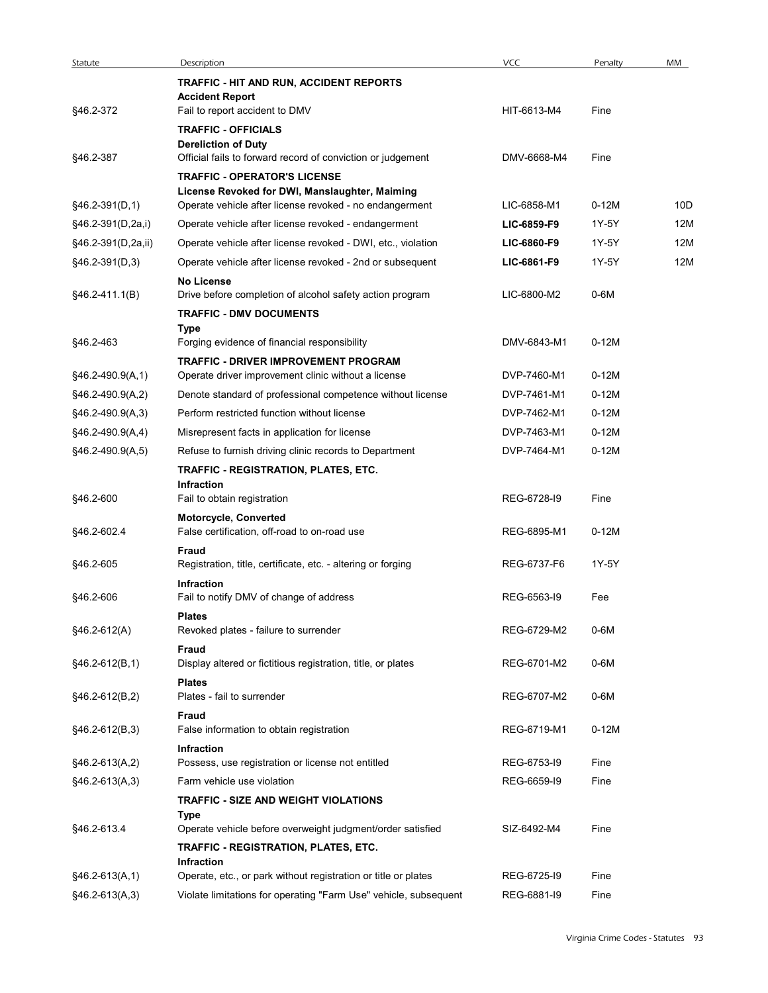| Statute                              | Description                                                                                               | <b>VCC</b>                 | Penalty          | MM  |
|--------------------------------------|-----------------------------------------------------------------------------------------------------------|----------------------------|------------------|-----|
|                                      | TRAFFIC - HIT AND RUN, ACCIDENT REPORTS                                                                   |                            |                  |     |
|                                      | <b>Accident Report</b><br>Fail to report accident to DMV                                                  | HIT-6613-M4                | Fine             |     |
| §46.2-372                            | <b>TRAFFIC - OFFICIALS</b>                                                                                |                            |                  |     |
|                                      | <b>Dereliction of Duty</b>                                                                                |                            |                  |     |
| §46.2-387                            | Official fails to forward record of conviction or judgement                                               | DMV-6668-M4                | Fine             |     |
|                                      | <b>TRAFFIC - OPERATOR'S LICENSE</b>                                                                       |                            |                  |     |
| §46.2-391(D,1)                       | License Revoked for DWI, Manslaughter, Maiming<br>Operate vehicle after license revoked - no endangerment | LIC-6858-M1                | $0-12M$          | 10D |
| §46.2-391(D,2a,i)                    | Operate vehicle after license revoked - endangerment                                                      | LIC-6859-F9                | 1Y-5Y            | 12M |
| §46.2-391(D,2a,ii)                   | Operate vehicle after license revoked - DWI, etc., violation                                              | LIC-6860-F9                | 1Y-5Y            | 12M |
| §46.2-391(D,3)                       | Operate vehicle after license revoked - 2nd or subsequent                                                 | LIC-6861-F9                | 1Y-5Y            | 12M |
|                                      | <b>No License</b>                                                                                         |                            |                  |     |
| §46.2-411.1(B)                       | Drive before completion of alcohol safety action program                                                  | LIC-6800-M2                | 0-6M             |     |
|                                      | <b>TRAFFIC - DMV DOCUMENTS</b><br>Type                                                                    |                            |                  |     |
| §46.2-463                            | Forging evidence of financial responsibility                                                              | DMV-6843-M1                | $0-12M$          |     |
|                                      | TRAFFIC - DRIVER IMPROVEMENT PROGRAM                                                                      |                            |                  |     |
| §46.2-490.9(A,1)                     | Operate driver improvement clinic without a license                                                       | DVP-7460-M1                | $0-12M$          |     |
| §46.2-490.9(A,2)                     | Denote standard of professional competence without license                                                | DVP-7461-M1                | $0-12M$          |     |
| §46.2-490.9(A,3)                     | Perform restricted function without license                                                               | DVP-7462-M1<br>DVP-7463-M1 | 0-12M<br>$0-12M$ |     |
| §46.2-490.9(A,4)<br>§46.2-490.9(A,5) | Misrepresent facts in application for license<br>Refuse to furnish driving clinic records to Department   | DVP-7464-M1                | $0-12M$          |     |
|                                      | TRAFFIC - REGISTRATION, PLATES, ETC.                                                                      |                            |                  |     |
|                                      | Infraction                                                                                                |                            |                  |     |
| §46.2-600                            | Fail to obtain registration                                                                               | REG-6728-I9                | Fine             |     |
|                                      | Motorcycle, Converted                                                                                     | REG-6895-M1                | $0-12M$          |     |
| §46.2-602.4                          | False certification, off-road to on-road use<br>Fraud                                                     |                            |                  |     |
| §46.2-605                            | Registration, title, certificate, etc. - altering or forging                                              | REG-6737-F6                | 1Y-5Y            |     |
|                                      | Infraction                                                                                                |                            |                  |     |
| §46.2-606                            | Fail to notify DMV of change of address                                                                   | REG-6563-19                | Fee              |     |
| §46.2-612(A)                         | <b>Plates</b><br>Revoked plates - failure to surrender                                                    | REG-6729-M2                | 0-6M             |     |
|                                      | Fraud                                                                                                     |                            |                  |     |
| §46.2-612(B,1)                       | Display altered or fictitious registration, title, or plates                                              | REG-6701-M2                | $0-6M$           |     |
|                                      | <b>Plates</b>                                                                                             |                            |                  |     |
| §46.2-612(B,2)                       | Plates - fail to surrender                                                                                | REG-6707-M2                | $0-6M$           |     |
| $§46.2-612(B,3)$                     | Fraud<br>False information to obtain registration                                                         | REG-6719-M1                | $0-12M$          |     |
|                                      | <b>Infraction</b>                                                                                         |                            |                  |     |
| §46.2-613(A,2)                       | Possess, use registration or license not entitled                                                         | REG-6753-19                | Fine             |     |
| §46.2-613(A,3)                       | Farm vehicle use violation                                                                                | REG-6659-19                | Fine             |     |
|                                      | TRAFFIC - SIZE AND WEIGHT VIOLATIONS                                                                      |                            |                  |     |
| §46.2-613.4                          | Type<br>Operate vehicle before overweight judgment/order satisfied                                        | SIZ-6492-M4                | Fine             |     |
|                                      | TRAFFIC - REGISTRATION, PLATES, ETC.                                                                      |                            |                  |     |
|                                      | Infraction                                                                                                |                            |                  |     |
|                                      | Operate, etc., or park without registration or title or plates                                            | REG-6725-19                | Fine             |     |
| §46.2-613(A,1)<br>$§46.2-613(A,3)$   | Violate limitations for operating "Farm Use" vehicle, subsequent                                          | REG-6881-I9                |                  |     |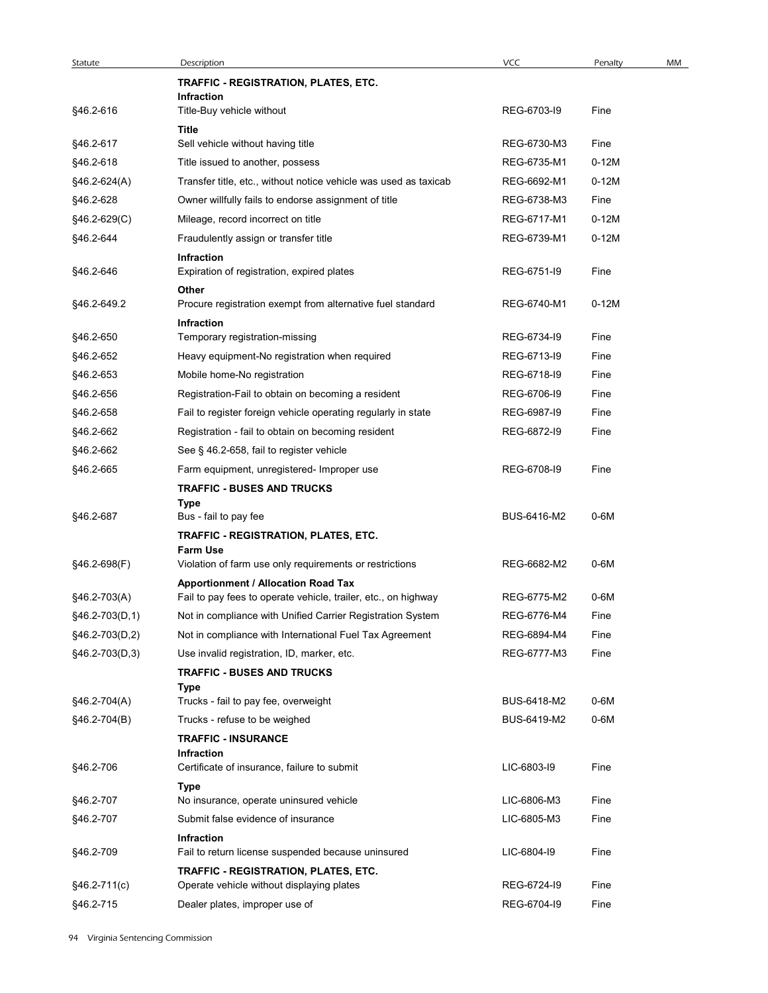| Statute        | Description                                                                                    | <b>VCC</b>  | Penalty | MM |
|----------------|------------------------------------------------------------------------------------------------|-------------|---------|----|
|                | TRAFFIC - REGISTRATION, PLATES, ETC.                                                           |             |         |    |
| §46.2-616      | <b>Infraction</b><br>Title-Buy vehicle without                                                 | REG-6703-19 | Fine    |    |
|                | Title                                                                                          |             |         |    |
| §46.2-617      | Sell vehicle without having title                                                              | REG-6730-M3 | Fine    |    |
| §46.2-618      | Title issued to another, possess                                                               | REG-6735-M1 | $0-12M$ |    |
| $§46.2-624(A)$ | Transfer title, etc., without notice vehicle was used as taxicab                               | REG-6692-M1 | $0-12M$ |    |
| §46.2-628      | Owner willfully fails to endorse assignment of title                                           | REG-6738-M3 | Fine    |    |
| §46.2-629(C)   | Mileage, record incorrect on title                                                             | REG-6717-M1 | $0-12M$ |    |
| §46.2-644      | Fraudulently assign or transfer title                                                          | REG-6739-M1 | $0-12M$ |    |
| §46.2-646      | Infraction<br>Expiration of registration, expired plates                                       | REG-6751-I9 | Fine    |    |
| §46.2-649.2    | Other<br>Procure registration exempt from alternative fuel standard                            | REG-6740-M1 | $0-12M$ |    |
|                | Infraction                                                                                     | REG-6734-19 |         |    |
| §46.2-650      | Temporary registration-missing                                                                 |             | Fine    |    |
| §46.2-652      | Heavy equipment-No registration when required                                                  | REG-6713-I9 | Fine    |    |
| §46.2-653      | Mobile home-No registration                                                                    | REG-6718-I9 | Fine    |    |
| §46.2-656      | Registration-Fail to obtain on becoming a resident                                             | REG-6706-19 | Fine    |    |
| §46.2-658      | Fail to register foreign vehicle operating regularly in state                                  | REG-6987-19 | Fine    |    |
| §46.2-662      | Registration - fail to obtain on becoming resident                                             | REG-6872-I9 | Fine    |    |
| §46.2-662      | See § 46.2-658, fail to register vehicle                                                       |             |         |    |
| §46.2-665      | Farm equipment, unregistered- Improper use<br><b>TRAFFIC - BUSES AND TRUCKS</b><br><b>Type</b> | REG-6708-I9 | Fine    |    |
| §46.2-687      | Bus - fail to pay fee                                                                          | BUS-6416-M2 | $0-6M$  |    |
|                | TRAFFIC - REGISTRATION, PLATES, ETC.<br><b>Farm Use</b>                                        |             |         |    |
| §46.2-698(F)   | Violation of farm use only requirements or restrictions                                        | REG-6682-M2 | $0-6M$  |    |
|                | <b>Apportionment / Allocation Road Tax</b>                                                     |             |         |    |
| §46.2-703(A)   | Fail to pay fees to operate vehicle, trailer, etc., on highway                                 | REG-6775-M2 | $0-6M$  |    |
| §46.2-703(D,1) | Not in compliance with Unified Carrier Registration System                                     | REG-6776-M4 | Fine    |    |
| §46.2-703(D,2) | Not in compliance with International Fuel Tax Agreement                                        | REG-6894-M4 | Fine    |    |
| §46.2-703(D,3) | Use invalid registration, ID, marker, etc.                                                     | REG-6777-M3 | Fine    |    |
|                | <b>TRAFFIC - BUSES AND TRUCKS</b>                                                              |             |         |    |
|                | Type<br>Trucks - fail to pay fee, overweight                                                   | BUS-6418-M2 | $0-6M$  |    |
| §46.2-704(A)   |                                                                                                | BUS-6419-M2 | $0-6M$  |    |
| §46.2-704(B)   | Trucks - refuse to be weighed<br><b>TRAFFIC - INSURANCE</b>                                    |             |         |    |
|                | Infraction                                                                                     |             |         |    |
| §46.2-706      | Certificate of insurance, failure to submit                                                    | LIC-6803-I9 | Fine    |    |
| §46.2-707      | <b>Type</b><br>No insurance, operate uninsured vehicle                                         | LIC-6806-M3 | Fine    |    |
| §46.2-707      | Submit false evidence of insurance                                                             | LIC-6805-M3 | Fine    |    |
| §46.2-709      | <b>Infraction</b><br>Fail to return license suspended because uninsured                        | LIC-6804-I9 | Fine    |    |
|                | TRAFFIC - REGISTRATION, PLATES, ETC.                                                           |             |         |    |
| §46.2-711(c)   | Operate vehicle without displaying plates                                                      | REG-6724-I9 | Fine    |    |
| §46.2-715      | Dealer plates, improper use of                                                                 | REG-6704-I9 | Fine    |    |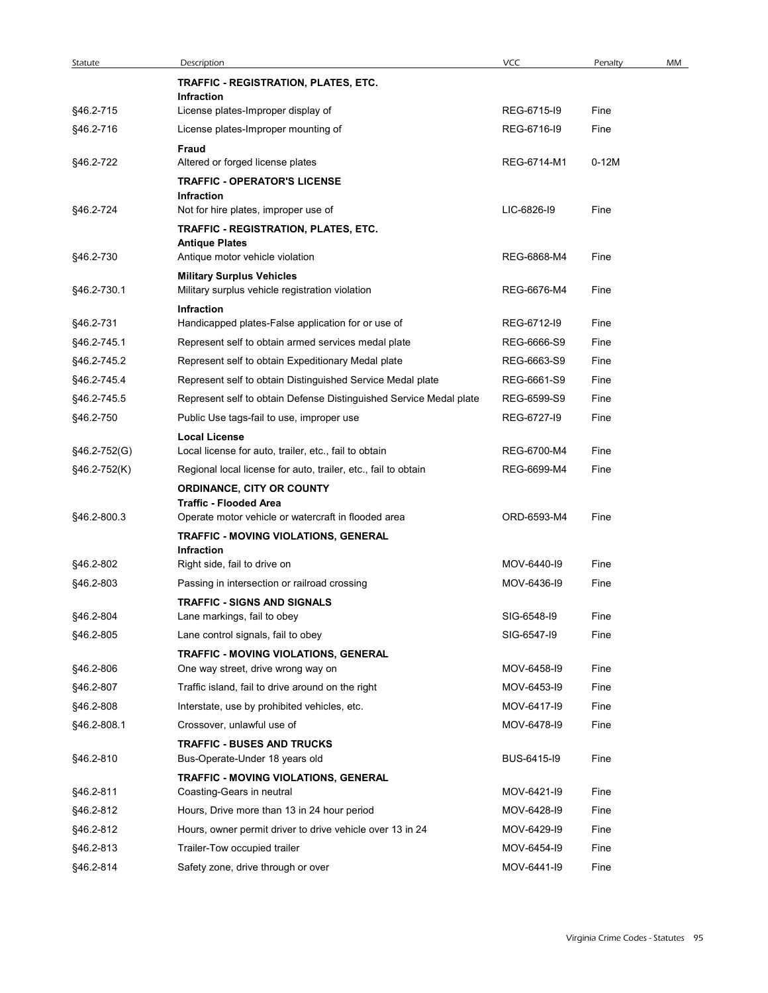| Statute      | Description                                                        | <b>VCC</b>  | Penalty | MM |
|--------------|--------------------------------------------------------------------|-------------|---------|----|
|              | TRAFFIC - REGISTRATION, PLATES, ETC.                               |             |         |    |
| §46.2-715    | Infraction<br>License plates-Improper display of                   | REG-6715-19 | Fine    |    |
| §46.2-716    | License plates-Improper mounting of                                | REG-6716-I9 | Fine    |    |
|              | Fraud                                                              |             |         |    |
| §46.2-722    | Altered or forged license plates                                   | REG-6714-M1 | $0-12M$ |    |
|              | <b>TRAFFIC - OPERATOR'S LICENSE</b>                                |             |         |    |
| §46.2-724    | <b>Infraction</b><br>Not for hire plates, improper use of          | LIC-6826-I9 | Fine    |    |
|              | TRAFFIC - REGISTRATION, PLATES, ETC.                               |             |         |    |
|              | <b>Antique Plates</b>                                              |             |         |    |
| §46.2-730    | Antique motor vehicle violation                                    | REG-6868-M4 | Fine    |    |
|              | <b>Military Surplus Vehicles</b>                                   |             |         |    |
| §46.2-730.1  | Military surplus vehicle registration violation                    | REG-6676-M4 | Fine    |    |
| §46.2-731    | Infraction<br>Handicapped plates-False application for or use of   | REG-6712-I9 | Fine    |    |
| §46.2-745.1  | Represent self to obtain armed services medal plate                | REG-6666-S9 | Fine    |    |
| §46.2-745.2  | Represent self to obtain Expeditionary Medal plate                 | REG-6663-S9 | Fine    |    |
| §46.2-745.4  | Represent self to obtain Distinguished Service Medal plate         | REG-6661-S9 | Fine    |    |
| §46.2-745.5  | Represent self to obtain Defense Distinguished Service Medal plate | REG-6599-S9 | Fine    |    |
| §46.2-750    | Public Use tags-fail to use, improper use                          | REG-6727-19 | Fine    |    |
|              | <b>Local License</b>                                               |             |         |    |
| §46.2-752(G) | Local license for auto, trailer, etc., fail to obtain              | REG-6700-M4 | Fine    |    |
| §46.2-752(K) | Regional local license for auto, trailer, etc., fail to obtain     | REG-6699-M4 | Fine    |    |
|              | <b>ORDINANCE, CITY OR COUNTY</b><br><b>Traffic - Flooded Area</b>  |             |         |    |
| §46.2-800.3  | Operate motor vehicle or watercraft in flooded area                | ORD-6593-M4 | Fine    |    |
|              | TRAFFIC - MOVING VIOLATIONS, GENERAL                               |             |         |    |
|              | Infraction                                                         |             |         |    |
| §46.2-802    | Right side, fail to drive on                                       | MOV-6440-19 | Fine    |    |
| §46.2-803    | Passing in intersection or railroad crossing                       | MOV-6436-I9 | Fine    |    |
| §46.2-804    | <b>TRAFFIC - SIGNS AND SIGNALS</b><br>Lane markings, fail to obey  | SIG-6548-I9 | Fine    |    |
| §46.2-805    | Lane control signals, fail to obey                                 | SIG-6547-19 | Fine    |    |
|              | TRAFFIC - MOVING VIOLATIONS, GENERAL                               |             |         |    |
| §46.2-806    | One way street, drive wrong way on                                 | MOV-6458-I9 | Fine    |    |
| §46.2-807    | Traffic island, fail to drive around on the right                  | MOV-6453-I9 | Fine    |    |
| §46.2-808    | Interstate, use by prohibited vehicles, etc.                       | MOV-6417-19 | Fine    |    |
| §46.2-808.1  | Crossover, unlawful use of                                         | MOV-6478-I9 | Fine    |    |
|              | <b>TRAFFIC - BUSES AND TRUCKS</b>                                  |             |         |    |
| §46.2-810    | Bus-Operate-Under 18 years old                                     | BUS-6415-I9 | Fine    |    |
|              | TRAFFIC - MOVING VIOLATIONS, GENERAL                               |             |         |    |
| §46.2-811    | Coasting-Gears in neutral                                          | MOV-6421-I9 | Fine    |    |
| §46.2-812    | Hours, Drive more than 13 in 24 hour period                        | MOV-6428-I9 | Fine    |    |
| §46.2-812    | Hours, owner permit driver to drive vehicle over 13 in 24          | MOV-6429-I9 | Fine    |    |
| §46.2-813    | Trailer-Tow occupied trailer                                       | MOV-6454-I9 | Fine    |    |
| §46.2-814    | Safety zone, drive through or over                                 | MOV-6441-I9 | Fine    |    |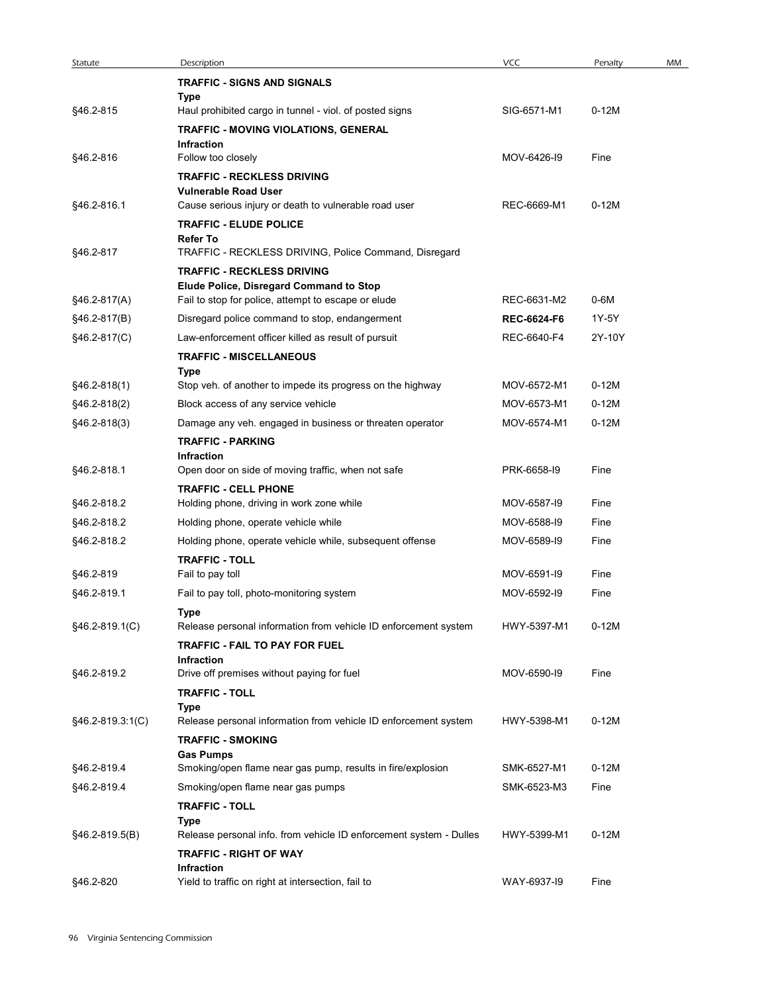| Statute          | Description                                                                           | <b>VCC</b>                        | Penalty         | MM |
|------------------|---------------------------------------------------------------------------------------|-----------------------------------|-----------------|----|
|                  | <b>TRAFFIC - SIGNS AND SIGNALS</b>                                                    |                                   |                 |    |
|                  | Type                                                                                  |                                   |                 |    |
| §46.2-815        | Haul prohibited cargo in tunnel - viol. of posted signs                               | SIG-6571-M1                       | $0-12M$         |    |
|                  | TRAFFIC - MOVING VIOLATIONS, GENERAL                                                  |                                   |                 |    |
| §46.2-816        | Infraction<br>Follow too closely                                                      | MOV-6426-19                       | Fine            |    |
|                  | <b>TRAFFIC - RECKLESS DRIVING</b>                                                     |                                   |                 |    |
|                  | <b>Vulnerable Road User</b>                                                           |                                   |                 |    |
| §46.2-816.1      | Cause serious injury or death to vulnerable road user                                 | REC-6669-M1                       | $0-12M$         |    |
|                  | <b>TRAFFIC - ELUDE POLICE</b><br><b>Refer To</b>                                      |                                   |                 |    |
| §46.2-817        | TRAFFIC - RECKLESS DRIVING, Police Command, Disregard                                 |                                   |                 |    |
|                  | <b>TRAFFIC - RECKLESS DRIVING</b>                                                     |                                   |                 |    |
|                  | Elude Police, Disregard Command to Stop                                               |                                   |                 |    |
| $§46.2-817(A)$   | Fail to stop for police, attempt to escape or elude                                   | REC-6631-M2                       | 0-6M            |    |
| $§46.2-817(B)$   | Disregard police command to stop, endangerment                                        | <b>REC-6624-F6</b><br>REC-6640-F4 | 1Y-5Y<br>2Y-10Y |    |
| §46.2-817(C)     | Law-enforcement officer killed as result of pursuit<br><b>TRAFFIC - MISCELLANEOUS</b> |                                   |                 |    |
|                  | Type                                                                                  |                                   |                 |    |
| §46.2-818(1)     | Stop veh. of another to impede its progress on the highway                            | MOV-6572-M1                       | $0-12M$         |    |
| §46.2-818(2)     | Block access of any service vehicle                                                   | MOV-6573-M1                       | $0-12M$         |    |
| §46.2-818(3)     | Damage any veh. engaged in business or threaten operator                              | MOV-6574-M1                       | $0-12M$         |    |
|                  | <b>TRAFFIC - PARKING</b>                                                              |                                   |                 |    |
| §46.2-818.1      | Infraction<br>Open door on side of moving traffic, when not safe                      | PRK-6658-I9                       | Fine            |    |
|                  | <b>TRAFFIC - CELL PHONE</b>                                                           |                                   |                 |    |
| §46.2-818.2      | Holding phone, driving in work zone while                                             | MOV-6587-I9                       | Fine            |    |
| §46.2-818.2      | Holding phone, operate vehicle while                                                  | MOV-6588-I9                       | Fine            |    |
| §46.2-818.2      | Holding phone, operate vehicle while, subsequent offense                              | MOV-6589-I9                       | Fine            |    |
|                  | <b>TRAFFIC - TOLL</b>                                                                 |                                   |                 |    |
| §46.2-819        | Fail to pay toll                                                                      | MOV-6591-I9                       | Fine            |    |
| §46.2-819.1      | Fail to pay toll, photo-monitoring system                                             | MOV-6592-I9                       | Fine            |    |
| §46.2-819.1(C)   | Type<br>Release personal information from vehicle ID enforcement system               | HWY-5397-M1                       | $0-12M$         |    |
|                  | TRAFFIC - FAIL TO PAY FOR FUEL                                                        |                                   |                 |    |
|                  | Infraction                                                                            |                                   |                 |    |
| §46.2-819.2      | Drive off premises without paying for fuel                                            | MOV-6590-I9                       | Fine            |    |
|                  | <b>TRAFFIC - TOLL</b><br>Type                                                         |                                   |                 |    |
| §46.2-819.3:1(C) | Release personal information from vehicle ID enforcement system                       | HWY-5398-M1                       | $0-12M$         |    |
|                  | <b>TRAFFIC - SMOKING</b>                                                              |                                   |                 |    |
|                  | <b>Gas Pumps</b>                                                                      |                                   |                 |    |
| §46.2-819.4      | Smoking/open flame near gas pump, results in fire/explosion                           | SMK-6527-M1                       | $0-12M$         |    |
| §46.2-819.4      | Smoking/open flame near gas pumps                                                     | SMK-6523-M3                       | Fine            |    |
|                  | <b>TRAFFIC - TOLL</b><br>Type                                                         |                                   |                 |    |
| §46.2-819.5(B)   | Release personal info. from vehicle ID enforcement system - Dulles                    | HWY-5399-M1                       | $0-12M$         |    |
|                  | <b>TRAFFIC - RIGHT OF WAY</b>                                                         |                                   |                 |    |
|                  | Infraction                                                                            |                                   |                 |    |
| §46.2-820        | Yield to traffic on right at intersection, fail to                                    | WAY-6937-19                       | Fine            |    |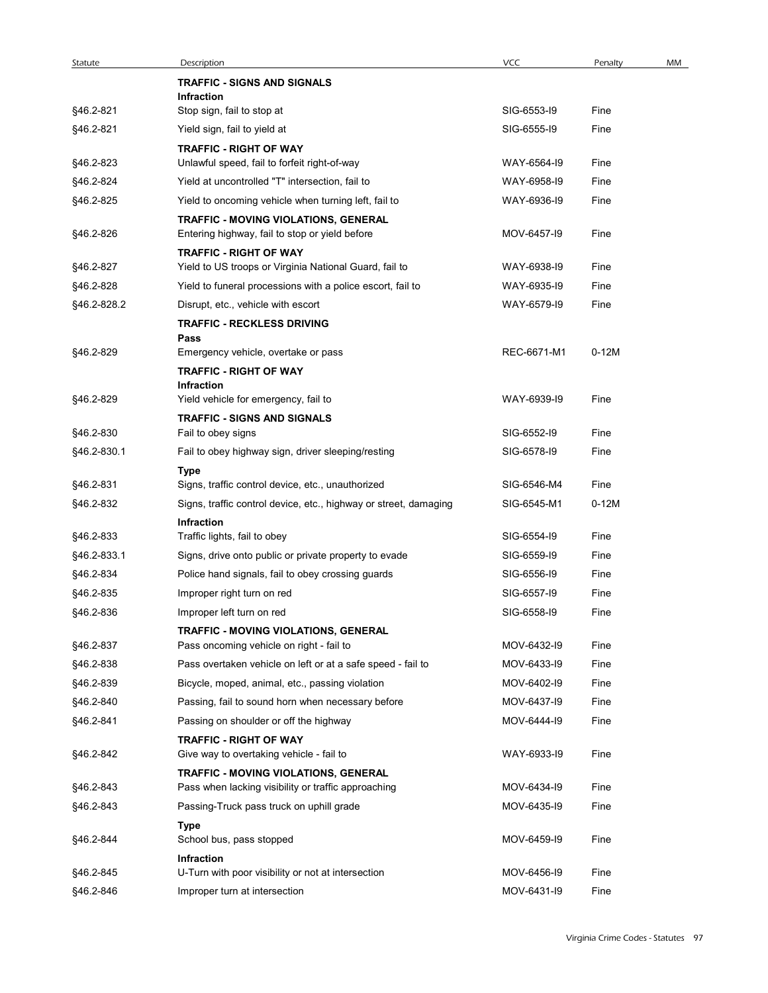|             |                                                                                                 | VCC         |         |    |
|-------------|-------------------------------------------------------------------------------------------------|-------------|---------|----|
| Statute     | Description<br><b>TRAFFIC - SIGNS AND SIGNALS</b>                                               |             | Penalty | MM |
|             | Infraction                                                                                      |             |         |    |
| §46.2-821   | Stop sign, fail to stop at                                                                      | SIG-6553-I9 | Fine    |    |
| §46.2-821   | Yield sign, fail to yield at                                                                    | SIG-6555-19 | Fine    |    |
| §46.2-823   | <b>TRAFFIC - RIGHT OF WAY</b>                                                                   | WAY-6564-I9 | Fine    |    |
| §46.2-824   | Unlawful speed, fail to forfeit right-of-way<br>Yield at uncontrolled "T" intersection, fail to | WAY-6958-I9 | Fine    |    |
|             | Yield to oncoming vehicle when turning left, fail to                                            | WAY-6936-I9 |         |    |
| §46.2-825   |                                                                                                 |             | Fine    |    |
| §46.2-826   | TRAFFIC - MOVING VIOLATIONS, GENERAL<br>Entering highway, fail to stop or yield before          | MOV-6457-19 | Fine    |    |
| §46.2-827   | <b>TRAFFIC - RIGHT OF WAY</b><br>Yield to US troops or Virginia National Guard, fail to         | WAY-6938-19 | Fine    |    |
| §46.2-828   | Yield to funeral processions with a police escort, fail to                                      | WAY-6935-19 | Fine    |    |
| §46.2-828.2 | Disrupt, etc., vehicle with escort                                                              | WAY-6579-19 | Fine    |    |
|             | <b>TRAFFIC - RECKLESS DRIVING</b>                                                               |             |         |    |
|             | Pass                                                                                            |             |         |    |
| §46.2-829   | Emergency vehicle, overtake or pass                                                             | REC-6671-M1 | $0-12M$ |    |
|             | <b>TRAFFIC - RIGHT OF WAY</b>                                                                   |             |         |    |
| §46.2-829   | <b>Infraction</b><br>Yield vehicle for emergency, fail to                                       | WAY-6939-I9 | Fine    |    |
|             | <b>TRAFFIC - SIGNS AND SIGNALS</b>                                                              |             |         |    |
| §46.2-830   | Fail to obey signs                                                                              | SIG-6552-I9 | Fine    |    |
| §46.2-830.1 | Fail to obey highway sign, driver sleeping/resting                                              | SIG-6578-I9 | Fine    |    |
|             | <b>Type</b>                                                                                     |             |         |    |
| §46.2-831   | Signs, traffic control device, etc., unauthorized                                               | SIG-6546-M4 | Fine    |    |
| §46.2-832   | Signs, traffic control device, etc., highway or street, damaging                                | SIG-6545-M1 | $0-12M$ |    |
|             | Infraction                                                                                      |             |         |    |
| §46.2-833   | Traffic lights, fail to obey                                                                    | SIG-6554-I9 | Fine    |    |
| §46.2-833.1 | Signs, drive onto public or private property to evade                                           | SIG-6559-I9 | Fine    |    |
| §46.2-834   | Police hand signals, fail to obey crossing guards                                               | SIG-6556-I9 | Fine    |    |
| §46.2-835   | Improper right turn on red                                                                      | SIG-6557-I9 | Fine    |    |
| §46.2-836   | Improper left turn on red                                                                       | SIG-6558-I9 | Fine    |    |
| §46.2-837   | TRAFFIC - MOVING VIOLATIONS, GENERAL<br>Pass oncoming vehicle on right - fail to                | MOV-6432-I9 | Fine    |    |
|             |                                                                                                 |             |         |    |
| §46.2-838   | Pass overtaken vehicle on left or at a safe speed - fail to                                     | MOV-6433-I9 | Fine    |    |
| §46.2-839   | Bicycle, moped, animal, etc., passing violation                                                 | MOV-6402-I9 | Fine    |    |
| §46.2-840   | Passing, fail to sound horn when necessary before                                               | MOV-6437-I9 | Fine    |    |
| §46.2-841   | Passing on shoulder or off the highway                                                          | MOV-6444-19 | Fine    |    |
| §46.2-842   | <b>TRAFFIC - RIGHT OF WAY</b><br>Give way to overtaking vehicle - fail to                       | WAY-6933-I9 | Fine    |    |
| §46.2-843   | TRAFFIC - MOVING VIOLATIONS, GENERAL<br>Pass when lacking visibility or traffic approaching     | MOV-6434-I9 | Fine    |    |
| §46.2-843   | Passing-Truck pass truck on uphill grade                                                        | MOV-6435-19 | Fine    |    |
| §46.2-844   | Type<br>School bus, pass stopped                                                                | MOV-6459-I9 | Fine    |    |
|             | Infraction                                                                                      |             |         |    |
| §46.2-845   | U-Turn with poor visibility or not at intersection                                              | MOV-6456-I9 | Fine    |    |
| §46.2-846   | Improper turn at intersection                                                                   | MOV-6431-I9 | Fine    |    |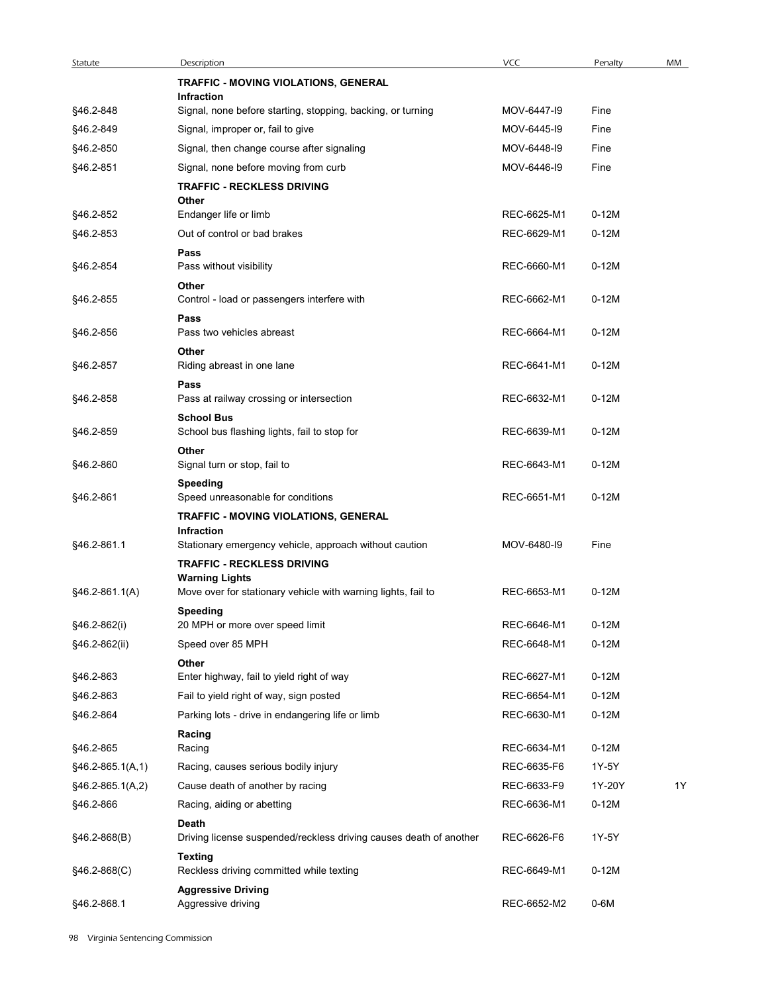| Statute                | Description                                                                            | <b>VCC</b>  | Penalty | MM |
|------------------------|----------------------------------------------------------------------------------------|-------------|---------|----|
|                        | TRAFFIC - MOVING VIOLATIONS, GENERAL                                                   |             |         |    |
|                        | Infraction                                                                             |             |         |    |
| §46.2-848              | Signal, none before starting, stopping, backing, or turning                            | MOV-6447-19 | Fine    |    |
| §46.2-849              | Signal, improper or, fail to give                                                      | MOV-6445-19 | Fine    |    |
| §46.2-850              | Signal, then change course after signaling                                             | MOV-6448-I9 | Fine    |    |
| §46.2-851              | Signal, none before moving from curb<br><b>TRAFFIC - RECKLESS DRIVING</b>              | MOV-6446-I9 | Fine    |    |
| §46.2-852              | Other<br>Endanger life or limb                                                         | REC-6625-M1 | $0-12M$ |    |
| §46.2-853              | Out of control or bad brakes                                                           | REC-6629-M1 | $0-12M$ |    |
|                        | Pass                                                                                   |             |         |    |
| §46.2-854              | Pass without visibility<br>Other                                                       | REC-6660-M1 | $0-12M$ |    |
| §46.2-855              | Control - load or passengers interfere with                                            | REC-6662-M1 | $0-12M$ |    |
| §46.2-856              | Pass<br>Pass two vehicles abreast                                                      | REC-6664-M1 | $0-12M$ |    |
|                        | Other                                                                                  |             |         |    |
| §46.2-857              | Riding abreast in one lane                                                             | REC-6641-M1 | $0-12M$ |    |
| §46.2-858              | Pass<br>Pass at railway crossing or intersection                                       | REC-6632-M1 | $0-12M$ |    |
|                        | <b>School Bus</b>                                                                      |             |         |    |
| §46.2-859              | School bus flashing lights, fail to stop for                                           | REC-6639-M1 | $0-12M$ |    |
| §46.2-860              | Other<br>Signal turn or stop, fail to                                                  | REC-6643-M1 | $0-12M$ |    |
|                        | <b>Speeding</b>                                                                        |             |         |    |
| §46.2-861              | Speed unreasonable for conditions                                                      | REC-6651-M1 | $0-12M$ |    |
|                        | TRAFFIC - MOVING VIOLATIONS, GENERAL<br>Infraction                                     |             |         |    |
| §46.2-861.1            | Stationary emergency vehicle, approach without caution                                 | MOV-6480-I9 | Fine    |    |
|                        | <b>TRAFFIC - RECKLESS DRIVING</b>                                                      |             |         |    |
| $§46.2-861.1(A)$       | <b>Warning Lights</b><br>Move over for stationary vehicle with warning lights, fail to | REC-6653-M1 | $0-12M$ |    |
|                        | <b>Speeding</b>                                                                        |             |         |    |
| §46.2-862(i)           | 20 MPH or more over speed limit                                                        | REC-6646-M1 | $0-12M$ |    |
| §46.2-862(ii)          | Speed over 85 MPH                                                                      | REC-6648-M1 | $0-12M$ |    |
|                        | Other                                                                                  | REC-6627-M1 | $0-12M$ |    |
| §46.2-863<br>§46.2-863 | Enter highway, fail to yield right of way<br>Fail to yield right of way, sign posted   | REC-6654-M1 | $0-12M$ |    |
| §46.2-864              | Parking lots - drive in endangering life or limb                                       | REC-6630-M1 | $0-12M$ |    |
|                        | Racing                                                                                 |             |         |    |
| §46.2-865              | Racing                                                                                 | REC-6634-M1 | $0-12M$ |    |
| §46.2-865.1(A,1)       | Racing, causes serious bodily injury                                                   | REC-6635-F6 | 1Y-5Y   |    |
| §46.2-865.1(A,2)       | Cause death of another by racing                                                       | REC-6633-F9 | 1Y-20Y  | 1Y |
| §46.2-866              | Racing, aiding or abetting                                                             | REC-6636-M1 | $0-12M$ |    |
| $§46.2-868(B)$         | Death<br>Driving license suspended/reckless driving causes death of another            | REC-6626-F6 | 1Y-5Y   |    |
|                        | <b>Texting</b>                                                                         |             |         |    |
| §46.2-868(C)           | Reckless driving committed while texting                                               | REC-6649-M1 | $0-12M$ |    |
| §46.2-868.1            | <b>Aggressive Driving</b><br>Aggressive driving                                        | REC-6652-M2 | $0-6M$  |    |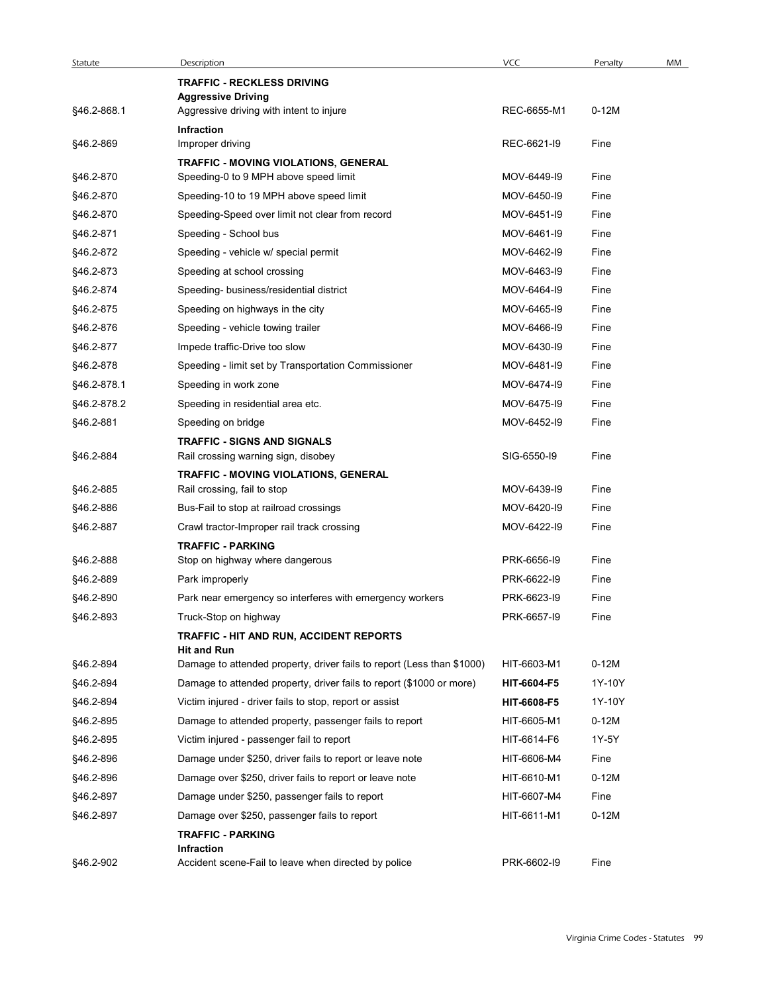| Statute                  | Description                                                                  | <b>VCC</b>                 | Penalty      | MM |
|--------------------------|------------------------------------------------------------------------------|----------------------------|--------------|----|
|                          | <b>TRAFFIC - RECKLESS DRIVING</b>                                            |                            |              |    |
| §46.2-868.1              | <b>Aggressive Driving</b><br>Aggressive driving with intent to injure        | REC-6655-M1                | $0-12M$      |    |
| §46.2-869                | <b>Infraction</b><br>Improper driving                                        | REC-6621-I9                | Fine         |    |
|                          | <b>TRAFFIC - MOVING VIOLATIONS, GENERAL</b>                                  |                            |              |    |
| §46.2-870                | Speeding-0 to 9 MPH above speed limit                                        | MOV-6449-I9                | Fine         |    |
| §46.2-870                | Speeding-10 to 19 MPH above speed limit                                      | MOV-6450-19                | Fine         |    |
| §46.2-870                | Speeding-Speed over limit not clear from record                              | MOV-6451-I9                | Fine         |    |
| §46.2-871                | Speeding - School bus                                                        | MOV-6461-I9                | Fine         |    |
| §46.2-872                | Speeding - vehicle w/ special permit                                         | MOV-6462-I9                | Fine         |    |
| §46.2-873                | Speeding at school crossing                                                  | MOV-6463-I9                | Fine         |    |
| §46.2-874                | Speeding- business/residential district                                      | MOV-6464-I9                | Fine         |    |
| §46.2-875                | Speeding on highways in the city                                             | MOV-6465-I9                | Fine         |    |
| §46.2-876                | Speeding - vehicle towing trailer                                            | MOV-6466-I9                | Fine         |    |
| §46.2-877                | Impede traffic-Drive too slow                                                | MOV-6430-I9                | Fine         |    |
| §46.2-878                | Speeding - limit set by Transportation Commissioner<br>Speeding in work zone | MOV-6481-I9<br>MOV-6474-I9 | Fine         |    |
| §46.2-878.1              | Speeding in residential area etc.                                            | MOV-6475-I9                | Fine         |    |
| §46.2-878.2<br>§46.2-881 | Speeding on bridge                                                           | MOV-6452-I9                | Fine<br>Fine |    |
|                          | <b>TRAFFIC - SIGNS AND SIGNALS</b>                                           |                            |              |    |
| §46.2-884                | Rail crossing warning sign, disobey                                          | SIG-6550-I9                | Fine         |    |
|                          | TRAFFIC - MOVING VIOLATIONS, GENERAL                                         |                            |              |    |
| §46.2-885                | Rail crossing, fail to stop                                                  | MOV-6439-I9                | Fine         |    |
| §46.2-886                | Bus-Fail to stop at railroad crossings                                       | MOV-6420-I9                | Fine         |    |
| §46.2-887                | Crawl tractor-Improper rail track crossing                                   | MOV-6422-I9                | Fine         |    |
| §46.2-888                | <b>TRAFFIC - PARKING</b><br>Stop on highway where dangerous                  | PRK-6656-I9                | Fine         |    |
| §46.2-889                | Park improperly                                                              | PRK-6622-I9                | Fine         |    |
| §46.2-890                | Park near emergency so interferes with emergency workers                     | PRK-6623-I9                | Fine         |    |
| §46.2-893                | Truck-Stop on highway                                                        | PRK-6657-19                | Fine         |    |
|                          | TRAFFIC - HIT AND RUN, ACCIDENT REPORTS                                      |                            |              |    |
|                          | <b>Hit and Run</b>                                                           |                            |              |    |
| §46.2-894                | Damage to attended property, driver fails to report (Less than \$1000)       | HIT-6603-M1                | $0-12M$      |    |
| §46.2-894                | Damage to attended property, driver fails to report (\$1000 or more)         | HIT-6604-F5                | 1Y-10Y       |    |
| §46.2-894                | Victim injured - driver fails to stop, report or assist                      | HIT-6608-F5                | 1Y-10Y       |    |
| §46.2-895                | Damage to attended property, passenger fails to report                       | HIT-6605-M1                | $0-12M$      |    |
| §46.2-895                | Victim injured - passenger fail to report                                    | HIT-6614-F6                | 1Y-5Y        |    |
| §46.2-896                | Damage under \$250, driver fails to report or leave note                     | HIT-6606-M4                | Fine         |    |
| §46.2-896                | Damage over \$250, driver fails to report or leave note                      | HIT-6610-M1                | $0-12M$      |    |
| §46.2-897                | Damage under \$250, passenger fails to report                                | HIT-6607-M4                | Fine         |    |
| §46.2-897                | Damage over \$250, passenger fails to report<br><b>TRAFFIC - PARKING</b>     | HIT-6611-M1                | $0-12M$      |    |
| §46.2-902                | Infraction<br>Accident scene-Fail to leave when directed by police           | PRK-6602-I9                | Fine         |    |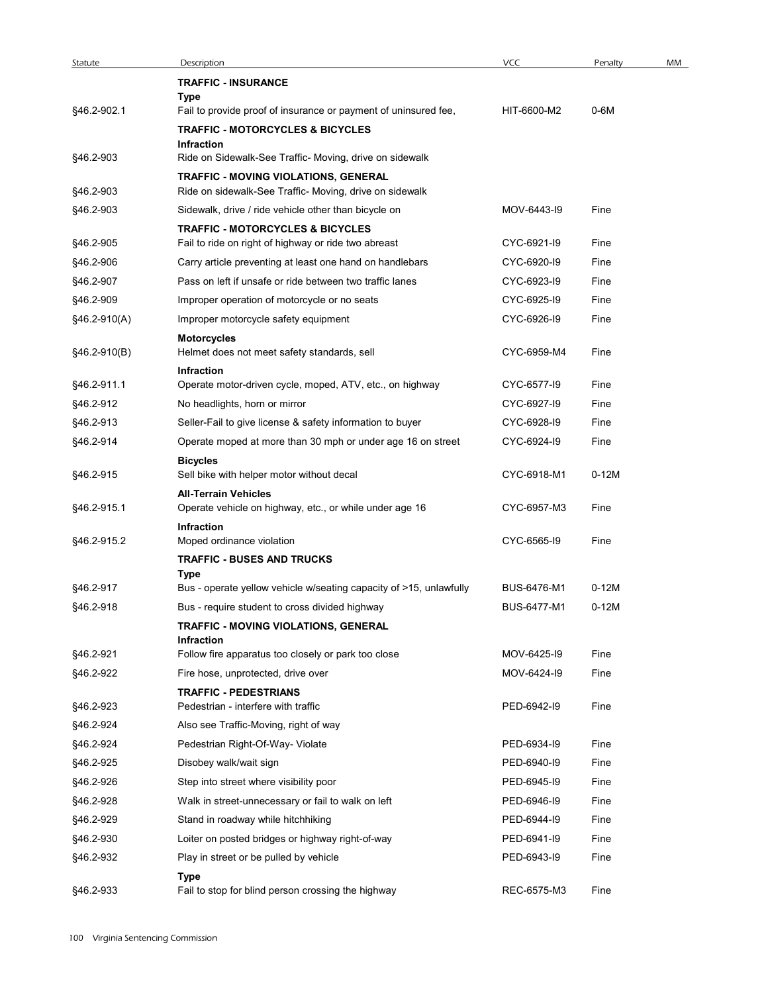| Statute                | Description                                                                                                    | <b>VCC</b>                 | Penalty      | MM |
|------------------------|----------------------------------------------------------------------------------------------------------------|----------------------------|--------------|----|
|                        | <b>TRAFFIC - INSURANCE</b><br>Type                                                                             |                            |              |    |
| §46.2-902.1            | Fail to provide proof of insurance or payment of uninsured fee,<br><b>TRAFFIC - MOTORCYCLES &amp; BICYCLES</b> | HIT-6600-M2                | 0-6M         |    |
| §46.2-903              | <b>Infraction</b><br>Ride on Sidewalk-See Traffic- Moving, drive on sidewalk                                   |                            |              |    |
|                        | <b>TRAFFIC - MOVING VIOLATIONS, GENERAL</b>                                                                    |                            |              |    |
| §46.2-903              | Ride on sidewalk-See Traffic- Moving, drive on sidewalk                                                        |                            |              |    |
| §46.2-903              | Sidewalk, drive / ride vehicle other than bicycle on                                                           | MOV-6443-19                | Fine         |    |
| §46.2-905              | <b>TRAFFIC - MOTORCYCLES &amp; BICYCLES</b><br>Fail to ride on right of highway or ride two abreast            | CYC-6921-I9                | Fine         |    |
| §46.2-906              | Carry article preventing at least one hand on handlebars                                                       | CYC-6920-I9                | Fine         |    |
| §46.2-907              | Pass on left if unsafe or ride between two traffic lanes                                                       | CYC-6923-I9                | Fine         |    |
| §46.2-909              | Improper operation of motorcycle or no seats                                                                   | CYC-6925-19                | Fine         |    |
| $§46.2-910(A)$         | Improper motorcycle safety equipment                                                                           | CYC-6926-I9                | Fine         |    |
| §46.2-910(B)           | <b>Motorcycles</b><br>Helmet does not meet safety standards, sell                                              | CYC-6959-M4                | Fine         |    |
| §46.2-911.1            | Infraction                                                                                                     | CYC-6577-I9                | Fine         |    |
| §46.2-912              | Operate motor-driven cycle, moped, ATV, etc., on highway<br>No headlights, horn or mirror                      | CYC-6927-I9                | Fine         |    |
| §46.2-913              | Seller-Fail to give license & safety information to buyer                                                      | CYC-6928-I9                | Fine         |    |
| §46.2-914              | Operate moped at more than 30 mph or under age 16 on street                                                    | CYC-6924-I9                | Fine         |    |
| §46.2-915              | <b>Bicycles</b><br>Sell bike with helper motor without decal                                                   | CYC-6918-M1                | $0-12M$      |    |
| §46.2-915.1            | <b>All-Terrain Vehicles</b><br>Operate vehicle on highway, etc., or while under age 16                         | CYC-6957-M3                | Fine         |    |
| §46.2-915.2            | Infraction<br>Moped ordinance violation                                                                        | CYC-6565-I9                | Fine         |    |
|                        | <b>TRAFFIC - BUSES AND TRUCKS</b><br>Type                                                                      |                            |              |    |
| §46.2-917              | Bus - operate yellow vehicle w/seating capacity of >15, unlawfully                                             | BUS-6476-M1                | $0-12M$      |    |
| §46.2-918              | Bus - require student to cross divided highway                                                                 | BUS-6477-M1                | $0-12M$      |    |
|                        | TRAFFIC - MOVING VIOLATIONS, GENERAL                                                                           |                            |              |    |
| §46.2-921              | Infraction<br>Follow fire apparatus too closely or park too close                                              | MOV-6425-19                | Fine         |    |
| §46.2-922              | Fire hose, unprotected, drive over                                                                             | MOV-6424-I9                | Fine         |    |
|                        | <b>TRAFFIC - PEDESTRIANS</b>                                                                                   |                            |              |    |
| §46.2-923              | Pedestrian - interfere with traffic                                                                            | PED-6942-I9                | Fine         |    |
| §46.2-924              | Also see Traffic-Moving, right of way                                                                          |                            |              |    |
| §46.2-924              | Pedestrian Right-Of-Way- Violate                                                                               | PED-6934-19                | Fine         |    |
| §46.2-925              | Disobey walk/wait sign                                                                                         | PED-6940-I9<br>PED-6945-19 | Fine         |    |
| §46.2-926<br>§46.2-928 | Step into street where visibility poor<br>Walk in street-unnecessary or fail to walk on left                   | PED-6946-19                | Fine<br>Fine |    |
| §46.2-929              | Stand in roadway while hitchhiking                                                                             | PED-6944-19                | Fine         |    |
| §46.2-930              | Loiter on posted bridges or highway right-of-way                                                               | PED-6941-I9                | Fine         |    |
| §46.2-932              | Play in street or be pulled by vehicle                                                                         | PED-6943-19                | Fine         |    |
|                        | Type<br>Fail to stop for blind person crossing the highway                                                     | REC-6575-M3                | Fine         |    |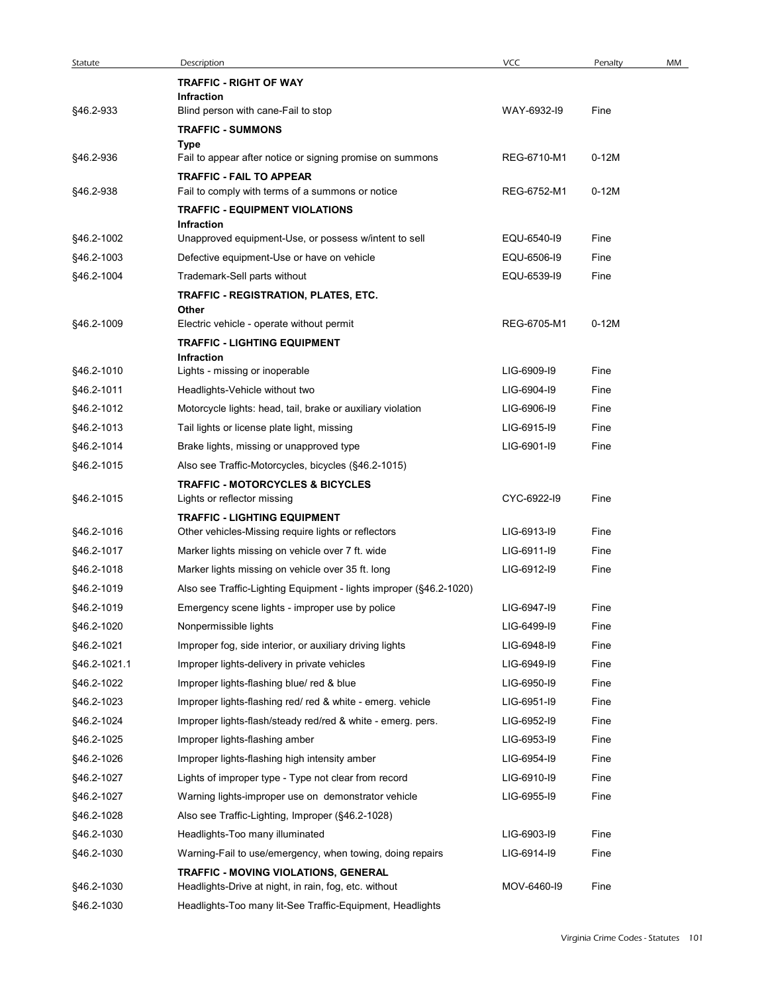| Statute      | Description                                                                         | <b>VCC</b>  | Penalty | MM |
|--------------|-------------------------------------------------------------------------------------|-------------|---------|----|
|              | <b>TRAFFIC - RIGHT OF WAY</b><br>Infraction                                         |             |         |    |
| §46.2-933    | Blind person with cane-Fail to stop                                                 | WAY-6932-I9 | Fine    |    |
|              | <b>TRAFFIC - SUMMONS</b>                                                            |             |         |    |
|              | Type                                                                                |             |         |    |
| §46.2-936    | Fail to appear after notice or signing promise on summons                           | REG-6710-M1 | $0-12M$ |    |
| §46.2-938    | <b>TRAFFIC - FAIL TO APPEAR</b><br>Fail to comply with terms of a summons or notice | REG-6752-M1 | $0-12M$ |    |
|              | <b>TRAFFIC - EQUIPMENT VIOLATIONS</b>                                               |             |         |    |
|              | Infraction                                                                          |             |         |    |
| §46.2-1002   | Unapproved equipment-Use, or possess w/intent to sell                               | EQU-6540-I9 | Fine    |    |
| §46.2-1003   | Defective equipment-Use or have on vehicle                                          | EQU-6506-I9 | Fine    |    |
| §46.2-1004   | Trademark-Sell parts without                                                        | EQU-6539-I9 | Fine    |    |
|              | TRAFFIC - REGISTRATION, PLATES, ETC.<br>Other                                       |             |         |    |
| §46.2-1009   | Electric vehicle - operate without permit                                           | REG-6705-M1 | $0-12M$ |    |
|              | <b>TRAFFIC - LIGHTING EQUIPMENT</b>                                                 |             |         |    |
|              | <b>Infraction</b>                                                                   |             |         |    |
| §46.2-1010   | Lights - missing or inoperable                                                      | LIG-6909-I9 | Fine    |    |
| §46.2-1011   | Headlights-Vehicle without two                                                      | LIG-6904-19 | Fine    |    |
| §46.2-1012   | Motorcycle lights: head, tail, brake or auxiliary violation                         | LIG-6906-I9 | Fine    |    |
| §46.2-1013   | Tail lights or license plate light, missing                                         | LIG-6915-I9 | Fine    |    |
| §46.2-1014   | Brake lights, missing or unapproved type                                            | LIG-6901-I9 | Fine    |    |
| §46.2-1015   | Also see Traffic-Motorcycles, bicycles (§46.2-1015)                                 |             |         |    |
| §46.2-1015   | <b>TRAFFIC - MOTORCYCLES &amp; BICYCLES</b><br>Lights or reflector missing          | CYC-6922-I9 | Fine    |    |
|              | <b>TRAFFIC - LIGHTING EQUIPMENT</b>                                                 |             |         |    |
| §46.2-1016   | Other vehicles-Missing require lights or reflectors                                 | LIG-6913-I9 | Fine    |    |
| §46.2-1017   | Marker lights missing on vehicle over 7 ft. wide                                    | LIG-6911-I9 | Fine    |    |
| §46.2-1018   | Marker lights missing on vehicle over 35 ft. long                                   | LIG-6912-I9 | Fine    |    |
| §46.2-1019   | Also see Traffic-Lighting Equipment - lights improper (§46.2-1020)                  |             |         |    |
| §46.2-1019   | Emergency scene lights - improper use by police                                     | LIG-6947-19 | Fine    |    |
| §46.2-1020   | Nonpermissible lights                                                               | LIG-6499-I9 | Fine    |    |
| §46.2-1021   | Improper fog, side interior, or auxiliary driving lights                            | LIG-6948-I9 | Fine    |    |
| §46.2-1021.1 | Improper lights-delivery in private vehicles                                        | LIG-6949-I9 | Fine    |    |
| §46.2-1022   | Improper lights-flashing blue/ red & blue                                           | LIG-6950-I9 | Fine    |    |
| §46.2-1023   | Improper lights-flashing red/ red & white - emerg. vehicle                          | LIG-6951-I9 | Fine    |    |
| §46.2-1024   | Improper lights-flash/steady red/red & white - emerg. pers.                         | LIG-6952-I9 | Fine    |    |
| §46.2-1025   | Improper lights-flashing amber                                                      | LIG-6953-I9 | Fine    |    |
| §46.2-1026   | Improper lights-flashing high intensity amber                                       | LIG-6954-19 | Fine    |    |
| §46.2-1027   | Lights of improper type - Type not clear from record                                | LIG-6910-I9 | Fine    |    |
| §46.2-1027   | Warning lights-improper use on demonstrator vehicle                                 | LIG-6955-19 | Fine    |    |
| §46.2-1028   | Also see Traffic-Lighting, Improper (§46.2-1028)                                    |             |         |    |
| §46.2-1030   | Headlights-Too many illuminated                                                     | LIG-6903-I9 | Fine    |    |
| §46.2-1030   | Warning-Fail to use/emergency, when towing, doing repairs                           | LIG-6914-I9 | Fine    |    |
|              | TRAFFIC - MOVING VIOLATIONS, GENERAL                                                |             |         |    |
| §46.2-1030   | Headlights-Drive at night, in rain, fog, etc. without                               | MOV-6460-I9 | Fine    |    |
| §46.2-1030   | Headlights-Too many lit-See Traffic-Equipment, Headlights                           |             |         |    |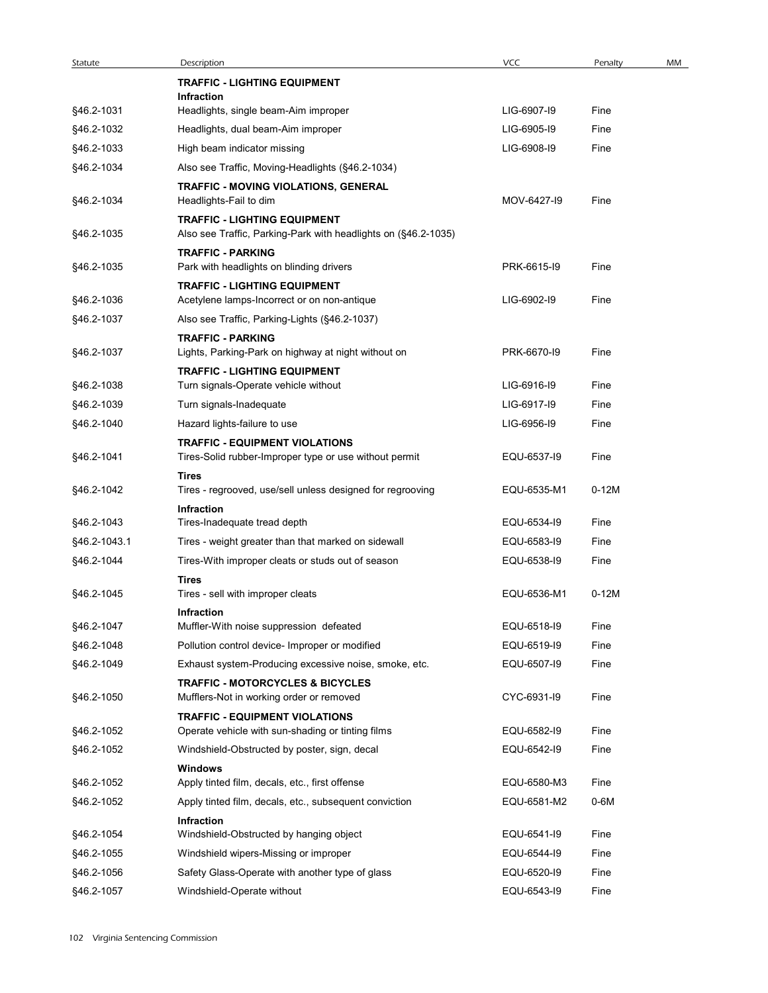| <b>VCC</b><br>Description<br>Penalty<br>Statute<br><b>TRAFFIC - LIGHTING EQUIPMENT</b><br>Infraction<br>LIG-6907-19<br>Headlights, single beam-Aim improper<br>Fine<br>§46.2-1032<br>LIG-6905-19<br>Headlights, dual beam-Aim improper<br>Fine<br>§46.2-1033<br>High beam indicator missing<br>LIG-6908-19<br>Fine<br>§46.2-1034<br>Also see Traffic, Moving-Headlights (§46.2-1034)<br>TRAFFIC - MOVING VIOLATIONS, GENERAL<br>§46.2-1034<br>Headlights-Fail to dim<br>MOV-6427-19<br>Fine<br><b>TRAFFIC - LIGHTING EQUIPMENT</b><br>Also see Traffic, Parking-Park with headlights on (§46.2-1035)<br><b>TRAFFIC - PARKING</b><br>PRK-6615-I9<br>Park with headlights on blinding drivers<br>Fine<br><b>TRAFFIC - LIGHTING EQUIPMENT</b><br>LIG-6902-I9<br>§46.2-1036<br>Acetylene lamps-Incorrect or on non-antique<br>Fine<br>§46.2-1037<br>Also see Traffic, Parking-Lights (§46.2-1037)<br><b>TRAFFIC - PARKING</b><br>PRK-6670-I9<br>Lights, Parking-Park on highway at night without on<br>Fine<br><b>TRAFFIC - LIGHTING EQUIPMENT</b><br>Turn signals-Operate vehicle without<br>LIG-6916-I9<br>Fine<br>LIG-6917-19<br>Fine<br>Turn signals-Inadequate<br>Hazard lights-failure to use<br>LIG-6956-19<br>Fine<br><b>TRAFFIC - EQUIPMENT VIOLATIONS</b><br>EQU-6537-I9<br>Fine<br>Tires-Solid rubber-Improper type or use without permit<br><b>Tires</b><br>Tires - regrooved, use/sell unless designed for regrooving<br>EQU-6535-M1<br>$0-12M$<br>Infraction<br>Tires-Inadequate tread depth<br>EQU-6534-I9<br>Fine<br>EQU-6583-I9<br>Tires - weight greater than that marked on sidewall<br>Fine<br>Tires-With improper cleats or studs out of season<br>EQU-6538-I9<br>Fine<br><b>Tires</b><br>$0-12M$<br>Tires - sell with improper cleats<br>EQU-6536-M1<br>Infraction<br>§46.2-1047<br>Muffler-With noise suppression defeated<br>EQU-6518-I9<br>Fine<br>§46.2-1048<br>Pollution control device- Improper or modified<br>EQU-6519-I9<br>Fine<br>§46.2-1049<br>Exhaust system-Producing excessive noise, smoke, etc.<br>EQU-6507-I9<br>Fine<br><b>TRAFFIC - MOTORCYCLES &amp; BICYCLES</b><br>CYC-6931-I9<br>§46.2-1050<br>Fine<br>Mufflers-Not in working order or removed<br><b>TRAFFIC - EQUIPMENT VIOLATIONS</b><br>§46.2-1052<br>Operate vehicle with sun-shading or tinting films<br>EQU-6582-I9<br>Fine<br>Windshield-Obstructed by poster, sign, decal<br>EQU-6542-I9<br>Fine<br><b>Windows</b><br>§46.2-1052<br>Apply tinted film, decals, etc., first offense<br>EQU-6580-M3<br>Fine<br>Apply tinted film, decals, etc., subsequent conviction<br>EQU-6581-M2<br>0-6M<br>§46.2-1052 |                          |  |    |
|-------------------------------------------------------------------------------------------------------------------------------------------------------------------------------------------------------------------------------------------------------------------------------------------------------------------------------------------------------------------------------------------------------------------------------------------------------------------------------------------------------------------------------------------------------------------------------------------------------------------------------------------------------------------------------------------------------------------------------------------------------------------------------------------------------------------------------------------------------------------------------------------------------------------------------------------------------------------------------------------------------------------------------------------------------------------------------------------------------------------------------------------------------------------------------------------------------------------------------------------------------------------------------------------------------------------------------------------------------------------------------------------------------------------------------------------------------------------------------------------------------------------------------------------------------------------------------------------------------------------------------------------------------------------------------------------------------------------------------------------------------------------------------------------------------------------------------------------------------------------------------------------------------------------------------------------------------------------------------------------------------------------------------------------------------------------------------------------------------------------------------------------------------------------------------------------------------------------------------------------------------------------------------------------------------------------------------------------------------------------------------------------------------------------------------------------------------------------------------------------------------------------------------------------------------------------------------------------------------------|--------------------------|--|----|
|                                                                                                                                                                                                                                                                                                                                                                                                                                                                                                                                                                                                                                                                                                                                                                                                                                                                                                                                                                                                                                                                                                                                                                                                                                                                                                                                                                                                                                                                                                                                                                                                                                                                                                                                                                                                                                                                                                                                                                                                                                                                                                                                                                                                                                                                                                                                                                                                                                                                                                                                                                                                             |                          |  | MM |
|                                                                                                                                                                                                                                                                                                                                                                                                                                                                                                                                                                                                                                                                                                                                                                                                                                                                                                                                                                                                                                                                                                                                                                                                                                                                                                                                                                                                                                                                                                                                                                                                                                                                                                                                                                                                                                                                                                                                                                                                                                                                                                                                                                                                                                                                                                                                                                                                                                                                                                                                                                                                             |                          |  |    |
|                                                                                                                                                                                                                                                                                                                                                                                                                                                                                                                                                                                                                                                                                                                                                                                                                                                                                                                                                                                                                                                                                                                                                                                                                                                                                                                                                                                                                                                                                                                                                                                                                                                                                                                                                                                                                                                                                                                                                                                                                                                                                                                                                                                                                                                                                                                                                                                                                                                                                                                                                                                                             | §46.2-1031               |  |    |
|                                                                                                                                                                                                                                                                                                                                                                                                                                                                                                                                                                                                                                                                                                                                                                                                                                                                                                                                                                                                                                                                                                                                                                                                                                                                                                                                                                                                                                                                                                                                                                                                                                                                                                                                                                                                                                                                                                                                                                                                                                                                                                                                                                                                                                                                                                                                                                                                                                                                                                                                                                                                             |                          |  |    |
|                                                                                                                                                                                                                                                                                                                                                                                                                                                                                                                                                                                                                                                                                                                                                                                                                                                                                                                                                                                                                                                                                                                                                                                                                                                                                                                                                                                                                                                                                                                                                                                                                                                                                                                                                                                                                                                                                                                                                                                                                                                                                                                                                                                                                                                                                                                                                                                                                                                                                                                                                                                                             |                          |  |    |
|                                                                                                                                                                                                                                                                                                                                                                                                                                                                                                                                                                                                                                                                                                                                                                                                                                                                                                                                                                                                                                                                                                                                                                                                                                                                                                                                                                                                                                                                                                                                                                                                                                                                                                                                                                                                                                                                                                                                                                                                                                                                                                                                                                                                                                                                                                                                                                                                                                                                                                                                                                                                             |                          |  |    |
|                                                                                                                                                                                                                                                                                                                                                                                                                                                                                                                                                                                                                                                                                                                                                                                                                                                                                                                                                                                                                                                                                                                                                                                                                                                                                                                                                                                                                                                                                                                                                                                                                                                                                                                                                                                                                                                                                                                                                                                                                                                                                                                                                                                                                                                                                                                                                                                                                                                                                                                                                                                                             |                          |  |    |
|                                                                                                                                                                                                                                                                                                                                                                                                                                                                                                                                                                                                                                                                                                                                                                                                                                                                                                                                                                                                                                                                                                                                                                                                                                                                                                                                                                                                                                                                                                                                                                                                                                                                                                                                                                                                                                                                                                                                                                                                                                                                                                                                                                                                                                                                                                                                                                                                                                                                                                                                                                                                             | §46.2-1035               |  |    |
|                                                                                                                                                                                                                                                                                                                                                                                                                                                                                                                                                                                                                                                                                                                                                                                                                                                                                                                                                                                                                                                                                                                                                                                                                                                                                                                                                                                                                                                                                                                                                                                                                                                                                                                                                                                                                                                                                                                                                                                                                                                                                                                                                                                                                                                                                                                                                                                                                                                                                                                                                                                                             | §46.2-1035               |  |    |
|                                                                                                                                                                                                                                                                                                                                                                                                                                                                                                                                                                                                                                                                                                                                                                                                                                                                                                                                                                                                                                                                                                                                                                                                                                                                                                                                                                                                                                                                                                                                                                                                                                                                                                                                                                                                                                                                                                                                                                                                                                                                                                                                                                                                                                                                                                                                                                                                                                                                                                                                                                                                             |                          |  |    |
|                                                                                                                                                                                                                                                                                                                                                                                                                                                                                                                                                                                                                                                                                                                                                                                                                                                                                                                                                                                                                                                                                                                                                                                                                                                                                                                                                                                                                                                                                                                                                                                                                                                                                                                                                                                                                                                                                                                                                                                                                                                                                                                                                                                                                                                                                                                                                                                                                                                                                                                                                                                                             |                          |  |    |
|                                                                                                                                                                                                                                                                                                                                                                                                                                                                                                                                                                                                                                                                                                                                                                                                                                                                                                                                                                                                                                                                                                                                                                                                                                                                                                                                                                                                                                                                                                                                                                                                                                                                                                                                                                                                                                                                                                                                                                                                                                                                                                                                                                                                                                                                                                                                                                                                                                                                                                                                                                                                             | §46.2-1037               |  |    |
|                                                                                                                                                                                                                                                                                                                                                                                                                                                                                                                                                                                                                                                                                                                                                                                                                                                                                                                                                                                                                                                                                                                                                                                                                                                                                                                                                                                                                                                                                                                                                                                                                                                                                                                                                                                                                                                                                                                                                                                                                                                                                                                                                                                                                                                                                                                                                                                                                                                                                                                                                                                                             |                          |  |    |
|                                                                                                                                                                                                                                                                                                                                                                                                                                                                                                                                                                                                                                                                                                                                                                                                                                                                                                                                                                                                                                                                                                                                                                                                                                                                                                                                                                                                                                                                                                                                                                                                                                                                                                                                                                                                                                                                                                                                                                                                                                                                                                                                                                                                                                                                                                                                                                                                                                                                                                                                                                                                             | §46.2-1038               |  |    |
|                                                                                                                                                                                                                                                                                                                                                                                                                                                                                                                                                                                                                                                                                                                                                                                                                                                                                                                                                                                                                                                                                                                                                                                                                                                                                                                                                                                                                                                                                                                                                                                                                                                                                                                                                                                                                                                                                                                                                                                                                                                                                                                                                                                                                                                                                                                                                                                                                                                                                                                                                                                                             | §46.2-1039               |  |    |
|                                                                                                                                                                                                                                                                                                                                                                                                                                                                                                                                                                                                                                                                                                                                                                                                                                                                                                                                                                                                                                                                                                                                                                                                                                                                                                                                                                                                                                                                                                                                                                                                                                                                                                                                                                                                                                                                                                                                                                                                                                                                                                                                                                                                                                                                                                                                                                                                                                                                                                                                                                                                             | §46.2-1040               |  |    |
|                                                                                                                                                                                                                                                                                                                                                                                                                                                                                                                                                                                                                                                                                                                                                                                                                                                                                                                                                                                                                                                                                                                                                                                                                                                                                                                                                                                                                                                                                                                                                                                                                                                                                                                                                                                                                                                                                                                                                                                                                                                                                                                                                                                                                                                                                                                                                                                                                                                                                                                                                                                                             | §46.2-1041               |  |    |
|                                                                                                                                                                                                                                                                                                                                                                                                                                                                                                                                                                                                                                                                                                                                                                                                                                                                                                                                                                                                                                                                                                                                                                                                                                                                                                                                                                                                                                                                                                                                                                                                                                                                                                                                                                                                                                                                                                                                                                                                                                                                                                                                                                                                                                                                                                                                                                                                                                                                                                                                                                                                             | §46.2-1042               |  |    |
|                                                                                                                                                                                                                                                                                                                                                                                                                                                                                                                                                                                                                                                                                                                                                                                                                                                                                                                                                                                                                                                                                                                                                                                                                                                                                                                                                                                                                                                                                                                                                                                                                                                                                                                                                                                                                                                                                                                                                                                                                                                                                                                                                                                                                                                                                                                                                                                                                                                                                                                                                                                                             |                          |  |    |
|                                                                                                                                                                                                                                                                                                                                                                                                                                                                                                                                                                                                                                                                                                                                                                                                                                                                                                                                                                                                                                                                                                                                                                                                                                                                                                                                                                                                                                                                                                                                                                                                                                                                                                                                                                                                                                                                                                                                                                                                                                                                                                                                                                                                                                                                                                                                                                                                                                                                                                                                                                                                             | §46.2-1043               |  |    |
|                                                                                                                                                                                                                                                                                                                                                                                                                                                                                                                                                                                                                                                                                                                                                                                                                                                                                                                                                                                                                                                                                                                                                                                                                                                                                                                                                                                                                                                                                                                                                                                                                                                                                                                                                                                                                                                                                                                                                                                                                                                                                                                                                                                                                                                                                                                                                                                                                                                                                                                                                                                                             | §46.2-1043.1             |  |    |
|                                                                                                                                                                                                                                                                                                                                                                                                                                                                                                                                                                                                                                                                                                                                                                                                                                                                                                                                                                                                                                                                                                                                                                                                                                                                                                                                                                                                                                                                                                                                                                                                                                                                                                                                                                                                                                                                                                                                                                                                                                                                                                                                                                                                                                                                                                                                                                                                                                                                                                                                                                                                             | §46.2-1044               |  |    |
|                                                                                                                                                                                                                                                                                                                                                                                                                                                                                                                                                                                                                                                                                                                                                                                                                                                                                                                                                                                                                                                                                                                                                                                                                                                                                                                                                                                                                                                                                                                                                                                                                                                                                                                                                                                                                                                                                                                                                                                                                                                                                                                                                                                                                                                                                                                                                                                                                                                                                                                                                                                                             | §46.2-1045               |  |    |
|                                                                                                                                                                                                                                                                                                                                                                                                                                                                                                                                                                                                                                                                                                                                                                                                                                                                                                                                                                                                                                                                                                                                                                                                                                                                                                                                                                                                                                                                                                                                                                                                                                                                                                                                                                                                                                                                                                                                                                                                                                                                                                                                                                                                                                                                                                                                                                                                                                                                                                                                                                                                             |                          |  |    |
|                                                                                                                                                                                                                                                                                                                                                                                                                                                                                                                                                                                                                                                                                                                                                                                                                                                                                                                                                                                                                                                                                                                                                                                                                                                                                                                                                                                                                                                                                                                                                                                                                                                                                                                                                                                                                                                                                                                                                                                                                                                                                                                                                                                                                                                                                                                                                                                                                                                                                                                                                                                                             |                          |  |    |
|                                                                                                                                                                                                                                                                                                                                                                                                                                                                                                                                                                                                                                                                                                                                                                                                                                                                                                                                                                                                                                                                                                                                                                                                                                                                                                                                                                                                                                                                                                                                                                                                                                                                                                                                                                                                                                                                                                                                                                                                                                                                                                                                                                                                                                                                                                                                                                                                                                                                                                                                                                                                             |                          |  |    |
|                                                                                                                                                                                                                                                                                                                                                                                                                                                                                                                                                                                                                                                                                                                                                                                                                                                                                                                                                                                                                                                                                                                                                                                                                                                                                                                                                                                                                                                                                                                                                                                                                                                                                                                                                                                                                                                                                                                                                                                                                                                                                                                                                                                                                                                                                                                                                                                                                                                                                                                                                                                                             |                          |  |    |
|                                                                                                                                                                                                                                                                                                                                                                                                                                                                                                                                                                                                                                                                                                                                                                                                                                                                                                                                                                                                                                                                                                                                                                                                                                                                                                                                                                                                                                                                                                                                                                                                                                                                                                                                                                                                                                                                                                                                                                                                                                                                                                                                                                                                                                                                                                                                                                                                                                                                                                                                                                                                             |                          |  |    |
|                                                                                                                                                                                                                                                                                                                                                                                                                                                                                                                                                                                                                                                                                                                                                                                                                                                                                                                                                                                                                                                                                                                                                                                                                                                                                                                                                                                                                                                                                                                                                                                                                                                                                                                                                                                                                                                                                                                                                                                                                                                                                                                                                                                                                                                                                                                                                                                                                                                                                                                                                                                                             |                          |  |    |
|                                                                                                                                                                                                                                                                                                                                                                                                                                                                                                                                                                                                                                                                                                                                                                                                                                                                                                                                                                                                                                                                                                                                                                                                                                                                                                                                                                                                                                                                                                                                                                                                                                                                                                                                                                                                                                                                                                                                                                                                                                                                                                                                                                                                                                                                                                                                                                                                                                                                                                                                                                                                             | §46.2-1052               |  |    |
|                                                                                                                                                                                                                                                                                                                                                                                                                                                                                                                                                                                                                                                                                                                                                                                                                                                                                                                                                                                                                                                                                                                                                                                                                                                                                                                                                                                                                                                                                                                                                                                                                                                                                                                                                                                                                                                                                                                                                                                                                                                                                                                                                                                                                                                                                                                                                                                                                                                                                                                                                                                                             |                          |  |    |
|                                                                                                                                                                                                                                                                                                                                                                                                                                                                                                                                                                                                                                                                                                                                                                                                                                                                                                                                                                                                                                                                                                                                                                                                                                                                                                                                                                                                                                                                                                                                                                                                                                                                                                                                                                                                                                                                                                                                                                                                                                                                                                                                                                                                                                                                                                                                                                                                                                                                                                                                                                                                             |                          |  |    |
| Infraction<br>EQU-6541-I9<br>Windshield-Obstructed by hanging object<br>Fine                                                                                                                                                                                                                                                                                                                                                                                                                                                                                                                                                                                                                                                                                                                                                                                                                                                                                                                                                                                                                                                                                                                                                                                                                                                                                                                                                                                                                                                                                                                                                                                                                                                                                                                                                                                                                                                                                                                                                                                                                                                                                                                                                                                                                                                                                                                                                                                                                                                                                                                                | §46.2-1054               |  |    |
| EQU-6544-I9                                                                                                                                                                                                                                                                                                                                                                                                                                                                                                                                                                                                                                                                                                                                                                                                                                                                                                                                                                                                                                                                                                                                                                                                                                                                                                                                                                                                                                                                                                                                                                                                                                                                                                                                                                                                                                                                                                                                                                                                                                                                                                                                                                                                                                                                                                                                                                                                                                                                                                                                                                                                 |                          |  |    |
| Windshield wipers-Missing or improper<br>Fine                                                                                                                                                                                                                                                                                                                                                                                                                                                                                                                                                                                                                                                                                                                                                                                                                                                                                                                                                                                                                                                                                                                                                                                                                                                                                                                                                                                                                                                                                                                                                                                                                                                                                                                                                                                                                                                                                                                                                                                                                                                                                                                                                                                                                                                                                                                                                                                                                                                                                                                                                               | §46.2-1055               |  |    |
| Safety Glass-Operate with another type of glass<br>EQU-6520-I9<br>Fine<br>Windshield-Operate without<br>EQU-6543-I9<br>Fine                                                                                                                                                                                                                                                                                                                                                                                                                                                                                                                                                                                                                                                                                                                                                                                                                                                                                                                                                                                                                                                                                                                                                                                                                                                                                                                                                                                                                                                                                                                                                                                                                                                                                                                                                                                                                                                                                                                                                                                                                                                                                                                                                                                                                                                                                                                                                                                                                                                                                 | §46.2-1056<br>§46.2-1057 |  |    |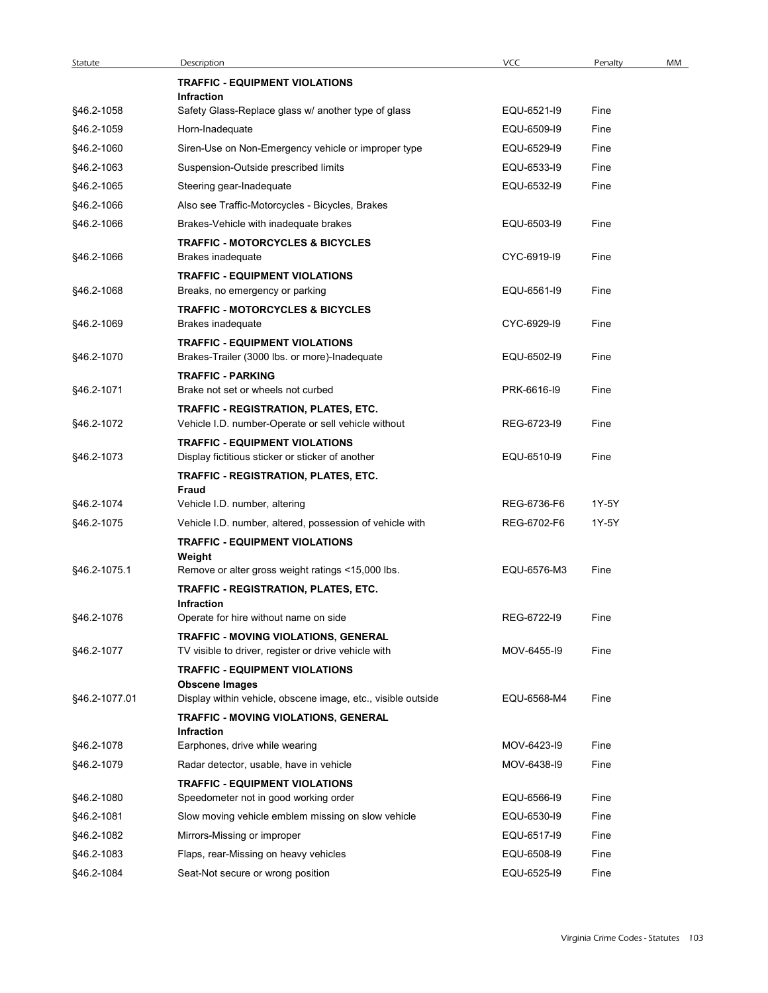| Statute       | Description                                                              | <b>VCC</b>  | Penalty<br>MM |
|---------------|--------------------------------------------------------------------------|-------------|---------------|
|               | <b>TRAFFIC - EQUIPMENT VIOLATIONS</b>                                    |             |               |
| §46.2-1058    | Infraction<br>Safety Glass-Replace glass w/ another type of glass        | EQU-6521-I9 | Fine          |
| §46.2-1059    | Horn-Inadequate                                                          | EQU-6509-I9 | Fine          |
| §46.2-1060    | Siren-Use on Non-Emergency vehicle or improper type                      | EQU-6529-I9 | Fine          |
| §46.2-1063    | Suspension-Outside prescribed limits                                     | EQU-6533-I9 | Fine          |
| §46.2-1065    | Steering gear-Inadequate                                                 | EQU-6532-I9 | Fine          |
| §46.2-1066    | Also see Traffic-Motorcycles - Bicycles, Brakes                          |             |               |
| §46.2-1066    | Brakes-Vehicle with inadequate brakes                                    | EQU-6503-I9 | Fine          |
|               | <b>TRAFFIC - MOTORCYCLES &amp; BICYCLES</b>                              |             |               |
| §46.2-1066    | <b>Brakes inadequate</b>                                                 | CYC-6919-I9 | Fine          |
| §46.2-1068    | <b>TRAFFIC - EQUIPMENT VIOLATIONS</b><br>Breaks, no emergency or parking | EQU-6561-I9 | Fine          |
|               | <b>TRAFFIC - MOTORCYCLES &amp; BICYCLES</b>                              |             |               |
| §46.2-1069    | Brakes inadequate                                                        | CYC-6929-I9 | Fine          |
|               | <b>TRAFFIC - EQUIPMENT VIOLATIONS</b>                                    |             |               |
| §46.2-1070    | Brakes-Trailer (3000 lbs. or more)-Inadequate                            | EQU-6502-I9 | Fine          |
| §46.2-1071    | <b>TRAFFIC - PARKING</b><br>Brake not set or wheels not curbed           | PRK-6616-I9 | Fine          |
|               | TRAFFIC - REGISTRATION, PLATES, ETC.                                     |             |               |
| §46.2-1072    | Vehicle I.D. number-Operate or sell vehicle without                      | REG-6723-I9 | Fine          |
|               | <b>TRAFFIC - EQUIPMENT VIOLATIONS</b>                                    |             |               |
| §46.2-1073    | Display fictitious sticker or sticker of another                         | EQU-6510-I9 | Fine          |
|               | TRAFFIC - REGISTRATION, PLATES, ETC.<br>Fraud                            |             |               |
| §46.2-1074    | Vehicle I.D. number, altering                                            | REG-6736-F6 | 1Y-5Y         |
| §46.2-1075    | Vehicle I.D. number, altered, possession of vehicle with                 | REG-6702-F6 | 1Y-5Y         |
|               | <b>TRAFFIC - EQUIPMENT VIOLATIONS</b>                                    |             |               |
| §46.2-1075.1  | Weight<br>Remove or alter gross weight ratings <15,000 lbs.              | EQU-6576-M3 | Fine          |
|               | TRAFFIC - REGISTRATION, PLATES, ETC.                                     |             |               |
|               | Infraction                                                               |             |               |
| §46.2-1076    | Operate for hire without name on side                                    | REG-6722-19 | Fine          |
|               | TRAFFIC - MOVING VIOLATIONS, GENERAL                                     |             |               |
| §46.2-1077    | TV visible to driver, register or drive vehicle with                     | MOV-6455-I9 | Fine          |
|               | <b>TRAFFIC - EQUIPMENT VIOLATIONS</b><br><b>Obscene Images</b>           |             |               |
| §46.2-1077.01 | Display within vehicle, obscene image, etc., visible outside             | EQU-6568-M4 | Fine          |
|               | TRAFFIC - MOVING VIOLATIONS, GENERAL                                     |             |               |
| §46.2-1078    | Infraction<br>Earphones, drive while wearing                             | MOV-6423-I9 | Fine          |
| §46.2-1079    | Radar detector, usable, have in vehicle                                  | MOV-6438-I9 | Fine          |
|               | <b>TRAFFIC - EQUIPMENT VIOLATIONS</b>                                    |             |               |
| §46.2-1080    | Speedometer not in good working order                                    | EQU-6566-19 | Fine          |
| §46.2-1081    | Slow moving vehicle emblem missing on slow vehicle                       | EQU-6530-19 | Fine          |
| §46.2-1082    | Mirrors-Missing or improper                                              | EQU-6517-I9 | Fine          |
| §46.2-1083    | Flaps, rear-Missing on heavy vehicles                                    | EQU-6508-I9 | Fine          |
| §46.2-1084    | Seat-Not secure or wrong position                                        | EQU-6525-19 | Fine          |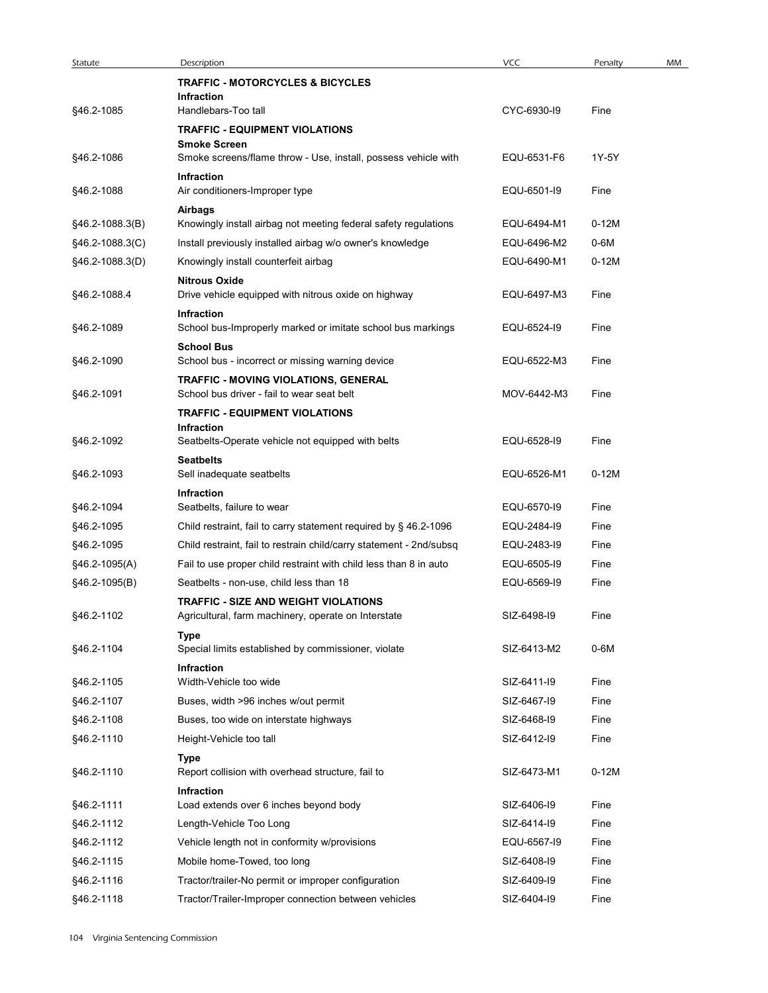| Statute                  | Description                                                                  | VCC                        | Penalty      | MM |
|--------------------------|------------------------------------------------------------------------------|----------------------------|--------------|----|
|                          | <b>TRAFFIC - MOTORCYCLES &amp; BICYCLES</b>                                  |                            |              |    |
| §46.2-1085               | Infraction<br>Handlebars-Too tall                                            | CYC-6930-I9                | Fine         |    |
|                          | <b>TRAFFIC - EQUIPMENT VIOLATIONS</b>                                        |                            |              |    |
|                          | <b>Smoke Screen</b>                                                          |                            |              |    |
| §46.2-1086               | Smoke screens/flame throw - Use, install, possess vehicle with               | EQU-6531-F6                | 1Y-5Y        |    |
| §46.2-1088               | Infraction<br>Air conditioners-Improper type                                 | EQU-6501-I9                | Fine         |    |
|                          | Airbags                                                                      |                            |              |    |
| §46.2-1088.3(B)          | Knowingly install airbag not meeting federal safety regulations              | EQU-6494-M1                | $0-12M$      |    |
| §46.2-1088.3(C)          | Install previously installed airbag w/o owner's knowledge                    | EQU-6496-M2                | 0-6M         |    |
| §46.2-1088.3(D)          | Knowingly install counterfeit airbag                                         | EQU-6490-M1                | $0-12M$      |    |
| §46.2-1088.4             | <b>Nitrous Oxide</b><br>Drive vehicle equipped with nitrous oxide on highway | EQU-6497-M3                | Fine         |    |
| §46.2-1089               | Infraction<br>School bus-Improperly marked or imitate school bus markings    | EQU-6524-I9                | Fine         |    |
| §46.2-1090               | <b>School Bus</b><br>School bus - incorrect or missing warning device        | EQU-6522-M3                | Fine         |    |
|                          | TRAFFIC - MOVING VIOLATIONS, GENERAL                                         |                            |              |    |
| §46.2-1091               | School bus driver - fail to wear seat belt                                   | MOV-6442-M3                | Fine         |    |
|                          | <b>TRAFFIC - EQUIPMENT VIOLATIONS</b>                                        |                            |              |    |
| §46.2-1092               | Infraction<br>Seatbelts-Operate vehicle not equipped with belts              | EQU-6528-I9                | Fine         |    |
|                          | <b>Seatbelts</b>                                                             |                            |              |    |
| §46.2-1093               | Sell inadequate seatbelts<br>Infraction                                      | EQU-6526-M1                | $0-12M$      |    |
| §46.2-1094               | Seatbelts, failure to wear                                                   | EQU-6570-I9                | Fine         |    |
| §46.2-1095               | Child restraint, fail to carry statement required by § 46.2-1096             | EQU-2484-19                | Fine         |    |
| §46.2-1095               | Child restraint, fail to restrain child/carry statement - 2nd/subsq          | EQU-2483-19                | Fine         |    |
| §46.2-1095(A)            | Fail to use proper child restraint with child less than 8 in auto            | EQU-6505-19                | Fine         |    |
| §46.2-1095(B)            | Seatbelts - non-use, child less than 18                                      | EQU-6569-19                | Fine         |    |
|                          | <b>TRAFFIC - SIZE AND WEIGHT VIOLATIONS</b>                                  |                            |              |    |
| §46.2-1102               | Agricultural, farm machinery, operate on Interstate                          | SIZ-6498-I9                | Fine         |    |
| §46.2-1104               | Type<br>Special limits established by commissioner, violate                  | SIZ-6413-M2                | 0-6M         |    |
|                          | Infraction                                                                   |                            |              |    |
| §46.2-1105               | Width-Vehicle too wide                                                       | SIZ-6411-I9                | Fine         |    |
| §46.2-1107<br>§46.2-1108 | Buses, width >96 inches w/out permit                                         | SIZ-6467-19<br>SIZ-6468-I9 | Fine<br>Fine |    |
| §46.2-1110               | Buses, too wide on interstate highways<br>Height-Vehicle too tall            | SIZ-6412-19                | Fine         |    |
|                          | Type                                                                         |                            |              |    |
| §46.2-1110               | Report collision with overhead structure, fail to<br>Infraction              | SIZ-6473-M1                | $0-12M$      |    |
| §46.2-1111               | Load extends over 6 inches beyond body                                       | SIZ-6406-19                | Fine         |    |
| §46.2-1112               | Length-Vehicle Too Long                                                      | SIZ-6414-19                | Fine         |    |
| §46.2-1112               | Vehicle length not in conformity w/provisions                                | EQU-6567-19                | Fine         |    |
| §46.2-1115               | Mobile home-Towed, too long                                                  | SIZ-6408-I9                | Fine         |    |
| §46.2-1116               | Tractor/trailer-No permit or improper configuration                          | SIZ-6409-I9                | Fine         |    |
|                          | Tractor/Trailer-Improper connection between vehicles                         | SIZ-6404-I9                | Fine         |    |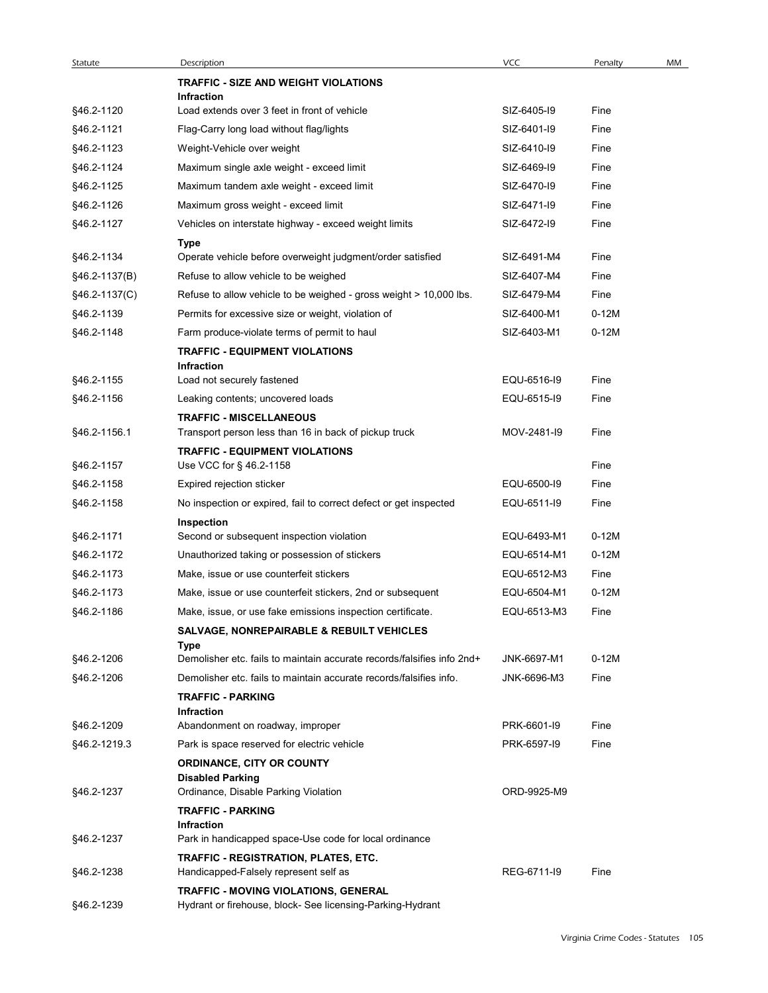| Statute                  | Description                                                                                        | VCC                        | Penalty      |
|--------------------------|----------------------------------------------------------------------------------------------------|----------------------------|--------------|
|                          | <b>TRAFFIC - SIZE AND WEIGHT VIOLATIONS</b>                                                        |                            |              |
|                          | Infraction                                                                                         |                            |              |
| §46.2-1120               | Load extends over 3 feet in front of vehicle                                                       | SIZ-6405-19                | Fine         |
| §46.2-1121               | Flag-Carry long load without flag/lights                                                           | SIZ-6401-I9                | Fine         |
| §46.2-1123               | Weight-Vehicle over weight                                                                         | SIZ-6410-19                | Fine         |
| §46.2-1124               | Maximum single axle weight - exceed limit                                                          | SIZ-6469-19<br>SIZ-6470-19 | Fine         |
| §46.2-1125               | Maximum tandem axle weight - exceed limit                                                          | SIZ-6471-I9                | Fine<br>Fine |
| §46.2-1126<br>§46.2-1127 | Maximum gross weight - exceed limit<br>Vehicles on interstate highway - exceed weight limits       | SIZ-6472-19                | Fine         |
|                          | Type                                                                                               |                            |              |
| §46.2-1134               | Operate vehicle before overweight judgment/order satisfied                                         | SIZ-6491-M4                | Fine         |
| §46.2-1137(B)            | Refuse to allow vehicle to be weighed                                                              | SIZ-6407-M4                | Fine         |
| §46.2-1137(C)            | Refuse to allow vehicle to be weighed - gross weight > 10,000 lbs.                                 | SIZ-6479-M4                | Fine         |
| §46.2-1139               | Permits for excessive size or weight, violation of                                                 | SIZ-6400-M1                | $0-12M$      |
| §46.2-1148               | Farm produce-violate terms of permit to haul                                                       | SIZ-6403-M1                | $0-12M$      |
|                          | <b>TRAFFIC - EQUIPMENT VIOLATIONS</b>                                                              |                            |              |
| §46.2-1155               | Infraction<br>Load not securely fastened                                                           | EQU-6516-I9                | Fine         |
| §46.2-1156               | Leaking contents; uncovered loads                                                                  | EQU-6515-I9                | Fine         |
|                          | <b>TRAFFIC - MISCELLANEOUS</b>                                                                     |                            |              |
| §46.2-1156.1             | Transport person less than 16 in back of pickup truck                                              | MOV-2481-I9                | Fine         |
|                          | <b>TRAFFIC - EQUIPMENT VIOLATIONS</b>                                                              |                            |              |
| §46.2-1157               | Use VCC for § 46.2-1158                                                                            |                            | Fine         |
| §46.2-1158               | Expired rejection sticker                                                                          | EQU-6500-I9                | Fine         |
| §46.2-1158               | No inspection or expired, fail to correct defect or get inspected                                  | EQU-6511-I9                | Fine         |
| §46.2-1171               | Inspection<br>Second or subsequent inspection violation                                            | EQU-6493-M1                | $0-12M$      |
| §46.2-1172               | Unauthorized taking or possession of stickers                                                      | EQU-6514-M1                | $0-12M$      |
| §46.2-1173               | Make, issue or use counterfeit stickers                                                            | EQU-6512-M3                | Fine         |
| §46.2-1173               | Make, issue or use counterfeit stickers, 2nd or subsequent                                         | EQU-6504-M1                | $0-12M$      |
| §46.2-1186               | Make, issue, or use fake emissions inspection certificate.                                         | EQU-6513-M3                | Fine         |
|                          | SALVAGE, NONREPAIRABLE & REBUILT VEHICLES                                                          |                            |              |
|                          | Type                                                                                               |                            |              |
| §46.2-1206               | Demolisher etc. fails to maintain accurate records/falsifies info 2nd+                             | JNK-6697-M1                | $0-12M$      |
| §46.2-1206               | Demolisher etc. fails to maintain accurate records/falsifies info.                                 | JNK-6696-M3                | Fine         |
|                          | <b>TRAFFIC - PARKING</b><br>Infraction                                                             |                            |              |
| §46.2-1209               | Abandonment on roadway, improper                                                                   | PRK-6601-I9                | Fine         |
| §46.2-1219.3             | Park is space reserved for electric vehicle                                                        | PRK-6597-I9                | Fine         |
|                          | ORDINANCE, CITY OR COUNTY                                                                          |                            |              |
| §46.2-1237               | <b>Disabled Parking</b><br>Ordinance, Disable Parking Violation                                    | ORD-9925-M9                |              |
|                          | <b>TRAFFIC - PARKING</b>                                                                           |                            |              |
|                          | Infraction                                                                                         |                            |              |
| §46.2-1237               | Park in handicapped space-Use code for local ordinance                                             |                            |              |
|                          | TRAFFIC - REGISTRATION, PLATES, ETC.                                                               |                            |              |
| §46.2-1238               | Handicapped-Falsely represent self as                                                              | REG-6711-I9                | Fine         |
| §46.2-1239               | TRAFFIC - MOVING VIOLATIONS, GENERAL<br>Hydrant or firehouse, block- See licensing-Parking-Hydrant |                            |              |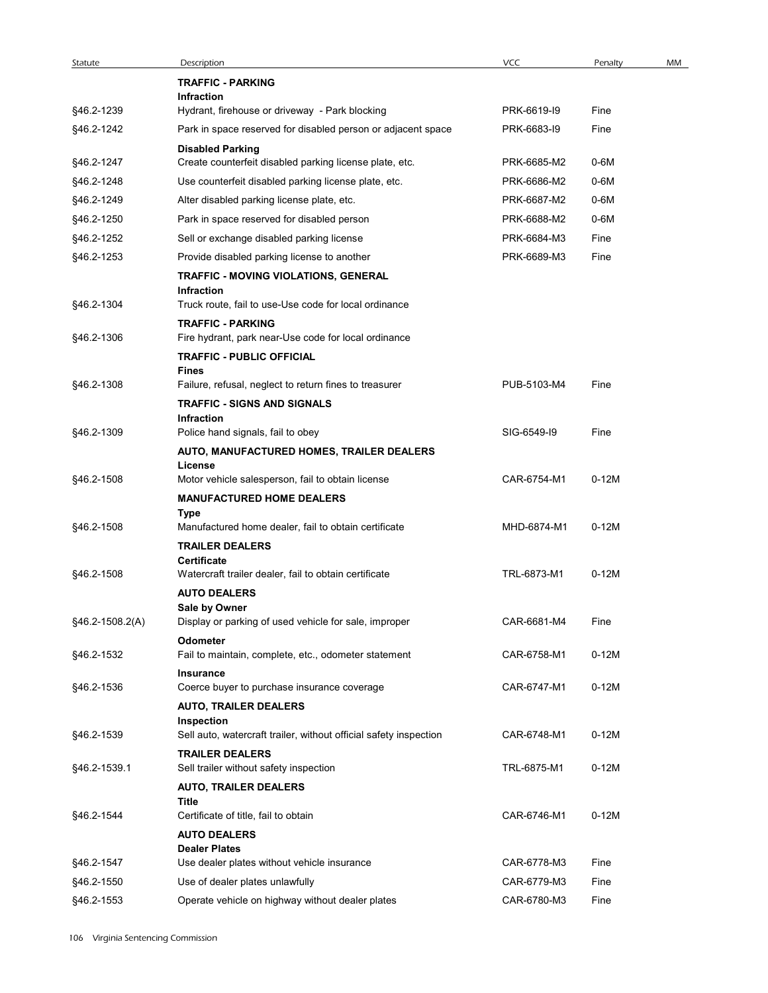| Statute<br>§46.2-1239 | Description                                                                        |             |         |    |
|-----------------------|------------------------------------------------------------------------------------|-------------|---------|----|
|                       |                                                                                    | VCC         | Penalty | MM |
|                       | <b>TRAFFIC - PARKING</b>                                                           |             |         |    |
|                       | Infraction                                                                         |             |         |    |
|                       | Hydrant, firehouse or driveway - Park blocking                                     | PRK-6619-I9 | Fine    |    |
| §46.2-1242            | Park in space reserved for disabled person or adjacent space                       | PRK-6683-I9 | Fine    |    |
| §46.2-1247            | <b>Disabled Parking</b><br>Create counterfeit disabled parking license plate, etc. | PRK-6685-M2 | $0-6M$  |    |
| §46.2-1248            | Use counterfeit disabled parking license plate, etc.                               | PRK-6686-M2 | $0-6M$  |    |
| §46.2-1249            | Alter disabled parking license plate, etc.                                         | PRK-6687-M2 | $0-6M$  |    |
| §46.2-1250            | Park in space reserved for disabled person                                         | PRK-6688-M2 | $0-6M$  |    |
| §46.2-1252            | Sell or exchange disabled parking license                                          | PRK-6684-M3 | Fine    |    |
| §46.2-1253            | Provide disabled parking license to another                                        | PRK-6689-M3 | Fine    |    |
|                       | TRAFFIC - MOVING VIOLATIONS, GENERAL                                               |             |         |    |
|                       | Infraction                                                                         |             |         |    |
| §46.2-1304            | Truck route, fail to use-Use code for local ordinance                              |             |         |    |
|                       | <b>TRAFFIC - PARKING</b>                                                           |             |         |    |
| §46.2-1306            | Fire hydrant, park near-Use code for local ordinance                               |             |         |    |
|                       | <b>TRAFFIC - PUBLIC OFFICIAL</b>                                                   |             |         |    |
| §46.2-1308            | <b>Fines</b><br>Failure, refusal, neglect to return fines to treasurer             | PUB-5103-M4 | Fine    |    |
|                       | <b>TRAFFIC - SIGNS AND SIGNALS</b>                                                 |             |         |    |
|                       | Infraction                                                                         |             |         |    |
| §46.2-1309            | Police hand signals, fail to obey                                                  | SIG-6549-I9 | Fine    |    |
|                       | AUTO, MANUFACTURED HOMES, TRAILER DEALERS                                          |             |         |    |
| §46.2-1508            | License<br>Motor vehicle salesperson, fail to obtain license                       | CAR-6754-M1 | $0-12M$ |    |
|                       | <b>MANUFACTURED HOME DEALERS</b>                                                   |             |         |    |
|                       | Type                                                                               |             |         |    |
| §46.2-1508            | Manufactured home dealer, fail to obtain certificate                               | MHD-6874-M1 | $0-12M$ |    |
|                       | <b>TRAILER DEALERS</b>                                                             |             |         |    |
| §46.2-1508            | Certificate<br>Watercraft trailer dealer, fail to obtain certificate               | TRL-6873-M1 | $0-12M$ |    |
|                       | <b>AUTO DEALERS</b>                                                                |             |         |    |
|                       | Sale by Owner                                                                      |             |         |    |
| $§46.2-1508.2(A)$     | Display or parking of used vehicle for sale, improper                              | CAR-6681-M4 | Fine    |    |
|                       | Odometer                                                                           |             |         |    |
| §46.2-1532            | Fail to maintain, complete, etc., odometer statement                               | CAR-6758-M1 | $0-12M$ |    |
| §46.2-1536            | <b>Insurance</b><br>Coerce buyer to purchase insurance coverage                    | CAR-6747-M1 | $0-12M$ |    |
|                       | <b>AUTO, TRAILER DEALERS</b>                                                       |             |         |    |
|                       | Inspection                                                                         |             |         |    |
| §46.2-1539            | Sell auto, watercraft trailer, without official safety inspection                  | CAR-6748-M1 | $0-12M$ |    |
|                       | <b>TRAILER DEALERS</b>                                                             |             |         |    |
| §46.2-1539.1          | Sell trailer without safety inspection                                             | TRL-6875-M1 | $0-12M$ |    |
|                       | <b>AUTO, TRAILER DEALERS</b>                                                       |             |         |    |
|                       | Title                                                                              |             |         |    |
| §46.2-1544            | Certificate of title, fail to obtain                                               | CAR-6746-M1 | $0-12M$ |    |
|                       | <b>AUTO DEALERS</b><br><b>Dealer Plates</b>                                        |             |         |    |
| §46.2-1547            | Use dealer plates without vehicle insurance                                        | CAR-6778-M3 | Fine    |    |
| §46.2-1550            | Use of dealer plates unlawfully                                                    | CAR-6779-M3 | Fine    |    |
| §46.2-1553            | Operate vehicle on highway without dealer plates                                   | CAR-6780-M3 | Fine    |    |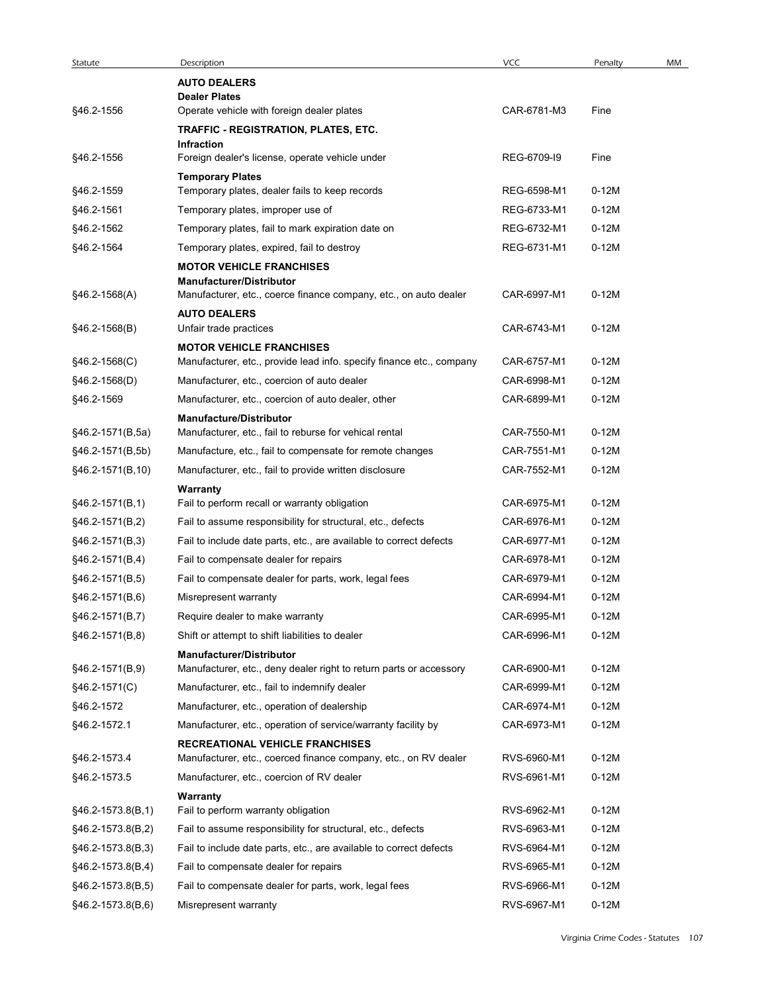| Statute                              |                                                                                                                  |             |         |    |
|--------------------------------------|------------------------------------------------------------------------------------------------------------------|-------------|---------|----|
|                                      | Description                                                                                                      | VCC         | Penalty | MM |
|                                      | <b>AUTO DEALERS</b><br><b>Dealer Plates</b>                                                                      |             |         |    |
| §46.2-1556                           | Operate vehicle with foreign dealer plates                                                                       | CAR-6781-M3 | Fine    |    |
|                                      | TRAFFIC - REGISTRATION, PLATES, ETC.<br>Infraction                                                               |             |         |    |
| §46.2-1556                           | Foreign dealer's license, operate vehicle under                                                                  | REG-6709-19 | Fine    |    |
|                                      | <b>Temporary Plates</b>                                                                                          |             |         |    |
| §46.2-1559                           | Temporary plates, dealer fails to keep records                                                                   | REG-6598-M1 | $0-12M$ |    |
| §46.2-1561                           | Temporary plates, improper use of                                                                                | REG-6733-M1 | $0-12M$ |    |
| §46.2-1562                           | Temporary plates, fail to mark expiration date on                                                                | REG-6732-M1 | $0-12M$ |    |
| §46.2-1564                           | Temporary plates, expired, fail to destroy<br><b>MOTOR VEHICLE FRANCHISES</b><br><b>Manufacturer/Distributor</b> | REG-6731-M1 | $0-12M$ |    |
| §46.2-1568(A)                        | Manufacturer, etc., coerce finance company, etc., on auto dealer<br><b>AUTO DEALERS</b>                          | CAR-6997-M1 | $0-12M$ |    |
| $§46.2-1568(B)$                      | Unfair trade practices                                                                                           | CAR-6743-M1 | $0-12M$ |    |
|                                      | <b>MOTOR VEHICLE FRANCHISES</b>                                                                                  |             |         |    |
| §46.2-1568(C)                        | Manufacturer, etc., provide lead info. specify finance etc., company                                             | CAR-6757-M1 | 0-12M   |    |
| $§46.2-1568(D)$                      | Manufacturer, etc., coercion of auto dealer                                                                      | CAR-6998-M1 | $0-12M$ |    |
| §46.2-1569                           | Manufacturer, etc., coercion of auto dealer, other                                                               | CAR-6899-M1 | $0-12M$ |    |
|                                      | <b>Manufacture/Distributor</b>                                                                                   |             |         |    |
| §46.2-1571(B,5a)                     | Manufacturer, etc., fail to reburse for vehical rental                                                           | CAR-7550-M1 | 0-12M   |    |
| §46.2-1571(B,5b)                     | Manufacture, etc., fail to compensate for remote changes                                                         | CAR-7551-M1 | $0-12M$ |    |
| §46.2-1571(B,10)                     | Manufacturer, etc., fail to provide written disclosure<br>Warranty                                               | CAR-7552-M1 | 0-12M   |    |
| $§46.2-1571(B,1)$                    | Fail to perform recall or warranty obligation                                                                    | CAR-6975-M1 | $0-12M$ |    |
| $§46.2-1571(B,2)$                    | Fail to assume responsibility for structural, etc., defects                                                      | CAR-6976-M1 | $0-12M$ |    |
| $§46.2-1571(B,3)$                    | Fail to include date parts, etc., are available to correct defects                                               | CAR-6977-M1 | $0-12M$ |    |
| $§46.2-1571(B,4)$                    | Fail to compensate dealer for repairs                                                                            | CAR-6978-M1 | $0-12M$ |    |
| $§46.2-1571(B,5)$                    | Fail to compensate dealer for parts, work, legal fees                                                            | CAR-6979-M1 | 0-12M   |    |
| $§46.2-1571(B,6)$                    | Misrepresent warranty                                                                                            | CAR-6994-M1 | $0-12M$ |    |
| $§46.2-1571(B,7)$                    | Require dealer to make warranty                                                                                  | CAR-6995-M1 | $0-12M$ |    |
| $§46.2-1571(B,8)$                    | Shift or attempt to shift liabilities to dealer                                                                  | CAR-6996-M1 | 0-12M   |    |
|                                      | <b>Manufacturer/Distributor</b><br>Manufacturer, etc., deny dealer right to return parts or accessory            | CAR-6900-M1 | $0-12M$ |    |
| $§46.2-1571(B,9)$<br>$§46.2-1571(C)$ | Manufacturer, etc., fail to indemnify dealer                                                                     | CAR-6999-M1 | $0-12M$ |    |
|                                      |                                                                                                                  |             | $0-12M$ |    |
| §46.2-1572                           | Manufacturer, etc., operation of dealership                                                                      | CAR-6974-M1 |         |    |
| §46.2-1572.1                         | Manufacturer, etc., operation of service/warranty facility by<br><b>RECREATIONAL VEHICLE FRANCHISES</b>          | CAR-6973-M1 | $0-12M$ |    |
| §46.2-1573.4                         | Manufacturer, etc., coerced finance company, etc., on RV dealer                                                  | RVS-6960-M1 | $0-12M$ |    |
| §46.2-1573.5                         | Manufacturer, etc., coercion of RV dealer                                                                        | RVS-6961-M1 | $0-12M$ |    |
| §46.2-1573.8(B,1)                    | Warranty<br>Fail to perform warranty obligation                                                                  | RVS-6962-M1 | $0-12M$ |    |
| §46.2-1573.8(B,2)                    | Fail to assume responsibility for structural, etc., defects                                                      | RVS-6963-M1 | $0-12M$ |    |
| $§46.2-1573.8(B,3)$                  | Fail to include date parts, etc., are available to correct defects                                               | RVS-6964-M1 | 0-12M   |    |
| §46.2-1573.8(B,4)                    | Fail to compensate dealer for repairs                                                                            | RVS-6965-M1 | $0-12M$ |    |
| §46.2-1573.8(B,5)                    | Fail to compensate dealer for parts, work, legal fees                                                            | RVS-6966-M1 | $0-12M$ |    |
|                                      | Misrepresent warranty                                                                                            | RVS-6967-M1 | $0-12M$ |    |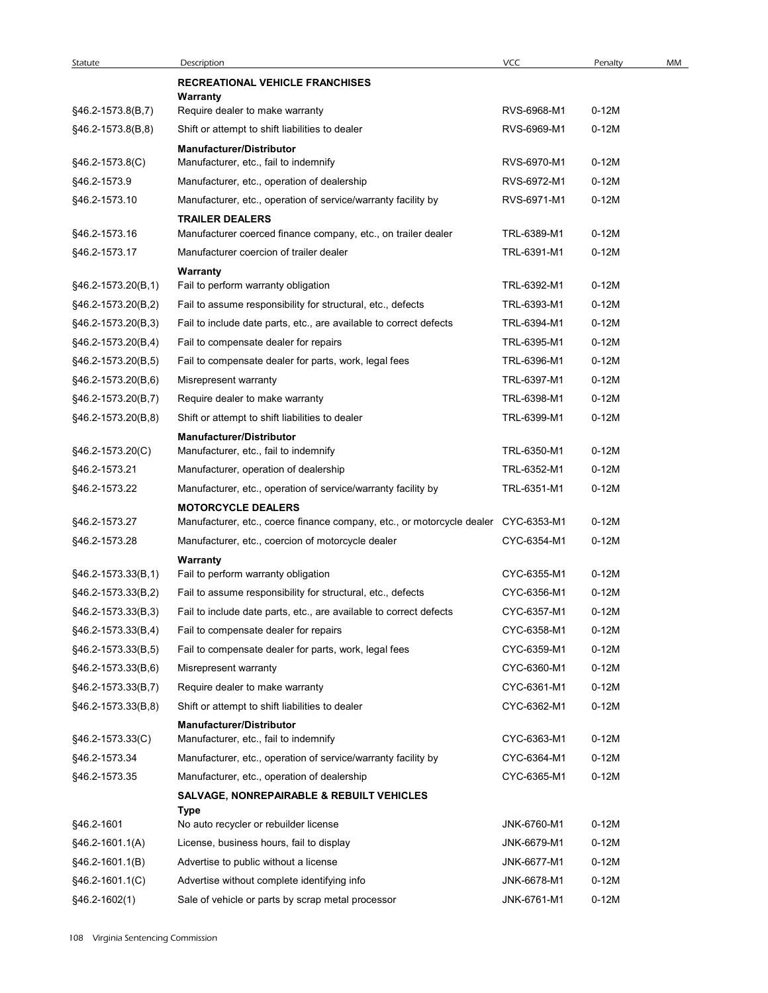| Statute              | Description                                                                        |                            |           |    |
|----------------------|------------------------------------------------------------------------------------|----------------------------|-----------|----|
|                      |                                                                                    | <b>VCC</b>                 | Penalty   | MM |
| §46.2-1573.8(B,7)    | <b>RECREATIONAL VEHICLE FRANCHISES</b>                                             |                            |           |    |
|                      | Warranty<br>Require dealer to make warranty                                        |                            | $0-12M$   |    |
| §46.2-1573.8(B,8)    | Shift or attempt to shift liabilities to dealer                                    | RVS-6968-M1<br>RVS-6969-M1 | $0-12M$   |    |
|                      | <b>Manufacturer/Distributor</b>                                                    |                            |           |    |
| §46.2-1573.8(C)      | Manufacturer, etc., fail to indemnify                                              | RVS-6970-M1                | $0-12M$   |    |
| §46.2-1573.9         | Manufacturer, etc., operation of dealership                                        | RVS-6972-M1                | $0-12M$   |    |
| §46.2-1573.10        | Manufacturer, etc., operation of service/warranty facility by                      | RVS-6971-M1                | $0-12M$   |    |
|                      | <b>TRAILER DEALERS</b>                                                             |                            |           |    |
| §46.2-1573.16        | Manufacturer coerced finance company, etc., on trailer dealer                      | TRL-6389-M1                | $0-12M$   |    |
| §46.2-1573.17        | Manufacturer coercion of trailer dealer                                            | TRL-6391-M1                | $0-12M$   |    |
| $§46.2-1573.20(B,1)$ | Warranty<br>Fail to perform warranty obligation                                    | TRL-6392-M1                | $0-12M$   |    |
| §46.2-1573.20(B,2)   | Fail to assume responsibility for structural, etc., defects                        | TRL-6393-M1                | $0-12M$   |    |
| §46.2-1573.20(B,3)   | Fail to include date parts, etc., are available to correct defects                 | TRL-6394-M1                | $0-12M$   |    |
| §46.2-1573.20(B,4)   | Fail to compensate dealer for repairs                                              | TRL-6395-M1                | $0-12M$   |    |
| §46.2-1573.20(B,5)   | Fail to compensate dealer for parts, work, legal fees                              | TRL-6396-M1                | $0 - 12M$ |    |
| §46.2-1573.20(B,6)   | Misrepresent warranty                                                              | TRL-6397-M1                | $0-12M$   |    |
| §46.2-1573.20(B,7)   | Require dealer to make warranty                                                    | TRL-6398-M1                | $0-12M$   |    |
| §46.2-1573.20(B,8)   | Shift or attempt to shift liabilities to dealer                                    | TRL-6399-M1                | $0-12M$   |    |
|                      | <b>Manufacturer/Distributor</b>                                                    |                            |           |    |
| §46.2-1573.20(C)     | Manufacturer, etc., fail to indemnify                                              | TRL-6350-M1                | $0-12M$   |    |
| §46.2-1573.21        | Manufacturer, operation of dealership                                              | TRL-6352-M1                | $0-12M$   |    |
| §46.2-1573.22        | Manufacturer, etc., operation of service/warranty facility by                      | TRL-6351-M1                | $0-12M$   |    |
|                      | <b>MOTORCYCLE DEALERS</b>                                                          |                            |           |    |
| §46.2-1573.27        | Manufacturer, etc., coerce finance company, etc., or motorcycle dealer CYC-6353-M1 |                            | $0-12M$   |    |
| §46.2-1573.28        | Manufacturer, etc., coercion of motorcycle dealer                                  | CYC-6354-M1                | $0-12M$   |    |
| §46.2-1573.33(B,1)   | Warranty<br>Fail to perform warranty obligation                                    | CYC-6355-M1                | $0-12M$   |    |
| §46.2-1573.33(B,2)   | Fail to assume responsibility for structural, etc., defects                        | CYC-6356-M1                | $0-12M$   |    |
| §46.2-1573.33(B,3)   | Fail to include date parts, etc., are available to correct defects                 | CYC-6357-M1                | $0-12M$   |    |
| §46.2-1573.33(B,4)   | Fail to compensate dealer for repairs                                              | CYC-6358-M1                | $0-12M$   |    |
| §46.2-1573.33(B,5)   | Fail to compensate dealer for parts, work, legal fees                              | CYC-6359-M1                | $0-12M$   |    |
| §46.2-1573.33(B,6)   | Misrepresent warranty                                                              | CYC-6360-M1                | $0-12M$   |    |
| §46.2-1573.33(B,7)   | Require dealer to make warranty                                                    | CYC-6361-M1                | $0-12M$   |    |
| §46.2-1573.33(B,8)   | Shift or attempt to shift liabilities to dealer                                    | CYC-6362-M1                | $0-12M$   |    |
|                      | <b>Manufacturer/Distributor</b>                                                    |                            |           |    |
| §46.2-1573.33(C)     | Manufacturer, etc., fail to indemnify                                              | CYC-6363-M1                | $0-12M$   |    |
| §46.2-1573.34        | Manufacturer, etc., operation of service/warranty facility by                      | CYC-6364-M1                | $0-12M$   |    |
| §46.2-1573.35        | Manufacturer, etc., operation of dealership                                        | CYC-6365-M1                | $0-12M$   |    |
|                      | <b>SALVAGE, NONREPAIRABLE &amp; REBUILT VEHICLES</b>                               |                            |           |    |
| §46.2-1601           | Type<br>No auto recycler or rebuilder license                                      | JNK-6760-M1                | $0-12M$   |    |
| §46.2-1601.1(A)      | License, business hours, fail to display                                           | JNK-6679-M1                | $0-12M$   |    |
| §46.2-1601.1(B)      | Advertise to public without a license                                              | JNK-6677-M1                | $0-12M$   |    |
| §46.2-1601.1(C)      | Advertise without complete identifying info                                        | JNK-6678-M1                | $0-12M$   |    |
| §46.2-1602(1)        | Sale of vehicle or parts by scrap metal processor                                  | JNK-6761-M1                | $0-12M$   |    |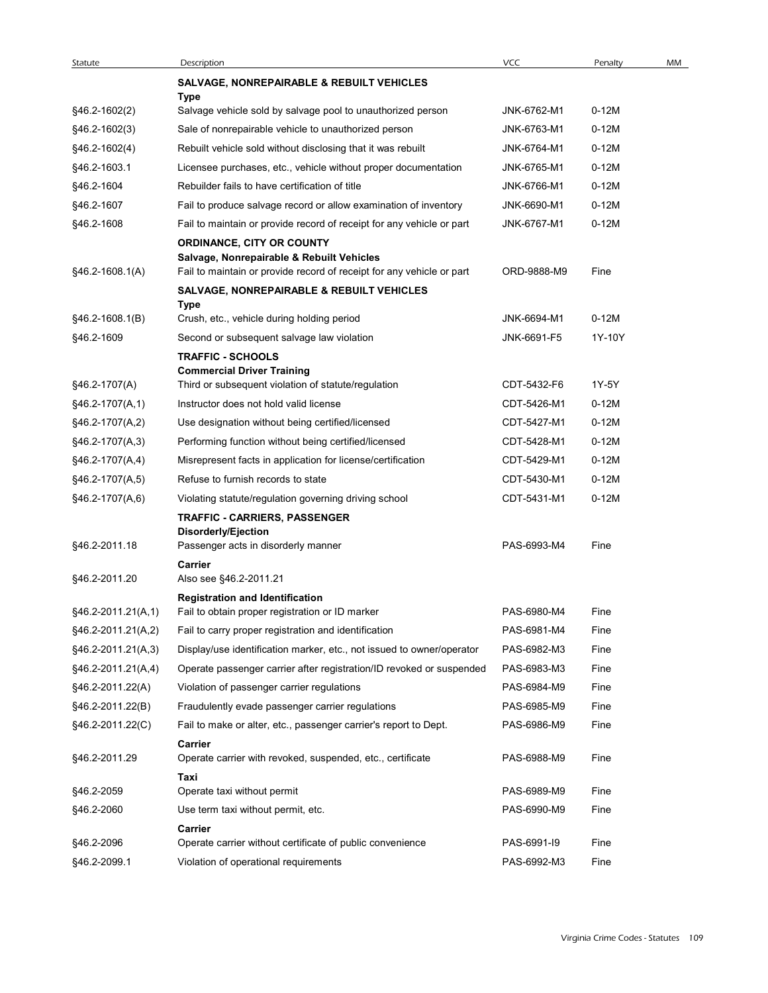| Statute                                  | Description                                                                                                         | VCC                        | Penalty            | MM |
|------------------------------------------|---------------------------------------------------------------------------------------------------------------------|----------------------------|--------------------|----|
|                                          | <b>SALVAGE, NONREPAIRABLE &amp; REBUILT VEHICLES</b>                                                                |                            |                    |    |
|                                          | Type                                                                                                                |                            |                    |    |
| §46.2-1602(2)                            | Salvage vehicle sold by salvage pool to unauthorized person                                                         | JNK-6762-M1                | $0-12M$<br>$0-12M$ |    |
| §46.2-1602(3)<br>§46.2-1602(4)           | Sale of nonrepairable vehicle to unauthorized person<br>Rebuilt vehicle sold without disclosing that it was rebuilt | JNK-6763-M1<br>JNK-6764-M1 | $0-12M$            |    |
| §46.2-1603.1                             | Licensee purchases, etc., vehicle without proper documentation                                                      | JNK-6765-M1                | $0-12M$            |    |
| §46.2-1604                               | Rebuilder fails to have certification of title                                                                      | JNK-6766-M1                | $0-12M$            |    |
| §46.2-1607                               | Fail to produce salvage record or allow examination of inventory                                                    | JNK-6690-M1                | $0-12M$            |    |
| §46.2-1608                               | Fail to maintain or provide record of receipt for any vehicle or part                                               | JNK-6767-M1                | $0-12M$            |    |
|                                          | ORDINANCE, CITY OR COUNTY                                                                                           |                            |                    |    |
| $§46.2-1608.1(A)$                        | Salvage, Nonrepairable & Rebuilt Vehicles<br>Fail to maintain or provide record of receipt for any vehicle or part  | ORD-9888-M9                | Fine               |    |
|                                          | <b>SALVAGE, NONREPAIRABLE &amp; REBUILT VEHICLES</b>                                                                |                            |                    |    |
|                                          | Type                                                                                                                |                            |                    |    |
| $§46.2-1608.1(B)$                        | Crush, etc., vehicle during holding period                                                                          | JNK-6694-M1                | $0-12M$            |    |
| §46.2-1609                               | Second or subsequent salvage law violation                                                                          | JNK-6691-F5                | 1Y-10Y             |    |
|                                          | <b>TRAFFIC - SCHOOLS</b><br><b>Commercial Driver Training</b>                                                       |                            |                    |    |
| §46.2-1707(A)                            | Third or subsequent violation of statute/regulation                                                                 | CDT-5432-F6                | 1Y-5Y              |    |
| $§46.2-1707(A,1)$                        | Instructor does not hold valid license                                                                              | CDT-5426-M1                | $0-12M$            |    |
| §46.2-1707(A,2)                          | Use designation without being certified/licensed                                                                    | CDT-5427-M1                | $0-12M$            |    |
| §46.2-1707(A,3)                          | Performing function without being certified/licensed                                                                | CDT-5428-M1                | $0-12M$            |    |
| §46.2-1707(A,4)                          | Misrepresent facts in application for license/certification                                                         | CDT-5429-M1                | $0-12M$            |    |
| §46.2-1707(A,5)                          | Refuse to furnish records to state                                                                                  | CDT-5430-M1                | $0-12M$            |    |
| §46.2-1707(A,6)                          | Violating statute/regulation governing driving school                                                               | CDT-5431-M1                | $0-12M$            |    |
|                                          | <b>TRAFFIC - CARRIERS, PASSENGER</b>                                                                                |                            |                    |    |
| §46.2-2011.18                            | Disorderly/Ejection<br>Passenger acts in disorderly manner                                                          | PAS-6993-M4                | Fine               |    |
|                                          | Carrier                                                                                                             |                            |                    |    |
| §46.2-2011.20                            | Also see §46.2-2011.21                                                                                              |                            |                    |    |
|                                          | <b>Registration and Identification</b>                                                                              | PAS-6980-M4                | Fine               |    |
| §46.2-2011.21(A,1)                       | Fail to obtain proper registration or ID marker<br>Fail to carry proper registration and identification             | PAS-6981-M4                | Fine               |    |
| §46.2-2011.21(A,2)<br>§46.2-2011.21(A,3) | Display/use identification marker, etc., not issued to owner/operator                                               | PAS-6982-M3                | Fine               |    |
| $§46.2-2011.21(A,4)$                     | Operate passenger carrier after registration/ID revoked or suspended                                                | PAS-6983-M3                | Fine               |    |
| §46.2-2011.22(A)                         | Violation of passenger carrier regulations                                                                          | PAS-6984-M9                | Fine               |    |
| §46.2-2011.22(B)                         | Fraudulently evade passenger carrier regulations                                                                    | PAS-6985-M9                | Fine               |    |
| §46.2-2011.22(C)                         | Fail to make or alter, etc., passenger carrier's report to Dept.                                                    | PAS-6986-M9                | Fine               |    |
|                                          | Carrier                                                                                                             |                            |                    |    |
| §46.2-2011.29                            | Operate carrier with revoked, suspended, etc., certificate                                                          | PAS-6988-M9                | Fine               |    |
|                                          | Taxi                                                                                                                |                            |                    |    |
| §46.2-2059<br>§46.2-2060                 | Operate taxi without permit<br>Use term taxi without permit, etc.                                                   | PAS-6989-M9<br>PAS-6990-M9 | Fine<br>Fine       |    |
|                                          | Carrier                                                                                                             |                            |                    |    |
| §46.2-2096                               | Operate carrier without certificate of public convenience                                                           | PAS-6991-I9                | Fine               |    |
| §46.2-2099.1                             | Violation of operational requirements                                                                               | PAS-6992-M3                | Fine               |    |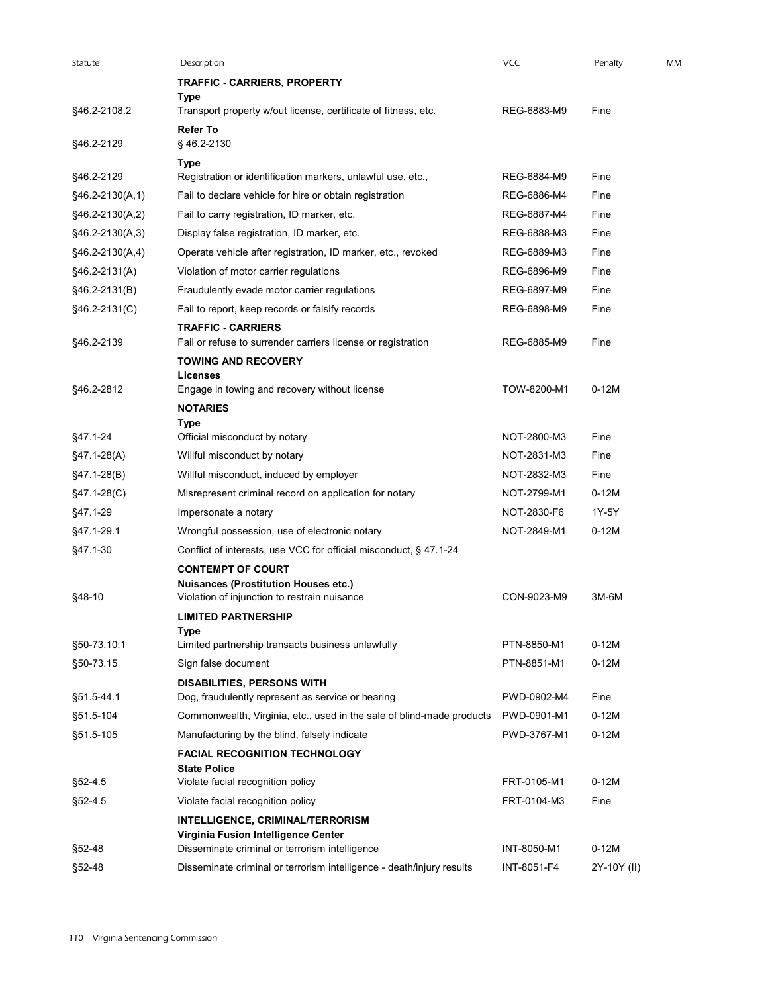| Statute<br>§46.2-2108.2<br>§46.2-2129<br>§46.2-2129<br>$§46.2-2130(A,1)$<br>§46.2-2130(A,2)<br>$§46.2-2130(A,3)$<br>$§46.2-2130(A,4)$<br>§46.2-2131(A)<br>§46.2-2131(B)<br>§46.2-2131(C)<br>§46.2-2139 | Description<br>TRAFFIC - CARRIERS, PROPERTY<br>Type<br>Transport property w/out license, certificate of fitness, etc.<br><b>Refer To</b><br>§46.2-2130<br>Type<br>Registration or identification markers, unlawful use, etc.,<br>Fail to declare vehicle for hire or obtain registration<br>Fail to carry registration, ID marker, etc.<br>Display false registration, ID marker, etc.<br>Operate vehicle after registration, ID marker, etc., revoked<br>Violation of motor carrier regulations<br>Fraudulently evade motor carrier regulations | <b>VCC</b><br>REG-6883-M9<br>REG-6884-M9<br>REG-6886-M4<br>REG-6887-M4<br>REG-6888-M3<br>REG-6889-M3 | Penalty<br>Fine<br>Fine<br>Fine<br>Fine |    |
|--------------------------------------------------------------------------------------------------------------------------------------------------------------------------------------------------------|--------------------------------------------------------------------------------------------------------------------------------------------------------------------------------------------------------------------------------------------------------------------------------------------------------------------------------------------------------------------------------------------------------------------------------------------------------------------------------------------------------------------------------------------------|------------------------------------------------------------------------------------------------------|-----------------------------------------|----|
|                                                                                                                                                                                                        |                                                                                                                                                                                                                                                                                                                                                                                                                                                                                                                                                  |                                                                                                      |                                         | MM |
|                                                                                                                                                                                                        |                                                                                                                                                                                                                                                                                                                                                                                                                                                                                                                                                  |                                                                                                      |                                         |    |
|                                                                                                                                                                                                        |                                                                                                                                                                                                                                                                                                                                                                                                                                                                                                                                                  |                                                                                                      |                                         |    |
|                                                                                                                                                                                                        |                                                                                                                                                                                                                                                                                                                                                                                                                                                                                                                                                  |                                                                                                      |                                         |    |
|                                                                                                                                                                                                        |                                                                                                                                                                                                                                                                                                                                                                                                                                                                                                                                                  |                                                                                                      |                                         |    |
|                                                                                                                                                                                                        |                                                                                                                                                                                                                                                                                                                                                                                                                                                                                                                                                  |                                                                                                      |                                         |    |
|                                                                                                                                                                                                        |                                                                                                                                                                                                                                                                                                                                                                                                                                                                                                                                                  |                                                                                                      |                                         |    |
|                                                                                                                                                                                                        |                                                                                                                                                                                                                                                                                                                                                                                                                                                                                                                                                  |                                                                                                      |                                         |    |
|                                                                                                                                                                                                        |                                                                                                                                                                                                                                                                                                                                                                                                                                                                                                                                                  |                                                                                                      |                                         |    |
|                                                                                                                                                                                                        |                                                                                                                                                                                                                                                                                                                                                                                                                                                                                                                                                  |                                                                                                      | Fine                                    |    |
|                                                                                                                                                                                                        |                                                                                                                                                                                                                                                                                                                                                                                                                                                                                                                                                  |                                                                                                      | Fine                                    |    |
|                                                                                                                                                                                                        |                                                                                                                                                                                                                                                                                                                                                                                                                                                                                                                                                  | REG-6896-M9                                                                                          | Fine                                    |    |
|                                                                                                                                                                                                        |                                                                                                                                                                                                                                                                                                                                                                                                                                                                                                                                                  | REG-6897-M9                                                                                          | Fine                                    |    |
|                                                                                                                                                                                                        | Fail to report, keep records or falsify records                                                                                                                                                                                                                                                                                                                                                                                                                                                                                                  | REG-6898-M9                                                                                          | Fine                                    |    |
|                                                                                                                                                                                                        | <b>TRAFFIC - CARRIERS</b>                                                                                                                                                                                                                                                                                                                                                                                                                                                                                                                        |                                                                                                      |                                         |    |
|                                                                                                                                                                                                        | Fail or refuse to surrender carriers license or registration                                                                                                                                                                                                                                                                                                                                                                                                                                                                                     | REG-6885-M9                                                                                          | Fine                                    |    |
|                                                                                                                                                                                                        | <b>TOWING AND RECOVERY</b>                                                                                                                                                                                                                                                                                                                                                                                                                                                                                                                       |                                                                                                      |                                         |    |
| §46.2-2812                                                                                                                                                                                             | <b>Licenses</b><br>Engage in towing and recovery without license                                                                                                                                                                                                                                                                                                                                                                                                                                                                                 | TOW-8200-M1                                                                                          | $0-12M$                                 |    |
|                                                                                                                                                                                                        | <b>NOTARIES</b>                                                                                                                                                                                                                                                                                                                                                                                                                                                                                                                                  |                                                                                                      |                                         |    |
|                                                                                                                                                                                                        | Type                                                                                                                                                                                                                                                                                                                                                                                                                                                                                                                                             |                                                                                                      |                                         |    |
| §47.1-24                                                                                                                                                                                               | Official misconduct by notary                                                                                                                                                                                                                                                                                                                                                                                                                                                                                                                    | NOT-2800-M3                                                                                          | Fine                                    |    |
| $§47.1-28(A)$                                                                                                                                                                                          | Willful misconduct by notary                                                                                                                                                                                                                                                                                                                                                                                                                                                                                                                     | NOT-2831-M3                                                                                          | Fine                                    |    |
| $§47.1-28(B)$                                                                                                                                                                                          | Willful misconduct, induced by employer                                                                                                                                                                                                                                                                                                                                                                                                                                                                                                          | NOT-2832-M3                                                                                          | Fine                                    |    |
| $§47.1-28(C)$                                                                                                                                                                                          | Misrepresent criminal record on application for notary                                                                                                                                                                                                                                                                                                                                                                                                                                                                                           | NOT-2799-M1                                                                                          | $0-12M$                                 |    |
| §47.1-29                                                                                                                                                                                               | Impersonate a notary                                                                                                                                                                                                                                                                                                                                                                                                                                                                                                                             | NOT-2830-F6                                                                                          | 1Y-5Y                                   |    |
| §47.1-29.1                                                                                                                                                                                             | Wrongful possession, use of electronic notary                                                                                                                                                                                                                                                                                                                                                                                                                                                                                                    | NOT-2849-M1                                                                                          | $0-12M$                                 |    |
| §47.1-30                                                                                                                                                                                               | Conflict of interests, use VCC for official misconduct, § 47.1-24                                                                                                                                                                                                                                                                                                                                                                                                                                                                                |                                                                                                      |                                         |    |
|                                                                                                                                                                                                        | <b>CONTEMPT OF COURT</b>                                                                                                                                                                                                                                                                                                                                                                                                                                                                                                                         |                                                                                                      |                                         |    |
| §48-10                                                                                                                                                                                                 | <b>Nuisances (Prostitution Houses etc.)</b>                                                                                                                                                                                                                                                                                                                                                                                                                                                                                                      | CON-9023-M9                                                                                          | 3M-6M                                   |    |
|                                                                                                                                                                                                        | Violation of injunction to restrain nuisance                                                                                                                                                                                                                                                                                                                                                                                                                                                                                                     |                                                                                                      |                                         |    |
|                                                                                                                                                                                                        | <b>LIMITED PARTNERSHIP</b><br>Type                                                                                                                                                                                                                                                                                                                                                                                                                                                                                                               |                                                                                                      |                                         |    |
| §50-73.10:1                                                                                                                                                                                            | Limited partnership transacts business unlawfully                                                                                                                                                                                                                                                                                                                                                                                                                                                                                                | PTN-8850-M1                                                                                          | $0-12M$                                 |    |
| §50-73.15                                                                                                                                                                                              | Sign false document                                                                                                                                                                                                                                                                                                                                                                                                                                                                                                                              | PTN-8851-M1                                                                                          | $0-12M$                                 |    |
|                                                                                                                                                                                                        | <b>DISABILITIES, PERSONS WITH</b>                                                                                                                                                                                                                                                                                                                                                                                                                                                                                                                |                                                                                                      |                                         |    |
| §51.5-44.1                                                                                                                                                                                             | Dog, fraudulently represent as service or hearing                                                                                                                                                                                                                                                                                                                                                                                                                                                                                                | PWD-0902-M4                                                                                          | Fine                                    |    |
| §51.5-104                                                                                                                                                                                              | Commonwealth, Virginia, etc., used in the sale of blind-made products                                                                                                                                                                                                                                                                                                                                                                                                                                                                            | PWD-0901-M1                                                                                          | $0-12M$                                 |    |
| §51.5-105                                                                                                                                                                                              | Manufacturing by the blind, falsely indicate                                                                                                                                                                                                                                                                                                                                                                                                                                                                                                     | PWD-3767-M1                                                                                          | $0-12M$                                 |    |
|                                                                                                                                                                                                        | <b>FACIAL RECOGNITION TECHNOLOGY</b>                                                                                                                                                                                                                                                                                                                                                                                                                                                                                                             |                                                                                                      |                                         |    |
|                                                                                                                                                                                                        | <b>State Police</b><br>Violate facial recognition policy                                                                                                                                                                                                                                                                                                                                                                                                                                                                                         | FRT-0105-M1                                                                                          | $0-12M$                                 |    |
| §52-4.5                                                                                                                                                                                                |                                                                                                                                                                                                                                                                                                                                                                                                                                                                                                                                                  |                                                                                                      |                                         |    |
| §52-4.5                                                                                                                                                                                                | Violate facial recognition policy                                                                                                                                                                                                                                                                                                                                                                                                                                                                                                                | FRT-0104-M3                                                                                          | Fine                                    |    |
|                                                                                                                                                                                                        | INTELLIGENCE, CRIMINAL/TERRORISM<br>Virginia Fusion Intelligence Center                                                                                                                                                                                                                                                                                                                                                                                                                                                                          |                                                                                                      |                                         |    |
| §52-48                                                                                                                                                                                                 | Disseminate criminal or terrorism intelligence                                                                                                                                                                                                                                                                                                                                                                                                                                                                                                   | INT-8050-M1                                                                                          | $0-12M$                                 |    |
| §52-48                                                                                                                                                                                                 | Disseminate criminal or terrorism intelligence - death/injury results                                                                                                                                                                                                                                                                                                                                                                                                                                                                            | INT-8051-F4                                                                                          | 2Y-10Y (II)                             |    |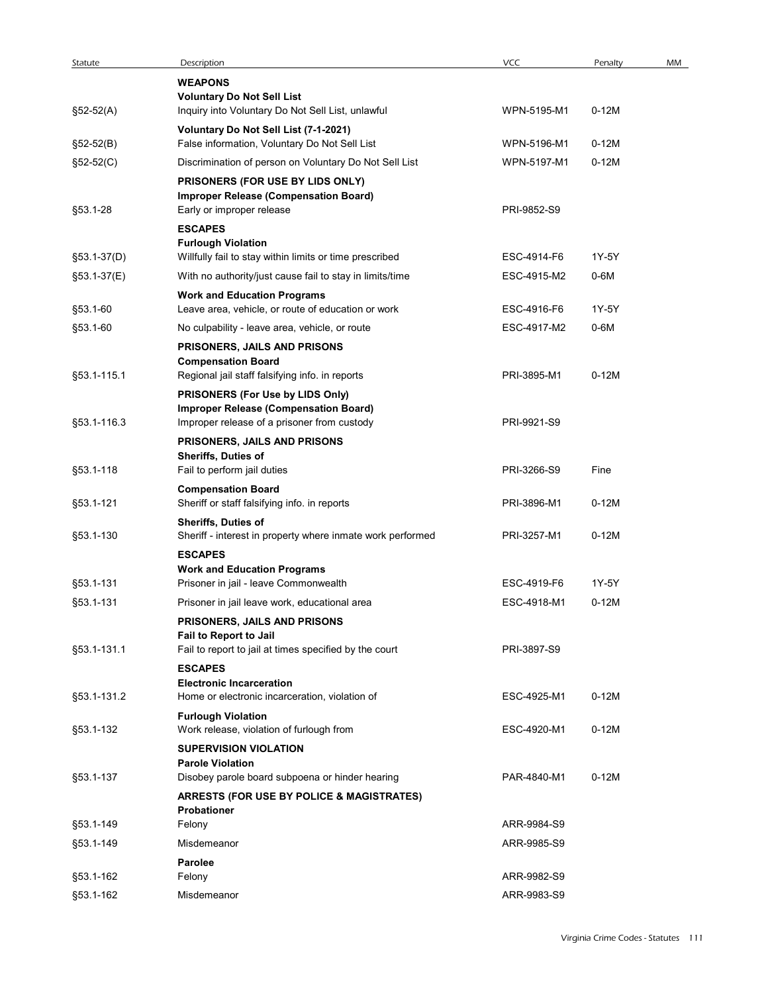| Statute                | Description                                                                                | VCC         | Penalty | MM |
|------------------------|--------------------------------------------------------------------------------------------|-------------|---------|----|
|                        | <b>WEAPONS</b>                                                                             |             |         |    |
|                        | <b>Voluntary Do Not Sell List</b>                                                          | WPN-5195-M1 | $0-12M$ |    |
| $$52-52(A)$            | Inquiry into Voluntary Do Not Sell List, unlawful<br>Voluntary Do Not Sell List (7-1-2021) |             |         |    |
| $$52-52(B)$            | False information, Voluntary Do Not Sell List                                              | WPN-5196-M1 | $0-12M$ |    |
| $$52-52(C)$            | Discrimination of person on Voluntary Do Not Sell List                                     | WPN-5197-M1 | $0-12M$ |    |
|                        | PRISONERS (FOR USE BY LIDS ONLY)                                                           |             |         |    |
| §53.1-28               | <b>Improper Release (Compensation Board)</b><br>Early or improper release                  | PRI-9852-S9 |         |    |
|                        | <b>ESCAPES</b>                                                                             |             |         |    |
| §53.1-37(D)            | <b>Furlough Violation</b><br>Willfully fail to stay within limits or time prescribed       | ESC-4914-F6 | 1Y-5Y   |    |
| §53.1-37(E)            | With no authority/just cause fail to stay in limits/time                                   | ESC-4915-M2 | 0-6M    |    |
|                        | <b>Work and Education Programs</b>                                                         |             |         |    |
| §53.1-60               | Leave area, vehicle, or route of education or work                                         | ESC-4916-F6 | 1Y-5Y   |    |
| §53.1-60               | No culpability - leave area, vehicle, or route                                             | ESC-4917-M2 | 0-6M    |    |
|                        | <b>PRISONERS, JAILS AND PRISONS</b><br><b>Compensation Board</b>                           |             |         |    |
| §53.1-115.1            | Regional jail staff falsifying info. in reports                                            | PRI-3895-M1 | $0-12M$ |    |
|                        | PRISONERS (For Use by LIDS Only)<br><b>Improper Release (Compensation Board)</b>           |             |         |    |
| §53.1-116.3            | Improper release of a prisoner from custody                                                | PRI-9921-S9 |         |    |
|                        | PRISONERS, JAILS AND PRISONS                                                               |             |         |    |
| §53.1-118              | Sheriffs, Duties of<br>Fail to perform jail duties                                         | PRI-3266-S9 | Fine    |    |
|                        | <b>Compensation Board</b>                                                                  |             |         |    |
| §53.1-121              | Sheriff or staff falsifying info. in reports                                               | PRI-3896-M1 | $0-12M$ |    |
| §53.1-130              | Sheriffs, Duties of<br>Sheriff - interest in property where inmate work performed          | PRI-3257-M1 | $0-12M$ |    |
|                        | <b>ESCAPES</b>                                                                             |             |         |    |
|                        | <b>Work and Education Programs</b>                                                         |             |         |    |
| §53.1-131              | Prisoner in jail - leave Commonwealth                                                      | ESC-4919-F6 | 1Y-5Y   |    |
| §53.1-131              | Prisoner in jail leave work, educational area                                              | ESC-4918-M1 | $0-12M$ |    |
|                        | PRISONERS, JAILS AND PRISONS<br>Fail to Report to Jail                                     |             |         |    |
| §53.1-131.1            | Fail to report to jail at times specified by the court                                     | PRI-3897-S9 |         |    |
|                        | <b>ESCAPES</b><br><b>Electronic Incarceration</b>                                          |             |         |    |
| §53.1-131.2            | Home or electronic incarceration, violation of                                             | ESC-4925-M1 | $0-12M$ |    |
|                        | <b>Furlough Violation</b>                                                                  |             |         |    |
| §53.1-132              | Work release, violation of furlough from                                                   | ESC-4920-M1 | $0-12M$ |    |
|                        | <b>SUPERVISION VIOLATION</b><br><b>Parole Violation</b>                                    |             |         |    |
| §53.1-137              | Disobey parole board subpoena or hinder hearing                                            | PAR-4840-M1 | $0-12M$ |    |
|                        | <b>ARRESTS (FOR USE BY POLICE &amp; MAGISTRATES)</b>                                       |             |         |    |
| §53.1-149              | Probationer<br>Felony                                                                      | ARR-9984-S9 |         |    |
| §53.1-149              | Misdemeanor                                                                                | ARR-9985-S9 |         |    |
|                        | Parolee                                                                                    |             |         |    |
|                        | Felony                                                                                     | ARR-9982-S9 |         |    |
| §53.1-162<br>§53.1-162 | Misdemeanor                                                                                | ARR-9983-S9 |         |    |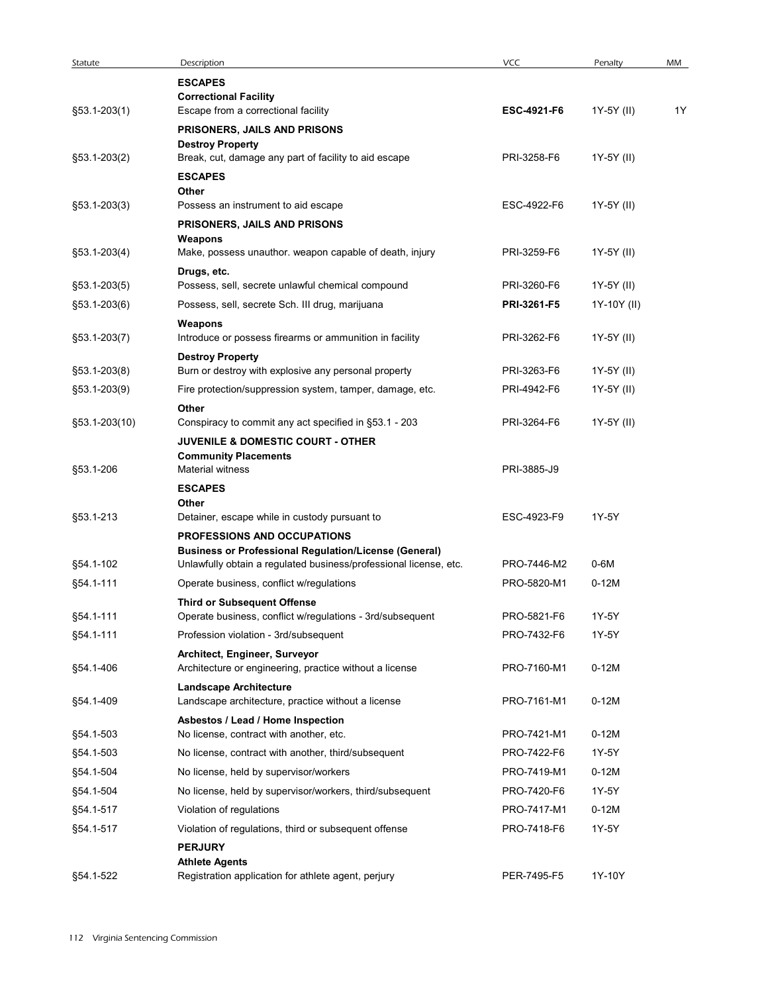| Statute       | Description                                                                                                                       | VCC                | Penalty     | MM |
|---------------|-----------------------------------------------------------------------------------------------------------------------------------|--------------------|-------------|----|
|               | <b>ESCAPES</b>                                                                                                                    |                    |             |    |
| §53.1-203(1)  | <b>Correctional Facility</b><br>Escape from a correctional facility                                                               | <b>ESC-4921-F6</b> | 1Y-5Y (II)  | 1Y |
|               | PRISONERS, JAILS AND PRISONS                                                                                                      |                    |             |    |
|               | <b>Destroy Property</b>                                                                                                           |                    |             |    |
| §53.1-203(2)  | Break, cut, damage any part of facility to aid escape                                                                             | PRI-3258-F6        | 1Y-5Y (II)  |    |
|               | <b>ESCAPES</b>                                                                                                                    |                    |             |    |
| §53.1-203(3)  | Other<br>Possess an instrument to aid escape                                                                                      | ESC-4922-F6        | 1Y-5Y (II)  |    |
|               | PRISONERS, JAILS AND PRISONS                                                                                                      |                    |             |    |
|               | Weapons                                                                                                                           |                    |             |    |
| §53.1-203(4)  | Make, possess unauthor. weapon capable of death, injury                                                                           | PRI-3259-F6        | 1Y-5Y (II)  |    |
| §53.1-203(5)  | Drugs, etc.<br>Possess, sell, secrete unlawful chemical compound                                                                  | PRI-3260-F6        | 1Y-5Y (II)  |    |
| §53.1-203(6)  | Possess, sell, secrete Sch. III drug, marijuana                                                                                   | PRI-3261-F5        | 1Y-10Y (II) |    |
|               | Weapons                                                                                                                           |                    |             |    |
| §53.1-203(7)  | Introduce or possess firearms or ammunition in facility                                                                           | PRI-3262-F6        | 1Y-5Y (II)  |    |
|               | <b>Destroy Property</b>                                                                                                           |                    |             |    |
| §53.1-203(8)  | Burn or destroy with explosive any personal property                                                                              | PRI-3263-F6        | 1Y-5Y (II)  |    |
| §53.1-203(9)  | Fire protection/suppression system, tamper, damage, etc.                                                                          | PRI-4942-F6        | 1Y-5Y (II)  |    |
| §53.1-203(10) | Other<br>Conspiracy to commit any act specified in §53.1 - 203                                                                    | PRI-3264-F6        | 1Y-5Y (II)  |    |
|               | JUVENILE & DOMESTIC COURT - OTHER                                                                                                 |                    |             |    |
|               | <b>Community Placements</b>                                                                                                       |                    |             |    |
| §53.1-206     | Material witness                                                                                                                  | PRI-3885-J9        |             |    |
|               | <b>ESCAPES</b><br>Other                                                                                                           |                    |             |    |
| §53.1-213     | Detainer, escape while in custody pursuant to                                                                                     | ESC-4923-F9        | 1Y-5Y       |    |
|               | PROFESSIONS AND OCCUPATIONS                                                                                                       |                    |             |    |
| §54.1-102     | <b>Business or Professional Regulation/License (General)</b><br>Unlawfully obtain a regulated business/professional license, etc. | PRO-7446-M2        | 0-6M        |    |
| §54.1-111     | Operate business, conflict w/regulations                                                                                          | PRO-5820-M1        | $0-12M$     |    |
|               | <b>Third or Subsequent Offense</b>                                                                                                |                    |             |    |
| §54.1-111     | Operate business, conflict w/regulations - 3rd/subsequent                                                                         | PRO-5821-F6        | 1Y-5Y       |    |
| §54.1-111     | Profession violation - 3rd/subsequent                                                                                             | PRO-7432-F6        | 1Y-5Y       |    |
|               | Architect, Engineer, Surveyor                                                                                                     |                    |             |    |
| §54.1-406     | Architecture or engineering, practice without a license                                                                           | PRO-7160-M1        | $0-12M$     |    |
| §54.1-409     | <b>Landscape Architecture</b><br>Landscape architecture, practice without a license                                               | PRO-7161-M1        | $0-12M$     |    |
|               | Asbestos / Lead / Home Inspection                                                                                                 |                    |             |    |
| §54.1-503     | No license, contract with another, etc.                                                                                           | PRO-7421-M1        | $0-12M$     |    |
| §54.1-503     | No license, contract with another, third/subsequent                                                                               | PRO-7422-F6        | 1Y-5Y       |    |
| §54.1-504     | No license, held by supervisor/workers                                                                                            | PRO-7419-M1        | $0-12M$     |    |
| §54.1-504     | No license, held by supervisor/workers, third/subsequent                                                                          | PRO-7420-F6        | 1Y-5Y       |    |
| §54.1-517     | Violation of regulations                                                                                                          | PRO-7417-M1        | $0-12M$     |    |
| §54.1-517     | Violation of regulations, third or subsequent offense                                                                             | PRO-7418-F6        | 1Y-5Y       |    |
|               | <b>PERJURY</b>                                                                                                                    |                    |             |    |
|               | <b>Athlete Agents</b>                                                                                                             | PER-7495-F5        | 1Y-10Y      |    |
| §54.1-522     | Registration application for athlete agent, perjury                                                                               |                    |             |    |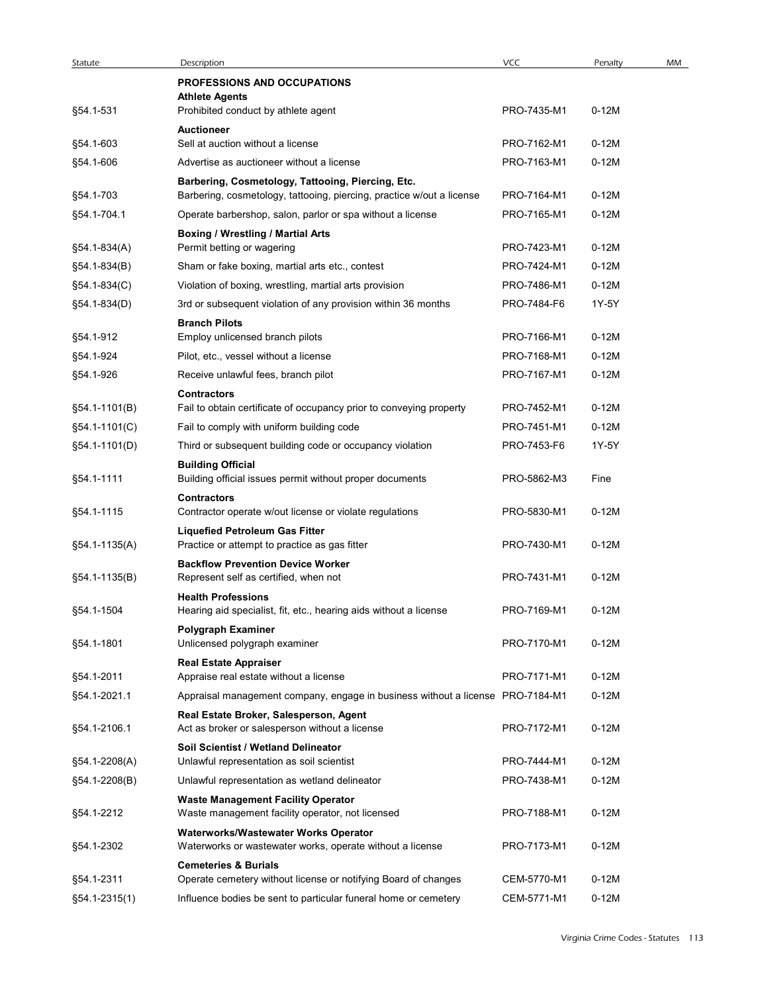| Statute       | Description<br><b>PROFESSIONS AND OCCUPATIONS</b>                                                     | <b>VCC</b>                 | Penalty            | MM |
|---------------|-------------------------------------------------------------------------------------------------------|----------------------------|--------------------|----|
|               | <b>Athlete Agents</b>                                                                                 |                            |                    |    |
| §54.1-531     | Prohibited conduct by athlete agent                                                                   | PRO-7435-M1                | $0-12M$            |    |
| §54.1-603     | <b>Auctioneer</b><br>Sell at auction without a license                                                | PRO-7162-M1                | $0-12M$            |    |
| §54.1-606     | Advertise as auctioneer without a license                                                             | PRO-7163-M1                | $0-12M$            |    |
|               | Barbering, Cosmetology, Tattooing, Piercing, Etc.                                                     |                            |                    |    |
| §54.1-703     | Barbering, cosmetology, tattooing, piercing, practice w/out a license                                 | PRO-7164-M1                | $0-12M$            |    |
| §54.1-704.1   | Operate barbershop, salon, parlor or spa without a license                                            | PRO-7165-M1                | $0-12M$            |    |
| §54.1-834(A)  | <b>Boxing / Wrestling / Martial Arts</b>                                                              | PRO-7423-M1                | $0-12M$            |    |
| §54.1-834(B)  | Permit betting or wagering<br>Sham or fake boxing, martial arts etc., contest                         | PRO-7424-M1                | $0-12M$            |    |
| §54.1-834(C)  | Violation of boxing, wrestling, martial arts provision                                                | PRO-7486-M1                | $0-12M$            |    |
| §54.1-834(D)  | 3rd or subsequent violation of any provision within 36 months                                         | PRO-7484-F6                | 1Y-5Y              |    |
|               | <b>Branch Pilots</b>                                                                                  |                            |                    |    |
| §54.1-912     | Employ unlicensed branch pilots                                                                       | PRO-7166-M1                | $0-12M$            |    |
| §54.1-924     | Pilot, etc., vessel without a license                                                                 | PRO-7168-M1                | $0-12M$            |    |
| §54.1-926     | Receive unlawful fees, branch pilot                                                                   | PRO-7167-M1                | $0-12M$            |    |
|               | <b>Contractors</b>                                                                                    |                            |                    |    |
| §54.1-1101(B) | Fail to obtain certificate of occupancy prior to conveying property                                   | PRO-7452-M1<br>PRO-7451-M1 | $0-12M$<br>$0-12M$ |    |
| §54.1-1101(C) | Fail to comply with uniform building code<br>Third or subsequent building code or occupancy violation | PRO-7453-F6                | 1Y-5Y              |    |
| §54.1-1101(D) | <b>Building Official</b>                                                                              |                            |                    |    |
| §54.1-1111    | Building official issues permit without proper documents                                              | PRO-5862-M3                | Fine               |    |
|               | Contractors                                                                                           |                            |                    |    |
| §54.1-1115    | Contractor operate w/out license or violate regulations                                               | PRO-5830-M1                | $0-12M$            |    |
| §54.1-1135(A) | <b>Liquefied Petroleum Gas Fitter</b><br>Practice or attempt to practice as gas fitter                | PRO-7430-M1                | $0-12M$            |    |
|               | <b>Backflow Prevention Device Worker</b>                                                              |                            |                    |    |
| §54.1-1135(B) | Represent self as certified, when not                                                                 | PRO-7431-M1                | $0-12M$            |    |
|               | <b>Health Professions</b>                                                                             |                            |                    |    |
| §54.1-1504    | Hearing aid specialist, fit, etc., hearing aids without a license                                     | PRO-7169-M1                | $0-12M$            |    |
| §54.1-1801    | Polygraph Examiner<br>Unlicensed polygraph examiner                                                   | PRO-7170-M1                | $0-12M$            |    |
|               | <b>Real Estate Appraiser</b>                                                                          |                            |                    |    |
| §54.1-2011    | Appraise real estate without a license                                                                | PRO-7171-M1                | $0-12M$            |    |
| §54.1-2021.1  | Appraisal management company, engage in business without a license PRO-7184-M1                        |                            | $0-12M$            |    |
|               | Real Estate Broker, Salesperson, Agent                                                                |                            |                    |    |
| §54.1-2106.1  | Act as broker or salesperson without a license                                                        | PRO-7172-M1                | $0-12M$            |    |
| §54.1-2208(A) | Soil Scientist / Wetland Delineator<br>Unlawful representation as soil scientist                      | PRO-7444-M1                | $0-12M$            |    |
| §54.1-2208(B) | Unlawful representation as wetland delineator                                                         | PRO-7438-M1                | $0-12M$            |    |
|               | <b>Waste Management Facility Operator</b>                                                             |                            |                    |    |
| §54.1-2212    | Waste management facility operator, not licensed                                                      | PRO-7188-M1                | $0-12M$            |    |
| §54.1-2302    | Waterworks/Wastewater Works Operator<br>Waterworks or wastewater works, operate without a license     | PRO-7173-M1                | $0-12M$            |    |
|               | <b>Cemeteries &amp; Burials</b>                                                                       |                            |                    |    |
| §54.1-2311    | Operate cemetery without license or notifying Board of changes                                        | CEM-5770-M1                | $0-12M$            |    |
|               | Influence bodies be sent to particular funeral home or cemetery                                       | CEM-5771-M1                | $0-12M$            |    |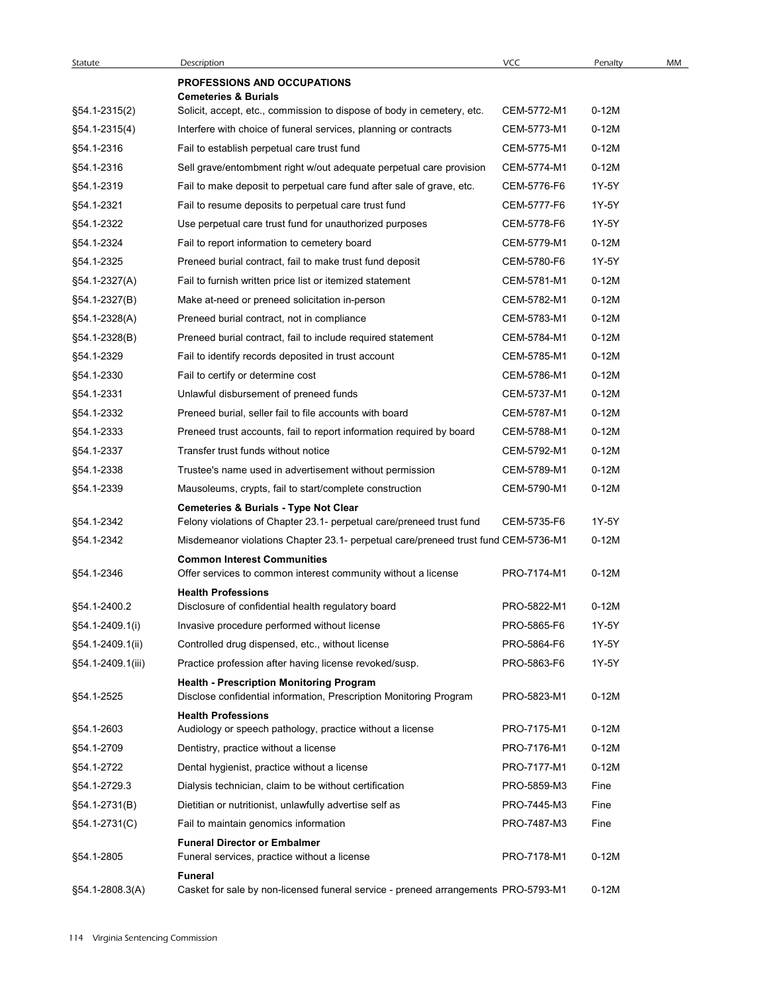| Statute           | Description<br><b>PROFESSIONS AND OCCUPATIONS</b>                                                                        | <b>VCC</b>  | Penalty | MM |
|-------------------|--------------------------------------------------------------------------------------------------------------------------|-------------|---------|----|
|                   | <b>Cemeteries &amp; Burials</b>                                                                                          |             |         |    |
| §54.1-2315(2)     | Solicit, accept, etc., commission to dispose of body in cemetery, etc.                                                   | CEM-5772-M1 | $0-12M$ |    |
| §54.1-2315(4)     | Interfere with choice of funeral services, planning or contracts                                                         | CEM-5773-M1 | $0-12M$ |    |
| §54.1-2316        | Fail to establish perpetual care trust fund                                                                              | CEM-5775-M1 | $0-12M$ |    |
| §54.1-2316        | Sell grave/entombment right w/out adequate perpetual care provision                                                      | CEM-5774-M1 | $0-12M$ |    |
| §54.1-2319        | Fail to make deposit to perpetual care fund after sale of grave, etc.                                                    | CEM-5776-F6 | 1Y-5Y   |    |
| §54.1-2321        | Fail to resume deposits to perpetual care trust fund                                                                     | CEM-5777-F6 | 1Y-5Y   |    |
| §54.1-2322        | Use perpetual care trust fund for unauthorized purposes                                                                  | CEM-5778-F6 | 1Y-5Y   |    |
| §54.1-2324        | Fail to report information to cemetery board                                                                             | CEM-5779-M1 | $0-12M$ |    |
| §54.1-2325        | Preneed burial contract, fail to make trust fund deposit                                                                 | CEM-5780-F6 | 1Y-5Y   |    |
| §54.1-2327(A)     | Fail to furnish written price list or itemized statement                                                                 | CEM-5781-M1 | $0-12M$ |    |
| §54.1-2327(B)     | Make at-need or preneed solicitation in-person                                                                           | CEM-5782-M1 | $0-12M$ |    |
| §54.1-2328(A)     | Preneed burial contract, not in compliance                                                                               | CEM-5783-M1 | $0-12M$ |    |
| §54.1-2328(B)     | Preneed burial contract, fail to include required statement                                                              | CEM-5784-M1 | $0-12M$ |    |
| §54.1-2329        | Fail to identify records deposited in trust account                                                                      | CEM-5785-M1 | $0-12M$ |    |
| §54.1-2330        | Fail to certify or determine cost                                                                                        | CEM-5786-M1 | $0-12M$ |    |
| §54.1-2331        | Unlawful disbursement of preneed funds                                                                                   | CEM-5737-M1 | $0-12M$ |    |
| §54.1-2332        | Preneed burial, seller fail to file accounts with board                                                                  | CEM-5787-M1 | $0-12M$ |    |
| §54.1-2333        | Preneed trust accounts, fail to report information required by board                                                     | CEM-5788-M1 | $0-12M$ |    |
| §54.1-2337        | Transfer trust funds without notice                                                                                      | CEM-5792-M1 | $0-12M$ |    |
| §54.1-2338        | Trustee's name used in advertisement without permission                                                                  | CEM-5789-M1 | $0-12M$ |    |
| §54.1-2339        | Mausoleums, crypts, fail to start/complete construction<br><b>Cemeteries &amp; Burials - Type Not Clear</b>              | CEM-5790-M1 | $0-12M$ |    |
| §54.1-2342        | Felony violations of Chapter 23.1- perpetual care/preneed trust fund                                                     | CEM-5735-F6 | 1Y-5Y   |    |
| §54.1-2342        | Misdemeanor violations Chapter 23.1- perpetual care/preneed trust fund CEM-5736-M1<br><b>Common Interest Communities</b> |             | $0-12M$ |    |
| §54.1-2346        | Offer services to common interest community without a license                                                            | PRO-7174-M1 | $0-12M$ |    |
| §54.1-2400.2      | <b>Health Professions</b><br>Disclosure of confidential health regulatory board                                          | PRO-5822-M1 | $0-12M$ |    |
| §54.1-2409.1(i)   | Invasive procedure performed without license                                                                             | PRO-5865-F6 | 1Y-5Y   |    |
| §54.1-2409.1(ii)  | Controlled drug dispensed, etc., without license                                                                         | PRO-5864-F6 | 1Y-5Y   |    |
| §54.1-2409.1(iii) | Practice profession after having license revoked/susp.                                                                   | PRO-5863-F6 | 1Y-5Y   |    |
| §54.1-2525        | <b>Health - Prescription Monitoring Program</b><br>Disclose confidential information, Prescription Monitoring Program    | PRO-5823-M1 | $0-12M$ |    |
|                   | <b>Health Professions</b>                                                                                                |             |         |    |
| §54.1-2603        | Audiology or speech pathology, practice without a license                                                                | PRO-7175-M1 | $0-12M$ |    |
| §54.1-2709        | Dentistry, practice without a license                                                                                    | PRO-7176-M1 | $0-12M$ |    |
| §54.1-2722        | Dental hygienist, practice without a license                                                                             | PRO-7177-M1 | $0-12M$ |    |
| §54.1-2729.3      | Dialysis technician, claim to be without certification                                                                   | PRO-5859-M3 | Fine    |    |
| §54.1-2731(B)     | Dietitian or nutritionist, unlawfully advertise self as                                                                  | PRO-7445-M3 | Fine    |    |
| §54.1-2731(C)     | Fail to maintain genomics information                                                                                    | PRO-7487-M3 | Fine    |    |
|                   | <b>Funeral Director or Embalmer</b>                                                                                      |             |         |    |
| §54.1-2805        | Funeral services, practice without a license<br>Funeral                                                                  | PRO-7178-M1 | $0-12M$ |    |
| §54.1-2808.3(A)   | Casket for sale by non-licensed funeral service - preneed arrangements PRO-5793-M1                                       |             | $0-12M$ |    |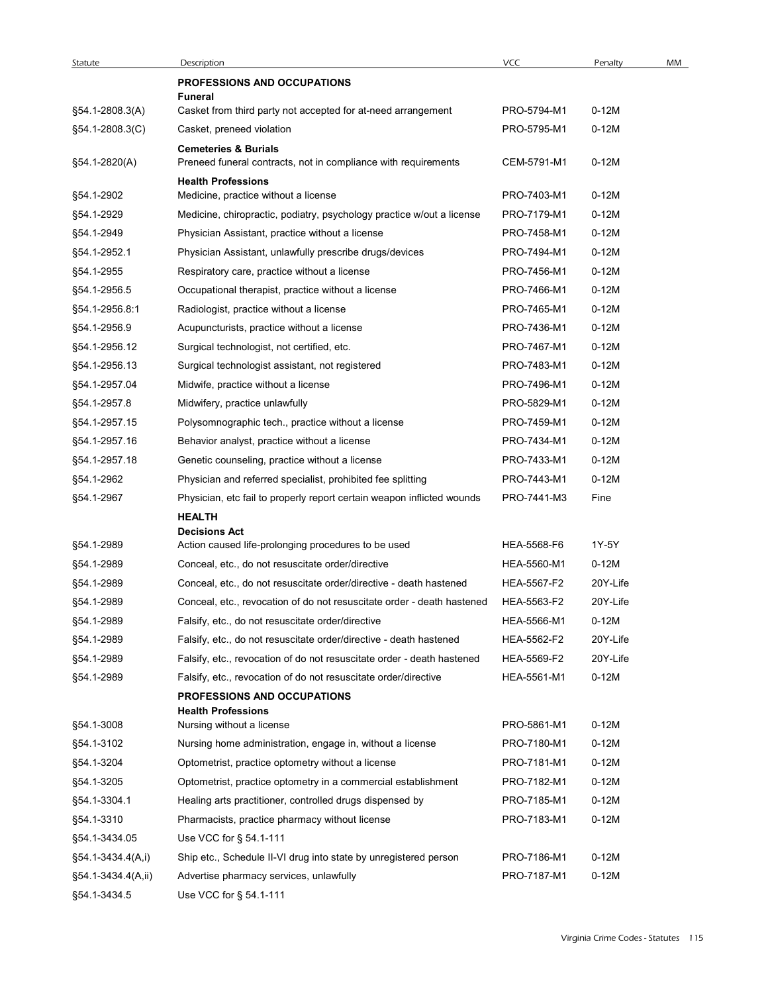| Statute                            | Description                                                                                             | <b>VCC</b>                 | Penalty            | MM |
|------------------------------------|---------------------------------------------------------------------------------------------------------|----------------------------|--------------------|----|
|                                    | <b>PROFESSIONS AND OCCUPATIONS</b>                                                                      |                            |                    |    |
| §54.1-2808.3(A)                    | <b>Funeral</b><br>Casket from third party not accepted for at-need arrangement                          | PRO-5794-M1                | $0-12M$            |    |
| §54.1-2808.3(C)                    | Casket, preneed violation                                                                               | PRO-5795-M1                | $0-12M$            |    |
|                                    | <b>Cemeteries &amp; Burials</b>                                                                         |                            |                    |    |
| §54.1-2820(A)                      | Preneed funeral contracts, not in compliance with requirements                                          | CEM-5791-M1                | $0-12M$            |    |
|                                    | <b>Health Professions</b>                                                                               |                            |                    |    |
| §54.1-2902                         | Medicine, practice without a license                                                                    | PRO-7403-M1                | $0-12M$            |    |
| §54.1-2929                         | Medicine, chiropractic, podiatry, psychology practice w/out a license                                   | PRO-7179-M1                | $0-12M$            |    |
| §54.1-2949                         | Physician Assistant, practice without a license                                                         | PRO-7458-M1                | $0-12M$            |    |
| §54.1-2952.1<br>§54.1-2955         | Physician Assistant, unlawfully prescribe drugs/devices<br>Respiratory care, practice without a license | PRO-7494-M1<br>PRO-7456-M1 | $0-12M$<br>$0-12M$ |    |
| §54.1-2956.5                       | Occupational therapist, practice without a license                                                      | PRO-7466-M1                | $0-12M$            |    |
| §54.1-2956.8:1                     | Radiologist, practice without a license                                                                 | PRO-7465-M1                | $0-12M$            |    |
| §54.1-2956.9                       | Acupuncturists, practice without a license                                                              | PRO-7436-M1                | $0-12M$            |    |
| §54.1-2956.12                      | Surgical technologist, not certified, etc.                                                              | PRO-7467-M1                | $0-12M$            |    |
| §54.1-2956.13                      | Surgical technologist assistant, not registered                                                         | PRO-7483-M1                | $0-12M$            |    |
| §54.1-2957.04                      | Midwife, practice without a license                                                                     | PRO-7496-M1                | $0-12M$            |    |
| §54.1-2957.8                       | Midwifery, practice unlawfully                                                                          | PRO-5829-M1                | $0-12M$            |    |
| §54.1-2957.15                      | Polysomnographic tech., practice without a license                                                      | PRO-7459-M1                | $0-12M$            |    |
| §54.1-2957.16                      | Behavior analyst, practice without a license                                                            | PRO-7434-M1                | $0-12M$            |    |
| §54.1-2957.18                      | Genetic counseling, practice without a license                                                          | PRO-7433-M1                | $0-12M$            |    |
| §54.1-2962                         | Physician and referred specialist, prohibited fee splitting                                             | PRO-7443-M1                | $0-12M$            |    |
| §54.1-2967                         | Physician, etc fail to properly report certain weapon inflicted wounds                                  | PRO-7441-M3                | Fine               |    |
|                                    | <b>HEALTH</b>                                                                                           |                            |                    |    |
| §54.1-2989                         | <b>Decisions Act</b><br>Action caused life-prolonging procedures to be used                             | HEA-5568-F6                | 1Y-5Y              |    |
| §54.1-2989                         | Conceal, etc., do not resuscitate order/directive                                                       | HEA-5560-M1                | $0-12M$            |    |
| §54.1-2989                         | Conceal, etc., do not resuscitate order/directive - death hastened                                      | HEA-5567-F2                | 20Y-Life           |    |
| §54.1-2989                         | Conceal, etc., revocation of do not resuscitate order - death hastened                                  | HEA-5563-F2                | 20Y-Life           |    |
| §54.1-2989                         | Falsify, etc., do not resuscitate order/directive                                                       | HEA-5566-M1                | $0-12M$            |    |
| §54.1-2989                         | Falsify, etc., do not resuscitate order/directive - death hastened                                      | HEA-5562-F2                | 20Y-Life           |    |
| §54.1-2989                         | Falsify, etc., revocation of do not resuscitate order - death hastened                                  | HEA-5569-F2                | 20Y-Life           |    |
| §54.1-2989                         |                                                                                                         |                            | $0-12M$            |    |
|                                    | Falsify, etc., revocation of do not resuscitate order/directive                                         | HEA-5561-M1                |                    |    |
|                                    | PROFESSIONS AND OCCUPATIONS<br><b>Health Professions</b>                                                |                            |                    |    |
| §54.1-3008                         | Nursing without a license                                                                               | PRO-5861-M1                | $0-12M$            |    |
| §54.1-3102                         | Nursing home administration, engage in, without a license                                               | PRO-7180-M1                | $0-12M$            |    |
| §54.1-3204                         | Optometrist, practice optometry without a license                                                       | PRO-7181-M1                | $0-12M$            |    |
| §54.1-3205                         | Optometrist, practice optometry in a commercial establishment                                           | PRO-7182-M1                | $0-12M$            |    |
| §54.1-3304.1                       | Healing arts practitioner, controlled drugs dispensed by                                                | PRO-7185-M1                | $0-12M$            |    |
| §54.1-3310                         | Pharmacists, practice pharmacy without license                                                          | PRO-7183-M1                | $0-12M$            |    |
| §54.1-3434.05                      | Use VCC for § 54.1-111                                                                                  |                            |                    |    |
| §54.1-3434.4(A,i)                  | Ship etc., Schedule II-VI drug into state by unregistered person                                        | PRO-7186-M1                | $0-12M$            |    |
| §54.1-3434.4(A,ii)<br>§54.1-3434.5 | Advertise pharmacy services, unlawfully<br>Use VCC for § 54.1-111                                       | PRO-7187-M1                | $0-12M$            |    |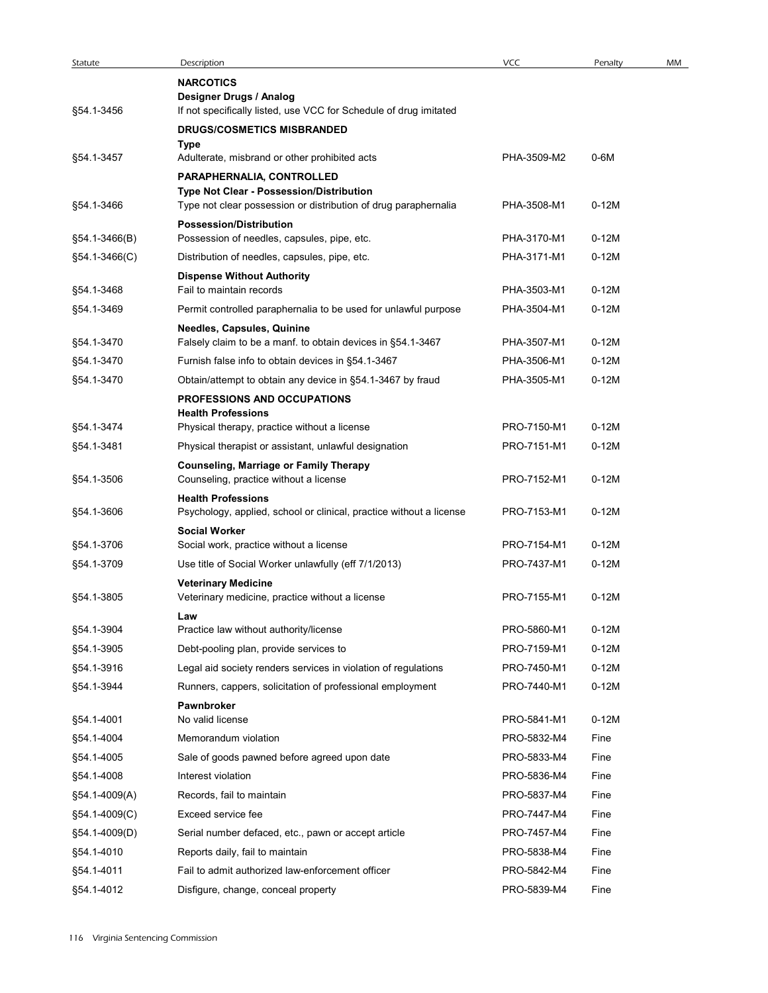| Statute                  | Description                                                                                                 | <b>VCC</b>                 | Penalty      | MM |
|--------------------------|-------------------------------------------------------------------------------------------------------------|----------------------------|--------------|----|
|                          | <b>NARCOTICS</b>                                                                                            |                            |              |    |
|                          | Designer Drugs / Analog                                                                                     |                            |              |    |
| §54.1-3456               | If not specifically listed, use VCC for Schedule of drug imitated                                           |                            |              |    |
|                          | <b>DRUGS/COSMETICS MISBRANDED</b><br>Type                                                                   |                            |              |    |
| §54.1-3457               | Adulterate, misbrand or other prohibited acts                                                               | PHA-3509-M2                | 0-6M         |    |
|                          | PARAPHERNALIA, CONTROLLED                                                                                   |                            |              |    |
| §54.1-3466               | Type Not Clear - Possession/Distribution<br>Type not clear possession or distribution of drug paraphernalia | PHA-3508-M1                | $0-12M$      |    |
|                          | <b>Possession/Distribution</b>                                                                              |                            |              |    |
| $$54.1-3466(B)$          | Possession of needles, capsules, pipe, etc.                                                                 | PHA-3170-M1                | $0-12M$      |    |
| §54.1-3466(C)            | Distribution of needles, capsules, pipe, etc.                                                               | PHA-3171-M1                | $0-12M$      |    |
| §54.1-3468               | <b>Dispense Without Authority</b><br>Fail to maintain records                                               | PHA-3503-M1                | $0-12M$      |    |
| §54.1-3469               | Permit controlled paraphernalia to be used for unlawful purpose                                             | PHA-3504-M1                | $0-12M$      |    |
|                          | <b>Needles, Capsules, Quinine</b>                                                                           |                            |              |    |
| §54.1-3470               | Falsely claim to be a manf. to obtain devices in §54.1-3467                                                 | PHA-3507-M1                | $0-12M$      |    |
| §54.1-3470               | Furnish false info to obtain devices in §54.1-3467                                                          | PHA-3506-M1                | $0-12M$      |    |
| §54.1-3470               | Obtain/attempt to obtain any device in §54.1-3467 by fraud                                                  | PHA-3505-M1                | $0-12M$      |    |
|                          | <b>PROFESSIONS AND OCCUPATIONS</b><br><b>Health Professions</b>                                             |                            |              |    |
| §54.1-3474               | Physical therapy, practice without a license                                                                | PRO-7150-M1                | $0-12M$      |    |
| §54.1-3481               | Physical therapist or assistant, unlawful designation                                                       | PRO-7151-M1                | $0-12M$      |    |
|                          | <b>Counseling, Marriage or Family Therapy</b>                                                               |                            |              |    |
| §54.1-3506               | Counseling, practice without a license                                                                      | PRO-7152-M1                | $0-12M$      |    |
| §54.1-3606               | <b>Health Professions</b><br>Psychology, applied, school or clinical, practice without a license            | PRO-7153-M1                | $0-12M$      |    |
|                          | <b>Social Worker</b>                                                                                        |                            |              |    |
| §54.1-3706               | Social work, practice without a license                                                                     | PRO-7154-M1                | $0-12M$      |    |
| §54.1-3709               | Use title of Social Worker unlawfully (eff 7/1/2013)                                                        | PRO-7437-M1                | 0-12M        |    |
|                          | <b>Veterinary Medicine</b>                                                                                  |                            |              |    |
| §54.1-3805               | Veterinary medicine, practice without a license                                                             | PRO-7155-M1                | $0-12M$      |    |
| §54.1-3904               | Law<br>Practice law without authority/license                                                               | PRO-5860-M1                | $0-12M$      |    |
| §54.1-3905               | Debt-pooling plan, provide services to                                                                      | PRO-7159-M1                | $0-12M$      |    |
| §54.1-3916               | Legal aid society renders services in violation of regulations                                              | PRO-7450-M1                | $0-12M$      |    |
| §54.1-3944               | Runners, cappers, solicitation of professional employment                                                   | PRO-7440-M1                | $0-12M$      |    |
|                          | Pawnbroker                                                                                                  |                            |              |    |
| §54.1-4001<br>§54.1-4004 | No valid license                                                                                            | PRO-5841-M1<br>PRO-5832-M4 | $0-12M$      |    |
| §54.1-4005               | Memorandum violation<br>Sale of goods pawned before agreed upon date                                        | PRO-5833-M4                | Fine<br>Fine |    |
| §54.1-4008               | Interest violation                                                                                          | PRO-5836-M4                | Fine         |    |
| §54.1-4009(A)            | Records, fail to maintain                                                                                   | PRO-5837-M4                | Fine         |    |
| §54.1-4009(C)            | Exceed service fee                                                                                          | PRO-7447-M4                | Fine         |    |
| §54.1-4009(D)            | Serial number defaced, etc., pawn or accept article                                                         | PRO-7457-M4                | Fine         |    |
| §54.1-4010               | Reports daily, fail to maintain                                                                             | PRO-5838-M4                | Fine         |    |
| §54.1-4011               | Fail to admit authorized law-enforcement officer                                                            | PRO-5842-M4                | Fine         |    |
| §54.1-4012               | Disfigure, change, conceal property                                                                         | PRO-5839-M4                | Fine         |    |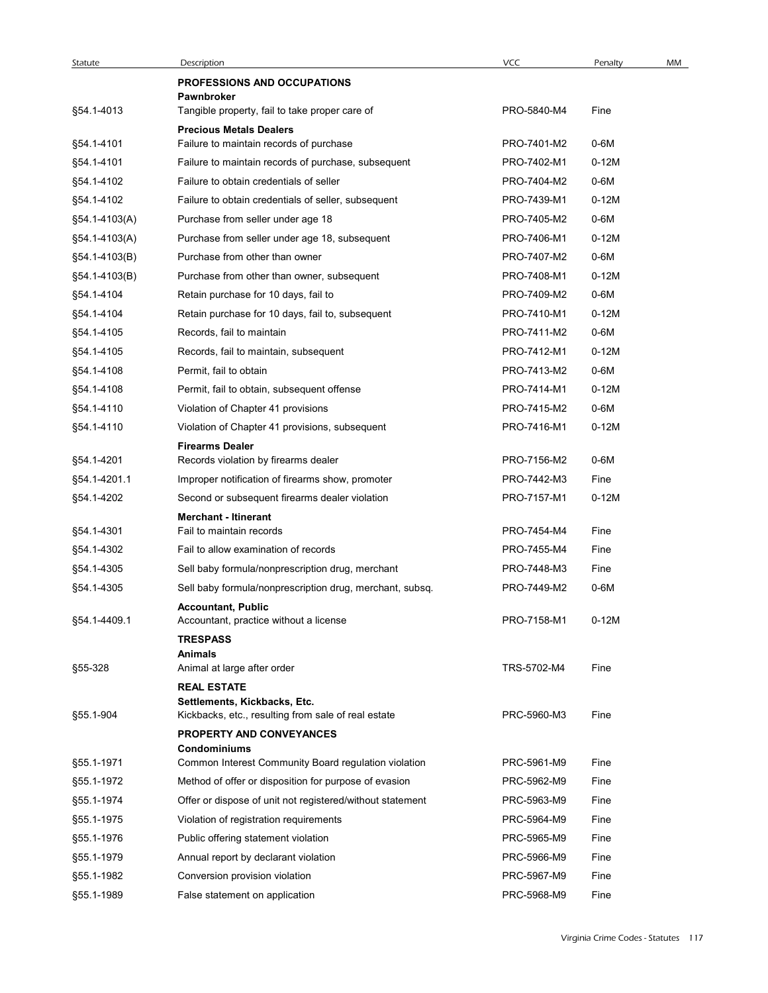| <b>VCC</b><br>Description<br>Penalty<br>MM<br>Statute<br><b>PROFESSIONS AND OCCUPATIONS</b><br>Pawnbroker<br>§54.1-4013<br>Tangible property, fail to take proper care of<br>PRO-5840-M4<br>Fine<br><b>Precious Metals Dealers</b><br>§54.1-4101<br>PRO-7401-M2<br>$0-6M$<br>Failure to maintain records of purchase<br>§54.1-4101<br>Failure to maintain records of purchase, subsequent<br>PRO-7402-M1<br>$0-12M$<br>§54.1-4102<br>Failure to obtain credentials of seller<br>PRO-7404-M2<br>0-6M<br>§54.1-4102<br>$0-12M$<br>Failure to obtain credentials of seller, subsequent<br>PRO-7439-M1<br>§54.1-4103(A)<br>Purchase from seller under age 18<br>PRO-7405-M2<br>0-6M<br>§54.1-4103(A)<br>Purchase from seller under age 18, subsequent<br>PRO-7406-M1<br>$0-12M$<br>§54.1-4103(B)<br>Purchase from other than owner<br>PRO-7407-M2<br>0-6M<br>§54.1-4103(B)<br>Purchase from other than owner, subsequent<br>PRO-7408-M1<br>$0-12M$<br>§54.1-4104<br>PRO-7409-M2<br>0-6M<br>Retain purchase for 10 days, fail to<br>§54.1-4104<br>PRO-7410-M1<br>$0-12M$<br>Retain purchase for 10 days, fail to, subsequent<br>§54.1-4105<br>Records, fail to maintain<br>PRO-7411-M2<br>0-6M<br>§54.1-4105<br>Records, fail to maintain, subsequent<br>PRO-7412-M1<br>$0-12M$<br>$0-6M$<br>§54.1-4108<br>Permit, fail to obtain<br>PRO-7413-M2<br>§54.1-4108<br>Permit, fail to obtain, subsequent offense<br>PRO-7414-M1<br>$0-12M$<br>§54.1-4110<br>Violation of Chapter 41 provisions<br>PRO-7415-M2<br>0-6M<br>§54.1-4110<br>Violation of Chapter 41 provisions, subsequent<br>PRO-7416-M1<br>$0-12M$<br><b>Firearms Dealer</b><br>Records violation by firearms dealer<br>PRO-7156-M2<br>$0-6M$<br>§54.1-4201<br>§54.1-4201.1<br>Improper notification of firearms show, promoter<br>PRO-7442-M3<br>Fine<br>Second or subsequent firearms dealer violation<br>PRO-7157-M1<br>$0-12M$<br>§54.1-4202<br><b>Merchant - Itinerant</b><br>§54.1-4301<br>Fail to maintain records<br>PRO-7454-M4<br>Fine<br>§54.1-4302<br>Fail to allow examination of records<br>PRO-7455-M4<br>Fine<br>§54.1-4305<br>Sell baby formula/nonprescription drug, merchant<br>PRO-7448-M3<br>Fine<br>§54.1-4305<br>$0-6M$<br>Sell baby formula/nonprescription drug, merchant, subsq.<br>PRO-7449-M2<br><b>Accountant, Public</b><br>PRO-7158-M1<br>$0-12M$<br>§54.1-4409.1<br>Accountant, practice without a license<br><b>TRESPASS</b><br>Animals<br>§55-328<br>TRS-5702-M4<br>Fine<br>Animal at large after order<br><b>REAL ESTATE</b><br>Settlements, Kickbacks, Etc.<br>PRC-5960-M3<br>Fine<br>§55.1-904<br>Kickbacks, etc., resulting from sale of real estate<br>PROPERTY AND CONVEYANCES<br><b>Condominiums</b><br>§55.1-1971<br>Common Interest Community Board regulation violation<br>PRC-5961-M9<br>Fine<br>§55.1-1972<br>PRC-5962-M9<br>Method of offer or disposition for purpose of evasion<br>Fine<br>PRC-5963-M9<br>§55.1-1974<br>Offer or dispose of unit not registered/without statement<br>Fine<br>§55.1-1975<br>PRC-5964-M9<br>Violation of registration requirements<br>Fine<br>PRC-5965-M9<br>§55.1-1976<br>Public offering statement violation<br>Fine<br>PRC-5966-M9<br>§55.1-1979<br>Annual report by declarant violation<br>Fine<br>Conversion provision violation<br>PRC-5967-M9<br>§55.1-1982<br>Fine |  |  |  |
|---------------------------------------------------------------------------------------------------------------------------------------------------------------------------------------------------------------------------------------------------------------------------------------------------------------------------------------------------------------------------------------------------------------------------------------------------------------------------------------------------------------------------------------------------------------------------------------------------------------------------------------------------------------------------------------------------------------------------------------------------------------------------------------------------------------------------------------------------------------------------------------------------------------------------------------------------------------------------------------------------------------------------------------------------------------------------------------------------------------------------------------------------------------------------------------------------------------------------------------------------------------------------------------------------------------------------------------------------------------------------------------------------------------------------------------------------------------------------------------------------------------------------------------------------------------------------------------------------------------------------------------------------------------------------------------------------------------------------------------------------------------------------------------------------------------------------------------------------------------------------------------------------------------------------------------------------------------------------------------------------------------------------------------------------------------------------------------------------------------------------------------------------------------------------------------------------------------------------------------------------------------------------------------------------------------------------------------------------------------------------------------------------------------------------------------------------------------------------------------------------------------------------------------------------------------------------------------------------------------------------------------------------------------------------------------------------------------------------------------------------------------------------------------------------------------------------------------------------------------------------------------------------------------------------------------------------------------------------------------------------------------------------------------------------------------------------------------------------------------------------------------------------------------------------------------------------------------------------------------------------------------------------------------------------------------|--|--|--|
|                                                                                                                                                                                                                                                                                                                                                                                                                                                                                                                                                                                                                                                                                                                                                                                                                                                                                                                                                                                                                                                                                                                                                                                                                                                                                                                                                                                                                                                                                                                                                                                                                                                                                                                                                                                                                                                                                                                                                                                                                                                                                                                                                                                                                                                                                                                                                                                                                                                                                                                                                                                                                                                                                                                                                                                                                                                                                                                                                                                                                                                                                                                                                                                                                                                                                                               |  |  |  |
|                                                                                                                                                                                                                                                                                                                                                                                                                                                                                                                                                                                                                                                                                                                                                                                                                                                                                                                                                                                                                                                                                                                                                                                                                                                                                                                                                                                                                                                                                                                                                                                                                                                                                                                                                                                                                                                                                                                                                                                                                                                                                                                                                                                                                                                                                                                                                                                                                                                                                                                                                                                                                                                                                                                                                                                                                                                                                                                                                                                                                                                                                                                                                                                                                                                                                                               |  |  |  |
|                                                                                                                                                                                                                                                                                                                                                                                                                                                                                                                                                                                                                                                                                                                                                                                                                                                                                                                                                                                                                                                                                                                                                                                                                                                                                                                                                                                                                                                                                                                                                                                                                                                                                                                                                                                                                                                                                                                                                                                                                                                                                                                                                                                                                                                                                                                                                                                                                                                                                                                                                                                                                                                                                                                                                                                                                                                                                                                                                                                                                                                                                                                                                                                                                                                                                                               |  |  |  |
|                                                                                                                                                                                                                                                                                                                                                                                                                                                                                                                                                                                                                                                                                                                                                                                                                                                                                                                                                                                                                                                                                                                                                                                                                                                                                                                                                                                                                                                                                                                                                                                                                                                                                                                                                                                                                                                                                                                                                                                                                                                                                                                                                                                                                                                                                                                                                                                                                                                                                                                                                                                                                                                                                                                                                                                                                                                                                                                                                                                                                                                                                                                                                                                                                                                                                                               |  |  |  |
|                                                                                                                                                                                                                                                                                                                                                                                                                                                                                                                                                                                                                                                                                                                                                                                                                                                                                                                                                                                                                                                                                                                                                                                                                                                                                                                                                                                                                                                                                                                                                                                                                                                                                                                                                                                                                                                                                                                                                                                                                                                                                                                                                                                                                                                                                                                                                                                                                                                                                                                                                                                                                                                                                                                                                                                                                                                                                                                                                                                                                                                                                                                                                                                                                                                                                                               |  |  |  |
|                                                                                                                                                                                                                                                                                                                                                                                                                                                                                                                                                                                                                                                                                                                                                                                                                                                                                                                                                                                                                                                                                                                                                                                                                                                                                                                                                                                                                                                                                                                                                                                                                                                                                                                                                                                                                                                                                                                                                                                                                                                                                                                                                                                                                                                                                                                                                                                                                                                                                                                                                                                                                                                                                                                                                                                                                                                                                                                                                                                                                                                                                                                                                                                                                                                                                                               |  |  |  |
|                                                                                                                                                                                                                                                                                                                                                                                                                                                                                                                                                                                                                                                                                                                                                                                                                                                                                                                                                                                                                                                                                                                                                                                                                                                                                                                                                                                                                                                                                                                                                                                                                                                                                                                                                                                                                                                                                                                                                                                                                                                                                                                                                                                                                                                                                                                                                                                                                                                                                                                                                                                                                                                                                                                                                                                                                                                                                                                                                                                                                                                                                                                                                                                                                                                                                                               |  |  |  |
|                                                                                                                                                                                                                                                                                                                                                                                                                                                                                                                                                                                                                                                                                                                                                                                                                                                                                                                                                                                                                                                                                                                                                                                                                                                                                                                                                                                                                                                                                                                                                                                                                                                                                                                                                                                                                                                                                                                                                                                                                                                                                                                                                                                                                                                                                                                                                                                                                                                                                                                                                                                                                                                                                                                                                                                                                                                                                                                                                                                                                                                                                                                                                                                                                                                                                                               |  |  |  |
|                                                                                                                                                                                                                                                                                                                                                                                                                                                                                                                                                                                                                                                                                                                                                                                                                                                                                                                                                                                                                                                                                                                                                                                                                                                                                                                                                                                                                                                                                                                                                                                                                                                                                                                                                                                                                                                                                                                                                                                                                                                                                                                                                                                                                                                                                                                                                                                                                                                                                                                                                                                                                                                                                                                                                                                                                                                                                                                                                                                                                                                                                                                                                                                                                                                                                                               |  |  |  |
|                                                                                                                                                                                                                                                                                                                                                                                                                                                                                                                                                                                                                                                                                                                                                                                                                                                                                                                                                                                                                                                                                                                                                                                                                                                                                                                                                                                                                                                                                                                                                                                                                                                                                                                                                                                                                                                                                                                                                                                                                                                                                                                                                                                                                                                                                                                                                                                                                                                                                                                                                                                                                                                                                                                                                                                                                                                                                                                                                                                                                                                                                                                                                                                                                                                                                                               |  |  |  |
|                                                                                                                                                                                                                                                                                                                                                                                                                                                                                                                                                                                                                                                                                                                                                                                                                                                                                                                                                                                                                                                                                                                                                                                                                                                                                                                                                                                                                                                                                                                                                                                                                                                                                                                                                                                                                                                                                                                                                                                                                                                                                                                                                                                                                                                                                                                                                                                                                                                                                                                                                                                                                                                                                                                                                                                                                                                                                                                                                                                                                                                                                                                                                                                                                                                                                                               |  |  |  |
|                                                                                                                                                                                                                                                                                                                                                                                                                                                                                                                                                                                                                                                                                                                                                                                                                                                                                                                                                                                                                                                                                                                                                                                                                                                                                                                                                                                                                                                                                                                                                                                                                                                                                                                                                                                                                                                                                                                                                                                                                                                                                                                                                                                                                                                                                                                                                                                                                                                                                                                                                                                                                                                                                                                                                                                                                                                                                                                                                                                                                                                                                                                                                                                                                                                                                                               |  |  |  |
|                                                                                                                                                                                                                                                                                                                                                                                                                                                                                                                                                                                                                                                                                                                                                                                                                                                                                                                                                                                                                                                                                                                                                                                                                                                                                                                                                                                                                                                                                                                                                                                                                                                                                                                                                                                                                                                                                                                                                                                                                                                                                                                                                                                                                                                                                                                                                                                                                                                                                                                                                                                                                                                                                                                                                                                                                                                                                                                                                                                                                                                                                                                                                                                                                                                                                                               |  |  |  |
|                                                                                                                                                                                                                                                                                                                                                                                                                                                                                                                                                                                                                                                                                                                                                                                                                                                                                                                                                                                                                                                                                                                                                                                                                                                                                                                                                                                                                                                                                                                                                                                                                                                                                                                                                                                                                                                                                                                                                                                                                                                                                                                                                                                                                                                                                                                                                                                                                                                                                                                                                                                                                                                                                                                                                                                                                                                                                                                                                                                                                                                                                                                                                                                                                                                                                                               |  |  |  |
|                                                                                                                                                                                                                                                                                                                                                                                                                                                                                                                                                                                                                                                                                                                                                                                                                                                                                                                                                                                                                                                                                                                                                                                                                                                                                                                                                                                                                                                                                                                                                                                                                                                                                                                                                                                                                                                                                                                                                                                                                                                                                                                                                                                                                                                                                                                                                                                                                                                                                                                                                                                                                                                                                                                                                                                                                                                                                                                                                                                                                                                                                                                                                                                                                                                                                                               |  |  |  |
|                                                                                                                                                                                                                                                                                                                                                                                                                                                                                                                                                                                                                                                                                                                                                                                                                                                                                                                                                                                                                                                                                                                                                                                                                                                                                                                                                                                                                                                                                                                                                                                                                                                                                                                                                                                                                                                                                                                                                                                                                                                                                                                                                                                                                                                                                                                                                                                                                                                                                                                                                                                                                                                                                                                                                                                                                                                                                                                                                                                                                                                                                                                                                                                                                                                                                                               |  |  |  |
|                                                                                                                                                                                                                                                                                                                                                                                                                                                                                                                                                                                                                                                                                                                                                                                                                                                                                                                                                                                                                                                                                                                                                                                                                                                                                                                                                                                                                                                                                                                                                                                                                                                                                                                                                                                                                                                                                                                                                                                                                                                                                                                                                                                                                                                                                                                                                                                                                                                                                                                                                                                                                                                                                                                                                                                                                                                                                                                                                                                                                                                                                                                                                                                                                                                                                                               |  |  |  |
|                                                                                                                                                                                                                                                                                                                                                                                                                                                                                                                                                                                                                                                                                                                                                                                                                                                                                                                                                                                                                                                                                                                                                                                                                                                                                                                                                                                                                                                                                                                                                                                                                                                                                                                                                                                                                                                                                                                                                                                                                                                                                                                                                                                                                                                                                                                                                                                                                                                                                                                                                                                                                                                                                                                                                                                                                                                                                                                                                                                                                                                                                                                                                                                                                                                                                                               |  |  |  |
|                                                                                                                                                                                                                                                                                                                                                                                                                                                                                                                                                                                                                                                                                                                                                                                                                                                                                                                                                                                                                                                                                                                                                                                                                                                                                                                                                                                                                                                                                                                                                                                                                                                                                                                                                                                                                                                                                                                                                                                                                                                                                                                                                                                                                                                                                                                                                                                                                                                                                                                                                                                                                                                                                                                                                                                                                                                                                                                                                                                                                                                                                                                                                                                                                                                                                                               |  |  |  |
|                                                                                                                                                                                                                                                                                                                                                                                                                                                                                                                                                                                                                                                                                                                                                                                                                                                                                                                                                                                                                                                                                                                                                                                                                                                                                                                                                                                                                                                                                                                                                                                                                                                                                                                                                                                                                                                                                                                                                                                                                                                                                                                                                                                                                                                                                                                                                                                                                                                                                                                                                                                                                                                                                                                                                                                                                                                                                                                                                                                                                                                                                                                                                                                                                                                                                                               |  |  |  |
|                                                                                                                                                                                                                                                                                                                                                                                                                                                                                                                                                                                                                                                                                                                                                                                                                                                                                                                                                                                                                                                                                                                                                                                                                                                                                                                                                                                                                                                                                                                                                                                                                                                                                                                                                                                                                                                                                                                                                                                                                                                                                                                                                                                                                                                                                                                                                                                                                                                                                                                                                                                                                                                                                                                                                                                                                                                                                                                                                                                                                                                                                                                                                                                                                                                                                                               |  |  |  |
|                                                                                                                                                                                                                                                                                                                                                                                                                                                                                                                                                                                                                                                                                                                                                                                                                                                                                                                                                                                                                                                                                                                                                                                                                                                                                                                                                                                                                                                                                                                                                                                                                                                                                                                                                                                                                                                                                                                                                                                                                                                                                                                                                                                                                                                                                                                                                                                                                                                                                                                                                                                                                                                                                                                                                                                                                                                                                                                                                                                                                                                                                                                                                                                                                                                                                                               |  |  |  |
|                                                                                                                                                                                                                                                                                                                                                                                                                                                                                                                                                                                                                                                                                                                                                                                                                                                                                                                                                                                                                                                                                                                                                                                                                                                                                                                                                                                                                                                                                                                                                                                                                                                                                                                                                                                                                                                                                                                                                                                                                                                                                                                                                                                                                                                                                                                                                                                                                                                                                                                                                                                                                                                                                                                                                                                                                                                                                                                                                                                                                                                                                                                                                                                                                                                                                                               |  |  |  |
|                                                                                                                                                                                                                                                                                                                                                                                                                                                                                                                                                                                                                                                                                                                                                                                                                                                                                                                                                                                                                                                                                                                                                                                                                                                                                                                                                                                                                                                                                                                                                                                                                                                                                                                                                                                                                                                                                                                                                                                                                                                                                                                                                                                                                                                                                                                                                                                                                                                                                                                                                                                                                                                                                                                                                                                                                                                                                                                                                                                                                                                                                                                                                                                                                                                                                                               |  |  |  |
|                                                                                                                                                                                                                                                                                                                                                                                                                                                                                                                                                                                                                                                                                                                                                                                                                                                                                                                                                                                                                                                                                                                                                                                                                                                                                                                                                                                                                                                                                                                                                                                                                                                                                                                                                                                                                                                                                                                                                                                                                                                                                                                                                                                                                                                                                                                                                                                                                                                                                                                                                                                                                                                                                                                                                                                                                                                                                                                                                                                                                                                                                                                                                                                                                                                                                                               |  |  |  |
|                                                                                                                                                                                                                                                                                                                                                                                                                                                                                                                                                                                                                                                                                                                                                                                                                                                                                                                                                                                                                                                                                                                                                                                                                                                                                                                                                                                                                                                                                                                                                                                                                                                                                                                                                                                                                                                                                                                                                                                                                                                                                                                                                                                                                                                                                                                                                                                                                                                                                                                                                                                                                                                                                                                                                                                                                                                                                                                                                                                                                                                                                                                                                                                                                                                                                                               |  |  |  |
|                                                                                                                                                                                                                                                                                                                                                                                                                                                                                                                                                                                                                                                                                                                                                                                                                                                                                                                                                                                                                                                                                                                                                                                                                                                                                                                                                                                                                                                                                                                                                                                                                                                                                                                                                                                                                                                                                                                                                                                                                                                                                                                                                                                                                                                                                                                                                                                                                                                                                                                                                                                                                                                                                                                                                                                                                                                                                                                                                                                                                                                                                                                                                                                                                                                                                                               |  |  |  |
|                                                                                                                                                                                                                                                                                                                                                                                                                                                                                                                                                                                                                                                                                                                                                                                                                                                                                                                                                                                                                                                                                                                                                                                                                                                                                                                                                                                                                                                                                                                                                                                                                                                                                                                                                                                                                                                                                                                                                                                                                                                                                                                                                                                                                                                                                                                                                                                                                                                                                                                                                                                                                                                                                                                                                                                                                                                                                                                                                                                                                                                                                                                                                                                                                                                                                                               |  |  |  |
|                                                                                                                                                                                                                                                                                                                                                                                                                                                                                                                                                                                                                                                                                                                                                                                                                                                                                                                                                                                                                                                                                                                                                                                                                                                                                                                                                                                                                                                                                                                                                                                                                                                                                                                                                                                                                                                                                                                                                                                                                                                                                                                                                                                                                                                                                                                                                                                                                                                                                                                                                                                                                                                                                                                                                                                                                                                                                                                                                                                                                                                                                                                                                                                                                                                                                                               |  |  |  |
|                                                                                                                                                                                                                                                                                                                                                                                                                                                                                                                                                                                                                                                                                                                                                                                                                                                                                                                                                                                                                                                                                                                                                                                                                                                                                                                                                                                                                                                                                                                                                                                                                                                                                                                                                                                                                                                                                                                                                                                                                                                                                                                                                                                                                                                                                                                                                                                                                                                                                                                                                                                                                                                                                                                                                                                                                                                                                                                                                                                                                                                                                                                                                                                                                                                                                                               |  |  |  |
|                                                                                                                                                                                                                                                                                                                                                                                                                                                                                                                                                                                                                                                                                                                                                                                                                                                                                                                                                                                                                                                                                                                                                                                                                                                                                                                                                                                                                                                                                                                                                                                                                                                                                                                                                                                                                                                                                                                                                                                                                                                                                                                                                                                                                                                                                                                                                                                                                                                                                                                                                                                                                                                                                                                                                                                                                                                                                                                                                                                                                                                                                                                                                                                                                                                                                                               |  |  |  |
|                                                                                                                                                                                                                                                                                                                                                                                                                                                                                                                                                                                                                                                                                                                                                                                                                                                                                                                                                                                                                                                                                                                                                                                                                                                                                                                                                                                                                                                                                                                                                                                                                                                                                                                                                                                                                                                                                                                                                                                                                                                                                                                                                                                                                                                                                                                                                                                                                                                                                                                                                                                                                                                                                                                                                                                                                                                                                                                                                                                                                                                                                                                                                                                                                                                                                                               |  |  |  |
|                                                                                                                                                                                                                                                                                                                                                                                                                                                                                                                                                                                                                                                                                                                                                                                                                                                                                                                                                                                                                                                                                                                                                                                                                                                                                                                                                                                                                                                                                                                                                                                                                                                                                                                                                                                                                                                                                                                                                                                                                                                                                                                                                                                                                                                                                                                                                                                                                                                                                                                                                                                                                                                                                                                                                                                                                                                                                                                                                                                                                                                                                                                                                                                                                                                                                                               |  |  |  |
|                                                                                                                                                                                                                                                                                                                                                                                                                                                                                                                                                                                                                                                                                                                                                                                                                                                                                                                                                                                                                                                                                                                                                                                                                                                                                                                                                                                                                                                                                                                                                                                                                                                                                                                                                                                                                                                                                                                                                                                                                                                                                                                                                                                                                                                                                                                                                                                                                                                                                                                                                                                                                                                                                                                                                                                                                                                                                                                                                                                                                                                                                                                                                                                                                                                                                                               |  |  |  |
|                                                                                                                                                                                                                                                                                                                                                                                                                                                                                                                                                                                                                                                                                                                                                                                                                                                                                                                                                                                                                                                                                                                                                                                                                                                                                                                                                                                                                                                                                                                                                                                                                                                                                                                                                                                                                                                                                                                                                                                                                                                                                                                                                                                                                                                                                                                                                                                                                                                                                                                                                                                                                                                                                                                                                                                                                                                                                                                                                                                                                                                                                                                                                                                                                                                                                                               |  |  |  |
|                                                                                                                                                                                                                                                                                                                                                                                                                                                                                                                                                                                                                                                                                                                                                                                                                                                                                                                                                                                                                                                                                                                                                                                                                                                                                                                                                                                                                                                                                                                                                                                                                                                                                                                                                                                                                                                                                                                                                                                                                                                                                                                                                                                                                                                                                                                                                                                                                                                                                                                                                                                                                                                                                                                                                                                                                                                                                                                                                                                                                                                                                                                                                                                                                                                                                                               |  |  |  |
|                                                                                                                                                                                                                                                                                                                                                                                                                                                                                                                                                                                                                                                                                                                                                                                                                                                                                                                                                                                                                                                                                                                                                                                                                                                                                                                                                                                                                                                                                                                                                                                                                                                                                                                                                                                                                                                                                                                                                                                                                                                                                                                                                                                                                                                                                                                                                                                                                                                                                                                                                                                                                                                                                                                                                                                                                                                                                                                                                                                                                                                                                                                                                                                                                                                                                                               |  |  |  |
|                                                                                                                                                                                                                                                                                                                                                                                                                                                                                                                                                                                                                                                                                                                                                                                                                                                                                                                                                                                                                                                                                                                                                                                                                                                                                                                                                                                                                                                                                                                                                                                                                                                                                                                                                                                                                                                                                                                                                                                                                                                                                                                                                                                                                                                                                                                                                                                                                                                                                                                                                                                                                                                                                                                                                                                                                                                                                                                                                                                                                                                                                                                                                                                                                                                                                                               |  |  |  |
|                                                                                                                                                                                                                                                                                                                                                                                                                                                                                                                                                                                                                                                                                                                                                                                                                                                                                                                                                                                                                                                                                                                                                                                                                                                                                                                                                                                                                                                                                                                                                                                                                                                                                                                                                                                                                                                                                                                                                                                                                                                                                                                                                                                                                                                                                                                                                                                                                                                                                                                                                                                                                                                                                                                                                                                                                                                                                                                                                                                                                                                                                                                                                                                                                                                                                                               |  |  |  |
|                                                                                                                                                                                                                                                                                                                                                                                                                                                                                                                                                                                                                                                                                                                                                                                                                                                                                                                                                                                                                                                                                                                                                                                                                                                                                                                                                                                                                                                                                                                                                                                                                                                                                                                                                                                                                                                                                                                                                                                                                                                                                                                                                                                                                                                                                                                                                                                                                                                                                                                                                                                                                                                                                                                                                                                                                                                                                                                                                                                                                                                                                                                                                                                                                                                                                                               |  |  |  |
|                                                                                                                                                                                                                                                                                                                                                                                                                                                                                                                                                                                                                                                                                                                                                                                                                                                                                                                                                                                                                                                                                                                                                                                                                                                                                                                                                                                                                                                                                                                                                                                                                                                                                                                                                                                                                                                                                                                                                                                                                                                                                                                                                                                                                                                                                                                                                                                                                                                                                                                                                                                                                                                                                                                                                                                                                                                                                                                                                                                                                                                                                                                                                                                                                                                                                                               |  |  |  |
|                                                                                                                                                                                                                                                                                                                                                                                                                                                                                                                                                                                                                                                                                                                                                                                                                                                                                                                                                                                                                                                                                                                                                                                                                                                                                                                                                                                                                                                                                                                                                                                                                                                                                                                                                                                                                                                                                                                                                                                                                                                                                                                                                                                                                                                                                                                                                                                                                                                                                                                                                                                                                                                                                                                                                                                                                                                                                                                                                                                                                                                                                                                                                                                                                                                                                                               |  |  |  |
| PRC-5968-M9<br>§55.1-1989<br>False statement on application<br>Fine                                                                                                                                                                                                                                                                                                                                                                                                                                                                                                                                                                                                                                                                                                                                                                                                                                                                                                                                                                                                                                                                                                                                                                                                                                                                                                                                                                                                                                                                                                                                                                                                                                                                                                                                                                                                                                                                                                                                                                                                                                                                                                                                                                                                                                                                                                                                                                                                                                                                                                                                                                                                                                                                                                                                                                                                                                                                                                                                                                                                                                                                                                                                                                                                                                           |  |  |  |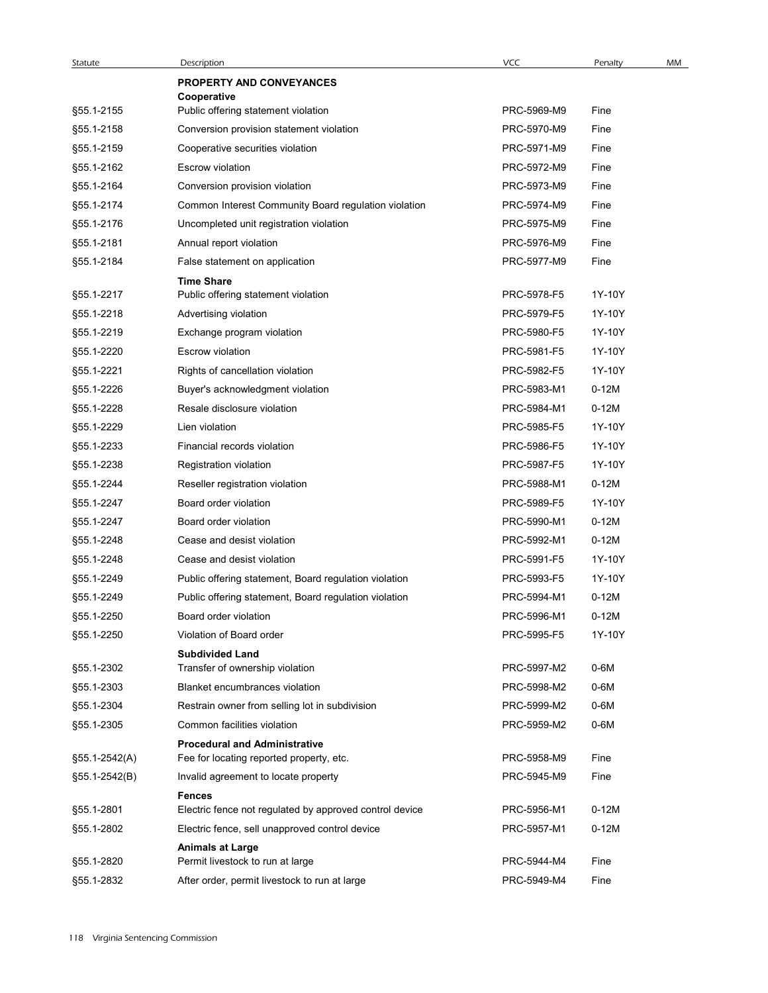| Statute       | Description                                               | <b>VCC</b>  | Penalty | MM |
|---------------|-----------------------------------------------------------|-------------|---------|----|
|               | <b>PROPERTY AND CONVEYANCES</b>                           |             |         |    |
| §55.1-2155    | Cooperative<br>Public offering statement violation        | PRC-5969-M9 | Fine    |    |
| §55.1-2158    | Conversion provision statement violation                  | PRC-5970-M9 | Fine    |    |
| §55.1-2159    | Cooperative securities violation                          | PRC-5971-M9 | Fine    |    |
| §55.1-2162    | Escrow violation                                          | PRC-5972-M9 | Fine    |    |
| §55.1-2164    | Conversion provision violation                            | PRC-5973-M9 | Fine    |    |
| §55.1-2174    | Common Interest Community Board regulation violation      | PRC-5974-M9 | Fine    |    |
| §55.1-2176    | Uncompleted unit registration violation                   | PRC-5975-M9 | Fine    |    |
| §55.1-2181    | Annual report violation                                   | PRC-5976-M9 | Fine    |    |
| §55.1-2184    | False statement on application                            | PRC-5977-M9 | Fine    |    |
|               | <b>Time Share</b>                                         |             |         |    |
| §55.1-2217    | Public offering statement violation                       | PRC-5978-F5 | 1Y-10Y  |    |
| §55.1-2218    | Advertising violation                                     | PRC-5979-F5 | 1Y-10Y  |    |
| §55.1-2219    | Exchange program violation                                | PRC-5980-F5 | 1Y-10Y  |    |
| §55.1-2220    | Escrow violation                                          | PRC-5981-F5 | 1Y-10Y  |    |
| §55.1-2221    | Rights of cancellation violation                          | PRC-5982-F5 | 1Y-10Y  |    |
| §55.1-2226    | Buyer's acknowledgment violation                          | PRC-5983-M1 | $0-12M$ |    |
| §55.1-2228    | Resale disclosure violation                               | PRC-5984-M1 | $0-12M$ |    |
| §55.1-2229    | Lien violation                                            | PRC-5985-F5 | 1Y-10Y  |    |
| §55.1-2233    | Financial records violation                               | PRC-5986-F5 | 1Y-10Y  |    |
| §55.1-2238    | Registration violation                                    | PRC-5987-F5 | 1Y-10Y  |    |
| §55.1-2244    | Reseller registration violation                           | PRC-5988-M1 | $0-12M$ |    |
| §55.1-2247    | Board order violation                                     | PRC-5989-F5 | 1Y-10Y  |    |
| §55.1-2247    | Board order violation                                     | PRC-5990-M1 | $0-12M$ |    |
| §55.1-2248    | Cease and desist violation                                | PRC-5992-M1 | $0-12M$ |    |
| §55.1-2248    | Cease and desist violation                                | PRC-5991-F5 | 1Y-10Y  |    |
| §55.1-2249    | Public offering statement, Board regulation violation     | PRC-5993-F5 | 1Y-10Y  |    |
| §55.1-2249    | Public offering statement, Board regulation violation     | PRC-5994-M1 | $0-12M$ |    |
| §55.1-2250    | Board order violation                                     | PRC-5996-M1 | $0-12M$ |    |
| §55.1-2250    | Violation of Board order                                  | PRC-5995-F5 | 1Y-10Y  |    |
| §55.1-2302    | <b>Subdivided Land</b><br>Transfer of ownership violation | PRC-5997-M2 | 0-6M    |    |
| §55.1-2303    | Blanket encumbrances violation                            | PRC-5998-M2 | 0-6M    |    |
| §55.1-2304    | Restrain owner from selling lot in subdivision            | PRC-5999-M2 | 0-6M    |    |
| §55.1-2305    | Common facilities violation                               | PRC-5959-M2 | 0-6M    |    |
|               | <b>Procedural and Administrative</b>                      |             |         |    |
| §55.1-2542(A) | Fee for locating reported property, etc.                  | PRC-5958-M9 | Fine    |    |
| §55.1-2542(B) | Invalid agreement to locate property                      | PRC-5945-M9 | Fine    |    |
|               | <b>Fences</b>                                             |             |         |    |
| §55.1-2801    | Electric fence not regulated by approved control device   | PRC-5956-M1 | $0-12M$ |    |
| §55.1-2802    | Electric fence, sell unapproved control device            | PRC-5957-M1 | $0-12M$ |    |
|               | <b>Animals at Large</b>                                   |             |         |    |
| §55.1-2820    | Permit livestock to run at large                          | PRC-5944-M4 | Fine    |    |
| §55.1-2832    | After order, permit livestock to run at large             | PRC-5949-M4 | Fine    |    |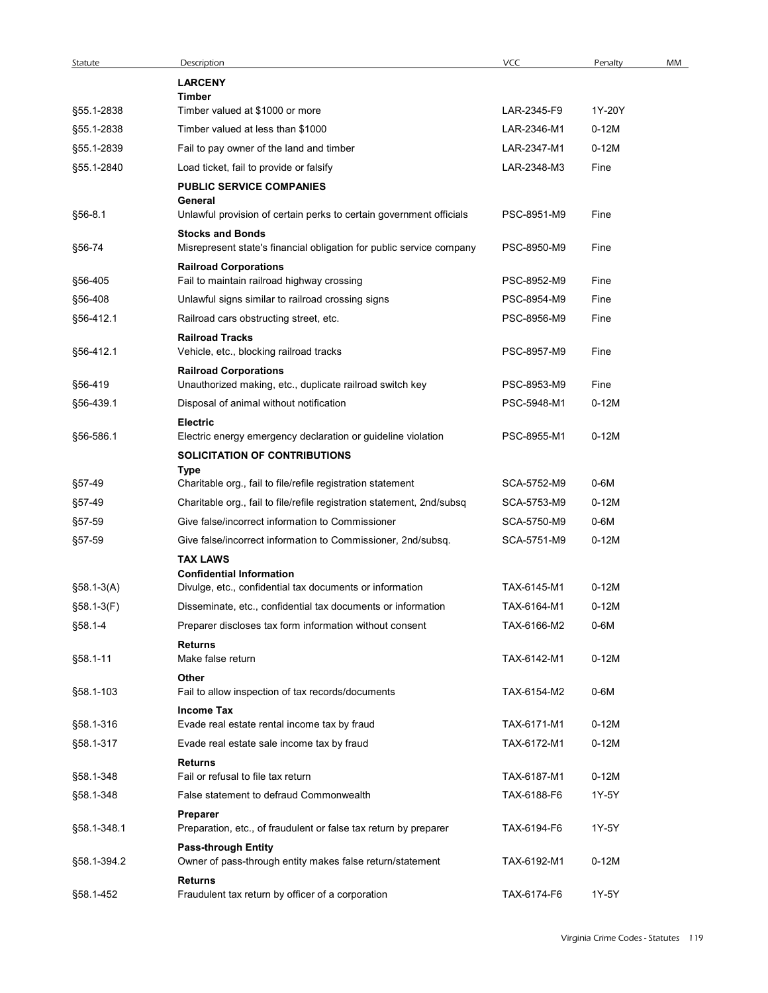| Statute                | Description                                                                                          | VCC                        | Penalty            | MM |
|------------------------|------------------------------------------------------------------------------------------------------|----------------------------|--------------------|----|
|                        | <b>LARCENY</b>                                                                                       |                            |                    |    |
|                        | Timber                                                                                               |                            |                    |    |
| §55.1-2838             | Timber valued at \$1000 or more                                                                      | LAR-2345-F9                | 1Y-20Y             |    |
| §55.1-2838             | Timber valued at less than \$1000                                                                    | LAR-2346-M1                | $0-12M$            |    |
| §55.1-2839             | Fail to pay owner of the land and timber                                                             | LAR-2347-M1                | $0-12M$            |    |
| §55.1-2840             | Load ticket, fail to provide or falsify<br><b>PUBLIC SERVICE COMPANIES</b><br>General                | LAR-2348-M3                | Fine               |    |
| §56-8.1                | Unlawful provision of certain perks to certain government officials                                  | PSC-8951-M9                | Fine               |    |
| §56-74                 | <b>Stocks and Bonds</b><br>Misrepresent state's financial obligation for public service company      | PSC-8950-M9                | Fine               |    |
|                        | <b>Railroad Corporations</b>                                                                         |                            |                    |    |
| §56-405                | Fail to maintain railroad highway crossing                                                           | PSC-8952-M9                | Fine               |    |
| §56-408                | Unlawful signs similar to railroad crossing signs                                                    | PSC-8954-M9                | Fine               |    |
| §56-412.1              | Railroad cars obstructing street, etc.                                                               | PSC-8956-M9                | Fine               |    |
| §56-412.1              | <b>Railroad Tracks</b><br>Vehicle, etc., blocking railroad tracks                                    | PSC-8957-M9                | Fine               |    |
| §56-419                | <b>Railroad Corporations</b><br>Unauthorized making, etc., duplicate railroad switch key             | PSC-8953-M9                | Fine               |    |
|                        |                                                                                                      | PSC-5948-M1                | $0-12M$            |    |
| §56-439.1              | Disposal of animal without notification<br><b>Electric</b>                                           |                            |                    |    |
| §56-586.1              | Electric energy emergency declaration or guideline violation<br><b>SOLICITATION OF CONTRIBUTIONS</b> | PSC-8955-M1                | $0-12M$            |    |
|                        | Type                                                                                                 |                            |                    |    |
| §57-49                 | Charitable org., fail to file/refile registration statement                                          | SCA-5752-M9                | 0-6M               |    |
| §57-49                 | Charitable org., fail to file/refile registration statement, 2nd/subsq                               | SCA-5753-M9                | $0-12M$            |    |
| §57-59                 | Give false/incorrect information to Commissioner                                                     | SCA-5750-M9                | 0-6M               |    |
| §57-59                 | Give false/incorrect information to Commissioner, 2nd/subsq.<br><b>TAX LAWS</b>                      | SCA-5751-M9                | $0-12M$            |    |
|                        | <b>Confidential Information</b>                                                                      |                            |                    |    |
| $§58.1-3(A)$           | Divulge, etc., confidential tax documents or information                                             | TAX-6145-M1                | $0-12M$            |    |
| $$58.1-3(F)$           | Disseminate, etc., confidential tax documents or information                                         | TAX-6164-M1                | $0-12M$            |    |
| §58.1-4                | Preparer discloses tax form information without consent                                              | TAX-6166-M2                | 0-6M               |    |
| §58.1-11               | <b>Returns</b><br>Make false return                                                                  | TAX-6142-M1                | $0-12M$            |    |
| §58.1-103              | Other<br>Fail to allow inspection of tax records/documents                                           | TAX-6154-M2                | 0-6M               |    |
|                        | <b>Income Tax</b>                                                                                    |                            |                    |    |
| §58.1-316              | Evade real estate rental income tax by fraud                                                         | TAX-6171-M1                | $0-12M$            |    |
| §58.1-317<br>§58.1-348 | Evade real estate sale income tax by fraud<br><b>Returns</b><br>Fail or refusal to file tax return   | TAX-6172-M1<br>TAX-6187-M1 | $0-12M$<br>$0-12M$ |    |
| §58.1-348              | False statement to defraud Commonwealth                                                              | TAX-6188-F6                | 1Y-5Y              |    |
| §58.1-348.1            | Preparer<br>Preparation, etc., of fraudulent or false tax return by preparer                         | TAX-6194-F6                | 1Y-5Y              |    |
| §58.1-394.2            | <b>Pass-through Entity</b><br>Owner of pass-through entity makes false return/statement              | TAX-6192-M1                | $0-12M$            |    |
|                        | <b>Returns</b><br>Fraudulent tax return by officer of a corporation                                  | TAX-6174-F6                | 1Y-5Y              |    |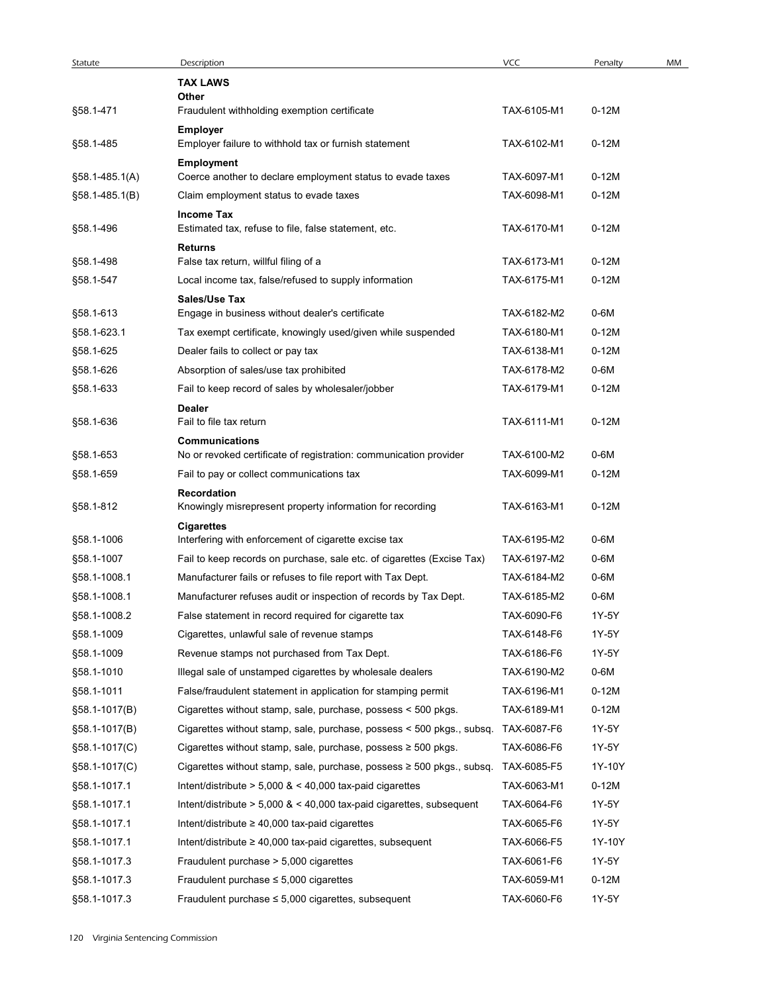| Statute          | Description                                                                                | <b>VCC</b>  | Penalty | MM |
|------------------|--------------------------------------------------------------------------------------------|-------------|---------|----|
|                  | <b>TAX LAWS</b>                                                                            |             |         |    |
| §58.1-471        | Other<br>Fraudulent withholding exemption certificate                                      | TAX-6105-M1 | $0-12M$ |    |
| §58.1-485        | <b>Employer</b><br>Employer failure to withhold tax or furnish statement                   | TAX-6102-M1 | $0-12M$ |    |
|                  | Employment                                                                                 |             |         |    |
| $$58.1-485.1(A)$ | Coerce another to declare employment status to evade taxes                                 | TAX-6097-M1 | $0-12M$ |    |
| $§58.1-485.1(B)$ | Claim employment status to evade taxes                                                     | TAX-6098-M1 | $0-12M$ |    |
| §58.1-496        | <b>Income Tax</b><br>Estimated tax, refuse to file, false statement, etc.                  | TAX-6170-M1 | $0-12M$ |    |
| §58.1-498        | Returns<br>False tax return, willful filing of a                                           | TAX-6173-M1 | $0-12M$ |    |
| §58.1-547        | Local income tax, false/refused to supply information                                      | TAX-6175-M1 | $0-12M$ |    |
|                  | Sales/Use Tax                                                                              |             |         |    |
| §58.1-613        | Engage in business without dealer's certificate                                            | TAX-6182-M2 | 0-6M    |    |
| §58.1-623.1      | Tax exempt certificate, knowingly used/given while suspended                               | TAX-6180-M1 | $0-12M$ |    |
| §58.1-625        | Dealer fails to collect or pay tax                                                         | TAX-6138-M1 | $0-12M$ |    |
| §58.1-626        | Absorption of sales/use tax prohibited                                                     | TAX-6178-M2 | 0-6M    |    |
| §58.1-633        | Fail to keep record of sales by wholesaler/jobber                                          | TAX-6179-M1 | $0-12M$ |    |
|                  | Dealer                                                                                     |             |         |    |
| §58.1-636        | Fail to file tax return                                                                    | TAX-6111-M1 | $0-12M$ |    |
| §58.1-653        | <b>Communications</b><br>No or revoked certificate of registration: communication provider | TAX-6100-M2 | 0-6M    |    |
| §58.1-659        | Fail to pay or collect communications tax                                                  | TAX-6099-M1 | $0-12M$ |    |
|                  | <b>Recordation</b>                                                                         |             |         |    |
| §58.1-812        | Knowingly misrepresent property information for recording                                  | TAX-6163-M1 | $0-12M$ |    |
|                  | <b>Cigarettes</b>                                                                          |             |         |    |
| §58.1-1006       | Interfering with enforcement of cigarette excise tax                                       | TAX-6195-M2 | 0-6M    |    |
| §58.1-1007       | Fail to keep records on purchase, sale etc. of cigarettes (Excise Tax)                     | TAX-6197-M2 | 0-6M    |    |
| §58.1-1008.1     | Manufacturer fails or refuses to file report with Tax Dept.                                | TAX-6184-M2 | 0-6M    |    |
| §58.1-1008.1     | Manufacturer refuses audit or inspection of records by Tax Dept.                           | TAX-6185-M2 | 0-6M    |    |
| §58.1-1008.2     | False statement in record required for cigarette tax                                       | TAX-6090-F6 | 1Y-5Y   |    |
| §58.1-1009       | Cigarettes, unlawful sale of revenue stamps                                                | TAX-6148-F6 | 1Y-5Y   |    |
| §58.1-1009       | Revenue stamps not purchased from Tax Dept.                                                | TAX-6186-F6 | 1Y-5Y   |    |
| §58.1-1010       | Illegal sale of unstamped cigarettes by wholesale dealers                                  | TAX-6190-M2 | 0-6M    |    |
| §58.1-1011       | False/fraudulent statement in application for stamping permit                              | TAX-6196-M1 | $0-12M$ |    |
| §58.1-1017(B)    | Cigarettes without stamp, sale, purchase, possess < 500 pkgs.                              | TAX-6189-M1 | $0-12M$ |    |
| §58.1-1017(B)    | Cigarettes without stamp, sale, purchase, possess < 500 pkgs., subsq.                      | TAX-6087-F6 | 1Y-5Y   |    |
| §58.1-1017(C)    | Cigarettes without stamp, sale, purchase, possess $\geq 500$ pkgs.                         | TAX-6086-F6 | 1Y-5Y   |    |
| §58.1-1017(C)    | Cigarettes without stamp, sale, purchase, possess $\geq 500$ pkgs., subsq.                 | TAX-6085-F5 | 1Y-10Y  |    |
| §58.1-1017.1     | Intent/distribute $> 5,000$ & $< 40,000$ tax-paid cigarettes                               | TAX-6063-M1 | $0-12M$ |    |
| §58.1-1017.1     | Intent/distribute $> 5,000$ & $< 40,000$ tax-paid cigarettes, subsequent                   | TAX-6064-F6 | 1Y-5Y   |    |
| §58.1-1017.1     | Intent/distribute $\geq 40,000$ tax-paid cigarettes                                        | TAX-6065-F6 | 1Y-5Y   |    |
| §58.1-1017.1     | Intent/distribute $\geq 40,000$ tax-paid cigarettes, subsequent                            | TAX-6066-F5 | 1Y-10Y  |    |
| §58.1-1017.3     | Fraudulent purchase > 5,000 cigarettes                                                     | TAX-6061-F6 | 1Y-5Y   |    |
| §58.1-1017.3     | Fraudulent purchase $\leq$ 5,000 cigarettes                                                | TAX-6059-M1 | $0-12M$ |    |
| §58.1-1017.3     | Fraudulent purchase $\leq 5,000$ cigarettes, subsequent                                    | TAX-6060-F6 | 1Y-5Y   |    |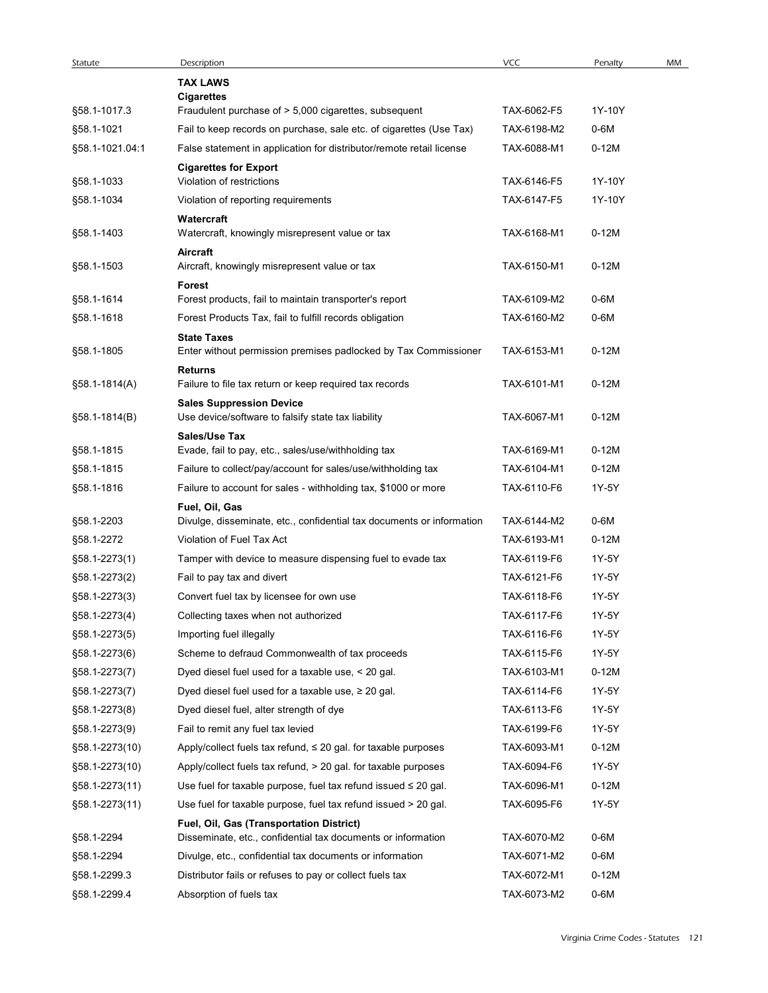| Statute                    | Description                                                                                                          | <b>VCC</b>  | Penalty      | MM |
|----------------------------|----------------------------------------------------------------------------------------------------------------------|-------------|--------------|----|
|                            | <b>TAX LAWS</b><br><b>Cigarettes</b>                                                                                 |             |              |    |
| §58.1-1017.3               | Fraudulent purchase of > 5,000 cigarettes, subsequent                                                                | TAX-6062-F5 | 1Y-10Y       |    |
| §58.1-1021                 | Fail to keep records on purchase, sale etc. of cigarettes (Use Tax)                                                  | TAX-6198-M2 | 0-6M         |    |
| §58.1-1021.04:1            | False statement in application for distributor/remote retail license                                                 | TAX-6088-M1 | $0-12M$      |    |
| §58.1-1033                 | <b>Cigarettes for Export</b><br>Violation of restrictions                                                            | TAX-6146-F5 | 1Y-10Y       |    |
| §58.1-1034                 | Violation of reporting requirements                                                                                  | TAX-6147-F5 | 1Y-10Y       |    |
|                            | Watercraft                                                                                                           |             |              |    |
| §58.1-1403                 | Watercraft, knowingly misrepresent value or tax                                                                      | TAX-6168-M1 | $0-12M$      |    |
|                            | Aircraft                                                                                                             |             |              |    |
| §58.1-1503                 | Aircraft, knowingly misrepresent value or tax                                                                        | TAX-6150-M1 | $0-12M$      |    |
| §58.1-1614                 | <b>Forest</b><br>Forest products, fail to maintain transporter's report                                              | TAX-6109-M2 | 0-6M         |    |
| §58.1-1618                 | Forest Products Tax, fail to fulfill records obligation                                                              | TAX-6160-M2 | $0-6M$       |    |
|                            | <b>State Taxes</b>                                                                                                   |             |              |    |
| §58.1-1805                 | Enter without permission premises padlocked by Tax Commissioner                                                      | TAX-6153-M1 | $0-12M$      |    |
|                            | <b>Returns</b>                                                                                                       | TAX-6101-M1 | $0-12M$      |    |
| $$58.1-1814(A)$            | Failure to file tax return or keep required tax records<br><b>Sales Suppression Device</b>                           |             |              |    |
| §58.1-1814(B)              | Use device/software to falsify state tax liability                                                                   | TAX-6067-M1 | $0-12M$      |    |
|                            | Sales/Use Tax                                                                                                        |             |              |    |
| §58.1-1815                 | Evade, fail to pay, etc., sales/use/withholding tax                                                                  | TAX-6169-M1 | $0-12M$      |    |
| §58.1-1815                 | Failure to collect/pay/account for sales/use/withholding tax                                                         | TAX-6104-M1 | $0-12M$      |    |
| §58.1-1816                 | Failure to account for sales - withholding tax, \$1000 or more                                                       | TAX-6110-F6 | 1Y-5Y        |    |
| §58.1-2203                 | Fuel, Oil, Gas<br>Divulge, disseminate, etc., confidential tax documents or information                              | TAX-6144-M2 | 0-6M         |    |
| §58.1-2272                 | Violation of Fuel Tax Act                                                                                            | TAX-6193-M1 | $0-12M$      |    |
| §58.1-2273(1)              | Tamper with device to measure dispensing fuel to evade tax                                                           | TAX-6119-F6 | 1Y-5Y        |    |
| §58.1-2273(2)              | Fail to pay tax and divert                                                                                           | TAX-6121-F6 | 1Y-5Y        |    |
| §58.1-2273(3)              | Convert fuel tax by licensee for own use                                                                             | TAX-6118-F6 | 1Y-5Y        |    |
| §58.1-2273(4)              | Collecting taxes when not authorized                                                                                 | TAX-6117-F6 | 1Y-5Y        |    |
| §58.1-2273(5)              | Importing fuel illegally                                                                                             | TAX-6116-F6 | 1Y-5Y        |    |
| §58.1-2273(6)              | Scheme to defraud Commonwealth of tax proceeds                                                                       | TAX-6115-F6 | 1Y-5Y        |    |
| §58.1-2273(7)              | Dyed diesel fuel used for a taxable use, < 20 gal.                                                                   | TAX-6103-M1 | $0-12M$      |    |
| §58.1-2273(7)              | Dyed diesel fuel used for a taxable use, $\geq 20$ gal.                                                              | TAX-6114-F6 | 1Y-5Y        |    |
| §58.1-2273(8)              | Dyed diesel fuel, alter strength of dye                                                                              | TAX-6113-F6 | 1Y-5Y        |    |
| §58.1-2273(9)              | Fail to remit any fuel tax levied                                                                                    | TAX-6199-F6 | 1Y-5Y        |    |
| §58.1-2273(10)             | Apply/collect fuels tax refund, $\leq$ 20 gal. for taxable purposes                                                  | TAX-6093-M1 | $0-12M$      |    |
| §58.1-2273(10)             | Apply/collect fuels tax refund, > 20 gal. for taxable purposes                                                       | TAX-6094-F6 | 1Y-5Y        |    |
| §58.1-2273(11)             | Use fuel for taxable purpose, fuel tax refund issued $\leq 20$ gal.                                                  | TAX-6096-M1 | $0-12M$      |    |
| $$58.1 - 2273(11)$         | Use fuel for taxable purpose, fuel tax refund issued > 20 gal.                                                       | TAX-6095-F6 | 1Y-5Y        |    |
|                            | Fuel, Oil, Gas (Transportation District)                                                                             | TAX-6070-M2 |              |    |
| §58.1-2294                 | Disseminate, etc., confidential tax documents or information                                                         | TAX-6071-M2 | 0-6M<br>0-6M |    |
| §58.1-2294<br>§58.1-2299.3 | Divulge, etc., confidential tax documents or information<br>Distributor fails or refuses to pay or collect fuels tax | TAX-6072-M1 | $0-12M$      |    |
| §58.1-2299.4               | Absorption of fuels tax                                                                                              | TAX-6073-M2 | 0-6M         |    |
|                            |                                                                                                                      |             |              |    |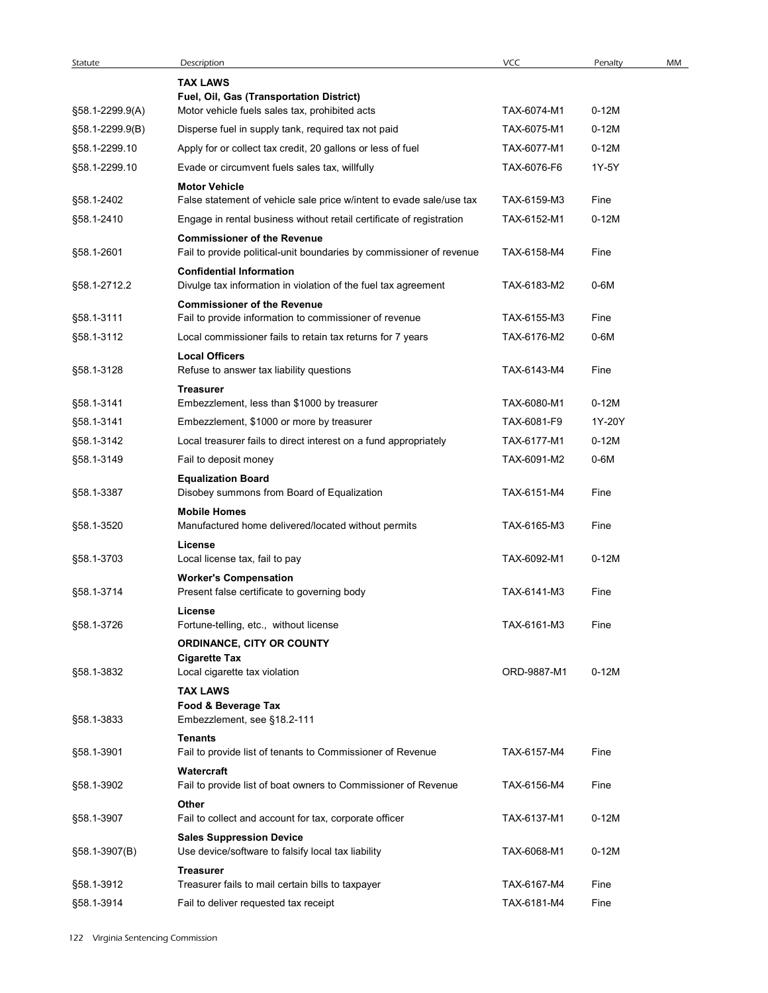| Statute                          | Description                                                                                                          | VCC                        | Penalty            | MM |
|----------------------------------|----------------------------------------------------------------------------------------------------------------------|----------------------------|--------------------|----|
|                                  | <b>TAX LAWS</b>                                                                                                      |                            |                    |    |
|                                  | Fuel, Oil, Gas (Transportation District)                                                                             |                            |                    |    |
| §58.1-2299.9(A)                  | Motor vehicle fuels sales tax, prohibited acts                                                                       | TAX-6074-M1<br>TAX-6075-M1 | $0-12M$<br>$0-12M$ |    |
| §58.1-2299.9(B)<br>§58.1-2299.10 | Disperse fuel in supply tank, required tax not paid<br>Apply for or collect tax credit, 20 gallons or less of fuel   | TAX-6077-M1                | $0-12M$            |    |
| §58.1-2299.10                    | Evade or circumvent fuels sales tax, willfully                                                                       | TAX-6076-F6                | 1Y-5Y              |    |
|                                  | <b>Motor Vehicle</b>                                                                                                 |                            |                    |    |
| §58.1-2402                       | False statement of vehicle sale price w/intent to evade sale/use tax                                                 | TAX-6159-M3                | Fine               |    |
| §58.1-2410                       | Engage in rental business without retail certificate of registration                                                 | TAX-6152-M1                | $0-12M$            |    |
| §58.1-2601                       | <b>Commissioner of the Revenue</b><br>Fail to provide political-unit boundaries by commissioner of revenue           | TAX-6158-M4                | Fine               |    |
|                                  | <b>Confidential Information</b>                                                                                      |                            |                    |    |
| §58.1-2712.2                     | Divulge tax information in violation of the fuel tax agreement                                                       | TAX-6183-M2                | $0-6M$             |    |
|                                  | <b>Commissioner of the Revenue</b>                                                                                   | TAX-6155-M3                |                    |    |
| §58.1-3111<br>§58.1-3112         | Fail to provide information to commissioner of revenue<br>Local commissioner fails to retain tax returns for 7 years | TAX-6176-M2                | Fine<br>$0-6M$     |    |
|                                  | <b>Local Officers</b>                                                                                                |                            |                    |    |
| §58.1-3128                       | Refuse to answer tax liability questions                                                                             | TAX-6143-M4                | Fine               |    |
|                                  | <b>Treasurer</b>                                                                                                     |                            |                    |    |
| §58.1-3141<br>§58.1-3141         | Embezzlement, less than \$1000 by treasurer                                                                          | TAX-6080-M1<br>TAX-6081-F9 | $0-12M$<br>1Y-20Y  |    |
| §58.1-3142                       | Embezzlement, \$1000 or more by treasurer<br>Local treasurer fails to direct interest on a fund appropriately        | TAX-6177-M1                | $0-12M$            |    |
| §58.1-3149                       | Fail to deposit money                                                                                                | TAX-6091-M2                | 0-6M               |    |
|                                  | <b>Equalization Board</b>                                                                                            |                            |                    |    |
| §58.1-3387                       | Disobey summons from Board of Equalization                                                                           | TAX-6151-M4                | Fine               |    |
|                                  | <b>Mobile Homes</b>                                                                                                  | TAX-6165-M3                |                    |    |
| §58.1-3520                       | Manufactured home delivered/located without permits<br>License                                                       |                            | Fine               |    |
| §58.1-3703                       | Local license tax, fail to pay                                                                                       | TAX-6092-M1                | $0-12M$            |    |
|                                  | <b>Worker's Compensation</b>                                                                                         |                            |                    |    |
| §58.1-3714                       | Present false certificate to governing body                                                                          | TAX-6141-M3                | Fine               |    |
| §58.1-3726                       | License<br>Fortune-telling, etc., without license                                                                    | TAX-6161-M3                | Fine               |    |
|                                  | ORDINANCE, CITY OR COUNTY                                                                                            |                            |                    |    |
|                                  | <b>Cigarette Tax</b>                                                                                                 |                            |                    |    |
| §58.1-3832                       | Local cigarette tax violation                                                                                        | ORD-9887-M1                | $0-12M$            |    |
|                                  | <b>TAX LAWS</b><br>Food & Beverage Tax                                                                               |                            |                    |    |
| §58.1-3833                       | Embezzlement, see §18.2-111                                                                                          |                            |                    |    |
|                                  | Tenants                                                                                                              |                            |                    |    |
| §58.1-3901                       | Fail to provide list of tenants to Commissioner of Revenue                                                           | TAX-6157-M4                | Fine               |    |
| §58.1-3902                       | Watercraft<br>Fail to provide list of boat owners to Commissioner of Revenue                                         | TAX-6156-M4                | Fine               |    |
|                                  | Other                                                                                                                |                            |                    |    |
| §58.1-3907                       | Fail to collect and account for tax, corporate officer                                                               | TAX-6137-M1                | $0-12M$            |    |
| §58.1-3907(B)                    | <b>Sales Suppression Device</b><br>Use device/software to falsify local tax liability                                | TAX-6068-M1                | $0-12M$            |    |
|                                  | <b>Treasurer</b>                                                                                                     |                            |                    |    |
|                                  | Treasurer fails to mail certain bills to taxpayer                                                                    | TAX-6167-M4                | Fine               |    |
| §58.1-3912                       |                                                                                                                      |                            |                    |    |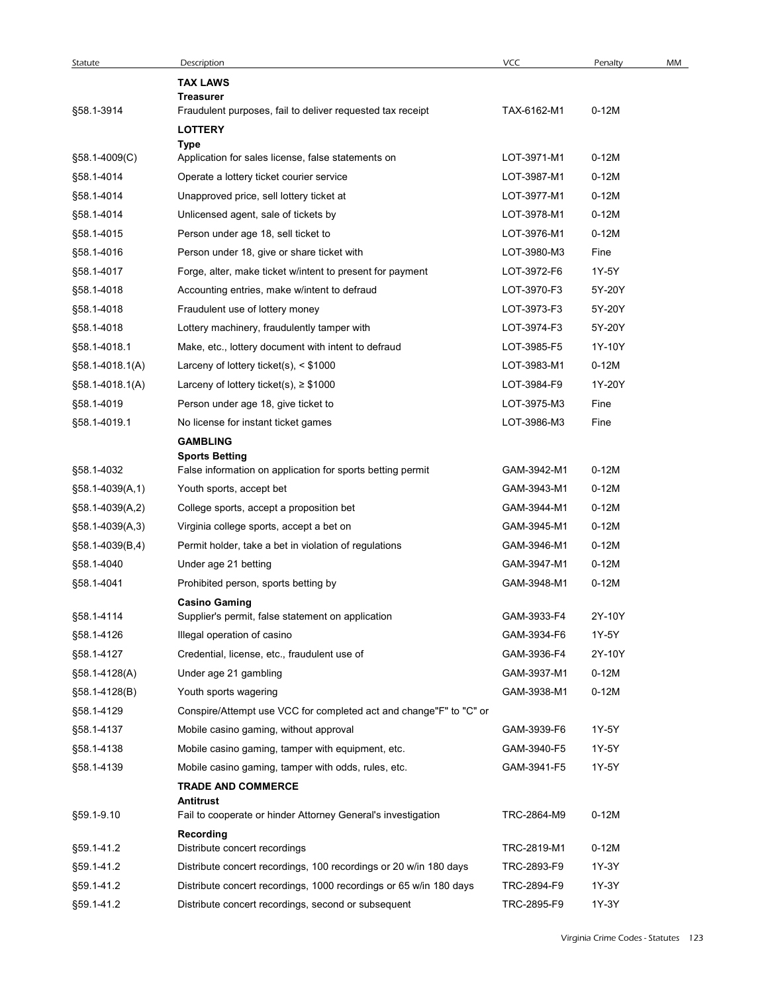| Statute                            | Description                                                                                   | <b>VCC</b>                 | Penalty          | MM |
|------------------------------------|-----------------------------------------------------------------------------------------------|----------------------------|------------------|----|
|                                    | <b>TAX LAWS</b><br><b>Treasurer</b>                                                           |                            |                  |    |
| §58.1-3914                         | Fraudulent purposes, fail to deliver requested tax receipt                                    | TAX-6162-M1                | $0-12M$          |    |
|                                    | <b>LOTTERY</b>                                                                                |                            |                  |    |
|                                    | Type                                                                                          |                            |                  |    |
| §58.1-4009(C)                      | Application for sales license, false statements on                                            | LOT-3971-M1                | $0-12M$          |    |
| §58.1-4014                         | Operate a lottery ticket courier service                                                      | LOT-3987-M1                | $0-12M$          |    |
| §58.1-4014                         | Unapproved price, sell lottery ticket at                                                      | LOT-3977-M1                | $0-12M$          |    |
| §58.1-4014                         | Unlicensed agent, sale of tickets by                                                          | LOT-3978-M1                | $0-12M$          |    |
| §58.1-4015                         | Person under age 18, sell ticket to                                                           | LOT-3976-M1                | $0-12M$          |    |
| §58.1-4016                         | Person under 18, give or share ticket with                                                    | LOT-3980-M3                | Fine             |    |
| §58.1-4017                         | Forge, alter, make ticket w/intent to present for payment                                     | LOT-3972-F6<br>LOT-3970-F3 | 1Y-5Y<br>5Y-20Y  |    |
| §58.1-4018                         | Accounting entries, make w/intent to defraud                                                  |                            |                  |    |
| §58.1-4018                         | Fraudulent use of lottery money<br>Lottery machinery, fraudulently tamper with                | LOT-3973-F3<br>LOT-3974-F3 | 5Y-20Y<br>5Y-20Y |    |
| §58.1-4018                         | Make, etc., lottery document with intent to defraud                                           | LOT-3985-F5                | 1Y-10Y           |    |
| §58.1-4018.1                       |                                                                                               | LOT-3983-M1                | $0-12M$          |    |
| §58.1-4018.1(A)<br>§58.1-4018.1(A) | Larceny of lottery ticket(s), $\leq$ \$1000<br>Larceny of lottery ticket(s), $\geq$ \$1000    | LOT-3984-F9                | 1Y-20Y           |    |
| §58.1-4019                         | Person under age 18, give ticket to                                                           | LOT-3975-M3                | Fine             |    |
| §58.1-4019.1                       |                                                                                               | LOT-3986-M3                | Fine             |    |
|                                    | No license for instant ticket games                                                           |                            |                  |    |
|                                    | <b>GAMBLING</b><br><b>Sports Betting</b>                                                      |                            |                  |    |
| §58.1-4032                         | False information on application for sports betting permit                                    | GAM-3942-M1                | $0-12M$          |    |
| §58.1-4039(A,1)                    | Youth sports, accept bet                                                                      | GAM-3943-M1                | $0-12M$          |    |
| §58.1-4039(A,2)                    | College sports, accept a proposition bet                                                      | GAM-3944-M1                | $0-12M$          |    |
| §58.1-4039(A,3)                    | Virginia college sports, accept a bet on                                                      | GAM-3945-M1                | $0-12M$          |    |
| §58.1-4039(B,4)                    | Permit holder, take a bet in violation of regulations                                         | GAM-3946-M1                | $0-12M$          |    |
| §58.1-4040                         | Under age 21 betting                                                                          | GAM-3947-M1                | $0-12M$          |    |
| §58.1-4041                         | Prohibited person, sports betting by                                                          | GAM-3948-M1                | $0-12M$          |    |
|                                    | <b>Casino Gaming</b>                                                                          |                            |                  |    |
| §58.1-4114                         | Supplier's permit, false statement on application                                             | GAM-3933-F4                | 2Y-10Y           |    |
| §58.1-4126                         | Illegal operation of casino                                                                   | GAM-3934-F6                | 1Y-5Y            |    |
| §58.1-4127                         | Credential, license, etc., fraudulent use of                                                  | GAM-3936-F4                | 2Y-10Y           |    |
| §58.1-4128(A)                      | Under age 21 gambling                                                                         | GAM-3937-M1                | $0-12M$          |    |
| §58.1-4128(B)                      | Youth sports wagering                                                                         | GAM-3938-M1                | $0-12M$          |    |
| §58.1-4129                         | Conspire/Attempt use VCC for completed act and change"F" to "C" or                            |                            |                  |    |
| §58.1-4137                         | Mobile casino gaming, without approval                                                        | GAM-3939-F6                | 1Y-5Y            |    |
| §58.1-4138                         | Mobile casino gaming, tamper with equipment, etc.                                             | GAM-3940-F5                | 1Y-5Y            |    |
| §58.1-4139                         | Mobile casino gaming, tamper with odds, rules, etc.<br><b>TRADE AND COMMERCE</b>              | GAM-3941-F5                | 1Y-5Y            |    |
| §59.1-9.10                         | <b>Antitrust</b><br>Fail to cooperate or hinder Attorney General's investigation<br>Recording | TRC-2864-M9                | $0-12M$          |    |
| §59.1-41.2                         | Distribute concert recordings                                                                 | TRC-2819-M1                | $0-12M$          |    |
| §59.1-41.2                         | Distribute concert recordings, 100 recordings or 20 w/in 180 days                             | TRC-2893-F9                | 1Y-3Y            |    |
| §59.1-41.2                         | Distribute concert recordings, 1000 recordings or 65 w/in 180 days                            | TRC-2894-F9                | 1Y-3Y            |    |
|                                    | Distribute concert recordings, second or subsequent                                           | TRC-2895-F9                | 1Y-3Y            |    |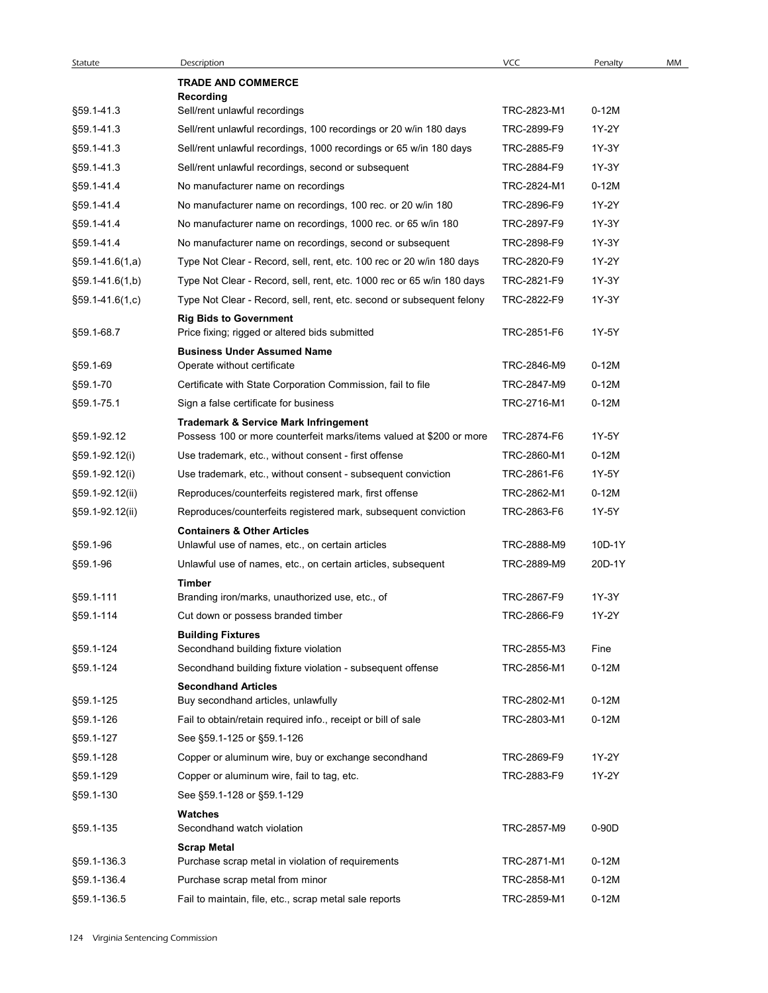| Statute           | Description                                                                                | <b>VCC</b>  | Penalty | MM |
|-------------------|--------------------------------------------------------------------------------------------|-------------|---------|----|
|                   | <b>TRADE AND COMMERCE</b>                                                                  |             |         |    |
| §59.1-41.3        | Recording<br>Sell/rent unlawful recordings                                                 | TRC-2823-M1 | $0-12M$ |    |
| §59.1-41.3        | Sell/rent unlawful recordings, 100 recordings or 20 w/in 180 days                          | TRC-2899-F9 | 1Y-2Y   |    |
| §59.1-41.3        | Sell/rent unlawful recordings, 1000 recordings or 65 w/in 180 days                         | TRC-2885-F9 | 1Y-3Y   |    |
| §59.1-41.3        | Sell/rent unlawful recordings, second or subsequent                                        | TRC-2884-F9 | 1Y-3Y   |    |
| §59.1-41.4        | No manufacturer name on recordings                                                         | TRC-2824-M1 | $0-12M$ |    |
| §59.1-41.4        | No manufacturer name on recordings, 100 rec. or 20 w/in 180                                | TRC-2896-F9 | 1Y-2Y   |    |
| §59.1-41.4        | No manufacturer name on recordings, 1000 rec. or 65 w/in 180                               | TRC-2897-F9 | 1Y-3Y   |    |
| §59.1-41.4        | No manufacturer name on recordings, second or subsequent                                   | TRC-2898-F9 | 1Y-3Y   |    |
| §59.1-41.6(1,a)   | Type Not Clear - Record, sell, rent, etc. 100 rec or 20 w/in 180 days                      | TRC-2820-F9 | 1Y-2Y   |    |
| $$59.1-41.6(1,b)$ | Type Not Clear - Record, sell, rent, etc. 1000 rec or 65 w/in 180 days                     | TRC-2821-F9 | 1Y-3Y   |    |
| §59.1-41.6(1,c)   | Type Not Clear - Record, sell, rent, etc. second or subsequent felony                      | TRC-2822-F9 | 1Y-3Y   |    |
|                   | <b>Rig Bids to Government</b>                                                              |             |         |    |
| §59.1-68.7        | Price fixing; rigged or altered bids submitted                                             | TRC-2851-F6 | 1Y-5Y   |    |
|                   | <b>Business Under Assumed Name</b>                                                         |             |         |    |
| §59.1-69          | Operate without certificate                                                                | TRC-2846-M9 | $0-12M$ |    |
| §59.1-70          | Certificate with State Corporation Commission, fail to file                                | TRC-2847-M9 | $0-12M$ |    |
| §59.1-75.1        | Sign a false certificate for business                                                      | TRC-2716-M1 | $0-12M$ |    |
|                   | <b>Trademark &amp; Service Mark Infringement</b>                                           |             |         |    |
| §59.1-92.12       | Possess 100 or more counterfeit marks/items valued at \$200 or more                        | TRC-2874-F6 | 1Y-5Y   |    |
| §59.1-92.12(i)    | Use trademark, etc., without consent - first offense                                       | TRC-2860-M1 | $0-12M$ |    |
| §59.1-92.12(i)    | Use trademark, etc., without consent - subsequent conviction                               | TRC-2861-F6 | 1Y-5Y   |    |
| §59.1-92.12(ii)   | Reproduces/counterfeits registered mark, first offense                                     | TRC-2862-M1 | $0-12M$ |    |
| §59.1-92.12(ii)   | Reproduces/counterfeits registered mark, subsequent conviction                             | TRC-2863-F6 | 1Y-5Y   |    |
| §59.1-96          | <b>Containers &amp; Other Articles</b><br>Unlawful use of names, etc., on certain articles | TRC-2888-M9 | 10D-1Y  |    |
|                   |                                                                                            |             |         |    |
| §59.1-96          | Unlawful use of names, etc., on certain articles, subsequent<br>Timber                     | TRC-2889-M9 | 20D-1Y  |    |
| §59.1-111         | Branding iron/marks, unauthorized use, etc., of                                            | TRC-2867-F9 | 1Y-3Y   |    |
| §59.1-114         | Cut down or possess branded timber                                                         | TRC-2866-F9 | 1Y-2Y   |    |
|                   | <b>Building Fixtures</b>                                                                   |             |         |    |
| §59.1-124         | Secondhand building fixture violation                                                      | TRC-2855-M3 | Fine    |    |
| §59.1-124         | Secondhand building fixture violation - subsequent offense                                 | TRC-2856-M1 | $0-12M$ |    |
|                   | <b>Secondhand Articles</b>                                                                 |             |         |    |
| §59.1-125         | Buy secondhand articles, unlawfully                                                        | TRC-2802-M1 | $0-12M$ |    |
| §59.1-126         | Fail to obtain/retain required info., receipt or bill of sale                              | TRC-2803-M1 | $0-12M$ |    |
| §59.1-127         | See §59.1-125 or §59.1-126                                                                 |             |         |    |
| §59.1-128         | Copper or aluminum wire, buy or exchange secondhand                                        | TRC-2869-F9 | 1Y-2Y   |    |
| §59.1-129         | Copper or aluminum wire, fail to tag, etc.                                                 | TRC-2883-F9 | 1Y-2Y   |    |
| §59.1-130         | See §59.1-128 or §59.1-129                                                                 |             |         |    |
| §59.1-135         | Watches<br>Secondhand watch violation                                                      | TRC-2857-M9 | 0-90D   |    |
|                   | <b>Scrap Metal</b>                                                                         |             |         |    |
| §59.1-136.3       | Purchase scrap metal in violation of requirements                                          | TRC-2871-M1 | $0-12M$ |    |
| §59.1-136.4       | Purchase scrap metal from minor                                                            | TRC-2858-M1 | $0-12M$ |    |
|                   | Fail to maintain, file, etc., scrap metal sale reports                                     | TRC-2859-M1 | $0-12M$ |    |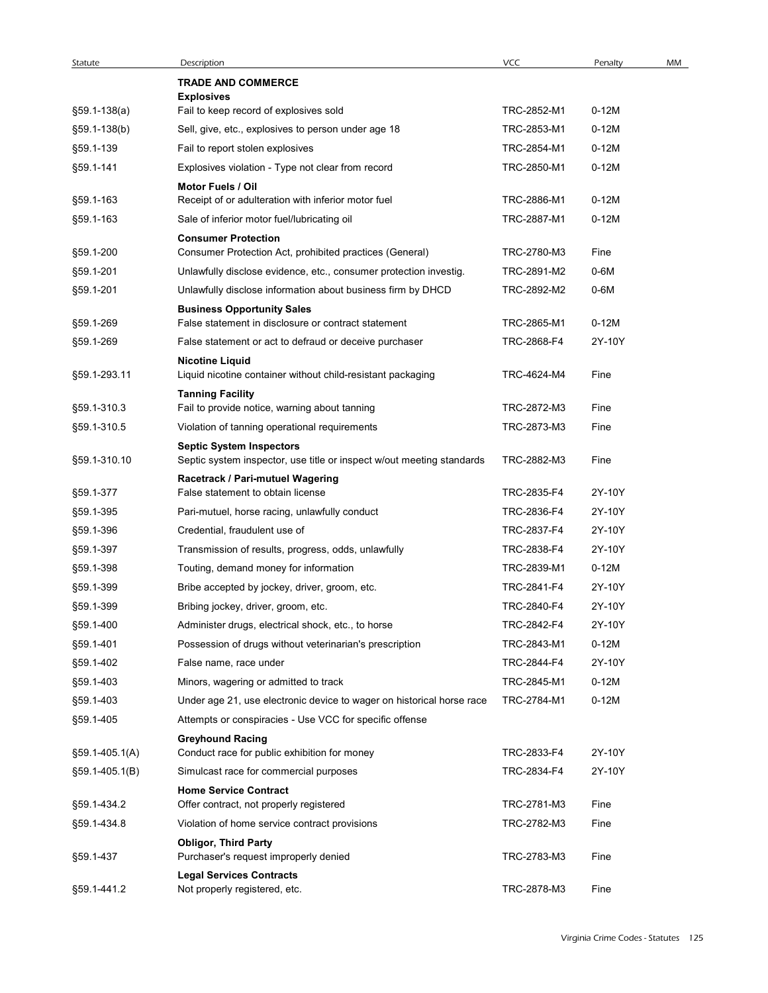| Statute        | Description                                                                              | VCC         | Penalty | MM |
|----------------|------------------------------------------------------------------------------------------|-------------|---------|----|
|                | <b>TRADE AND COMMERCE</b>                                                                |             |         |    |
| §59.1-138(a)   | <b>Explosives</b><br>Fail to keep record of explosives sold                              | TRC-2852-M1 | $0-12M$ |    |
| §59.1-138(b)   | Sell, give, etc., explosives to person under age 18                                      | TRC-2853-M1 | $0-12M$ |    |
| §59.1-139      | Fail to report stolen explosives                                                         | TRC-2854-M1 | $0-12M$ |    |
| §59.1-141      | Explosives violation - Type not clear from record                                        | TRC-2850-M1 | $0-12M$ |    |
|                | Motor Fuels / Oil                                                                        |             |         |    |
| §59.1-163      | Receipt of or adulteration with inferior motor fuel                                      | TRC-2886-M1 | $0-12M$ |    |
| §59.1-163      | Sale of inferior motor fuel/lubricating oil                                              | TRC-2887-M1 | $0-12M$ |    |
|                | <b>Consumer Protection</b>                                                               |             |         |    |
| §59.1-200      | Consumer Protection Act, prohibited practices (General)                                  | TRC-2780-M3 | Fine    |    |
| §59.1-201      | Unlawfully disclose evidence, etc., consumer protection investig.                        | TRC-2891-M2 | $0-6M$  |    |
| §59.1-201      | Unlawfully disclose information about business firm by DHCD                              | TRC-2892-M2 | 0-6M    |    |
| §59.1-269      | <b>Business Opportunity Sales</b><br>False statement in disclosure or contract statement | TRC-2865-M1 | $0-12M$ |    |
| §59.1-269      | False statement or act to defraud or deceive purchaser                                   | TRC-2868-F4 | 2Y-10Y  |    |
|                | <b>Nicotine Liquid</b>                                                                   |             |         |    |
| §59.1-293.11   | Liquid nicotine container without child-resistant packaging                              | TRC-4624-M4 | Fine    |    |
|                | <b>Tanning Facility</b>                                                                  |             |         |    |
| §59.1-310.3    | Fail to provide notice, warning about tanning                                            | TRC-2872-M3 | Fine    |    |
| §59.1-310.5    | Violation of tanning operational requirements                                            | TRC-2873-M3 | Fine    |    |
|                | <b>Septic System Inspectors</b>                                                          |             |         |    |
| §59.1-310.10   | Septic system inspector, use title or inspect w/out meeting standards                    | TRC-2882-M3 | Fine    |    |
| §59.1-377      | Racetrack / Pari-mutuel Wagering<br>False statement to obtain license                    | TRC-2835-F4 | 2Y-10Y  |    |
| §59.1-395      | Pari-mutuel, horse racing, unlawfully conduct                                            | TRC-2836-F4 | 2Y-10Y  |    |
| §59.1-396      | Credential, fraudulent use of                                                            | TRC-2837-F4 | 2Y-10Y  |    |
| §59.1-397      | Transmission of results, progress, odds, unlawfully                                      | TRC-2838-F4 | 2Y-10Y  |    |
| §59.1-398      | Touting, demand money for information                                                    | TRC-2839-M1 | $0-12M$ |    |
| §59.1-399      | Bribe accepted by jockey, driver, groom, etc.                                            | TRC-2841-F4 | 2Y-10Y  |    |
| §59.1-399      | Bribing jockey, driver, groom, etc.                                                      | TRC-2840-F4 | 2Y-10Y  |    |
| §59.1-400      | Administer drugs, electrical shock, etc., to horse                                       | TRC-2842-F4 | 2Y-10Y  |    |
| §59.1-401      | Possession of drugs without veterinarian's prescription                                  | TRC-2843-M1 | $0-12M$ |    |
| §59.1-402      | False name, race under                                                                   | TRC-2844-F4 | 2Y-10Y  |    |
| §59.1-403      | Minors, wagering or admitted to track                                                    | TRC-2845-M1 | $0-12M$ |    |
| §59.1-403      | Under age 21, use electronic device to wager on historical horse race                    | TRC-2784-M1 | $0-12M$ |    |
| §59.1-405      | Attempts or conspiracies - Use VCC for specific offense                                  |             |         |    |
|                | <b>Greyhound Racing</b>                                                                  |             |         |    |
| §59.1-405.1(A) | Conduct race for public exhibition for money                                             | TRC-2833-F4 | 2Y-10Y  |    |
| §59.1-405.1(B) | Simulcast race for commercial purposes                                                   | TRC-2834-F4 | 2Y-10Y  |    |
|                | <b>Home Service Contract</b>                                                             |             |         |    |
| §59.1-434.2    | Offer contract, not properly registered                                                  | TRC-2781-M3 | Fine    |    |
| §59.1-434.8    | Violation of home service contract provisions                                            | TRC-2782-M3 | Fine    |    |
| §59.1-437      | <b>Obligor, Third Party</b><br>Purchaser's request improperly denied                     | TRC-2783-M3 | Fine    |    |
|                | <b>Legal Services Contracts</b>                                                          |             |         |    |
|                |                                                                                          | TRC-2878-M3 |         |    |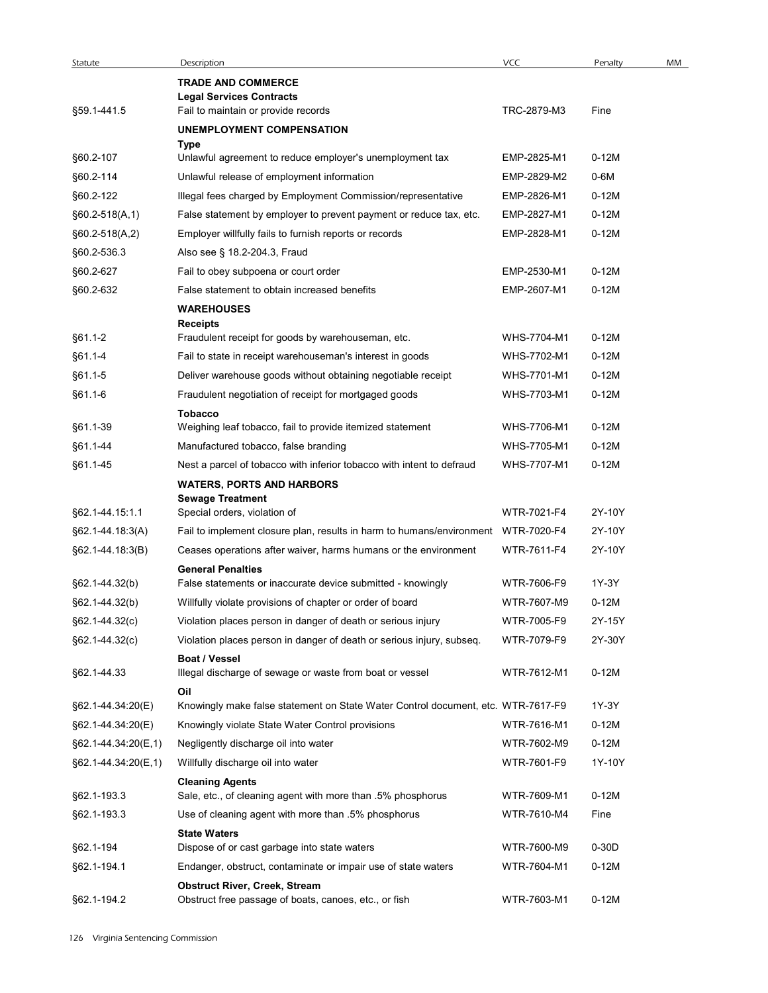| Statute                | Description                                                                                                               | <b>VCC</b>                 | Penalty            | MM |
|------------------------|---------------------------------------------------------------------------------------------------------------------------|----------------------------|--------------------|----|
|                        | <b>TRADE AND COMMERCE</b><br><b>Legal Services Contracts</b>                                                              |                            |                    |    |
| §59.1-441.5            | Fail to maintain or provide records                                                                                       | TRC-2879-M3                | Fine               |    |
|                        | UNEMPLOYMENT COMPENSATION                                                                                                 |                            |                    |    |
|                        | Type                                                                                                                      |                            |                    |    |
| §60.2-107              | Unlawful agreement to reduce employer's unemployment tax                                                                  | EMP-2825-M1                | $0-12M$            |    |
| §60.2-114<br>§60.2-122 | Unlawful release of employment information<br>Illegal fees charged by Employment Commission/representative                | EMP-2829-M2<br>EMP-2826-M1 | 0-6M<br>$0-12M$    |    |
| $§60.2-518(A,1)$       | False statement by employer to prevent payment or reduce tax, etc.                                                        | EMP-2827-M1                | $0-12M$            |    |
| $§60.2-518(A,2)$       | Employer willfully fails to furnish reports or records                                                                    | EMP-2828-M1                | $0-12M$            |    |
| §60.2-536.3            | Also see § 18.2-204.3, Fraud                                                                                              |                            |                    |    |
| §60.2-627              | Fail to obey subpoena or court order                                                                                      | EMP-2530-M1                | $0-12M$            |    |
| §60.2-632              | False statement to obtain increased benefits                                                                              | EMP-2607-M1                | $0-12M$            |    |
|                        | <b>WAREHOUSES</b>                                                                                                         |                            |                    |    |
|                        | Receipts                                                                                                                  |                            |                    |    |
| $§61.1 - 2$            | Fraudulent receipt for goods by warehouseman, etc.                                                                        | WHS-7704-M1                | $0-12M$            |    |
| §61.1-4<br>§61.1-5     | Fail to state in receipt warehouseman's interest in goods<br>Deliver warehouse goods without obtaining negotiable receipt | WHS-7702-M1<br>WHS-7701-M1 | $0-12M$<br>$0-12M$ |    |
| $§61.1-6$              | Fraudulent negotiation of receipt for mortgaged goods                                                                     | WHS-7703-M1                | $0-12M$            |    |
|                        | <b>Tobacco</b>                                                                                                            |                            |                    |    |
| §61.1-39               | Weighing leaf tobacco, fail to provide itemized statement                                                                 | WHS-7706-M1                | $0-12M$            |    |
| §61.1-44               | Manufactured tobacco, false branding                                                                                      | WHS-7705-M1                | $0-12M$            |    |
| §61.1-45               | Nest a parcel of tobacco with inferior tobacco with intent to defraud                                                     | WHS-7707-M1                | $0-12M$            |    |
|                        | <b>WATERS, PORTS AND HARBORS</b>                                                                                          |                            |                    |    |
| §62.1-44.15:1.1        | <b>Sewage Treatment</b><br>Special orders, violation of                                                                   | WTR-7021-F4                | 2Y-10Y             |    |
| §62.1-44.18:3(A)       | Fail to implement closure plan, results in harm to humans/environment                                                     | WTR-7020-F4                | 2Y-10Y             |    |
| §62.1-44.18:3(B)       | Ceases operations after waiver, harms humans or the environment                                                           | WTR-7611-F4                | 2Y-10Y             |    |
|                        | <b>General Penalties</b>                                                                                                  |                            |                    |    |
| §62.1-44.32(b)         | False statements or inaccurate device submitted - knowingly                                                               | WTR-7606-F9                | 1Y-3Y              |    |
| §62.1-44.32(b)         | Willfully violate provisions of chapter or order of board                                                                 | WTR-7607-M9                | $0-12M$            |    |
| $§62.1 - 44.32(c)$     | Violation places person in danger of death or serious injury                                                              | WTR-7005-F9                | 2Y-15Y             |    |
| $§62.1 - 44.32(c)$     | Violation places person in danger of death or serious injury, subseq.                                                     | WTR-7079-F9                | 2Y-30Y             |    |
| §62.1-44.33            | Boat / Vessel<br>Illegal discharge of sewage or waste from boat or vessel                                                 | WTR-7612-M1                | $0-12M$            |    |
|                        | Oil                                                                                                                       |                            |                    |    |
| §62.1-44.34:20(E)      | Knowingly make false statement on State Water Control document, etc. WTR-7617-F9                                          |                            | 1Y-3Y              |    |
| §62.1-44.34:20(E)      | Knowingly violate State Water Control provisions                                                                          | WTR-7616-M1                | $0-12M$            |    |
| §62.1-44.34:20(E,1)    | Negligently discharge oil into water                                                                                      | WTR-7602-M9                | $0-12M$            |    |
| §62.1-44.34.20(E,1)    | Willfully discharge oil into water                                                                                        | WTR-7601-F9                | 1Y-10Y             |    |
|                        | <b>Cleaning Agents</b>                                                                                                    |                            |                    |    |
| §62.1-193.3            | Sale, etc., of cleaning agent with more than .5% phosphorus                                                               | WTR-7609-M1                | $0-12M$            |    |
| §62.1-193.3            | Use of cleaning agent with more than .5% phosphorus                                                                       | WTR-7610-M4                | Fine               |    |
| §62.1-194              | <b>State Waters</b><br>Dispose of or cast garbage into state waters                                                       | WTR-7600-M9                | $0-30D$            |    |
| §62.1-194.1            | Endanger, obstruct, contaminate or impair use of state waters                                                             | WTR-7604-M1                | $0-12M$            |    |
|                        | <b>Obstruct River, Creek, Stream</b>                                                                                      |                            |                    |    |
| §62.1-194.2            | Obstruct free passage of boats, canoes, etc., or fish                                                                     | WTR-7603-M1                | $0-12M$            |    |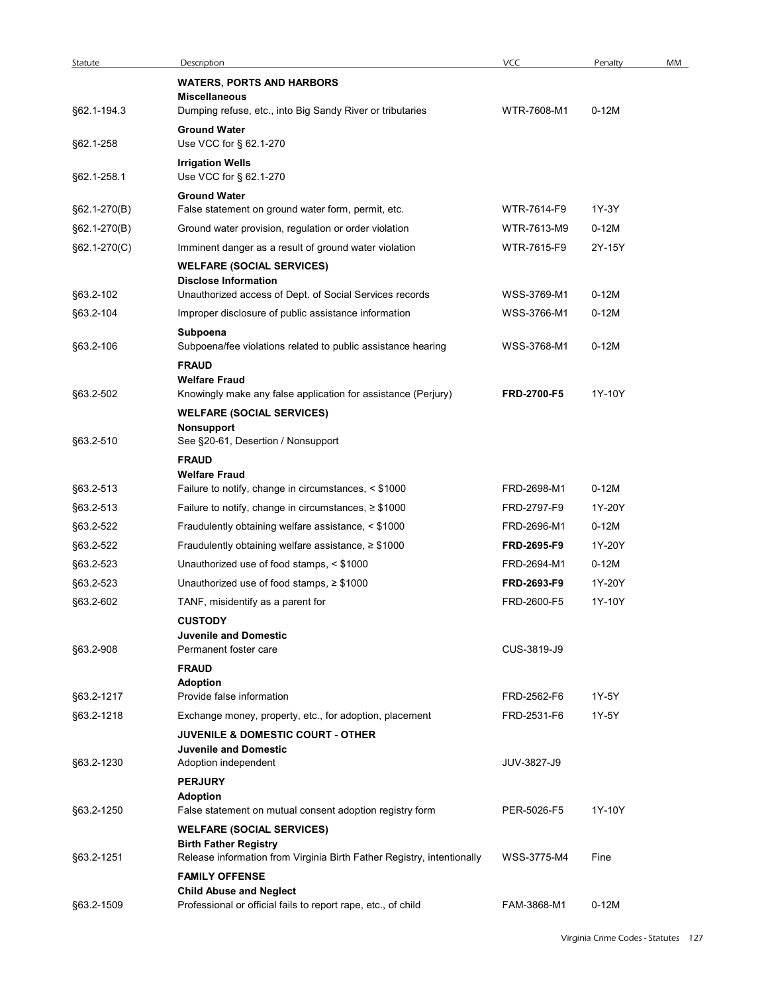| Statute                | Description                                                                                       | VCC         | Penalty          | MM |
|------------------------|---------------------------------------------------------------------------------------------------|-------------|------------------|----|
|                        | <b>WATERS, PORTS AND HARBORS</b><br><b>Miscellaneous</b>                                          |             |                  |    |
| §62.1-194.3            | Dumping refuse, etc., into Big Sandy River or tributaries                                         | WTR-7608-M1 | $0-12M$          |    |
|                        | <b>Ground Water</b>                                                                               |             |                  |    |
| §62.1-258              | Use VCC for § 62.1-270                                                                            |             |                  |    |
| §62.1-258.1            | <b>Irrigation Wells</b><br>Use VCC for § 62.1-270                                                 |             |                  |    |
|                        | <b>Ground Water</b>                                                                               |             |                  |    |
| §62.1-270(B)           | False statement on ground water form, permit, etc.                                                | WTR-7614-F9 | 1Y-3Y<br>$0-12M$ |    |
| §62.1-270(B)           | Ground water provision, regulation or order violation                                             | WTR-7613-M9 |                  |    |
| §62.1-270(C)           | Imminent danger as a result of ground water violation<br><b>WELFARE (SOCIAL SERVICES)</b>         | WTR-7615-F9 | 2Y-15Y           |    |
|                        | <b>Disclose Information</b><br>Unauthorized access of Dept. of Social Services records            | WSS-3769-M1 | $0-12M$          |    |
| §63.2-102<br>§63.2-104 | Improper disclosure of public assistance information                                              | WSS-3766-M1 | $0-12M$          |    |
|                        | Subpoena                                                                                          |             |                  |    |
| §63.2-106              | Subpoena/fee violations related to public assistance hearing<br><b>FRAUD</b>                      | WSS-3768-M1 | $0-12M$          |    |
|                        | <b>Welfare Fraud</b>                                                                              |             |                  |    |
| §63.2-502              | Knowingly make any false application for assistance (Perjury)<br><b>WELFARE (SOCIAL SERVICES)</b> | FRD-2700-F5 | 1Y-10Y           |    |
| §63.2-510              | <b>Nonsupport</b><br>See §20-61, Desertion / Nonsupport                                           |             |                  |    |
|                        | <b>FRAUD</b>                                                                                      |             |                  |    |
|                        | <b>Welfare Fraud</b>                                                                              |             |                  |    |
| §63.2-513              | Failure to notify, change in circumstances, < \$1000                                              | FRD-2698-M1 | $0-12M$          |    |
| §63.2-513              | Failure to notify, change in circumstances, $\geq$ \$1000                                         | FRD-2797-F9 | 1Y-20Y           |    |
| §63.2-522              | Fraudulently obtaining welfare assistance, < \$1000                                               | FRD-2696-M1 | $0-12M$          |    |
| §63.2-522              | Fraudulently obtaining welfare assistance, $\geq$ \$1000                                          | FRD-2695-F9 | 1Y-20Y           |    |
| §63.2-523              | Unauthorized use of food stamps, < \$1000                                                         | FRD-2694-M1 | $0-12M$          |    |
| §63.2-523              | Unauthorized use of food stamps, $\geq$ \$1000                                                    | FRD-2693-F9 | 1Y-20Y           |    |
| §63.2-602              | TANF, misidentify as a parent for                                                                 | FRD-2600-F5 | 1Y-10Y           |    |
|                        | <b>CUSTODY</b>                                                                                    |             |                  |    |
| §63.2-908              | <b>Juvenile and Domestic</b><br>Permanent foster care                                             | CUS-3819-J9 |                  |    |
|                        | <b>FRAUD</b>                                                                                      |             |                  |    |
|                        | <b>Adoption</b>                                                                                   |             |                  |    |
| §63.2-1217             | Provide false information                                                                         | FRD-2562-F6 | 1Y-5Y            |    |
| §63.2-1218             | Exchange money, property, etc., for adoption, placement                                           | FRD-2531-F6 | 1Y-5Y            |    |
|                        | <b>JUVENILE &amp; DOMESTIC COURT - OTHER</b><br><b>Juvenile and Domestic</b>                      |             |                  |    |
| §63.2-1230             | Adoption independent                                                                              | JUV-3827-J9 |                  |    |
|                        | <b>PERJURY</b>                                                                                    |             |                  |    |
| §63.2-1250             | <b>Adoption</b><br>False statement on mutual consent adoption registry form                       | PER-5026-F5 | 1Y-10Y           |    |
|                        | <b>WELFARE (SOCIAL SERVICES)</b>                                                                  |             |                  |    |
|                        | <b>Birth Father Registry</b>                                                                      | WSS-3775-M4 | Fine             |    |
| §63.2-1251             | Release information from Virginia Birth Father Registry, intentionally<br><b>FAMILY OFFENSE</b>   |             |                  |    |
|                        | <b>Child Abuse and Neglect</b>                                                                    |             |                  |    |
| §63.2-1509             | Professional or official fails to report rape, etc., of child                                     | FAM-3868-M1 | $0-12M$          |    |
|                        |                                                                                                   |             |                  |    |